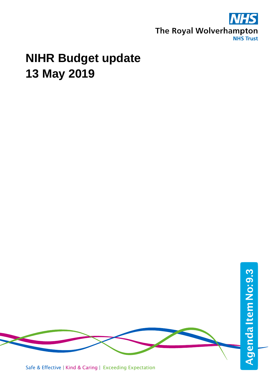

# **NIHR Budget update 13 May 2019**



Safe & Effective | Kind & Caring | Exceeding Expectation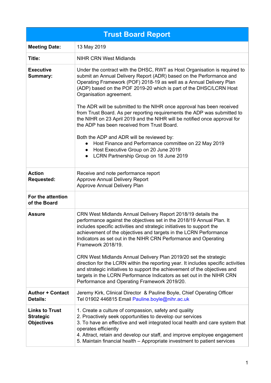| <b>Trust Board Report</b>                                      |                                                                                                                                                                                                                                                                                                                                                                                                                                                                                                                                                                                                                                                                                                                                                                                                                |  |  |  |  |  |  |
|----------------------------------------------------------------|----------------------------------------------------------------------------------------------------------------------------------------------------------------------------------------------------------------------------------------------------------------------------------------------------------------------------------------------------------------------------------------------------------------------------------------------------------------------------------------------------------------------------------------------------------------------------------------------------------------------------------------------------------------------------------------------------------------------------------------------------------------------------------------------------------------|--|--|--|--|--|--|
| <b>Meeting Date:</b>                                           | 13 May 2019                                                                                                                                                                                                                                                                                                                                                                                                                                                                                                                                                                                                                                                                                                                                                                                                    |  |  |  |  |  |  |
| Title:                                                         | <b>NIHR CRN West Midlands</b>                                                                                                                                                                                                                                                                                                                                                                                                                                                                                                                                                                                                                                                                                                                                                                                  |  |  |  |  |  |  |
| <b>Executive</b><br>Summary:                                   | Under the contract with the DHSC, RWT as Host Organisation is required to<br>submit an Annual Delivery Report (ADR) based on the Performance and<br>Operating Framework (POF) 2018-19 as well as a Annual Delivery Plan<br>(ADP) based on the POF 2019-20 which is part of the DHSC/LCRN Host<br>Organisation agreement.<br>The ADR will be submitted to the NIHR once approval has been received<br>from Trust Board. As per reporting requirements the ADP was submitted to<br>the NIHR on 23 April 2019 and the NIHR will be notified once approval for<br>the ADP has been received from Trust Board.<br>Both the ADP and ADR will be reviewed by:<br>Host Finance and Performance committee on 22 May 2019<br>Host Executive Group on 20 June 2019<br>LCRN Partnership Group on 18 June 2019<br>$\bullet$ |  |  |  |  |  |  |
| <b>Action</b><br><b>Requested:</b>                             | Receive and note performance report<br><b>Approve Annual Delivery Report</b><br>Approve Annual Delivery Plan                                                                                                                                                                                                                                                                                                                                                                                                                                                                                                                                                                                                                                                                                                   |  |  |  |  |  |  |
| For the attention<br>of the Board                              |                                                                                                                                                                                                                                                                                                                                                                                                                                                                                                                                                                                                                                                                                                                                                                                                                |  |  |  |  |  |  |
| <b>Assure</b>                                                  | CRN West Midlands Annual Delivery Report 2018/19 details the<br>performance against the objectives set in the 2018/19 Annual Plan. It<br>includes specific activities and strategic initiatives to support the<br>achievement of the objectives and targets in the LCRN Performance<br>Indicators as set out in the NIHR CRN Performance and Operating<br>Framework 2018/19.<br>CRN West Midlands Annual Delivery Plan 2019/20 set the strategic<br>direction for the LCRN within the reporting year. It includes specific activities                                                                                                                                                                                                                                                                          |  |  |  |  |  |  |
|                                                                | and strategic initiatives to support the achievement of the objectives and<br>targets in the LCRN Performance Indicators as set out in the NIHR CRN<br>Performance and Operating Framework 2019/20.                                                                                                                                                                                                                                                                                                                                                                                                                                                                                                                                                                                                            |  |  |  |  |  |  |
| <b>Author + Contact</b><br>Details:                            | Jeremy Kirk, Clinical Director & Pauline Boyle, Chief Operating Officer<br>Tel 01902 446815 Email Pauline.boyle@nihr.ac.uk                                                                                                                                                                                                                                                                                                                                                                                                                                                                                                                                                                                                                                                                                     |  |  |  |  |  |  |
| <b>Links to Trust</b><br><b>Strategic</b><br><b>Objectives</b> | 1. Create a culture of compassion, safety and quality<br>2. Proactively seek opportunities to develop our services<br>3. To have an effective and well integrated local health and care system that<br>operates efficiently<br>4. Attract, retain and develop our staff, and improve employee engagement<br>5. Maintain financial health – Appropriate investment to patient services                                                                                                                                                                                                                                                                                                                                                                                                                          |  |  |  |  |  |  |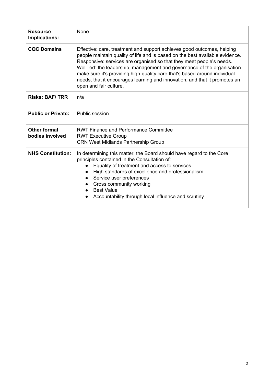| <b>Resource</b><br>Implications:       | None                                                                                                                                                                                                                                                                                                                                                                                                                                                                                           |  |  |  |  |
|----------------------------------------|------------------------------------------------------------------------------------------------------------------------------------------------------------------------------------------------------------------------------------------------------------------------------------------------------------------------------------------------------------------------------------------------------------------------------------------------------------------------------------------------|--|--|--|--|
| <b>CQC Domains</b>                     | Effective: care, treatment and support achieves good outcomes, helping<br>people maintain quality of life and is based on the best available evidence.<br>Responsive: services are organised so that they meet people's needs.<br>Well-led: the leadership, management and governance of the organisation<br>make sure it's providing high-quality care that's based around individual<br>needs, that it encourages learning and innovation, and that it promotes an<br>open and fair culture. |  |  |  |  |
| <b>Risks: BAF/TRR</b>                  | n/a                                                                                                                                                                                                                                                                                                                                                                                                                                                                                            |  |  |  |  |
| <b>Public or Private:</b>              | Public session                                                                                                                                                                                                                                                                                                                                                                                                                                                                                 |  |  |  |  |
| <b>Other formal</b><br>bodies involved | <b>RWT Finance and Performance Committee</b><br><b>RWT Executive Group</b><br><b>CRN West Midlands Partnership Group</b>                                                                                                                                                                                                                                                                                                                                                                       |  |  |  |  |
| <b>NHS Constitution:</b>               | In determining this matter, the Board should have regard to the Core<br>principles contained in the Consultation of:<br>Equality of treatment and access to services<br>High standards of excellence and professionalism<br>$\bullet$<br>Service user preferences<br>$\bullet$<br>Cross community working<br>$\bullet$<br><b>Best Value</b><br>Accountability through local influence and scrutiny<br>$\bullet$                                                                                |  |  |  |  |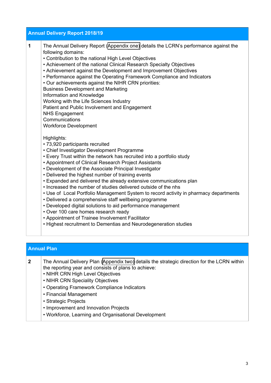|   | <b>Annual Delivery Report 2018/19</b>                                                                                                                                                                                                                                                                                                                                                                                                                                                                                                                                                                                                                                                                                                                                                                                                                                 |
|---|-----------------------------------------------------------------------------------------------------------------------------------------------------------------------------------------------------------------------------------------------------------------------------------------------------------------------------------------------------------------------------------------------------------------------------------------------------------------------------------------------------------------------------------------------------------------------------------------------------------------------------------------------------------------------------------------------------------------------------------------------------------------------------------------------------------------------------------------------------------------------|
| 1 | The Annual Delivery Report (Appendix one) details the LCRN's performance against the<br>following domains:<br>• Contribution to the national High Level Objectives<br>• Achievement of the national Clinical Research Specialty Objectives<br>• Achievement against the Development and Improvement Objectives<br>• Performance against the Operating Framework Compliance and Indicators<br>• Our achievements against the NIHR CRN priorities:<br><b>Business Development and Marketing</b><br>Information and Knowledge<br>Working with the Life Sciences Industry<br>Patient and Public Involvement and Engagement<br><b>NHS Engagement</b><br>Communications<br><b>Workforce Development</b>                                                                                                                                                                     |
|   | Highlights:<br>• 73,920 participants recruited<br>• Chief Investigator Development Programme<br>• Every Trust within the network has recruited into a portfolio study<br>• Appointment of Clinical Research Project Assistants<br>• Development of the Associate Principal Investigator<br>• Delivered the highest number of training events<br>• Expanded and delivered the already extensive communications plan<br>. Increased the number of studies delivered outside of the nhs<br>• Use of Local Portfolio Management System to record activity in pharmacy departments<br>• Delivered a comprehensive staff wellbeing programme<br>• Developed digital solutions to aid performance management<br>• Over 100 care homes research ready<br>• Appointment of Trainee Involvement Facilitator<br>. Highest recruitment to Dementias and Neurodegeneration studies |

### **Annual Plan**

**2** The Annual Delivery Plan ([Appendix](#page-42-0) two) details the strategic direction for the LCRN within the reporting year and consists of plans to achieve:

- NIHR CRN High Level Objectives
- NIHR CRN Speciality Objectives
- Operating Framework Compliance Indicators
- Financial Management
- Strategic Projects
- Improvement and Innovation Projects
- Workforce, Learning and Organisational Development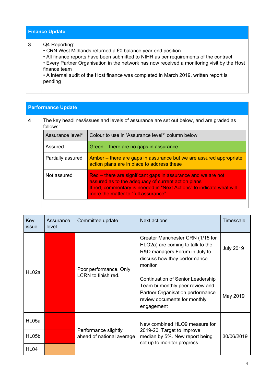| <b>Finance Update</b>                                                                                                                                                                                                                                                                                                                                                                    |  |  |  |  |  |  |  |  |
|------------------------------------------------------------------------------------------------------------------------------------------------------------------------------------------------------------------------------------------------------------------------------------------------------------------------------------------------------------------------------------------|--|--|--|--|--|--|--|--|
| Q4 Reporting:<br>• CRN West Midlands returned a £0 balance year end position<br>• All finance reports have been submitted to NIHR as per requirements of the contract<br>• Every Partner Organisation in the network has now received a monitoring visit by the Host<br>finance team<br>• A internal audit of the Host finance was completed in March 2019, written report is<br>pending |  |  |  |  |  |  |  |  |

### **Performance Update**

|  | The key headlines/issues and levels of assurance are set out below, and are graded as<br>follows: |                                                                                                                                                                                                                                   |  |  |  |  |  |
|--|---------------------------------------------------------------------------------------------------|-----------------------------------------------------------------------------------------------------------------------------------------------------------------------------------------------------------------------------------|--|--|--|--|--|
|  | Assurance level*                                                                                  | Colour to use in 'Assurance level*' column below                                                                                                                                                                                  |  |  |  |  |  |
|  | Assured                                                                                           | Green – there are no gaps in assurance                                                                                                                                                                                            |  |  |  |  |  |
|  | Partially assured                                                                                 | Amber – there are gaps in assurance but we are assured appropriate<br>action plans are in place to address these                                                                                                                  |  |  |  |  |  |
|  | Not assured                                                                                       | Red – there are significant gaps in assurance and we are not<br>assured as to the adequacy of current action plans<br>If red, commentary is needed in "Next Actions" to indicate what will<br>more the matter to "full assurance" |  |  |  |  |  |

| Key<br>issue | Assurance<br>level | Committee update                                  | <b>Next actions</b>                                                                                                                                                                   | <b>Timescale</b> |
|--------------|--------------------|---------------------------------------------------|---------------------------------------------------------------------------------------------------------------------------------------------------------------------------------------|------------------|
| HL02a        |                    | Poor performance. Only<br>LCRN to finish red.     | Greater Manchester CRN (1/15 for<br>HLO2a) are coming to talk to the<br>R&D managers Forum in July to<br>discuss how they performance<br>monitor<br>Continuation of Senior Leadership | <b>July 2019</b> |
|              |                    |                                                   | Team bi-monthly peer review and<br>Partner Organisation performance<br>review documents for monthly<br>engagement                                                                     | May 2019         |
| HL05a        |                    |                                                   | New combined HLO9 measure for                                                                                                                                                         |                  |
| HL05b        |                    | Performance slightly<br>ahead of national average | 2019-20. Target to improve<br>median by 5%. New report being<br>set up to monitor progress.                                                                                           | 30/06/2019       |
| <b>HL04</b>  |                    |                                                   |                                                                                                                                                                                       |                  |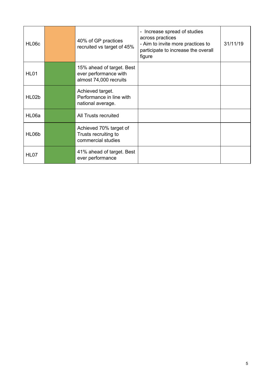| HL06c       | 40% of GP practices<br>recruited vs target of 45%                            | - Increase spread of studies<br>across practices<br>- Aim to invite more practices to<br>participate to increase the overall<br>figure | 31/11/19 |
|-------------|------------------------------------------------------------------------------|----------------------------------------------------------------------------------------------------------------------------------------|----------|
| <b>HL01</b> | 15% ahead of target. Best<br>ever performance with<br>almost 74,000 recruits |                                                                                                                                        |          |
| HL02b       | Achieved target.<br>Performance in line with<br>national average.            |                                                                                                                                        |          |
| HL06a       | <b>All Trusts recruited</b>                                                  |                                                                                                                                        |          |
| HL06b       | Achieved 70% target of<br>Trusts recruiting to<br>commercial studies         |                                                                                                                                        |          |
| HL07        | 41% ahead of target. Best<br>ever performance                                |                                                                                                                                        |          |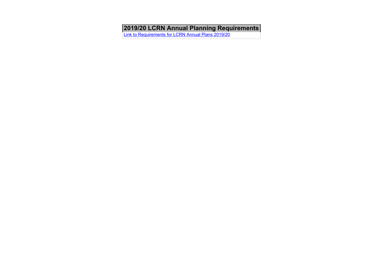<span id="page-6-0"></span>**2019/20 LCRN Annual Planning Requirements**

[Link to Requirements for LCRN Annual Plans 2019/20](https://drive.google.com/file/d/1ie6y9zLs_jmLvy0ver0oPj5w6b9crWUm/view?usp=sharing)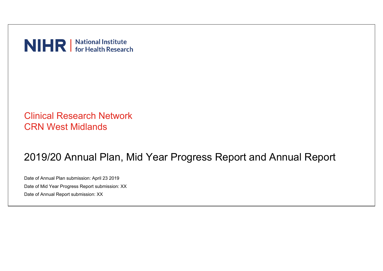NIHR | National Institute

# Clinical Research Network CRN West Midlands

# 2019/20 Annual Plan, Mid Year Progress Report and Annual Report

Date of Annual Plan submission: April 23 2019 Date of Mid Year Progress Report submission: XX Date of Annual Report submission: XX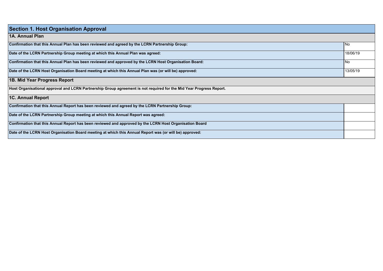| <b>Section 1. Host Organisation Approval</b>                                                                        |           |
|---------------------------------------------------------------------------------------------------------------------|-----------|
| 1A. Annual Plan                                                                                                     |           |
| Confirmation that this Annual Plan has been reviewed and agreed by the LCRN Partnership Group:                      | No        |
| Date of the LCRN Partnership Group meeting at which this Annual Plan was agreed:                                    | 18/06/19  |
| Confirmation that this Annual Plan has been reviewed and approved by the LCRN Host Organisation Board:              | <b>No</b> |
| Date of the LCRN Host Organisation Board meeting at which this Annual Plan was (or will be) approved:               | 13/05/19  |
| 1B. Mid Year Progress Report                                                                                        |           |
| Host Organisational approval and LCRN Partnership Group agreement is not required for the Mid Year Progress Report. |           |
| 1C. Annual Report                                                                                                   |           |
| Confirmation that this Annual Report has been reviewed and agreed by the LCRN Partnership Group:                    |           |
| Date of the LCRN Partnership Group meeting at which this Annual Report was agreed:                                  |           |
| Confirmation that this Annual Report has been reviewed and approved by the LCRN Host Organisation Board             |           |
| Date of the LCRN Host Organisation Board meeting at which this Annual Report was (or will be) approved:             |           |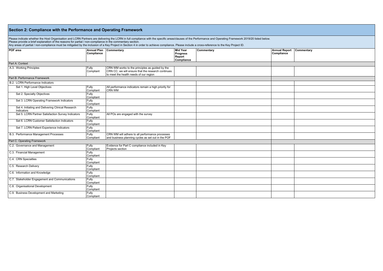| Section 2: Compliance with the Performance and Operating Framework                                                                                                                                                                                                                                                                                                                                                                                                                                                         |                    |                                                                                                                                                 |                                                            |            |                                    |            |  |  |  |
|----------------------------------------------------------------------------------------------------------------------------------------------------------------------------------------------------------------------------------------------------------------------------------------------------------------------------------------------------------------------------------------------------------------------------------------------------------------------------------------------------------------------------|--------------------|-------------------------------------------------------------------------------------------------------------------------------------------------|------------------------------------------------------------|------------|------------------------------------|------------|--|--|--|
| Please indicate whether the Host Organisation and LCRN Partners are delivering the LCRN in full compliance with the specific areas/clauses of the Performance and Operating Framework 2019/20 listed below.<br>Please provide a brief explanation of the reasons for partial / non-compliance in the commentary section.<br>Any areas of partial / non-compliance must be mitigated by the inclusion of a Key Project in Section 4 in order to achieve compliance. Please include a cross-reference to the Key Project ID. |                    |                                                                                                                                                 |                                                            |            |                                    |            |  |  |  |
| POF area                                                                                                                                                                                                                                                                                                                                                                                                                                                                                                                   | Compliance         | Annual Plan Commentary                                                                                                                          | <b>Mid Year</b><br><b>Progress</b><br>Report<br>Compliance | Commentary | <b>Annual Report</b><br>Compliance | Commentary |  |  |  |
| Part A: Context                                                                                                                                                                                                                                                                                                                                                                                                                                                                                                            |                    |                                                                                                                                                 |                                                            |            |                                    |            |  |  |  |
| A.3. Working Principles                                                                                                                                                                                                                                                                                                                                                                                                                                                                                                    | Fully<br>Compliant | CRN WM works to the principles as quided by the<br>CRN CC; we will ensure that the research continues<br>to meet the health needs of our region |                                                            |            |                                    |            |  |  |  |
| Part B: Performance Framework                                                                                                                                                                                                                                                                                                                                                                                                                                                                                              |                    |                                                                                                                                                 |                                                            |            |                                    |            |  |  |  |
| B.2. LCRN Performance Indicators                                                                                                                                                                                                                                                                                                                                                                                                                                                                                           |                    |                                                                                                                                                 |                                                            |            |                                    |            |  |  |  |
| Set 1. High Level Objectives                                                                                                                                                                                                                                                                                                                                                                                                                                                                                               | Fully<br>Compliant | All performance indicators remain a high priority for<br><b>CRN WM</b>                                                                          |                                                            |            |                                    |            |  |  |  |
| Set 2. Specialty Objectives                                                                                                                                                                                                                                                                                                                                                                                                                                                                                                | Fully<br>Compliant |                                                                                                                                                 |                                                            |            |                                    |            |  |  |  |
| Set 3. LCRN Operating Framework Indicators                                                                                                                                                                                                                                                                                                                                                                                                                                                                                 | Fully<br>Compliant |                                                                                                                                                 |                                                            |            |                                    |            |  |  |  |
| Set 4. Initiating and Delivering Clinical Research<br>Indicators                                                                                                                                                                                                                                                                                                                                                                                                                                                           | Fully<br>Compliant |                                                                                                                                                 |                                                            |            |                                    |            |  |  |  |
| Set 5. LCRN Partner Satisfaction Survey Indicators                                                                                                                                                                                                                                                                                                                                                                                                                                                                         | Fully<br>Compliant | All POs are engaged with the survey                                                                                                             |                                                            |            |                                    |            |  |  |  |
| Set 6. LCRN Customer Satisfaction Indicators                                                                                                                                                                                                                                                                                                                                                                                                                                                                               | Fully<br>Compliant |                                                                                                                                                 |                                                            |            |                                    |            |  |  |  |
| Set 7. LCRN Patient Experience Indicators                                                                                                                                                                                                                                                                                                                                                                                                                                                                                  | Fully<br>Compliant |                                                                                                                                                 |                                                            |            |                                    |            |  |  |  |
| B.3. Performance Management Processes                                                                                                                                                                                                                                                                                                                                                                                                                                                                                      | Fully<br>Compliant | CRN WM will adhere to all performance processes<br>and business planning cycles as set out in the POF                                           |                                                            |            |                                    |            |  |  |  |
| Part C: Operating Framework                                                                                                                                                                                                                                                                                                                                                                                                                                                                                                |                    |                                                                                                                                                 |                                                            |            |                                    |            |  |  |  |
| C.2. Governance and Management                                                                                                                                                                                                                                                                                                                                                                                                                                                                                             | Fully<br>Compliant | Evidence for Part C compliance included in Key<br>Projects section                                                                              |                                                            |            |                                    |            |  |  |  |
| C.3. Financial Management                                                                                                                                                                                                                                                                                                                                                                                                                                                                                                  | Fully<br>Compliant |                                                                                                                                                 |                                                            |            |                                    |            |  |  |  |
| C.4. CRN Specialties                                                                                                                                                                                                                                                                                                                                                                                                                                                                                                       | Fully<br>Compliant |                                                                                                                                                 |                                                            |            |                                    |            |  |  |  |
| C.5. Research Delivery                                                                                                                                                                                                                                                                                                                                                                                                                                                                                                     | Fully<br>Compliant |                                                                                                                                                 |                                                            |            |                                    |            |  |  |  |
| C.6. Information and Knowledge                                                                                                                                                                                                                                                                                                                                                                                                                                                                                             | Fully<br>Compliant |                                                                                                                                                 |                                                            |            |                                    |            |  |  |  |
| C.7. Stakeholder Engagement and Communications                                                                                                                                                                                                                                                                                                                                                                                                                                                                             | Fully<br>Compliant |                                                                                                                                                 |                                                            |            |                                    |            |  |  |  |
| C.8. Organisational Development                                                                                                                                                                                                                                                                                                                                                                                                                                                                                            | Fully<br>Compliant |                                                                                                                                                 |                                                            |            |                                    |            |  |  |  |
| C.9. Business Development and Marketing                                                                                                                                                                                                                                                                                                                                                                                                                                                                                    | Fully<br>Compliant |                                                                                                                                                 |                                                            |            |                                    |            |  |  |  |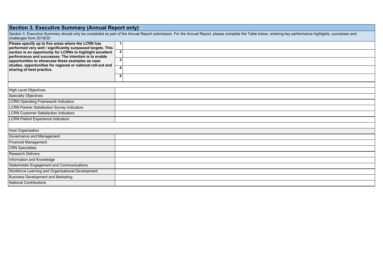## **Section 3. Executive Summary (Annual Report only)**

| Section 3. Executive Summary should only be completed as part of the Annual Report submission. For the Annual Report, please complete the Table below, entering key performance highlights, successes and<br>challenges from 2019/20 |              |  |  |  |  |  |  |  |
|--------------------------------------------------------------------------------------------------------------------------------------------------------------------------------------------------------------------------------------|--------------|--|--|--|--|--|--|--|
| Please specify up to five areas where the LCRN has<br>performed very well / significantly surpassed targets. This                                                                                                                    |              |  |  |  |  |  |  |  |
| section is an opportunity for LCRNs to highlight excellent<br>performance and successes. The intention is to enable                                                                                                                  | $\mathbf{2}$ |  |  |  |  |  |  |  |
| opportunities to showcase these examples as case<br>studies, opportunities for regional or national roll-out and                                                                                                                     | 3            |  |  |  |  |  |  |  |
| sharing of best practice.                                                                                                                                                                                                            |              |  |  |  |  |  |  |  |
|                                                                                                                                                                                                                                      | 5            |  |  |  |  |  |  |  |
|                                                                                                                                                                                                                                      |              |  |  |  |  |  |  |  |
| High Level Objectives                                                                                                                                                                                                                |              |  |  |  |  |  |  |  |
| Specialty Objectives                                                                                                                                                                                                                 |              |  |  |  |  |  |  |  |
| <b>LCRN Operating Framework Indicators</b>                                                                                                                                                                                           |              |  |  |  |  |  |  |  |
| <b>LCRN Partner Satisfaction Survey Indicators</b>                                                                                                                                                                                   |              |  |  |  |  |  |  |  |
| <b>LCRN Customer Satisfaction Indicators</b>                                                                                                                                                                                         |              |  |  |  |  |  |  |  |
| <b>LCRN Patient Experience Indicators</b>                                                                                                                                                                                            |              |  |  |  |  |  |  |  |
|                                                                                                                                                                                                                                      |              |  |  |  |  |  |  |  |
| <b>Host Organisation</b>                                                                                                                                                                                                             |              |  |  |  |  |  |  |  |
| Governance and Management                                                                                                                                                                                                            |              |  |  |  |  |  |  |  |
| <b>Financial Management</b>                                                                                                                                                                                                          |              |  |  |  |  |  |  |  |
| <b>CRN</b> Specialties                                                                                                                                                                                                               |              |  |  |  |  |  |  |  |
| <b>Research Delivery</b>                                                                                                                                                                                                             |              |  |  |  |  |  |  |  |
| Information and Knowledge                                                                                                                                                                                                            |              |  |  |  |  |  |  |  |
| Stakeholder Engagement and Communications                                                                                                                                                                                            |              |  |  |  |  |  |  |  |
| Workforce Learning and Organisational Development                                                                                                                                                                                    |              |  |  |  |  |  |  |  |
| <b>Business Development and Marketing</b>                                                                                                                                                                                            |              |  |  |  |  |  |  |  |
| National Contributions                                                                                                                                                                                                               |              |  |  |  |  |  |  |  |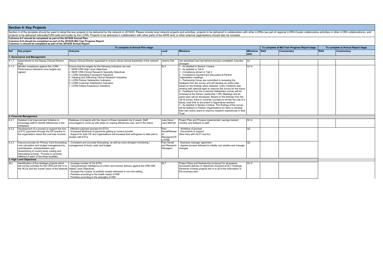|       | Section 4 of the template should be used to detail the key projects to be delivered by the network in 2019/20. Please include local network projects and activities, projects to be delivered in collaboration with other LCRN<br>projects to be delivered nationally/CRN-wide led locally by the LCRN. Projects to be delivered in collaboration with other parts of the NIHR and/ or other external organisations should also be included. |                                                                                                                                                                                                                                                                                                                                                                                                |                                                      |                                                                                                                                                                                                                                                                                                                                                                                                                                                                                                                                                                                                                                                                                                                                                                                                                                                                                                                                                                      |                          |            |                                               |            |                                    |
|-------|----------------------------------------------------------------------------------------------------------------------------------------------------------------------------------------------------------------------------------------------------------------------------------------------------------------------------------------------------------------------------------------------------------------------------------------------|------------------------------------------------------------------------------------------------------------------------------------------------------------------------------------------------------------------------------------------------------------------------------------------------------------------------------------------------------------------------------------------------|------------------------------------------------------|----------------------------------------------------------------------------------------------------------------------------------------------------------------------------------------------------------------------------------------------------------------------------------------------------------------------------------------------------------------------------------------------------------------------------------------------------------------------------------------------------------------------------------------------------------------------------------------------------------------------------------------------------------------------------------------------------------------------------------------------------------------------------------------------------------------------------------------------------------------------------------------------------------------------------------------------------------------------|--------------------------|------------|-----------------------------------------------|------------|------------------------------------|
|       | Columns A-F should be completed as part of the 2019/20 Annual Plan.<br>Columns G-H should be completed as part of the 2019/20 Mid Year Progress Report.<br>Columns I-J should be completed as part of the 2019/20 Annual Report.                                                                                                                                                                                                             |                                                                                                                                                                                                                                                                                                                                                                                                |                                                      |                                                                                                                                                                                                                                                                                                                                                                                                                                                                                                                                                                                                                                                                                                                                                                                                                                                                                                                                                                      |                          |            |                                               |            |                                    |
|       |                                                                                                                                                                                                                                                                                                                                                                                                                                              | To complete at Annual Plan stage                                                                                                                                                                                                                                                                                                                                                               |                                                      |                                                                                                                                                                                                                                                                                                                                                                                                                                                                                                                                                                                                                                                                                                                                                                                                                                                                                                                                                                      |                          |            | To complete at Mid Year Progress Report stage |            | To complete at Annual Report stage |
| Ref   | Key project                                                                                                                                                                                                                                                                                                                                                                                                                                  | Outcome                                                                                                                                                                                                                                                                                                                                                                                        | Lead                                                 | <b>Milestone</b>                                                                                                                                                                                                                                                                                                                                                                                                                                                                                                                                                                                                                                                                                                                                                                                                                                                                                                                                                     | <b>Milestone</b><br>date | <b>RAG</b> | <b>Commentary</b>                             | <b>RAG</b> | Commentary                         |
|       | 1. Governance and Management                                                                                                                                                                                                                                                                                                                                                                                                                 |                                                                                                                                                                                                                                                                                                                                                                                                |                                                      |                                                                                                                                                                                                                                                                                                                                                                                                                                                                                                                                                                                                                                                                                                                                                                                                                                                                                                                                                                      |                          |            |                                               |            |                                    |
| 4.1.1 | Appointment to the Deputy Clinical Director<br>Post                                                                                                                                                                                                                                                                                                                                                                                          | Deputy Clinical Director appointed to ensure robust clinical leadership of the network                                                                                                                                                                                                                                                                                                         | Jeremy Kirk                                          | Job advertised and recruitment process completed: induction<br>larranged                                                                                                                                                                                                                                                                                                                                                                                                                                                                                                                                                                                                                                                                                                                                                                                                                                                                                             | lQ1                      |            |                                               |            |                                    |
| 4.1.2 | Monitor compliance against the LCRN<br>Performance Indicators once targets are<br>agreed                                                                                                                                                                                                                                                                                                                                                     | Ensure that the targets for the following indicators are met<br>1. NIHR CRN High Level Objectives<br>2. NIHR CRN Clinical Research Specialty Objectives<br>3. LCRN Operating Framework Indicators<br>4. Initiating and Delivering Clinical Research Indicators<br>5. LCRN Partner Satisfaction Indicators<br>6. LCRN Customer Satisfaction Indicators<br>7. LCRN Patient Experience Indicators | <b>SLT</b>                                           | 1 - As detailed in Section 3 below<br>2 - As detailed in Tab 6<br>3 - Compliance shown in Tab 2<br>4 - Compliance reported and discussed at Partner<br>Organisation meetings<br>5 - Partnership Group are committed to reviewing the<br>feedback from the survey and will develop an action plan<br>based on the findings when released. Carly Craddock also<br>working with national team to improve the survey for the future<br>6 - Feedback from the Customer Satisfaction survey will be<br>reviewed at the Senior Leadership / CRL Meetings and an<br>action plan will be developed. Based on the findings from the<br>18/19 survey, there is currently a project to review the role of a<br>Study Lead (link to document in Appendices section)<br>7 - As detailed in Section 3 below. The findings of the survey<br>will be fedback to Partner Organisations for them to develop<br>their own action plans to improve research experiences in their<br>Trust | $O1-4$                   |            |                                               |            |                                    |
|       | 2. Financial Management                                                                                                                                                                                                                                                                                                                                                                                                                      |                                                                                                                                                                                                                                                                                                                                                                                                |                                                      |                                                                                                                                                                                                                                                                                                                                                                                                                                                                                                                                                                                                                                                                                                                                                                                                                                                                                                                                                                      |                          |            |                                               |            |                                    |
| 4.2.1 | Detailed Cost Improvement Initiative to<br>encourage staff to identify efficiencies in the<br>workplace                                                                                                                                                                                                                                                                                                                                      | Database of projects with the impact of these translated into £ saved. Staff<br>encouraged to come up with ideas on making efficiences now, and in the future                                                                                                                                                                                                                                  | Julie Davis /<br>Jane Mitchell                       | Project Plan and Process implemented: savings tracked<br>monthly and fedback to staff.                                                                                                                                                                                                                                                                                                                                                                                                                                                                                                                                                                                                                                                                                                                                                                                                                                                                               | $Q1-4$                   |            |                                               |            |                                    |
| 4.2.2 | Development of a process to support the flow<br>of ETC payments through the GP practice to<br>the organisation where the cost was incurred                                                                                                                                                                                                                                                                                                   | Effective payment process for ETCs<br>Increased likelihood of payments getting to correct provider<br>Support for both GP and organisations will increase their willingness to take part in<br>studies with ETCs                                                                                                                                                                               | Pam<br>Devall/Resear<br>Managers/CR<br><b>L/CRSL</b> | Workflow of process<br>- Documents to support<br>(Also links with HLO1 and 6c)                                                                                                                                                                                                                                                                                                                                                                                                                                                                                                                                                                                                                                                                                                                                                                                                                                                                                       | Q2                       |            |                                               |            |                                    |
| 4.2.3 | Improve process for Primary Care forecasting<br>cost calculation and budget management by<br>centralisation, standardisation and<br>streamlining of current study costing and<br>forecasting process. Process is currently<br>different in each of the three localities                                                                                                                                                                      | Consistent and accurate forecasting, as well as more stringent monitoring /<br>management of study costs and budget.                                                                                                                                                                                                                                                                           | Pam Devall<br>and Research<br>Managers               | Business manager appointed<br>Agreed process followed to initially cost studies and manage<br>changes                                                                                                                                                                                                                                                                                                                                                                                                                                                                                                                                                                                                                                                                                                                                                                                                                                                                | $\overline{O2}$          |            |                                               |            |                                    |
|       | 3. High Level Objectives                                                                                                                                                                                                                                                                                                                                                                                                                     |                                                                                                                                                                                                                                                                                                                                                                                                |                                                      |                                                                                                                                                                                                                                                                                                                                                                                                                                                                                                                                                                                                                                                                                                                                                                                                                                                                                                                                                                      |                          |            |                                               |            |                                    |
| ALL   | Identification of five strategic projects which<br>set out key priorities for the CRN and link in to<br>the HLOs and the overall vision of the Network                                                                                                                                                                                                                                                                                       | Increase number of CIs & PIs<br>Using Business Intelligence to inform and monitor delivery against the CRN WM<br><b>Higher Level Objectives</b><br>Increase the number of portfolio studies delivered in non-nhs setting<br>Prioritise according to the health needs of WM<br>Prioritise according to the strengths of WM                                                                      | <b>SLT</b>                                           | Project Plans and Kanbanchis produced for all projects<br>Successful delivery of objectives reviewed at SLT meetings<br>Elements of these projects link in to all of the information in<br>this business plan                                                                                                                                                                                                                                                                                                                                                                                                                                                                                                                                                                                                                                                                                                                                                        | $Q1-4$                   |            |                                               |            |                                    |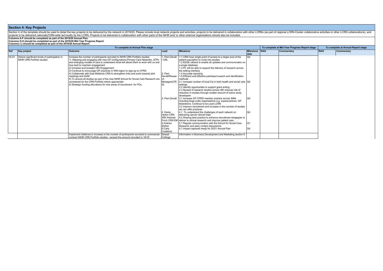| To complete at Annual Plan stage |                                                                                   |                                                                                                                                                                                                                                                                                                                                                                                                                                                                                                                                                                                                                                                                                                                                              |                                                                 |                                                                                                                                                                                                                                                                                                                                                                                                                                                                                                                                                                                                                                                                        |                            | To complete at Mid Year Progress Report stage |            | To complete at Annual Report stage |
|----------------------------------|-----------------------------------------------------------------------------------|----------------------------------------------------------------------------------------------------------------------------------------------------------------------------------------------------------------------------------------------------------------------------------------------------------------------------------------------------------------------------------------------------------------------------------------------------------------------------------------------------------------------------------------------------------------------------------------------------------------------------------------------------------------------------------------------------------------------------------------------|-----------------------------------------------------------------|------------------------------------------------------------------------------------------------------------------------------------------------------------------------------------------------------------------------------------------------------------------------------------------------------------------------------------------------------------------------------------------------------------------------------------------------------------------------------------------------------------------------------------------------------------------------------------------------------------------------------------------------------------------------|----------------------------|-----------------------------------------------|------------|------------------------------------|
| Ref                              | Key project                                                                       | <b>Outcome</b>                                                                                                                                                                                                                                                                                                                                                                                                                                                                                                                                                                                                                                                                                                                               | Lead                                                            | <b>Milestone</b>                                                                                                                                                                                                                                                                                                                                                                                                                                                                                                                                                                                                                                                       | Milestone RAG<br>date      | Commentary                                    | <b>RAG</b> | Commentary                         |
|                                  | HLO1 Deliver significant levels of participation in<br>NIHR CRN Portfolio studies | Increase the number of participants recruited to NIHR CRN Portfolio studies:<br>1) Mapping and engaging with new GP configurations, Primary Care Networks, STPs<br>and emerging models of care to understand what will attract them to work with us and<br>how best to maintain engagement<br>2) Increase and broaden HEI Engagement<br>3) Continue to encourage GP practices in WM region to sign-up to CPRD<br>4) Collaborate with East Midlands CRN to strengthen links and work towards joint<br>meetings and AGM<br>5) To ensure all studies as part of the new NIHR School for Social Care Research are<br>considered for the CRN Portfolio where appropriate<br>6) Strategic funding allocations for new areas of recruitment for POs | . Pam Devall<br>/ CRL<br>2. Pam<br>Devall/Resear<br>Managers/CR | 1.1 CRN have single point of access to a larger pool of the<br>patient population to invite into studies<br>1.2 EDGE utilised to enable all updates and communication on<br>a single database<br>1.3 PC will be able to support the delivery of research across<br>the setting interface<br>1.4 Accurate reporting<br>1.5 Efficient and effective participant search and identification<br>methods<br>2.1 Increase number of local CIs in both health and social care Q4<br>settings<br>2.2 Identify opportunties to support grant writing<br>2.3 Spread of research studies across HEI reduces risk of<br>reduction in studies through smaller amount of active study | Q4                         |                                               |            |                                    |
|                                  |                                                                                   |                                                                                                                                                                                                                                                                                                                                                                                                                                                                                                                                                                                                                                                                                                                                              | 4. Karen<br><b>Hylton CRN</b><br>WM /Hannah                     | developers<br>3. Pam Devall 3.1 Increase GP CPRD member practice across WMs<br>including large scale organisations e.g. superpractices, GP<br>federations. Continue to be Lead LCRN<br>3.2 Improve recruitment and increase in the number of studies<br>we can offer practices<br>4.1 To understand the challenges of each network on<br>delivering cancer clinical trials<br>4.2 Sharing best practice to enhance recruitment stragegies to                                                                                                                                                                                                                           | O <sub>4</sub><br>$\Omega$ |                                               |            |                                    |
|                                  |                                                                                   | Implement initiatives to increase in the number of participants recruited to commercial                                                                                                                                                                                                                                                                                                                                                                                                                                                                                                                                                                                                                                                      | 5 Andrea<br>Shilton<br>6 Carly<br>Craddock<br>Sinead            | Finch CRN EM deliver to clinical research and improve patient care.<br>5.1 Regular communication with the School for Social Care<br>Research and early contact discussions<br>6.1 Impact captured ready for 20/21 Annual Plan<br>Information in Business Development and Marketing section 9                                                                                                                                                                                                                                                                                                                                                                           | lQ1<br>$\Omega$            |                                               |            |                                    |
|                                  |                                                                                   | contract NIHR CRN Portfolio studies - exceed the amount recruited in 18/19                                                                                                                                                                                                                                                                                                                                                                                                                                                                                                                                                                                                                                                                   | Collinge                                                        |                                                                                                                                                                                                                                                                                                                                                                                                                                                                                                                                                                                                                                                                        |                            |                                               |            |                                    |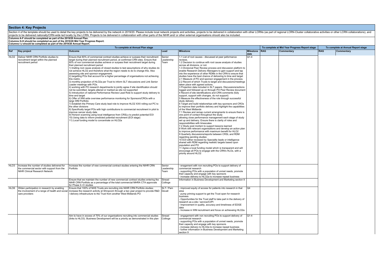Section 4 of the template should be used to detail the key projects to be delivered by the network in 2019/20. Please include local network projects and activities, projects to be delivered in collaboration with other LCRN projects to be delivered nationally/CRN-wide led locally by the LCRN. Projects to be delivered in collaboration with other parts of the NIHR and/ or other external organisations should also be included.

**Columns A-F should be completed as part of the 2019/20 Annual Plan.** 

**Columns G-H should be completed as part of the 2019/20 Mid Year Progress Report. Columns I-J should be completed as part of the 2019/20 Annual Report.**

**To complete at Annual Plan stage To complete at Mid Year Progress Report stage To complete at Annual Report stage Ref Key project Outcome Lead Milestone Milestone date RAG Commentary RAG Commentary** HLO2 Deliver NIHR CRN Portfolio studies to recruitment target within the planned recruitment period Ensure that 80% of commercial contract studies achieve or surpass their recruitment target during their planned recruitment period, at confirmed CRN sites. Ensure that 80% of non commercial studies achieve or surpass their recruitment target during their planned recruitment period 1) trialling root cause analysis of closed studies to test assumptions of why studies do not achieve HLO2 and therefore what the region needs to do to change this. Also assessing site and sponsor engagement. 2) targetting POs that account for a higher percentage of organisations not achieving this metric. 3) monthly projection of HLO2a per Trust to inform SLT discussions and Link Senior Leader meetings with POs. 4) working with PO research departments to jointly agree if site identification should not be submitted, targets altered or marked as site not supported 5) Introduction of national Performance Review Lead Role to support study delivery to time and target 6) Offer of WM wide overview performance monitoring for Sponsors/CROs with a large WM Portfolio 7) Establish the Primary Care study lead role to improve HLO2 XXX rolling out PC to the other divisions 8) Specifically target POs with high contributions to commercial recruitment in pilot to improve cancer study data 9) Horizon scanning using local intelligence from CRSLs to predict potential EOI 10) Using data to inform predicted potential recruitment (EOI stage) 11) Local funding model to concentrate on HLO2a **Senior** Leadership Team 1.1 List of root causes - discussed at peer peformance reviews. 1.2 Decision to continue with root cause analysis of studies across all divisions, or not. 1.3 Divisional Peer Review process and discussion platform to enable Research Delivery Managers to gain support and tap into the experience of other RDMs in the CRN to ensure that studies have the best chance of delivering to time and target  $2.1$  Measure of PO and sponsor engagement in the process. 2.2 Record of which Trusts to target and discussions/meetings taken place with agreed actions. 3 Projection data included in SLT papers. Discussions/actions logged and followed up on through PO Peer Review document 4 Record of site identifications and CRN comments (fully support, support with changes, do not support) 5 Measure the effectiveness of the role through successful study delivery 6 Target and build relationships with key sponsors and CROs to improve their portfolio delivery and highlight the capabilities of the West Midlands 7.1 Review and remap current arrangments to ensure there is one point of contact throughout the study allowing close performance management each stage of study set up and delivery. Ensure there is clarity of roles and responsibilities with timescales 7.2 Study post mortem to support lessons learned 8 Work with relevant organisations and develop an action plan to improve performance with maximum benefit for HLO2 9 Quarterly discussions/reports between CRSL and RDM regarding pending studies 10 EOI either reviewed by Speciality leads or intelligence shared with RDM regarding realistic targets based upon population and PO 11 Agree a local funding model which is transparent and will encourage all POs to engage with the CRN's HLOs, with a priority around HLO2  $\overline{O1-4}$ HLO3 Increase the number of studies delivered for<br>the commercial sector with support from the the commercial sector with support from the NIHR Clinical Research Network Increase the number of new commercial contract studies entering the NIHR CRN Portfolio Senior eadership Team - enagement with non recruiting POs to support delivery of commercial research - supporting POs with a population of unmet needs, promote their capacity and engage with key sponsors - increase delivery to HLO2a to increase repeat business Ensure that we maintain the number of new commercial contract studies entering the NIHR CRN Portfolio as a percentage of the total commercial MHRA CTA approvals for Phase II–IV studies Sinead<br>Collinge Information in Business Development and Marketing section 9 HLO6 Widen participation in research by enabling the involvement of a range of health and social care providers Ensure that 100% of NHS Trusts are recruiting into NIHR CRN Portfolio studies; increase the research activity at Shropcom through a two year project to provide R&D / delivery infrastructure to the Trust from another West Midlands PO SLT / Pam - improved equity of access for patients into research in that area - pump priming support to get the Trust open for research business - Opportunities for the Trust staff to take part in the delivery of research as a site / service/CI/PI - Improvement in quality, accuracy and timeliness of EDGE data - Increase in WM recruitment and focus on achieveing HLO2a Q4 Aim to have in excess of 70% of our organisations recruiting into commercial studies (links to HLO3). Business Development will be a priority as demonstrated in this plan Sinead<br>Collinge - engagement with non recruiting POs to support delivery of commercial research - supporting POs with a population of unmet needs, promote their capacity and engage with key sponsors - increase delivery to HLO2a to increase repeat business - further information in Business Development and Marketing section 9  $Q1-4$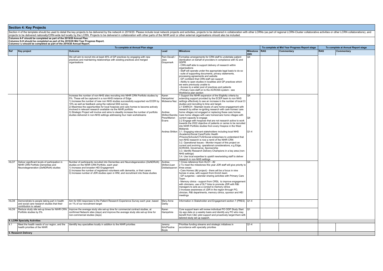Section 4 of the template should be used to detail the key projects to be delivered by the network in 2019/20. Please include local network projects and activities, projects obe delivered in collaboration with other parts **To complete at Annual Plan stage To complete at Mid Year Progress Report stage To complete at Annual Report stage**

|            |                                                                                                                           | To complete at Annual Plan stage                                                                                                                                                                                                                                                                                                                                                                                                                                                                                                                                                                                          |                                                                      |                                                                                                                                                                                                                                                                                                                                                                                                                                                                                                                                                                                                                                                                                                                                                                                                                                                                                                                                                                                                                                                                                                                                                                                                                                                                                                                                                       |                                                 |     | To complete at Mid Year Progress Report stage |            | To complete at Annual Report stage |
|------------|---------------------------------------------------------------------------------------------------------------------------|---------------------------------------------------------------------------------------------------------------------------------------------------------------------------------------------------------------------------------------------------------------------------------------------------------------------------------------------------------------------------------------------------------------------------------------------------------------------------------------------------------------------------------------------------------------------------------------------------------------------------|----------------------------------------------------------------------|-------------------------------------------------------------------------------------------------------------------------------------------------------------------------------------------------------------------------------------------------------------------------------------------------------------------------------------------------------------------------------------------------------------------------------------------------------------------------------------------------------------------------------------------------------------------------------------------------------------------------------------------------------------------------------------------------------------------------------------------------------------------------------------------------------------------------------------------------------------------------------------------------------------------------------------------------------------------------------------------------------------------------------------------------------------------------------------------------------------------------------------------------------------------------------------------------------------------------------------------------------------------------------------------------------------------------------------------------------|-------------------------------------------------|-----|-----------------------------------------------|------------|------------------------------------|
| <b>Ref</b> | <b>Key project</b>                                                                                                        | <b>Outcome</b>                                                                                                                                                                                                                                                                                                                                                                                                                                                                                                                                                                                                            | Lead                                                                 | <b>Milestone</b>                                                                                                                                                                                                                                                                                                                                                                                                                                                                                                                                                                                                                                                                                                                                                                                                                                                                                                                                                                                                                                                                                                                                                                                                                                                                                                                                      | <b>Milestone</b><br>date                        | RAG | Commentary                                    | <b>RAG</b> | Commentary                         |
|            |                                                                                                                           | We will aim to recruit into at least 45% of GP practices by engaging with new<br>practices and maintaining relationships with existing practices and merged<br>organisations                                                                                                                                                                                                                                                                                                                                                                                                                                              | Pam Devall<br>Jess<br>Graysmark                                      | Formalise arrangements for CRN staff to undertake patient<br>identication on behalf of providers in compliance with IG and<br><b>GDPR</b><br>CRN staff able to support delivery of research within<br>organisations<br>Staff will operate under the appropriate legal basis to do so<br>- suite of supporting documents, privacy statements,<br>processing agreements and website<br>- GP confident that CRN staff can support<br>- Ability to open studies in localities and GP practices which<br>we were previously unable to<br>- Access to a wider pool of practices and patients<br>Primary Care staff on to the ACROSS system - see<br>Workforce plan section                                                                                                                                                                                                                                                                                                                                                                                                                                                                                                                                                                                                                                                                                  | $\Omega$                                        |     |                                               |            |                                    |
|            |                                                                                                                           | Increase the number of non-NHS sites recruiting into NIHR CRN Portfolio studies by<br>5%. These will be captured in a non-NHS instance of Edge<br>1) Increase the number of new non NHS studies successfully supported via ECER by<br>10% as well as feedback using the national SSS survey.<br>2) Maximise the opportunities for local hospices and care homes to become actively<br>involved in relevant research available via the NIHR portfolio<br>3) Strategic Project will involve and aims to steadily increase the number of portfolio<br>studies delivered in non-NHS settings addressing four main workstreams | Karen<br>Hampshire/<br>Mobeena Naz<br>Andrea<br>Prew/Marion<br>Evans | 1 Support the NIHR expansion of the Eligibilty criteria by<br>extending support provided by the ECER team to non NHS<br>settings effectively to see an increase in the number of local CI<br>studies and recruiting to time and target.<br>2.1 ENRICH - Maintain levels of care home engagement with<br>research by either re-igniting research with care homes/ care<br>home villages not engaged or replacing these care homes<br>Shilton/Sandra /care home villages with care homes/care home villages with<br>current capacity to engage<br>2.2 Engage with hospices that are not research active to work<br>towards the 2022 objective of patients or carres to be recruited<br>into NIHR Portfolio studies from every Hospice in the West<br>Midlands<br>Andrea Shilton 3.1. Engaging relevant stakeholders including local NHS<br>/Academic/Social Care/Public Health<br>/Prisons/Schools/CTUS/Social enterprises to understand that<br>non-NHS research is now a remit of the NIHR CRN<br>3.2. Operational Issues - Monitor impact of this project on<br>current and evolving operational considerations, e.g Edge,<br>ACROSS, Governance, Sponsorship<br>3.3. Identify Research Delivery Champions in a key area (non-<br>NHS settings)<br>3.4. Use local expertise to upskill new/existing staff to deliver<br>research in non-NHS settings | $\overline{04}$<br>$\Omega$<br>O <sub>1-4</sub> |     |                                               |            |                                    |
| HLO7       | Deliver significant levels of participation in<br>NIHR CRN Portfolio Dementias and<br>Neurodegeneration (DeNDRoN) studies | Number of participants recruited into Dementias and Neurodegeneration (DeNDRoN)<br>studies on the NIHR CRN Portfolio, each year:<br>1) Increase and broaden HEI Engagement<br>2) Increase the number of registered volunteers with dementia, or their carers<br>3) Increase number of JDR studies open in WM, and recruitment into these studies                                                                                                                                                                                                                                                                          | Andrea<br>Shilton/Juan<br>Dobladopavon three areas:                  | 1 Cross reference from HLO1 - #2<br>2 To meet the milestones this year JDR staff will give priority to<br>Care Homes (I&I project) - there will be a focus in nine<br>homes in area, with support from Enrich team<br>- GP surgeries - calendar sharing activities with Primary Care<br>Team<br>Memory clinics - support from CRSL to improve engagement<br>with clinicians, use of SLT links to promote JDR with R&I<br>managers to acts as a conduit to memory clinics<br>3 Increase awareness of JDR in the region through PO,<br>clinician, R&I departments, memory clinics, sponsor and HEI<br>meetings                                                                                                                                                                                                                                                                                                                                                                                                                                                                                                                                                                                                                                                                                                                                          | $\overline{04}$                                 |     |                                               |            |                                    |
| HLO8       | Demonstrate to people taking part in health<br>and social care research studies that their<br>contribution is valued      | Aim for 650 responses to the Patient Research Experience Survey each year, based<br>on 1% of our recruitment target                                                                                                                                                                                                                                                                                                                                                                                                                                                                                                       | Mary-Anne<br>Darby                                                   | Information in Stakeholder and Engagement section 7 (PRES) Q1-4                                                                                                                                                                                                                                                                                                                                                                                                                                                                                                                                                                                                                                                                                                                                                                                                                                                                                                                                                                                                                                                                                                                                                                                                                                                                                       |                                                 |     |                                               |            |                                    |
| HLO9       | Reduce study site set-up times for NIHR CRN<br>Portfolio studies by 5%                                                    | Improve the average study site set-up time for commercial contract studies, at<br>confirmed Network sites (days) and improve the average study site set-up time for<br>non-commercial studies (davs)                                                                                                                                                                                                                                                                                                                                                                                                                      | Karen<br>Hampshire                                                   | Core support team will review individual PO ODP Study Start Q1<br>Up app data on a weekly basis and identify any PO who may<br>benefit from C&C pilot support and proactively target them with<br>tailored study set up support.                                                                                                                                                                                                                                                                                                                                                                                                                                                                                                                                                                                                                                                                                                                                                                                                                                                                                                                                                                                                                                                                                                                      |                                                 |     |                                               |            |                                    |
|            | 4. LCRN Specialty Activities                                                                                              |                                                                                                                                                                                                                                                                                                                                                                                                                                                                                                                                                                                                                           |                                                                      |                                                                                                                                                                                                                                                                                                                                                                                                                                                                                                                                                                                                                                                                                                                                                                                                                                                                                                                                                                                                                                                                                                                                                                                                                                                                                                                                                       |                                                 |     |                                               |            |                                    |
| 4.1        | Meet the health needs of our region, and the<br>health priorities of the NIHR                                             | Idenitify key specialties locally in addition to the NIHR priorities                                                                                                                                                                                                                                                                                                                                                                                                                                                                                                                                                      | Jeremy<br>Kirk/Pauline<br>Boyle                                      | Prioritise funding streams and strategic initiatives in<br>accordance with specialty priorities                                                                                                                                                                                                                                                                                                                                                                                                                                                                                                                                                                                                                                                                                                                                                                                                                                                                                                                                                                                                                                                                                                                                                                                                                                                       | $Q1-4$                                          |     |                                               |            |                                    |
|            | 5. Research Delivery                                                                                                      |                                                                                                                                                                                                                                                                                                                                                                                                                                                                                                                                                                                                                           |                                                                      |                                                                                                                                                                                                                                                                                                                                                                                                                                                                                                                                                                                                                                                                                                                                                                                                                                                                                                                                                                                                                                                                                                                                                                                                                                                                                                                                                       |                                                 |     |                                               |            |                                    |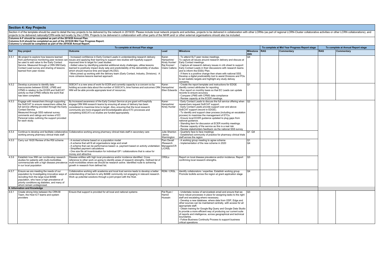| To complete at Mid Year Progress Report stage<br>To complete at Annual Plan stage |                                                                                                                                                                                                                                                                                                                         |                                                                                                                                                                                                                                                                                                                                                                                                                                                                                                                                                                                            |                                                                        | To complete at Annual Report stage                                                                                                                                                                                                                                                                                                                                                                                                                                                                                                                                                                                           |                       |  |            |            |            |  |  |
|-----------------------------------------------------------------------------------|-------------------------------------------------------------------------------------------------------------------------------------------------------------------------------------------------------------------------------------------------------------------------------------------------------------------------|--------------------------------------------------------------------------------------------------------------------------------------------------------------------------------------------------------------------------------------------------------------------------------------------------------------------------------------------------------------------------------------------------------------------------------------------------------------------------------------------------------------------------------------------------------------------------------------------|------------------------------------------------------------------------|------------------------------------------------------------------------------------------------------------------------------------------------------------------------------------------------------------------------------------------------------------------------------------------------------------------------------------------------------------------------------------------------------------------------------------------------------------------------------------------------------------------------------------------------------------------------------------------------------------------------------|-----------------------|--|------------|------------|------------|--|--|
| Ref                                                                               | <b>Key project</b>                                                                                                                                                                                                                                                                                                      | <b>Outcome</b>                                                                                                                                                                                                                                                                                                                                                                                                                                                                                                                                                                             | Lead                                                                   | <b>Milestone</b>                                                                                                                                                                                                                                                                                                                                                                                                                                                                                                                                                                                                             | Milestone RAG<br>date |  | Commentary | <b>RAG</b> | Commentary |  |  |
| 4.5.1                                                                             | 1&I project to explore how lessons learned<br>from performance monitoring peer reviews car<br>be used to add value to the Early Contact<br>Service. Measured through a CRN WM Early<br>Contact Lead survey and sharing of lessons<br>learned from peer review.                                                          | Increased confidence in Early Contact Leads in understanding research delivery<br>issues and applying their learning to support new studies will hopefully support<br>improved time to target for Lead studies.<br>- Added value by identifying potential additional study challenges, utilise lessons<br>learned to positively impact study setp and predicitability of the deliverbility of studies<br>which should improve time and target (HLO02).<br>More joined up working with the delivery team (Early Contact, Industry, Divisions). A<br>more cohesive lessons learned approach. | Karen<br>Hampshire/<br>Kirsty Hunter/<br>Raj Kooner/<br>Claire Callens | - To attend SLT peer review meetings.<br>To capture all issues around research delivery and discuss at<br>Early Contact meetings.<br>- Capture all research delivery issues in crib sheet to support<br>Early Contact Leads in their discussions with research teams<br>and to inform the ESSU Plan.<br>- If there is a positive change then share with national SSS.<br>Develop a digital prediciability tool to assist Divisions and POs<br>to set realistic targets and highlight any study delivey<br>concerns.                                                                                                          | O <sub>4</sub>        |  |            |            |            |  |  |
| 4.5.2                                                                             | Develop a process to identify data<br>inaccuracies between EDGE, LPMS and<br>CPMS in relation to the ECER and SoECAT<br>activity so that CPMS reflects the work that<br>has been completed.                                                                                                                             | SOECAT is a new area of work for ECER and currently capacity is a concern so by<br>holding accurate data about the number of SOECATs, time frames and outcomes CRN   Hampshire/<br>WM will be able provide appropiate level of resources.                                                                                                                                                                                                                                                                                                                                                  | Karen<br>Ellen Edwards                                                 | Create the report template and instructions for EDGE<br>identify correct attributes for reporting<br>- Run report on monthly basis so that EC Leads can update<br>records to ensure accuracy<br>Compare LPMS with CPMS data compliance<br>Review capacity at the ECER meetings.                                                                                                                                                                                                                                                                                                                                              | lo1                   |  |            |            |            |  |  |
| 4.5.3                                                                             | Engage with researchers through supporting<br>the SoECAT to ensure researchers utilise the<br>full service offering provided through the Early<br>Contact Service.<br>Measured through SSS national survey<br>comments and ratings and review of EC<br>Personal notes outlining the support provided<br>for each study. | By Increased awareness of the Early Contact Service at pre grant will hoepfully<br>engage CRN WM research teams by ensuring all areas of delivery has been<br>considered to maximise time to target. Also, ensuring that the local research<br>community are more engaged and knowledgeable about ETC processes and<br>completing SOECATs so studies are funded appropiately.                                                                                                                                                                                                              | Karen<br>Hampshire/<br>Kirsty Hunter                                   | Early Contact Leads to discuss the full service offering when 1Q2<br>researchers request SoECAT support.<br>- Early Contact Leads provide support over and above<br>SoECAT support (record in EDGE).<br>- To identify and support clear process (including an escalation<br>process) to maximise the management of ETCs.<br>Ensure local ECER guidance updated to plug gaps from<br>national quidance.<br>Standing item for discussion at ECER monthly meetings.<br>Review capacity of the service as this is a real risk<br>Review stakeholders feedback via the national SSS survey                                        |                       |  |            |            |            |  |  |
| 4.5.4                                                                             | working among pharmacy clinical trials staff                                                                                                                                                                                                                                                                            | Continue to develop and facilitate collaborative Collaborative working among pharmacy clinical trials staff in secondary care                                                                                                                                                                                                                                                                                                                                                                                                                                                              | Julie Shenton<br>/Jenny<br>Warmington                                  | Quarterly face to face meetings<br>Established community of practice for pharmacy clinical trials<br>staff across the region                                                                                                                                                                                                                                                                                                                                                                                                                                                                                                 | $Q1 - Q4$             |  |            |            |            |  |  |
| 4.5.5                                                                             | Carry out 19/20 Review of the RSI scheme                                                                                                                                                                                                                                                                                | A revised scheme based on a population model<br>A scheme that will fit all organisations large and small<br>A scheme that can be performance based i.e. payment based on activity undertaken<br>Simplified payment calculations<br>One size fits all Incentivisation for individual GP / collaborations that is value for<br>money and attractive                                                                                                                                                                                                                                          | Pam Devall<br>/Research<br>Managers/CR<br><b>L/CRSL</b>                | - A working group meeting to agree scheme<br>Implementation of the new scheme in 2020                                                                                                                                                                                                                                                                                                                                                                                                                                                                                                                                        | lQ1<br>lo4            |  |            |            |            |  |  |
| 4.5.6                                                                             | Establish how WM can run/develop research<br>studies for patients with multi-morbidities<br>commensurate with a high disease prevalence<br>in our local population                                                                                                                                                      | Disease entities with high local prevalence and/or incidence identified. Cross<br>reference to other work on-going to identify areas of research strengths. Defined list of<br>multi-morbidities where we should be research active. Identified route to achieving<br>growth in research from defined list.                                                                                                                                                                                                                                                                                | <b>CRSLs</b>                                                           | Report on local disease prevalence and/or incidence. Report<br>confirming local research strengths.                                                                                                                                                                                                                                                                                                                                                                                                                                                                                                                          | lo <sub>3</sub>       |  |            |            |            |  |  |
| 4.5.7                                                                             | Ensure we are meeting the needs of our<br>population by Investigating innovative ways of<br>recruiting from the large local BAME<br>population, who have a high prevalence of<br>priority conditions eg diabetes, and many of<br>whom remain undiagnosed.                                                               | Collaborative working with academia and local trust service leads to develop a better<br>understanding of barriers to why BAME community not engaging in relevant research<br>Work up potential solutions through a joint project with the Host.                                                                                                                                                                                                                                                                                                                                           | RDM / CRSL                                                             | Identify collaborators / expertise. Establish working group<br>Promote toolkits across the region at grant application stage                                                                                                                                                                                                                                                                                                                                                                                                                                                                                                 | $\overline{04}$       |  |            |            |            |  |  |
|                                                                                   | 6. Information and Knowledge                                                                                                                                                                                                                                                                                            |                                                                                                                                                                                                                                                                                                                                                                                                                                                                                                                                                                                            |                                                                        |                                                                                                                                                                                                                                                                                                                                                                                                                                                                                                                                                                                                                              |                       |  |            |            |            |  |  |
| 4.6.1                                                                             | Create strong links between the CRN BI<br>Team, the Host ICT teams and system<br>providers                                                                                                                                                                                                                              | Ensure that support is provided for all local and national systems                                                                                                                                                                                                                                                                                                                                                                                                                                                                                                                         | Pat Ryan /<br>Hamid<br>Hussain                                         | Undertake review of servicedesk email and ensure that we<br>have robust processes in place for assigning tasks to the right<br>staff and escalating where necessary.<br>Develop a new database, where data from ODP, Edge and<br>other sources can be maintained centrally, with access for all<br>appropriate staff.<br>- Obtain training for Google Big Query and Google Data Studio<br>to provide a more efficient way of producing our current suite<br>of reports and intelligence, across geographical and technical<br>boundaries.<br>- Follow Business Continuity Process to support business<br>critical operations | lo3                   |  |            |            |            |  |  |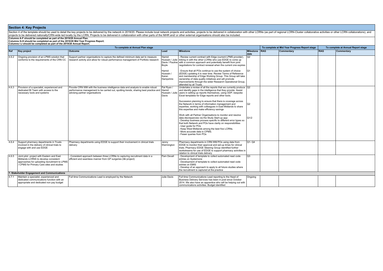|       |                                                                                                                                                                                | Section 4 of the template should be used to detail the key projects to be delivered by the network in 2019/20. Please include local network projects and activities, projects to be delivered in collaboration with other LCRN |                                        |                                                                                                                                                                                                                                                                                                                                                                             |                          |            |                                               |            |                                    |
|-------|--------------------------------------------------------------------------------------------------------------------------------------------------------------------------------|--------------------------------------------------------------------------------------------------------------------------------------------------------------------------------------------------------------------------------|----------------------------------------|-----------------------------------------------------------------------------------------------------------------------------------------------------------------------------------------------------------------------------------------------------------------------------------------------------------------------------------------------------------------------------|--------------------------|------------|-----------------------------------------------|------------|------------------------------------|
|       | Columns A-F should be completed as part of the 2019/20 Annual Plan.                                                                                                            | projects to be delivered nationally/CRN-wide led locally by the LCRN. Projects to be delivered in collaboration with other parts of the NIHR and/ or other external organisations should also be included.                     |                                        |                                                                                                                                                                                                                                                                                                                                                                             |                          |            |                                               |            |                                    |
|       | Columns G-H should be completed as part of the 2019/20 Mid Year Progress Report.<br>Columns I-J should be completed as part of the 2019/20 Annual Report.                      |                                                                                                                                                                                                                                |                                        |                                                                                                                                                                                                                                                                                                                                                                             |                          |            |                                               |            |                                    |
|       |                                                                                                                                                                                | To complete at Annual Plan stage                                                                                                                                                                                               |                                        |                                                                                                                                                                                                                                                                                                                                                                             |                          |            | To complete at Mid Year Progress Report stage |            | To complete at Annual Report stage |
| Ref   | <b>Key project</b>                                                                                                                                                             | Outcome                                                                                                                                                                                                                        | Lead                                   | <b>Milestone</b>                                                                                                                                                                                                                                                                                                                                                            | <b>Milestone</b><br>date | <b>RAG</b> | Commentary                                    | <b>RAG</b> | Commentary                         |
| 4.6.2 | Ongoing provision of an LPMS solution that<br>conforms to the requirements of the CRN CC                                                                                       | Support partner organisations to capture the defined minimum data set to measure<br>research activity and allow for robust performance management of Portfolio research                                                        | Hamid<br>Boyle                         | Review current contract with Edge (current LPMS provider),<br>Hussain / Julie   linking in with the other LCRNs who use EDGE to come up<br>Davis / Pauline with a common approach and potentially benefit from joint<br>negotiations for contract renewal when the current one expires                                                                                      | 102                      |            |                                               |            |                                    |
|       |                                                                                                                                                                                |                                                                                                                                                                                                                                | Hamid<br>Hussain<br>Karen<br>Hampshire | Ensure that all POs continue to use the system of choice<br>(EDGE) updating it in near time. Review Terms of Reference<br>and membership of Edge Working Group. This Group will take<br>ownership of data quality initiatives and will promote<br>improvements through the wider Research Operational Group,<br>attended by all Trusts.                                     | lo1.                     |            |                                               |            |                                    |
| 4.6.3 | Provision of a specialist, experienced and<br>dedicated BI Team with access to the<br>necessary tools and systems                                                              | Provide CRN WM with the business intelligence data and analysis to enable robust<br>performance management to be carried out, spotting trends, sharing best practice and<br>advising partner organisations                     | Pat Ryan<br>Hamid<br>Davis             | Undertake a review of all the reports that we currently produce Q2<br>and identify gaps in the intelligence that they provide. Assist<br>Hussain / Julie users in setting up reports themselves, using ODP, bespoke<br>Excel templates for Edge reports and other tools.                                                                                                    |                          |            |                                               |            |                                    |
|       |                                                                                                                                                                                |                                                                                                                                                                                                                                |                                        | Succession planning to ensure that there is coverage across<br>the Network in terms of information management and<br>expertise, working with colleagues in East Midlands to share<br>this expertise and make efficiency savings                                                                                                                                             | 102                      |            |                                               |            |                                    |
|       |                                                                                                                                                                                |                                                                                                                                                                                                                                |                                        | Work with all Partner Organisations to monitor and resolve<br>data discrepancies via the Study Start-up app:<br>Develop business process specific to different error types so<br>that both Network and POs have clarity on responsibilities<br>User quide for POs<br>Keep West Midlands among the best five LCRNs.<br>More accurate data in CPMS.<br>Fewer queries from POs | 01/2                     |            |                                               |            |                                    |
| 4.6.4 | Support pharmacy departments in Trusts<br>involved in the delivery of clinical trials to<br>engage with and use EDGE                                                           | Pharmacy departments using EDGE to support their involvement in clinical trials<br>delivery                                                                                                                                    | Jenny<br>Warmington                    | Pharmacy departments in CRN WM POs using data from<br>EDGE to monitor their approval and set-up times for clinical<br>trials; Pharmacy EDGE Steering Group identified further<br>workstreams for use of EDGE to support pharmacy activities in<br>relation to clinical trials delivery                                                                                      | <b>Q1-Q4</b>             |            |                                               |            |                                    |
| 4.6.5 | Joint pilot project with Eastern and East<br>Midlands LCRNS to develop consistent<br>approaches for uploading recruitment to LPMS<br>/ CPMS for Primary Care sites and studies | - Consistent approach between three LCRNs to capturing recruitment data in a<br>efficient and seamless manner from GP surgeries (I&I project)                                                                                  | Pam Devall                             | - Development of template to collect automated read code<br>entries on Systemone<br>- Development of template to collect automated read code<br>entries on EMIS<br>Develop of an approach to apply to all future studies where<br>the recruitment is captured at the practice                                                                                               | lQ3                      |            |                                               |            |                                    |
|       | 7. Stakeholder Engagement and Communications                                                                                                                                   |                                                                                                                                                                                                                                |                                        |                                                                                                                                                                                                                                                                                                                                                                             |                          |            |                                               |            |                                    |
| 4.7.1 | Maintain a specialist, experienced and<br>dedicated communications function with an<br>appropriate and dedicated non pay budget                                                | Full time Communications Lead is employed by the Network                                                                                                                                                                       | Julie Davis                            | Full time Communications Lead reporting to the Head of<br>Business Delivery Services has been in post since October<br>2014. We also have an apprentice who will be helping out with<br>communications activities. Budget identified                                                                                                                                        | Ongoing                  |            |                                               |            |                                    |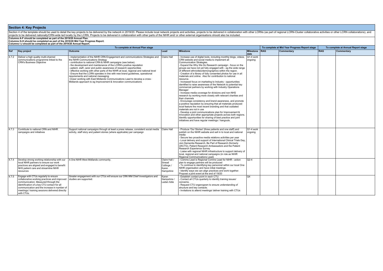| To complete at Annual Plan stage |                                                                                                                                                                                                                                                                                          |                                                                                                                                                                                                                                                                                                                                                                                                                                                                                                                                                                                                                                                                                                       |                                                                            |                                                                                                                                                                                                                                                                                                                                                                                                                                                                                                                                                                                                                                                                                                                                                                                                                                                                                                                                                                                                                                                                                                                                                                                                                                                                                                |                                | To complete at Mid Year Progress Report stage | To complete at Annual Report stage |            |            |
|----------------------------------|------------------------------------------------------------------------------------------------------------------------------------------------------------------------------------------------------------------------------------------------------------------------------------------|-------------------------------------------------------------------------------------------------------------------------------------------------------------------------------------------------------------------------------------------------------------------------------------------------------------------------------------------------------------------------------------------------------------------------------------------------------------------------------------------------------------------------------------------------------------------------------------------------------------------------------------------------------------------------------------------------------|----------------------------------------------------------------------------|------------------------------------------------------------------------------------------------------------------------------------------------------------------------------------------------------------------------------------------------------------------------------------------------------------------------------------------------------------------------------------------------------------------------------------------------------------------------------------------------------------------------------------------------------------------------------------------------------------------------------------------------------------------------------------------------------------------------------------------------------------------------------------------------------------------------------------------------------------------------------------------------------------------------------------------------------------------------------------------------------------------------------------------------------------------------------------------------------------------------------------------------------------------------------------------------------------------------------------------------------------------------------------------------|--------------------------------|-----------------------------------------------|------------------------------------|------------|------------|
| Ref                              | <b>Key project</b>                                                                                                                                                                                                                                                                       | Outcome                                                                                                                                                                                                                                                                                                                                                                                                                                                                                                                                                                                                                                                                                               | Lead                                                                       | <b>Milestone</b>                                                                                                                                                                                                                                                                                                                                                                                                                                                                                                                                                                                                                                                                                                                                                                                                                                                                                                                                                                                                                                                                                                                                                                                                                                                                               | <b>Milestone</b><br>date       | <b>RAG</b>                                    | Commentary                         | <b>RAG</b> | Commentary |
|                                  | 4.7.2 Deliver a high quality multi-channel<br>communications programme linked to the<br><b>CRN's Business Objective</b>                                                                                                                                                                  | implementation of the NIHR CRN Engagement and communications Strategies and Claire Hall<br>the NIHR Communications Strategy<br>contribution to national CRN & NIHR campaigns (see below).<br>the development and maintenance of the LCRN's positive reputation<br>patient, staff, carer and public awareness of research opportunities<br>effective working with other parts of the NIHR at local, regional and national level<br>Ensure that the LCRN operates in line with new brand quidelines, operational<br>requirements and national messaging<br>Closer working with East Midlands Communications Lead to develop a cross-<br>Midlands approach to eg Improvement & Innovation communications |                                                                            | Increase use of digital tools, including monthly blogs, videos,<br>CRN website and social media to implement all<br>Communication Strategies.<br>Expand the Why We Do Research campaign - focus on the<br>groups we have not yet fully engaged with - eg the wide range<br>of different ethnicities/demongraphics within the region.<br>Creation of a library of fully consented photos for use in all<br>materials and online. Also for contribution to national<br>resource.<br>Increased focus on marketing to Industry - opportunities<br>identified to raise awareness of the Network to potential key<br>commercial partners by working with Industry Operations<br>Manager<br>Increase media coverage for divisions and non-NHS<br>research by working more closely with relevant charities and<br>their channels<br>Encourage consistency and brand awareness, and promote<br>a positive reputation by ensuring that all materials produced<br>local feature the most recent branding and that outdated<br>materials are not in use<br>- Develop a joint communications plan for Improvement &<br>Innovation and other appropriate projects across both regions.<br>Identify opportunities for sharing of best practice and joint<br>initiatives and have regular meetings / hangouts. | $ Q1-4$ work<br>ongoing        |                                               |                                    |            |            |
| 4.7.3<br>4.7.4                   | Contribute to national CRN and NIHR<br>campaigns and initiatives<br>Develop strong working relationship with our<br>local NIHR partners to ensure our work<br>practices are aligned and engaged to benefit<br>NHS patient care and streamline NIHR<br>resources                          | Support national campaigns through at least a press release, consistent social media<br>activity, staff story and patient stories (where applicable) per campaign<br>A One NIHR West Midlands community.                                                                                                                                                                                                                                                                                                                                                                                                                                                                                              | Claire Hall<br>Claire Hall /<br>Sinead<br>Collinge /<br>Karen<br>Hampshire | Produce 'Our Stories' (three patients and one staff) and<br>publish on the NIHR website and sell in to local and national<br>media<br>Secure two proactive media relations activities per year<br>- Local delivery and support of International Clinical Trials Day,<br>Join Dementia Research, Be Part of Research (formerly<br>UKCTG), Patient Research Ambassadors and the Patient<br>Research Experience Survey<br>- Liaise with regional NIHR infrastructure to support delivery of<br>local, regional and national campaigns (in role as NIHR<br>Regional Communications Lead)<br>- Comms Lead is Regional Comms Lead for NIHR - action<br>plan to engage partners will be produced<br>- To continue to identifying key personnel within our local One<br>NIHR organisation and have initial meetings.<br>Identify ways we can align practices and work together.<br>Propose a joint event at the end of 19/20                                                                                                                                                                                                                                                                                                                                                                           | Q1-4 work<br>ongoing<br>$Q2-4$ |                                               |                                    |            |            |
| 4.7.5                            | Engage with CTUs regularly to ensure<br>collaborative working practices and improved<br>communication. Measured through the<br>identification of a key CTU contact for all<br>communication and the increase in number of<br>meetings/training sessions delivered directly<br>with CTUs. | Greater engagement with our CTUs will ensure our CRN WM Chief Investigators and<br>studies are supported.                                                                                                                                                                                                                                                                                                                                                                                                                                                                                                                                                                                             | Karen<br>Hampshire<br>Ladan Adie                                           | Establish contact point in each CTU.<br>Contact all CTUs quarterly to identify training issues/<br>concerns.<br>Request CTU organogram to ensure understanding of<br>structure and key contacts.<br>- Invitations to attend meetings/ deliver training with CTUs                                                                                                                                                                                                                                                                                                                                                                                                                                                                                                                                                                                                                                                                                                                                                                                                                                                                                                                                                                                                                               | O <sub>4</sub>                 |                                               |                                    |            |            |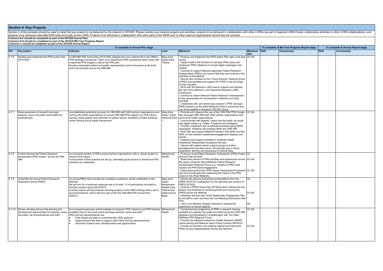|       |                                                                                                                                                  | To complete at Annual Plan stage                                                                                                                                                                                                                                                                                                                                                                                   |                                                                                          |                                                                                                                                                                                                                                                                                                                                                                                                                                                                                                                                                                                                                                                                                                                                                                                                                                                                                                                                                                                    |                       | To complete at Mid Year Progress Report stage |            |            | To complete at Annual Report stage |
|-------|--------------------------------------------------------------------------------------------------------------------------------------------------|--------------------------------------------------------------------------------------------------------------------------------------------------------------------------------------------------------------------------------------------------------------------------------------------------------------------------------------------------------------------------------------------------------------------|------------------------------------------------------------------------------------------|------------------------------------------------------------------------------------------------------------------------------------------------------------------------------------------------------------------------------------------------------------------------------------------------------------------------------------------------------------------------------------------------------------------------------------------------------------------------------------------------------------------------------------------------------------------------------------------------------------------------------------------------------------------------------------------------------------------------------------------------------------------------------------------------------------------------------------------------------------------------------------------------------------------------------------------------------------------------------------|-----------------------|-----------------------------------------------|------------|------------|------------------------------------|
| Ref   | <b>Key project</b>                                                                                                                               | <b>Outcome</b>                                                                                                                                                                                                                                                                                                                                                                                                     | Lead                                                                                     | <b>Milestone</b>                                                                                                                                                                                                                                                                                                                                                                                                                                                                                                                                                                                                                                                                                                                                                                                                                                                                                                                                                                   | Milestone RAG<br>date |                                               | Commentary | <b>RAG</b> | Commentary                         |
| 4.7.6 | Develop and implement the PPIE Action Plan<br>2019-2020.                                                                                         | A CRN WM PPIE Action Plan 2019-2020, aligned and cross referenced to the CRNCC<br>PPIE Strategy is produced. There is an experienced PPIE operational lead in post with<br>a specified PPIE budget to deliver the PPIE plan.<br>Develop meaningful patient and public representation and involvement at all levels<br>and in all activities across the CRN WM.                                                     | Mary-Anne<br>Darby/Carly<br>Tibbins                                                      | Produce and implement the PPIE Action Plan with a mid year Q1-Q4<br>review.<br>Support staff in the Divisions to develop PPIE plans and<br>implement PPIE initiatives to include digital campaigns and<br>posters.<br>Continue to support Network appointed Patient Research<br>Ambassadors (PRAs) and ensure that they are involved in the<br>activities of the Network<br>Recruit new members to the Young Persons' Steering Group<br>(YPSG) and facilitate and support the YPSG in the full range<br>of their activities.<br>Work with the Network's JDR Lead to support and develop<br>the role of the Network's Join Dementia Research (JDR)<br>Champions.<br>- Continue to inform Network Patient Research Ambassadors<br>of the opportunities for involvement in Network and other<br>activities<br>Collaborate with, and share best practice in PPIE amongst<br>NIHR partners via the West Midlands Public Involvement and<br>Lay Accountability in Research (PILAR) Group |                       |                                               |            |            |                                    |
| 4.7.7 | Raise awareness of research amongst<br>patients, carers, the public and healthcare<br>professionals.                                             | An established systematic process for CRN WM staff. NHS partner organisations and Mary-Anne<br>community health organisations to access CRN WM PPIE support e.g. PPIE advice,<br>training, study support and collection of patient stories. Establish a visible presence<br>online utilising social media frameworks.                                                                                              | Darby / Karen                                                                            | - Promote and measure the use of the CRN WM PPIE Google 1Q1-Q4<br>Site amongst CRN WM staff. NHS partner organisations and<br>Hylton/Divison   community health organisations.<br>Communicate with patients, carers and the public via social<br>and digital media e.g. Twitter, Facebook and Instagram<br>- Promote, implement and coordinate annual/on-going NIHR<br>campaigns, initiatives and projects within the CRN WM<br>Work with and support Network Partners, both NHS and Non<br>NHS, to host research awareness/engagement displays and<br>events<br>Organise and support activities to celebrate Health<br>Awareness Weeks/Days throughout the year.<br>Interact with patient cancer support groups to further<br>strengthen the role that cancer clinical trials play in future<br>treatments, delivery and awareness of clinical trials.                                                                                                                            |                       |                                               |            |            |                                    |
| 4.7.8 | Further develop the Patient Research<br>Ambassador (PRA) project across the CRN<br>WМ                                                            | An increased number of PRAs across partner organisations with a robust system to<br>measure the impact.<br>Communities of best practice are set up, cultivated, good practice is shared and PRA<br>activities are celebrated.                                                                                                                                                                                      | Mohammed<br>Shaikh                                                                       | - Produce a local Patient Research Ambassador (PRA) Project Q1<br>Delivery Plan 2019/20.<br>Share best practice of PRA activities and experiences across Q1-Q4<br>the region using the West Midlands Patient Research<br>Ambassadors Regional Forum e.g. Collation of PRA case<br>studies and PRA tweet engagement.<br>- Adopt learning from the PPIE Impact Assessment Framework Q1-Q4<br>pilot and incorporate into measuring the impact of the PRA<br>project in the West Midlands.                                                                                                                                                                                                                                                                                                                                                                                                                                                                                             |                       |                                               |            |            |                                    |
| 4.7.9 | Undertake the annual Patient Research<br><b>Experience Survey (PRES)</b>                                                                         | An annual PRES, that includes the mandatory questions, will be undertaken in the<br>Network.<br>We will aim for a minimum response rate of at least 1% of participants recruited to<br>Portfolio studies during 2018/2019.<br>A written report will be produced, showing analysis of the PRES findings with a set of<br>recommendations, which will form part of the the CRN WM PPIE Annual Plan<br>2020/21.       | Mary-Anne<br>Darby/<br>Mohammed<br>Shaikh/Carly<br>Tibbins/Ami<br>Salter/Ivanna<br>Baker | - Review the lessons learned/recommendations from the<br>PRES 2018/19 in preparation for the planning and conduct of<br>PRES 2019/20.<br>Produce a PRES Action Plan 2019/20 which outlines the key<br>actions and timelines for achieving HL08 and conduct the<br>PRES across the Network<br>Feedback will form part of the Stakeholder Engagement Site<br>for all staff to view, and feed into Link Meeting discussions with<br>PO <sub>s</sub> .<br>Carry out a Mystery shopper exercise to analyse the<br>experience of cancer patients                                                                                                                                                                                                                                                                                                                                                                                                                                         | Q1<br>$Q1-Q4$<br>Q3   |                                               |            |            |                                    |
|       | 4.7.10 Review, develop and provide learning and<br>development opportunities for patients, carers,<br>the public, lay representatives and staff. | An increased awareness and knowledge of research, PPIE initiatives and PPIE training   Mohammed<br>available (face to face and online) amongst patients, carers and staff.<br>PRAs and lay representatives are:<br>Fully trained and able to contribute their PPIE expertise<br>Supported and feel able to support other PRAs and lay representatives.<br>Informed of latest news, developments and opportunities. | Shaikh                                                                                   | Comprehensive programme of PPIE in research training<br>available for patients, the public and staff across the CRN WM<br>designed and developed in cvollaboration with The West<br>Midlands PRA Regional Forum.<br>- Promote the National Institute for Health Research (NIHR)<br>online training and Massive Open Online Courses (MOOCs)<br>- Provide an induction and ongoing support and training for<br>PRAs and lay representatives across the Network.--                                                                                                                                                                                                                                                                                                                                                                                                                                                                                                                    | $Q1-Q4$<br>O1-Q4      |                                               |            |            |                                    |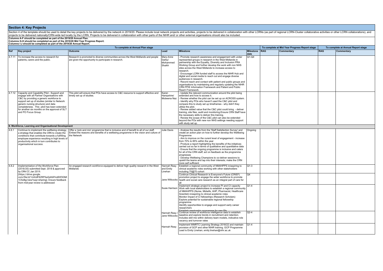|       | To complete at Annual Plan stage                                                                                                                                                                                                                                                                                                                                                                                   |                                                                                                                                                                                               |                                                                   |                                                                                                                                                                                                                                                                                                                                                                                                                                                                                                                                                                                                                                                                                                                                                                                                                                                                                                                                                                                                                                                                                                                                                                                                                                                                                         |                                                                                | To complete at Mid Year Progress Report stage | To complete at Annual Report stage |            |            |
|-------|--------------------------------------------------------------------------------------------------------------------------------------------------------------------------------------------------------------------------------------------------------------------------------------------------------------------------------------------------------------------------------------------------------------------|-----------------------------------------------------------------------------------------------------------------------------------------------------------------------------------------------|-------------------------------------------------------------------|-----------------------------------------------------------------------------------------------------------------------------------------------------------------------------------------------------------------------------------------------------------------------------------------------------------------------------------------------------------------------------------------------------------------------------------------------------------------------------------------------------------------------------------------------------------------------------------------------------------------------------------------------------------------------------------------------------------------------------------------------------------------------------------------------------------------------------------------------------------------------------------------------------------------------------------------------------------------------------------------------------------------------------------------------------------------------------------------------------------------------------------------------------------------------------------------------------------------------------------------------------------------------------------------|--------------------------------------------------------------------------------|-----------------------------------------------|------------------------------------|------------|------------|
| Ref   | Key project                                                                                                                                                                                                                                                                                                                                                                                                        | <b>Outcome</b>                                                                                                                                                                                | Lead                                                              | <b>Milestone</b>                                                                                                                                                                                                                                                                                                                                                                                                                                                                                                                                                                                                                                                                                                                                                                                                                                                                                                                                                                                                                                                                                                                                                                                                                                                                        | Milestone<br>date                                                              | <b>RAG</b>                                    | Commentary                         | <b>RAG</b> | Commentary |
|       | 4.7.11 To increase the access to research for<br>patients, carers and the public.                                                                                                                                                                                                                                                                                                                                  | Research is promoted to diverse communities across the West Midlands and people<br>are given the opportunity to participate in research.                                                      | Mary-Anne<br>Darby/<br>Mohammed<br>Shaikh                         | Promote research awareness and engagement with under<br>represented groups in research in the West Midlands in<br>partnership with the Equality, Diversity and Inclusion PRA<br>Working Group and further develop the work with non NHS<br>sites across the West Midlands to increase access to<br>research.<br>- Encourage LCRN funded staff to access the NIHR Hub and<br>digital and social media to reach out and engage diverse<br>audiences in research.<br>- Record reach and contact with patient and public groups and<br>organisations by maintaining and regularly updating the NIHR<br>CRN PPIE Information Framework and Patient and Public<br>Reach Framework.                                                                                                                                                                                                                                                                                                                                                                                                                                                                                                                                                                                                            | O1-Q4                                                                          |                                               |                                    |            |            |
|       | 4.7.12 Capacity and Capability Pilot - Support and<br>engage with all Partner Organisations with<br>C&C by providing a generic workforce to<br>support set up of studies (similar to Network<br>generic nursing structure) and data<br>completeness. This pilot has been extended<br>for another six months on the approval of SLT<br>and PO Focus Group.<br>8. Workforce, Learning and Organisational Development | This pilot will ensure that POs have access to C&C resource to support effective and<br>timely set up of studies.                                                                             | Karen<br>Hampshire/<br>Mobeena Naz                                | - Update the relevant communication around the pilot being<br>extended and how to access it.<br>- Review whether the pilot can be set up on ACROSS system.<br>Identify why POs who haven't used the C&C pilot and<br>compare this to study set up timeframes - why didn't they<br>utilise the pilot.<br>- Review added value that the C&C pilot could bring - deliver<br>training, site files, audit and monitoring. Ensure CRN Staff have<br>the necessary skills to deliver this training.<br>- Review the scope of the C&C pilot can also be extended<br>beyond the POs with new non NHS settings needing support<br>with study set up.                                                                                                                                                                                                                                                                                                                                                                                                                                                                                                                                                                                                                                              |                                                                                |                                               |                                    |            |            |
| 4.8.1 |                                                                                                                                                                                                                                                                                                                                                                                                                    |                                                                                                                                                                                               | <b>Julie Davis</b>                                                |                                                                                                                                                                                                                                                                                                                                                                                                                                                                                                                                                                                                                                                                                                                                                                                                                                                                                                                                                                                                                                                                                                                                                                                                                                                                                         |                                                                                |                                               |                                    |            |            |
|       | Continue to implement the wellbeing strategy;<br>a strategy that enables the CRN to create the<br>conditions that contribute towards a fulfilling<br>employee experience resulting in high levels of<br>productivity which in turn contributes to<br>organisational success.                                                                                                                                       | Offer a 'pick and mix' programme that is inclusive and of benefit to all of our staff.<br>Embed the reasons and benefits of a wellbeing programme in the vision and culture of<br>the Network |                                                                   | - Analyse the results from the 'Staff Satisfaction Survey' and<br>create an action plan on how to further develop the Wellbeing<br>Programme<br>- Aim to improve on the curent level of engagement - increase<br>from 70% to 85% within the year<br>- Produce a report highlighting the benefits of the initiatives<br>carried out so far in terms of qualitiative and quantitative data<br>Ensure that the ongoing programme is inclusive and caters<br>for all of the CRN staff; act on feedback as the programme<br>progresses<br>- Develop Wellbeing Champions to co-deliver sessions to<br>upskill the teams and tap into their interests: make the CRN<br>more self sufficient                                                                                                                                                                                                                                                                                                                                                                                                                                                                                                                                                                                                    | Ongoing                                                                        |                                               |                                    |            |            |
| 4.8.2 | Implementation of the Workforce Plan<br>(2018/20) submitted Sept. 2018 & approved<br>by CRN CC Jan 2019.<br>(https://drive.google.<br>com/file/d/1mlUdF8ZRP5wQxlt6PmdDtf3OMl<br>1C5xBq/view?usp=sharing). Ensure feedback<br>from mid-year review is addressed                                                                                                                                                     | An engaged research workforce equipped to deliver high quality research in the West<br>Midlands                                                                                               | Hannah Reav<br>and Emily<br>Linehan<br>Hannah Reay<br>Hannah Reay | Establish a regional community of NMAHPPS in/aspiring to<br>clinical academic roles working with other stakeholders<br>including 70@70 cohort<br>Continue Clinical Research is Everyone's Future (CRIEF)<br>promotion project to engage the wider workforce to promote<br>Jane Willcocks   health and social care research as an integral part of care for<br>lall<br>Implement strategic project to increase PI and CI capacity<br>Susie Harrison Work with local stakeholders to establish a regional community<br>of NMAHPPS (Nurse, Midwife, AHP, Pharmacist, Healthcare<br>Scientist) in/aspiring to clinical academic roles<br>Monitor impact of CI fellowships (Research Scholars)<br>Explore potential for sustainable regional fellowship<br>programme<br>Identify opportunities to engage and support early career<br>researchers<br>Establish montarak<br>Continue review of workforce intelligence data to establish<br>Jane Willcocks   baseline and explore trends in recruitment and retention.<br>Includes skill mix within delivery team models, indicative role<br>vacancy and turnover rates<br>Implement WMRTC Learning Strategy 2018/22 and maintain<br>provision of GCP and other NIHR training. GCP Programme<br>Lead is Emily Linehan, emily linehan@nihr.ac.uk | $\overline{Q1-3}$<br><b>O4</b><br>$01-4$<br>$\overline{Q2-4}$<br>$\sqrt{01-4}$ |                                               |                                    |            |            |
|       |                                                                                                                                                                                                                                                                                                                                                                                                                    |                                                                                                                                                                                               |                                                                   |                                                                                                                                                                                                                                                                                                                                                                                                                                                                                                                                                                                                                                                                                                                                                                                                                                                                                                                                                                                                                                                                                                                                                                                                                                                                                         |                                                                                |                                               |                                    |            |            |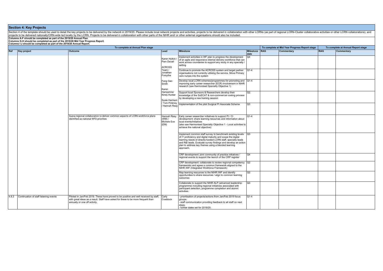Section 4 of the template should be used to detail the key projects to be delivered by the network in 2019/20. Please include local network projects and activities, projects to be delivered in collaboration with other LCRN projects to be delivered nationally/CRN-wide led locally by the LCRN. Projects to be delivered in collaboration with other parts of the NIHR and/ or other external organisations should also be included. **Columns A-F should be completed as part of the 2019/20 Annual Plan. Columns G-H should be completed as part of the 2019/20 Mid Year Progress Report. Columns I-J should be completed as part of the 2019/20 Annual Report. To complete at Annual Plan stage To complete at Mid Year Progress Report stage To complete at Annual Report stage Ref Key project Outcome Lead Milestone Milestone date RAG Commentary RAG Commentary** Karen Hylton<br>Pam Devall ACROSS Team / Jonathan Forsythe Fang Gao Smith Karen<br>Hampshire/ Kirsty Hunter Susie Harrison / Tom Pinkney / Hannah Reay Implement activities in WF plan to progress the development of an agile and responsive internal delivery workforce that can work across coundaries to support any study in any specialty / setting  $Q4$ Continue to promote the ACROSS system and target partner organisations not currently utilising the service. Move Primary care nurses into the system  $\overline{01-4}$ Develop local LCRN schemes/programmes for promoting and Q1-4 improving early career researcher (ECR) involvement in NIHR research (see Harmonised Specialty Objective 1) Support local Sponsors & Researchers develop their knowledge of the SoECAT & non-commercial costing process by developing a new training session  $\overline{O2}$  $\sqrt{\frac{1}{2}}$  Implementation of the pilot Surgical PI Associate Scheme  $\sqrt{0.3}$ Supra-regional collaboration to deliver common aspects of LCRN workforce plans identified as national WFD priorities Hannah Reay Early career researcher initiatives to support PI / CI (WM) /<br>Michele Eve (EM) development: share learning resources and information about local events/initiatives (also see Harmonised Specialty Objective 1 - Local activities to achieve the national objective)  $Q1-4$ Implement common staff survey to benchmark existing levels Q3 of IT proficiency and digital maturity and scope the digital learning needs of directly-funded LCRN staff, specialty leads and R&I leads. Evaluate survey findings and develop an action plan to address key themes using a blended learning approach. CRP development: joint community of practice initiatives / regional events to support the launch of the CRP register  $\overline{Q4}$ CRP development: collaborate to review regional competency frameworks and agree a common framework aligned to the NIHR IWF (Integrated Workforce Framework)  $Q2$ Map learning resources to the NIHR IWF and identify opportunities to share resources / align to common learning outcomes  $\overline{Q2}$ Collaborate to support the NIHR ALP (advanced leadership programme) including regional initiatives associated with participant selection, programme completion and alumni activities.  $Q<sub>3</sub>$ 4.8.3 Continuation of staff listening events Piloted in Jan/Feb 2019. These have proved to be positive and well received by staff, with great ideas as a result. Staff have asked for these to be more frequent than annually or one off activity. Carly<br>Craddock - prioritisation of projects/actions from Jan/Feb 2019 focus groups. - staff communication providing feedback to all staff on next steps. - further dates set for 2019/20.  $01-4$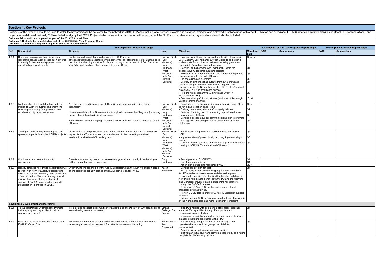| To complete at Annual Plan stage<br>To complete at Mid Year Progress Report stage |                                                                                                                                                                                                                                                                                                                               |                                                                                                                                                                                                                                                                                                                                        |                                                                                                                     |                                                                                                                                                                                                                                                                                                                                                                                                                                                                                                                                                                                                                                                                                                                                                                                                                                                                                |                                                    |            | To complete at Annual Report stage |            |            |
|-----------------------------------------------------------------------------------|-------------------------------------------------------------------------------------------------------------------------------------------------------------------------------------------------------------------------------------------------------------------------------------------------------------------------------|----------------------------------------------------------------------------------------------------------------------------------------------------------------------------------------------------------------------------------------------------------------------------------------------------------------------------------------|---------------------------------------------------------------------------------------------------------------------|--------------------------------------------------------------------------------------------------------------------------------------------------------------------------------------------------------------------------------------------------------------------------------------------------------------------------------------------------------------------------------------------------------------------------------------------------------------------------------------------------------------------------------------------------------------------------------------------------------------------------------------------------------------------------------------------------------------------------------------------------------------------------------------------------------------------------------------------------------------------------------|----------------------------------------------------|------------|------------------------------------|------------|------------|
| Ref                                                                               | <b>Key project</b>                                                                                                                                                                                                                                                                                                            | <b>Outcome</b>                                                                                                                                                                                                                                                                                                                         | Lead                                                                                                                | <b>Milestone</b>                                                                                                                                                                                                                                                                                                                                                                                                                                                                                                                                                                                                                                                                                                                                                                                                                                                               | <b>Milestone</b><br>date                           | <b>RAG</b> | Commentary                         | <b>RAG</b> | Commentary |
| 4.8.4                                                                             | Continued Improvement and innovation<br>leadership collaboration across our Networks<br>to identify further leadership projects and<br>opportunities to work together                                                                                                                                                         | Further strengthen relationship between the LCRNs, more<br>efficient/streamlined/integrated service delivery for our stakeholders etc. Sharing good<br>practice of embedding a culture for I&I and driving improvement of HLOs. Record of<br>what's been shared and shared/spread to other LCRNs.                                      | Hannah Finch<br>(East<br>Midlands)<br>Carly<br>Craddock<br>(West<br>Midlands)<br>Sally-Anne<br>Hurford<br>(Eastern) | - Continue to hold regular Hangout Meets with CI leaders in<br>CRN Eastern, East Midlands & West Midlands and extend<br>invites to staff from other workstreams/working groups as<br>appropriate (including event attendees)<br>- Develop (and all engage with) Kanbanchi Board for<br>collaborative CI leadership/culture projects<br>- WM share CI Champion/mentor roles across our regions to<br>provide support to staff with I&I work<br>EM share updated e-learning<br>Delivery of joint project as outputs from 2018 showcase<br>event: Sharing of information of key I&I projects, and<br>engagement in LCRN priority projects (EDGE, HLOS, specialty<br>objectives. PRES in ambulance service).<br>- Hold the next collboaritive I&I Showcase Event (in<br>Peterborough TBC)<br>- Continue sharing CI impact stories (minimum of 4) through<br>various comms channels | Ongoing<br>Q1<br>IQ1<br>Q2<br>l O4<br>Q3<br>$Q1-4$ |            |                                    |            |            |
| 4.8.5                                                                             | Work collaboratively with Eastern and East<br>Midlands LCRNs to further implement the<br>NIHR Digital strategy (and previous CRN<br>accelerating digital workstreams).                                                                                                                                                        | Aim to improve and increase our staffs ability and confidence in using digital<br>technology.<br>Develop a collaborative I&I communications plan to promote the CI agenda (focussing<br>on use of social media & digital platforms)<br>Social Media - Twitter campaign promoting I&I, each LCRN to run a Tweetchat on an<br>1&I topic. | Hannah Finch<br>(Fast<br>Midlands)<br>Carly<br>Craddock<br>(West<br>Midlands)<br>Sally-Anne<br>Hurford<br>(Eastern) | - Social Media - Twitter campaign promoting I&I, each LCRN<br>to run a Tweetchat on an I&I topic.<br>- Training needs analysis for staff using digital tools<br>Delivery of training and other learning support to address<br>training needs of CI staff<br>- Develop a collaborative I&I communications plan to promote<br>the CI agenda (focussing on use of social media & digital<br>platforms)                                                                                                                                                                                                                                                                                                                                                                                                                                                                            | $Q2-4$<br>Q2<br>O <sub>3</sub><br>lQ2              |            |                                    |            |            |
| 4.8.6                                                                             | Trailling of and learning from adoption and<br>spread of impacts from other LCRNs projects                                                                                                                                                                                                                                    | Identification of one project that each LCRN could roll out in their CRN to maximise<br>impact for the CRN as a whole. Lessons learned to feed in to Supra network<br>leadership and national CI Leads group.                                                                                                                          | Hannah Finch<br>(East<br>Midlands)<br>Carly<br>Craddock<br>(West<br>Midlands)<br>Sally-Anne<br>Hurford<br>(Eastern) | Identification of a project that could be rolled out in own<br>LCRN<br>- Implementation of project locally and ongoing monitoring of<br>impact<br>- Lessons learned gathered and fed in to supranetwork cluster   Q4<br>meetings, LCRN SLTs and national CI Leads.                                                                                                                                                                                                                                                                                                                                                                                                                                                                                                                                                                                                             | Q2<br>lo3                                          |            |                                    |            |            |
| 4.8.7                                                                             | Continuous Improvement Maturity<br>Assessment                                                                                                                                                                                                                                                                                 | Results from a survey carried out to assess organisational maturity in embedding a<br>culture for continuous improvement.                                                                                                                                                                                                              | Carly<br>Craddock                                                                                                   | Report produced for CRN WM.<br>List of recomendations.<br>- Action plan agreed and monitored by SLT.                                                                                                                                                                                                                                                                                                                                                                                                                                                                                                                                                                                                                                                                                                                                                                           | Q1<br>IQ1<br>$Q2-4$                                |            |                                    |            |            |
| 4.8.8                                                                             | Identify potential AcoRD Specialists from POs<br>to work with Network AcoRD Specialists to<br>deliver the service efficiently. Pilot this over a<br>12 month period. Measured through a local<br>review of success of pilot and ability to<br>support all SoECAT requests for support/<br>authorisation (identified in EDGE). | By reviewing the expansion of the AcoRD Specialst within CRNWM will support some<br>of the percieved capacity issues of SoECAT completion for 19/20.                                                                                                                                                                                   | Karen<br>Hampshire                                                                                                  | Develop project plan for pilot.<br>Set up Google local community group for cost attribution/<br>AcoRD queries to share queries and discussion points.<br>- Link in with specific POs identified for the pilot and discuss<br>how this is rolled out to benefit both the PO and the Network<br>and ultimately prevent delays in supporting researchers<br>through the SoECAT process.<br>- Train new PO AcoRD Specialist and ensure national<br>standards are maintained.<br>- Review EDGE data to ensure PO AcoRD Specialist support<br>is timely.<br>- Review national SSS Survey to ensure the level of support is<br>of the highest standard and more importantly consistent                                                                                                                                                                                                | $\Omega$ 4                                         |            |                                    |            |            |
|                                                                                   | 9. Business Development and Marketing                                                                                                                                                                                                                                                                                         |                                                                                                                                                                                                                                                                                                                                        |                                                                                                                     |                                                                                                                                                                                                                                                                                                                                                                                                                                                                                                                                                                                                                                                                                                                                                                                                                                                                                |                                                    |            |                                    |            |            |
| 4.9.1                                                                             | To support Partner Organisations Promote<br>their capacity and capabilities to deliver<br>commercial research                                                                                                                                                                                                                 | To maximise research opportunities for patients and ensure 70% of WM organisations Sinead<br>are delivering commercial research                                                                                                                                                                                                        | Collinge/ Raj<br>Kooner                                                                                             | align PO priorities with commercial stakeholder pipelines<br>market PO capabilities through Trust profiles and<br>disseminating case studies<br>ensure commercial opportunities through various cloud and<br>database platforms are shared with all PO                                                                                                                                                                                                                                                                                                                                                                                                                                                                                                                                                                                                                         | l O4                                               |            |                                    |            |            |
| 4.9.2                                                                             | Primary Care West Midlands to become an<br><b>IQVIA Preferred Site</b>                                                                                                                                                                                                                                                        | To increase the number of commercial research studies delivered in primary care;<br>increasing accesisbiity to research for patients in a community setting                                                                                                                                                                            | Rai Kooner 8<br>Jess<br>Graysmark                                                                                   | establish project requirements at both strategic and<br>operational levels, and design a project brief for<br>implementation<br>Agree financial and operational practicalities<br>- pilot with an initial study and provide a case study as a future<br>template for IQVIA study delivery                                                                                                                                                                                                                                                                                                                                                                                                                                                                                                                                                                                      | $\Omega$ 4                                         |            |                                    |            |            |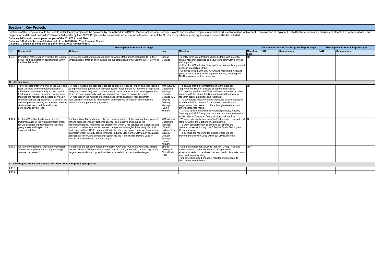|        |                                                                                                                                                                                                                                                                                                                                                                                                                    | Section 4 of the template should be used to detail the key projects to be delivered by the network in 2019/20. Please include local network projects and activities, projects to be delivered in collaboration with other LCRN<br>projects to be delivered nationally/CRN-wide led locally by the LCRN. Projects to be delivered in collaboration with other parts of the NIHR and/ or other external organisations should also be included.                                                                                                                                                                                                     |                                                                                                                                |                                                                                                                                                                                                                                                                                                                                                                                                                                                                                                                                                                                                                                                                                          |                          |            |                                               |                                    |            |  |
|--------|--------------------------------------------------------------------------------------------------------------------------------------------------------------------------------------------------------------------------------------------------------------------------------------------------------------------------------------------------------------------------------------------------------------------|--------------------------------------------------------------------------------------------------------------------------------------------------------------------------------------------------------------------------------------------------------------------------------------------------------------------------------------------------------------------------------------------------------------------------------------------------------------------------------------------------------------------------------------------------------------------------------------------------------------------------------------------------|--------------------------------------------------------------------------------------------------------------------------------|------------------------------------------------------------------------------------------------------------------------------------------------------------------------------------------------------------------------------------------------------------------------------------------------------------------------------------------------------------------------------------------------------------------------------------------------------------------------------------------------------------------------------------------------------------------------------------------------------------------------------------------------------------------------------------------|--------------------------|------------|-----------------------------------------------|------------------------------------|------------|--|
|        | Columns A-F should be completed as part of the 2019/20 Annual Plan.<br>Columns G-H should be completed as part of the 2019/20 Mid Year Progress Report.<br>Columns I-J should be completed as part of the 2019/20 Annual Report.                                                                                                                                                                                   |                                                                                                                                                                                                                                                                                                                                                                                                                                                                                                                                                                                                                                                  |                                                                                                                                |                                                                                                                                                                                                                                                                                                                                                                                                                                                                                                                                                                                                                                                                                          |                          |            |                                               |                                    |            |  |
|        |                                                                                                                                                                                                                                                                                                                                                                                                                    | To complete at Annual Plan stage                                                                                                                                                                                                                                                                                                                                                                                                                                                                                                                                                                                                                 |                                                                                                                                |                                                                                                                                                                                                                                                                                                                                                                                                                                                                                                                                                                                                                                                                                          |                          |            | To complete at Mid Year Progress Report stage | To complete at Annual Report stage |            |  |
| Ref    | Key project                                                                                                                                                                                                                                                                                                                                                                                                        | <b>Outcome</b>                                                                                                                                                                                                                                                                                                                                                                                                                                                                                                                                                                                                                                   | Lead                                                                                                                           | <b>Milestone</b>                                                                                                                                                                                                                                                                                                                                                                                                                                                                                                                                                                                                                                                                         | <b>Milestone</b><br>date | <b>RAG</b> | Commentary                                    | <b>RAG</b>                         | Commentary |  |
| 4.9.3  | Promotion of the support available for regional<br>SMEs, and collaboration opportunities within<br>the West Midlands                                                                                                                                                                                                                                                                                               | To increase collaboration opportunities between SMEs and West Midlands Partner<br>Organisations, through show casing the support available through the NIHR Services                                                                                                                                                                                                                                                                                                                                                                                                                                                                             | Sinead<br>Collinge                                                                                                             | Identify three West Midlands based SME's with potential<br>clinical research pipelines to discuss and offer CRN services<br>and support<br>- Utilise the WM Industry Steering Group to identify any unmet<br>needs in supporting SMEs<br>Continue to work with WM AHSN and Medilink to host and<br>present at Life Sciences engagement events, ensuring the<br>NIHR have a consistent presence                                                                                                                                                                                                                                                                                           | O <sub>4</sub>           |            |                                               |                                    |            |  |
|        | 10. Life Sciences                                                                                                                                                                                                                                                                                                                                                                                                  |                                                                                                                                                                                                                                                                                                                                                                                                                                                                                                                                                                                                                                                  |                                                                                                                                |                                                                                                                                                                                                                                                                                                                                                                                                                                                                                                                                                                                                                                                                                          |                          |            |                                               |                                    |            |  |
|        | To work collaboratively between the West and<br>East Midlands to drive implementation of a<br>robust mechanism nationally to give quality<br>feedback on site non-selection. Partners can<br>then use the feedback to develop services in<br>line with sponsor expectations. To build on the<br>national process already incorporated into the<br>study milestone schedule and for the<br>performance review lead. | A robust national process for feedback to sites on reasons for non-selection leading<br>to improved engagement with research teams. Researchers will receive an improved<br>insight into areas they need to strengthen, to attract future studies, leading over time<br>to an increase in capacity to deliver commercial research across the country.<br>A reduction in the number of complaints received on lack of feedback from<br>expression of interest/site identification and improved perception of the network -<br>better NHS and partner engagement.                                                                                  | WM Industry<br>Operations<br>Manager<br>(Sinead<br>Collinge)/EM<br>Industry<br>Delivery<br>Manager<br>(Daniel<br>Kumar)        | To ensure that this is implemented in the national<br>'Improvement Plan for delivery of commercial studies'.<br>- To develop an East and West Midlands non-selected sites<br>process with the aim of leading to increased feedback to<br>research teams nationally and regionally.<br>To encourage research teams to provide us with feedback<br>where the lack of reasons for non-selection will impact<br>negatively on the research culture through newsletters and<br>other appropriate media.<br>- To raise at all forums with commercial partners, Industry<br>Steering and SSS Groups and to push for a wider discussion<br>at the national Roadmap Group or other national fora. | $\Omega$ 4               |            |                                               |                                    |            |  |
|        | 4.10.2 East and West Midlands to excel in the<br>Implementation of the National Improvement<br>for Life sciences Industry National agenda,<br>going above and beyond the<br>recommendations.                                                                                                                                                                                                                       | East and West Midlands to excel in the Implementation of the National Improvement<br>for Life sciences Industry National agenda, going above and beyond the<br>recommendations. Maximise the efficiency in which CRN services are accessed and<br>provide consistent support for commercial sponsors throughout the study life cycle<br>and enabling the CRN to be embedded in the study set up and delivery. Thus seeing<br>an improvement in study set up timelines, industry utilising the CRN as an escalation<br>process earlier on, and consistent support via the Performance Review Lead to<br>ensure study delivery to time and target. | <b>WM Industry</b><br>Operations<br>Manager<br>(Sinead<br>Collinge)/EM<br>Industry<br>Delivery<br>Manager<br>(Daniel<br>Kumar) | Working cohesively to ensure the Performance Review Lead Q3<br>remains within the East and West Mildands<br>- To work collaborativelly to develop our offer to the<br>commercial sector through the Effective Study Start-Up and<br>Performance calls.<br>- To develop the reporting for studies where we are<br>Performance Review Lead within our LPMS systems                                                                                                                                                                                                                                                                                                                         |                          |            |                                               |                                    |            |  |
|        | 4.10.3 As Part of the National Improvement Project,<br>lead on the improvement of target setting in<br>commercial research                                                                                                                                                                                                                                                                                         | To address the concerns raised by Industry, CRN and POs in the way study targets<br>are set. Ensure CRN processes compliment HLO 2a, a reduction in time negotiating<br>targets post study start up, and studies have realistic and achievable targets.                                                                                                                                                                                                                                                                                                                                                                                          | Sinead<br>Collinge &<br>Fiona Brain<br>(CC)                                                                                    | Complete a national survey to Industry, CRNS, POs and<br>Investigators to gather experience of target setting<br>- Hold a workshop to address concerns, and collaborate on an<br>improved way of working<br>Implement identified changes, monitor and measure to<br>improve service delivery                                                                                                                                                                                                                                                                                                                                                                                             | $O1-4$                   |            |                                               |                                    |            |  |
|        | 11. New Projects (to be completed at Mid Year /Annual Report if appropriate)                                                                                                                                                                                                                                                                                                                                       |                                                                                                                                                                                                                                                                                                                                                                                                                                                                                                                                                                                                                                                  |                                                                                                                                |                                                                                                                                                                                                                                                                                                                                                                                                                                                                                                                                                                                                                                                                                          |                          |            |                                               |                                    |            |  |
| 4.11.1 |                                                                                                                                                                                                                                                                                                                                                                                                                    |                                                                                                                                                                                                                                                                                                                                                                                                                                                                                                                                                                                                                                                  |                                                                                                                                |                                                                                                                                                                                                                                                                                                                                                                                                                                                                                                                                                                                                                                                                                          |                          |            |                                               |                                    |            |  |
| 4.11.2 |                                                                                                                                                                                                                                                                                                                                                                                                                    |                                                                                                                                                                                                                                                                                                                                                                                                                                                                                                                                                                                                                                                  |                                                                                                                                |                                                                                                                                                                                                                                                                                                                                                                                                                                                                                                                                                                                                                                                                                          |                          |            |                                               |                                    |            |  |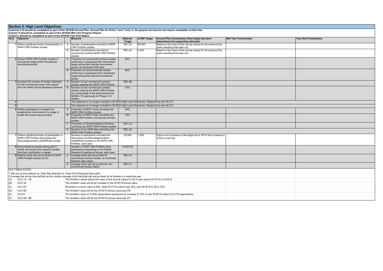Section 5: High Level Objectives<br>Columns F-G should be completed as part of the 2019/20 Annual Plan. Annual Plan for HLOs 1 and 7 only i.e. the greyed out rows do not require completion at this time.<br>Column H should be com

|                                                                                               | Column I should be completed as part of the 2019/20 Year End Report.                                                        |              |                                                                                                                                                                          |                                  |                    |                                                                                                 |                            |                            |  |  |
|-----------------------------------------------------------------------------------------------|-----------------------------------------------------------------------------------------------------------------------------|--------------|--------------------------------------------------------------------------------------------------------------------------------------------------------------------------|----------------------------------|--------------------|-------------------------------------------------------------------------------------------------|----------------------------|----------------------------|--|--|
|                                                                                               | HLO Objective                                                                                                               |              | <b>Measure</b>                                                                                                                                                           | <b>National</b><br><b>Target</b> | <b>LCRN Target</b> | Annual Plan Commentary (How target has been<br>determined and supporting rationale)             | <b>Mid Year Commentary</b> | <b>Year End Commentary</b> |  |  |
|                                                                                               | 1 Deliver significant levels of participation in<br>NIHR CRN Portfolio studies                                              | $\mathsf{A}$ | Number of participants recruited to NIHR<br><b>CRN Portfolio studies</b>                                                                                                 | TBC (A)                          | 65,000             | Based on the mean of the annual values for the previous five<br>years (awaiting final data cut) |                            |                            |  |  |
| <b>51</b>                                                                                     |                                                                                                                             | B            | Number of participants recruited to<br>commercial contract NIHR CRN Portfolio<br>studies                                                                                 | TBC(A)                           | 4.400              | Based on the mean of the annual values for the previous five<br>years (awaiting final data cut) |                            |                            |  |  |
|                                                                                               | 2 Deliver NIHR CRN Portfolio studies to<br>recruitment target within the planned<br>recruitment period                      | $\mathsf{A}$ | Proportion of commercial contract studies<br>achieving or surpassing their recruitment<br>target during their planned recruitment<br>period, at confirmed CRN sites      | 80%                              |                    |                                                                                                 |                            |                            |  |  |
|                                                                                               |                                                                                                                             | $\mathbf{B}$ | Proportion of noncommercial studies<br>achieving or surpassing their recruitment<br>target during their planned recruitment<br>period                                    | 80%                              |                    |                                                                                                 |                            |                            |  |  |
|                                                                                               | 3 Increase the number of studies delivered<br>for the commercial sector with support                                        | $\mathsf{A}$ | Number of new commercial contract<br>studies entering the NIHR CRN Portfolio                                                                                             | TBC(B)                           |                    |                                                                                                 |                            |                            |  |  |
|                                                                                               | from the NIHR Clinical Research Network                                                                                     | B            | Number of new commercial contract<br>studies entering the NIHR CRN Portfolio<br>as a percentage of the total commercial<br>MHRA CTA approvals for Phase II-IV<br>studies | 75%                              |                    |                                                                                                 |                            |                            |  |  |
|                                                                                               |                                                                                                                             |              | This objective is no longer included in 2019/20 High Level Objectives. Replaced by new HLO 9.                                                                            |                                  |                    |                                                                                                 |                            |                            |  |  |
| This objective is no longer included in 2019/20 High Level Objectives. Replaced by new HLO 9. |                                                                                                                             |              |                                                                                                                                                                          |                                  |                    |                                                                                                 |                            |                            |  |  |
|                                                                                               | 6 Widen participation in research by<br>enabling the involvement of a range of                                              | $\mathsf{A}$ | Proportion of NHS Trusts recruiting into<br>NIHR CRN Portfolio studies                                                                                                   | 99%                              |                    |                                                                                                 |                            |                            |  |  |
|                                                                                               | health and social care providers                                                                                            | B            | Proportion of NHS Trusts recruiting into<br>NIHR CRN Portfolio commercial contract<br>studies                                                                            | 70%                              |                    |                                                                                                 |                            |                            |  |  |
|                                                                                               |                                                                                                                             | $\mathsf{C}$ | Proportion of General Medical Practices<br>recruiting into NIHR CRN Portfolio studies                                                                                    | $45%$ (C)                        |                    |                                                                                                 |                            |                            |  |  |
|                                                                                               |                                                                                                                             | D            | Number of non-NHS sites recruiting into<br>NIHR CRN Portfolio studies                                                                                                    | TBC(D)                           |                    |                                                                                                 |                            |                            |  |  |
|                                                                                               | 7 Deliver significant levels of participation in<br>NIHR CRN Portfolio Dementias and<br>Neurodegeneration (DeNDRoN) studies |              | Number of participants recruited into<br>Dementias and Neurodegeneration<br>(DeNDRoN) studies on the NIHR CRN<br>Portfolio, each year                                    | 25,000                           | 1,200              | Figure is an increase on the target set in 18/19 and is based on<br>horizon scanning            |                            |                            |  |  |
|                                                                                               | 8 Demonstrate to people taking part in<br>health and social care research studies<br>that their contribution is valued      |              | Number of NIHR CRN Portfolio study<br>participants responding to the Patient<br>Research Experience Survey, each year                                                    | 10,000(E)                        |                    |                                                                                                 |                            |                            |  |  |
|                                                                                               | 9 Reduce study site set-up times for NIHR<br>CRN Portfolio studies by 5%                                                    | $\mathsf{A}$ | Average study site set-up time for<br>commercial contract studies, at confirmed<br>Network sites (days)                                                                  | TBC(F)                           |                    |                                                                                                 |                            |                            |  |  |
|                                                                                               |                                                                                                                             | B.           | Average study site set-up time for non-<br>commercial studies (days)                                                                                                     | TBC (F)                          |                    |                                                                                                 |                            |                            |  |  |
|                                                                                               | <b>HLO TABLE NOTES</b>                                                                                                      |              |                                                                                                                                                                          |                                  |                    |                                                                                                 |                            |                            |  |  |
|                                                                                               | 1 Site set up time defined as "Date Site Selected" to "Date First Participant Recruited"                                    |              | 2 Average site set-up time defined as the median average of all individual site set-up times for all studies in a reporting year                                         |                                  |                    |                                                                                                 |                            |                            |  |  |
| (A)                                                                                           | <b>HLO 1A/1B</b>                                                                                                            |              | The Ambition values will be the mean of the annual values for the 5-year period 2014/15 to 2018/19                                                                       |                                  |                    |                                                                                                 |                            |                            |  |  |
| (B)                                                                                           | HLO 3A                                                                                                                      |              | The Ambition value will be an increase in the 2018/19 annual value                                                                                                       |                                  |                    |                                                                                                 |                            |                            |  |  |
| (C)                                                                                           | HLO <sub>6</sub> C                                                                                                          |              | Reverted to current value of 45%. Note 2017/18 outturn was 32%, and 2018/19 to Q3 is 33%                                                                                 |                                  |                    |                                                                                                 |                            |                            |  |  |
| (D)                                                                                           | HLO 6D                                                                                                                      |              | The Ambition value will be the 2018/19 annual value plus 5%                                                                                                              |                                  |                    |                                                                                                 |                            |                            |  |  |
| (E)                                                                                           | HLO <sub>8</sub>                                                                                                            |              | The Ambition value of 10,000 respondents represents an increase of 14% on the 2018/19 outturn of 8,779 respondents                                                       |                                  |                    |                                                                                                 |                            |                            |  |  |
| (F)                                                                                           | HLO 9A / 9B                                                                                                                 |              | The Ambition value will be the 2018/19 annual value less 5%                                                                                                              |                                  |                    |                                                                                                 |                            |                            |  |  |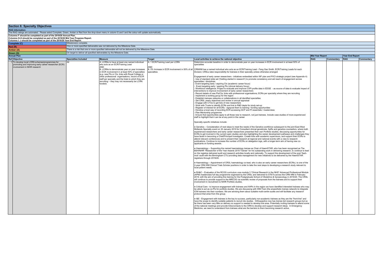| <b>Section 6: Specialty Objectives</b>                                                                                                                                                                                            |                                                                        |                                                                                                                                                                                                                                                                                                                                                                                                                              |                                                                                                                 |                                                                                                                                                                                                                                                                                                                                                                                                                                                                                                                                                                                                                                                                                                                                                                                                                                                                                                                                                                                                                                                                                                                                                                                                                                                                                                                                                                                                                                                                                                                                                                                                                                                                                                                                                                                                                                                                                                                                                                                                                                                                                                                                                                                                                                                                                                                                                                                                                                                                                                                                                                                                                                                                                                                                                                                                                                                                                                                                                                                                                                                                                                                                                                                                                                                                                                                                                                                                                                                                                                                                                                                                                                                                                                                                                                                                                                                                                                                                                                                                                                                                                                                                                                                                                                                                                                                                                                                                                                                                                                                                                                                                                                                                                                                                                                                                                                                                                                                                                                                                                                                                                                                                                                                                                                                                     |                        |            |                 |            |
|-----------------------------------------------------------------------------------------------------------------------------------------------------------------------------------------------------------------------------------|------------------------------------------------------------------------|------------------------------------------------------------------------------------------------------------------------------------------------------------------------------------------------------------------------------------------------------------------------------------------------------------------------------------------------------------------------------------------------------------------------------|-----------------------------------------------------------------------------------------------------------------|---------------------------------------------------------------------------------------------------------------------------------------------------------------------------------------------------------------------------------------------------------------------------------------------------------------------------------------------------------------------------------------------------------------------------------------------------------------------------------------------------------------------------------------------------------------------------------------------------------------------------------------------------------------------------------------------------------------------------------------------------------------------------------------------------------------------------------------------------------------------------------------------------------------------------------------------------------------------------------------------------------------------------------------------------------------------------------------------------------------------------------------------------------------------------------------------------------------------------------------------------------------------------------------------------------------------------------------------------------------------------------------------------------------------------------------------------------------------------------------------------------------------------------------------------------------------------------------------------------------------------------------------------------------------------------------------------------------------------------------------------------------------------------------------------------------------------------------------------------------------------------------------------------------------------------------------------------------------------------------------------------------------------------------------------------------------------------------------------------------------------------------------------------------------------------------------------------------------------------------------------------------------------------------------------------------------------------------------------------------------------------------------------------------------------------------------------------------------------------------------------------------------------------------------------------------------------------------------------------------------------------------------------------------------------------------------------------------------------------------------------------------------------------------------------------------------------------------------------------------------------------------------------------------------------------------------------------------------------------------------------------------------------------------------------------------------------------------------------------------------------------------------------------------------------------------------------------------------------------------------------------------------------------------------------------------------------------------------------------------------------------------------------------------------------------------------------------------------------------------------------------------------------------------------------------------------------------------------------------------------------------------------------------------------------------------------------------------------------------------------------------------------------------------------------------------------------------------------------------------------------------------------------------------------------------------------------------------------------------------------------------------------------------------------------------------------------------------------------------------------------------------------------------------------------------------------------------------------------------------------------------------------------------------------------------------------------------------------------------------------------------------------------------------------------------------------------------------------------------------------------------------------------------------------------------------------------------------------------------------------------------------------------------------------------------------------------------------------------------------------------------------------------------------------------------------------------------------------------------------------------------------------------------------------------------------------------------------------------------------------------------------------------------------------------------------------------------------------------------------------------------------------------------------------------------------------------------------------------------------------------------------------|------------------------|------------|-----------------|------------|
| <b>RAG Information:</b>                                                                                                                                                                                                           |                                                                        |                                                                                                                                                                                                                                                                                                                                                                                                                              |                                                                                                                 |                                                                                                                                                                                                                                                                                                                                                                                                                                                                                                                                                                                                                                                                                                                                                                                                                                                                                                                                                                                                                                                                                                                                                                                                                                                                                                                                                                                                                                                                                                                                                                                                                                                                                                                                                                                                                                                                                                                                                                                                                                                                                                                                                                                                                                                                                                                                                                                                                                                                                                                                                                                                                                                                                                                                                                                                                                                                                                                                                                                                                                                                                                                                                                                                                                                                                                                                                                                                                                                                                                                                                                                                                                                                                                                                                                                                                                                                                                                                                                                                                                                                                                                                                                                                                                                                                                                                                                                                                                                                                                                                                                                                                                                                                                                                                                                                                                                                                                                                                                                                                                                                                                                                                                                                                                                                     |                        |            |                 |            |
| The RAG ratings are automated. Please select Complete, Green, Amber or Red from the drop-down menu in column G and I and the colour will update automatically.                                                                    |                                                                        |                                                                                                                                                                                                                                                                                                                                                                                                                              |                                                                                                                 |                                                                                                                                                                                                                                                                                                                                                                                                                                                                                                                                                                                                                                                                                                                                                                                                                                                                                                                                                                                                                                                                                                                                                                                                                                                                                                                                                                                                                                                                                                                                                                                                                                                                                                                                                                                                                                                                                                                                                                                                                                                                                                                                                                                                                                                                                                                                                                                                                                                                                                                                                                                                                                                                                                                                                                                                                                                                                                                                                                                                                                                                                                                                                                                                                                                                                                                                                                                                                                                                                                                                                                                                                                                                                                                                                                                                                                                                                                                                                                                                                                                                                                                                                                                                                                                                                                                                                                                                                                                                                                                                                                                                                                                                                                                                                                                                                                                                                                                                                                                                                                                                                                                                                                                                                                                                     |                        |            |                 |            |
| Columns F should be completed as part of the 2019/20 Annual Plan.<br>Columns G-H should be completed as part of the 2019/20 Mid Year Progress Report.<br>Columns I- J should be completed as part of the 2019/20 Year End Report. |                                                                        |                                                                                                                                                                                                                                                                                                                                                                                                                              |                                                                                                                 |                                                                                                                                                                                                                                                                                                                                                                                                                                                                                                                                                                                                                                                                                                                                                                                                                                                                                                                                                                                                                                                                                                                                                                                                                                                                                                                                                                                                                                                                                                                                                                                                                                                                                                                                                                                                                                                                                                                                                                                                                                                                                                                                                                                                                                                                                                                                                                                                                                                                                                                                                                                                                                                                                                                                                                                                                                                                                                                                                                                                                                                                                                                                                                                                                                                                                                                                                                                                                                                                                                                                                                                                                                                                                                                                                                                                                                                                                                                                                                                                                                                                                                                                                                                                                                                                                                                                                                                                                                                                                                                                                                                                                                                                                                                                                                                                                                                                                                                                                                                                                                                                                                                                                                                                                                                                     |                        |            |                 |            |
| Complete (C)                                                                                                                                                                                                                      | Milestone(s) complete.                                                 |                                                                                                                                                                                                                                                                                                                                                                                                                              |                                                                                                                 |                                                                                                                                                                                                                                                                                                                                                                                                                                                                                                                                                                                                                                                                                                                                                                                                                                                                                                                                                                                                                                                                                                                                                                                                                                                                                                                                                                                                                                                                                                                                                                                                                                                                                                                                                                                                                                                                                                                                                                                                                                                                                                                                                                                                                                                                                                                                                                                                                                                                                                                                                                                                                                                                                                                                                                                                                                                                                                                                                                                                                                                                                                                                                                                                                                                                                                                                                                                                                                                                                                                                                                                                                                                                                                                                                                                                                                                                                                                                                                                                                                                                                                                                                                                                                                                                                                                                                                                                                                                                                                                                                                                                                                                                                                                                                                                                                                                                                                                                                                                                                                                                                                                                                                                                                                                                     |                        |            |                 |            |
| Red(R)                                                                                                                                                                                                                            |                                                                        | One or more specified deliverable was not delivered by the Milestone Date.                                                                                                                                                                                                                                                                                                                                                   |                                                                                                                 |                                                                                                                                                                                                                                                                                                                                                                                                                                                                                                                                                                                                                                                                                                                                                                                                                                                                                                                                                                                                                                                                                                                                                                                                                                                                                                                                                                                                                                                                                                                                                                                                                                                                                                                                                                                                                                                                                                                                                                                                                                                                                                                                                                                                                                                                                                                                                                                                                                                                                                                                                                                                                                                                                                                                                                                                                                                                                                                                                                                                                                                                                                                                                                                                                                                                                                                                                                                                                                                                                                                                                                                                                                                                                                                                                                                                                                                                                                                                                                                                                                                                                                                                                                                                                                                                                                                                                                                                                                                                                                                                                                                                                                                                                                                                                                                                                                                                                                                                                                                                                                                                                                                                                                                                                                                                     |                        |            |                 |            |
| Amber (A)                                                                                                                                                                                                                         |                                                                        | There is a risk that one or more specified deliverable will not be delivered by the Milestone Date                                                                                                                                                                                                                                                                                                                           |                                                                                                                 |                                                                                                                                                                                                                                                                                                                                                                                                                                                                                                                                                                                                                                                                                                                                                                                                                                                                                                                                                                                                                                                                                                                                                                                                                                                                                                                                                                                                                                                                                                                                                                                                                                                                                                                                                                                                                                                                                                                                                                                                                                                                                                                                                                                                                                                                                                                                                                                                                                                                                                                                                                                                                                                                                                                                                                                                                                                                                                                                                                                                                                                                                                                                                                                                                                                                                                                                                                                                                                                                                                                                                                                                                                                                                                                                                                                                                                                                                                                                                                                                                                                                                                                                                                                                                                                                                                                                                                                                                                                                                                                                                                                                                                                                                                                                                                                                                                                                                                                                                                                                                                                                                                                                                                                                                                                                     |                        |            |                 |            |
| Green (G)                                                                                                                                                                                                                         | On target to deliver all specified deliverables by the Milestone Date. |                                                                                                                                                                                                                                                                                                                                                                                                                              |                                                                                                                 |                                                                                                                                                                                                                                                                                                                                                                                                                                                                                                                                                                                                                                                                                                                                                                                                                                                                                                                                                                                                                                                                                                                                                                                                                                                                                                                                                                                                                                                                                                                                                                                                                                                                                                                                                                                                                                                                                                                                                                                                                                                                                                                                                                                                                                                                                                                                                                                                                                                                                                                                                                                                                                                                                                                                                                                                                                                                                                                                                                                                                                                                                                                                                                                                                                                                                                                                                                                                                                                                                                                                                                                                                                                                                                                                                                                                                                                                                                                                                                                                                                                                                                                                                                                                                                                                                                                                                                                                                                                                                                                                                                                                                                                                                                                                                                                                                                                                                                                                                                                                                                                                                                                                                                                                                                                                     |                        |            |                 |            |
| <b>Annual Plan</b>                                                                                                                                                                                                                |                                                                        |                                                                                                                                                                                                                                                                                                                                                                                                                              |                                                                                                                 |                                                                                                                                                                                                                                                                                                                                                                                                                                                                                                                                                                                                                                                                                                                                                                                                                                                                                                                                                                                                                                                                                                                                                                                                                                                                                                                                                                                                                                                                                                                                                                                                                                                                                                                                                                                                                                                                                                                                                                                                                                                                                                                                                                                                                                                                                                                                                                                                                                                                                                                                                                                                                                                                                                                                                                                                                                                                                                                                                                                                                                                                                                                                                                                                                                                                                                                                                                                                                                                                                                                                                                                                                                                                                                                                                                                                                                                                                                                                                                                                                                                                                                                                                                                                                                                                                                                                                                                                                                                                                                                                                                                                                                                                                                                                                                                                                                                                                                                                                                                                                                                                                                                                                                                                                                                                     | <b>Mid Year Report</b> |            | Year End Report |            |
| Ref Objective                                                                                                                                                                                                                     | <b>Specialties Included</b>                                            | <b>Measure</b>                                                                                                                                                                                                                                                                                                                                                                                                               | <b>Target</b>                                                                                                   | Local activities to achieve the national objective                                                                                                                                                                                                                                                                                                                                                                                                                                                                                                                                                                                                                                                                                                                                                                                                                                                                                                                                                                                                                                                                                                                                                                                                                                                                                                                                                                                                                                                                                                                                                                                                                                                                                                                                                                                                                                                                                                                                                                                                                                                                                                                                                                                                                                                                                                                                                                                                                                                                                                                                                                                                                                                                                                                                                                                                                                                                                                                                                                                                                                                                                                                                                                                                                                                                                                                                                                                                                                                                                                                                                                                                                                                                                                                                                                                                                                                                                                                                                                                                                                                                                                                                                                                                                                                                                                                                                                                                                                                                                                                                                                                                                                                                                                                                                                                                                                                                                                                                                                                                                                                                                                                                                                                                                  | <b>RAG</b>             | Commentary | RAG             | Commentary |
| 1 To develop local LCRN schemes/programmes for<br>promoting and improving early career researcher (ECR)<br>involvement in NIHR research                                                                                           |                                                                        | A. LCRNs to have at least one named individual<br>who acts as an ECR/Training Lead<br>AND<br>B. LCRNs to demonstrate vear on vear increases<br>in ECR involvement in at least 50% of specialties<br>(e.g. new PIs or CIs, links with Royal College or<br>other professional organisations, record of ECR<br>staff per specialty and the trials to which they are<br>recruiting - they may not necessarily be LCRN<br>funded) | A. 1 ECR/Training Lead per LCRN<br><b>OMA</b><br>B. 5% Increase in ECR involvement in 50% of all<br>specialties | Determine accurate baseline in order to demonstrate year on year increases in ECR involvement in at least 50% of<br>specialties<br>CRNWM has a named individual who acts as an ECR/Training Lead - Fang Gao Smith, ECR/Training Leads for each<br>Division; CRSLs take responsibility for trainees in their specialty unless otherwise arranged<br>Engagement of early career researchers - initiatives embedded within WF plan and PI/CI strategic project (see Appendix 4)<br>Use of standard slide set ('Getting started in research') to promote consistency and aid reach of engagement across<br>specialties / disciplines<br>- Event targeting early / aspiring CIs (academic career focus)<br>Event targeting early / aspiring PIs (clinical delivery focus)<br>Workforce intelligence: Project to evaluate and improve CI/PI profile data in EDGE - as source of data to evaluate impact of<br>interventions to improve involvement of early career researchers<br>Record details of new PIs/CIs; links with professional organisations; ECRs per speciality where they are recruiting<br>Implement a working group for the region<br>Establish trainees networks or collaborations in all identified specialties<br>Set CRSL yearly objectives and review in annual appraisal<br>Engage with CTUs to get lists of new researchers<br>Work with Trusts to identify ECRs and link to R&D depts for study set-up<br>Register of interest for all ECRs - signpost them to training / funding opportunities<br>Develop a local way of recording ECR accessing GCP and PI essentials / masterclass<br>Plan Mentorship programme<br>Ensure that opportunities apply to all those new to research, not just trainees. Include case studies of more experienced<br>staff to highlight that it can be at any point in the career<br>Specialty specific initiatives include:<br>. Genetics - Consideration of next steps to meet the needs of the Genetics workforce subsequent to the joint East-West<br>Midlands Specialty event on 30 January 2019 for Consultant clinical geneticists, SpRs and genetics counsellors, where both<br>experienced researchers and early career researchers presented their own Portfolio studies, discussing opportunities for<br>ECRs to get involved in the current open studies and also highlighting the career development pathways and challenges they<br>have faced in becoming a Chief/Principal Investigator. Create links with academic supervisors, and support their ECRs to<br>attend relevant conferences and to present their research at regional and national events with a view to research<br>publications. Continue to increase the number of ECRs on delegation logs, with a longer-term aim of having new co-<br>applicants on funding awards.<br>. Haematology - Supporting the named haematology trainee as Chair of HaemSTAR, who has been recognised as The<br>BSH/NIHR "Researcher of the Year Awards 2019 Trainee" for his outstanding work in delivering research, to continue to lead<br>on the registrar-delivered audit and research activities locally and nationally. To support the development of the post 'flash-<br>mob' audit with the Birmingham CTU providing data management for new initiatives to be delivered by the HaemSTAR<br>registrars through 2019/20.<br>• Haematology - Appointment of CRSL haematology co-lead, who is also an early career researchers (ECRs), to one of the<br>2-year CRN WM Clinical Trials Scholar positions in order to take the next steps to developing a research study relevant to<br>local patient needs.<br>. RH&C - Evaluation of the RCOG curriculum core module 3 "Clinical Research in the NHS" Advanced Professional Module<br>(APM) masterclass full day programme organised by the CRSL and delivered to ST6/7s across the CRN WM in February<br>2019, with the aim of providing this training for the Postgraduate School of Obstetrics & Gynaecology in 2019/20. The CRSL<br>will continue to provide support to the MRCOG via scientific review of proposals from the trainees and to support their<br>involvement in recruitment to NIHR Portfolio studies.<br>• Critical Care - to improve engagement with trainees and AHPs in the region we have identified interested trainees who may<br>be able to act as co-Pls for portfolio studies. We are discussing with WM-Train (the anaesthetic trainee network) to integrate<br>ICM trainees into their numbers. We are advising them about suitable multi-centre audits and will facilitate any research<br>protocol that arise from this group.<br>. I&E - Engagement with trainees is the key to success, particularly non-academic trainees as they are the "front-line" and<br>have the scope to identify suitable patients to recruit into studies. Orthopaedics now has trainee led research groups but so<br>far there has been very little on delivery so support is needed to develop this area. Potentially inviting trainees to attend some<br>of the national meetings and provide links/contacts to the CRN to develop and support research ideas. In Emergency<br>Medicine, we need to understand from trainees what are the barriers to them becoming research active. |                        |            |                 |            |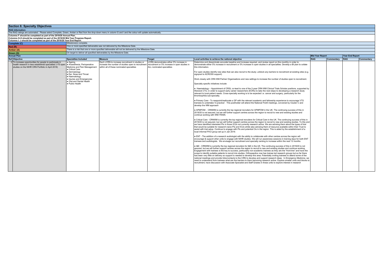| <b>Section 6: Specialty Objectives</b> |  |  |  |  |  |
|----------------------------------------|--|--|--|--|--|
|----------------------------------------|--|--|--|--|--|

**Section 6: Specialty Objectives**<br>**RAG Information:**<br>The RAG ratings are automated. Please select Complete, Green, Amber or Red from the drop-down menu in column G and I and the colour will update automatically.

Columns F should be completed as part of the 2019/20 Annual Plan.<br>Columns G-H should be completed as part of the 2019/20 Mid Year Progress Report.<br>Columns I- J should be completed as part of the 2019/20 Year End Report.

|              | columns i- o should be completed as part of the 2013/20 Team End Report.                            |  |  |  |  |
|--------------|-----------------------------------------------------------------------------------------------------|--|--|--|--|
| Complete (C) | Milestone(s) complete                                                                               |  |  |  |  |
| Red (R)      | One or more specified deliverable was not delivered by the Milestone Date.                          |  |  |  |  |
| Amber (A)    | There is a risk that one or more specified deliverable will not be delivered by the Milestone Date. |  |  |  |  |
| Green (G)    | On target to deliver all specified deliverables by the Milestone Date.                              |  |  |  |  |

| <b>Annual Plan</b>                                                                                                                                                                                                                                                                                                                                                                                                                               |                                                                                                                                                    |                                                                                                                       |                                                                                                                                                                                                                                                                                                                                                                                                                                                                                                                                                                                                                                                                                                                                                                                                                                                                                                                                                                                                                                                                                                                                                                                                                                                                                                                                                                                                                                                                                                                                                                                                                                                                                                                                                                                                                                                                                                                                                                                                                                                                                                                                                                                                                                                                                                                                                                                                                                                                                                                                                                                                                                                                                                                                                                                                                                                                                                                                                                                                                                                                                                                                                                                                                                                                                                                                                                                                                                                                                                                                                                                                                                                                                                                                                                        | Mid Year Report |            | Year End Report |            |
|--------------------------------------------------------------------------------------------------------------------------------------------------------------------------------------------------------------------------------------------------------------------------------------------------------------------------------------------------------------------------------------------------------------------------------------------------|----------------------------------------------------------------------------------------------------------------------------------------------------|-----------------------------------------------------------------------------------------------------------------------|------------------------------------------------------------------------------------------------------------------------------------------------------------------------------------------------------------------------------------------------------------------------------------------------------------------------------------------------------------------------------------------------------------------------------------------------------------------------------------------------------------------------------------------------------------------------------------------------------------------------------------------------------------------------------------------------------------------------------------------------------------------------------------------------------------------------------------------------------------------------------------------------------------------------------------------------------------------------------------------------------------------------------------------------------------------------------------------------------------------------------------------------------------------------------------------------------------------------------------------------------------------------------------------------------------------------------------------------------------------------------------------------------------------------------------------------------------------------------------------------------------------------------------------------------------------------------------------------------------------------------------------------------------------------------------------------------------------------------------------------------------------------------------------------------------------------------------------------------------------------------------------------------------------------------------------------------------------------------------------------------------------------------------------------------------------------------------------------------------------------------------------------------------------------------------------------------------------------------------------------------------------------------------------------------------------------------------------------------------------------------------------------------------------------------------------------------------------------------------------------------------------------------------------------------------------------------------------------------------------------------------------------------------------------------------------------------------------------------------------------------------------------------------------------------------------------------------------------------------------------------------------------------------------------------------------------------------------------------------------------------------------------------------------------------------------------------------------------------------------------------------------------------------------------------------------------------------------------------------------------------------------------------------------------------------------------------------------------------------------------------------------------------------------------------------------------------------------------------------------------------------------------------------------------------------------------------------------------------------------------------------------------------------------------------------------------------------------------------------------------------------------------|-----------------|------------|-----------------|------------|
| Specialties Included                                                                                                                                                                                                                                                                                                                                                                                                                             | Measure                                                                                                                                            | <b>Target</b>                                                                                                         | Local activities to achieve the national objective                                                                                                                                                                                                                                                                                                                                                                                                                                                                                                                                                                                                                                                                                                                                                                                                                                                                                                                                                                                                                                                                                                                                                                                                                                                                                                                                                                                                                                                                                                                                                                                                                                                                                                                                                                                                                                                                                                                                                                                                                                                                                                                                                                                                                                                                                                                                                                                                                                                                                                                                                                                                                                                                                                                                                                                                                                                                                                                                                                                                                                                                                                                                                                                                                                                                                                                                                                                                                                                                                                                                                                                                                                                                                                                     | RAG             | Commentary | RAG             | Commentary |
| Ref Objective<br>2 To increase opportunities for people to participate in<br>$\bullet$ Ageing<br>health research in less established specialties (<70 open $\bullet$ Anaesthesia. Perioperative<br>studies on the NIHR CRN Portfolio in April 2018)<br>Medicine and Pain Management<br>Critical Care<br>Dermatology<br>Ear. Nose and Throat<br>e Haematology<br>I • Injuries and Emergencies<br>Oral and Dental Health<br><b>•</b> Public Health | Each LCRN to increase recruitment in studies or<br>increase the number of studies open to recruitment<br>within all of these nominated specialties | LCRN demonstrates either 5% increase in<br>recruitment or 5% increase in open studies in<br>ALL nominated specialties | Determine and disseminate accurate baseline and increase required, and review report on this monthly in order to<br>demonstrate either 5% increase in recruitment or 5% increase in open studies in all specialties. Develop a BI plan to collate<br>this information.<br>For open studies identify new sites that can also recruit to the study; unblock any barriers to recruitment at existing sites (e.g.<br>signpost to ACROSS support)<br>Work closely with CRN WM Partner Organisations and new settings to increase the number of studies open to recruitment.<br>Specialty specific initiatives include:<br>• Haematology - Appointment of CRSL co-lead to one of the 2-year CRN WM Clinical Trials Scholar positions, supported by<br>Warwick CTU, in order to support early career researchers (ECRs) to take the next steps to developing a research study<br>relevant to local patient needs. Cross-specialty working is to be expected i.e. cancer and surgery, particularly for the<br>thrombophilia sub-specialty.<br>. Primary Care - To reappoint/reallocate a GP with the relevant academic and fellowship experience to encourage VTS<br>trainees to undertake 'in-practice'. This postholder will attend the National First5 meetings, convened by Cluster C and<br>develop the WM approach<br>• APMPOM - CRNWM is currently the top regional recruiters for APMPOM in the UK. The continuing success of this in<br>2019/20 is not assured, but we will further support centres across the region to recruit to new and existing studies and<br>continue working with WM-TRAIN.<br>. Critical Care - CRNWM is currently the top regional recruiters for Critical Care in the UK. The continuing success of this in<br>2019/20 is not assured, but we will further support centres across the region to recruit to new and existing studies. To this end<br>we have identified interested PIs in those ICUs not currently research active. We are advising them about the types of trial<br>that would be suitable for research-naive PIs and ICUs whilst also advising them of resource available within their Trust to<br>assist with trial setup. Continue to engage with PIs and potential CIs in the region. This is aided by the establishment of a<br>local informal PI/CI group set up in Jan 2019.<br>. ENT - The addition of a research audiologist with the ability to collaborate with other centres across the region will<br>encourage & support other units to engage with NIHR studies. We will run awareness sessions in training days for both ENT<br>trainees and audiologists. We envisage our recruitment and specialty ranking to increase within the next 12 months<br>• I&E - CRNWM is currenity the top regional recruiters for I&E in the UK. The continuing success of this in 2019/20 is not<br>assured, but we will further support centres across the region to recruit to new and existing studies and continue working.<br>Engagement with trainees is the key to success, particularly non-academic trainees as they are the "front-line" and have the<br>scope to identify suitable patients to recruit into studies. Orthopaedics now has trainee led research groups but so far there<br>has been very little on delivery so support is needed to develop this area. Potentially inviting trainees to attend some of the<br>national meetings and provide links/contacts to the CRN to develop and support research ideas. In Emergency Medicine, we<br>need to understand from trainees what are the barriers to them becoming research active. Explore smaller units and blocks to<br>recruitment, have discussion with Associate Specialist and Staff Grades in these units to explore interest in research |                 |            |                 |            |
|                                                                                                                                                                                                                                                                                                                                                                                                                                                  |                                                                                                                                                    |                                                                                                                       |                                                                                                                                                                                                                                                                                                                                                                                                                                                                                                                                                                                                                                                                                                                                                                                                                                                                                                                                                                                                                                                                                                                                                                                                                                                                                                                                                                                                                                                                                                                                                                                                                                                                                                                                                                                                                                                                                                                                                                                                                                                                                                                                                                                                                                                                                                                                                                                                                                                                                                                                                                                                                                                                                                                                                                                                                                                                                                                                                                                                                                                                                                                                                                                                                                                                                                                                                                                                                                                                                                                                                                                                                                                                                                                                                                        |                 |            |                 |            |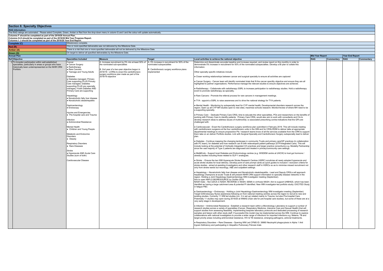| <b>Section 6: Specialty Objectives</b>                                                                                                                                                                                            |                                                                                         |                                                                                                                                                                                    |                                                                       |                                                                                                                                                                                                                                                                                                                                                                                                                                                                                                                                                                                                                                                                                                                                                                                     |                        |            |                        |            |
|-----------------------------------------------------------------------------------------------------------------------------------------------------------------------------------------------------------------------------------|-----------------------------------------------------------------------------------------|------------------------------------------------------------------------------------------------------------------------------------------------------------------------------------|-----------------------------------------------------------------------|-------------------------------------------------------------------------------------------------------------------------------------------------------------------------------------------------------------------------------------------------------------------------------------------------------------------------------------------------------------------------------------------------------------------------------------------------------------------------------------------------------------------------------------------------------------------------------------------------------------------------------------------------------------------------------------------------------------------------------------------------------------------------------------|------------------------|------------|------------------------|------------|
| <b>RAG Information:</b>                                                                                                                                                                                                           |                                                                                         |                                                                                                                                                                                    |                                                                       |                                                                                                                                                                                                                                                                                                                                                                                                                                                                                                                                                                                                                                                                                                                                                                                     |                        |            |                        |            |
| The RAG ratings are automated. Please select Complete, Green, Amber or Red from the drop-down menu in column G and I and the colour will update automatically.                                                                    |                                                                                         |                                                                                                                                                                                    |                                                                       |                                                                                                                                                                                                                                                                                                                                                                                                                                                                                                                                                                                                                                                                                                                                                                                     |                        |            |                        |            |
| Columns F should be completed as part of the 2019/20 Annual Plan.<br>Columns G-H should be completed as part of the 2019/20 Mid Year Progress Report.<br>Columns I- J should be completed as part of the 2019/20 Year End Report. |                                                                                         |                                                                                                                                                                                    |                                                                       |                                                                                                                                                                                                                                                                                                                                                                                                                                                                                                                                                                                                                                                                                                                                                                                     |                        |            |                        |            |
| Complete (C)                                                                                                                                                                                                                      | Milestone(s) complete.                                                                  |                                                                                                                                                                                    |                                                                       |                                                                                                                                                                                                                                                                                                                                                                                                                                                                                                                                                                                                                                                                                                                                                                                     |                        |            |                        |            |
| Red(R)                                                                                                                                                                                                                            |                                                                                         | One or more specified deliverable was not delivered by the Milestone Date.                                                                                                         |                                                                       |                                                                                                                                                                                                                                                                                                                                                                                                                                                                                                                                                                                                                                                                                                                                                                                     |                        |            |                        |            |
| Amber (A)                                                                                                                                                                                                                         |                                                                                         | There is a risk that one or more specified deliverable will not be delivered by the Milestone Date.                                                                                |                                                                       |                                                                                                                                                                                                                                                                                                                                                                                                                                                                                                                                                                                                                                                                                                                                                                                     |                        |            |                        |            |
| Green (G)                                                                                                                                                                                                                         | On target to deliver all specified deliverables by the Milestone Date.                  |                                                                                                                                                                                    |                                                                       |                                                                                                                                                                                                                                                                                                                                                                                                                                                                                                                                                                                                                                                                                                                                                                                     |                        |            |                        |            |
| <b>Annual Plan</b>                                                                                                                                                                                                                |                                                                                         |                                                                                                                                                                                    |                                                                       |                                                                                                                                                                                                                                                                                                                                                                                                                                                                                                                                                                                                                                                                                                                                                                                     | <b>Mid Year Report</b> |            | <b>Year End Report</b> |            |
| <b>Ref</b> Objective                                                                                                                                                                                                              | <b>Specialties Included</b>                                                             | Measure                                                                                                                                                                            | <b>Target</b>                                                         | Local activities to achieve the national objective                                                                                                                                                                                                                                                                                                                                                                                                                                                                                                                                                                                                                                                                                                                                  | <b>RAG</b>             | Commentary | <b>RAG</b>             | Commentary |
| 3 To broaden participation within well-established<br>specialties, particularly in areas or groups who have<br>historically been underrepresented on the NIHR CRN<br>Portfolio                                                    | Cancer<br>• Cancer Surgery<br>• Radiotherapy<br>· Rare Cancers                          | A. Increase recruitment by 5% into at least 50% of   A. 5% increase in recruitment for 50% of the<br>the nominated sub-specialties<br>B. 2nd year of a two-year objective begun in | nominated subspecialties<br>B. Cardiothoracic surgery workforce plans | Determine and disseminate accurate baseline and increase required, and review report on this monthly in order to<br>demonstrate 5% increase in recruitment for 50% of the nominated subspecialties. Develop a BI plan to collate this<br>information.                                                                                                                                                                                                                                                                                                                                                                                                                                                                                                                               |                        |            |                        |            |
|                                                                                                                                                                                                                                   | • Teenage and Young Adults                                                              | 2018/19: LCRNs to enact the cardiothoracic<br>surgery workforce plan made as part of the                                                                                           | implemented                                                           | Other specialty specific initiatives include:                                                                                                                                                                                                                                                                                                                                                                                                                                                                                                                                                                                                                                                                                                                                       |                        |            |                        |            |
|                                                                                                                                                                                                                                   | Diabetes<br>· Diabetes managed, Primary                                                 | 2018/19 objective                                                                                                                                                                  |                                                                       | . Closer working relationships between cancer and surgical specialty to ensure all activities are captured                                                                                                                                                                                                                                                                                                                                                                                                                                                                                                                                                                                                                                                                          |                        |            |                        |            |
|                                                                                                                                                                                                                                   | Care supporting PLUS Primary<br>Care managed, Diabetes<br>supporting PLUS any specialty |                                                                                                                                                                                    |                                                                       | • Cancer Surgery - Cancer team will identify nominated trials that fit the cancer specility objective and ensure they are all<br>highlighted to partner organisations. Performance manage the relevant studies to ensure objectives are achieved.                                                                                                                                                                                                                                                                                                                                                                                                                                                                                                                                   |                        |            |                        |            |
|                                                                                                                                                                                                                                   | managed, if both Diabetes AND<br>Primary Care are supporting                            |                                                                                                                                                                                    |                                                                       | • Radiotherapy - Collaborate with radiotherapy SSRL to increase participation to radiotherapy studies. Hold a radiotherapy<br>event to promote radiotherapy as speciality.                                                                                                                                                                                                                                                                                                                                                                                                                                                                                                                                                                                                          |                        |            |                        |            |
|                                                                                                                                                                                                                                   | Hepatology<br>. Nonalcoholic fatty liver disease                                        |                                                                                                                                                                                    |                                                                       | . Rare Cancers - Promote the referral process for rare cancers in management meetings                                                                                                                                                                                                                                                                                                                                                                                                                                                                                                                                                                                                                                                                                               |                        |            |                        |            |
|                                                                                                                                                                                                                                   | • Nonalcoholic steatohepatitis                                                          |                                                                                                                                                                                    |                                                                       | . TYA - appoint a SSRL to raise awareness and to drive the national strategy for TYA patients.                                                                                                                                                                                                                                                                                                                                                                                                                                                                                                                                                                                                                                                                                      |                        |            |                        |            |
|                                                                                                                                                                                                                                   | Gastroenterology<br>· Endoscopy<br>Injuries and Emergencies                             |                                                                                                                                                                                    |                                                                       | . Mental Health - Monitoring by subspecialty lead for CYP mental health; Developmental disorders research across the<br>region; Open up all CYP MH studies open to new sites; maximise schools research; Monitor/review of where MH need to be<br>a supporting specialty.                                                                                                                                                                                                                                                                                                                                                                                                                                                                                                           |                        |            |                        |            |
|                                                                                                                                                                                                                                   | · Pre-hospital care and Trauma<br>Infection<br>· Antimicrobial Resistance               |                                                                                                                                                                                    |                                                                       | . Primary Care - Dedicate Primary Care CRSL time to educate the other specialities, POs and researchers on the benefits of<br>working with Primary Care to identify patients. Primary Care CRSL would also aim to work with consultants and CIs to<br>develop research ideas to address issues of multimorbity i.e associated prescribing contra-indications that the GPs are<br>challenged with.                                                                                                                                                                                                                                                                                                                                                                                   |                        |            |                        |            |
|                                                                                                                                                                                                                                   | Mental Health<br>• Children and Young People<br>Metabolic and Endocrine<br>Disorders    |                                                                                                                                                                                    |                                                                       | Cardiovascular - Enact the Cardiothoracic surgery workforce plan submitted in February 2019. This will include meeting<br>with cardiothoracic surgeons at the four cardiothoracic units in the WM and for CRSL/RDM to deliver talks at appropriate<br>departmental meetings to ensure propsective PIs / research teams know of all the services available from the CRN to support<br>them take on an deliver Portfolio studies. Link with Surgical Specialty and Cardiothoracic Surgery subspecialty lead to deliver<br>I nlan                                                                                                                                                                                                                                                      |                        |            |                        |            |
|                                                                                                                                                                                                                                   | • Obesity<br><b>Respiratory Disorders</b><br>• Rare Diseases                            |                                                                                                                                                                                    |                                                                       | . Diabetes - Continue mapping the changing landscape in community Trusts and primary care/GP practices (in collaboration<br>with PC team), for diabetes and how research can fit with redeveloped patient pathways (STP/Integtrated Care). This will<br>include looking at the potential of Vertically Integrated (VI) practices and larger practice consortiums e.g. Modality Partnership<br>since the vast majority of Type 2 patients are diagnosed and treated in primary/community care settings.                                                                                                                                                                                                                                                                              |                        |            |                        |            |
|                                                                                                                                                                                                                                   | Stroke<br>. Hyperacute AND Acute Care<br>Studies (sum of both)                          |                                                                                                                                                                                    |                                                                       | . Met&Endo - Support local Diabetes and Endocrinology centres (e.g. WISDEM centre at UHCW) to host gut hormone /<br>obesity studies including those related to GLP-1 analogues.                                                                                                                                                                                                                                                                                                                                                                                                                                                                                                                                                                                                     |                        |            |                        |            |
|                                                                                                                                                                                                                                   | Cardiovascular Disease                                                                  |                                                                                                                                                                                    |                                                                       | . Stroke - Ensure the two WM Hyperacute Stroke Research Centres (HSRC) scrutinise all newly adopted hyperacute and<br>acute stroke studies for local delivery. Develop point of care prompt cards as quick guides to inclusion / exclusion criteria for<br>stroke studies - aimed at assisting Investigators and other research staff in HSRCs so as to minimise missed recruitment not<br>only from stroke wards but neurology, A&E and outpatient settings.                                                                                                                                                                                                                                                                                                                       |                        |            |                        |            |
|                                                                                                                                                                                                                                   |                                                                                         |                                                                                                                                                                                    |                                                                       | . Hepatology ~ Nonalcoholic fatty liver disease and Nonalcoholic steatohepatitis - Lead and Deputy CRSLs will approach<br>hepatology champions at acute Trusts & will present NIHR CRN support information to specialty disease networks in the<br>region. Holding a Joint Hepatology-Gastroenterology WM investigator meeting (September).<br>Aim to open NAFLD BIORESOURCE by Oct/No 2019<br>NASH trials: - Nor-UDCA in NASH; REVERSE in NASH; SEMA in cirrhosis NASH. Aim to support UHBHGS, which has been<br>identifed as having a large catchment area & potential PI identified. New WM investigator-led portfolio studiy: EXCITED Study<br>in fatigue PBC                                                                                                                   |                        |            |                        |            |
|                                                                                                                                                                                                                                   |                                                                                         |                                                                                                                                                                                    |                                                                       | • Gastroenterology ~ Endoscopy - Holding a Joint Hepatology-Gastroenterology WM investigator meeting (September).<br>Target GI/Endoscopy Nurse awareness following on from national meeting centres across the region to recruit to new and<br>existing studies. Currenlty 11 WM led studies (inc. 3 in set up) related mainly to Trauma, but also Pre-hospital Care.<br>Potentially 11 studies may open during 2019/20 at WMAS (main site for pre-hospital care studies), but some of these are at a<br>very early stage in developement.                                                                                                                                                                                                                                          |                        |            |                        |            |
|                                                                                                                                                                                                                                   |                                                                                         |                                                                                                                                                                                    |                                                                       | • Infection ~ Antimicrobial Resistance - Establish a research team within a Microbiology Laboratory to support a number of<br>research studies across a variety of specialties (Cancer, Respiratory Medicine, Intensive Care and Sexual Health) that will<br>support studies from assessing feasibility, implementing bespoke laboratory protocols and dedicated processing of research<br>samples and liaison with other study staff. If successful this model may be implemented across the WM. Continue to explore<br>collaborations with national investigators to provide a wider range of infections for imported infections e.g. Malaria. TB and<br>target priority areas including antimicrobial resistance, HIV & TB resistance, emerging pathogens, antiviral treatments. |                        |            |                        |            |
|                                                                                                                                                                                                                                   |                                                                                         |                                                                                                                                                                                    |                                                                       | . Respiratory Disorders ~ Rare Diseases - Opening WM Led CPMS ID: 39960 Neutrophil phagocytosis in Alpha 1 Anti<br>trypsin Deficiency and participating in Idiopathic Pulmonary Fibrosis trials                                                                                                                                                                                                                                                                                                                                                                                                                                                                                                                                                                                     |                        |            |                        |            |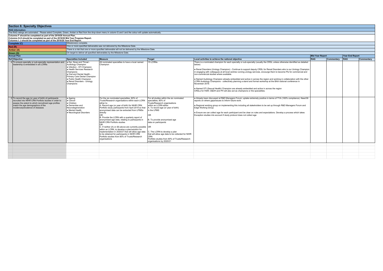| <b>Section 6: Specialty Objectives</b>                                                                                                                                                                                                        |                                                                                                                                                                                                                                                     |                                                                                                                                                                                                                                                                                                                                                                                                                                                                                                                                                                                                                                                                                                                                  |                                                                                                                                                                                                                                                                                                                                                                                                                          |                                                                                                                                                                                                                                                                                                                                                                                                                                                                                                                                                                                                                                                                                                                                                                                                                                                                                   |                        |            |                 |            |
|-----------------------------------------------------------------------------------------------------------------------------------------------------------------------------------------------------------------------------------------------|-----------------------------------------------------------------------------------------------------------------------------------------------------------------------------------------------------------------------------------------------------|----------------------------------------------------------------------------------------------------------------------------------------------------------------------------------------------------------------------------------------------------------------------------------------------------------------------------------------------------------------------------------------------------------------------------------------------------------------------------------------------------------------------------------------------------------------------------------------------------------------------------------------------------------------------------------------------------------------------------------|--------------------------------------------------------------------------------------------------------------------------------------------------------------------------------------------------------------------------------------------------------------------------------------------------------------------------------------------------------------------------------------------------------------------------|-----------------------------------------------------------------------------------------------------------------------------------------------------------------------------------------------------------------------------------------------------------------------------------------------------------------------------------------------------------------------------------------------------------------------------------------------------------------------------------------------------------------------------------------------------------------------------------------------------------------------------------------------------------------------------------------------------------------------------------------------------------------------------------------------------------------------------------------------------------------------------------|------------------------|------------|-----------------|------------|
| <b>RAG Information:</b>                                                                                                                                                                                                                       |                                                                                                                                                                                                                                                     |                                                                                                                                                                                                                                                                                                                                                                                                                                                                                                                                                                                                                                                                                                                                  |                                                                                                                                                                                                                                                                                                                                                                                                                          |                                                                                                                                                                                                                                                                                                                                                                                                                                                                                                                                                                                                                                                                                                                                                                                                                                                                                   |                        |            |                 |            |
| The RAG ratings are automated. Please select Complete, Green, Amber or Red from the drop-down menu in column G and I and the colour will update automatically.                                                                                |                                                                                                                                                                                                                                                     |                                                                                                                                                                                                                                                                                                                                                                                                                                                                                                                                                                                                                                                                                                                                  |                                                                                                                                                                                                                                                                                                                                                                                                                          |                                                                                                                                                                                                                                                                                                                                                                                                                                                                                                                                                                                                                                                                                                                                                                                                                                                                                   |                        |            |                 |            |
| Columns F should be completed as part of the 2019/20 Annual Plan.<br>Columns G-H should be completed as part of the 2019/20 Mid Year Progress Report.<br>Columns I- J should be completed as part of the 2019/20 Year End Report.             |                                                                                                                                                                                                                                                     |                                                                                                                                                                                                                                                                                                                                                                                                                                                                                                                                                                                                                                                                                                                                  |                                                                                                                                                                                                                                                                                                                                                                                                                          |                                                                                                                                                                                                                                                                                                                                                                                                                                                                                                                                                                                                                                                                                                                                                                                                                                                                                   |                        |            |                 |            |
| Complete (C)                                                                                                                                                                                                                                  | Milestone(s) complete                                                                                                                                                                                                                               |                                                                                                                                                                                                                                                                                                                                                                                                                                                                                                                                                                                                                                                                                                                                  |                                                                                                                                                                                                                                                                                                                                                                                                                          |                                                                                                                                                                                                                                                                                                                                                                                                                                                                                                                                                                                                                                                                                                                                                                                                                                                                                   |                        |            |                 |            |
| Red(R)                                                                                                                                                                                                                                        |                                                                                                                                                                                                                                                     | One or more specified deliverable was not delivered by the Milestone Date.                                                                                                                                                                                                                                                                                                                                                                                                                                                                                                                                                                                                                                                       |                                                                                                                                                                                                                                                                                                                                                                                                                          |                                                                                                                                                                                                                                                                                                                                                                                                                                                                                                                                                                                                                                                                                                                                                                                                                                                                                   |                        |            |                 |            |
| Amber (A)                                                                                                                                                                                                                                     |                                                                                                                                                                                                                                                     | There is a risk that one or more specified deliverable will not be delivered by the Milestone Date.                                                                                                                                                                                                                                                                                                                                                                                                                                                                                                                                                                                                                              |                                                                                                                                                                                                                                                                                                                                                                                                                          |                                                                                                                                                                                                                                                                                                                                                                                                                                                                                                                                                                                                                                                                                                                                                                                                                                                                                   |                        |            |                 |            |
| Green (G)                                                                                                                                                                                                                                     | On target to deliver all specified deliverables by the Milestone Date.                                                                                                                                                                              |                                                                                                                                                                                                                                                                                                                                                                                                                                                                                                                                                                                                                                                                                                                                  |                                                                                                                                                                                                                                                                                                                                                                                                                          |                                                                                                                                                                                                                                                                                                                                                                                                                                                                                                                                                                                                                                                                                                                                                                                                                                                                                   |                        |            |                 |            |
| <b>Annual Plan</b>                                                                                                                                                                                                                            |                                                                                                                                                                                                                                                     |                                                                                                                                                                                                                                                                                                                                                                                                                                                                                                                                                                                                                                                                                                                                  |                                                                                                                                                                                                                                                                                                                                                                                                                          |                                                                                                                                                                                                                                                                                                                                                                                                                                                                                                                                                                                                                                                                                                                                                                                                                                                                                   | <b>Mid Year Report</b> |            | Year End Report |            |
| Ref Objective                                                                                                                                                                                                                                 | <b>Specialties Included</b>                                                                                                                                                                                                                         | <b>Measure</b>                                                                                                                                                                                                                                                                                                                                                                                                                                                                                                                                                                                                                                                                                                                   | Target                                                                                                                                                                                                                                                                                                                                                                                                                   | Local activities to achieve the national objective                                                                                                                                                                                                                                                                                                                                                                                                                                                                                                                                                                                                                                                                                                                                                                                                                                | RAG                    | Commentary | RAG             | Commentary |
| 4 To ensure specialty or sub-specialty representation and<br>leadership is embedded in all LCRNs                                                                                                                                              | Ear. Nose and Throat<br>Audiology Champion<br>. Infection - STI Champion<br>Health Services Research<br>Champions<br>Oral and Dental Health -<br>Primary Care Dental Champion<br>. Public Health Champion<br>Renal Disorders - Urology<br>Champions | All nominated specialties to have a local named<br>Champion                                                                                                                                                                                                                                                                                                                                                                                                                                                                                                                                                                                                                                                                      | 15 LCRNs                                                                                                                                                                                                                                                                                                                                                                                                                 | There is a nominated champion for each specialty or sub-specialty (usually the CRSL unless otherwise identified as detailed<br>below)<br>. Renal Disorders (Urology Champion) - Continue to support deputy CRSL for Renal Disorders who is our Urology Champion<br>in engaging with colleagues at all local centres running urology services, encourge them to become PIs for commercial and<br>non-commercial studies where available.<br>• Named Audiology Champion already embedded and active in across the region and working in collaboration with the other<br>LCRN Audiology Champions - collectively planning a stand and formal workshop at the BAA national conference in<br>November 2019.<br>. Named STI (Sexual Health) Champion are already embedded and active in across the region<br>CRSLs for HSR; O&DH and PH will also act as champions or the specialities. |                        |            |                 |            |
| To record the age (or year of birth) of participants<br>recruited into NIHR CRN Portfolio studies in order to<br>assess the extent to which recruitment age profiles<br>match the age demographics of the<br>incidence/prevalence of diseases | • Ageing<br>Cancer<br>Children<br>Dementias and<br>Neurodegeneration<br>• Mental Health<br>• Neurological Disorders                                                                                                                                 | For the six nominated specialties, 80% of<br>Trusts/Research organisations within each LCRN<br>either to:<br>A. Record age (or year of birth) for NIHR CRN<br>Portfolio study participants from April 2019 so that<br>anonymised data can be extracted from LPMSs<br>directly<br>0 <sub>R</sub><br>B. Provide the LCRN with a quarterly report of<br>anonymised age data, relating to participants in<br>NIHR CRN Portfolio studies<br>lor.<br>C. If neither (A) or (B) above are currently possible OR<br>within an LCRN, to develop a plan/solution for<br>implementation in 2020/21 that will allow age data<br>to be obtained for participants in NIHR CRN<br>Portfolio studies from 80% of Trusts/Research<br>organisations | For all studies within the six nominated<br>specialties, 80% of<br>Trusts/Research organisations<br>within an LCRN either:<br>A. To record age (or year of birth)<br>in the LPMS<br>0R<br>B. To provide anonymised age<br>data on participants<br>C. The LCRN to develop a plan<br>that will allow age data to be collected for NIHR<br>CRN<br>Portfolio studies from 80% of Trusts/Research<br>organisations by 2020/21 | . Already been discussed at R&D Managers Forum; uptake extremely positive in terms of TYA (100% compliance). Need BI<br>reports on where gaps/issues to inform future work.<br>e Regional working group on implementing this including all stakeholders to be set up through R&D Managers Forum and<br>Edae Workina Group<br>Ensure we can collect age for each participant and be clear on rules and expectations. Develop a process which takes<br>Exception studies into account if study protocol does not collect age                                                                                                                                                                                                                                                                                                                                                        |                        |            |                 |            |
|                                                                                                                                                                                                                                               |                                                                                                                                                                                                                                                     |                                                                                                                                                                                                                                                                                                                                                                                                                                                                                                                                                                                                                                                                                                                                  |                                                                                                                                                                                                                                                                                                                                                                                                                          |                                                                                                                                                                                                                                                                                                                                                                                                                                                                                                                                                                                                                                                                                                                                                                                                                                                                                   |                        |            |                 |            |
|                                                                                                                                                                                                                                               |                                                                                                                                                                                                                                                     |                                                                                                                                                                                                                                                                                                                                                                                                                                                                                                                                                                                                                                                                                                                                  |                                                                                                                                                                                                                                                                                                                                                                                                                          |                                                                                                                                                                                                                                                                                                                                                                                                                                                                                                                                                                                                                                                                                                                                                                                                                                                                                   |                        |            |                 |            |
|                                                                                                                                                                                                                                               |                                                                                                                                                                                                                                                     |                                                                                                                                                                                                                                                                                                                                                                                                                                                                                                                                                                                                                                                                                                                                  |                                                                                                                                                                                                                                                                                                                                                                                                                          |                                                                                                                                                                                                                                                                                                                                                                                                                                                                                                                                                                                                                                                                                                                                                                                                                                                                                   |                        |            |                 |            |
|                                                                                                                                                                                                                                               |                                                                                                                                                                                                                                                     |                                                                                                                                                                                                                                                                                                                                                                                                                                                                                                                                                                                                                                                                                                                                  |                                                                                                                                                                                                                                                                                                                                                                                                                          |                                                                                                                                                                                                                                                                                                                                                                                                                                                                                                                                                                                                                                                                                                                                                                                                                                                                                   |                        |            |                 |            |
|                                                                                                                                                                                                                                               |                                                                                                                                                                                                                                                     |                                                                                                                                                                                                                                                                                                                                                                                                                                                                                                                                                                                                                                                                                                                                  |                                                                                                                                                                                                                                                                                                                                                                                                                          |                                                                                                                                                                                                                                                                                                                                                                                                                                                                                                                                                                                                                                                                                                                                                                                                                                                                                   |                        |            |                 |            |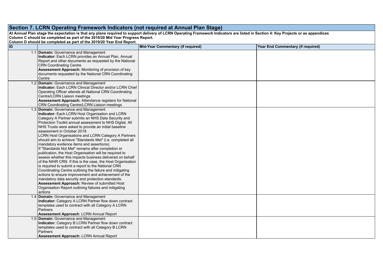| Section 7. LCRN Operating Framework Indicators (not required at Annual Plan Stage) |                                                                                                                                                                                                                                                                                                                                                                                                                                                                                                                                                                                                                                                                                                                                                                                                                                                                                                                                                                                                                                                                     |                                   |                                   |  |  |  |
|------------------------------------------------------------------------------------|---------------------------------------------------------------------------------------------------------------------------------------------------------------------------------------------------------------------------------------------------------------------------------------------------------------------------------------------------------------------------------------------------------------------------------------------------------------------------------------------------------------------------------------------------------------------------------------------------------------------------------------------------------------------------------------------------------------------------------------------------------------------------------------------------------------------------------------------------------------------------------------------------------------------------------------------------------------------------------------------------------------------------------------------------------------------|-----------------------------------|-----------------------------------|--|--|--|
|                                                                                    | At Annual Plan stage the expectation is that any plans required to support delivery of LCRN Operating Framework Indicators are listed in Section 4: Key Projects or as appendices<br>Column C should be completed as part of the 2019/20 Mid Year Progress Report.<br>Column D should be completed as part of the 2019/20 Year End Report.                                                                                                                                                                                                                                                                                                                                                                                                                                                                                                                                                                                                                                                                                                                          |                                   |                                   |  |  |  |
| ID                                                                                 |                                                                                                                                                                                                                                                                                                                                                                                                                                                                                                                                                                                                                                                                                                                                                                                                                                                                                                                                                                                                                                                                     | Mid-Year Commentary (if required) | Year End Commentary (if required) |  |  |  |
|                                                                                    | 1.1 Domain: Governance and Management<br>Indicator: Each LCRN provides an Annual Plan, Annual<br>Report and other documents as requested by the National<br><b>CRN Coordinating Centre</b><br>Assessment Approach: Monitoring of provision of key<br>documents requested by the National CRN Coordinating<br>Centre                                                                                                                                                                                                                                                                                                                                                                                                                                                                                                                                                                                                                                                                                                                                                 |                                   |                                   |  |  |  |
|                                                                                    | 1.2 Domain: Governance and Management<br>Indicator: Each LCRN Clinical Director and/or LCRN Chief<br>Operating Officer attends all National CRN Coordinating<br>Centre/LCRN Liaison meetings<br>Assessment Approach: Attendance registers for National<br>CRN Coordinating Centre/LCRN Liaison meetings                                                                                                                                                                                                                                                                                                                                                                                                                                                                                                                                                                                                                                                                                                                                                             |                                   |                                   |  |  |  |
|                                                                                    | 1.3 Domain: Governance and Management<br>Indicator: Each LCRN Host Organisation and LCRN<br>Category A Partner submits an NHS Data Security and<br>Protection Toolkit annual assessment to NHS Digital. All<br>NHS Trusts were asked to provide an initial baseline<br>assessment in October 2018.<br>LCRN Host Organisations and LCRN Category A Partners<br>should aim to achieve "Standards Met" (i.e. completed all<br>mandatory evidence items and assertions).<br>If "Standards Not Met" remains after completion or<br>publication, the Host Organisation will be required to<br>assess whether this impacts business delivered on behalf<br>of the NIHR CRN. If this is the case, the Host Organisation<br>is required to submit a report to the National CRN<br>Coordinating Centre outlining the failure and mitigating<br>actions to ensure improvement and achievement of the<br>mandatory data security and protection standards.<br>Assessment Approach: Review of submitted Host<br>Organisation Report outlining failures and mitigating<br>actions |                                   |                                   |  |  |  |
|                                                                                    | 1.4 Domain: Governance and Management<br>Indicator: Category A LCRN Partner flow down contract<br>templates used to contract with all Category A LCRN<br>Partners<br>Assessment Approach: LCRN Annual Report                                                                                                                                                                                                                                                                                                                                                                                                                                                                                                                                                                                                                                                                                                                                                                                                                                                        |                                   |                                   |  |  |  |
|                                                                                    | 1.5 Domain: Governance and Management<br>Indicator: Category B LCRN Partner flow down contract<br>templates used to contract with all Category B LCRN<br>Partners<br><b>Assessment Approach: LCRN Annual Report</b>                                                                                                                                                                                                                                                                                                                                                                                                                                                                                                                                                                                                                                                                                                                                                                                                                                                 |                                   |                                   |  |  |  |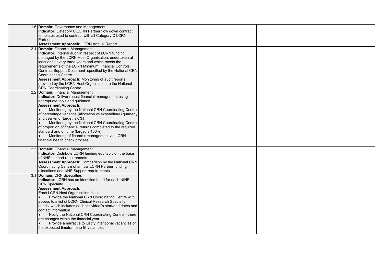| 1.6 Domain: Governance and Management<br>Indicator: Category C LCRN Partner flow down contract<br>templates used to contract with all Category C LCRN<br><b>Partners</b>                                                                                                                                                                                                                                                                                                                                                                                                    |                                                                    |  |
|-----------------------------------------------------------------------------------------------------------------------------------------------------------------------------------------------------------------------------------------------------------------------------------------------------------------------------------------------------------------------------------------------------------------------------------------------------------------------------------------------------------------------------------------------------------------------------|--------------------------------------------------------------------|--|
| 2.1 Domain: Financial Management<br>Indicator: Internal audit in respect of LCRN funding<br>managed by the LCRN Host Organisation, undertaken at<br>least once every three years and which meets the<br>requirements of the LCRN Minimum Financial Controls<br>Contract Support Document specified by the National CRN<br><b>Coordinating Centre</b><br>Assessment Approach: Monitoring of audit reports<br>provided by the LCRN Host Organisation to the National<br><b>CRN Coordinating Centre</b>                                                                        |                                                                    |  |
| 2.2 Domain: Financial Management<br>Indicator: Deliver robust financial management using<br>appropriate tools and guidance<br><b>Assessment Approach:</b><br>Monitoring by the National CRN Coordinating Centre<br>$\bullet$<br>of percentage variance (allocation vs expenditure) quarterly<br>and year-end (target is 0%)<br>Monitoring by the National CRN Coordinating Centre<br>of proportion of financial returns completed to the required<br>standard and on time (target is 100%)<br>Monitoring of financial management via LCRN<br>financial health check process |                                                                    |  |
| 2.3 Domain: Financial Management<br>Indicator: Distribute LCRN funding equitably on the basis<br>of NHS support requirements<br>Assessment Approach: Comparison by the National CRN<br>Coordinating Centre of annual LCRN Partner funding<br>allocations and NHS Support requirements                                                                                                                                                                                                                                                                                       |                                                                    |  |
| Indicator: LCRN has an identified Lead for each NIHR<br><b>CRN</b> Specialty<br><b>Assessment Approach:</b><br>Each LCRN Host Organisation shall:<br>Provide the National CRN Coordinating Centre with<br>access to a list of LCRN Clinical Research Specialty<br>Leads, which includes each individual's start/end dates and<br>contact information<br>Notify the National CRN Coordinating Centre if there<br>$\bullet$<br>are changes within the financial year<br>Provide a narrative to justify intentional vacancies or<br>the expected timeframe to fill vacancies   |                                                                    |  |
|                                                                                                                                                                                                                                                                                                                                                                                                                                                                                                                                                                             | Assessment Approach: LCRN Annual Report<br>Domain: CRN Specialties |  |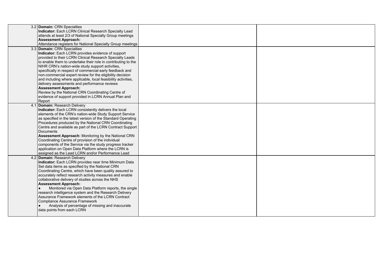| 3.2 Domain: CRN Specialties<br>Indicator: Each LCRN Clinical Research Specialty Lead<br>attends at least 2/3 of National Specialty Group meetings<br><b>Assessment Approach:</b>                                                                                                                                                                                                                                                                                                                                                                                                                                                                                  |  |
|-------------------------------------------------------------------------------------------------------------------------------------------------------------------------------------------------------------------------------------------------------------------------------------------------------------------------------------------------------------------------------------------------------------------------------------------------------------------------------------------------------------------------------------------------------------------------------------------------------------------------------------------------------------------|--|
| Attendance registers for National Specialty Group meetings                                                                                                                                                                                                                                                                                                                                                                                                                                                                                                                                                                                                        |  |
| 3.3 Domain: CRN Specialties<br>Indicator: Each LCRN provides evidence of support<br>provided to their LCRN Clinical Research Specialty Leads<br>to enable them to undertake their role in contributing to the<br>NIHR CRN's nation-wide study support activities,<br>specifically in respect of commercial early feedback and<br>non-commercial expert review for the eligibility decision<br>and including where applicable, local feasibility activities,<br>delivery assessments and performance reviews<br><b>Assessment Approach:</b><br>Review by the National CRN Coordinating Centre of<br>evidence of support provided in LCRN Annual Plan and<br>Report |  |
| 4.1 Domain: Research Delivery<br>Indicator: Each LCRN consistently delivers the local<br>elements of the CRN's nation-wide Study Support Service<br>as specified in the latest version of the Standard Operating<br>Procedures produced by the National CRN Coordinating<br>Centre and available as part of the LCRN Contract Support<br>Documents<br>Assessment Approach: Monitoring by the National CRN<br>Coordinating Centre of provision of the individual<br>components of the Service via the study progress tracker<br>application on Open Data Platform where the LCRN is<br>assigned as the Lead LCRN and/or Performance Lead                           |  |
| 4.2 Domain: Research Delivery<br>Indicator: Each LCRN provides near time Minimum Data<br>Set data items as specified by the National CRN<br>Coordinating Centre, which have been quality assured to<br>accurately reflect research activity measures and enable<br>collaborative delivery of studies across the NHS<br><b>Assessment Approach:</b><br>Monitored via Open Data Platform reports, the single<br>research intelligence system and the Research Delivery<br>Assurance Framework elements of the LCRN Contract<br>Compliance Assurance Framework<br>Analysis of percentage of missing and inaccurate<br>data points from each LCRN                     |  |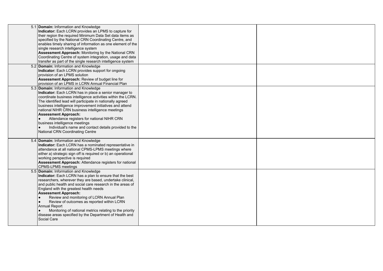| 5.1 Domain: Information and Knowledge<br>Indicator: Each LCRN provides an LPMS to capture for<br>their region the required Minimum Data Set data items as<br>specified by the National CRN Coordinating Centre, and<br>enables timely sharing of information as one element of the<br>single research intelligence system<br>Assessment Approach: Monitoring by the National CRN<br>Coordinating Centre of system integration, usage and data<br>transfer as part of the single research intelligence system<br>5.2 Domain: Information and Knowledge<br>Indicator: Each LCRN provides support for ongoing |  |
|------------------------------------------------------------------------------------------------------------------------------------------------------------------------------------------------------------------------------------------------------------------------------------------------------------------------------------------------------------------------------------------------------------------------------------------------------------------------------------------------------------------------------------------------------------------------------------------------------------|--|
| provision of an LPMS solution<br>Assessment Approach: Review of budget line for<br>provision of an LPMS in LCRN Annual Financial Plan                                                                                                                                                                                                                                                                                                                                                                                                                                                                      |  |
| 5.3 Domain: Information and Knowledge<br>Indicator: Each LCRN has in place a senior manager to<br>coordinate business intelligence activities within the LCRN.<br>The identified lead will participate in nationally agreed<br>business intelligence improvement initiatives and attend<br>national NIHR CRN business intelligence meetings<br><b>Assessment Approach:</b><br>Attendance registers for national NIHR CRN<br>business intelligence meetings<br>Individual's name and contact details provided to the<br>National CRN Coordinating Centre                                                    |  |
| 5.4 Domain: Information and Knowledge<br>Indicator: Each LCRN has a nominated representative in<br>attendance at all national CPMS-LPMS meetings where<br>either a) strategic sign off is required or b) an operational<br>working perspective is required<br>Assessment Approach: Attendance registers for national<br>CPMS-LPMS meetings                                                                                                                                                                                                                                                                 |  |
| 5.5 Domain: Information and Knowledge<br>Indicator: Each LCRN has a plan to ensure that the best<br>researchers, wherever they are based, undertake clinical,<br>and public health and social care research in the areas of<br>England with the greatest health needs<br><b>Assessment Approach:</b><br>Review and monitoring of LCRN Annual Plan<br>Review of outcomes as reported within LCRN<br>$\bullet$<br>Annual Report<br>Monitoring of national metrics relating to the priority<br>disease areas specified by the Department of Health and<br>Social Care                                         |  |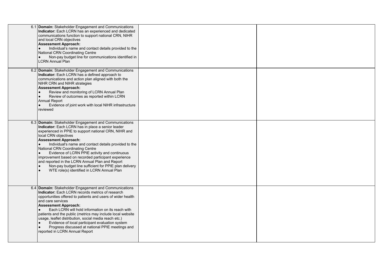| 6.1 Domain: Stakeholder Engagement and Communications<br>Indicator: Each LCRN has an experienced and dedicated<br>communications function to support national CRN, NIHR<br>and local CRN objectives<br><b>Assessment Approach:</b><br>Individual's name and contact details provided to the<br>National CRN Coordinating Centre<br>Non-pay budget line for communications identified in<br><b>LCRN Annual Plan</b>                                                                                                                                                                         |  |
|--------------------------------------------------------------------------------------------------------------------------------------------------------------------------------------------------------------------------------------------------------------------------------------------------------------------------------------------------------------------------------------------------------------------------------------------------------------------------------------------------------------------------------------------------------------------------------------------|--|
| 6.2 Domain: Stakeholder Engagement and Communications<br>Indicator: Each LCRN has a defined approach to<br>communications and action plan aligned with both the<br>NIHR CRN and NIHR strategies<br><b>Assessment Approach:</b><br>Review and monitoring of LCRN Annual Plan<br>Review of outcomes as reported within LCRN<br>Annual Report<br>Evidence of joint work with local NIHR infrastructure<br>reviewed                                                                                                                                                                            |  |
| 6.3 Domain: Stakeholder Engagement and Communications<br>Indicator: Each LCRN has in place a senior leader<br>experienced in PPIE to support national CRN, NIHR and<br>local CRN objectives<br><b>Assessment Approach:</b><br>Individual's name and contact details provided to the<br>National CRN Coordinating Centre<br>Evidence of LCRN PPIE activity and continuous<br>improvement based on recorded participant experience<br>and reported in the LCRN Annual Plan and Report<br>Non-pay budget line sufficient for PPIE plan delivery<br>WTE role(s) identified in LCRN Annual Plan |  |
| 6.4 Domain: Stakeholder Engagement and Communications<br><b>Indicator:</b> Each LCRN records metrics of research<br>opportunities offered to patients and users of wider health<br>and care services<br><b>Assessment Approach:</b><br>Each LCRN will hold information on its reach with<br>patients and the public (metrics may include local website<br>usage, leaflet distribution, social media reach etc.)<br>Evidence of local participant evaluation system<br>Progress discussed at national PPIE meetings and<br>reported in LCRN Annual Report                                   |  |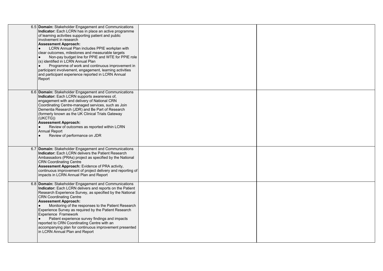| 6.5 Domain: Stakeholder Engagement and Communications<br>Indicator: Each LCRN has in place an active programme<br>of learning activities supporting patient and public<br>involvement in research<br><b>Assessment Approach:</b><br>LCRN Annual Plan includes PPIE workplan with<br>clear outcomes, milestones and measurable targets<br>Non-pay budget line for PPIE and WTE for PPIE role<br>(s) identified in LCRN Annual Plan<br>Programme of work and continuous improvement in<br>participant involvement, engagement, learning activities<br>and participant experience reported in LCRN Annual<br>Report |  |
|------------------------------------------------------------------------------------------------------------------------------------------------------------------------------------------------------------------------------------------------------------------------------------------------------------------------------------------------------------------------------------------------------------------------------------------------------------------------------------------------------------------------------------------------------------------------------------------------------------------|--|
| 6.6 Domain: Stakeholder Engagement and Communications<br>Indicator: Each LCRN supports awareness of,<br>engagement with and delivery of National CRN<br>Coordinating Centre-managed services, such as Join<br>Dementia Research (JDR) and Be Part of Research<br>(formerly known as the UK Clinical Trials Gateway<br>(UKCTG))<br><b>Assessment Approach:</b><br>Review of outcomes as reported within LCRN<br><b>Annual Report</b><br>Review of performance on JDR                                                                                                                                              |  |
| 6.7 Domain: Stakeholder Engagement and Communications<br>Indicator: Each LCRN delivers the Patient Research<br>Ambassadors (PRAs) project as specified by the National<br><b>CRN Coordinating Centre</b><br>Assessment Approach: Evidence of PRA activity,<br>continuous improvement of project delivery and reporting of<br>impacts in LCRN Annual Plan and Report                                                                                                                                                                                                                                              |  |
| 6.8 Domain: Stakeholder Engagement and Communications<br>Indicator: Each LCRN delivers and reports on the Patient<br>Research Experience Survey, as specified by the National<br><b>CRN Coordinating Centre</b><br><b>Assessment Approach:</b><br>Monitoring of the responses to the Patient Research<br>Experience Survey as required by the Patient Research<br>Experience Framework<br>Patient experience survey findings and impacts<br>reported to CRN Coordinating Centre with an<br>accompanying plan for continuous improvement presented<br>in LCRN Annual Plan and Report                              |  |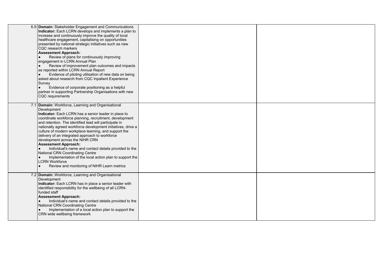| 6.9 Domain: Stakeholder Engagement and Communications<br>Indicator: Each LCRN develops and implements a plan to<br>increase and continuously improve the quality of local<br>healthcare engagement, capitalising on opportunities<br>presented by national strategic initiatives such as new<br>CQC research markers<br><b>Assessment Approach:</b><br>Review of plans for continuously improving<br>engagement in LCRN Annual Plan<br>Review of improvement plan outcomes and impacts<br>as reported within LCRN Annual Report<br>Evidence of piloting utilisation of new data on being<br>asked about research from CQC Inpatient Experience<br>Survey<br>Evidence of corporate positioning as a helpful<br>partner in supporting Partnership Organisations with new<br>CQC requirements |  |
|--------------------------------------------------------------------------------------------------------------------------------------------------------------------------------------------------------------------------------------------------------------------------------------------------------------------------------------------------------------------------------------------------------------------------------------------------------------------------------------------------------------------------------------------------------------------------------------------------------------------------------------------------------------------------------------------------------------------------------------------------------------------------------------------|--|
| 7.1 Domain: Workforce, Learning and Organisational<br>Development<br>Indicator: Each LCRN has a senior leader in place to<br>coordinate workforce planning, recruitment, development<br>and retention. The identified lead will participate in<br>nationally agreed workforce development initiatives, drive a<br>culture of modern workplace learning, and support the<br>delivery of an integrated approach to workforce<br>development across the NIHR CRN<br><b>Assessment Approach:</b><br>Individual's name and contact details provided to the<br>National CRN Coordinating Centre<br>Implementation of the local action plan to support the<br><b>LCRN</b> Workforce<br>Review and monitoring of NIHR Learn metrics                                                                |  |
| 7.2 Domain: Workforce, Learning and Organisational<br>Development<br>Indicator: Each LCRN has in place a senior leader with<br>identified responsibility for the wellbeing of all LCRN-<br>funded staff<br><b>Assessment Approach:</b><br>Individual's name and contact details provided to the<br>National CRN Coordinating Centre<br>Implementation of a local action plan to support the<br>CRN wide wellbeing framework                                                                                                                                                                                                                                                                                                                                                                |  |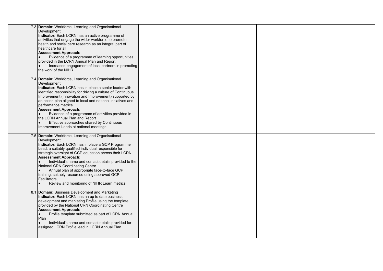| 7.3 Domain: Workforce, Learning and Organisational<br>Development<br>Indicator: Each LCRN has an active programme of<br>activities that engage the wider workforce to promote<br>health and social care research as an integral part of<br>healthcare for all<br><b>Assessment Approach:</b><br>Evidence of a programme of learning opportunities<br>provided in the LCRN Annual Plan and Report<br>Increased engagement of local partners in promoting<br>the work of the NIHR                                                                            |  |
|------------------------------------------------------------------------------------------------------------------------------------------------------------------------------------------------------------------------------------------------------------------------------------------------------------------------------------------------------------------------------------------------------------------------------------------------------------------------------------------------------------------------------------------------------------|--|
| 7.4 Domain: Workforce, Learning and Organisational<br>Development<br>Indicator: Each LCRN has in place a senior leader with<br>identified responsibility for driving a culture of Continuous<br>Improvement (Innovation and Improvement) supported by<br>an action plan aligned to local and national initiatives and<br>performance metrics<br><b>Assessment Approach:</b><br>Evidence of a programme of activities provided in<br>the LCRN Annual Plan and Report<br>Effective approaches shared by Continuous<br>Improvement Leads at national meetings |  |
| 7.5 Domain: Workforce, Learning and Organisational<br>Development<br>Indicator: Each LCRN has in place a GCP Programme<br>Lead, a suitably qualified individual responsible for<br>strategic oversight of GCP education across their LCRN<br><b>Assessment Approach:</b><br>Individual's name and contact details provided to the<br>National CRN Coordinating Centre<br>Annual plan of appropriate face-to-face GCP<br>training, suitably resourced using approved GCP<br>Facilitators<br>Review and monitoring of NIHR Learn metrics                     |  |
| 8.1 Domain: Business Development and Marketing<br>Indicator: Each LCRN has an up to date business<br>development and marketing Profile using the template<br>provided by the National CRN Coordinating Centre<br><b>Assessment Approach:</b><br>Profile template submitted as part of LCRN Annual<br>$\bullet$<br>Plan<br>Individual's name and contact details provided for<br>assigned LCRN Profile lead in LCRN Annual Plan                                                                                                                             |  |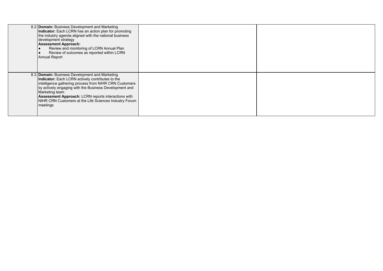| 8.2 Domain: Business Development and Marketing<br>Indicator: Each LCRN has an action plan for promoting<br>the industry agenda aligned with the national business<br>development strategy<br><b>Assessment Approach:</b><br>Review and monitoring of LCRN Annual Plan<br>Review of outcomes as reported within LCRN<br>Annual Report                                          |  |
|-------------------------------------------------------------------------------------------------------------------------------------------------------------------------------------------------------------------------------------------------------------------------------------------------------------------------------------------------------------------------------|--|
| 8.3 Domain: Business Development and Marketing<br>Indicator: Each LCRN actively contributes to the<br>intelligence gathering process from NIHR CRN Customers<br>by actively engaging with the Business Development and<br>Marketing team<br><b>Assessment Approach:</b> LCRN reports interactions with<br>NIHR CRN Customers at the Life Sciences Industry Forum<br> meetings |  |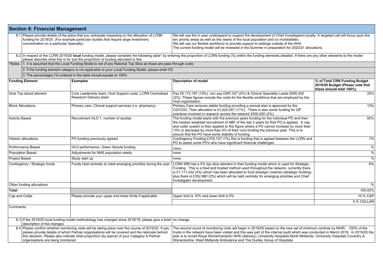|                                                                                                                                                                                                                                                                                                                                           | <b>Section 8: Financial Management</b>   |                                                                                                                                                                                        |                                                                                                                                                                                                                                                                                                                                                                                                                                                                           |                                                                                               |  |  |  |
|-------------------------------------------------------------------------------------------------------------------------------------------------------------------------------------------------------------------------------------------------------------------------------------------------------------------------------------------|------------------------------------------|----------------------------------------------------------------------------------------------------------------------------------------------------------------------------------------|---------------------------------------------------------------------------------------------------------------------------------------------------------------------------------------------------------------------------------------------------------------------------------------------------------------------------------------------------------------------------------------------------------------------------------------------------------------------------|-----------------------------------------------------------------------------------------------|--|--|--|
|                                                                                                                                                                                                                                                                                                                                           | concentration on a particular Specialty) | 8.1 Please provide details of the plans that you anticipate impacting on the allocation of LCRN<br>funding for 2019/20. (For example particular studies that require large investment, | We will use the in year underspend to support the development of Chief Investigators locally. A targeted call will focus upon the<br>ten priority areas as well as the needs of the local population and co morbididites.<br>We will use our flexible workforce to provide support to settings outside of the NHS.<br>The current funding model will be reviewed in the Summer in preparation for 2020/21 allocations.                                                    |                                                                                               |  |  |  |
|                                                                                                                                                                                                                                                                                                                                           |                                          | please describe what this is for and the proportion of funding allocated to this                                                                                                       | 8.2 In respect of the LCRN 2019/20 local funding model, please complete the following table* by entering the proportion of LCRN funding (%) within the funding elements detailed. If there are any other elements to the model                                                                                                                                                                                                                                            |                                                                                               |  |  |  |
| *Notes                                                                                                                                                                                                                                                                                                                                    |                                          | 1. It is assumed that the Local Funding Model is net of any National Top Slice as these are pass through costs                                                                         |                                                                                                                                                                                                                                                                                                                                                                                                                                                                           |                                                                                               |  |  |  |
|                                                                                                                                                                                                                                                                                                                                           |                                          | 2. If the funding element category is not applicable to your Local Funding Model, please enter 0%                                                                                      |                                                                                                                                                                                                                                                                                                                                                                                                                                                                           |                                                                                               |  |  |  |
|                                                                                                                                                                                                                                                                                                                                           |                                          | 3. The percentages (%) entered in the table should equate to 100%                                                                                                                      |                                                                                                                                                                                                                                                                                                                                                                                                                                                                           |                                                                                               |  |  |  |
|                                                                                                                                                                                                                                                                                                                                           | <b>Funding Element</b>                   | <b>Examples</b>                                                                                                                                                                        | <b>Description of model</b>                                                                                                                                                                                                                                                                                                                                                                                                                                               | % of Total CRN Funding Budget<br>2019/20 Budget (Please note that<br>these should total 100%) |  |  |  |
|                                                                                                                                                                                                                                                                                                                                           | Host Top sliced element                  | Core Leadership team, Host Support costs, LCRN Centralised<br>Research Delivery team                                                                                                   | Pay £5,172,187 (19%), non pay £897,027 (4%) & Clinical Speciality Leads £606.200<br>(2%). These figures include the costs for the flexible workforce that are employed by the<br>Host organisation.                                                                                                                                                                                                                                                                       | 25%                                                                                           |  |  |  |
| <b>Block Allocations</b>                                                                                                                                                                                                                                                                                                                  |                                          | Primary care, Clinical support services (i.e. pharmacy)                                                                                                                                | Primary Care recieves stable funding providing a annual plan is approved by the<br>CD/COO. Their allocation is £3,022,047 (11%). There is also some funding for GP<br>practices involved in research across the network £500,000 (2%)                                                                                                                                                                                                                                     | 13%                                                                                           |  |  |  |
| <b>Activity Based</b>                                                                                                                                                                                                                                                                                                                     |                                          | Recruitment HLO 1, number of studies                                                                                                                                                   | The funding model starts with the previous years funding for the individual PO and then<br>the median weighted recruitment of ABF of the last 3 years for that PO is applied. A cap<br>and collar system is then applied to this figure where a PO cannot increase by more than<br>10% or decrease by more than 5% of their core funding the previous year. This is to<br>ensure that the PO have some stability of funding.                                              | 55%                                                                                           |  |  |  |
|                                                                                                                                                                                                                                                                                                                                           | <b>Historic allocations</b>              | PO funding previously agreed                                                                                                                                                           | Contingency Funding £376,107 (1%) this is funding that is agreed between the LCRN and<br>PO to assist some PO's who have significant financial challenges.                                                                                                                                                                                                                                                                                                                | $1\%$                                                                                         |  |  |  |
|                                                                                                                                                                                                                                                                                                                                           | Performance Based                        | HLO performance, Green Shoots funding                                                                                                                                                  | none                                                                                                                                                                                                                                                                                                                                                                                                                                                                      | $\frac{9}{6}$                                                                                 |  |  |  |
|                                                                                                                                                                                                                                                                                                                                           | <b>Population Based</b>                  | Adjustments for NHS population needs                                                                                                                                                   | none                                                                                                                                                                                                                                                                                                                                                                                                                                                                      | $\frac{0}{6}$                                                                                 |  |  |  |
| <b>Project Based</b>                                                                                                                                                                                                                                                                                                                      |                                          | Study start up                                                                                                                                                                         | none                                                                                                                                                                                                                                                                                                                                                                                                                                                                      | $\frac{0}{6}$                                                                                 |  |  |  |
| Contingency / Strategic funds                                                                                                                                                                                                                                                                                                             |                                          | Funds held centrally to meet emerging priorities during the year                                                                                                                       | LCRN WM has a 5% top slice element in their funding model which is used for Strategic<br>Funding. This is a tried and trusted method used throughout the network, currently there<br>is £1,111,432 (4%) which has been allocated to fund strategic iniatives (strategic funding)<br>plus there is £352,960 (2%) which will be held centrally for emerging priorities and Chief<br>Investigator development                                                                | 6%                                                                                            |  |  |  |
|                                                                                                                                                                                                                                                                                                                                           | Other funding allocations                |                                                                                                                                                                                        |                                                                                                                                                                                                                                                                                                                                                                                                                                                                           | $\frac{0}{0}$                                                                                 |  |  |  |
| <b>Total</b>                                                                                                                                                                                                                                                                                                                              |                                          |                                                                                                                                                                                        |                                                                                                                                                                                                                                                                                                                                                                                                                                                                           | 100.00%                                                                                       |  |  |  |
| Cap and Collar                                                                                                                                                                                                                                                                                                                            |                                          | Please provide your upper and lower limits if applicable                                                                                                                               | Upper limit is 10% and lower limit is 5%                                                                                                                                                                                                                                                                                                                                                                                                                                  | 10 % CAP                                                                                      |  |  |  |
|                                                                                                                                                                                                                                                                                                                                           |                                          |                                                                                                                                                                                        |                                                                                                                                                                                                                                                                                                                                                                                                                                                                           | 5 % COLLAR                                                                                    |  |  |  |
| Comments                                                                                                                                                                                                                                                                                                                                  |                                          |                                                                                                                                                                                        |                                                                                                                                                                                                                                                                                                                                                                                                                                                                           |                                                                                               |  |  |  |
|                                                                                                                                                                                                                                                                                                                                           | description of the changes               | 8.3 If the 2019/20 local funding model methodology has changed since 2018/19, please give a brief no change                                                                            |                                                                                                                                                                                                                                                                                                                                                                                                                                                                           |                                                                                               |  |  |  |
| 8.4 Please confirm whether monitoring visits will be taking place over the course of 2019/20. If yes,<br>please provide details of which Partner organisations will be covered and the rationale behind<br>this decision. Please also indicate what proportion (by spend) of your Category A Partner<br>organisations are being monitored |                                          |                                                                                                                                                                                        | The second round of monitoring visits will begin in 2019/20 based on the new set of minimum controls by NIHR . 100% of the<br>trusts in the network have been visited and this was part of the internal audit which was conducted in March 2019. In 2019/20 the<br>plan is to revisit Royal Wolverhampton NHS (delivery), University Hospitals North Midlands, University Hospitals Coventry &<br>Warwickshire, West Midlands Ambulance and The Dudley Group of Hospitals |                                                                                               |  |  |  |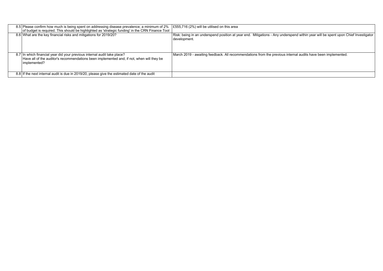| 8.5 Please confirm how much is being spent on addressing disease prevalence; a minimum of 2%<br>of budget is required. This should be highlighted as 'strategic funding' in the CRN Finance Tool | E555,716 (2%) will be utilised on this area                                                                                                       |
|--------------------------------------------------------------------------------------------------------------------------------------------------------------------------------------------------|---------------------------------------------------------------------------------------------------------------------------------------------------|
| 8.6 What are the key financial risks and mitigations for 2019/20?                                                                                                                                | Risk: being in an underspend position at year end. Mitigations - Any underspend within year will be spent upon Chief Investigator<br>development. |
| 8.7 In which financial year did your previous internal audit take place?<br>Have all of the auditor's recommendations been implemented and, if not, when will they be<br>implemented?            | March 2019 - awaiting feedback. All recommendations from the previous internal audits have been implemented.                                      |
| 8.8 If the next internal audit is due in 2019/20, please give the estimated date of the audit                                                                                                    |                                                                                                                                                   |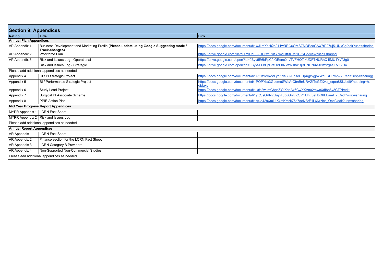| <b>Section 9: Appendices</b>      |                                                                                                            |                                                                                                           |
|-----------------------------------|------------------------------------------------------------------------------------------------------------|-----------------------------------------------------------------------------------------------------------|
| <b>Ref</b> no                     | <b>Title</b>                                                                                               | <b>Link</b>                                                                                               |
| <b>Annual Plan Appendices</b>     |                                                                                                            |                                                                                                           |
| AP Appendix 1                     | Business Development and Marketing Profile (Please update using Google Suggesting mode /<br>Track-changes) | https://docs.google.com/document/d/1XJkmXhHQp011wRRC6OMSZMDBc8GAX7rP27uj5lUNxCg/edit?usp=sharing          |
| AP Appendix 2                     | Workforce Plan                                                                                             | https://drive.google.com/file/d/1mlUdF8ZRP5wQxlt6PmdDtf3OMl1C5xBg/view?usp=sharing                        |
| AP Appendix 3                     | Risk and Issues Log - Operational                                                                          | https://drive.google.com/open?id=0Byv5E6bPpCfsOEdnc0hyTVFHQTIkUDFTNURhQ1IMU1YyT3g0                        |
|                                   | Risk and Issues Log - Strategic                                                                            | https://drive.google.com/open?id=0Byv5E6bPpCfsUVF0NlozR1hwRjBUNHNXeXNfY2q4ejRxZ2U4                        |
|                                   | Please add additional appendices as needed                                                                 |                                                                                                           |
| Appendix 4                        | CI / PI Strategic Project                                                                                  | https://docs.google.com/document/d/1Qt6lzRx62VLypKdsSC-EgseUDpXgWgpwWdFRDPmbkYE/edit?usp=sharing)         |
| Appendix 5                        | BI / Performance Strategic Project                                                                         | https://docs.google.com/document/d/1POPYbx3GLqmaSWsArCbnBnURAZITcGZXvqi_eqoa8SU/edit#heading=h.<br>qidqxs |
| Appendix 6                        | Study Lead Project                                                                                         | https://docs.google.com/document/d/1-0H2wkmGhgcZYkXqeAx6CwXXVn02mwcXdf8n8v8CTPI/edit                      |
| Appendix 7                        | Surgical PI Associate Scheme                                                                               | https://docs.google.com/document/d/1ytcSsOVNZUajnTJbuGryvfcSxYJJhL3eHbD6LEamHYE/edit?usp=sharing          |
| Appendix 8                        | <b>PPIE Action Plan</b>                                                                                    | https://docs.google.com/document/d/1g4ie42sXmLkKxmKrczk76s7gelvBrE1L6NrNcz_Opc0/edit?usp=sharing          |
|                                   | Mid Year Progress Report Appendices                                                                        |                                                                                                           |
| MYPR Appendix 1   LCRN Fact Sheet |                                                                                                            |                                                                                                           |
|                                   | MYPR Appendix 2   Risk and Issues Log                                                                      |                                                                                                           |
|                                   | Please add additional appendices as needed                                                                 |                                                                                                           |
| <b>Annual Report Appendices</b>   |                                                                                                            |                                                                                                           |
| AR Appendix 1                     | LCRN Fact Sheet                                                                                            |                                                                                                           |
| AR Appendix 2                     | Finance section for the LCRN Fact Sheet                                                                    |                                                                                                           |
| AR Appendix 3                     | <b>LCRN Category B Providers</b>                                                                           |                                                                                                           |
| AR Appendix 4                     | Non-Supported Non-Commercial Studies                                                                       |                                                                                                           |
|                                   | Please add additional appendices as needed                                                                 |                                                                                                           |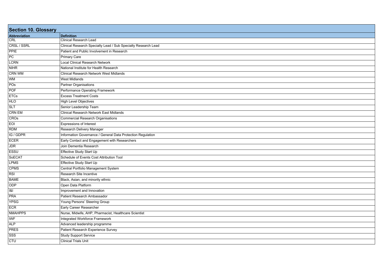| <b>Section 10. Glossary</b> |                                                                |
|-----------------------------|----------------------------------------------------------------|
| Abbreviation                | <b>Definition</b>                                              |
| <b>CRL</b>                  | <b>Clinical Research Lead</b>                                  |
| CRSL / SSRL                 | Clinical Research Specialty Lead / Sub Specialty Research Lead |
| PPIE                        | Patient and Public Involvement in Research                     |
| PC                          | <b>Primary Care</b>                                            |
| <b>LCRN</b>                 | <b>Local Clinical Research Network</b>                         |
| NIHR                        | National Institute for Health Research                         |
| <b>CRN WM</b>               | <b>Clinical Research Network West Midlands</b>                 |
| <b>WM</b>                   | <b>West Midlands</b>                                           |
| POS                         | Partner Organisations                                          |
| POF                         | Performance Operating Framework                                |
| <b>ETCs</b>                 | <b>Excess Treatment Costs</b>                                  |
| <b>HLO</b>                  | <b>High Level Objectives</b>                                   |
| <b>SLT</b>                  | Senior Leadership Team                                         |
| <b>CRN EM</b>               | <b>Clinical Research Network East Midlands</b>                 |
| CROS                        | <b>Commercial Research Organisations</b>                       |
| EOI                         | <b>Expressions of Interest</b>                                 |
| <b>RDM</b>                  | Research Delivery Manager                                      |
| IG / GDPR                   | Information Governance / General Data Protection Regulation    |
| ECER                        | Early Contact and Engagement with Researchers                  |
| <b>JDR</b>                  | Join Dementia Research                                         |
| <b>ESSU</b>                 | Effective Study Start Up                                       |
| SoECAT                      | Schedule of Events Cost Attribution Tool                       |
| <b>LPMS</b>                 | Effective Study Start Up                                       |
| <b>CPMS</b>                 | Central Portfolio Management System                            |
| RSI                         | Research Site Incentive                                        |
| <b>BAME</b>                 | Black, Asian, and minority ethnic                              |
| ODP                         | Open Data Platform                                             |
| 8                           | Improvement and Innovation                                     |
| PRA                         | Patient Research Ambassador                                    |
| <b>YPSG</b>                 | Young Persons' Steering Group                                  |
| <b>ECR</b>                  | Early Career Researcher                                        |
| <b>NMAHPPS</b>              | Nurse, Midwife, AHP, Pharmacist, Healthcare Scientist          |
| <b>IWF</b>                  | <b>Integrated Workforce Framework</b>                          |
| ALP                         | Advanced leadership programme                                  |
| <b>PRES</b>                 | Patient Research Experience Survey                             |
| SSS                         | <b>Study Support Service</b>                                   |
| <b>CTU</b>                  | <b>Clinical Trials Unit</b>                                    |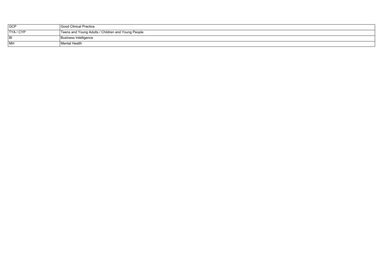| <b>GCP</b> | Good Clinical Practice                             |
|------------|----------------------------------------------------|
| TYA/CYP    | Teens and Young Adults / Children and Young People |
| BI         | Business Intelligence                              |
| <b>MH</b>  | l Mental Health                                    |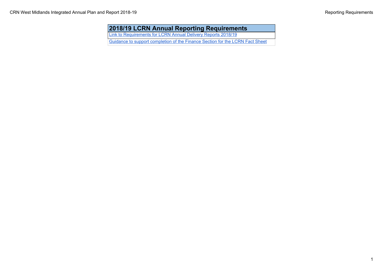## **2018/19 LCRN Annual Reporting Requirements**

[Link to Requirements for LCRN Annual Delivery Reports 2018/19](https://drive.google.com/file/d/1aG7kI8l2DOmZqJ0C8MhshWYfn0S40WFe/view?usp=sharing)

[Guidance to support completion of the Finance Section for the LCRN Fact Sheet](https://drive.google.com/file/d/1cKTbA2fsEFOocygn0dchT3iIilrDdbsy/view?usp=sharing)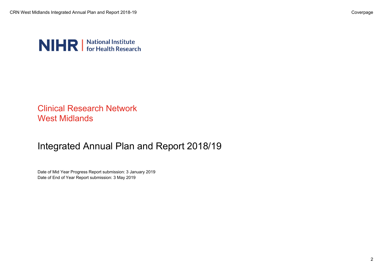

# Clinical Research Network West Midlands

# Integrated Annual Plan and Report 2018/19

Date of Mid Year Progress Report submission: 3 January 2019 Date of End of Year Report submission: 3 May 2019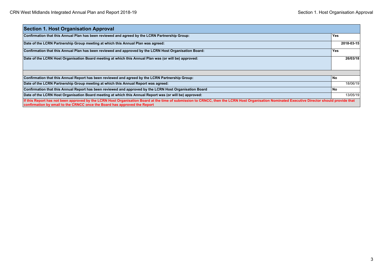| <b>Section 1. Host Organisation Approval</b>                                                                                                                                                                                                                               |            |
|----------------------------------------------------------------------------------------------------------------------------------------------------------------------------------------------------------------------------------------------------------------------------|------------|
| Confirmation that this Annual Plan has been reviewed and agreed by the LCRN Partnership Group:                                                                                                                                                                             | <b>Yes</b> |
| Date of the LCRN Partnership Group meeting at which this Annual Plan was agreed:                                                                                                                                                                                           | 2018-03-15 |
| Confirmation that this Annual Plan has been reviewed and approved by the LCRN Host Organisation Board:                                                                                                                                                                     | <b>Yes</b> |
| Date of the LCRN Host Organisation Board meeting at which this Annual Plan was (or will be) approved:                                                                                                                                                                      | 26/03/18   |
| Confirmation that this Annual Report has been reviewed and agreed by the LCRN Partnership Group:                                                                                                                                                                           | l No       |
| Date of the LCRN Partnership Group meeting at which this Annual Report was agreed:                                                                                                                                                                                         | 18/06/19   |
| Confirmation that this Annual Report has been reviewed and approved by the LCRN Host Organisation Board                                                                                                                                                                    | l No       |
| Date of the LCRN Host Organisation Board meeting at which this Annual Report was (or will be) approved:                                                                                                                                                                    | 13/05/19   |
| If this Report has not been approved by the LCRN Host Organisation Board at the time of submission to CRNCC, then the LCRN Host Organisation Nominated Executive Director should provide that<br>confirmation by email to the CRNCC once the Board has approved the Report |            |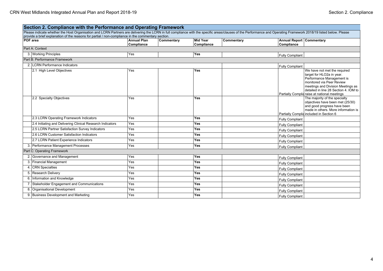|    | Section 2. Compliance with the Performance and Operating Framework                                                                                                                                                 |                                  |            |                               |            |                                               |                                                                                                                                                                                                                                                   |
|----|--------------------------------------------------------------------------------------------------------------------------------------------------------------------------------------------------------------------|----------------------------------|------------|-------------------------------|------------|-----------------------------------------------|---------------------------------------------------------------------------------------------------------------------------------------------------------------------------------------------------------------------------------------------------|
|    | Please indicate whether the Host Organisation and LCRN Partners are delivering the LCRN in full compliance with the specific areas/clauses of the Performance and Operating Framework 2018/19 listed below. Please |                                  |            |                               |            |                                               |                                                                                                                                                                                                                                                   |
|    | provide a brief explanation of the reasons for partial / non-compliance in the commentary section.<br><b>POF</b> area                                                                                              | <b>Annual Plan</b><br>Compliance | Commentary | <b>Mid Year</b><br>Compliance | Commentary | <b>Annual Report Commentary</b><br>Compliance |                                                                                                                                                                                                                                                   |
|    | Part A: Context                                                                                                                                                                                                    |                                  |            |                               |            |                                               |                                                                                                                                                                                                                                                   |
|    | 3. Working Principles                                                                                                                                                                                              | Yes                              |            | <b>Yes</b>                    |            | Fully Compliant                               |                                                                                                                                                                                                                                                   |
|    | Part B: Performance Framework                                                                                                                                                                                      |                                  |            |                               |            |                                               |                                                                                                                                                                                                                                                   |
|    | 2. LCRN Performance Indicators                                                                                                                                                                                     |                                  |            |                               |            | <b>Fully Compliant</b>                        |                                                                                                                                                                                                                                                   |
|    | 2.1 High Level Objectives                                                                                                                                                                                          | Yes                              |            | <b>Yes</b>                    |            |                                               | We have not met the required<br>target for HLO2a in year.<br>Performance Management is<br>monitored via Peer Review<br>meetings and Division Meetings as<br>detailed in line 28 Section 4. IOM to<br>Partially Complia raise at national meetings |
|    | 2.2 Specialty Objectives                                                                                                                                                                                           | Yes                              |            | Yes                           |            |                                               | The majority of the specialty<br>objectives have been met (25/30)<br>and good progress have been<br>made in others. More information is<br>Partially Complia included in Section 6                                                                |
|    | 2.3 LCRN Operating Framework Indicators                                                                                                                                                                            | Yes                              |            | Yes                           |            | <b>Fully Compliant</b>                        |                                                                                                                                                                                                                                                   |
|    | 2.4 Initiating and Delivering Clinical Research Indicators                                                                                                                                                         | Yes                              |            | <b>Yes</b>                    |            | <b>Fully Compliant</b>                        |                                                                                                                                                                                                                                                   |
|    | 2.5 LCRN Partner Satisfaction Survey Indicators                                                                                                                                                                    | Yes                              |            | <b>Yes</b>                    |            | <b>Fully Compliant</b>                        |                                                                                                                                                                                                                                                   |
|    | 2.6 LCRN Customer Satisfaction Indicators                                                                                                                                                                          | Yes                              |            | Yes                           |            | <b>Fully Compliant</b>                        |                                                                                                                                                                                                                                                   |
|    | 2.7 LCRN Patient Experience Indicators                                                                                                                                                                             | Yes                              |            | Yes                           |            | <b>Fully Compliant</b>                        |                                                                                                                                                                                                                                                   |
|    | 3. Performance Management Processes                                                                                                                                                                                | Yes                              |            | <b>Yes</b>                    |            | <b>Fully Compliant</b>                        |                                                                                                                                                                                                                                                   |
|    | Part C: Operating Framework                                                                                                                                                                                        |                                  |            |                               |            |                                               |                                                                                                                                                                                                                                                   |
|    | 2. Governance and Management                                                                                                                                                                                       | Yes                              |            | Yes                           |            | <b>Fully Compliant</b>                        |                                                                                                                                                                                                                                                   |
|    | 3. Financial Management                                                                                                                                                                                            | Yes                              |            | Yes                           |            | <b>Fully Compliant</b>                        |                                                                                                                                                                                                                                                   |
|    | 4. CRN Specialties                                                                                                                                                                                                 | Yes                              |            | <b>Yes</b>                    |            | <b>Fully Compliant</b>                        |                                                                                                                                                                                                                                                   |
|    | 5. Research Delivery                                                                                                                                                                                               | Yes                              |            | Yes                           |            | <b>Fully Compliant</b>                        |                                                                                                                                                                                                                                                   |
|    | 6. Information and Knowledge                                                                                                                                                                                       | Yes                              |            | Yes                           |            | <b>Fully Compliant</b>                        |                                                                                                                                                                                                                                                   |
|    | 7. Stakeholder Engagement and Communications                                                                                                                                                                       | Yes                              |            | Yes                           |            | <b>Fully Compliant</b>                        |                                                                                                                                                                                                                                                   |
| 8. | Organisational Development                                                                                                                                                                                         | Yes                              |            | <b>Yes</b>                    |            | <b>Fully Compliant</b>                        |                                                                                                                                                                                                                                                   |
|    | 9. Business Development and Marketing                                                                                                                                                                              | Yes                              |            | Yes                           |            | <b>Fully Compliant</b>                        |                                                                                                                                                                                                                                                   |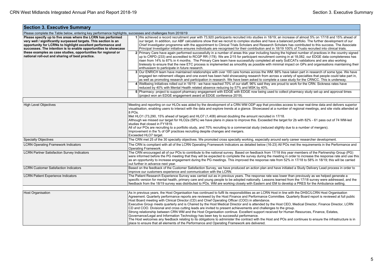| <b>Section 3. Executive Summary</b>                                                                                                                                                                                                                                                                                                                                                    |                                                                                                                                                                                                                                                                                                                                                                                                                                                                                                                                                                                                                                                                                                                                                                                                                                                                                                                                                                                                                                                                                                                                                                                                                                                                                                                                                                                                                                                                                                                                                                                                                                                                                                                                                  |  |  |  |  |  |
|----------------------------------------------------------------------------------------------------------------------------------------------------------------------------------------------------------------------------------------------------------------------------------------------------------------------------------------------------------------------------------------|--------------------------------------------------------------------------------------------------------------------------------------------------------------------------------------------------------------------------------------------------------------------------------------------------------------------------------------------------------------------------------------------------------------------------------------------------------------------------------------------------------------------------------------------------------------------------------------------------------------------------------------------------------------------------------------------------------------------------------------------------------------------------------------------------------------------------------------------------------------------------------------------------------------------------------------------------------------------------------------------------------------------------------------------------------------------------------------------------------------------------------------------------------------------------------------------------------------------------------------------------------------------------------------------------------------------------------------------------------------------------------------------------------------------------------------------------------------------------------------------------------------------------------------------------------------------------------------------------------------------------------------------------------------------------------------------------------------------------------------------------|--|--|--|--|--|
| Please complete the Table below, entering key performance highlights, successes and challenges from 2018/19                                                                                                                                                                                                                                                                            |                                                                                                                                                                                                                                                                                                                                                                                                                                                                                                                                                                                                                                                                                                                                                                                                                                                                                                                                                                                                                                                                                                                                                                                                                                                                                                                                                                                                                                                                                                                                                                                                                                                                                                                                                  |  |  |  |  |  |
| Please specify up to five areas where the LCRN has performed<br>very well / significantly surpassed targets. This section is an<br>opportunity for LCRNs to highlight excellent performance and<br>successes. The intention is to enable opportunities to showcase<br>these examples as case studies, opportunities for regional or<br>national roll-out and sharing of best practice. | 1 We achieved a record recruitment year with 73,920 participants recruited into studies in 18/19; an increase of almost 5% on 17/18 and 15% ahead of<br>our target. In addition, our ABF calculations show that we recruit to complex studies and have a balanced portfolio. The further development of our<br>Chief Investigator programme with the appointment to Clinical Trials Scholars and Research Scholars has contributed to this success. The Associate<br>Principal Investigator initiative ensures individuals are recognised for their contribution and in 18/19 100% of Trusts recruited into clinical trials.<br>2 Primary Care have again performed successfully in a number of areas this year including having the highest number of practices in the country signed<br>up to CRPD (233) and accredited to RCGP RR (178). We are 2/15 for participant recruitment coming in at 18,082, our EDGE data completeness has<br>risen from 14% to 87% in 4 months. The Primary Care team have successfully completed all early SoECATs validations and are also working<br>tirelessly to ensure that the new ETC process is implemented as smoothly as possible with minimal impact on GPs and organisations maintaining their<br>enthusiasm to participate in future research.<br>3 Our ENRICH team have maintained relationships with over 100 care homes across the WM. 66% have taken part in research of some type. We have<br>engaged ten retirement villages and one event has been held showcasing research from across a variety of specialties that people could take part in,<br>as well as promoting research and participation in research. We have been asked to complete a case study for the CRNCC. This is underway. |  |  |  |  |  |
|                                                                                                                                                                                                                                                                                                                                                                                        | 4 Wellbeing Initiatives rolled out in 18/19 - we have reached 70% of our staff, 96% said they are proud to work for the CRN. Sickness rates have                                                                                                                                                                                                                                                                                                                                                                                                                                                                                                                                                                                                                                                                                                                                                                                                                                                                                                                                                                                                                                                                                                                                                                                                                                                                                                                                                                                                                                                                                                                                                                                                 |  |  |  |  |  |
|                                                                                                                                                                                                                                                                                                                                                                                        | reduced by 40% with Mental Health related absence reducing by 57% and MSK by 40%.<br>5 Pharmacy: project to support pharmacy engagement with EDGE with EDGE now being used to collect pharmacy study set-up and approval times<br>(project won an EDGE engagement award at EDGE conference 2019).                                                                                                                                                                                                                                                                                                                                                                                                                                                                                                                                                                                                                                                                                                                                                                                                                                                                                                                                                                                                                                                                                                                                                                                                                                                                                                                                                                                                                                                |  |  |  |  |  |
|                                                                                                                                                                                                                                                                                                                                                                                        |                                                                                                                                                                                                                                                                                                                                                                                                                                                                                                                                                                                                                                                                                                                                                                                                                                                                                                                                                                                                                                                                                                                                                                                                                                                                                                                                                                                                                                                                                                                                                                                                                                                                                                                                                  |  |  |  |  |  |
| <b>High Level Objectives</b>                                                                                                                                                                                                                                                                                                                                                           | Meeting and reporting on our HLOs was aided by the development of a CRN WM ODP app that provides access to near real-time data and delivers superior<br>visualisation, enabling users to interact with the data and explore trends at a glance. Showcased at a number of regional meetings, and site visits attended at<br>8 POs.<br>Met HLO1 (73,290, 15% ahead of target) and HLO7 (1,408) almost doubling the amount recruited in 17/18.<br>Although we missed our target for HLO2a (58%) we have plans in place to improve this. Exceeded the target for 2b with 82% - 61 pass out of 74 WM-led<br>studies that closed in FY1819.<br>All of our POs are recruiting to a portfolio study, and 70% recruiting to a commercial study (reduced slightly due to a number of mergers).<br>Improvement in the % of GP practices recruiting despite changes and mergers.                                                                                                                                                                                                                                                                                                                                                                                                                                                                                                                                                                                                                                                                                                                                                                                                                                                                             |  |  |  |  |  |
| <b>Specialty Objectives</b>                                                                                                                                                                                                                                                                                                                                                            | Exceeded HLO7 target.<br>The CRN met 25 of the 30 specialty objectives. We promoted cross specialty working, especially around early career researcher development.                                                                                                                                                                                                                                                                                                                                                                                                                                                                                                                                                                                                                                                                                                                                                                                                                                                                                                                                                                                                                                                                                                                                                                                                                                                                                                                                                                                                                                                                                                                                                                              |  |  |  |  |  |
| <b>LCRN Operating Framework Indicators</b>                                                                                                                                                                                                                                                                                                                                             | The CRN is compliant with all of the LCRN Operating Framework Indicators as detailed below (16-23) All POs met the requirements in the Performance and                                                                                                                                                                                                                                                                                                                                                                                                                                                                                                                                                                                                                                                                                                                                                                                                                                                                                                                                                                                                                                                                                                                                                                                                                                                                                                                                                                                                                                                                                                                                                                                           |  |  |  |  |  |
|                                                                                                                                                                                                                                                                                                                                                                                        | Operating Framework.                                                                                                                                                                                                                                                                                                                                                                                                                                                                                                                                                                                                                                                                                                                                                                                                                                                                                                                                                                                                                                                                                                                                                                                                                                                                                                                                                                                                                                                                                                                                                                                                                                                                                                                             |  |  |  |  |  |
| <b>LCRN Partner Satisfaction Survey Indicators</b>                                                                                                                                                                                                                                                                                                                                     | The CRN encouraged all of our POs to contribute to the national survey. Based on feedback from 17/18 this year members of the Partnership Group (PG)<br>were informed before the PG meeting that they will be expected to complete the survey during the meeting in order to increase the response rate and use this<br>as an opportunity to increase engagement during the PG meetings. This improved the response rate from 52% in 17/18 to 58% in 18/19; this will be carried<br>out further in advance next year.                                                                                                                                                                                                                                                                                                                                                                                                                                                                                                                                                                                                                                                                                                                                                                                                                                                                                                                                                                                                                                                                                                                                                                                                                            |  |  |  |  |  |
| <b>LCRN Customer Satisfaction Indicators</b>                                                                                                                                                                                                                                                                                                                                           | Based on the feedback of the Customer Satisfaction Survey, we have produced an action plan and have initiated a Study Delivery Lead process in order to<br>improve our customers experience and communication with the LCRN.                                                                                                                                                                                                                                                                                                                                                                                                                                                                                                                                                                                                                                                                                                                                                                                                                                                                                                                                                                                                                                                                                                                                                                                                                                                                                                                                                                                                                                                                                                                     |  |  |  |  |  |
| <b>LCRN Patient Experience Indicators</b>                                                                                                                                                                                                                                                                                                                                              | The Patient Research Experience Survey was carried out as in previous years. The response rate was lower than previously as we helped generate a<br>specific version for mental health, primary care and young people to be adopted nationally. Lessons learned from the 17/18 survey were addressed, and the<br>feedback from the 18/19 survey was distributed to POs. WM are working closely with Eastern and EM to develop a PRES for the Ambulance setting.                                                                                                                                                                                                                                                                                                                                                                                                                                                                                                                                                                                                                                                                                                                                                                                                                                                                                                                                                                                                                                                                                                                                                                                                                                                                                  |  |  |  |  |  |
| Host Organisation                                                                                                                                                                                                                                                                                                                                                                      | As in previous years, the Host Organisation has continued to fulfil its responsibilities as an LCRN Host in line with the DHSC/LCRN Host Organisation<br>Agreement. Quarterly performance reports are reviewed by the Host Finance and Performance Committee. Quarterly Board report is reviewed at full public<br>Host Board meeting with Clinical Director (CD) and Chief Operating Officer (COO) in attendance.<br>Executive Group meets quarterly and is Chaired by the Host Medical Director and is attended by the Host CEO, Medical Director, Finance Director, LCRN<br>CD and COO. Divisional and cross cutting leads are invited to present achievements and challenges to the group.<br>Strong relationship between CRN WM and the Host Organisation continue. Excellent support received for Human Resources, Finance, Estates,<br>Governance/Legal and Information Technology has been key to successful performance.<br>The Host welcomes any feedback relating to its obligations to administer the contract with the Host and POs and continues to ensure the infrastructure is in<br>place to ensure that all elements of the Performance and Operating Framework are delivered.                                                                                                                                                                                                                                                                                                                                                                                                                                                                                                                                                 |  |  |  |  |  |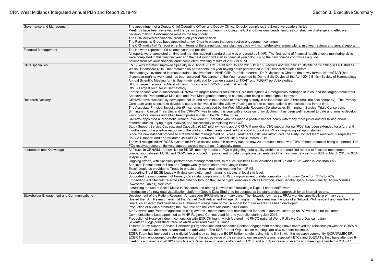| Governance and Management                 | The appointment of a Deputy Chief Operating Officer and Deputy Clinical Director completes the Executive Leadership team.                                                 |
|-------------------------------------------|---------------------------------------------------------------------------------------------------------------------------------------------------------------------------|
|                                           | Meetings have been reviewed and the Senior Leadership Team (including the CD and Divisional Leads) ensures constructive challenge and effective                           |
|                                           | decision making. Performance remains the top priority.                                                                                                                    |
|                                           | The CRN delivered a financial break-even year end position.                                                                                                               |
|                                           | The Partnership Group have appointed a new Chair to ensure that constructive engagement continues.                                                                        |
|                                           | The CRN met all of it's requirements in terms of the annual business planning cycle with comprehensive annual plans, mid year reviews and annual reports.                 |
| <b>Financial Management</b>               | The Network reported a £0 balance year end position.                                                                                                                      |
|                                           | All reports were completed on time and met the required standard that was endorsed by NIHR. The first round of financial health check / monitoring visits                 |
|                                           | were completed in this financial year and the next round will start in financial year 19/20 using the new finance controls as a quide.                                    |
|                                           | Actions from previous financial audit completed; awaiting results of 2018/19 audit                                                                                        |
| <b>CRN</b> Specialties                    | ENT - was the most improved Specialty in 2018/19: 2017/18 = 13 recruits and 2018/19 = 153 recruits and five new Trusts/site participating in ENT studies.                 |
|                                           | Walsall Healthcare NHS Trust recruited 55 participants this year having never participated in ENT research studies before.                                                |
|                                           | Haematology - evidenced increased trainee involvement in NIHR CRN Portfolio research: Dr P Nicolson is Chair of the newly formed HaemSTAR (http:                          |
|                                           | //haemstar.org/) network, and has been awarded 'Researcher of the Year' presented by Dame Sally Davies at the April 2019 British Society of Haematology                   |
|                                           | Annual Scientific Meeting for his 'flash-mob' audit and for trainee support to TRAIT and FLIGHT portfolio studies.                                                        |
|                                           | UHB - Largest recruiter in Metabolic and Endocrine with >25% of national recruits.                                                                                        |
|                                           | RWT - Largest recruiter in Dermatology.                                                                                                                                   |
|                                           | For the second year in succession CRNWM are largest recruiter for Critical Care and Injuries & Emergencies managed studies, and the largest recruiter for                 |
|                                           | Anaesthesia, Perioperative Medicine and Pain Management managed studies, after being second highest last year.                                                            |
| <b>Research Delivery</b>                  | CRNWM have successfully developed, set up and are in the process of delivering a study in collaboration with IQVIA (multinational company). The Primary                   |
|                                           | Care team were selected to develop a study which would test the validity of using an app to consent patients and collect data in real time.                               |
|                                           | The Associate Principal Investigator (PI) scheme, developed by the West Midlands Research Collaborative, Birmingham Surgical Trials Consortium,                           |
|                                           | Birmingham Clinical Trials Unit and the CRNWM, was initiated this year with a focus on junior doctors. It has been well received to date and aims to develop              |
|                                           | junior doctors, nurses and allied health professionals to be PIs of the future.                                                                                           |
|                                           | CRNWM appointed a Peripatetic Trainee-Involvement-Facilitator who has made a positive impact locally with many more junior doctors talking about                          |
|                                           | research studies, trying to get involved, and successfully completing their GCP.                                                                                          |
|                                           | Study Support Service Capacity and Capability (C&C) pilot (which is about CRNWM providing C&C support for our POs) has been extended for a further 6                      |
|                                           | months due to the positive response to the pilot and other needs identified that could support our POs in improving set up of studies.                                    |
|                                           | Since the new national process to streamline the management of Excess Treatment Costs was introduced, the Early Contact team received 59 requests for                     |
|                                           | SoECAT support and and validated 49 SoECATs between 1 October 2018 and 31 March 2019.                                                                                     |
|                                           | The well recognised ACROSS system for POs to access research delivery support saw 201 requests made with 70% of these requests being supported. Ten                       |
|                                           | POs received research delivery support, across more than 10 specialty areas.                                                                                              |
| Information and Knowledge                 | All Trusts in CRNWM are now live on EDGE; monthly reports to POs highlighting data quality problems and modified reports to focus on recruitment                          |
|                                           | comparison between EDGE and CPMS are produced. Improvement of data completion percentage of the minimum data set from 80% in March 2018 to 92%                            |
|                                           | in April 2019.                                                                                                                                                            |
|                                           | Ongoing efforts, with Specialty performance management staff, to reduce Business Rule Violations (9 BRVs out of 231 which is less than 4%).                               |
|                                           | Site-level Recruitment to Time and Target weekly report shared via Google Sheet.<br>Excel templates provided to Trusts to enable their own real-time reporting from LPMS. |
|                                           | Supporting Trust EDGE Leads with data completion and managing studies at local site level.                                                                                |
|                                           | Supported the improvement of Primary Care data completion on EDGE - improvement of data completion for Primary Care from 31% to 76%                                       |
|                                           | Embedding a digital culture across the network through the use of digital enablers such as Powtoon, Prezi, Adobe Spark, ScreenCastify, Action Minutes                     |
|                                           | (Awesome Tables), Vox Vote.                                                                                                                                               |
|                                           | Increasing the use of Social Media in Research and among Network staff including a Digital Leader staff award.                                                            |
|                                           | Introduction of a new data visualisation platform (Google Data Studio) to be adopted as the standardised approach for all internal reports.                               |
| Stakeholder Engagement and Communications | Development of the Patient Research Ambassador (PRA) role in primary care. The Network now has six PRAs working specifically in primary care.                             |
|                                           | Hosted the I Am Research event at the Pannel Croft Retirement Village, Birmingham. The event was the idea of a Network PRA/resident and was the first                     |
|                                           | time such an event had been held in a retirement village/care home. A model for future events has been developed.                                                         |
|                                           | Production of a video promoting the PRA role and the West Midlands PRA Forum.                                                                                             |
|                                           | Staff Awards and Partner Organisation (PO) Awards - record number of nominations for each, extensive coverage on PO websites for the latter.                              |
|                                           | Communications Lead appointed as NIHR Regional Comms Lead for one year pilot starting July 2018.                                                                          |
|                                           | Production of Hospice video in conjunction with ENRICH team, which featured in CRNCC national World Palliative Care Day campaign.                                         |
|                                           | Seventeen Blogs published, three of which were read over 100 times.                                                                                                       |
|                                           | Tailored Study Support Service, Partnership Organisations and Academic Sponsor engagement meetings have improved the relationships with the CRNWN                         |
|                                           | to ensure our services are streamlined and add value. The SSS Partner Organisation meetings are now our core business.                                                    |
|                                           | ECER Team has improved their e-digital footprint by setting up a ECER twitter handle, using this to link in with the research community @CRNWMECER.                       |
|                                           | ECER Team encouraged greater awareness of the added value of the service to our research teams, especially ETCs and SoECATs; they have attended 64                        |
|                                           | meetings and events in 2018/19 which is a 33% increase on events attended in 17/18, and a 56% increase on events and meetings attended in 2016/17.                        |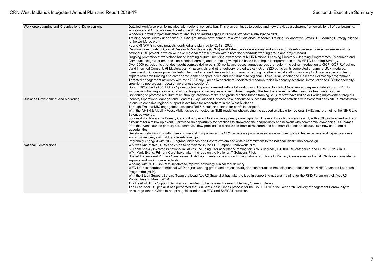| Workforce Learning and Organisational Development | Detailed workforce plan formulated with regional consultation. This plan continues to evolve and now provides a coherent framework for all of our Learning,  |  |  |  |  |  |
|---------------------------------------------------|--------------------------------------------------------------------------------------------------------------------------------------------------------------|--|--|--|--|--|
|                                                   | Workforce and Organisational Development initiatives.                                                                                                        |  |  |  |  |  |
|                                                   | Workforce profile project launched to identify and address gaps in regional workforce intelligence data.                                                     |  |  |  |  |  |
|                                                   | Training needs survey undertaken (n = 320) to inform development of a West Midlands Research Training Collaborative (WMRTC) Learning Strategy aligned        |  |  |  |  |  |
|                                                   | to the workforce plan.                                                                                                                                       |  |  |  |  |  |
|                                                   | Four CRNWM Strategic projects identified and planned for 2018 - 2020.                                                                                        |  |  |  |  |  |
|                                                   | Regional community of Clinical Research Practitioners (CRPs) established; workforce survey and successful stakeholder event raised awareness of the          |  |  |  |  |  |
|                                                   | national CRP project in which we have regional representation within both the standards working group and project board.                                     |  |  |  |  |  |
|                                                   | Ongoing promotion of workplace based learning culture, including awareness of NIHR National Learning Directory e-learning Programmes, Resources and          |  |  |  |  |  |
|                                                   | Communities; greater emphasis on blended learning and promoting workplace based learning is incorporated in the WMRTC Learning Strategy.                     |  |  |  |  |  |
|                                                   | Over 2000 participants attended taught courses delivered in 33 workplace-based venues across the region (including Introduction to GCP, GCP Refresher,       |  |  |  |  |  |
|                                                   | Valid Informed Consent, PI Masterclass, PI Essentials and other delivery related topics). Over 2320 participants completed e-learning GCP modules.           |  |  |  |  |  |
|                                                   | Investment in CI development including two well attended Research Forum events to bring together clinical staff in / aspiring to clinical academic roles to  |  |  |  |  |  |
|                                                   | explore research funding and career development opportunities and recruitment to regional Clinical Trial Scholar and Research Fellowship programmes.         |  |  |  |  |  |
|                                                   | Targeted engagement activities with over 280 Early Career Researchers (dedicated research topics in deanery sessions; introduction to GCP for specialty-     |  |  |  |  |  |
|                                                   | specific trainee groups; research awareness sessions).                                                                                                       |  |  |  |  |  |
|                                                   | During 18/19 the IRAS/ HRA for Sponsors training was reviewed with collaboration with Divisional Portfolio Managers and representatives from PPIE to         |  |  |  |  |  |
|                                                   | include new training areas around study design and setting realistic recruitment targets. The feedback from the attendees has been very positive.            |  |  |  |  |  |
|                                                   | Continuing to promote a culture of I&I through provision of 1:1 and group practice-based training. 20% of staff have led on delivering improvement projects. |  |  |  |  |  |
| <b>Business Development and Marketing</b>         | Industry Operations Manager and Head of Study Support Services have conducted successful engagement activities with West Midlands NIHR infrastructure        |  |  |  |  |  |
|                                                   | to ensure cohesive regional support is available for researchers in the West Midlands.                                                                       |  |  |  |  |  |
|                                                   | Through Trauma MIC engagement we identified 6-8 studies suitable for portfolio adoption.                                                                     |  |  |  |  |  |
|                                                   | With the AHSN & Medlink West Midlands we co-hosted an SME roadshow showcasing the support available for regional SMEs and promoting the NIHR Life            |  |  |  |  |  |
|                                                   | Sciences Agenda.                                                                                                                                             |  |  |  |  |  |
|                                                   | Successfully delivered a Primary Care Industry event to showcase primary care capacity. The event was hugely successful, with 98% positive feedback and      |  |  |  |  |  |
|                                                   | a request for a follow up event. It provided an opportunity for practices to showcase their capabilities and network with commercial companies. Outcomes     |  |  |  |  |  |
|                                                   | from the event saw the primary care team visit new practices to discuss commercial research and commercial sponsors discuss two new commercial               |  |  |  |  |  |
|                                                   | opportunities.                                                                                                                                               |  |  |  |  |  |
|                                                   | Developed relationships with three commercial companies and a CRO, where we provide assistance with key opinion leader access and capacity access,           |  |  |  |  |  |
|                                                   | and improved ways of building site relationships.                                                                                                            |  |  |  |  |  |
|                                                   | Regionally engaged with NHS England Midlands and East to explain and obtain commitment to the national Biosimilars campaign.                                 |  |  |  |  |  |
| National Contributions                            | WM was one of five LCRNs selected to participate in the PPIE Impact Framework Pilot.                                                                         |  |  |  |  |  |
|                                                   | BI Team heavily involved in national initiatives, including user acceptance testing for CPMS upgrade, ICD10/HRG categories and CPMS-LPMS links.              |  |  |  |  |  |
|                                                   | WM (Mark Evans, Primary Care) have taken the lead on the National IT Solutions Pilot.                                                                        |  |  |  |  |  |
|                                                   | Hosted two national Primary Care Research Activity Events focussing on finding national solutions to Primary Care issues so that all CRNs can consistently   |  |  |  |  |  |
|                                                   | improve and work more effectively.                                                                                                                           |  |  |  |  |  |
|                                                   | Working with NCRI CM-Path initiative to improve pathology clinical trial delivery.                                                                           |  |  |  |  |  |
|                                                   | WFD Lead is member of national CRP project working group and project board, and contributes to the selection process for the NIHR Advanced Leadership        |  |  |  |  |  |
|                                                   | Programme (ALP).                                                                                                                                             |  |  |  |  |  |
|                                                   | With the Study Support Service Team the Lead AcoRD Specialist has take the lead in supporting national training for the R&D Forum on their 'AcoRD            |  |  |  |  |  |
|                                                   | Masterclass' in March 2019.                                                                                                                                  |  |  |  |  |  |
|                                                   | The Head of Study Support Service is a member of the national Research Delivery Steering Group.                                                              |  |  |  |  |  |
|                                                   | The Lead AcoRD Specialist has presented the CRNWM Sense Check process for the SoECAT with the Research Delivery Management Community to                      |  |  |  |  |  |
|                                                   | encourage other LCRNs to adopt a 'gold standard' in ETC and SoECAT provision.                                                                                |  |  |  |  |  |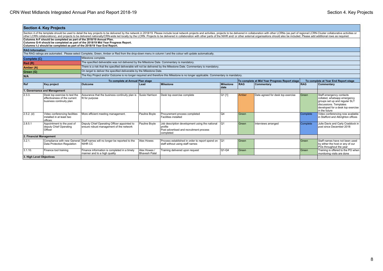|                                                                                  | <b>Section 4. Key Projects</b>                                                                                                                                                                                                                                                                                                                                                                                                                                  |                                                                                             |                                      |                                                                                                                                     |                          |       |                                               |            |                                                                                                                                                                           |  |
|----------------------------------------------------------------------------------|-----------------------------------------------------------------------------------------------------------------------------------------------------------------------------------------------------------------------------------------------------------------------------------------------------------------------------------------------------------------------------------------------------------------------------------------------------------------|---------------------------------------------------------------------------------------------|--------------------------------------|-------------------------------------------------------------------------------------------------------------------------------------|--------------------------|-------|-----------------------------------------------|------------|---------------------------------------------------------------------------------------------------------------------------------------------------------------------------|--|
|                                                                                  | Section 4 of the template should be used to detail the key projects to be delivered by the network in 2018/19. Please include local network projects and activities, projects to be delivered in collaboration with other LCRN<br>other LCRN collaborations), and projects to be delivered nationally/CRN-wide led locally by the LCRN. Projects to be delivered in collaboration with other parts of the NIHR and/ or other external organisations should also |                                                                                             |                                      |                                                                                                                                     |                          |       |                                               |            |                                                                                                                                                                           |  |
|                                                                                  | Columns A-F should be completed as part of the 2018/19 Annual Plan.                                                                                                                                                                                                                                                                                                                                                                                             |                                                                                             |                                      |                                                                                                                                     |                          |       |                                               |            |                                                                                                                                                                           |  |
| Columns G-H should be completed as part of the 2018/19 Mid Year Progress Report. |                                                                                                                                                                                                                                                                                                                                                                                                                                                                 |                                                                                             |                                      |                                                                                                                                     |                          |       |                                               |            |                                                                                                                                                                           |  |
|                                                                                  | Columns I-J should be completed as part of the 2018/19 Year End Report.                                                                                                                                                                                                                                                                                                                                                                                         |                                                                                             |                                      |                                                                                                                                     |                          |       |                                               |            |                                                                                                                                                                           |  |
|                                                                                  | <b>RAG Information:</b>                                                                                                                                                                                                                                                                                                                                                                                                                                         |                                                                                             |                                      |                                                                                                                                     |                          |       |                                               |            |                                                                                                                                                                           |  |
|                                                                                  | The RAG ratings are automated. Please select Complete, Green, Amber or Red from the drop-down menu in column I and the colour will update automatically.                                                                                                                                                                                                                                                                                                        |                                                                                             |                                      |                                                                                                                                     |                          |       |                                               |            |                                                                                                                                                                           |  |
| Complete (C)                                                                     |                                                                                                                                                                                                                                                                                                                                                                                                                                                                 | Milestone complete.                                                                         |                                      |                                                                                                                                     |                          |       |                                               |            |                                                                                                                                                                           |  |
| Red(R)                                                                           |                                                                                                                                                                                                                                                                                                                                                                                                                                                                 | The specified deliverable was not delivered by the Milestone Date. Commentary is mandatory. |                                      |                                                                                                                                     |                          |       |                                               |            |                                                                                                                                                                           |  |
| Amber (A)                                                                        |                                                                                                                                                                                                                                                                                                                                                                                                                                                                 |                                                                                             |                                      | There is a risk that the specified deliverable will not be delivered by the Milestone Date. Commentary is mandatory.                |                          |       |                                               |            |                                                                                                                                                                           |  |
| Green (G)                                                                        |                                                                                                                                                                                                                                                                                                                                                                                                                                                                 | On target to deliver the specified deliverable by the Milestone Date.                       |                                      |                                                                                                                                     |                          |       |                                               |            |                                                                                                                                                                           |  |
| N/A                                                                              |                                                                                                                                                                                                                                                                                                                                                                                                                                                                 |                                                                                             |                                      | The Key Project and/or Outcome is no longer required and therefore this Milestone is no longer applicable. Commentary is mandatory. |                          |       |                                               |            |                                                                                                                                                                           |  |
|                                                                                  |                                                                                                                                                                                                                                                                                                                                                                                                                                                                 | To complete at Annual Plan stage                                                            |                                      |                                                                                                                                     |                          |       | To complete at Mid Year Progress Report stage |            | To complete at Year End Report stage                                                                                                                                      |  |
| Ref                                                                              | Key project                                                                                                                                                                                                                                                                                                                                                                                                                                                     | <b>Outcome</b>                                                                              | Lead                                 | <b>Milestone</b>                                                                                                                    | <b>Milestone</b><br>date | RAG   | Commentary                                    | <b>RAG</b> | <b>Commentary</b>                                                                                                                                                         |  |
| 1. Governance and Management                                                     |                                                                                                                                                                                                                                                                                                                                                                                                                                                                 |                                                                                             |                                      |                                                                                                                                     |                          |       |                                               |            |                                                                                                                                                                           |  |
| 12.3.3.                                                                          | Desk top exercise to test the<br>effectiveness of the current<br>business continuity plan                                                                                                                                                                                                                                                                                                                                                                       | Assurance that the business continuity plan is<br>fit for purpose                           | Susie Harrison                       | Desk top exercise complete                                                                                                          | $Q1$ [1]                 | Amber | Date agreed for desk top exercise             | Green      | Staff emergency contacts<br>collated, whatsapp emergency<br>groups set up and regular SLT<br>discussions. Templates<br>developed for a desk top exercise<br>in the future |  |
| $2.5.2.$ (d)                                                                     | Video conferencing facilities<br>installed in at least two<br>offices.                                                                                                                                                                                                                                                                                                                                                                                          | More efficient meeting management.                                                          | Pauline Boyle                        | Procurement process completed<br>Facilities installed                                                                               | Q4                       | Green |                                               | Complete   | Video conferencing now available<br>in Stafford and Albrighton offices                                                                                                    |  |
| 2.8.5.1                                                                          | Appointment to the post of<br>deputy Chief Operating<br>Officer                                                                                                                                                                                                                                                                                                                                                                                                 | Deputy Chief Operating Officer appointed to<br>ensure robust management of the network      | Pauline Boyle                        | Job description development using the national<br>profile<br>Post advertised and recruitment process<br>completed                   | Q1                       | Green | Interviews arranged                           | Complete   | Julie Davis and Carly Craddock in<br>post since December 2018                                                                                                             |  |
| 2. Financial Management                                                          |                                                                                                                                                                                                                                                                                                                                                                                                                                                                 |                                                                                             |                                      |                                                                                                                                     |                          |       |                                               |            |                                                                                                                                                                           |  |
| 3.2.1.                                                                           | Compliance with new General<br>Data Protection Regulation                                                                                                                                                                                                                                                                                                                                                                                                       | Staff names will no longer be reported to the<br>NIHR CC                                    | Alex Howes                           | Process established in order to report spend on  Q1<br>staff without using staff names                                              |                          | Green |                                               | l Green    | Staff names have not been used<br>by either the host or any of our<br>POs throughout the year                                                                             |  |
| 3.1.10.                                                                          | Finance tool training                                                                                                                                                                                                                                                                                                                                                                                                                                           | Finance information is completed in a timely<br>manner and to a high quality                | Alex Howes /<br><b>Bhavesh Patel</b> | Training delivered upon request                                                                                                     | $Q1-Q4$                  | Green |                                               | Green      | Training is offered to the PO when<br>monitoring visits are done                                                                                                          |  |
|                                                                                  | 3. High Level Objectives                                                                                                                                                                                                                                                                                                                                                                                                                                        |                                                                                             |                                      |                                                                                                                                     |                          |       |                                               |            |                                                                                                                                                                           |  |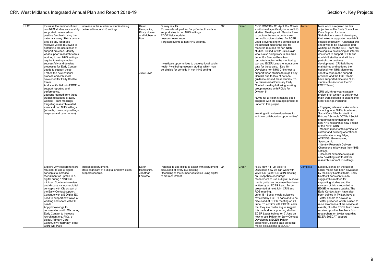| HLO1 | Increase the number of new<br>supported measured on<br>positive feedback using the<br>national survey. This is a new<br>area so any feedback<br>received will be reviewed to<br>determine the usefulness of<br>support provided. Identify<br>what support research teams<br>working in non NHS settings<br>require to set up studies<br>successfully and develop<br>processes for Early Contact<br>Leads to support these.<br>Embed the new national<br>process and crib sheet<br>developed for Early Contact<br>Team.<br>Add specific fields in EDGE to<br>support reporting and<br>performance.<br>Lessons learned from these<br>studies discussed at Early<br>Contact Team meetings.<br>Targeting research related<br>events at non NHS settings<br>(schools, community settings,<br>hospices and care homes). | Increase in the number of studies being<br>non NHS studies successfully   delivered in non NHS settings. | Karen<br>Hampshire,<br>Kirsty Hunter<br>and Mobeena<br>Naz<br>Julie Davis | Survey results.<br>Process developed for Early Contact Leads to<br>support sites in non NHS settings.<br>EDGE fields updated.<br>Lessons learnt report.<br>Targeted events at non NHS settings.<br>Investigate opportunities to develop local public<br>health / wellbeing research studies which may<br>be eligible for portfolio in non-NHS setting | Q <sub>2</sub> | Green | 'SSS ROW10 - Q1 April 18 - Create Amber<br>a crib sheet specifically for non-NHS<br>studies. Meetings with Sandra Prew<br>to capture the resource for care<br>homes/ hospice studies. An ECER<br>Lead is overseeing the completion of<br>the national monitoring tool for<br>resource required for non-NHS<br>studies. Linked in with Julie Davis<br>who is also doing work in this area.<br>June 18 - Sandra Prew has<br>recorded studies in the monitoring<br>tool and ECER Leads to input some<br>data for these also. Dec 18 -<br>Develop a non-NHS Crib sheet to<br>support these studies through Early<br>Contact due to lack of national<br>quidance around these studies. To<br>be discussed at February Early<br>Contact meeting following working<br>group meeting with RDMs for<br>Division 5.<br>RDMs for Division 5 making good<br>progress with the strategic project to<br>underpin this project<br>Working with external partners to<br>look into collaboration opportunities" |          | More work is required on this<br>objective as the Early Contact and<br>Core Support for Local<br>Stakeholders are still developing<br>their roles in supporting non NHS<br>studies effectively. A national crib<br>sheet was to be developed (still<br>waiting) so the the SSS Team are<br>looking into developing an internal<br>document to support ECER and<br>non NHS studies and will be a<br>part of core business<br>development. CRNWM have<br>maintained and updated the<br>national Non NHS Monitoring<br>sheet to capture the support<br>provided and the ECER team<br>have supported nine non NHS<br>studies (this includes the PC<br>ECER Team).<br>CRN WM three year strategic<br>project brief written to deliver four<br>main work streams to expand into<br>other settings including:<br>Engaging relevant stakeholders<br>including local NHS / Academic /<br>Social Care / Public Health /<br>Prisons / Schools / CTUs / Social<br>enterprises to understand that<br>non-NHS research is now a remit<br>of the NIHR CRN<br>Monitor impact of this project on<br>current and evolving operational<br>considerations, e.g Edge,<br>ACROSS, Governance,<br>Sponsorship<br>Identify Research Delivery<br>Champions in key area (non-NHS<br>settings)<br>Use local expertise to upskill<br>new / existing staff to deliver<br>research in non-NHS settings |
|------|-------------------------------------------------------------------------------------------------------------------------------------------------------------------------------------------------------------------------------------------------------------------------------------------------------------------------------------------------------------------------------------------------------------------------------------------------------------------------------------------------------------------------------------------------------------------------------------------------------------------------------------------------------------------------------------------------------------------------------------------------------------------------------------------------------------------|----------------------------------------------------------------------------------------------------------|---------------------------------------------------------------------------|-------------------------------------------------------------------------------------------------------------------------------------------------------------------------------------------------------------------------------------------------------------------------------------------------------------------------------------------------------|----------------|-------|------------------------------------------------------------------------------------------------------------------------------------------------------------------------------------------------------------------------------------------------------------------------------------------------------------------------------------------------------------------------------------------------------------------------------------------------------------------------------------------------------------------------------------------------------------------------------------------------------------------------------------------------------------------------------------------------------------------------------------------------------------------------------------------------------------------------------------------------------------------------------------------------------------------------------------------------------------------------------------------------|----------|--------------------------------------------------------------------------------------------------------------------------------------------------------------------------------------------------------------------------------------------------------------------------------------------------------------------------------------------------------------------------------------------------------------------------------------------------------------------------------------------------------------------------------------------------------------------------------------------------------------------------------------------------------------------------------------------------------------------------------------------------------------------------------------------------------------------------------------------------------------------------------------------------------------------------------------------------------------------------------------------------------------------------------------------------------------------------------------------------------------------------------------------------------------------------------------------------------------------------------------------------------------------------------------------------------------------------------------------------------------------------|
|      | Explore why researchers are<br>reluctant to use e-digital<br>concepts to increase<br>recruitment as uptake to e-<br>digital during 17/18 was<br>minimal. Continue to review<br>and discuss various e-digital<br>concepts with CIs as part of<br>the Early Contact support.<br>Continue with a E Digital EC<br>Lead to support new ways of<br>working and share with EC<br>Leads.<br>Apply knowledge to<br>conversations with CIs during<br>Early Contact to increase<br>recruitment e.g. PICs, e-<br>digital, Primary Care,<br>Community Pharmacy, other<br>CRN WM PO's                                                                                                                                                                                                                                           | Increased recruitment.<br>More cognisant of e-digital and how it can<br>support research.                | Karen<br>Hampshire,<br>Jonathan<br>Forsythe                               | Potential to use digital to assist with recruitment Q4<br>discussed at every EC meeting<br>Recording of the number of studies using digital<br>to aid recruitment                                                                                                                                                                                     |                | Green | "SSS Row 11- Q1 April 18 -<br>Discussed how we can work with<br>WM RDS (joint RDS CRN meeting<br>on 23 April) to encourage<br>researchers to use e-digital. A social<br>media guidance document has been<br>written by an ECER Lead. To be<br>presented at next Joint CRN and<br>RDS meeting.<br>June 18 - Social media quidance<br>reviewed by ECER Leads and to be<br>discussed at ECER meeting on 21<br>June. To confirm with ECER Leads<br>that they are continuing to suggest<br>this method for supporting studies.<br>ECER Leads trained on 7 June on<br>how to use Twitter for Early Contact.<br>Developing a ECER Twitter<br>presence! Collating data on social<br>media discussions in EDGE."                                                                                                                                                                                                                                                                                        | Complete | ocal quidance on the use of<br>social media has been developed<br>by the Early Contact team. Early<br>Contact Leads continue to<br>suggest this method for<br>supporting studies and the<br>success of this is recorded in<br>EDGE to measure uptake. The<br>Early Contact team have also<br>been trained in Twitter, have a<br>Twitter handle to develop a<br>Twitter presence which is used to<br>raise awareness of the service at<br>events, plus the ECER team have<br>received positive feedback from<br>researchers on twitter regarding<br>ECER SoECAT support.                                                                                                                                                                                                                                                                                                                                                                                                                                                                                                                                                                                                                                                                                                                                                                                                  |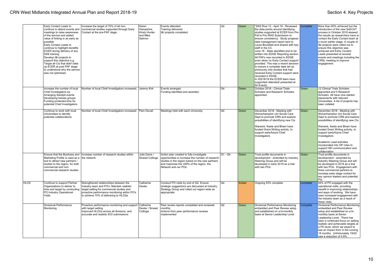|                  | Early Contact Leads to<br>continue to attend events and<br>meetings to raise awareness<br>of the service and added<br>value of linking in as early as<br>possible.<br>Early Contact Leads to<br>continue to highlight benefits<br>ECER during delivery of any<br>SSS training.<br>Develop I&I projects to<br>support this objective e.g.<br>Target all CIs that didn't take<br>up ECER at post PAF stage<br>to understood why the service<br>was not optimised. | Increase the target of 70% of all non-<br>commercial studies supported through Early<br>Contact at the pre-PAF stage.                                                                                                      | Karen<br>Hampshire,<br><b>Kirsty Hunter</b><br>and Mike<br>Salmon | Events attended.<br>Training delivered.<br>I&I projects completed.                                                                                                                                                 | Q4              | Green | "SSS Row 12 - April 18 - Reviewed<br>the data points around identifying<br>studies supported at ECER from Pre<br>Paf to Pre IRAS Submission to<br>ensure consistency. Study progress<br>data management report sent to<br>Laura Bousfield and shared with key<br>staff in the CC.<br>June 18 - Stats identified and to be<br>written into EDGE Reporting section.<br>All PAFs now recorded in EDGE<br>even when no Early Contact support<br>provided. This was a recent decision<br>to ensure a complete data set as<br>previously only studies that had<br>received Early Contact support were<br>recorded in EDGE.<br>In 20218/19 the ECER team have<br>supported/ attended/ presented at<br>54 Events. | Complete | More than 80% achieved but the<br>introduction of the new SoECAT<br>process in October 2018 skewed<br>the results as researchers have to<br>contact the Early Contact team at<br>a much earlier stage. A couple of<br>I&I projects were rolled out to<br>ensure this objective was<br>achieved and Early Contact<br>Leads presented at several<br>events and meetings including the<br>CRSL meeting to improve<br>engagement. |
|------------------|-----------------------------------------------------------------------------------------------------------------------------------------------------------------------------------------------------------------------------------------------------------------------------------------------------------------------------------------------------------------------------------------------------------------------------------------------------------------|----------------------------------------------------------------------------------------------------------------------------------------------------------------------------------------------------------------------------|-------------------------------------------------------------------|--------------------------------------------------------------------------------------------------------------------------------------------------------------------------------------------------------------------|-----------------|-------|-----------------------------------------------------------------------------------------------------------------------------------------------------------------------------------------------------------------------------------------------------------------------------------------------------------------------------------------------------------------------------------------------------------------------------------------------------------------------------------------------------------------------------------------------------------------------------------------------------------------------------------------------------------------------------------------------------------|----------|-------------------------------------------------------------------------------------------------------------------------------------------------------------------------------------------------------------------------------------------------------------------------------------------------------------------------------------------------------------------------------------------------------------------------------|
|                  | Increase the number of local<br>Chief Investigators by:<br>Arranging Sandpit events<br>Developing trainee groups<br>Funding protected time for<br>potential Chief Investigators                                                                                                                                                                                                                                                                                 | Number of local Chief Investigators increased. Jeremy Kirk                                                                                                                                                                 |                                                                   | Events arranged.<br>Funding identified and awarded.                                                                                                                                                                | $\overline{Q4}$ | Green | October 2018 - Clinical Trials<br>Scholars and Research Scholars<br>appointed                                                                                                                                                                                                                                                                                                                                                                                                                                                                                                                                                                                                                             | Green    | 12 Clinical Trials Scholars<br>appointed and 5 Research<br>Scholars. All have now started<br>placements with relevant<br>Universities. A list of projects has<br>been collated                                                                                                                                                                                                                                                |
|                  | Continue to work with local<br>Universities to identify<br>potential collaborations.                                                                                                                                                                                                                                                                                                                                                                            | Number of local Chief Investigators increased.                                                                                                                                                                             | Pam Devall                                                        | Meetings held with each University                                                                                                                                                                                 | Q4              | Green | December 2018 - Meeting with<br>Wolverhampton Uni Social Care<br>Dept to promote CRN and explore<br>possibilities of identifying new CIs<br>Warwick, Keele and Bham have<br>funded Grant Writing activity, to<br>support early/future Chief<br>Investigators                                                                                                                                                                                                                                                                                                                                                                                                                                              | Green    | December 2018 - Meeting with<br>Wolverhampton Uni Social Care<br>Dept to promote CRN and explore<br>possibilities of identifying new CIs<br>Warwick, Keele and Bham have<br>funded Grant Writing activity, to<br>support early/future Chief<br>Investigators<br>Academic Lead activities<br>incorporated into GP roles to<br>support HEI communication and<br>collaboration                                                   |
|                  | Marketing Profile is used as a   the network.<br>tool to attract new partners /<br>studies to the region, for both<br>commercial and non-<br>commercial research studies                                                                                                                                                                                                                                                                                        | Ensure that the Business and Increase number of research studies within                                                                                                                                                    | Julie Davis /<br>Sinead Collinge                                  | Action plan created to fully investigate<br>opportunities to increase the number of research<br>studies in the region based on the new partners<br>and maximise the USPs of the region, the<br>Network and our POs | $Q1 - Q4$       | Green | Trust profile documents in<br>development - amended by Industry<br>Steering Group and will be<br>developed in early 2019 as a trial<br>with two POs                                                                                                                                                                                                                                                                                                                                                                                                                                                                                                                                                       | Green    | Trust profile documents in<br>development - amended by<br>Industry Steering Group and will<br>be developed in 2019 as a trial<br>with two POs. Engagement with<br>three commercial partners to<br>increase early stage contact for<br>key opinion leaders and potential<br>Pis.                                                                                                                                               |
| HLO <sub>2</sub> | Continue to support Partner<br>Organisations to deliver to<br>time and target by conducting<br>PO Industry Operational<br><b>Visits</b>                                                                                                                                                                                                                                                                                                                         | Strengthened relationships between the<br>Industry team and PO's. Maintain realistic<br>target setting for commercial studies and<br>proactive performance monitoring within PO's<br>to achieve 70% of delivering to HLO2a | Catherine<br>Dexter                                               | Conduct PO visits by end of Q2. Ensure<br>strategic suggestions are discussed at Industry<br>Strategy Group and rolled out region-wide as<br>appropriate                                                           | Q4              | Amber | Ongoing 53% complete                                                                                                                                                                                                                                                                                                                                                                                                                                                                                                                                                                                                                                                                                      | Complete | 84% of PO engaged with the<br>operational visits, providing<br>benefit in improving relationships<br>and ways of working. We have<br>seen increased engagement with<br>the Industry team as a result of<br>these visits.                                                                                                                                                                                                      |
|                  | <b>Divisional Performance</b><br>Monitoring                                                                                                                                                                                                                                                                                                                                                                                                                     | Proactive performance monitoring and support Catherine<br>with target setting<br>Improved HLO2a across all divisions, and<br>accurate and realistic EOI submissions                                                        | Dexter / Sinead<br>Collinge                                       | Peer review reports completed and reviewed<br>monthly<br>Actions from peer performance reviews<br>implemented                                                                                                      | Q2              | Green | Divisional Performance Monitoring<br>embedded and Peer Review setup<br>and established on a bi-monthly<br>basis at Senior Leadership Level                                                                                                                                                                                                                                                                                                                                                                                                                                                                                                                                                                | Complete | Divisional Performance Monitoring<br>embedded and Peer Review<br>setup and established on a bi-<br>monthly basis at Senior<br>Leadership Level. There has<br>been a continued focus on setting<br>realistic and achievable targets at<br>a PO level, which we expect to<br>see an impact from in the coming<br>18 months. Unfortunately 19/20<br>saw a reduction of 4.9%.                                                     |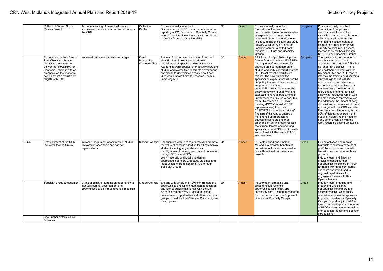|                  | Roll out of Closed Study<br><b>Review Proiect</b>                                                                                                                                                                               | An understanding of project failures and<br>successes to ensure lessons learned across<br>the CRN                                                              | Catherine<br>Dexter                | Process formally launched<br>Documented in LMPS to enable network wide<br>reporting at PO, Division and Specialty Group<br>level. Collection of intelligent data to be utilised<br>to predict future study deliverability                                                                                                                                                                       | Q1 | Green | Process formally launched.<br>Evaluation of the process<br>demonstrated it was not as valuable<br>as expected - it is hoped with<br>integrated performance monitoring<br>in Edge, details of closure and study<br>delivery will already be captured.<br>Lessons learned to be fed back<br>through SLT, PO's and Specialty<br>Groups                                                                                                                                                                                                                                                                                                                                                                                                                                                                                                                                                                                                 | Complete | Process formally launched.<br>Evaluation of the process<br>demonstrated it was not as<br>valuable as expected - it is hoped<br>with integrated performance<br>monitoring in Edge, details of<br>closure and study delivery will<br>already be captured. Lessons<br>learned to be fed back through<br>SLT, POs and Specialty Groups                                                                                                                                                                                                                                                                                                                                                                                                                                                             |
|------------------|---------------------------------------------------------------------------------------------------------------------------------------------------------------------------------------------------------------------------------|----------------------------------------------------------------------------------------------------------------------------------------------------------------|------------------------------------|-------------------------------------------------------------------------------------------------------------------------------------------------------------------------------------------------------------------------------------------------------------------------------------------------------------------------------------------------------------------------------------------------|----|-------|-------------------------------------------------------------------------------------------------------------------------------------------------------------------------------------------------------------------------------------------------------------------------------------------------------------------------------------------------------------------------------------------------------------------------------------------------------------------------------------------------------------------------------------------------------------------------------------------------------------------------------------------------------------------------------------------------------------------------------------------------------------------------------------------------------------------------------------------------------------------------------------------------------------------------------------|----------|------------------------------------------------------------------------------------------------------------------------------------------------------------------------------------------------------------------------------------------------------------------------------------------------------------------------------------------------------------------------------------------------------------------------------------------------------------------------------------------------------------------------------------------------------------------------------------------------------------------------------------------------------------------------------------------------------------------------------------------------------------------------------------------------|
|                  | To continue on from Annual<br>Plan Objective 17/18 in<br>identifying new ways to<br>deliver the "IRAS/HRA for<br>Sponsors Training" with an<br>emphasis on the sponsors<br>setting realistic recruitment<br>targets with Sites. | Improved recruitment to time and target                                                                                                                        | Karen<br>Hampshire<br>/Mobeena Naz | Review of past training evaluation forms and<br>identification of new areas to address<br>Identification of specific studies where local<br>Academics were Sponsors for actively recruiting<br>studies and review time to targets performance<br>and speak to Universities directly about how<br>CRN can support their CI/ Research Team in<br>improving RTT                                    | Q2 | Amber | SSS Row 18 - April 2018- Updated<br>face to face and webinar IRAS/HRA<br>training to reinforce the need for<br>effective project management of<br>studies and early conversations with<br>R&D to set realistic recruitment<br>targets. The new training for<br>sponsors on expectations as per the<br>UK policy framework is expected to<br>support this objective.<br>June 2018- Work on the new UK<br>policy framework is underway and<br>expected to have a draft by end of<br>July for feedback by the wider SSS<br>team. December 2018- Joint<br>meeting (DPM's/ Industry/ PPIE<br>representatives) to update<br>"IRAS/HRA for sponsors training".<br>The aim of this was to ensure a<br>more joined up approach in<br>educating sponsors and that<br>emphasis on setting more realistic<br>recruitment targets and ensuring<br>sponsors request PPI input in reality<br>and not just tick the box in IRAS to<br>say they have | Complete | The training will be continued as<br>core business to support<br>academic sponsors and CTUs but<br>no longer an objective. There<br>was collaborative work with the<br>Divisional PMs and PPIE reps to<br>improve the training by discussing<br>study design to set realistic<br>recruitment targets which was<br>implemented and the feedback<br>has been very positive. A real<br>recruitment time to target case<br>study was introduced which was<br>to help sponsors representatives<br>to understand the impact of early<br>discussions on recruitment to time<br>and target with the CRN and sites.<br>Feedback from the training is that<br>90% of delegates scored 4 or 5<br>out of 5 in clarifying the need for<br>early communication with the<br>CRN regarding setting up studies. |
| HLO <sub>3</sub> | Establishment of the CRN<br><b>Industry Steering Group</b>                                                                                                                                                                      | Increase the number of commercial studies<br>delivered in specialties and partner<br>organisations                                                             | Sinead Collinge                    | Engagement with PO's to educate and promote<br>the value of portfolio adoption for all commercial<br>studies including single site studies<br>Identify areas of capacity and patient population<br>through CRSLs and PO's<br>Work nationally and locally to identify<br>appropriate sponsors with study pipelines and<br>introduction to the region and PO's through<br><b>Specialty Groups</b> | Q4 | Amber | ISG established and running.<br>Materials to promote benefits of<br>portfolio adoption will be shared in<br>line with national documents and<br>projects.                                                                                                                                                                                                                                                                                                                                                                                                                                                                                                                                                                                                                                                                                                                                                                           | Green    | ISG established and running.<br>Materials to promote benefits of<br>portfolio adoption are shared in<br>line with national documents and<br>projects.<br>Industry team and Specialty<br>groups engaged; further<br>opportunities to explore in 19/20<br>Engaged with three commercial<br>sponsors and introduced to<br>regional capabilities with<br>engagement seen with Key<br>Opinion leaders                                                                                                                                                                                                                                                                                                                                                                                               |
|                  |                                                                                                                                                                                                                                 | Specialty Group Engagement   Utilise specialty groups as an opportunity to<br>discuss regional development and<br>opportunities to deliver commercial research | Sinead Collinge                    | Engage with CRSL and RDM's to promote the<br>opportunities available in commercial research<br>and look to build relationships with the Life<br>Sciences community Q1 Look at business<br>development opportunities and utilise specialty<br>groups to host the Life Sciences Community and<br>their pipeline                                                                                   | Q4 | Amber | Industry team engaging and<br>presenting Life Science<br>opportunities for primary and<br>secondary care. Opportunity offered<br>for commercial sponsors to present<br>pipelines at Specialty Groups.                                                                                                                                                                                                                                                                                                                                                                                                                                                                                                                                                                                                                                                                                                                               | Green    | Industry team engaging and<br>presenting Life Science<br>opportunities for primary and<br>secondary care. Opportunity<br>offered for commercial sponsors<br>to present pipelines at Specialty<br>Groups. Opportunity in 19/20 to<br>look at targeted approach in terms<br>of HLO2a performance, as well as<br>unmet patient needs and Sponsor<br>introductions                                                                                                                                                                                                                                                                                                                                                                                                                                 |
|                  | See Further details in Life<br>Sciences                                                                                                                                                                                         |                                                                                                                                                                |                                    |                                                                                                                                                                                                                                                                                                                                                                                                 |    |       |                                                                                                                                                                                                                                                                                                                                                                                                                                                                                                                                                                                                                                                                                                                                                                                                                                                                                                                                     |          |                                                                                                                                                                                                                                                                                                                                                                                                                                                                                                                                                                                                                                                                                                                                                                                                |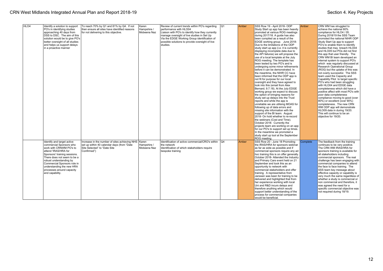| HLO4 |                                 |                                               |             |                                                       |     | Amber | SSS Row 19 - April 2018- ODP             | Amber    |                                     |
|------|---------------------------------|-----------------------------------------------|-------------|-------------------------------------------------------|-----|-------|------------------------------------------|----------|-------------------------------------|
|      | Identify a solution to support  | To reach 70% by Q1 and 81% by Q4. If not      | Karen       | Review of current trends within PO's regarding        | IQ1 |       |                                          |          | CRN WM has struggled to             |
|      | PO's in identifying studies     | then ensure all sites have identified reasons | Hampshire / | performance with HLO04                                |     |       | Study Start up app has been heavily      |          | achieve the national 80%            |
|      | approaching 40 days from        | for not delivering to this objective.         | Mobeena Naz | Liaison with PO's to identify how they currently      |     |       | promoted at various ROG meetings         |          | compliance for HLO4 / 05.           |
|      | DSS to DSC. The aim of this     |                                               |             | manage oversight of live studies in Set Up            |     |       | during 2017/18. A guide has also         |          | During 2018/19 the SSS Team         |
|      | solution would be to give PO's  |                                               |             | Via the EDGE Working Group identification of          |     |       | been compiled as a result of the         |          | promoted the national NIHR ODP      |
|      | better oversight of all studies |                                               |             | possible solutions to provide oversight of live       |     |       | EDGE working group. June 2018-           |          | Study Start Up app to support       |
|      | and helps us support delays     |                                               |             | studies.                                              |     |       | Due to the limitations of the ODP        |          | PO's to enable them to identify     |
|      | in a proactive manner           |                                               |             |                                                       |     |       | study start up app (i.e. it is currently |          | studies that may breach HLO04       |
|      |                                 |                                               |             |                                                       |     |       | displaying incomplete data due to        |          | and HLO05 but POs did not find      |
|      |                                 |                                               |             |                                                       |     |       | the API failures) we will propose the    |          | this app that user friendly. The    |
|      |                                 |                                               |             |                                                       |     |       | use of a local template at the July      |          | CRN WM BI team developed an         |
|      |                                 |                                               |             |                                                       |     |       | ROG meeting. The template has            |          | internal system to support PO's     |
|      |                                 |                                               |             |                                                       |     |       | been tested by two PO's and is           |          | which was regularly discussed at    |
|      |                                 |                                               |             |                                                       |     |       |                                          |          | Research Operational Group          |
|      |                                 |                                               |             |                                                       |     |       | undergoing some minor refinements        |          |                                     |
|      |                                 |                                               |             |                                                       |     |       | before it can be demonstrated. In        |          | (ROG) but the uptake of this was    |
|      |                                 |                                               |             |                                                       |     |       | the meantime, the NIHR CC have           |          | not overly successful. The SSS      |
|      |                                 |                                               |             |                                                       |     |       | been informed that the ODP app is        |          | team used the Capacity and          |
|      |                                 |                                               |             |                                                       |     |       | not fit for purpose for our local        |          | Capability Pilot to target specific |
|      |                                 |                                               |             |                                                       |     |       | oversight and they have agreed to        |          | PO's who had been struggling        |
|      |                                 |                                               |             |                                                       |     |       | look into this (email from Alex          |          | with HLO04 and EDGE data            |
|      |                                 |                                               |             |                                                       |     |       | Bernard, 9.7.18). At the July EDGE       |          | completeness which did have a       |
|      |                                 |                                               |             |                                                       |     |       | working group we expect to discuss       |          | positive affect with most PO's with |
|      |                                 |                                               |             |                                                       |     |       | the option of bringing reasons for       |          | poor data completeness              |
|      |                                 |                                               |             |                                                       |     |       | study set up delays into the Trust       |          | compliance moving to good (over     |
|      |                                 |                                               |             |                                                       |     |       | reports and while the app is             |          | 80%) or excellent (over 90%)        |
|      |                                 |                                               |             |                                                       |     |       | unreliable we are utilising MOAS for     |          | completeness. The new CRN           |
|      |                                 |                                               |             |                                                       |     |       | following up of data errors and          |          | WM ODP app will demonstrate         |
|      |                                 |                                               |             |                                                       |     |       | missing site information with the        |          | HLO09 data in during 19/20.         |
|      |                                 |                                               |             |                                                       |     |       | support of the BI team. August           |          | This will continue to be an         |
|      |                                 |                                               |             |                                                       |     |       | 2018- On hold whether to re-record       |          | objective for 19/20.                |
|      |                                 |                                               |             |                                                       |     |       | the webinars (Cost and Time).            |          |                                     |
|      |                                 |                                               |             |                                                       |     |       | October 2018- Currently the              |          |                                     |
|      |                                 |                                               |             |                                                       |     |       |                                          |          |                                     |
|      |                                 |                                               |             |                                                       |     |       | projects team are working on an app      |          |                                     |
|      |                                 |                                               |             |                                                       |     |       | for our PO's to support set up times.    |          |                                     |
|      |                                 |                                               |             |                                                       |     |       | In the meantime we promoted a            |          |                                     |
|      |                                 |                                               |             |                                                       |     |       | study start up tool at the September     |          |                                     |
|      |                                 |                                               |             |                                                       |     |       | ROG meeting                              |          |                                     |
|      | Identify and target active      | Increase in the number of sites achieving NHS | Karen       | Identification of active commercial/CRO's within   Q4 |     | Amber | SSS Row 20 - June 18 Promoting           | Complete | The feedback from the training      |
|      | commercial Sponsors who         | set up within 40 calendar days (from "Date"   | Hampshire / | the network                                           |     |       | the IRAS/HRA for sponsors webinar        |          | continues to be very positive.      |
|      | work with CRNWM PO's to         | Site Selected" to "Date Site                  | Mobeena Naz | Identification of which stakeholders require          |     |       | as far as wide as possible and if        |          | The CRN WM IRAS/HRA for             |
|      | attend 'IRAS/HRA for            | Confirmed")                                   |             | bespoke training                                      |     |       | commercial sponsors require any ad       |          | sponsors training is available for  |
|      | Sponsors' training sessions.    |                                               |             |                                                       |     |       | hoc training this is on offer generally. |          | all stakeholders including          |
|      | There does not seem to be a     |                                               |             |                                                       |     |       | October 2018- Attended the Industry      |          | commercial sponsors. The real       |
|      | robust understanding by         |                                               |             |                                                       |     |       | and Primary Care event held on 21        |          | challenge has been engaging with    |
|      | Commercial Sponsors role in     |                                               |             |                                                       |     |       | September and took this as an            |          | commercial companies to attend      |
|      | understanding the new HRA       |                                               |             |                                                       |     |       | opportunity to network with              |          | the face to face training. The      |
|      | processes around capacity       |                                               |             |                                                       |     |       | commercial stakeholders and offer        |          | SSS team key message about          |
|      | and capability.                 |                                               |             |                                                       |     |       | training. A representative from          |          | effective capacity or capability is |
|      |                                 |                                               |             |                                                       |     |       | Janssen was keen for training to be      |          | very much the same regardless of    |
|      |                                 |                                               |             |                                                       |     |       | delivered and highlighted that from      |          | whether a study is commercial or    |
|      |                                 |                                               |             |                                                       |     |       | her experience working with local        |          | non commercial and therefore, it    |
|      |                                 |                                               |             |                                                       |     |       | Uni and R&D incurs delays and            |          | was agreed the need for a           |
|      |                                 |                                               |             |                                                       |     |       | therefore anything which would           |          | specific commercial objective was   |
|      |                                 |                                               |             |                                                       |     |       | support better understanding of the      |          | not required during 18/19.          |
|      |                                 |                                               |             |                                                       |     |       | process for commercial companies         |          |                                     |
|      |                                 |                                               |             |                                                       |     |       |                                          |          |                                     |
|      |                                 |                                               |             |                                                       |     |       | would be beneficial.                     |          |                                     |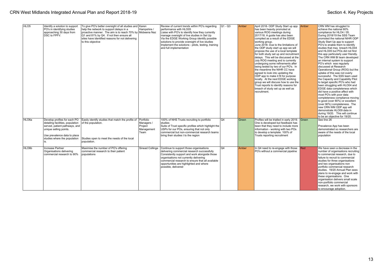| HLO <sub>5</sub>  | Identify a solution to support<br>PO's in identifying studies<br>approaching 30 days from<br>DSC to FPFV.                                                                                          | To give PO's better oversight of all studies and Karen<br>help the network to support delays in a<br>proactive manner. The aim is to reach 70% by Mobeena Naz<br>Q1 and 81% by Q4. If not then ensure all<br>sites have identified reasons for not delivering<br>to this objective | Hampshire /                                 | Review of current trends within PO's regarding<br>performance with HLO05<br>Liaise with PO's to identify how they currently<br>manage oversight of live studies in Set Up<br>Via the EDGE Working Group identify possible<br>solutions to provide oversight of live studies<br>Implement the solutions - pilots, testing, training<br>and full implementation | Q1 - Q3 | Amber | April 2018- ODP Study Start up app Amber<br>has been heavily promoted at<br>various ROG meetings during<br>2017/18. A guide has also been<br>compiled as a result of the EDGE<br>working group.<br>June 2018- Due to the limitations of<br>the ODP study start up app we will<br>propose the use of a local template<br>for both study set up and recruitment<br>delays. This will be discussed at the<br>July ROG meeting and is currently<br>undergoing some refinements after<br>being tested by two of our PO's. In<br>the meantime the NIHR CC have<br>agreed to look into updating the<br>ODP app to make it fit for purpose<br>locally. At the next EDGE working<br>group we will discuss how to use the<br>Trust reports to identify reasons for<br>breach of study set up as well as<br>recruitment. |       | CRN WM has struggled to<br>achieve the national 80%<br>compliance for HLO4 / 05.<br>During 2018/19 the SSS Team<br>promoted the national NIHR ODP<br>Study Start Up app to support<br>PO's to enable them to identify<br>studies that may breach HLO04<br>and HLO05 but POs did not find<br>this app particularly user friendly.<br>The CRN WM BI team developed<br>an internal system to support<br>PO's which was regularly<br>discussed at Research<br>Operational Group (ROG) but the<br>uptake of this was not overly<br>successful. The SSS team used<br>the Capacity and Capability Pilot<br>to target specific PO's who had<br>been struggling with HLO04 and<br><b>EDGE</b> data completeness which<br>did have a positive affect with<br>most PO's with poor data<br>completeness compliance moving<br>to good (over 80%) or excellent<br>(over 90%) completeness. The<br>new CRN WM ODP app will<br>demonstrate HLO09 data in<br>during 19/20. This will continue<br>to be an objective for 19/20. |
|-------------------|----------------------------------------------------------------------------------------------------------------------------------------------------------------------------------------------------|------------------------------------------------------------------------------------------------------------------------------------------------------------------------------------------------------------------------------------------------------------------------------------|---------------------------------------------|---------------------------------------------------------------------------------------------------------------------------------------------------------------------------------------------------------------------------------------------------------------------------------------------------------------------------------------------------------------|---------|-------|---------------------------------------------------------------------------------------------------------------------------------------------------------------------------------------------------------------------------------------------------------------------------------------------------------------------------------------------------------------------------------------------------------------------------------------------------------------------------------------------------------------------------------------------------------------------------------------------------------------------------------------------------------------------------------------------------------------------------------------------------------------------------------------------------------------|-------|---------------------------------------------------------------------------------------------------------------------------------------------------------------------------------------------------------------------------------------------------------------------------------------------------------------------------------------------------------------------------------------------------------------------------------------------------------------------------------------------------------------------------------------------------------------------------------------------------------------------------------------------------------------------------------------------------------------------------------------------------------------------------------------------------------------------------------------------------------------------------------------------------------------------------------------------------------------------------------------------------------------|
| HLO <sub>6a</sub> | Develop profiles for each PO<br>detailing facilities, population<br>served, patient pathways, and<br>unique selling points.<br>Use prevalence data to place<br>studies where the population<br>is. | Easily identify studies that match the profile of Portfolio<br>of the population.<br>Studies open to meet the needs of the local<br>population.                                                                                                                                    | Managers /<br>Project<br>Management<br>Team | 100% of NHS Trusts recruiting to portfolio<br>studies<br>Suite of Trust specific profiles which highlight the<br>USPs for our POs, ensuring that not only<br>commercial but non-commercial research teams<br>bring their studies t to the region                                                                                                              | Q4      | Green | Profiles will be trialled in early 2019.<br>One is developed but feedback has<br>been that they need to include more<br>information - working with two POs<br>to develop a template. 100% of<br>Trusts reporting recruitment                                                                                                                                                                                                                                                                                                                                                                                                                                                                                                                                                                                  | Green | See line 26<br>Prevalence App has been<br>Idemonstrated so researchers are<br>aware of the needs of the local<br>population                                                                                                                                                                                                                                                                                                                                                                                                                                                                                                                                                                                                                                                                                                                                                                                                                                                                                   |
| HLO6b             | Increase Partner<br>Organisations delivering<br>commercial research to 90%                                                                                                                         | Maximise the number of PO's offering<br>commercial research to their patient<br>populations                                                                                                                                                                                        | Sinead Collinge                             | Continue to support those organisations<br>delivering commercial research successfully<br>Consistently support and work alongside those<br>organisations not currently delivering<br>commercial research to ensure that all available<br>opportunities are highlighted and where<br>possible, delivered                                                       | Q4      | Amber | In Q4 need to re-engage with those<br>PO's without a commercial pipeline                                                                                                                                                                                                                                                                                                                                                                                                                                                                                                                                                                                                                                                                                                                                      | Red   | We have seen a decrease in the<br>number of organisations recruiting<br>to commercial research, due to<br>failure to recruit to commercial<br>studies for three organisations<br>and two organisations non<br>portfolio commercial research<br>studies. 19/20 Annual Plan sees<br>plans to re-engage and work with<br>these organisations. One<br>organisation delivers small scale<br>non-portfolio commercial<br>research, we work with sponsors<br>to encourage adoption.                                                                                                                                                                                                                                                                                                                                                                                                                                                                                                                                  |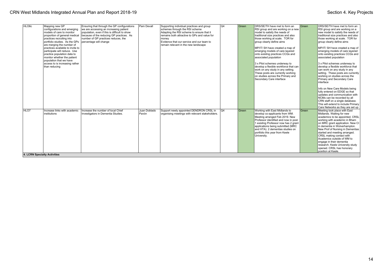| HLO <sub>6</sub> c                  | Mapping new GP                                                                                                                                                                         | Ensuring that through the GP configurations                              | Pam Devall            | Supporting individual practices and group                                                  | Q <sub>4</sub> | Green | DRS/SE/TH have met to form an                                                                                                                                                                                                                                                                                | Green | DRS/SE/TH have met to form an                                                                                                                                                                                                                                                                                                                                                                                                                        |
|-------------------------------------|----------------------------------------------------------------------------------------------------------------------------------------------------------------------------------------|--------------------------------------------------------------------------|-----------------------|--------------------------------------------------------------------------------------------|----------------|-------|--------------------------------------------------------------------------------------------------------------------------------------------------------------------------------------------------------------------------------------------------------------------------------------------------------------|-------|------------------------------------------------------------------------------------------------------------------------------------------------------------------------------------------------------------------------------------------------------------------------------------------------------------------------------------------------------------------------------------------------------------------------------------------------------|
|                                     | configurations and emerging                                                                                                                                                            | we are accessing an increasing patient                                   |                       | schemes through the RSI scheme                                                             |                |       | RSI group and are working on a new                                                                                                                                                                                                                                                                           |       | RSI group and are working on a                                                                                                                                                                                                                                                                                                                                                                                                                       |
|                                     | models of care to monitor                                                                                                                                                              | population, even if this is difficult to show                            |                       | Adapting the RSI scheme to ensure that it                                                  |                |       | model to satisfy the needs of                                                                                                                                                                                                                                                                                |       | new model to satisfy the needs of                                                                                                                                                                                                                                                                                                                                                                                                                    |
|                                     | proportion of general medical                                                                                                                                                          | because of the reducing GP practices. As                                 |                       | remains both attractive to GPs and value for                                               |                |       | traditional size practices and also                                                                                                                                                                                                                                                                          |       | traditional size practices and also                                                                                                                                                                                                                                                                                                                                                                                                                  |
|                                     | practices recruiting into                                                                                                                                                              | number of GP practices reduces, the                                      |                       | money                                                                                      |                |       | those working at scale. TOR for                                                                                                                                                                                                                                                                              |       | those working at scale. TOR for                                                                                                                                                                                                                                                                                                                                                                                                                      |
|                                     | portfolio studies. As the GPs                                                                                                                                                          | percentage will change                                                   |                       | Evidence that our service and our team to                                                  |                |       | group clearly define aims                                                                                                                                                                                                                                                                                    |       | group clearly define aims                                                                                                                                                                                                                                                                                                                                                                                                                            |
|                                     | are merging the number of<br>practices available to invite to<br>participate will reduce. Use<br>practice population data to<br>monitor whether the patient<br>population that we have |                                                                          |                       | remain relevant in the new landscape                                                       |                |       | MP/IT/ SH have created a map of<br>emerging models of care layered<br>onto existing practices CCGs and<br>associated population                                                                                                                                                                              |       | MP/IT/ SH have created a map of<br>emerging models of care layered<br>onto existing practices CCGs and<br>associated population                                                                                                                                                                                                                                                                                                                      |
|                                     | access to is increasing rather<br>than reducing                                                                                                                                        |                                                                          |                       |                                                                                            |                |       | 3 x Pilot schemes underway to<br>develop a flexible workforce that can<br>work on any study in any setting.<br>These posts are currently working<br>on studies across the Primary and<br>Secondary Care interface                                                                                            |       | 3 x Pilot schemes underway to<br>develop a flexible workforce that<br>can work on any study in any<br>setting. These posts are currently<br>working on studies across the<br>Primary and Secondary Care<br>interface                                                                                                                                                                                                                                 |
|                                     |                                                                                                                                                                                        |                                                                          |                       |                                                                                            |                |       |                                                                                                                                                                                                                                                                                                              |       | Info on New Care Models being<br>fully entered on EDGE so that<br>updates and communication with<br>NCMs can be recorded by all<br>CRN staff on a single database.<br>This will extend to include Primary<br>Care Networks as they are set up                                                                                                                                                                                                        |
| <b>HLO7</b>                         | Increase links with academic<br>institutions                                                                                                                                           | Increase the number of local Chief<br>Investigators in Dementia Studies. | Juan Doblado<br>Pavón | Support newly appointed DENDRON CRSL in<br>organising meetings with relevant stakeholders. | lo4            | Green | Working with East Midlands to<br>develop co-applicants from WM.<br>Meeting arranged Feb 2019. New<br>Professor identified and now in post.<br>1 existing Professor now has 2 grant<br>applications being submitted (MRC<br>and HTA). 2 dementias studies on<br>portfolio this year from Keele<br>University. | Green | Meeting took place with East<br>Midlands. Waiting for new<br>academics to be appointed. CRSL<br>working with academic in Bham<br>on MRC grant application. New CI<br>in dementia in Wolverhampton.<br>New Prof of Nursing in Dementias<br>started and meeting arranged.<br>CRSL making contact with<br>Academics outside of WM to<br>engage in their dementia<br>research. Keele University study<br>opened. CRSL has honorary<br>position at Keele. |
| <b>4. LCRN Specialty Activities</b> |                                                                                                                                                                                        |                                                                          |                       |                                                                                            |                |       |                                                                                                                                                                                                                                                                                                              |       |                                                                                                                                                                                                                                                                                                                                                                                                                                                      |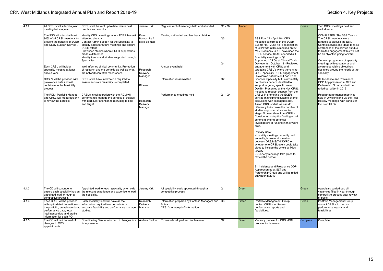| 4.1.2. | All CRSL's will attend a joint<br>meeting twice a year.                                                                                                                                 | CRSL's will be kept up to date, share best<br>practice and monitor                                                                                                                                                                                                                                               | Jeremy Kirk                         | Register kept of meetings held and attended                                                      | Q1 - Q4              | Amber |                                                                                                                                                                                                                                                                                                                                                                                                                                                                                                                                                                                                                                                                                                                                                                                     | Green    | Two CRSL meetings held and<br>well attended                                                                                                                                                                                                                                                                |
|--------|-----------------------------------------------------------------------------------------------------------------------------------------------------------------------------------------|------------------------------------------------------------------------------------------------------------------------------------------------------------------------------------------------------------------------------------------------------------------------------------------------------------------|-------------------------------------|--------------------------------------------------------------------------------------------------|----------------------|-------|-------------------------------------------------------------------------------------------------------------------------------------------------------------------------------------------------------------------------------------------------------------------------------------------------------------------------------------------------------------------------------------------------------------------------------------------------------------------------------------------------------------------------------------------------------------------------------------------------------------------------------------------------------------------------------------------------------------------------------------------------------------------------------------|----------|------------------------------------------------------------------------------------------------------------------------------------------------------------------------------------------------------------------------------------------------------------------------------------------------------------|
|        | The SSS will attend at least<br>90% of all CRSL meetings to<br>present the benefits of ECER<br>and Study Support Service.                                                               | Identify CRSL meetings where ECER haven't<br>attended already.<br>Contact Admin support for the Speciality to<br>identify dates for future meetings and ensure<br>ECER attend.<br>Showcase studies where ECER support has<br>made a difference.<br>Identify trends and studies supported through<br>Specialties. | Karen<br>Hampshire /<br>Mike Salmon | Meetings attended and feedback obtained                                                          | Q3<br>Q <sub>4</sub> |       | SSS Row 27 - April 18 - CRSL<br>meetings confirmed in the ECER<br>Events file. June 18 - Presentation<br>at CRN WM CRSLs meeting on 22<br>May. Not many CRSL have used the<br>ECER service. So far attended a 4<br>Speciality meetings in Q1.<br>Supported 10 POs at Clinical Trials<br>Day events. October 18 - Reviewed                                                                                                                                                                                                                                                                                                                                                                                                                                                           |          | COMPLETED. The SSS Team -<br>The CRSL meetings were<br>targeted to discuss the Early<br>Contact service and ideas to raise<br>awareness of the service but due<br>to limited engagement this will not<br>be an objective going forward.<br>Ongoing programme of specialty<br>meetings with educational and |
|        | Each CRSL will hold a<br>speciality meeting at least<br>once a year.                                                                                                                    | Well informed clinical community. Promotion<br>of research and the portfolio as well as what<br>the network can offer researchers.                                                                                                                                                                               | Research<br>Delivery<br>Manager     | Annual event held                                                                                |                      |       | engagement with CRSL and<br>targetting CRSL's where there is no<br>CRSL speciality ECER engagement.<br>Reviewed patterns on Lead Trust,                                                                                                                                                                                                                                                                                                                                                                                                                                                                                                                                                                                                                                             |          | awareness raising objectives,<br>designed around the needs of the<br>specialty.                                                                                                                                                                                                                            |
|        | CRSL's will be provided with<br>prevalence data and will<br>contribute to the feasibility<br>process.                                                                                   | CRSL's will have information required to<br>ensure accurate feasibility is completed.                                                                                                                                                                                                                            | BI team                             | Information disseminated                                                                         | Q <sub>2</sub>       |       | Sponsor, Specialty but unfortunately<br>no obvious pattern identified to<br>support targeting specific areas.<br>Dec18 - Presented at the Nov CRSL<br>meeting to request support from the                                                                                                                                                                                                                                                                                                                                                                                                                                                                                                                                                                                           |          | BI: Incidence and Prevalence<br>ODP App presented at SLT and<br>Partnership Group and will be<br>rolled out wider in 2019                                                                                                                                                                                  |
|        | The RDM, Portfolio Manager<br>and CRSL will meet regularly<br>to review the portfolio.                                                                                                  | CRSL's in collaboration with the RDM will<br>performance manage the portfolio of studies<br>with particular attention to recruiting to time<br>and target.                                                                                                                                                       | Research<br>Delivery<br>Manager     | Performance meetings held                                                                        | $Q1 - Q4$            |       | CRSLs in promoting the ECER<br>service (highlighting suitable events,<br>discussing with colleagues etc).<br>Asked CRSLs what we can do<br>differently to increase the number of<br>studies supported at an earlier<br>stage. No new ideas from CRSLs.<br>Considering using the funding email<br>comms to inform potential<br>investigators of funding in their work<br>area.<br>Primary Care:<br>- Locaility meetings currently held<br>annually, however discussion<br>between DRS/MS/TH/JG/PD on<br>whether one CRSL event could take<br>place to include the whole W Mids<br>locality<br>- Quarterly meetings take place to<br>review the portfoli<br>BI: Incidence and Prevalance ODP<br>App presented at SLT and<br>Partnership Group and will be rolled<br>out wider in 2019 |          | Regular performance meetings<br>held in Divisions and via the Peer<br>Review meetings, with particular<br>focus on HLO2                                                                                                                                                                                    |
| 4.1.3. | The CD will continue to<br>appointed lead, through a<br>competitive process.                                                                                                            | Appointed lead for each speciality who holds<br>ensure each speciality has an the relevant experience and expertise to lead<br>the speciality.                                                                                                                                                                   | Jeremy Kirk                         | All speciality leads appointed through a<br>competitive process                                  | Q <sub>1</sub>       | Green |                                                                                                                                                                                                                                                                                                                                                                                                                                                                                                                                                                                                                                                                                                                                                                                     | Green    | Appraisals carried out; all<br>vacancies filled in year through<br>competitive process after review<br>of posts                                                                                                                                                                                            |
| 4.1.4. | Each CRSL will be provided<br>with up to date information on<br>the portfolio, prevalence data,<br>performance data, local<br>intelligence data and profile<br>information for each PO. | Each speciality lead will have all the<br>information required in order to inform<br>accurate feasibility and performance manage<br>studies.                                                                                                                                                                     | Research<br>Delivery<br>Manager     | Information prepared by Portfolio Managers and Q3<br>BI team<br>CRSL's in receipt of information |                      | Green | Portfolio Management Group<br>contact CRSLs to discuss<br>performance reports and<br>feasibilities.                                                                                                                                                                                                                                                                                                                                                                                                                                                                                                                                                                                                                                                                                 | Green    | Portfolio Management Group<br>contact CRSLs to discuss<br>performance reports and<br>feasibilities.                                                                                                                                                                                                        |
| 4.1.5. | The CC will be informed of<br>changes to CRSL<br>appointments.                                                                                                                          | Coordinating Centre informed of changes in a Andrea Shilton<br>timely manner                                                                                                                                                                                                                                     |                                     | Process developed and implemented                                                                | $\overline{Q2}$      | Green | Vacancy process for CRSL/CRL<br>process implemented                                                                                                                                                                                                                                                                                                                                                                                                                                                                                                                                                                                                                                                                                                                                 | Complete | Completed                                                                                                                                                                                                                                                                                                  |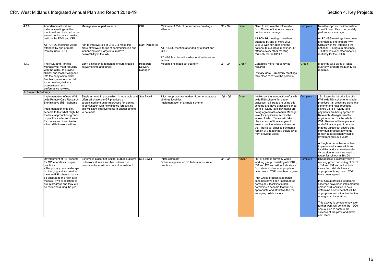| 4.1.6.               | Attendance at local and<br>national meetings will be<br>monitored and included in the<br>annual performance meeting<br>held by the RDM and CRL.<br>All PCNSG meetings will be<br>attended by one or more<br>Primary Care CRSL                                                                 | Management of performance<br>Aim to improve role of CRSL to make this<br>more effective in terms of communication and<br>influencing study targets to improve<br>deliverability in the WM                                                         | CRL<br>Mark Porcheret           | Minimum of 75% of performance meetings<br>attended<br>All PCNSG meeting attended by at least one<br>CRSL<br>PCNSG Minutes will evidence attendance and | $Q1 - Q4$ | Green | Need to improve the information<br>from Cluster office to accurately<br>performance manage.<br>All PCNSG meetings have been<br>attended by one of more WM<br>CRSLs with MP attending the<br>national IT subgroup meetings. TH<br>attends every other meeting<br>routinely for the SPCR                                                                                                                                                                                   | Complete | Need to improve the information<br>from Cluster office to accurately<br>performance manage.<br>All PCNSG meetings have been<br>attended by one of more WM<br>CRSLs with MP attending the<br>national IT subgroup meetings.<br>TH attends every other meeting<br>routinely for the SPCR                                                                                                                                                                                                                                                                                                                                                               |
|----------------------|-----------------------------------------------------------------------------------------------------------------------------------------------------------------------------------------------------------------------------------------------------------------------------------------------|---------------------------------------------------------------------------------------------------------------------------------------------------------------------------------------------------------------------------------------------------|---------------------------------|--------------------------------------------------------------------------------------------------------------------------------------------------------|-----------|-------|--------------------------------------------------------------------------------------------------------------------------------------------------------------------------------------------------------------------------------------------------------------------------------------------------------------------------------------------------------------------------------------------------------------------------------------------------------------------------|----------|------------------------------------------------------------------------------------------------------------------------------------------------------------------------------------------------------------------------------------------------------------------------------------------------------------------------------------------------------------------------------------------------------------------------------------------------------------------------------------------------------------------------------------------------------------------------------------------------------------------------------------------------------|
| 4.1.7.               | The RDM and Portfolio<br>Manager will meet regularly<br>with the CRSL to provide<br>clinical and local intelligence<br>into the early commercial<br>feedback, non-commercial<br>expert review, delivery<br>assessments and<br>performance reviews.                                            | Early clinical engagement to ensure studies<br>deliver to time and target.                                                                                                                                                                        | Research<br>Delivery<br>Manager | actions<br>Meetings held at least quarterly                                                                                                            | $Q1 - Q4$ | Green | Contacted more frequently as<br>required.<br>Primary Care - Quarterly meetings<br>take place to review the portfolio                                                                                                                                                                                                                                                                                                                                                     | Green    | Meetings take place at least<br>quarterly, or more frequently as<br>required.                                                                                                                                                                                                                                                                                                                                                                                                                                                                                                                                                                        |
| 5. Research Delivery |                                                                                                                                                                                                                                                                                               |                                                                                                                                                                                                                                                   |                                 |                                                                                                                                                        |           |       |                                                                                                                                                                                                                                                                                                                                                                                                                                                                          |          |                                                                                                                                                                                                                                                                                                                                                                                                                                                                                                                                                                                                                                                      |
|                      | Implementation of new WM<br>wide Primary Care Research<br>Site Initiative (RSI) Scheme<br>Implementation of a pilot<br>scheme to test what might be to be made<br>the best approach for groups<br>of practices in terms of value<br>for money and incentive to<br>attract GPs to work with us | Single scheme in place which is equitable and Sue Elwell<br>offers all single site GP practices a<br>streamlined and uniform process for sign up<br>In conjunction with new finance forecasting<br>this will allow improvements in budget setting |                                 | Pilot group practice leadership scheme across<br>all three localities<br>Implementation of a single scheme                                             | $Q1 - Q2$ | Green | 18-19 saw the introduction of a WM<br>wide RSI scheme for single<br>practices - all areas are using this<br>scheme and have practices signed<br>up to it. Study level payments are<br>being agreed at Research Manager<br>level for application across the<br>whole of WM. Review will take<br>place at end of financial year to<br>ensure that the values set ensure<br>that individual practice payments<br>remain at a reasonably stable level<br>from previous years | Complete | 18-19 saw the introduction of a<br>WM wide RSI scheme for single<br>practices - all areas are using this<br>scheme and have practices<br>signed up to it. Study level<br>payments are being agreed at<br>Research Manager level for<br>application across the whole of<br>WM. Review will take place at<br>end of financial year to ensure<br>that the values set ensure that<br>individual practice payments<br>remain at a reasonably stable<br>level from previous years<br>A Single scheme has now been<br>implemented across all three<br>localities and is currently under<br>discussion to see if we need to<br>tweak for roll out in 19 / 20 |
|                      | Development of RSI scheme<br>for GP federations / super<br>practices<br>- The primary care landscape<br>is changing and we need to<br>have an RSI scheme that can<br>be adapted to the new care<br>models. Two pilot schemes<br>are in progress and they will<br>be reviewed during the year  | Scheme in place that is fit for purpose, allows<br>us to work at scale and best utilises our<br>resources for maximum patient recruitment                                                                                                         | Sue Elwell                      | Pilots complete<br>Scheme in place for GP federations / super<br>practices                                                                             | $Q1 - Q4$ | Amber | RSI at scale is currently with a<br>working group consisting of CSRL,<br>RM and PM and will include views<br>from stakeholders at appropriate<br>time points . TOR have been agreed<br>Pilot Group practice leadership<br>schemes have been implemented<br>across all 3 localities to help<br>determine a scheme that will be<br>appropriate and attractive the the<br>emerging collaborations                                                                           | Complete | RSI at scale is currently with a<br>working group consisting of CSRL<br>. RM and PM and will include<br>views from stakeholders at<br>appropriate time points . TOR<br>have been agreed<br>Pilot Group practice leadership<br>schemes have been implemented<br>across all 3 localities to help<br>determine a scheme that will be<br>appropriate and attractive the the<br>emerging collaborations<br>This activity is complete however<br>further work will go into the 19/20<br>annual plan to capture the<br>success of the pilots and direct<br>next steps                                                                                       |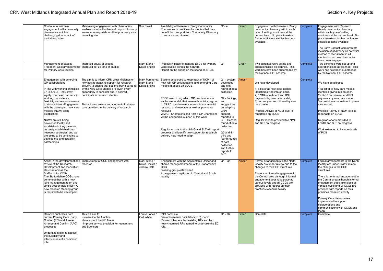| Continue to maintain<br>engagement with community<br>pharmacies which is<br>challenging due to lack of<br>available studies                                                                                                                                                                                                                                                                                                                                                                                                                         | Maintaining engagement with pharmacies<br>enables us to be flexible and respond to study<br>teams who may wish to utilise pharmacy as a<br>recruiting site                                                                                                                                                                                                                      | Sue Elwell                                    | Availability of Research Ready Community<br>Pharmacies in readiness for studies that may<br>benefit from support from Community Pharmacy<br>to enhance recruitment                                                                                                                                                                                                                                                                                                                                                                                        | $Q1-4$                                                                                                                                                                                                                                                                                                                                 | Green | Engagement with Research Ready<br>community pharmacy within each<br>type of setting continues at the<br>current level. No plans to extend<br>further until more studies become<br>available.                                                                                                                                        | Complete | Engagement with Research<br>Ready community pharmacy<br>within each type of setting<br>continues at the current level. No<br>plans to extend further until more<br>studies become available.<br>The Early Contact team promote<br>inclusion of pharmacy as potential<br>method of recruitment in all<br>studies but no new pharmacies<br>have been engaged                                                                                               |
|-----------------------------------------------------------------------------------------------------------------------------------------------------------------------------------------------------------------------------------------------------------------------------------------------------------------------------------------------------------------------------------------------------------------------------------------------------------------------------------------------------------------------------------------------------|---------------------------------------------------------------------------------------------------------------------------------------------------------------------------------------------------------------------------------------------------------------------------------------------------------------------------------------------------------------------------------|-----------------------------------------------|-----------------------------------------------------------------------------------------------------------------------------------------------------------------------------------------------------------------------------------------------------------------------------------------------------------------------------------------------------------------------------------------------------------------------------------------------------------------------------------------------------------------------------------------------------------|----------------------------------------------------------------------------------------------------------------------------------------------------------------------------------------------------------------------------------------------------------------------------------------------------------------------------------------|-------|-------------------------------------------------------------------------------------------------------------------------------------------------------------------------------------------------------------------------------------------------------------------------------------------------------------------------------------|----------|----------------------------------------------------------------------------------------------------------------------------------------------------------------------------------------------------------------------------------------------------------------------------------------------------------------------------------------------------------------------------------------------------------------------------------------------------------|
| Management of Excess<br><b>Treatment Cost arrangements</b><br>for Primary Care Studies                                                                                                                                                                                                                                                                                                                                                                                                                                                              | Improved equity of access<br>Improved set up time of studies                                                                                                                                                                                                                                                                                                                    | Mark Stone<br>David Shukla                    | Process in place to manage ETC's for Primary<br>Care studies across the network<br>Report on the spend on the spend on ETC's                                                                                                                                                                                                                                                                                                                                                                                                                              | lQ1                                                                                                                                                                                                                                                                                                                                    | Green | Two schemes were set up and<br>operationalised as planned. This<br>work has now been superseded by<br>the National ETC scheme.                                                                                                                                                                                                      | Complete | Two schemes were set up and<br>operationalised as planned. This<br>work has now been superseded<br>by the National ETC scheme.                                                                                                                                                                                                                                                                                                                           |
| Engagement with emerging<br>GP collaborations<br>In line with working principles<br>3.1.c,d,f,i,j,k - Inclusivity,<br>equity of access, partnership<br>working, consistency,<br>flexibility and responsiveness<br>to stakeholders -Engagement<br>with the developing 'new care<br>models' (NCM) being<br>established<br>NCM's are still being<br>developed locally and<br>established - they have not<br>currently established clear<br>'research strategies' and we<br>are going to be continuing to<br>develop this and establish<br>partnerships | The aim is to inform CRN West Midlands on<br>how best to adapt its support for research<br>delivery to ensure that patients being cared for David Shukla<br>by the New Care Models are given every<br>opportunity to consider and, if desired,<br>participate in research studies.<br>This will also ensure engagement of primary<br>care providers in the delivery of research | Mark Porcheret<br>Mark Stone /                | System developed to keep track of NCM - all<br>new WM GP collaborations and emerging Care<br>models mapped on EDGE<br>EDGE used to log which GP practices are in<br>each care model, their research activity, sign up<br>to CPRD, involvement / interest in commercial<br>research and resource as well as payments<br>received<br>WM GP Champions and First 5 GP Champions<br>will be engaged in support of this work<br>Regular reports to the LNMG and SLT will report<br>progress and identify how support for research<br>delivery may need to adapt | Q1 - system<br>developed<br>and first<br>round of data<br>collection<br>Q2 - findings,<br>land<br>suggestions<br>on adapting<br><b>CRN</b><br>support,<br>reported to<br>SLT. Second<br>round of data<br>collection<br>$\sqrt{Q3}$ and 4 -<br>third and<br>fourth rounds<br>of data<br>collection<br>and further<br>reports to<br>SLT. | Amber | We have developed:<br>1) a list of all new care models<br>identified giving info on each,<br>2) 17/18 recruitment and RSI<br>payments by new care model,<br>3) current year recruitment by new<br>care model.<br>Practice Activity at NCM level is<br>reportable on EDGE<br>Regular reports provided to LNMG<br>and SLT on progress | Complete | We have developed:<br>1) a list of all new care models<br>identified giving info on each,<br>2) 17/18 recruitment and RSI<br>payments by new care model,<br>3) current year recruitment by new<br>care model.<br>Practice Activity at NCM level is<br>reportable on EDGE<br>Regular reports provided to<br>LNMG and SLT on progress<br>Work extended to include details<br>of PCN                                                                        |
| review of the Research,<br>Development and Innovation<br>structure across the<br><b>Staffordshire CCGs</b><br>The Staffordshire CCGs have<br>come together with a new<br>joint management team and<br>single accountable officer. A<br>new research steering group<br>is required to be developed                                                                                                                                                                                                                                                   | Assist in the development and Improvement of CCG engagement with<br>research                                                                                                                                                                                                                                                                                                    | Mark Stone /<br>David Shukla /<br>Jeremy Dale | Engagement with the Accountable Officer and<br>shared management team of the Staffordshire<br><b>CCG</b><br>Steering group established<br>Arrangements replicated in Central and South<br>locality                                                                                                                                                                                                                                                                                                                                                        | $Q1 - Q4$                                                                                                                                                                                                                                                                                                                              | Amber | Formal arrangements in the North<br>locality are under review due to the<br>changes to the CCG structures<br>There is no formal engagement in<br>the Central area although informal<br>engagement does take place at<br>various levels and all CCGs are<br>provided with reports on their<br>practices research activity            | Complete | Formal arrangements in the North<br>locality are under review due to<br>the changes to the CCG<br>structures<br>There is no formal engagement in<br>the Central area although informal<br>engagement does take place at<br>various levels and all CCGs are<br>provided with reports on their<br>practices research activity<br>Primary Care Liaison roles<br>implemented to support<br>collaborations and<br>communications with CCGS and<br><b>PCNs</b> |
| Remove duplicates from<br>current Primary Care Early<br>Contact (EC) and Assess<br>Arrange and Confirm (AAC)<br>processes<br>Undertake a pilot to assess<br>the suitability and<br>effectiveness of a combined<br>role                                                                                                                                                                                                                                                                                                                              | This will aim to:<br>streamline the function<br>future proof the RF Team<br>improve service provision for researchers<br>and Sponsors                                                                                                                                                                                                                                           | Louise Jones /<br><b>Gail White</b>           | Pilot complete<br>Senior Research Facilitators (RF), Senior<br>Research Nurses, two existing RFs and two<br>newly recruited RFs trained to undertake the EC<br>role                                                                                                                                                                                                                                                                                                                                                                                       | Q1 - Q2                                                                                                                                                                                                                                                                                                                                | Green | Complete                                                                                                                                                                                                                                                                                                                            | Complete | Complete                                                                                                                                                                                                                                                                                                                                                                                                                                                 |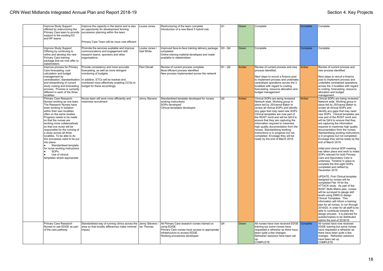| Improve Study Support<br>offeried by restructuring the<br>Primary Care team to provide<br>support to the existing EC<br>and RF teams                                                                                                                                                                                                                                                                                                                                                                                                                                                        | Improve the capacity in the teams and is also<br>an opportunity for development forming<br>succession planning within the team<br>Primary Care Team will be more cost efficient                                                                                     | Louise Jones                        | Restructuring of the team complete<br>Introduction of a new Band 5 hybrid role                                                                                               | lQ1       | Green | Complete                                                                                                                                                                                                                                                                                                                                                                                                                                                                                                                      | Complete | Complete                                                                                                                                                                                                                                                                                                                                                                                                                                                                                                                                                                                                                                                                                                                                                                                     |
|---------------------------------------------------------------------------------------------------------------------------------------------------------------------------------------------------------------------------------------------------------------------------------------------------------------------------------------------------------------------------------------------------------------------------------------------------------------------------------------------------------------------------------------------------------------------------------------------|---------------------------------------------------------------------------------------------------------------------------------------------------------------------------------------------------------------------------------------------------------------------|-------------------------------------|------------------------------------------------------------------------------------------------------------------------------------------------------------------------------|-----------|-------|-------------------------------------------------------------------------------------------------------------------------------------------------------------------------------------------------------------------------------------------------------------------------------------------------------------------------------------------------------------------------------------------------------------------------------------------------------------------------------------------------------------------------------|----------|----------------------------------------------------------------------------------------------------------------------------------------------------------------------------------------------------------------------------------------------------------------------------------------------------------------------------------------------------------------------------------------------------------------------------------------------------------------------------------------------------------------------------------------------------------------------------------------------------------------------------------------------------------------------------------------------------------------------------------------------------------------------------------------------|
| Improve Study Support<br>Offering by continuing to<br>refine and develop the new<br>Primary Care training<br>package that we now offer to<br>stakeholders                                                                                                                                                                                                                                                                                                                                                                                                                                   | Promote the services available and improve<br>communications and engagement with<br>research teams, sponsors and other<br>organisations                                                                                                                             | Louise Jones /<br><b>Gail White</b> | Improved face-to-face training delivery package<br>completed<br>Online training material developed and made<br>available to stakeholders                                     | Q3 - Q4   | Green | Complete                                                                                                                                                                                                                                                                                                                                                                                                                                                                                                                      | Complete | Complete                                                                                                                                                                                                                                                                                                                                                                                                                                                                                                                                                                                                                                                                                                                                                                                     |
| Improve process for Primary<br>Care forecasting, cost<br>calculation and budget<br>management by<br>and streamlining of current<br>study costing and forecasting<br>process. Process is currently<br>different in each of the three<br>localities                                                                                                                                                                                                                                                                                                                                           | Provide consistency and more accurate<br>forecasting, as well as more stringent<br>monitoring of budgets.<br>centralisation, standardisation   In addition, ETCs will be tracked and<br>monitored more effectively enabling CCGs to<br>budget for these accordingly | Pam Devall                          | Review of current process complete<br>Most efficient process identified<br>New process implemented across the network                                                        | $Q1 - Q2$ | Amber | Review of current process and new<br>process identified.<br>Next steps to recruit a finance post<br>to implement process and undertake<br>centralised operations across the 3<br>localities with regard to costing,<br>forecasting, resource allocation and<br>budget management                                                                                                                                                                                                                                              | Amber    | Review of current process and<br>new process identified.<br>Next steps to recruit a finance<br>post to implement process and<br>undertake centralised operations<br>across the 3 localities with regard<br>to costing, forecasting, resource<br>allocation and budget<br>management                                                                                                                                                                                                                                                                                                                                                                                                                                                                                                          |
| Primary Care Research<br>Nurses working as one team.<br>The Research Nurses have<br>been working in isolation<br>within their own localities<br>often on the same studies.<br>Progress needs to be made<br>so that the nurses are<br>working more collaboratively<br>so that one nurse will be<br>responsible for the running of<br>a study across all three<br>localities. To be able to do<br>this processes need to be put<br>into place:<br>Standardised template<br>$\bullet$<br>for nurse working instructions<br>SOPs<br>$\bullet$<br>Use of clinical<br>templates where appropriate | Nurse team will work more efficiently and<br>maximise recruitment                                                                                                                                                                                                   | Jenny Stevens                       | Standardised template developed for nurses<br>working instructions<br>SOPs developed<br>Clinical templates developed                                                         | Q4        | Amber | Clinical SOPs are being reviewed<br>Network wide. Working group in<br>place led by JS/Ivanna Baker to<br>review all clinical SOPs and identify<br>any gaps that may need new SOPs<br>Clinical templates are now part of<br>the ROST remit and will be QA'd to<br>ensure that they are capturing the<br>information required to maximise<br>high quality documentation from the<br>nurses. Standardising working<br>instructions is in progress but not<br>completed. Envisage they will be<br>ready by the end of March 2019. | Amber    | Clinical SOPs are being reviewed<br>Network wide. Working group in<br>place led by JS/Ivanna Baker to<br>review all clinical SOPs and<br>identify any gaps that may need<br>new SOPs. Clinical templates are<br>now part of the ROST remit and<br>will be QA'd to ensure that they<br>are capturing the information<br>required to maximise high quality<br>documentation from the nurses.<br>Standardising working instructions<br>is in progress but not completed.<br>Envisage they will be ready by the<br>end of March 2019.<br>Initial joint clinical SOP meeting<br>has taken place and work to make<br>SOPs relevant for both Primary<br>Care and Secondary Care is<br>underway. Timeline in place to<br>complete the first eight SOPs<br>completed and ratified by<br>December 2019 |
|                                                                                                                                                                                                                                                                                                                                                                                                                                                                                                                                                                                             |                                                                                                                                                                                                                                                                     |                                     |                                                                                                                                                                              |           |       |                                                                                                                                                                                                                                                                                                                                                                                                                                                                                                                               |          | <b>UPDATE: First Clinical template</b><br>designed by nurses will be<br>completed Feb 19 for the<br>ATTACK study. As part of the<br>ROST Skills Matrix plan, nurses<br>will be surveyed to gauge skill<br>levels using EMIS to design<br>Clinical Templates. This<br>information will inform a training<br>plan for all nurses, to run through<br>2019/20, in order for all staff to be<br>able to contribute towards the<br>design process. It is planned for<br>questionnaires to be distributed<br>before the end of 2018/19                                                                                                                                                                                                                                                              |
| Primary Care Research<br>Nurses to use EDGE as part<br>of the care pathway                                                                                                                                                                                                                                                                                                                                                                                                                                                                                                                  | Standardised way of running clinics across the Jenny Stevens /<br>area so that locality differences make minimal   Ian Thomas<br>impact                                                                                                                             |                                     | All Primary Care research nurses trained on<br>using EDGE<br>Primary Care nurses have access to appropriate<br>infrastructure to access EDGE<br>Working procedures developed | Q4        | Green | All nurses have now received EDGE Complete<br>training but some nurses have<br>requested a refresher as there have<br>been quite a few changes.<br>Refresher sessions have been set<br>up.<br><b>COMPLETE</b>                                                                                                                                                                                                                                                                                                                 |          | All nurses have now received<br>EDGE training but some nurses<br>have requested a refresher as<br>there have been quite a few<br>changes. Refresher sessions<br>have been set up.<br><b>COMPLETE</b>                                                                                                                                                                                                                                                                                                                                                                                                                                                                                                                                                                                         |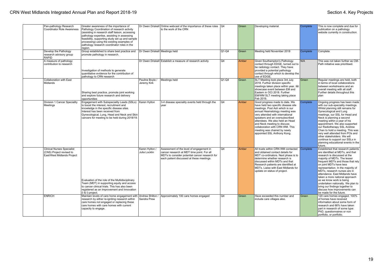|              | Pan-pathology Research<br><b>Coordinator Role Awareness</b>                                 | Greater awareness of the importance of<br>Pathology Coordination of research activity<br>(assisting in research staff liaison, accessing<br>pathology expertise, assisting in assessing<br>feasibility, supporting study set up and sample<br>processing) using the existing examples of<br>pathology research coordinator roles in the<br>region. | Dr Owen Driskell                | Online webcast of the importance of these roles   Q4<br>to the work of the CRN                                                                                                        |                | Green | Developing material                                                                                                                                                                                                                                                                                                                                                                  | <b>Complete</b> | This is now complete and due for<br>publication on a pathology<br>website currently in construction.                                                                                                                                                                                                                                                                                                                                                                                                           |
|--------------|---------------------------------------------------------------------------------------------|----------------------------------------------------------------------------------------------------------------------------------------------------------------------------------------------------------------------------------------------------------------------------------------------------------------------------------------------------|---------------------------------|---------------------------------------------------------------------------------------------------------------------------------------------------------------------------------------|----------------|-------|--------------------------------------------------------------------------------------------------------------------------------------------------------------------------------------------------------------------------------------------------------------------------------------------------------------------------------------------------------------------------------------|-----------------|----------------------------------------------------------------------------------------------------------------------------------------------------------------------------------------------------------------------------------------------------------------------------------------------------------------------------------------------------------------------------------------------------------------------------------------------------------------------------------------------------------------|
| <b>RAPID</b> | Develop the Pathology<br>research advisory group                                            | Group established to share best practice and<br>promote pathology in research.                                                                                                                                                                                                                                                                     | Dr Owen Driskell Meetings held  |                                                                                                                                                                                       | $Q1-Q4$        | Green | Meeting held November 2018                                                                                                                                                                                                                                                                                                                                                           | Complete        | Complete                                                                                                                                                                                                                                                                                                                                                                                                                                                                                                       |
|              | A measure of pathology<br>contribution to research                                          | Investigation of methods to generate<br>quantitative evidence for the contribution of<br>pathology to CRN research                                                                                                                                                                                                                                 |                                 | Dr Owen Driskell Establish a measure of research activity                                                                                                                             | Q4             | Amber | Given Southampton's Pathology<br>contact through EDGE, turned out to<br>be radiology contact. They have<br>provided a potential pathology<br>contact through which to develop the<br>use of EDGE.                                                                                                                                                                                    | N/A             | This was not taken further as CM-<br>Path initiative was prioritised.                                                                                                                                                                                                                                                                                                                                                                                                                                          |
|              | Collaboration with East<br>Midlands                                                         | Sharing best practice, promote joint working<br>and explore future research and delivery<br>opportunities                                                                                                                                                                                                                                          | Pauline Boyle /<br>Jeremy Kirk  | Meetings held                                                                                                                                                                         | $Q1-Q4$        | Green | SLT Meeting took place 3rd July<br>2018. Further division specific<br>meetings taken place within year. I&I<br>showcase event between EM and<br>Eastern in OCt 2018. Further<br>EM/WM SLT meeting taking place<br>Feb 2019.                                                                                                                                                          | Green           | Regular meetings are held, both<br>in terms of local collaborations<br>between workstreams and an<br>overall meeting with all staff.<br>Further details throughout this<br>plan                                                                                                                                                                                                                                                                                                                                |
|              | Division 1 Cancer Speciality<br>Meetings                                                    | Engagement with Subspeciality Leads (SSLs)<br>to boost the interest, recruitment and<br>knowledge in the specific disease sites.<br>Interest has been received from<br>Gynecological, Lung, Head and Neck and Skin<br>cancers for meeting to be held during 2018/19.                                                                               | Karen Hylton                    | 3-4 disease speciality events held through the<br>year                                                                                                                                | lQ4            | Amber | Good progress made to date. We<br>have held two specific disease site<br>meetings. Post Ash which is our<br>annual Heamatology meeting was<br>very attended with international<br>speakers and an oversubscribed<br>attendees. We also held an Head<br>and Neck meeting to discuss<br>collaboration with CRN WM. This<br>meeting was chaired by newly<br>appointed SSL Anthony Kong. | Complete        | Ongoing progress has been made<br>with our sub-speciality meetings.<br>Whilst planning still remains for<br>Gynecological and Lung<br>meetings, our SSL for Head and<br>Neck is planning a second<br>meeting within a year of his<br>appointment. We also supported<br>our Radiotherapy SSL Andrew<br>Chan to hold a meeting. This was<br>very well attended from POs and<br>other stakeholders. We will<br>continue to support our SSLs in<br>planning educational events in the<br>future.                   |
|              | <b>Clinical Nurses Specialist</b><br>(CNS) Project revised to<br>East/West Midlands Project | Evaluation of the role of the Multidisciplinary<br>Team (MDT) in supporting equity and access<br>to cancer clinical trials. This has also been<br>registered as an Improvement and Innovation<br>(I & I) project.                                                                                                                                  | Karen Hylton.<br>Julia Locklin  | Assessment of the level of engagement in<br>cancer research at MDT time point. For all<br>MDTs to consider potential cancer research for<br>each patient discussed at these meetings. | O <sub>4</sub> | Amber | All trusts within CRN WM contacted Complete<br>and obtained contact details for<br>MDT co-ordinators. Next phase is to<br>determine whether research is<br>discussed within MDTs and that<br>Research patients are identified at<br>MDTs. Liaise with East Midlands for<br>update on status of project.                                                                              |                 | Established that research patients<br>are identified at MDTs, and that<br>research is discussed at the<br>majority of MDTs. The lesser<br>frequent MDTs and those that rely<br>on joint MDTs have less<br>representation. In the majority of<br>MDTs, research nurses are in<br>attendance. East Midlands have<br>taken a more national approach<br>as we know work is being<br>undertaken nationally. We plan to<br>bring our findings together to<br>discuss how improvements can<br>be made for the future. |
|              | <b>ENRICH</b>                                                                               | Maintain levels of care home engagement with<br>research by either re-igniting research within<br>care homes not engaged or replacing these<br>care homes with care homes with current<br>capacity to engage.                                                                                                                                      | Andrea Shilton /<br>Sandra Prew | Approximately 100 care homes engaged                                                                                                                                                  | l O4           | Green | Have exceeded this number and<br>include care villages also.                                                                                                                                                                                                                                                                                                                         | Green           | 120 care homes engaged. 100%<br>of homes have received<br>information about some form of<br>research and 66% have taken<br>part in research of some type:<br>PhD, questionnaires or non<br>portfolio, or portfolio.                                                                                                                                                                                                                                                                                            |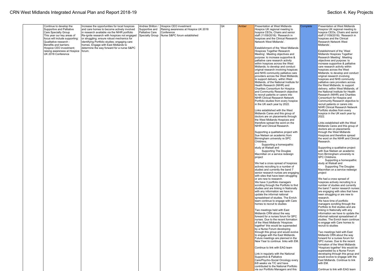20

| Continue to develop the                                          | Increase the opportunities for local hospices                                     | Andrea Shilton / | Hospice CEO investment               | Q4 | Amber | <b>Presentation at West Midlands</b><br>Complete                            | Presentation at West Midlands                                      |
|------------------------------------------------------------------|-----------------------------------------------------------------------------------|------------------|--------------------------------------|----|-------|-----------------------------------------------------------------------------|--------------------------------------------------------------------|
| Supportive and Palliative                                        | and care homes to become actively involved                                        | Supportive and   | Raising awareness at Hospice UK 2018 |    |       | Hospice UK regional meeting to                                              | Hospice UK regional meeting to                                     |
| Care Specialty Group                                             | in research available via the NIHR portfolio                                      | Palliative Care  | Conference                           |    |       | hospice CEOs, Chairs and senior                                             | hospice CEOs, Chairs and senior                                    |
| This vear our kev areas of                                       | Re-ignite research with hospices not engaged                                      | Specialty Group  | Nurse S&PC forum established         |    |       | staff (11/09/2018): 'Research in                                            | staff (11/09/2018): 'Research in                                   |
| focus will include supporting:                                   | or struggling; ensure robust mechanics for                                        |                  |                                      |    |       | hospices and the Clinical Research                                          | hospices and the Clinical                                          |
| Qualitative research -                                           | identifying Portfolio studies; engaging care                                      |                  |                                      |    |       | Network West Midlands'.                                                     | Research Network West                                              |
| Benefits and barriers;                                           | homes. Engage with East Midlands to<br>determine the way forward for a nurse S&PC |                  |                                      |    |       |                                                                             | Midlands'.                                                         |
| Hospice CEO investment;<br>raising awareness at Hospice   forum. |                                                                                   |                  |                                      |    |       | Establishment of the 'West Midlands<br>Hospices Together Research           | Establishment of the 'West                                         |
| UK 2018 Conference                                               |                                                                                   |                  |                                      |    |       | Meeting'. Meeting objectives and                                            | Midlands Hospices Together                                         |
|                                                                  |                                                                                   |                  |                                      |    |       | purpose: to increase supportive &                                           | Research Meeting'. Meeting                                         |
|                                                                  |                                                                                   |                  |                                      |    |       | palliative care research activity                                           | objectives and purpose: to                                         |
|                                                                  |                                                                                   |                  |                                      |    |       | within hospices across the West                                             | increase supportive & palliative                                   |
|                                                                  |                                                                                   |                  |                                      |    |       | Midlands; to develop and conduct                                            | care research activity within                                      |
|                                                                  |                                                                                   |                  |                                      |    |       | original research involving hospices                                        | hospices across the West                                           |
|                                                                  |                                                                                   |                  |                                      |    |       | and NHS community palliative care                                           | Midlands; to develop and conduct                                   |
|                                                                  |                                                                                   |                  |                                      |    |       | providers across the West Midlands;                                         | original research involving                                        |
|                                                                  |                                                                                   |                  |                                      |    |       | to support delivery, within West<br>Midlands, of the National Institute for | hospices and NHS community                                         |
|                                                                  |                                                                                   |                  |                                      |    |       | Health Research (NIHR) and                                                  | palliative care providers across<br>the West Midlands; to support  |
|                                                                  |                                                                                   |                  |                                      |    |       | Charities Consortium for Hospice                                            | delivery, within West Midlands, of                                 |
|                                                                  |                                                                                   |                  |                                      |    |       | and Community Research objective                                            | the National Institute for Health                                  |
|                                                                  |                                                                                   |                  |                                      |    |       | to recruit patients or carers into                                          | Research (NIHR) and Charities                                      |
|                                                                  |                                                                                   |                  |                                      |    |       | NIHR Clinical Research Network                                              | Consortium for Hospice and                                         |
|                                                                  |                                                                                   |                  |                                      |    |       | Portfolio studies from every hospice                                        | Community Research objective to                                    |
|                                                                  |                                                                                   |                  |                                      |    |       | in the UK each year by 2022.                                                | recruit patients or carers into                                    |
|                                                                  |                                                                                   |                  |                                      |    |       |                                                                             | <b>NIHR Clinical Research Network</b>                              |
|                                                                  |                                                                                   |                  |                                      |    |       | Links established with the West<br>Midlands Cares and this group of         | Portfolio studies from every<br>hospice in the UK each year by     |
|                                                                  |                                                                                   |                  |                                      |    |       | doctors are on placements through                                           | 2022.                                                              |
|                                                                  |                                                                                   |                  |                                      |    |       | the West Midlands Hospices and                                              |                                                                    |
|                                                                  |                                                                                   |                  |                                      |    |       | therefore spread the word on the                                            | Links established with the West                                    |
|                                                                  |                                                                                   |                  |                                      |    |       | NIHR and Clinical Research.                                                 | Midlands Cares and this group of                                   |
|                                                                  |                                                                                   |                  |                                      |    |       |                                                                             | doctors are on placements                                          |
|                                                                  |                                                                                   |                  |                                      |    |       | Supporting a qualitative project with                                       | through the West Midlands                                          |
|                                                                  |                                                                                   |                  |                                      |    |       | Sue Nielsen an academic from                                                | Hospices and therefore spread                                      |
|                                                                  |                                                                                   |                  |                                      |    |       | Birmingham university re SPC<br>Childrens.                                  | the word on the NIHR and Clinical<br>Research.                     |
|                                                                  |                                                                                   |                  |                                      |    |       | Supporting a homeopathic                                                    |                                                                    |
|                                                                  |                                                                                   |                  |                                      |    |       | study at Walsall and                                                        | Supporting a qualitative project                                   |
|                                                                  |                                                                                   |                  |                                      |    |       | Supporting The Douglas                                                      | with Sue Nielsen an academic                                       |
|                                                                  |                                                                                   |                  |                                      |    |       | Macmillan on a service redesign                                             | from Birmingham university re                                      |
|                                                                  |                                                                                   |                  |                                      |    |       | project                                                                     | SPC Childrens.                                                     |
|                                                                  |                                                                                   |                  |                                      |    |       |                                                                             | Supporting a homeopathic                                           |
|                                                                  |                                                                                   |                  |                                      |    |       | We had a cross spread of hospices                                           | study at Walsall and                                               |
|                                                                  |                                                                                   |                  |                                      |    |       | actively recruiting to a number of                                          | Supporting The Douglas<br>Macmillan on a service redesign          |
|                                                                  |                                                                                   |                  |                                      |    |       | studies and currently the band 7<br>senior research nurses are engaging     | project                                                            |
|                                                                  |                                                                                   |                  |                                      |    |       | with sites that have been struggling                                        |                                                                    |
|                                                                  |                                                                                   |                  |                                      |    |       | or are new to research.                                                     | We had a cross spread of                                           |
|                                                                  |                                                                                   |                  |                                      |    |       | We have 3 portfolio managers                                                | hospices actively recruiting to a                                  |
|                                                                  |                                                                                   |                  |                                      |    |       | scrolling through the Portfolio to find                                     | number of studies and currently                                    |
|                                                                  |                                                                                   |                  |                                      |    |       | studies and are linking in Nationally                                       | the band 7 senior research nurses                                  |
|                                                                  |                                                                                   |                  |                                      |    |       | with any information we have to                                             | are engaging with sites that have                                  |
|                                                                  |                                                                                   |                  |                                      |    |       | update the informal national                                                | been struggling or are new to                                      |
|                                                                  |                                                                                   |                  |                                      |    |       | spreadsheet of studies. The Enrich<br>team continue to engage with Care     | research.<br>We have time of portfolio                             |
|                                                                  |                                                                                   |                  |                                      |    |       | homes to recruit to studies                                                 | managers scrolling through the                                     |
|                                                                  |                                                                                   |                  |                                      |    |       |                                                                             | Portfolio to find studies and are                                  |
|                                                                  |                                                                                   |                  |                                      |    |       | Two meetings held with East                                                 | linking in Nationally with any                                     |
|                                                                  |                                                                                   |                  |                                      |    |       | Midlands CRN about the way                                                  | information we have to update the                                  |
|                                                                  |                                                                                   |                  |                                      |    |       | forward for a nurses forum for SPC                                          | informal national spreadsheet of                                   |
|                                                                  |                                                                                   |                  |                                      |    |       | nurses. Due to the recent formation                                         | studies. The Enrich team continue                                  |
|                                                                  |                                                                                   |                  |                                      |    |       | of the West Midlands 'Hospices                                              | to engage with Care homes to                                       |
|                                                                  |                                                                                   |                  |                                      |    |       | together' this would be superseded<br>by a Nurse Forum developing           | recruit to studies                                                 |
|                                                                  |                                                                                   |                  |                                      |    |       | through this group and would evolve                                         | Two meetings held with East                                        |
|                                                                  |                                                                                   |                  |                                      |    |       | to engage with the East Midlands.                                           | Midlands CRN about the wav                                         |
|                                                                  |                                                                                   |                  |                                      |    |       | Future meetings are planned in the                                          | forward for a nurses forum for                                     |
|                                                                  |                                                                                   |                  |                                      |    |       | New Year to continue links with EM.                                         | SPC nurses. Due to the recent                                      |
|                                                                  |                                                                                   |                  |                                      |    |       |                                                                             | formation of the West Midlands                                     |
|                                                                  |                                                                                   |                  |                                      |    |       | Continue to link with EAG team                                              | 'Hospices together' this would be                                  |
|                                                                  |                                                                                   |                  |                                      |    |       |                                                                             | superseded by a Nurse Forum                                        |
|                                                                  |                                                                                   |                  |                                      |    |       | Link in regularly with the National                                         | developing through this group and                                  |
|                                                                  |                                                                                   |                  |                                      |    |       | Supportive & Palliative<br>Care/Psycho-Social Oncology every                | would evolve to engage with the<br>East Midlands. Continue to link |
|                                                                  |                                                                                   |                  |                                      |    |       | 6/8 weeks via T/C and have                                                  | with EM.                                                           |
|                                                                  |                                                                                   |                  |                                      |    |       | contributed to the National Portfolio                                       |                                                                    |
|                                                                  |                                                                                   |                  |                                      |    |       | via our Portfolio Managers and this                                         | Continue to link with EAG team                                     |
|                                                                  |                                                                                   |                  |                                      |    |       |                                                                             |                                                                    |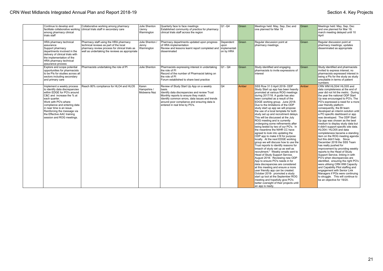| Continue to develop and<br>among pharmacy clinical<br>trials staff                                                                                                                                                                                                                                                       | Collaborative working among pharmacy<br>facilitate collaborative working clinical trials staff in secondary care                                                                    | Julie Shenton<br>/Jenny<br>Warmington  | Quarterly face to face meetings<br>Established community of practice for pharmacy<br>clinical trials staff across the region                                                                                                                                                  | $Q1 - Q4$                                      | Green   | Meetings held: May, Sep, Dec and<br>one planned for Mar 19                                                                                                                                                                                                                                                                                                                                                                                                                                                                                                                                                                                                                                                                                                                                                                                                                                                                                                                                                                                                                                                                                                                                                                                   | Green | Meetings held: May, Sep, Dec<br>and one planned for Mar 19;<br>march meeting delayed until 10<br>April                                                                                                                                                                                                                                                                                                                                                                                                                                                                                                                                                                                                                                                                                                                                                                                                                                                                                                                                                                 |
|--------------------------------------------------------------------------------------------------------------------------------------------------------------------------------------------------------------------------------------------------------------------------------------------------------------------------|-------------------------------------------------------------------------------------------------------------------------------------------------------------------------------------|----------------------------------------|-------------------------------------------------------------------------------------------------------------------------------------------------------------------------------------------------------------------------------------------------------------------------------|------------------------------------------------|---------|----------------------------------------------------------------------------------------------------------------------------------------------------------------------------------------------------------------------------------------------------------------------------------------------------------------------------------------------------------------------------------------------------------------------------------------------------------------------------------------------------------------------------------------------------------------------------------------------------------------------------------------------------------------------------------------------------------------------------------------------------------------------------------------------------------------------------------------------------------------------------------------------------------------------------------------------------------------------------------------------------------------------------------------------------------------------------------------------------------------------------------------------------------------------------------------------------------------------------------------------|-------|------------------------------------------------------------------------------------------------------------------------------------------------------------------------------------------------------------------------------------------------------------------------------------------------------------------------------------------------------------------------------------------------------------------------------------------------------------------------------------------------------------------------------------------------------------------------------------------------------------------------------------------------------------------------------------------------------------------------------------------------------------------------------------------------------------------------------------------------------------------------------------------------------------------------------------------------------------------------------------------------------------------------------------------------------------------------|
| HRA pharmacy technical<br>assurance<br>Support pharmacy<br>departments involved in the<br>delivery of clinical trials with<br>the implementation of the<br>HRA pharmacy technical<br>assurance process                                                                                                                   | Pharmacy staff using the HRA pharmacy<br>technical reviews as part of the local<br>pharmacy review process for clinical trials as<br>well as undertaking the reviews as appropriate | Julie Shenton /<br>Jenny<br>Warmington | Pharmacy departments updated upon progress<br>of HRA implementation<br>Review and lessons learnt report completed and<br>disseminated                                                                                                                                         | Dependent<br>upon<br>implementati<br>on by HRA | l Green | Regular discussion point at<br>pharmacy meetings.                                                                                                                                                                                                                                                                                                                                                                                                                                                                                                                                                                                                                                                                                                                                                                                                                                                                                                                                                                                                                                                                                                                                                                                            | Green | Regular discussion point at<br>pharmacy meetings; updates<br>disseminated as appropriate                                                                                                                                                                                                                                                                                                                                                                                                                                                                                                                                                                                                                                                                                                                                                                                                                                                                                                                                                                               |
| Explore and scope potential<br>opportunities for pharmacists<br>to be PIs for studies across all<br>sectors including secondary<br>and primary care                                                                                                                                                                      | Pharmacists undertaking the role of PI                                                                                                                                              | Julie Shenton                          | Pharmacists expressing interest in undertaking<br>the role of PI<br>Record of the number of Pharmacist taking on<br>the role of PI<br>Forum established to share best practice                                                                                                | $Q1 - Q4$                                      | Green   | Study identified and engaging<br>pharmacists to invite expressions of<br>interest                                                                                                                                                                                                                                                                                                                                                                                                                                                                                                                                                                                                                                                                                                                                                                                                                                                                                                                                                                                                                                                                                                                                                            | Green | Study identified and pharmacists<br>invited to express interest: no<br>pharmacists expressed interest in<br>being a PIs for the study as study<br>unsuitable in terms of patient<br>numbers                                                                                                                                                                                                                                                                                                                                                                                                                                                                                                                                                                                                                                                                                                                                                                                                                                                                            |
| Implement a weekly process<br>to identify data discrepancies<br>within EDGE for PO's around<br>C&C and increase the % at<br>each quarter.<br>Work with PO's where<br>compliance and entering data<br>in near time is an issue.<br>Reinforcing the message via<br>the Effective AAC training<br>session and ROG meetings. | Reach 80% compliance for HLO4 and HLO5                                                                                                                                              | Karen<br>Hampshire /<br>Mobeena Naz    | Review of Study Start Up App on a weekly<br>basis.<br>Identify data discrepancies and review Trust<br>Monthly reports to ensure they match.<br>Identify common errors, data issues and trends<br>around poor compliance and ensuring data is<br>entered in real time by PO's. | Q4                                             | Amber   | SSS Row 31 0 April 2018- ODP<br>Study Start up app has been heavily<br>promoted at various ROG meetings<br>during 2017/18. A guide has also<br>been compiled as a result of the<br>EDGE working group. June 2018-<br>Due to the limitations of the ODP<br>study start up app we will propose<br>the use of a local template for both<br>study set up and recruitment delays.<br>This will be discussed at the July<br>ROG meeting and is currently<br>undergoing some refinements after<br>being tested by two of our PO's. In<br>the meantime the NIHR CC have<br>agreed to look into updating the<br>ODP app to make it fit for purpose<br>locally. At the next EDGE working<br>group we will discuss how to use the<br>Trust reports to identify reasons for<br>breach of study set up as well as<br>recruitment." Weekly emails sent to<br>Head of Study Support Service.<br>August 2018- Reviewing new ODP<br>App to ensure PO's needs in for<br>data discrepancies are considered<br>at this meeting and ensure a more<br>user friendly app can be created.<br>October 2018- promoted a study<br>start up tool at the September ROG<br>meeting and hopefully give PO's<br>better oversight of their projects until<br>an app is ready. | Amber | CRN WM HLO04/ HLO05 and<br>data completeness at the end of<br>year did not hit the metric. During<br>the vear the national ODP Start<br>Up was encouraged to PO's. The<br>PO's expressed a need for a more<br>user friendly platform<br>consequently, the BI team<br>developed an interim solution until<br>a PO specific dashboard or app<br>was developed. The ODP Start<br>Up app was chosen as the best<br>medium to display study data but<br>it didn't support specific site data.<br>HLO04 / HLO05 and data<br>completeness became a standing<br>item on the ROG meeting agenda<br>but this didn't help. Since<br>December 2018 the SSS Team<br>has really pushed for<br>improvement by providing weekly<br>reports to the Head of Study<br>Support Service, linking in with<br>PO's when discrepancies are<br>identified, ensuring the right PO's<br>were utilising CRN WM Capacity<br>and Capability Pilot staffing and<br>engagement with Senior Link<br>Managers if POs were continuing<br>to struggle. This will continue to<br>be an objective for 19/20. |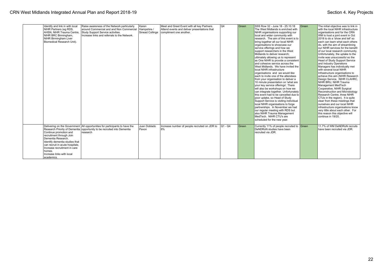| Identify and link in with local<br>NIHR Partners (eq RDS,<br>AHSN. NIHR Trauma Centre.<br>NIHR BRC Birmingham,<br><b>NIHR Birmingham Liver</b><br>Biomedical Research Unit).                                                       | Raise awareness of the Network particularly<br>around Commercial and and Non Commercial<br>Study Support Service activities.<br>Increase links and referrals to the Network. | Karen<br>Hampshire /<br>Sinead Collinge | Meet and Greet Event with all key Partners.<br>Attend events and deliver presentations that<br>compliment one another. | Q4         | Green | SSS Row 32 - June 18 - 25.10.18<br>The West Midlands is enriched with<br>NIHR organisations supporting our<br>local and wider community with<br>research. The aim of this event is to<br>bring together all our local NIHR<br>organisations to showcase our<br>service offerings and how we<br>support researchers in the West<br>Midlands to deliver research:<br>ultimately allowing us to represent<br>as One NIHR to provide a consistent<br>and cohesive service across the<br>West Midlands. We have invited the<br>local NIHR infrastructure<br>organisations and we would like<br>leach to invite one of the attendees<br>from your organisation to deliver a<br>10 minute presentation on 'what are<br>vour key service offerings'. There<br>will also be workshops on how we<br>can integrate together. Unfortunately<br>this event had to be cancelled due to<br>poor uptake, so Head of Study<br>Support Service is visiting individual<br>local NIHR organisations to forge<br>partnerships. In November we had<br>our regular meeting with RDS but<br>also NIHR Trauma Management<br>MedTech. NIHR CTU's are<br>scheduled for the new year. | <b>Green</b> | The initial objective was to link in<br>with the local NIHR infrastructure<br>organisations and for the CRN<br>WM to host a joint event in Oct<br>2018 to do a 'show and tell' so<br>leach can learn what each others<br>do, with the aim of streamlining<br>our NIHR services for the benefit<br>of our local research community.<br>Unfortunately, the uptake to the<br>invite was unsuccessful so the<br>Head of Study Support Service<br>and Industry Operations<br>Managers has individually met<br>with several local NIHR<br>Infrastructure organisations to<br>achieve this aim (NIHR Research<br>Design Service, NIHR CLAHRC,<br>NIHR BRU, NIHR Trauma<br>Management MedTech<br>Cooperative, NIHR Surgical<br>Reconstruction and Microbiology<br>Research Centre, three NIHR<br>CTUs in the region). It is quite<br>clear from these meetings that<br>ourselves and our local NIHR<br>infrastructure organisations know<br>verv little about each other. For<br>this reason this objective will<br>continue in 19/20. |  |
|------------------------------------------------------------------------------------------------------------------------------------------------------------------------------------------------------------------------------------|------------------------------------------------------------------------------------------------------------------------------------------------------------------------------|-----------------------------------------|------------------------------------------------------------------------------------------------------------------------|------------|-------|-----------------------------------------------------------------------------------------------------------------------------------------------------------------------------------------------------------------------------------------------------------------------------------------------------------------------------------------------------------------------------------------------------------------------------------------------------------------------------------------------------------------------------------------------------------------------------------------------------------------------------------------------------------------------------------------------------------------------------------------------------------------------------------------------------------------------------------------------------------------------------------------------------------------------------------------------------------------------------------------------------------------------------------------------------------------------------------------------------------------------------------------------------------|--------------|--------------------------------------------------------------------------------------------------------------------------------------------------------------------------------------------------------------------------------------------------------------------------------------------------------------------------------------------------------------------------------------------------------------------------------------------------------------------------------------------------------------------------------------------------------------------------------------------------------------------------------------------------------------------------------------------------------------------------------------------------------------------------------------------------------------------------------------------------------------------------------------------------------------------------------------------------------------------------------------------------------------------------------|--|
| Continue promotion and<br>recruitment through Join<br>Dementia Research.<br>Identify dementia studies that<br>can recruit in acute hospitals.<br>Increase recruitment in care<br>homes.<br>Increase links with local<br>academics. | Delivering on the Government All opportunities for participants to have the<br>Research Priority of Dementia opportunity to be recruited into Dementia<br>research           | Juan Doblado<br>Pavon                   | Increase number of people recruited on JDR to<br>8%                                                                    | $ Q1 - Q4$ | Green | Currently 11% of people recruited to Green<br>DeNDRoN studies have been<br>recruited via JDR.                                                                                                                                                                                                                                                                                                                                                                                                                                                                                                                                                                                                                                                                                                                                                                                                                                                                                                                                                                                                                                                             |              | 11.7% of WM DeNDRoN recruits<br>have been recruited via JDR.                                                                                                                                                                                                                                                                                                                                                                                                                                                                                                                                                                                                                                                                                                                                                                                                                                                                                                                                                                   |  |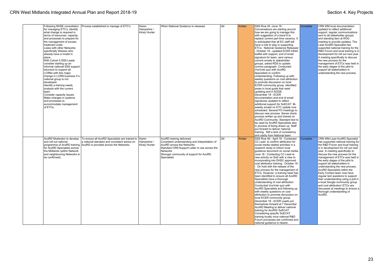| Following NHSE consultation   | Process established to manage of ETC's         | Karen         | When National Guidance is released.            | Q4 | Amber | SSS Row 45 - June 18 -                | <b>Complete</b> | CRN WM local documentation          |
|-------------------------------|------------------------------------------------|---------------|------------------------------------------------|----|-------|---------------------------------------|-----------------|-------------------------------------|
| for managing ETC's, identify  |                                                | Hampshire /   |                                                |    |       | Conversations are starting around     |                 | updated to reflect additional       |
| what change is required in    |                                                | Kirsty Hunter |                                                |    |       | how we are going to manage this       |                 | support, regular communications     |
| terms of resources, capacity  |                                                |               |                                                |    |       | with suggestion of a band 6 to        |                 | sent to all stakeholder groups,     |
|                               |                                                |               |                                                |    |       |                                       |                 |                                     |
| and processes to prepare for  |                                                |               |                                                |    |       | replace current part time vacancy. It |                 | and standing item at ROG            |
| the management of excess      |                                                |               |                                                |    |       | is anticipated that all EC staff will |                 | meeting to provide updates. The     |
| treatment costs.              |                                                |               |                                                |    |       | have a role to play in supporting     |                 | Lead AcoRD Specialist has           |
| Liaise with other Networks    |                                                |               |                                                |    |       | ETCs. National Guidance Released      |                 | supported national training for the |
| specifically Wessex who       |                                                |               |                                                |    |       | October 18 - updated ECER trifold     |                 | R&D Forum and local training is in  |
| already have a model in       |                                                |               |                                                |    |       |                                       |                 | development for roll out next year. |
|                               |                                                |               |                                                |    |       | leaflet with support, end of email    |                 |                                     |
| place.                        |                                                |               |                                                |    |       | signature for team, sent various      |                 | A meeting specifically to discuss   |
| With Cohort 5 SSS Leads       |                                                |               |                                                |    |       | comms emails to stakeholder           |                 | the new process for the             |
| consider starting up an       |                                                |               |                                                |    |       | groups, asked RDS to update           |                 | management of ETCs was held in      |
| informal national SSS support |                                                |               |                                                |    |       | comms paragraph. Conducted            |                 | the early stages of the pilot to    |
| structure to support all      |                                                |               |                                                |    |       | VoxVote quiz with AcoRD               |                 | support all stakeholders in         |
|                               |                                                |               |                                                |    |       |                                       |                 |                                     |
| LCRNs with this maior         |                                                |               |                                                |    |       | Specialists to confirm                |                 | understanding the new process.      |
| change in LCRN business if a  |                                                |               |                                                |    |       | understanding. Following up with      |                 |                                     |
| national group is not         |                                                |               |                                                |    |       | weekly questions on cost attribution  |                 |                                     |
| developed.                    |                                                |               |                                                |    |       | to promote discussion on local        |                 |                                     |
| Identify a training needs     |                                                |               |                                                |    |       | ECER community group. Identified      |                 |                                     |
|                               |                                                |               |                                                |    |       |                                       |                 |                                     |
| analysis with the current     |                                                |               |                                                |    |       | areas in local guide that need        |                 |                                     |
| team.                         |                                                |               |                                                |    |       | updating and in EDGE.                 |                 |                                     |
| Consider capacity issues.     |                                                |               |                                                |    |       | December 18 - ECER                    |                 |                                     |
| Make changes in systems       |                                                |               |                                                |    |       | documentation and end of email        |                 |                                     |
| and processes to              |                                                |               |                                                |    |       | signatures updated to reflect         |                 |                                     |
|                               |                                                |               |                                                |    |       |                                       |                 |                                     |
| accommodate management        |                                                |               |                                                |    |       | additional support for SoECAT. Bi-    |                 |                                     |
| of ETCs.                      |                                                |               |                                                |    |       | weekly emails on ETC update now       |                 |                                     |
|                               |                                                |               |                                                |    |       | scheduled. Several PO meetings to     |                 |                                     |
|                               |                                                |               |                                                |    |       | discuss new process. Sense check      |                 |                                     |
|                               |                                                |               |                                                |    |       | process written up and shared on      |                 |                                     |
|                               |                                                |               |                                                |    |       |                                       |                 |                                     |
|                               |                                                |               |                                                |    |       | AcoRD Community. Standard text to     |                 |                                     |
|                               |                                                |               |                                                |    |       | be used by AcoRD Specialists also     |                 |                                     |
|                               |                                                |               |                                                |    |       | in process of being drawn up. Staff   |                 |                                     |
|                               |                                                |               |                                                |    |       | put forward to deliver national       |                 |                                     |
|                               |                                                |               |                                                |    |       | training. Still a lack of consistency |                 |                                     |
|                               |                                                |               |                                                |    |       | and clarity from National team        |                 |                                     |
|                               |                                                |               |                                                |    |       |                                       |                 |                                     |
| AcoRD Moderator to develop    | To ensure all AcoRD Specialists are trained to | Karen         | AcoRD training delivered                       | Q4 | Amber | SSS Row 46 - April 18 - Contacted     | Complete        | CRN WM Lead AcoRD Specialist        |
| and roll out national         | a national standard and consistent advice on   | Hampshire /   | Consistent understanding and interpretation of |    |       | CC Lead to confirm attribution for    |                 | has supported national training for |
| programme of AcoRD training   | AcoRD is provided across the Networks.         | Kirsty Hunter | AcoRD across the Networks                      |    |       | social media related activities in a  |                 | the R&D Forum and local training    |
| for AcoRD Specialists across  |                                                |               | Standard CRN Support Letter in use across the  |    |       | research study to inform local        |                 | is in development for roll out next |
| the Midlands (within Network  |                                                |               | <b>Networks</b>                                |    |       | guidance document on social media.    |                 | year. A meeting specifically to     |
|                               |                                                |               |                                                |    |       |                                       |                 |                                     |
| and neighbouring Networks to  |                                                |               | Stronger community of support for AcoRD        |    |       | June 18 - Contacting CC Lead re       |                 | discuss the new process for the     |
| be confirmed).                |                                                |               | <b>Specialists</b>                             |    |       | new activity on SoE with a view to    |                 | management of ETCs was held in      |
|                               |                                                |               |                                                |    |       | incorporating into DHSC approved      |                 | the early stages of the pilot to    |
|                               |                                                |               |                                                |    |       | cost attribution training. October 18 |                 | support all stakeholders in         |
|                               |                                                |               |                                                |    |       | On hold with the release of the       |                 | understanding the new process.      |
|                               |                                                |               |                                                |    |       | new process for the management of     |                 | AcoRD Specialists within the        |
|                               |                                                |               |                                                |    |       |                                       |                 |                                     |
|                               |                                                |               |                                                |    |       | ETCs. However, a training need has    |                 | Early Contact team now have         |
|                               |                                                |               |                                                |    |       | been identified to ensure all AcoRD   |                 | regular test questions to support   |
|                               |                                                |               |                                                |    |       | Specialists have a thorough           |                 | their understanding using a poll in |
|                               |                                                |               |                                                |    |       | understanding of cost attribution.    |                 | a local Google community group      |
|                               |                                                |               |                                                |    |       | Conducted VoxVote quiz with           |                 | and cost attribution/ ETCs are      |
|                               |                                                |               |                                                |    |       |                                       |                 |                                     |
|                               |                                                |               |                                                |    |       | AcoRD Specialists and following up    |                 | discussed at meetings to ensure a   |
|                               |                                                |               |                                                |    |       | with weekly questions on cost         |                 | thorough understanding of           |
|                               |                                                |               |                                                |    |       | attribution to promote discussion on  |                 | AcoRD.                              |
|                               |                                                |               |                                                |    |       | local ECER community group.           |                 |                                     |
|                               |                                                |               |                                                |    |       | December 18 - ECER Leads put          |                 |                                     |
|                               |                                                |               |                                                |    |       | themselves forward at 7 December      |                 |                                     |
|                               |                                                |               |                                                |    |       |                                       |                 |                                     |
|                               |                                                |               |                                                |    |       | AcoRD Meeting to deliver national     |                 |                                     |
|                               |                                                |               |                                                |    |       | training for AcoRD/ SoECAT.           |                 |                                     |
|                               |                                                |               |                                                |    |       | Considering specific SoECAT           |                 |                                     |
|                               |                                                |               |                                                |    |       | training locally once national R&D    |                 |                                     |
|                               |                                                |               |                                                |    |       | Forum processes are confirmed and     |                 |                                     |
|                               |                                                |               |                                                |    |       | national guidance is clearer.         |                 |                                     |
|                               |                                                |               |                                                |    |       |                                       |                 |                                     |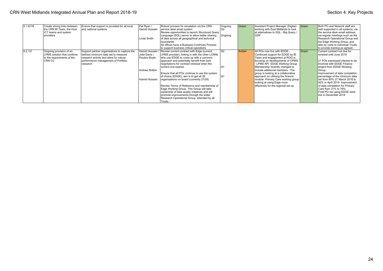| 6.1.6/7/8 | Create strong links between<br>the CRN BI Team, the Host<br>ICT teams and system               | Ensure that support is provided for all local<br>and national systems                                                                                                | Pat Ryan /<br>Hamid Hussain                     | Robust process for escalation via the CRN<br>service desk email system<br>Review opportunities to launch Structured Query                                                             | Ongoing        | Green | Assistant Project Manager (Digital)<br>working with East Midlands to look<br>at alternatives to SQL - Big Query /                            | Green | Both PO and Network staff are<br>well supported in all systems, via<br>the service desk email address.                              |
|-----------|------------------------------------------------------------------------------------------------|----------------------------------------------------------------------------------------------------------------------------------------------------------------------|-------------------------------------------------|---------------------------------------------------------------------------------------------------------------------------------------------------------------------------------------|----------------|-------|----------------------------------------------------------------------------------------------------------------------------------------------|-------|-------------------------------------------------------------------------------------------------------------------------------------|
|           | providers                                                                                      |                                                                                                                                                                      | Linda Smith                                     | Language (SQL) server to allow better sharing<br>of data across all geographical and technical                                                                                        | Ongoing        |       | <b>ODP</b>                                                                                                                                   |       | via regular meetings such as the<br>Research Operational Group and                                                                  |
|           |                                                                                                |                                                                                                                                                                      |                                                 | l boundaries<br>All offices have a Business Continuity Process<br>to support business critical operations                                                                             |                |       |                                                                                                                                              |       | the Edge Working Group, and<br>also by visits to individual Trusts<br>to provide training as agreed.                                |
| 6.2.1/2   | Ongoing provision of an<br>LPMS solution that confirms<br>to the requirements of the<br>CRN CC | Support partner organisations to capture the<br>defined minimum data set to measure<br>research activity and allow for robust<br>performance management of Portfolio | Hamid Hussain<br>Julie Davis /<br>Pauline Boyle | Review current contract with Edge (current<br>LPMS provider), linking in with the other LCRNs<br>who use EDGE to come up with a common<br>approach and potentially benefit from joint | l Q2           | Amber | All POs now live with EDGE -<br>Continued support for EDGE by BI<br>Team and engagement at ROG is<br>focusing on developments of CPMS        | Green | Current contract not due for<br>renewal until June 2019<br>21 POs expressed interest to be                                          |
|           |                                                                                                | research                                                                                                                                                             | Andrea Shilton                                  | negotiations for contract renewal when the<br>current one expires                                                                                                                     | O <sub>1</sub> |       | - LPMS API EDGE Working Group<br>Membership recently changed to<br>include additional members. The                                           |       | involved with EDGE Finance<br>project from EDGE Working<br>Group                                                                    |
|           |                                                                                                |                                                                                                                                                                      | Hamid Hussain                                   | Ensure that all POs continue to use the system<br>of choice (EDGE); aim is to get all 28<br>organisations on board (currently 27/28)                                                  | lQ1            |       | group is looking at a collaborative<br>approach on utilising the finance<br>module. Primary Care working group<br>looking at using Edge more |       | Improvement of data completion<br>percentage of the minimum data<br>set from 80% 27 March 2018 to<br>92% in April 2019. Improvement |
|           |                                                                                                |                                                                                                                                                                      |                                                 | Review Terms of Reference and membership of<br>Edge Working Group. This Group will take<br>ownership of data quality initiatives and will<br>promote improvements through the wider   |                |       | effectively for the regional set up                                                                                                          |       | of data completion for Primary<br>Care from 31% to 76%.<br>Final PO not using EDGE went<br>live in December 2018                    |
|           |                                                                                                |                                                                                                                                                                      |                                                 | Research Operational Group, attended by all<br>Trusts.                                                                                                                                |                |       |                                                                                                                                              |       |                                                                                                                                     |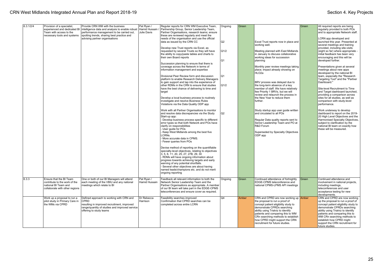| 6.3.1/2/4 | Provision of a specialist,<br>experienced and dedicated BI<br>Team with access to the                              | Provide CRN WM with the business<br>intelligence data and analysis to enable robust<br>performance management to be carried out,                                                    | Pat Ryan /<br>Hamid Hussain<br>Julie Davis | Regular reports for CRN WM Executive Team,<br>Partnership Group, Senior Leadership Team,<br>Partner Organisations, research teams; ensure                                                                                                    | Ongoing | Green |                                                                                                                                                                                                                                                                 | Green | All required reports are being<br>regularly provided to both POs<br>and to appropriate Network staff.                                                                                                                                           |
|-----------|--------------------------------------------------------------------------------------------------------------------|-------------------------------------------------------------------------------------------------------------------------------------------------------------------------------------|--------------------------------------------|----------------------------------------------------------------------------------------------------------------------------------------------------------------------------------------------------------------------------------------------|---------|-------|-----------------------------------------------------------------------------------------------------------------------------------------------------------------------------------------------------------------------------------------------------------------|-------|-------------------------------------------------------------------------------------------------------------------------------------------------------------------------------------------------------------------------------------------------|
|           | necessary tools and systems                                                                                        | spotting trends, sharing best practice and<br>advising partner organisations                                                                                                        |                                            | these are reviewed regularly and meet the<br>needs of the organisation and use the official<br>data as issued by the CRN CC                                                                                                                  | Q2      |       | Excel Trust reports now in place and<br>working well.                                                                                                                                                                                                           |       | LCRN app developed and<br>launched this year. Presented at<br>several meetings and training                                                                                                                                                     |
|           |                                                                                                                    |                                                                                                                                                                                     |                                            | Develop new Trust reports via Excel, as<br>requested by several Trusts so they will have<br>the ability to copy/paste tables and charts to<br>their own Board reports                                                                        | Q1/2    |       | Meeting planned with East Midlands<br>in January to discuss collaborative<br>working ideas for succession                                                                                                                                                       |       | provided, including site-visits<br>(eight so far) where appropriate -<br>initial feedback has been very<br>encouraging and this will be                                                                                                         |
|           |                                                                                                                    |                                                                                                                                                                                     |                                            | Succession planning to ensure that there is<br>coverage across the Network in terms of<br>information management and expertise                                                                                                               | Q1      |       | planning<br>Monthly peer review meetings taking<br>place; impact already showing on                                                                                                                                                                             |       | developed further.<br>Presentations given at several<br>meetings about new apps                                                                                                                                                                 |
|           |                                                                                                                    |                                                                                                                                                                                     |                                            | Divisional Peer Review form and discussion<br>platform to enable Research Delivery Managers<br>to gain support and tap into the experience of                                                                                                | Q1      |       | HLO <sub>2a</sub><br>BRV process was delayed due to                                                                                                                                                                                                             |       | developed by the national BI<br>team, especially the "Research<br>Targeting Tool" and the "Partner<br>Dashboard."                                                                                                                               |
|           |                                                                                                                    |                                                                                                                                                                                     |                                            | other RDMs in the CRN to ensure that studies<br>have the best chance of delivering to time and<br>target                                                                                                                                     | Q1/2    |       | the long-term absence of a key<br>member of staff. We have relatively<br>few Priority 1 BRVs, but we will<br>review and relaunch the process in                                                                                                                 |       | Site-level Recruitment to Time<br>and Target dashboard launched,<br>providing a comparison across                                                                                                                                               |
|           |                                                                                                                    |                                                                                                                                                                                     |                                            | Develop a local business process to routinely<br>investigate and resolve Business Rules<br>Violations via the Data Quality ODP app                                                                                                           |         |       | the New Year to reduce them<br>further.                                                                                                                                                                                                                         |       | sites for all studies, as well as<br>comparison with study-level<br>berformance.                                                                                                                                                                |
|           |                                                                                                                    |                                                                                                                                                                                     |                                            | Work with all Partner Organisations to monitor<br>and resolve data discrepancies via the Study<br>Start-up app:<br>Develop business process specific to different                                                                            | lQ2     |       | Study startup app user guide written<br>and circulated to all POs<br>Regular Data quality reports sent to                                                                                                                                                       |       | Work underway to develop<br>dashboard to report on the 2019-<br>20 High Level Objectives and the<br>Harmonised Specialty Objectives,                                                                                                            |
|           |                                                                                                                    |                                                                                                                                                                                     |                                            | error types so that both Network and POs have<br>clarify on responsibilities<br>User guide for POs<br>Keep West Midlands among the best five                                                                                                 |         |       | Senior Leadership Team and PO at<br>R&D Forum                                                                                                                                                                                                                   |       | subject to clarification by the<br>national BI team on exactly how<br>these will be measured.                                                                                                                                                   |
|           |                                                                                                                    |                                                                                                                                                                                     |                                            | LCRNs.<br>More accurate data in CPMS.<br>Fewer queries from POs                                                                                                                                                                              |         |       | Superseded by Specialty Objectives<br>ODP app                                                                                                                                                                                                                   |       |                                                                                                                                                                                                                                                 |
|           |                                                                                                                    |                                                                                                                                                                                     |                                            | Devise method of reporting on the quantifiable<br>specialty-level objectives, relating to objectives<br>3, 5, 6, 11, 20, 25, 27, 27B, 29, 30                                                                                                 |         |       |                                                                                                                                                                                                                                                                 |       |                                                                                                                                                                                                                                                 |
|           |                                                                                                                    |                                                                                                                                                                                     |                                            | RDMs will have ongoing information about<br>progress towards achieving targets and early<br>warning of any potential shortfalls.<br>Several other objectives are about having                                                                |         |       |                                                                                                                                                                                                                                                                 |       |                                                                                                                                                                                                                                                 |
|           |                                                                                                                    |                                                                                                                                                                                     |                                            | named leads/champions etc. and do not merit<br>ongoing reporting                                                                                                                                                                             |         |       |                                                                                                                                                                                                                                                                 |       |                                                                                                                                                                                                                                                 |
| 6.3.3     | Ensure that the BI Team<br>contribute to the work of the<br>national BI Team and<br>collaborate with other regions | One or both of our BI Managers will attend<br>each meeting of the VBIU and any national<br>meetings which relate to BI                                                              | Pat Ryan /<br>Hamid Hussain                | Feedback all relevant information to both the<br>Network Senior Leadership Team and the<br>Partner Organisations as appropriate. A member<br>of our BI team will take part in the EDGE-CPMS<br>teleconferences and ensure cover as required. | Ongoing | Green | Continued attendance of fortnightly<br>EDGE-CPMS teleconference and<br>national CPMS-LPMS API meetings                                                                                                                                                          | Green | Continued attendance and<br>involvement in national projects,<br>including meetings,<br>teleconferences and user<br>acceptance testing for new<br>developments.                                                                                 |
|           | Work up a proposal to run a<br>pilot study in Primary Care in<br>the WMs via CPRD                                  | Defined approach to working with CRN and<br><b>CPRD</b><br>resulting in improved recruitment, improved<br>range/quantity of studies and improved service<br>offering to study teams | Dr Rebecca<br>Harrison                     | Feasibility searches improved<br>Confirmation that CPRD searches can be<br>completed across entire LCRN                                                                                                                                      | Q4      | Amber | CRN and CPRD are now working up Amber<br>the proposal to run a proof of<br>concept patient eligibility study to<br>demonstrate CPRDs searching<br>ability using Trialviz to identify<br>patients and comparing this to WM<br>CRn searching methods to establish |       | CRN and CPRD are now working<br>up the proposal to run a proof of<br>concept patient eligibility study to<br>demonstrate CPRDs searching<br>ability using Trialviz to identify<br>patients and comparing this to<br>WM CRn searching methods to |
|           |                                                                                                                    |                                                                                                                                                                                     |                                            |                                                                                                                                                                                                                                              |         |       | how CPRD might support the CRN<br>recruitment for future studies.                                                                                                                                                                                               |       | establish how CPRD might<br>support the CRN recruitment for<br>future studies.                                                                                                                                                                  |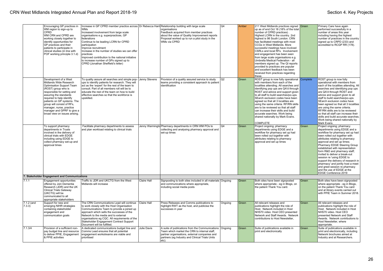|                                   | Encouraging GP practices in<br>WM region to sign-up to<br>CPRD <sup>1</sup><br>WM CRN and CPRD are<br>working closely together to<br>identify opportunities for<br>GP practices and their<br>patients to participate in<br>clinical studies (in line with<br>POF working principle 3.1.d)                                                         | Increase in GP CPRD member practice across Dr Rebecca Harri Relationship building with large scale<br><b>WMs</b><br>Increased involvement from large scale<br>organisations e.g. superpractices, GP<br>federations<br>Continue to be leading LCRN for CPRD<br>participation<br>Improve recruitment<br>Increase in the number of studies we can offer<br><i><b>practices</b></i><br>Improved contribution to the national initiative<br>to increase number of GPs signed up to<br>CPRD (Jonathan Sheffield's letter) |             | organisations<br>Feedback acquired from member practices<br>about the value of Quality Improvement reports<br>Proposal worked up to run a pilot study in the<br>WMs via CPRD                                  | Q4             | Amber | 211 West Midlands practices signed Green<br>up as of end Oct 18 (18% of the total<br>number of CPRD practices).<br>Highest LCRN in the country. 2nd<br>highest is 98 South London. CRN<br>has facilitated meetings with most<br>CCGs in West Midlands, More<br>successful meetings have involved<br>CSRLs and local RFs. Involvement<br>and engagement has been seen<br>from large scale organisations e.g.<br>Umbrella Medical Federation - all<br>members signed up. The QI reports<br>provided to practices are popular<br>and excellent feedback has been<br>received from practices regarding<br>these. |       | Primary Care have again<br>performed successfully in a<br>number of areas this year<br>including having the highest<br>number of practices in the country<br>signed up to CRPD (233) and<br>accredited to RCGP RR (178).                                                                                                                                                                                                                                                                                                              |
|-----------------------------------|---------------------------------------------------------------------------------------------------------------------------------------------------------------------------------------------------------------------------------------------------------------------------------------------------------------------------------------------------|---------------------------------------------------------------------------------------------------------------------------------------------------------------------------------------------------------------------------------------------------------------------------------------------------------------------------------------------------------------------------------------------------------------------------------------------------------------------------------------------------------------------|-------------|---------------------------------------------------------------------------------------------------------------------------------------------------------------------------------------------------------------|----------------|-------|--------------------------------------------------------------------------------------------------------------------------------------------------------------------------------------------------------------------------------------------------------------------------------------------------------------------------------------------------------------------------------------------------------------------------------------------------------------------------------------------------------------------------------------------------------------------------------------------------------------|-------|---------------------------------------------------------------------------------------------------------------------------------------------------------------------------------------------------------------------------------------------------------------------------------------------------------------------------------------------------------------------------------------------------------------------------------------------------------------------------------------------------------------------------------------|
|                                   | Development of a West<br>Midlands Wide Research<br>Optimisation Support Team<br>(ROST) group who is<br>responsible for setting and<br>assuring the standards<br>required to help identify<br>patients on GP systems. The<br>group will consist of RFs.<br>manager, nurse, practice<br>manager and GPRF to give a<br>broad view on issues arising. | To quality assure all searches and simple pop- Jenny Stevens<br>ups to identify patients for research. They will<br>act as the 'expert' for the rest of the team to<br>consult. Part of all members roll will be to<br>educate the rest of the team on how to build<br>effective searches so that the workforce is<br>upskilled.                                                                                                                                                                                    |             | Provision of a quality assured service to study<br>teams providing a consistent approach to patient<br>identification                                                                                         | Q2             | Green | ROST group is now fully operational Complete<br>with members from each of the<br>localities attending. All searches and<br>identifying pop ups are QA'd through<br>ROST and advice and support given<br>to all staff to build searches/po-ups.<br>SEarch exclusion codes have been<br>agreed so that all 3 localities are<br>using the same criteria. RF/RN skills<br>are to be reviewed so that all staff<br>can increase their skills and build<br>accurate searches. Work being<br>shared nationally by Mark Evans.<br><b>COMPLETE</b>                                                                    |       | ROST group is now fully<br>operational with members from<br>each of the localities attending. All<br>searches and identifying pop ups<br>are QA'd through ROST and<br>advice and support given to all<br>staff to build searches/po-ups.<br>SEarch exclusion codes have<br>been agreed so that all 3 localities<br>are using the same criteria.<br>RF/RN skills are to be reviewed<br>so that all staff can increase their<br>skills and build accurate searches.<br>Work being shared nationally by<br>Mark Evans.                   |
|                                   | To support pharmacy<br>departments in Trusts<br>involved in the delivery of<br>clinical trials with EDGE<br>including using EDGE to<br>collect pharmacy set-up and<br>approval times                                                                                                                                                              | Facilitate pharmacy departments to assess<br>and plan workload relating to clinical trials                                                                                                                                                                                                                                                                                                                                                                                                                          |             | Jenny Warmingto Pharmacy departments in CRN WM POs to<br>collecting and analysing pharmacy approval and<br>set-up times                                                                                       | Q <sub>4</sub> | Green | Project ongoing; pharmacy<br>departments using EDGE and a<br>workflow for pharmacy set up had<br>been rolled out together with<br>attributes relating to pharmacy<br>approval and set up times                                                                                                                                                                                                                                                                                                                                                                                                               | Green | Project ongoing; pharmacy<br>departments using EDGE and a<br>workflow for pharmacy set up had<br>been rolled out together with<br>attributes relating to pharmacy<br>approval and set up times;<br>Pharmacy EDGE Steering Group<br>established with representation<br>form R&D and pharmacy staff;<br>invited to deliver a break-out<br>session re 'using EDGE to<br>support the delivery of research in<br>pharmacy' and jointly host a meet<br>land greet session re pharmacy<br>and the use of EDGE at the<br>EDGE Conference 2019 |
|                                   | 7. Stakeholder Engagement and Communications                                                                                                                                                                                                                                                                                                      |                                                                                                                                                                                                                                                                                                                                                                                                                                                                                                                     |             |                                                                                                                                                                                                               |                |       |                                                                                                                                                                                                                                                                                                                                                                                                                                                                                                                                                                                                              |       |                                                                                                                                                                                                                                                                                                                                                                                                                                                                                                                                       |
| 7.1.1                             | Engagement opportunities<br>offered by Join Dementia<br>Research (JDR) and the UK<br><b>Clinical Trials Gateway</b><br>(UKCTG) will be<br>communicated to all<br>appropriate stakeholders                                                                                                                                                         | Traffic to JDR and UKCTG from the West<br>Midlands will increase                                                                                                                                                                                                                                                                                                                                                                                                                                                    | Claire Hall | Signposting to both sites included in all materials Ongoing<br>and communications where appropriate,<br>including social media posts                                                                          |                | Green | Both sites have been signposted<br>where appropriate - eg in Blogs, on<br>the patient Thank You card.                                                                                                                                                                                                                                                                                                                                                                                                                                                                                                        | Green | Both sites have been signposted<br>where appropriate - eg in Blogs,<br>on the patient Thank You card<br>and at library events carried out<br>with PPIE Team in Summer 2018.                                                                                                                                                                                                                                                                                                                                                           |
| $\overline{7.1.2}$ (and<br>7.3.3) | Support for new and<br>emerging NIHR strategies<br>containing stakeholder<br>engagement and<br>communication goals                                                                                                                                                                                                                                | The CRN Communications Lead will continue<br>to work closely with the Host Organisation<br>Communications Team to provide a joined up<br>approach which sells the successes of the<br>Network to the media and to external<br>organisations eg CQC. All requirements of the<br>Stakeholder Engagement Contract Support<br>Document will be fulfilled                                                                                                                                                                | Claire Hall | Press Releases and Comms publications to<br>highlight RWT as the host, and publicise the<br>successes in year                                                                                                 | Ongoing        | Green | All relevant releases and<br>publications highlight the role of<br>Host. Network included in Host<br>NHS70 video. Host CEO presented<br>Network and Staff Awards. Network<br>contributions to Host Newsletter,                                                                                                                                                                                                                                                                                                                                                                                               | Green | All relevant releases and<br>publications highlight the role of<br>Host. Network included in Host<br>NHS70 video. Host CEO<br>I presented Network and Staff<br>Awards. Network contributions to<br>Host Newsletter, where<br>appropriate.                                                                                                                                                                                                                                                                                             |
| 7.1.3/4                           | Provision of a sufficient non-<br>pay budget line and resource<br>to deliver PPIE, Engagement<br>& PPIE activities                                                                                                                                                                                                                                | A dedicated communications budget line and<br>Comms Lead ensures that all potential<br>engagement workstreams are viable and<br>prioritised                                                                                                                                                                                                                                                                                                                                                                         | Julie Davis | A suite of publications from the Communications<br>Team which market the CRN to internal staff.<br>partner organisations, external companies and<br>partners (eg Industry and Clinical Trials Units<br>letc). | Ongoing        | Green | Suite of publications available in<br>print and electronically                                                                                                                                                                                                                                                                                                                                                                                                                                                                                                                                               | Green | Suite of publications available in<br>print and electronically, including<br>Network brochures aimed at<br>Industry and at Researchers.                                                                                                                                                                                                                                                                                                                                                                                               |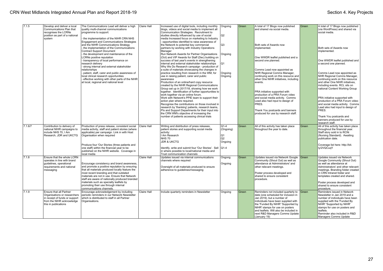| 7.1.5   | Develop and deliver a local<br>Communications Plan that<br>recognises the LCRNs                              | The Communications Lead will deliver a high<br>quality multi-channel communications<br>programme to support:                                                                    | Claire Hall | Increased use of digital tools, including monthly<br>blogs, videos and social media to implement all<br>Communication Strategies. Recruitment to                            | Ongoing                                                 | Green | A total of 17 Blogs now published<br>and shared via social media.                                                                        | Green   | A total of 17 Blogs now published<br>(via WordPress) and shared via<br>social media.                                                                       |
|---------|--------------------------------------------------------------------------------------------------------------|---------------------------------------------------------------------------------------------------------------------------------------------------------------------------------|-------------|-----------------------------------------------------------------------------------------------------------------------------------------------------------------------------|---------------------------------------------------------|-------|------------------------------------------------------------------------------------------------------------------------------------------|---------|------------------------------------------------------------------------------------------------------------------------------------------------------------|
|         | position as part of a national<br>system                                                                     | the implementation of the NIHR CRN NHS<br>Engagement and Communications Strategies                                                                                              |             | studies directly influenced by use of social<br>media Increased focus on marketing to Industry<br>opportunities identified to raise awareness of                            | Q <sub>2</sub>                                          |       |                                                                                                                                          |         |                                                                                                                                                            |
|         |                                                                                                              | and the NIHR Communications Strategy<br>the implementation of the Communications<br><b>Contract Support Document</b>                                                            |             | the Network to potential key commercial<br>partners by working with Industry Operations<br>Manager                                                                          | Q3                                                      |       | Both sets of Awards now<br>implemented.                                                                                                  |         | Both sets of Awards now<br>implemented.                                                                                                                    |
|         |                                                                                                              | the development and maintenance of the<br>LCRNs positive reputation<br>transparency of local performance on                                                                     |             | Run Network Awards for Partner Organisations<br>(Oct) and VIP Awards for Staff (Dec) building on<br>success of last year's events in strengthening                          | Ongoing                                                 |       | One WWDR leaflet published and a<br>second one planned.                                                                                  |         | One WWDR leaflet published and                                                                                                                             |
|         |                                                                                                              | research delivery<br>strong internal and external stakeholder<br>relationships                                                                                                  |             | internal and external stakeholder relationships<br>Why We Do Research campaign - production of<br>a suite of materials showcasing the changes in                            | lQ1                                                     |       | Comms Lead now appointed as                                                                                                              |         | a second one planned.                                                                                                                                      |
|         |                                                                                                              | patient, staff, carer and public awareness of<br>local clinical research opportunities<br>effective working with other parts of the NIHR                                        |             | practice resulting from research in the WM, for<br>use in raising patient, carer and public<br>awareness                                                                    | Ongoing<br>Ongoing                                      |       | NHR Regional Comms Manager,<br>continuing work on this resource and<br>other One NIHR initiatives, including                             |         | Comms Lead now appointed as<br>NHR Regional Comms Manager,<br>continuing work on this resource                                                             |
|         |                                                                                                              | at local, regional and national level                                                                                                                                           |             | Production of an online/hard copy resource<br>created by the NIHR Regional Communications<br>Group set up in 2017/18, showing how we work                                   |                                                         |       | events.                                                                                                                                  |         | and other One NIHR initiatives.<br>including events. RCL sits on<br>national Content Working Group                                                         |
|         |                                                                                                              |                                                                                                                                                                                 |             | together. Identification of further opportunities to<br>work together via an online forum.<br>Work with Network's PPIE team to support their<br>action plan where required. |                                                         |       | PRA initiative supported with<br>production of a PRA Forum video<br>and social media activity. Comms<br>Lead also had input to design of |         | PRA initiative supported with<br>production of a PRA Forum video                                                                                           |
|         |                                                                                                              |                                                                                                                                                                                 |             | Recognise the contributions on those involved in<br>research by 'thanking' patients, research teams,<br>PIs and Support Departments for their input into                    |                                                         |       | PRES.<br>Thank You postcards and banners                                                                                                 |         | and social media activity. Comms<br>Lead also had input to design of<br>PRES.                                                                              |
|         |                                                                                                              |                                                                                                                                                                                 |             | the CRN WM's objective of increasing the<br>number of patients accessing clinical trials                                                                                    |                                                         |       | produced for use by research staff.                                                                                                      |         | Thank You postcards and<br>banners produced for use by<br>research staff.                                                                                  |
| 7.1.6/7 | Contribution to delivery of<br>national NIHR campaigns to<br>include NHS 70. I Am<br>Research, JDR and UKCTG | Production of press release, consistent social<br>media activity, staff and patient stories (where<br>applicable) per campaign. Link in with Host<br>Organisation when required | Claire Hall | Writing and distribution of press releases,<br>patient stories and supporting social media<br>activity:<br>Am Research<br><b>NHS 70</b>                                     | $Q1-4$<br>(Ongoing)<br>Q <sub>1</sub><br>Q <sub>2</sub> | Green | All of this activity has taken place<br>throughout the year to date.                                                                     | Green   | All of this activity has taken place<br>throughout the financial year.<br>Staff story sold in to RCNi<br>(Nursing Standard). Awaiting<br>publication date. |
|         |                                                                                                              | Produce four 'Our Stories (three patients and<br>one staff) within the financial year to be                                                                                     |             | <b>JDR &amp; UKCTG</b><br>Identify, write and submit four 'Our Stories'. Sell   Q1-4                                                                                        | Ongoing                                                 |       |                                                                                                                                          |         | Coverage list here: http://bit.<br>ly/2VQCuqY                                                                                                              |
|         |                                                                                                              | published on the NIHR website. Coverage in<br>local media                                                                                                                       |             | in where possible to local/national media and<br>Trust communication channels                                                                                               |                                                         |       |                                                                                                                                          |         |                                                                                                                                                            |
| 7.1.8   | Ensure that the whole LCRN<br>operates in line with brand<br>guidelines, operational                         | Encourage consistency and brand awareness,                                                                                                                                      | Claire Hall | Updates issued via internal communications<br>channels where required                                                                                                       | Ongong                                                  | Green | Updates issued via Network Google Green<br>Community (Shout Out) as well as<br>attendance at Administrators' and                         |         | Updates issued via Network<br>Google Community (Shout Out)<br>as well as attendance at                                                                     |
|         | requirements and national<br>messaging                                                                       | and promote a positive reputation by ensuring<br>that all materials produced locally feature the                                                                                |             | Oversight of all materials produced to ensure<br>adherence to guidelines/messaging                                                                                          | Ongoing                                                 |       | other relevant meetings.                                                                                                                 |         | Administrators' and other relevant<br>meetings. Branding folder created                                                                                    |
|         |                                                                                                              | most recent branding and that outdated<br>materials are not in use. Ensure that Network<br>staff are aware of nationally produced branded                                       |             |                                                                                                                                                                             |                                                         |       | Poster process developed and<br>shared to ensure consistent<br>procedure.                                                                |         | in CRN Intranet folder and<br>templates created and shared.                                                                                                |
|         |                                                                                                              | materials such as specialty leaflets by<br>promoting their use through internal<br>communications channels.                                                                     |             |                                                                                                                                                                             |                                                         |       |                                                                                                                                          |         | Poster process developed and<br>shared to ensure consistent<br>procedure.                                                                                  |
| 7.1.9   | Ensure that all Partner<br>Organisations or researchers<br>in receipt of funds or support                    | Encourage acknowledgement by including<br>periodic reminders in our Network Newsletter<br>which is distributed to staff in all Partner                                          | Claire Hall | Include quarterly reminders in Newsletter                                                                                                                                   | Ongoing                                                 | Green | Reminders not included quarterly to<br>date (one scheduled for inclusion in<br>Jan 2019), but a number of                                | l Green | Reminders issued in Network<br>Newsletter in Jan 2019 and a<br>number of individuals have been                                                             |
|         | from the NIHR acknowledge<br>this in publications                                                            | Organisations.                                                                                                                                                                  |             |                                                                                                                                                                             |                                                         |       | individuals have been supplied with<br>the 'Funded By NIHR' 'Supported by<br>NIHR' stamps for use on posters                             |         | supplied with the 'Funded By<br>NIHR' 'Supported by NIHR'<br>stamps for use on posters and                                                                 |
|         |                                                                                                              |                                                                                                                                                                                 |             |                                                                                                                                                                             |                                                         |       | and leaflets. Will also be included in<br>next R&D Managers Comms Update<br>(January 19)                                                 |         | leaflets.<br>Reminder also included in R&D<br>Managers Comms Update                                                                                        |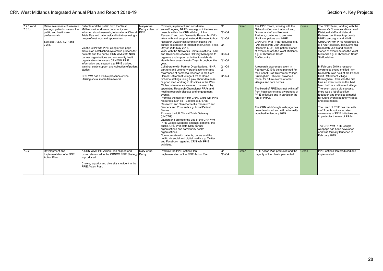| $7.2.1$ (and | Raise awareness of research   | Patients and the public from the West             | Mary-Anne       | Promote, implement and coordinate                           | Q1       | Green | The PPIE Team, working with the        | Green | The PPIE Team, working with the                |
|--------------|-------------------------------|---------------------------------------------------|-----------------|-------------------------------------------------------------|----------|-------|----------------------------------------|-------|------------------------------------------------|
| (7.3.1)      | amongst patients, carers, the | Midlands wide, diverse community are              | Darby - Head of | annual/ongoing NIHR campaigns, initiatives and              |          |       | Network's Communications Lead.         |       | Network's Communications Lead.                 |
|              | public and healthcare         | informed about research. International Clinical   | PPIE            | projects within the CRN WM e.g. 'I Am                       | $ Q1-Q4$ |       | Divisional staff and Network           |       | Divisional staff and Network                   |
|              | professionals.                | Trials Day and national/local initiatives using a |                 | Research' and Join Dementia Research (JDR).                 |          |       | Partners, continues to promote         |       | Partners, continues to promote                 |
|              |                               | range of methods and approaches.                  |                 | Work with and support Network Partners to host Q1-Q4        |          |       | NIHR campaigns and NIHR                |       | NIHR campaigns and NIHR                        |
|              | See also 7.2.4, 7.2.7 and     |                                                   |                 | Research Awareness Events including the                     |          |       | CRN/CRN WM PPIE resources e.g.         |       | CRN/CRN WM PPIE resources e.                   |
|              | 7.2.8.                        |                                                   |                 | annual celebration of International Clinical Trials 1Q4     |          |       | I Am Research, Join Dementia           |       | lg. I Am Research. Join Dementia               |
|              |                               | Via the CRN WM PPIE Google web page               |                 | Day on 20th May 2018.                                       |          |       | Research (JDR) and patient stories     |       | Research (JDR) and patient                     |
|              |                               | there is an established systematic process for    |                 | Work with the Network's Communications Lead                 |          |       | at events across the West Midlands     |       | stories at events across the West              |
|              |                               | patients and the public, CRN WM staff, NHS        |                 | and Divisional Research Delivery Managers to                | $Q3-Q4$  |       | e.g. at libraries in South             |       | Midlands e.g. at libraries in South            |
|              |                               | partner organisations and community health        |                 | organise and support activities to celebrate                |          |       | Staffordshire.                         |       | Staffordshire.                                 |
|              |                               | organisations to access CRN WM PPIE               |                 | Health Awareness Weeks/Days throughout the                  | $ Q1-Q4$ |       |                                        |       |                                                |
|              |                               | information and support e.g. PPIE advice,         |                 | vear.                                                       |          |       |                                        |       |                                                |
|              |                               | training, study support and collection of patient |                 | Collaborate with Partner Organisations, NIHR                | $Q1-Q4$  |       | A research awareness event in          |       | In February 2019 a research                    |
|              |                               | stories.                                          |                 | partners and voluntary organisations to raise               | Q1       |       | February 2019 is being planned for     |       | Iawareness event. entitled I Am                |
|              |                               |                                                   |                 | awareness of dementia research in the Care                  |          |       | the Pannel Croft Retirement Village,   |       | Research, was held at the Pannel               |
|              |                               | CRN WM has a visible presence online              |                 | Home/ Retirement Village/ Live at Home                      | Q1-Q4    |       | Birmingham. This will provide a        |       | Croft Retirement Village,                      |
|              |                               | utilising social media frameworks.                |                 | Scheme settings using a play about dementia.                |          |       | model for future events at other       |       | Birmingham. This was the first                 |
|              |                               |                                                   |                 | Support staff working in Hospices in the West               |          |       | villages and care homes.               |       | time an event such as this had                 |
|              |                               |                                                   |                 | Midlands to raise awareness of research by                  |          |       |                                        |       | been held in a retirement village.             |
|              |                               |                                                   |                 | appointing Research Champions/ PRAs and                     |          |       | The Head of PPIE has met with staff    |       | The event was a big success,                   |
|              |                               |                                                   |                 | hosting research displays and engagement                    |          |       | from hospices to raise awareness of    |       | there was a lot of positive                    |
|              |                               |                                                   |                 | events.                                                     |          |       | PPIE initiatives and in particular the |       | feedback and provides a model                  |
|              |                               |                                                   |                 | Promote the use of NIHR CRN / CRN WM PPIE                   |          |       | role of PRAs.                          |       | for future events at other villages            |
|              |                               |                                                   |                 | resources such as: - Leaflets e.g. 'I Am                    |          |       |                                        |       | and care homes.                                |
|              |                               |                                                   |                 | Research' and 'Join Dementia Research' and                  |          |       |                                        |       |                                                |
|              |                               |                                                   |                 | Banners and Postcards e.g. Local Patient                    |          |       | The CRN WM Google webpage has          |       | The Head of PPIE has met with                  |
|              |                               |                                                   |                 | Stories.                                                    |          |       | been developed and will be formally    |       | staff from hospices to raise                   |
|              |                               |                                                   |                 | Promote the UK Clinical Trials Gateway                      |          |       | Iaunched in January 2019.              |       | lawareness of PPIE initiatives and             |
|              |                               |                                                   |                 | (UKCTG).                                                    |          |       |                                        |       | in particular the role of PRAs.                |
|              |                               |                                                   |                 | Launch and promote the use of the CRN WM                    |          |       |                                        |       |                                                |
|              |                               |                                                   |                 | PPIE Google webpage amongst patients, the                   |          |       |                                        |       |                                                |
|              |                               |                                                   |                 | public, CRN WM staff, NHS partner                           |          |       |                                        |       | The CRN WM PPIE Google                         |
|              |                               |                                                   |                 |                                                             |          |       |                                        |       |                                                |
|              |                               |                                                   |                 | organisations and community health                          |          |       |                                        |       | webpage has been developed                     |
|              |                               |                                                   |                 | organisations.<br>Communicate with patients, carers and the |          |       |                                        |       | and was formally launched in<br>February 2019. |
|              |                               |                                                   |                 |                                                             |          |       |                                        |       |                                                |
|              |                               |                                                   |                 | public via social and digital media e.g. Twitter            |          |       |                                        |       |                                                |
|              |                               |                                                   |                 | and Facebook regarding CRN WM PPIE                          |          |       |                                        |       |                                                |
|              |                               |                                                   |                 | activities.                                                 |          |       |                                        |       |                                                |
| 7.2.2        | Development and               | A CRN WM PPIE Action Plan aligned and             | Mary-Anne       | Produce the PPIE Action Plan                                | Q1       | Green | PPIE Action Plan produced and the      | Green | PPIE Action Plan produced and                  |
|              | Implementation of a PPIE      | cross referenced to the CRNCC PPIE Strategy Darby |                 | Implementation of the PPIE Action Plan                      | $ Q1-Q4$ |       | majority of the plan implemented.      |       | implemented.                                   |
|              | <b>Action Plan</b>            | is produced.                                      |                 |                                                             |          |       |                                        |       |                                                |
|              |                               |                                                   |                 |                                                             |          |       |                                        |       |                                                |
|              |                               | Choice, equality and diversity is evident in the  |                 |                                                             |          |       |                                        |       |                                                |
|              |                               | PPIE Action Plan.                                 |                 |                                                             |          |       |                                        |       |                                                |
|              |                               |                                                   |                 |                                                             |          |       |                                        |       |                                                |
|              |                               |                                                   |                 |                                                             |          |       |                                        |       |                                                |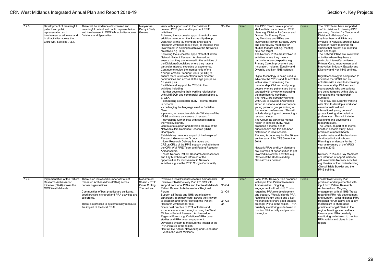| 7.2.3 | Development of meaningful     | There will be evidence of increased and        | Mary-Anne            | Work with/support staff in the Divisions to           | Q1-Q4   | Green | The PPIE Team have supported          | Green | The PPIE Team have supported                                      |
|-------|-------------------------------|------------------------------------------------|----------------------|-------------------------------------------------------|---------|-------|---------------------------------------|-------|-------------------------------------------------------------------|
|       | patient and public            | meaningful patient and public representation   | Darby / Carly        | develop PPIE plans and implement PPIE                 |         |       | staff in divisions to develop PPIE    |       | staff in divisions to develop PPIE                                |
|       | representation and            | and involvement in CRN WM activities across    | l Greene             | initiatives.                                          |         |       | plans e.g. Division 1 - Cancer and    |       | plans e.g. Division 1 - Cancer and                                |
|       | involvement at all levels and | Divisions and Specialties.                     |                      | Following the successful appointment of a new         |         |       | Division 5 - Primary Care.            |       | Division 5 - Primary Care.                                        |
|       | in all activities across the  |                                                |                      | adult lay member on the Partnership Group,            |         |       | Lay Members and PRAs are              |       | Lay Members and PRAs are                                          |
|       | CRN WM. See also 7.2.4.       |                                                |                      | work with all the lav members and Patient             |         |       | involved in Network Strategy Days     |       | involved in Network Strategy Days                                 |
|       |                               |                                                |                      | Research Ambassadors (PRAs) to increase their         |         |       | and peer review meetings for          |       | and peer review meetings for                                      |
|       |                               |                                                |                      | involvement in helping to achieve the Network's       |         |       | studies that are not e.g. meeting     |       | studies that are not e.g. meeting                                 |
|       |                               |                                                |                      | obiectives e.g. HL02.                                 |         |       | time and target.                      |       | time and target.                                                  |
|       |                               |                                                |                      | Following the successful appointment of seven         |         |       | The Network PRAs are involved in      |       | The Network PRAs are involved in                                  |
|       |                               |                                                |                      | Network Patient Research Ambassadors.                 |         |       | activities where they have a          |       | activities where they have a                                      |
|       |                               |                                                |                      | ensure that they are involved in the activities of    |         |       | particular interest/expertise e.g.    |       | particular interest/expertise e.g.                                |
|       |                               |                                                |                      | the Divisions/Specialties where they have a           |         |       | Primary Care, Improvement and         |       | Primary Care, Improvement and                                     |
|       |                               |                                                |                      | particular interest, expertise or experience.         |         |       | Innovation, Industry, Equality and    |       | Innovation, Industry, Equality and                                |
|       |                               |                                                |                      | Continue to review the membership of the              |         |       | Diversity and Non NHS settings.       |       | Diversity and Non NHS settings.                                   |
|       |                               |                                                |                      | Young Person's Steering Group (YPSG) to               |         |       |                                       |       |                                                                   |
|       |                               |                                                |                      | ensure there is representation from different         |         |       | Digital technology is being used to   |       |                                                                   |
|       |                               |                                                |                      | communities and across all the age groups i.e.        |         |       | advertise the YPSG and its activities |       | Digital technology is being used to<br>advertise the YPSG and its |
|       |                               |                                                |                      |                                                       |         |       |                                       |       |                                                                   |
|       |                               |                                                |                      | 11 years plus.                                        |         |       | with a view to increasing the         |       | activities with a view to increasing                              |
|       |                               |                                                |                      | Facilitate and support the YPSG in their              |         |       | membership. Children and young        |       | the membership. Children and                                      |
|       |                               |                                                |                      | activities including:                                 |         |       | people who are patients are being     |       | young people who are patients                                     |
|       |                               |                                                |                      | - further developing their working relationship       |         |       | targeted with a view to increasing    |       | are being targeted with a view to                                 |
|       |                               |                                                |                      | with MidTECH and commercial organisations e.          |         |       | the membership numbers.               |       | increasing the membership                                         |
|       |                               |                                                |                      | a. GSK                                                |         |       | The YPSG are currently working        |       | numbers.                                                          |
|       |                               |                                                |                      | conducting a research study - Mental Health           |         |       | with GSK to develop a workshop        |       | The YPSG are currently working                                    |
|       |                               |                                                |                      | n Schools                                             |         |       | aimed at national and international   |       | with GSK to develop a workshop                                    |
|       |                               |                                                |                      | challenging the language used in Palliative           |         |       | young persons' groups looking at      |       | aimed at national and                                             |
|       |                               |                                                |                      | Care                                                  |         |       | formulation preferences. This will    |       | international young persons'                                      |
|       |                               |                                                |                      | planning an event to celebrate '10 Years of the       |         |       | include designing and developing a    |       | groups looking at formulation                                     |
|       |                               |                                                |                      | YPSG and raise awareness of research'                 |         |       | research study.                       |       | preferences. This will include                                    |
|       |                               |                                                |                      | developing further links with schools across          |         |       | The Group, as part of its mental      |       | designing and developing a                                        |
|       |                               |                                                |                      | the West Midlands.                                    |         |       | health in schools study, have         |       | research study.                                                   |
|       |                               |                                                |                      | Continue to support and develop the role of the       |         |       | produced a mental health              |       | The Group, as part of its mental                                  |
|       |                               |                                                |                      | Network's Join Dementia Research (JDR)                |         |       | questionnaire and this has been       |       | health in schools study, have                                     |
|       |                               |                                                |                      | Champions.                                            |         |       | distributed in local schools.         |       | produced a mental health                                          |
|       |                               |                                                |                      | Establish lay members as part of the Hospices'        |         |       | Planning is underway for the 10 year  |       | questionnaire and this has been                                   |
|       |                               |                                                |                      | Research Governance Groups.                           |         |       | anniversary of the YPSG event in      |       | distributed in local schools.                                     |
|       |                               |                                                |                      | Inform Research Delivery Managers and                 |         |       | 2019.                                 |       | Planning is underway for the 10                                   |
|       |                               |                                                |                      | CRSLs/CRLs of the PPIE support available from         |         |       |                                       |       | year anniversary of the YPSG                                      |
|       |                               |                                                |                      | the CRN WM PPIE Team and Patient Research             |         |       | Network PRAs and Lay Members          |       | event in 2019.                                                    |
|       |                               |                                                |                      | Ambassadors.                                          |         |       | are informed of opportunities to get  |       |                                                                   |
|       |                               |                                                |                      | Ensure Network Patient Research Ambassadors           |         |       | involved in Network activities e.g.   |       | Network PRAs and Lay Members                                      |
|       |                               |                                                |                      | and Lay Members are informed of the                   |         |       | Review of the Understanding           |       | are informed of opportunities to                                  |
|       |                               |                                                |                      | opportunities for involvement in Network              |         |       | Clinical Trials Booklet.              |       | get involved in Network activities                                |
|       |                               |                                                |                      |                                                       |         |       |                                       |       |                                                                   |
|       |                               |                                                |                      | activities e.g. via the PPIE Google Community.        |         |       |                                       |       | e.g. Review of the Understanding                                  |
|       |                               |                                                |                      |                                                       |         |       |                                       |       | Clinical Trials Booklet and the                                   |
|       |                               |                                                |                      |                                                       |         |       |                                       |       | PPIE training.                                                    |
|       |                               |                                                |                      |                                                       |         |       |                                       |       |                                                                   |
|       |                               |                                                |                      |                                                       |         |       |                                       |       |                                                                   |
| 7.2.4 | Implementation of the Patient | There is an increased number of Patient        | Mohammed             | Produce a local Patient Research Ambassador           | Q1      | Green | Local PRAI Delivery Plan produced     | Green | Local PRAI Delivery Plan                                          |
|       | Research Ambassador           | Research Ambassadors (PRAs) across             | Shaikh - PPIE        | Initiative (PRAI) Delivery Plan 2018/19 with          |         |       | with input from Patient Research      |       | produced and implemented with                                     |
|       | Initiative (PRAI) across the  | partner organisations.                         | <b>Cross Cutting</b> | support from local PRAs and the West Midlands   Q1-Q4 |         |       | Ambassadors. Ongoing                  |       | input from Patient Research                                       |
|       | <b>CRN West Midlands</b>      |                                                | Theme Lead           | Patient Research Ambassadors' Regional                |         |       | engagement with all NHS Trusts        |       | Ambassadors. Ongoing                                              |
|       |                               | Communities of best practice are cultivated,   |                      | Forum.                                                | $Q1-Q4$ |       | regarding PRA role development        |       | engagement with all NHS Trusts                                    |
|       |                               | good practice is shared and PRA activities are |                      | Support all Trusts and NHS organisations,             |         |       | and support. West Midlands PRA        |       | regarding PRA role development                                    |
|       |                               | celebrated.                                    |                      | particularly in primary care, across the Network      |         |       | Regional Forum active and a key       |       | and support. West Midlands PRA                                    |
|       |                               |                                                |                      | to establish and further develop the Patient          | $Q1-Q2$ |       | mechanism to share good practice      |       | Regional Forum active and a key                                   |
|       |                               | There is a process to systematically measure   |                      | Research Ambassador role.                             | Q4      |       | amongst PRAs in the region. PRA       |       | mechanism to share good                                           |
|       |                               | the impact of the local PRAI.                  |                      | Share best practice of PRA activities and             |         |       | quarterly monitoring undertaken to    |       | practice amongst PRAs in the                                      |
|       |                               |                                                |                      | experiences across the region using the West          |         |       | monitor PRA activity and plans in     |       | region. Meetings are held four                                    |
|       |                               |                                                |                      | Midlands Patient Research Ambassadors'                |         |       | the region.                           |       | times a year. PRA quarterly                                       |
|       |                               |                                                |                      | Regional Forum e.g. Collation of PRA case             |         |       |                                       |       | monitoring undertaken to monitor                                  |
|       |                               |                                                |                      | studies and PRA tweet engagement.                     |         |       |                                       |       | PRA activity and plans in the                                     |
|       |                               |                                                |                      | Develop a system to measure the impact of the         |         |       |                                       |       | region.                                                           |
|       |                               |                                                |                      | PRA initiative in the region.                         |         |       |                                       |       |                                                                   |
|       |                               |                                                |                      | Host a PRA Annual Networking and Celebration          |         |       |                                       |       |                                                                   |
|       |                               |                                                |                      | Event in the West Midlands.                           |         |       |                                       |       |                                                                   |
|       |                               |                                                |                      |                                                       |         |       |                                       |       |                                                                   |
|       |                               |                                                |                      |                                                       |         |       |                                       |       |                                                                   |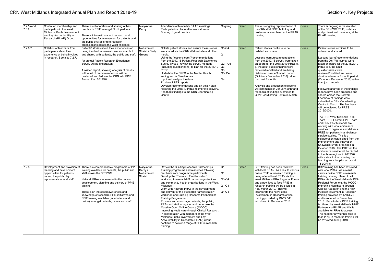| $7.2.5$ (and<br>7.3.2) | Continued membership and<br>participation in the West<br>Midlands Public Involvement<br>and Lay Accountability in<br>Research (PILAR) Group      | There is collaboration and sharing of best<br>practice in PPIE amongst NIHR partners.<br>There is information about research and<br>opportunities for involvement for patients and<br>the public available from research<br>organisations across the West Midlands.                                                                                                                                                | Mary-Anne<br>Darby                         | Attendance at bimonthly PILAR meetings.<br>Participate in collaborative work streams.<br>Sharing of good practice.                                                                                                                                                                                                                                                                                                                                                                                                                                                                                                                                                                                                                                                                                                                                     | Ongoing                                                            | Green | There is ongoing representation of<br>the CRN WM PPIE, both Lay and<br>professional members, at the PILAR<br>meeting.                                                                                                                                                                                                                                                                                                                                                                           | Green | There is ongoing representation<br>of the CRN WM PPIE, both Lay<br>and professional members, at the<br>PILAR meeting.                                                                                                                                                                                                                                                                                                                                                                                                                                                                                                                                                                                                                                                                                                                                                                                                                                                                                                                                                                                                      |
|------------------------|--------------------------------------------------------------------------------------------------------------------------------------------------|--------------------------------------------------------------------------------------------------------------------------------------------------------------------------------------------------------------------------------------------------------------------------------------------------------------------------------------------------------------------------------------------------------------------|--------------------------------------------|--------------------------------------------------------------------------------------------------------------------------------------------------------------------------------------------------------------------------------------------------------------------------------------------------------------------------------------------------------------------------------------------------------------------------------------------------------------------------------------------------------------------------------------------------------------------------------------------------------------------------------------------------------------------------------------------------------------------------------------------------------------------------------------------------------------------------------------------------------|--------------------------------------------------------------------|-------|-------------------------------------------------------------------------------------------------------------------------------------------------------------------------------------------------------------------------------------------------------------------------------------------------------------------------------------------------------------------------------------------------------------------------------------------------------------------------------------------------|-------|----------------------------------------------------------------------------------------------------------------------------------------------------------------------------------------------------------------------------------------------------------------------------------------------------------------------------------------------------------------------------------------------------------------------------------------------------------------------------------------------------------------------------------------------------------------------------------------------------------------------------------------------------------------------------------------------------------------------------------------------------------------------------------------------------------------------------------------------------------------------------------------------------------------------------------------------------------------------------------------------------------------------------------------------------------------------------------------------------------------------------|
| 7.2.6/7                | Collation of feedback from<br>participants about their<br>experience of being involved<br>in research. See also 7.2.7.                           | Patients' stories about their experiences of<br>being involved in research are accessible to<br>and shared with patients, the public and staff.<br>An annual Patient Research Experience<br>Survey will be undertaken.<br>A written report, showing analysis of results<br>with a set of recommendations will be<br>produced and fed into the CRN WM PPIE<br>Annual Plan 2019/20.                                  | Mohammed<br>Shaikh / Carly<br>Greene       | Collate patient stories and ensure these stories<br>are shared via the CRN WM website and other<br>media.<br>Using the 'lessons learnt'/recommendations<br>from the 2017/18 Patient Research Experience<br>Survey (PRES) review the survey methods<br>(including questionnaire) to plan for the 2018/19<br>PRES.<br>Undertake the PRES in the Mental Health<br>setting and in Care Homes.<br>Input and analyse the data.<br>Produce PRES reports.<br>Develop recommendations and an action plan<br>following the 2018/19 PRES to improve delivery.<br>Feedback findings to the CRN Coordinating<br>Centre                                                                                                                                                                                                                                              | $Q1-Q4$<br>Q1<br>$Q2 - Q3$<br>Q3<br>Q3<br>Q3-Q4<br>Q4              | Green | Patient stories continue to be<br>collated and shared.<br>Lessons learnt/recommendations<br>from the 2017/18 survey were taken<br>on board for the 2018/2019 PRES e.<br>g. the adult questionnaires were<br>reviewed/modified and are being<br>distributed over a 3 month period<br>(October - December 2018) rather<br>than just 1 month.<br>Analysis and production of reports<br>will commence in January 2019 and<br>feedback of findings submitted to<br>CRN Coordinating Centre in March. | Green | Patient stories continue to be<br>collated and shared.<br>Lessons learnt/recommendations<br>from the 2017/18 survey were<br>taken on board for the 2018/2019<br>PRES e.g. the adult<br>questionnaires were<br>reviewed/modified and were<br>distributed over a 3 month period<br>(October - December 2018) rather<br>than just 1 month.<br>Following analysis of the findings,<br>reports have been produced and<br>shared across the Network.<br>Feedback of findings were<br>submitted to CRN Coordinating<br>Centre in March. The feedback<br>will be reviewed for PRES<br>2019/2020.<br>The CRN West Midlands PPIE<br>Team, CRN Eastern PPIE Team<br>and CRN East Midlands are<br>working with local ambulance<br>services to organise and deliver a<br>PRES for patients in ambulance<br>service studies. This is a<br>collaboration established from the<br>Improvement and Innovation<br>Showcase Event organised in<br>October 2018. The PRES in the<br>ambulance service will be piloted<br>in the three regions in 2019/20<br>with a view to then sharing the<br>learning from the pilot across all<br>15 LCRNs. |
| 7.2.8                  | Development and provision of<br>learning and development<br>opportunities for patients.<br>carers, the public, lay<br>representatives and staff. | There is a comprehensive programme of PPIE<br>training available for patients, the public and<br>staff across the CRN WM.<br>Network PRAs are involved in the review,<br>development, planning and delivery of PPIE<br>training.<br>There is an increased awareness and<br>knowledge of research, PPIE initiatives and<br>PPIE training available (face to face and<br>online) amongst patients, carers and staff. | Mary-Anne<br>Darby /<br>Mohammed<br>Shaikh | Review the Building Research Partnerships<br>Training programme and resources following<br>feedback from programme participants.<br>Develop the 'Research Familiarisation'<br>workshop to use at NHS partner organisations<br>and community health organisations in the West<br>Midlands.<br>Work with Network PRAs in the development<br>and delivery of the 'Research Familiarisation'<br>workshop and Building Research Partnerships<br>Training Programme.<br>Promote and encourage patients, the public,<br>PRAs and staff to register and undertake the<br>Massive Open Online Course (MOOC):<br>Improving Healthcare through Clinical Research.<br>In collaboration with members of the West<br>Midlands Public Involvement and Lay<br>Accountability in Research (PILAR) Group<br>continue to deliver a range of PPIE in research<br>training. | $\overline{Q1}$<br>Q <sub>1</sub><br>$Q1-Q4$<br>$Q1-Q4$<br>$Q1-Q4$ | Green | BRP training has been reviewed<br>with local PRAs. As a result, various<br>online PPIE in research training is<br>being offered to all PRA's via the<br>West Midlands PRA Regional Forum<br>and a new face to face PPIE in<br>research training will be piloted in<br>Feb/ March 2019. This will<br>incorporate the new Public<br>Involvement in Research online<br>training provided by INVOLVE<br>introduced in December 2018.                                                                | Green | BRP training has been reviewed<br>with local PRAs. As a result.<br>various online PPIE in research<br>training is being offered to all<br>PRAs via the West Midlands PRA<br>Regional Forum e.g. the MOOC -<br>Improving Healthcare through<br>Clinical Research and the new<br>Public Involvement in Research<br>training provided by INVOLVE<br>and introduced in December<br>2018. Face to face PPIE training<br>is offered by West Midlands NIHR<br>Partners via PILAR and this is<br>available for PRAs to access.<br>The need for any further face to<br>face PPIE in research training will<br>be reviewed during 2019.                                                                                                                                                                                                                                                                                                                                                                                                                                                                                              |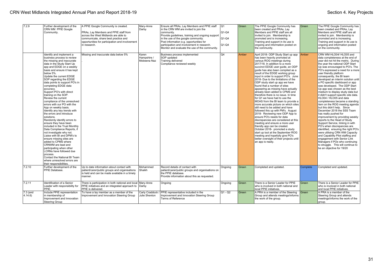| 7.2.9                          | Further development of the<br>CRN WM PPIE Google<br>Community.                                                                                                                                                                                                                                                                                                                                                                                                                                                                                                                                                                                                                                                                                                                                                                                                                                                                                                                              | A PPIE Google Community is created.<br>PRAs. Lav Members and PPIE staff from<br>across the West Midlands are able to<br>communicate, share best practice and<br>opportunities for participation and involvement<br>in research. | Marv-Anne<br>Darby                  | Ensure all PRAs, Lay Members and PPIE staff<br>in the CRN WM are invited to join the<br>community.<br>Provide guidelines, training and ongoing support<br>in the use of the google community.<br>Post information e.g. opportunities for<br>participation and involvement in research.<br>Monitor and evaluate the use of the community. | Q1<br>$ Q1-Q4$<br>Q1-Q4<br>$ Q1-Q4$ | Green | The PPIE Google Community has<br>been created and PRAs. Lav<br>Members and PPIE staff are all<br>invited to join. Membership is<br>promoted and is increasing.<br>Training and support in its use is<br>ongoing and information posted on<br>the community.                                                                                                                                                                                                                                                                                                                                                                                                                                                                                                                                                                                                                                                                                                                                                                                                          | l Green  | The PPIE Google Community has<br>been created and PRAs. Lav<br>Members and PPIE staff are all<br>invited to join. Membership is<br>promoted and is increasing.<br>Training and support in its use is<br>ongoing and information posted<br>on the community.                                                                                                                                                                                                                                                                                                                                                                                                                                                                                                                                                                                                                                                                                                                                                                                                          |
|--------------------------------|---------------------------------------------------------------------------------------------------------------------------------------------------------------------------------------------------------------------------------------------------------------------------------------------------------------------------------------------------------------------------------------------------------------------------------------------------------------------------------------------------------------------------------------------------------------------------------------------------------------------------------------------------------------------------------------------------------------------------------------------------------------------------------------------------------------------------------------------------------------------------------------------------------------------------------------------------------------------------------------------|---------------------------------------------------------------------------------------------------------------------------------------------------------------------------------------------------------------------------------|-------------------------------------|------------------------------------------------------------------------------------------------------------------------------------------------------------------------------------------------------------------------------------------------------------------------------------------------------------------------------------------|-------------------------------------|-------|----------------------------------------------------------------------------------------------------------------------------------------------------------------------------------------------------------------------------------------------------------------------------------------------------------------------------------------------------------------------------------------------------------------------------------------------------------------------------------------------------------------------------------------------------------------------------------------------------------------------------------------------------------------------------------------------------------------------------------------------------------------------------------------------------------------------------------------------------------------------------------------------------------------------------------------------------------------------------------------------------------------------------------------------------------------------|----------|----------------------------------------------------------------------------------------------------------------------------------------------------------------------------------------------------------------------------------------------------------------------------------------------------------------------------------------------------------------------------------------------------------------------------------------------------------------------------------------------------------------------------------------------------------------------------------------------------------------------------------------------------------------------------------------------------------------------------------------------------------------------------------------------------------------------------------------------------------------------------------------------------------------------------------------------------------------------------------------------------------------------------------------------------------------------|
|                                | Identify and implement a<br>business process to review<br>the missing and inaccurate<br>data in the Study Start Up<br>app and EDGE on a weekly<br>basis and ensure it has kept<br>below 5%.<br>Update the current EDGE<br>SOP regarding the EDGE<br>data points to support PO's in<br>completing EDGE data<br>accuracy.<br>Support PO's with direct<br>training on the SOP.<br>Review the current<br>compliance of the unresolved<br>errors with our PO with the<br>App on weekly basis.<br>Identify any key trends with<br>the errors and introduce<br>solutions.<br>Randomly identify errors to<br>ensure they have been<br>included in the Trust Monthly<br>Data Compliance Reports, if<br>not investigate why not.<br>Liaise with BI and DPM's to<br>ensure missing sites are<br>added to CPMS where<br>CRNWM are lead and<br>participating when other<br>LCRNs have followed due<br>process.<br>Contact the National BI Team<br>where unresolved errors are<br>their responsibilities. | Missing and inaccurate data below 5%                                                                                                                                                                                            | Karen<br>Hampshire /<br>Mobeena Naz | Business process implemented<br>SOP updated<br>Training delivered<br>Compliance reviewed weekly                                                                                                                                                                                                                                          | Q4                                  | Amber | April 2018- ODP Study Start up app Amber<br>has been heavily promoted at<br>various ROG meetings during<br>2017/18. In addition to a more<br>succinct EDGE user quide, an ODP<br>quide has also been compiled as a<br>result of the EDGE working group<br>input in order to support PO's. June<br>2018- Due to the limitations of the<br>ODP study start up app we have<br>found that a number of sites<br>appearing as missing have actually<br>already been added to CPMS and<br>therefore there is no issue. In time<br>for Q1 we have had to use the<br>MOAS from the BI team to provide a<br>more accurate picture on which sites<br>still need to be added and have<br>followed this up with PM's. August<br>2018- Reviewing new ODP App to<br>ensure PO's needs for data<br>discrepancies are considered at this<br>meeting and ensure a more user<br>friendly app can be created.<br>October 2018- promoted a study<br>start up tool at the September ROG<br>meeting and hopefully give PO's<br>better oversight of their projects until<br>an app is ready. |          | CRN WM HLO04/ HLO05 and<br>data completeness at the end of<br>vear did not hit the metric. During<br>the year the national ODP Start<br>Up was encouraged to PO's. The<br>PO's expressed a need for a more<br>user friendly platform<br>consequently, the BI team<br>developed an interim solution until<br>a PO specific dashboard or app<br>was developed. The ODP Start<br>Up app was chosen as the best<br>medium to display study data but<br>it didn't support specific site data.<br>HLO04 / HLO05 and data<br>completeness became a standing<br>item on the ROG meeting agenda<br>but this didn't help. Since<br>December 2018 the SSS Team<br>has really pushed for<br>improvement by providing weekly<br>reports to the Head of Study<br>Support Service, linking in with<br>PO's when discrepancies are<br>identified, ensuring the right PO's<br>were utilising CRN WM Capacity<br>and Capability Pilot staffing and<br>engagement with Senior Link<br>Managers if POs who continuing<br>to struggle. This will continue to<br>be an objective for 19/20 |
| 7.2.10                         | Further development of the<br>PPIE Database.                                                                                                                                                                                                                                                                                                                                                                                                                                                                                                                                                                                                                                                                                                                                                                                                                                                                                                                                                | Up to date information about contact with<br>patient/carer/public groups and organisations<br>is held and can be made available in a timely<br>manner.                                                                          | Mohammed<br>Shaikh                  | Record details of contact with<br>patient/carer/public groups and organisations on<br>the PPIE database.<br>Provide information about this as requested.                                                                                                                                                                                 | Ongoing                             | Green | Completed and updated.                                                                                                                                                                                                                                                                                                                                                                                                                                                                                                                                                                                                                                                                                                                                                                                                                                                                                                                                                                                                                                               | Complete | Completed and updated.                                                                                                                                                                                                                                                                                                                                                                                                                                                                                                                                                                                                                                                                                                                                                                                                                                                                                                                                                                                                                                               |
| 7.2.11                         | Identification of a Senior<br>Leader with responsibility for<br>PPIE.                                                                                                                                                                                                                                                                                                                                                                                                                                                                                                                                                                                                                                                                                                                                                                                                                                                                                                                       | There is participation in both national and local Mary-Anne<br>PPIE initiatives and an integrated approach to<br>PPIE is delivered.                                                                                             | Darby                               | Ongoing                                                                                                                                                                                                                                                                                                                                  | Ongoing                             | Green | There is a Senior Leader for PPIE<br>who is involved in both national and<br>local PPIE initiatives.                                                                                                                                                                                                                                                                                                                                                                                                                                                                                                                                                                                                                                                                                                                                                                                                                                                                                                                                                                 | Green    | There is a Senior Leader for PPIE<br>who is involved in both national<br>and local PPIE initiatives.                                                                                                                                                                                                                                                                                                                                                                                                                                                                                                                                                                                                                                                                                                                                                                                                                                                                                                                                                                 |
| $7.3$ (and<br>$ 4.14.6\rangle$ | Include PPIE representation<br>in membership of<br>Improvement and Innovation<br>Steering Group                                                                                                                                                                                                                                                                                                                                                                                                                                                                                                                                                                                                                                                                                                                                                                                                                                                                                             | To have a lay member as a member of the<br>Improvement and Innovation Steering Group                                                                                                                                            | Carly Craddock<br>Julie Shenton     | PPIE representative included in the<br>Improvement and Innovation Steering Group<br><b>Terms of Reference</b>                                                                                                                                                                                                                            | $Q1 - Q2$                           | Green | A PRA is a member of the Steering<br>Group and attends meetings/informs<br>the work of the group.                                                                                                                                                                                                                                                                                                                                                                                                                                                                                                                                                                                                                                                                                                                                                                                                                                                                                                                                                                    | Green    | A PRA is a member of the<br>Steering Group and attends<br>meetings/informs the work of the<br>group.                                                                                                                                                                                                                                                                                                                                                                                                                                                                                                                                                                                                                                                                                                                                                                                                                                                                                                                                                                 |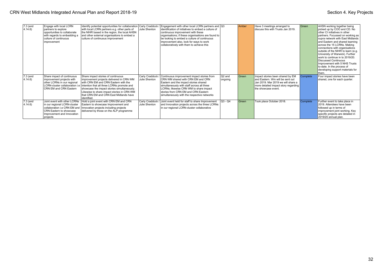| $7.3$ (and<br>4.14.6 | Engage with local LCRN<br>partners to explore<br>opportunities to collaborate<br>with regards to embedding a<br>culture of continuous<br>improvement              | Identify potential opportunities for collaboration Carly Craddock /<br>with local LCRN partners e.g. other parts of<br>the NIHR based in the region, the local AHSN<br>and other external organisations to embed a<br>culture of continuous improvement                                                                    | Julie Shenton                   | Engagement with other local LCRN partners and Q3<br>lidentification of initiatives to embed a culture of<br>continuous improvement with these<br>organisations; if these organisations are found to<br>be looking to embed a culture of continuous<br>improvement also, look for ways to work<br>collaboratively with them to achieve this |                      | Amber | Have 3 meetings arranged to<br>discuss this with Trusts Jan 2019.                                                                                                             | Green    | AHSN working together being<br>picked up by COO and CD. No<br>Iother CI initiatives in other<br>partners. Focussed on working as<br>supra network with East Midlands<br>and Eastern and shared learning<br>across the 15 LCRNs. Making<br>connections with organisations<br>outside of the NIHR to learn (e.g.<br>University of Warwick). Further<br>work to continue in to 2019/20.<br>Discussed Continuous<br>Improvement with 5 NHS Trusts<br>to-date. In the process of<br>developing support materials for<br>Ithem. |
|----------------------|-------------------------------------------------------------------------------------------------------------------------------------------------------------------|----------------------------------------------------------------------------------------------------------------------------------------------------------------------------------------------------------------------------------------------------------------------------------------------------------------------------|---------------------------------|--------------------------------------------------------------------------------------------------------------------------------------------------------------------------------------------------------------------------------------------------------------------------------------------------------------------------------------------|----------------------|-------|-------------------------------------------------------------------------------------------------------------------------------------------------------------------------------|----------|---------------------------------------------------------------------------------------------------------------------------------------------------------------------------------------------------------------------------------------------------------------------------------------------------------------------------------------------------------------------------------------------------------------------------------------------------------------------------------------------------------------------------|
| $7.3$ (and<br>4.14.6 | Share impact of continuous<br>improvement projects with<br>other LCRNs in our regional<br>LCRN-cluster collaboration i.e<br>CRN EM and CRN Eastern                | Share impact stories of continuous<br>improvement projects delivered in CRN WM<br>with CRN EM and CRN Eastern with the<br>intention that all three LCRNs promote and<br>showcase the impact stories simultaneously.<br>Likewise to share impact stories in CRN WM<br>that CRN EM and CRN East Midlands have<br>identified. | Carly Craddock<br>Julie Shenton | Continuous improvement impact stories from<br>CRN WM shared with CRN EM and CRN<br>Eastern and the impact stories shared<br>simultaneously with staff across all three<br>LCRNs; likewise CRN WM to share impact<br>stories from CRN EM and CRN Eastern<br>simultaneously with the respective networks                                     | Q2 and<br>ongoing    | Green | Impact stories been shared by EM<br>and Eastern. Wm will be sent out<br>Jan 2019. Mar 2019 we will share a<br>  more detailed impact story regarding  <br>the showcase event. | Complete | Four impact stories have been<br>shared, one for each quarter.                                                                                                                                                                                                                                                                                                                                                                                                                                                            |
| $7.3$ (and<br>4.14.6 | Joint event with other LCRNs<br>in our regional LCRN-cluster<br>collaboration i.e CRN EM and<br>CRN Eastern to showcase<br>Improvement and Innovation<br>projects | Hold a joint event with CRN EM and CRN<br>Eastern to showcase Improvement and<br>Innovation projects including projects<br>delivered by those on the ALP programme                                                                                                                                                         | Carly Craddock<br>Julie Shenton | Joint event held for staff to share Improvement<br>and Innovation projects across the three LCRNs<br>in our regional LCRN-cluster collaborative                                                                                                                                                                                            | $\overline{Q3}$ - Q4 | Green | Took place October 2018.                                                                                                                                                      | Complete | Further event to take place in<br>2019. Attendees have been<br>followed up in terms of<br>improvement joint working. Key<br>specific projects are detailed in<br>2019/20 annual plan.                                                                                                                                                                                                                                                                                                                                     |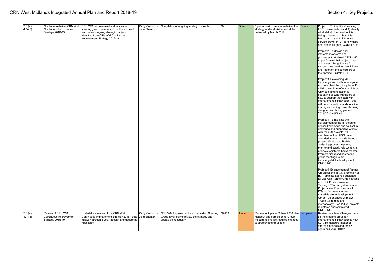| $7.3$ (and<br>4.14.6           | Continue to deliver CRN WM<br>Continuous Improvement<br>Strategy 2016-19 | CRN WM Improvement and Innovation<br>steering group members to continue to lead<br>and deliver ongoing strategic projects<br>identified from CRN WM Continuous<br>Improvement Strategy 2016-19 | Julie Shenton                     | Carly Craddock / Completion of ongoing strategic projects                                                            | Q4 | Green | 5 projects with the aim to deliver the $\sqrt{\frac{1}{1}}$<br>strategy and end vision, will all be<br>delivered by March 2019.                     | Project 1: To identify all existing<br>LCRN stakeholders and 1) identify<br>what stakeholder feedback is<br>being collected and how this<br>feedback is used to influence<br>service provision; 2) identify gaps<br>and plan to fill gaps. COMPLETE.<br>Project 2: To design and<br>implement systems and<br>processes that allow LCRN staff<br>to put forward their project ideas<br>and access the guidance /<br>support they need to plan, initiate<br>and report on the outcome/s of<br>their project. COMPLETE.<br>Project 3: Developing I&I<br>knowledge and skills in everyone<br>and to embed the principles of I&I<br>within the culture of our workforce.<br>Only outstanding action is<br>educating all Line Managers of<br>how to support their staff with<br>improvement & innovation - this<br>will be included in mandatory line<br>managers training currently being<br>designed and taking place in<br>2019/20. ONGOING.<br>Project 4: To facilitate the<br>development of the I&I steering<br>groups knowledge and skill set in<br>delivering and supporting others<br>with their I&I projects. All<br>members of the I&ISG have<br>attended training and delivered a<br>project. Mentor and Buddy<br>assigning process in place,<br>mentor and buddy role written, all<br>projects registered had a mentor.<br>Projects discussed at steering<br>group meetings to aid<br>knowledge/skills development.<br>Iongoing.<br>Project 5: Engagement of Partner<br>Organisations in I&I / promotion of<br>I&I. Template agenda designed<br>for use with Partner Organisations<br>and Link I&I rle developed.<br>Testing if POs can get access to<br>Projects site. Discussions with<br>POs so far means further<br>materials are in development.<br>Other POs engaged with own<br>Trusts I&I training and |
|--------------------------------|--------------------------------------------------------------------------|------------------------------------------------------------------------------------------------------------------------------------------------------------------------------------------------|-----------------------------------|----------------------------------------------------------------------------------------------------------------------|----|-------|-----------------------------------------------------------------------------------------------------------------------------------------------------|-----------------------------------------------------------------------------------------------------------------------------------------------------------------------------------------------------------------------------------------------------------------------------------------------------------------------------------------------------------------------------------------------------------------------------------------------------------------------------------------------------------------------------------------------------------------------------------------------------------------------------------------------------------------------------------------------------------------------------------------------------------------------------------------------------------------------------------------------------------------------------------------------------------------------------------------------------------------------------------------------------------------------------------------------------------------------------------------------------------------------------------------------------------------------------------------------------------------------------------------------------------------------------------------------------------------------------------------------------------------------------------------------------------------------------------------------------------------------------------------------------------------------------------------------------------------------------------------------------------------------------------------------------------------------------------------------------------------------------------------------------------------------------------------------------------------------|
|                                | Review of CRN WM                                                         | Undertake a review of the CRN WM                                                                                                                                                               |                                   |                                                                                                                      |    |       |                                                                                                                                                     | methodology. Two PO I&I projects<br>registered and completed.<br>ONGOING.                                                                                                                                                                                                                                                                                                                                                                                                                                                                                                                                                                                                                                                                                                                                                                                                                                                                                                                                                                                                                                                                                                                                                                                                                                                                                                                                                                                                                                                                                                                                                                                                                                                                                                                                             |
| $7.3$ (and<br>$ 4.14.6\rangle$ | Continuous Improvement<br>Strategy 2016-19                               | Continuous Improvement Strategy 2016-19 as<br>midway through 3-year lifespan and update as<br>necessary                                                                                        | Carly Craddock /<br>Julie Shenton | CRN WM Improvement and Innovation Steering Q2/Q3<br>Group away day to review the strategy and<br>update as necessary |    | Amber | Review took place 30 Nov 2018. Jan Complete<br>Hangout and Feb Steering Group<br>meeting to finalise required changes<br>to strategy and to update. | Review complete. Changes made<br>so the steering group for<br>improvement & innovation is now<br>SLT. To measure impact of<br>strategic projects and review<br>again mid year 2019/20.                                                                                                                                                                                                                                                                                                                                                                                                                                                                                                                                                                                                                                                                                                                                                                                                                                                                                                                                                                                                                                                                                                                                                                                                                                                                                                                                                                                                                                                                                                                                                                                                                                |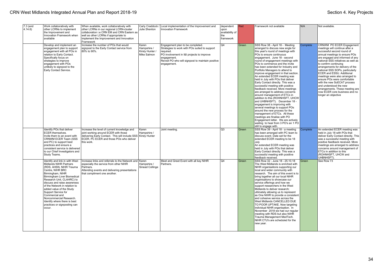| 7.3 (and<br>4.14.6 | Work collaboratively with<br>other LCRNs to implement<br>the Improvement and<br>Innovation Framework when<br>available                                                                                                                                                                                                                                                                                                                    | When available, work collaboratively with<br>other LCRNs in our regional LCRN-cluster<br>collaboration i.e CRN EM and CRN Eastern as<br>well as other LCRNs if appropriate to<br>implement the Improvement and Innovation<br>Framework | Carly Craddock<br>Julie Shenton                        | Local implementation of the Improvement and<br><b>Innovation Framework</b>                                                                                                                                                     | dependent<br>upon<br>availability of<br>the<br>framework | Red   | Framework not available                                                                                                                                                                                                                                                                                                                                                                                                                                                                                                                                                                                                                                                                                                                                                                                                                                                                                                                                               | N/A      | Not available.                                                                                                                                                                                                                                                                                                                                                                                                                                                                                                                                               |
|--------------------|-------------------------------------------------------------------------------------------------------------------------------------------------------------------------------------------------------------------------------------------------------------------------------------------------------------------------------------------------------------------------------------------------------------------------------------------|----------------------------------------------------------------------------------------------------------------------------------------------------------------------------------------------------------------------------------------|--------------------------------------------------------|--------------------------------------------------------------------------------------------------------------------------------------------------------------------------------------------------------------------------------|----------------------------------------------------------|-------|-----------------------------------------------------------------------------------------------------------------------------------------------------------------------------------------------------------------------------------------------------------------------------------------------------------------------------------------------------------------------------------------------------------------------------------------------------------------------------------------------------------------------------------------------------------------------------------------------------------------------------------------------------------------------------------------------------------------------------------------------------------------------------------------------------------------------------------------------------------------------------------------------------------------------------------------------------------------------|----------|--------------------------------------------------------------------------------------------------------------------------------------------------------------------------------------------------------------------------------------------------------------------------------------------------------------------------------------------------------------------------------------------------------------------------------------------------------------------------------------------------------------------------------------------------------------|
|                    | Develop and implement an<br>engagement plan to support<br>engagement with all POs in<br>relation to Early Contact.<br>Specifically focus on<br>strategies to improve<br>engagement with POs<br>unlikely to signpost to the<br>Early Contact Service.                                                                                                                                                                                      | Increase the number of POs that would<br>signpost to the Early Contact service from<br>80% to 90%.                                                                                                                                     | Karen<br>Hampshire /<br>Kirsty Hunter /<br>Mike Salmon | Engagement plan to be completed.<br>Strategies to work with POs suited to support<br>required.<br>PO involvement in I&I projects to improve<br>engagement.<br>Revisit PO who will signpost to maintain positive<br>engagement. | Q4                                                       | Green | SSS Row 38 - April 18 - Meeting<br>arranged to discuss new angle for<br>this year's round of meetings with<br>POs to ensure continuous<br>engagement. June 18 - second<br>round of engagement meetings with<br>POs to commence and the invite<br>has been extended for Industry and<br>Portfolio Managers to attend to<br>improve engagement in that section.<br>An extended ECER meeting was<br>held in July with POs that deliver<br>Early Contact directly. This was a<br>successful meeting with positive<br>feedback received. More meetings<br>are arranged to address concerns<br>around management of ETCs in<br>addition to this (ROHNHSFT, UHCW<br>and UHBNHSFT). December 18 -<br>engagement is improving with<br>several meetings to support POs<br>around the new process for the<br>management of ETCs. All these<br>meetings are finalise with PO<br>Engagement letter. We are actively<br>waiting to hear from 3 PO's an 1 PO<br>still to engage with | Complete | CRNWM PO ECER Engagement<br>meetings will continue after a<br>successful second round of<br>annual meetings to ensure POs<br>are engaged and informed of any<br>national SSS initiatives as well as<br>to confirm continuing<br>arrangements for delivery of the<br>national SSS SOPs, particularly<br><b>ECER and ESSU. Additional</b><br>meetings were also arranged to<br>ensure POs were comfortable<br>with the new SoECAT process<br>and understood the new<br>arrangements. These meeting are<br>now ECER core business and no<br>longer an objective |
|                    | Identify POs that deliver<br><b>ECER</b> themselves.<br>Invite them to an event with<br>CRNWM ECER Team (SSS<br>and PC) to support best<br>practices and ensure a<br>consistent service is delivered<br>to our Chief Investigators and<br>Study Teams.                                                                                                                                                                                    | Increase the level of current knowledge and<br>joint working around ECER with those<br>delivering Early Contact. This will include SSS<br>ECER. PC ECER and those POs who deliver<br>this work.                                        | Karen<br>Hampshire /<br>Kirsty Hunter                  | Joint meeting                                                                                                                                                                                                                  | Q3                                                       | Green | SSS Row 39 - April 18 - a meeting<br>has been arranged with PC team to<br>discuss event. Date set for the<br>extended ECER meeting to be 18<br>July<br>An extended ECER meeting was<br>held in July with POs that deliver<br>Early Contact directly. This was a<br>successful meeting with positive<br>feedback received.                                                                                                                                                                                                                                                                                                                                                                                                                                                                                                                                                                                                                                             | Complete | An extended ECER meeting was<br>held in July 18 with POs that<br>deliver Early Contact directly. This<br>was a successful meeting with<br>positive feedback received. More<br>meetings are arranged to address<br>concerns around management of<br>ETCs in addition to this<br>(ROHNHSFT, UHCW and<br>UHBNHSFT).                                                                                                                                                                                                                                             |
|                    | Identify and link in with West<br><b>Midlands NIHR Partners</b><br>(RDS, AHSN, NIHR Trauma)<br>Centre, NIHR BRC<br>Birmingham, NIHR<br>Birmingham Liver Biomedical<br>Research Unit, CLAHRC) to<br>discuss and raise awareness<br>of the Network in relation to<br>added value of the Study<br>Support Service for<br>Commercial and<br>Noncommercial Research.<br>Identify where there is best<br>practices or signposting can<br>occur. | Increase links and referrals to the Network and Karen<br>especially the service from other NIHR<br>Partners.<br>Attending events and delivering presentations<br>that compliment one another.                                          | Hampshire /<br>Sinead Collinge                         | Meet and Greet Event with all key NIHR<br>Partners.                                                                                                                                                                            | O <sub>4</sub>                                           | Green | SSS Row 32 - June 18 - 25.10.18<br>The West Midlands is enriched with<br>NIHR organisations supporting our<br>local and wider community with<br>research. The aim of this event is to<br>bring together all our local NIHR<br>organisations to showcase our<br>service offerings and how we<br>support researchers in the West<br>Midlands to deliver research:<br>ultimately allowing us to represent<br>as One NIHR to provide a consistent<br>and cohesive service across the<br>West Midlands CANCELLED DUE<br>TO POOR UPTAKE. Now targeting<br>individual NIHR organisation. In<br>November 2018 we had our regular<br>meeting with RDS but also NIHR<br>Trauma Management MedTech.<br>NIHR CTU's are scheduled for the<br>new year.                                                                                                                                                                                                                             | Green    | See Row 73                                                                                                                                                                                                                                                                                                                                                                                                                                                                                                                                                   |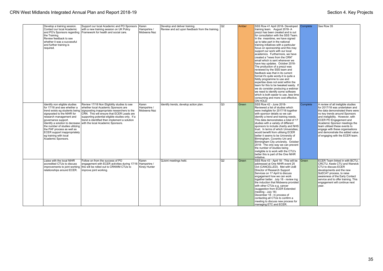| Develop a training session.<br>Contact our local Academic<br>and PO's Sponsors regarding<br>the Training.<br>Review feedback to see<br>whether it was a successful<br>and further training is<br>reauired.                                                                                                                                                         | Support our local Academic and PO Sponsors<br>with a new training session on UK Policy<br>Framework for health and social care.                                                                                                                                                                                           | Karen<br>Hampshire /<br>Mobeena Naz   | Develop and deliver training.<br>Review and act upon feedback from the training. | Q2 | Amber | SSS Row 41 April 2018- Developed Complete<br>training team. August 2018-A<br>prezzi has been created and is out<br>for consultation with the SSS Team.<br>In the meantime, we have signed<br>up to take part in the national<br>training initiatives with a particular<br>focus on sponsorship and this may<br>support our work with our local<br>academics. Furthermore, we have<br>created a "news from the CRN"<br>email which is sent whenever we<br>have key updates. October 2018-<br>The production of a prezzi was<br>reviewed by the SSS team and<br>feedback was that in its current<br>format it's quite wordy-it is quite a<br>fiddly programme to use and<br>expertise does not exist within the<br>team for this to be tweaked easily. If<br>we do consider producing a webinar<br>we need to identify some software<br>which is both easier to use, less time<br>consuming and more cost effective.<br>ON HOLD |          | See Row 35                                                                                                                                                                                                                                                                                                                                                                                |
|--------------------------------------------------------------------------------------------------------------------------------------------------------------------------------------------------------------------------------------------------------------------------------------------------------------------------------------------------------------------|---------------------------------------------------------------------------------------------------------------------------------------------------------------------------------------------------------------------------------------------------------------------------------------------------------------------------|---------------------------------------|----------------------------------------------------------------------------------|----|-------|-------------------------------------------------------------------------------------------------------------------------------------------------------------------------------------------------------------------------------------------------------------------------------------------------------------------------------------------------------------------------------------------------------------------------------------------------------------------------------------------------------------------------------------------------------------------------------------------------------------------------------------------------------------------------------------------------------------------------------------------------------------------------------------------------------------------------------------------------------------------------------------------------------------------------------|----------|-------------------------------------------------------------------------------------------------------------------------------------------------------------------------------------------------------------------------------------------------------------------------------------------------------------------------------------------------------------------------------------------|
| Identify non eligible studies<br>for 17/18 and see whether a<br>trend exists eg students being<br>signposted to the NIHR for<br>research management and<br>governance support.<br>Identify a solution to decrease<br>the number of studies utilizing<br>the PAF process as well as<br>ECER support inappropriately<br>eq training with local<br>Academic Sponsors. | Review 17/18 Non Eligibility studies to see<br>whether local Academic Sponsors are<br>signposting inappropriate researchers to the<br>CRN. This will ensure that ECER Leads are<br>supporting potential eligible studies only. If a<br>trend is identified then implement a solution<br>with the local Academic Sponsors. | Karen<br>Hampshire /<br>Mobeena Naz   | Identify trends, develop action plan.                                            | Q3 | Green | SSS Row 42 - June 2018-<br>Reviewed a list of studies which<br>were ineligible for 2017/18 together<br>with sponsor details so we can<br>identify a trend and training needs.<br>This data demonstrates a total of 17<br>studies with a variety of different<br>sponsors to include charity and NHS<br>trust. In terms of which Universities;<br>would benefit from utilising ECER<br>better it seems to be University of<br>Birmingham, Coventry Uni and<br>Birmingham City university. October<br>2018- The only way we can prevent<br>the number of studies being<br>ineligible is to work with the CTU's<br>better this is part of the One NIHR<br>initiative.                                                                                                                                                                                                                                                            | Complete | A review of all ineligible studies<br>for 2017/18 was undertaken and<br>the data demonstrated there were<br>no key trends around Sponsors<br>and ineligibility. However, with<br><b>ECER PO Engagement and</b><br>Academic Sponsor meetings the<br>team utilised these events to<br>engage with these organisations<br>and demonstrate the added value<br>of engaging with the ECER team. |
| Liaise with the local NIHR<br>accredited CTUs to discuss<br>improvements to joint working<br>relationships around ECER.                                                                                                                                                                                                                                            | Follow on from the success of PO<br>engagement with ECER activities during 17/18<br>this will be rolled out to CRNWM CTUs to<br>improve joint working.                                                                                                                                                                    | Karen<br>Hampshire /<br>Kirsty Hunter | QJoint meetings held.                                                            | Q2 | Green | SSS Row 43 - April 18 - This will be<br>addressed at One NIHR event 25<br>Oct (CANCELLED). Met with UoB<br>Director of Research Support<br>Services on 17 April to discuss<br>engagement how we can work<br>together better. July 18 - review ing<br>the induction that Mobeena provided<br>with other CTUs e.g. cancer<br>(suggestion from ECER Extended<br>meeting - July 18)<br>December 18 - In process of<br>contacting all CTUs to confirm a<br>meeting to discuss new process for<br>managing ETC and ECER.                                                                                                                                                                                                                                                                                                                                                                                                            | Green    | ECER Team linked in with BCTU.<br>CRCTU. Keele CTU and Warwick<br>CTU to discuss ECER<br>developments and the new<br>SoECAT process, to raise<br>awareness of the Early Contact<br>service and to offer training. This<br>engagement will continue next<br>vear.                                                                                                                          |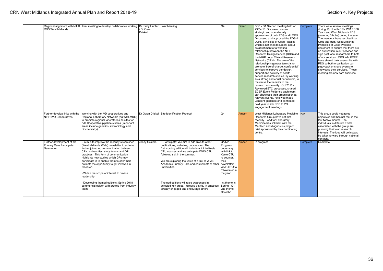| <b>RDS West Midlands</b>                                             | Regional alignment with NIHR Joint meeting to develop collaborative working   Dr Kirsty Hunter   Joint Meeting                                                                                                                                                                                                                                                                                                                      | / Dr Owen<br><b>Driskell</b> |                                                                                                                                                                                                                                                                                                                                        | Q4                                                                                                                                                   | Green | SSS - Q1 Second meeting held on<br>23/04/18. Discussed current<br>strategic and operationally<br>approaches of both RDS and LCRN.<br>Discussed and approved the RDS &<br><b>LCRN</b> principles of Good Practice<br>which is national document about<br>establishment of a working<br>relationship between the NIHR<br>Research Design Service (RDS) and<br>the NIHR Local Clinical Research<br>Networks (CRN). The aim of the<br>relationship in general terms is to<br>promote 'free of charge, confidential'<br>services to improve the design,<br>support and delivery of health<br>service research studies, by working<br>as a strong and equal partnership, to<br>maximise the benefits to the<br>research community. Oct 2018 -<br>Reviewed ETC processes, shared<br>ECER Event Folder so each team<br>can showcase their organisation at<br>relevant events, reviewed that E<br>Consent quidance and confirmed<br>next year to link RDS to PO<br>engagement meetings. | Complete | There were several meetings<br>during 18/19 with CRN WM ECER<br>Team and West Midlands RDS<br>(covering 3 hubs) during the year.<br>The meetings have resulted in a<br><b>CRN and RDS West Midlands</b><br>Principles of Good Practice<br>document to ensure that there are<br>no duplication in our services and<br>sign post local researchers to both<br>of our services. CRN WM ECER<br>have shared their events file with<br>RDS so both organisation can<br>piggyback or share events to<br>showcase their services. These<br>meeting are now core business. |
|----------------------------------------------------------------------|-------------------------------------------------------------------------------------------------------------------------------------------------------------------------------------------------------------------------------------------------------------------------------------------------------------------------------------------------------------------------------------------------------------------------------------|------------------------------|----------------------------------------------------------------------------------------------------------------------------------------------------------------------------------------------------------------------------------------------------------------------------------------------------------------------------------------|------------------------------------------------------------------------------------------------------------------------------------------------------|-------|--------------------------------------------------------------------------------------------------------------------------------------------------------------------------------------------------------------------------------------------------------------------------------------------------------------------------------------------------------------------------------------------------------------------------------------------------------------------------------------------------------------------------------------------------------------------------------------------------------------------------------------------------------------------------------------------------------------------------------------------------------------------------------------------------------------------------------------------------------------------------------------------------------------------------------------------------------------------------------|----------|--------------------------------------------------------------------------------------------------------------------------------------------------------------------------------------------------------------------------------------------------------------------------------------------------------------------------------------------------------------------------------------------------------------------------------------------------------------------------------------------------------------------------------------------------------------------|
| Further develop links with the<br><b>NIHR IVD Cooperatives</b>       | Working with the IVD cooperatives and<br>Regional Laboratory Networks (eg WMLMRG)<br>to promote regional laboratories as sites for<br>IVD Cooperative pipeline studies (Important<br>areas include genetics, microbiology and<br>biochemistry).                                                                                                                                                                                     |                              | Dr Owen Driskell Site Identification Protocol                                                                                                                                                                                                                                                                                          | Q4                                                                                                                                                   | Amber | West Midlands Laboratory Medicine N/A<br>Research Group have not met<br>recently. Lead for Laboratory<br>Medicine has linked in with the<br>Medtech and diagnostics project<br>brief sponsored by the coordinating<br>centre.                                                                                                                                                                                                                                                                                                                                                                                                                                                                                                                                                                                                                                                                                                                                                  |          | This group could not agree<br>objectives and has not met in the<br>Ilast twelve months. The<br>Individuals in different Trusts<br>associated with the group are<br>pursuing their own research<br>interests. The idea will be instead<br>be taken forward through national<br>contacts.                                                                                                                                                                                                                                                                            |
| Further development of the<br>Primary Care Participate<br>Newsletter | - Aim is to improve the recently streamlined<br>(West Midlands Wide) newsletter to acheive<br>further joined up communication between<br>CRN, universities, study teams and GP<br>practices. This form of communication<br>highlights new studies which GPs may<br>participate in to enable them to offer their<br>patients the opportunity to get involved in<br>research.<br>Widen the scope of interest to on-line<br>readership | Jenny Oskiera                | E-Participate: We aim to add links to other<br>publications, websites, podcasts etc The<br>forthcoming edition will include a link to Keele<br>CTU courses and we anticipate WMS CTU<br>following suit in the summer.<br>We are exploring the value of a link to WMS<br>Academic Primary Care and equivalents at other<br>universities | $Q1/Q2 -$<br>Progress<br>under way<br>with link to<br>Keele CTU<br>re courses/<br>their<br>newsletter;<br>WMS CTU to<br>follow later in<br>the year. | Amber | In progress                                                                                                                                                                                                                                                                                                                                                                                                                                                                                                                                                                                                                                                                                                                                                                                                                                                                                                                                                                    | Complete | Complete                                                                                                                                                                                                                                                                                                                                                                                                                                                                                                                                                           |
|                                                                      | Developing themed editions: Spring 2018<br>commercial edition with articles from Industry<br>team.                                                                                                                                                                                                                                                                                                                                  |                              | Themed editions will raise awareness in<br>selected key areas, increase activity in practices<br>already engaged and encourage others                                                                                                                                                                                                  | 1st theme in<br>Spring - Q1<br>2nd theme<br>$Q3/4$ tbc                                                                                               |       |                                                                                                                                                                                                                                                                                                                                                                                                                                                                                                                                                                                                                                                                                                                                                                                                                                                                                                                                                                                |          |                                                                                                                                                                                                                                                                                                                                                                                                                                                                                                                                                                    |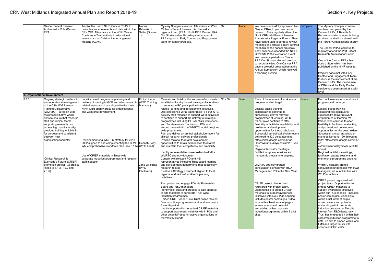| Cancer Patient Research<br>Ambassador Role (Cancer<br>PRA)                                                                                                                                                                                                                                                                                                                                                                                                                                                                                                    | To pilot the use of NIHR Cancer PRA's to<br>promote cancer research and trials within the<br>CRN WM. Attendance at the NCRI Cancer<br>Conference. To contribute to educational<br>events such as Division 1 Annual general<br>meeting (AGM).                                                                                                                                                                                                                                                     | Ivanna<br>Baker/Ami<br>Salter (Division<br>1)                                        | Mystery Shopper exercise. Attendance at West<br>Midlands Patient Research Ambassador<br>regional forum (PRA). NIHR PPIE Cancer PRA<br>Our Stories video. Providing cancer specific<br>PRA support to Early Contact and Engagement<br>team for cancer protocols.                                                                                                                                                                                                                                                                                                                                                                                                                                                                                                                                                                                                                                                                                                                                                                                                                                                                                                                                                                                                                                                                                                                                                                                                                                                                                                                                                                           | lQ4       | Amber | We have successfully appointed two Complete<br>Cancer PRAs to promote cancer<br>research. They regularly attend the<br>NIHR CRN WM Patient Research<br>Ambassador Regional Forum. They<br>have contributed to portfolio review<br>meetings and offered patient centred<br>feedback on the cancer protocols.<br>They both have attended the NIHR<br>CRN WM PRA Celebration Event.<br>We have completed one Cancer<br>PRA Our Story profile and are due<br>to record a video. One Cancer PRA<br>gave a powerful presentation at the<br>Annual Symposium which received<br>a standing ovation.                                                                                                                                                                                                                                                                                                                                                                                                                                                                                   |       | The Mystery Shopper exercise<br>has been completed by the<br>Cancer PRA's. A Results &<br>Recommendations report is being<br>produced and will be shared with<br>the Partner Organisations shortly.<br>The Cancer PRA's continue to<br>regularly attend the WM Patient<br>Research Ambassador Forum.<br>One of the Cancer PRA's has<br>done a Story which has been<br>published on the NIHR website.<br>Project Leads met with Early<br>Contact and Engagement Team<br>to discuss the involvement of the<br>Cancer PRA's. The involvement<br>of PRA's and the Early Contact<br>service has been raised at a WM<br>level.                                                                                                                                                                                                                                                                                                                                                                                                                                                                                                                                                                                                                                                                |
|---------------------------------------------------------------------------------------------------------------------------------------------------------------------------------------------------------------------------------------------------------------------------------------------------------------------------------------------------------------------------------------------------------------------------------------------------------------------------------------------------------------------------------------------------------------|--------------------------------------------------------------------------------------------------------------------------------------------------------------------------------------------------------------------------------------------------------------------------------------------------------------------------------------------------------------------------------------------------------------------------------------------------------------------------------------------------|--------------------------------------------------------------------------------------|-------------------------------------------------------------------------------------------------------------------------------------------------------------------------------------------------------------------------------------------------------------------------------------------------------------------------------------------------------------------------------------------------------------------------------------------------------------------------------------------------------------------------------------------------------------------------------------------------------------------------------------------------------------------------------------------------------------------------------------------------------------------------------------------------------------------------------------------------------------------------------------------------------------------------------------------------------------------------------------------------------------------------------------------------------------------------------------------------------------------------------------------------------------------------------------------------------------------------------------------------------------------------------------------------------------------------------------------------------------------------------------------------------------------------------------------------------------------------------------------------------------------------------------------------------------------------------------------------------------------------------------------|-----------|-------|-------------------------------------------------------------------------------------------------------------------------------------------------------------------------------------------------------------------------------------------------------------------------------------------------------------------------------------------------------------------------------------------------------------------------------------------------------------------------------------------------------------------------------------------------------------------------------------------------------------------------------------------------------------------------------------------------------------------------------------------------------------------------------------------------------------------------------------------------------------------------------------------------------------------------------------------------------------------------------------------------------------------------------------------------------------------------------|-------|-----------------------------------------------------------------------------------------------------------------------------------------------------------------------------------------------------------------------------------------------------------------------------------------------------------------------------------------------------------------------------------------------------------------------------------------------------------------------------------------------------------------------------------------------------------------------------------------------------------------------------------------------------------------------------------------------------------------------------------------------------------------------------------------------------------------------------------------------------------------------------------------------------------------------------------------------------------------------------------------------------------------------------------------------------------------------------------------------------------------------------------------------------------------------------------------------------------------------------------------------------------------------------------------|
| 8. Organisational Development                                                                                                                                                                                                                                                                                                                                                                                                                                                                                                                                 |                                                                                                                                                                                                                                                                                                                                                                                                                                                                                                  |                                                                                      |                                                                                                                                                                                                                                                                                                                                                                                                                                                                                                                                                                                                                                                                                                                                                                                                                                                                                                                                                                                                                                                                                                                                                                                                                                                                                                                                                                                                                                                                                                                                                                                                                                           |           |       |                                                                                                                                                                                                                                                                                                                                                                                                                                                                                                                                                                                                                                                                                                                                                                                                                                                                                                                                                                                                                                                                               |       |                                                                                                                                                                                                                                                                                                                                                                                                                                                                                                                                                                                                                                                                                                                                                                                                                                                                                                                                                                                                                                                                                                                                                                                                                                                                                         |
| 8.1.3<br>Ongoing strategic leadership<br>and operational management<br>of the CRN WM Research<br><b>Training Collaborative</b><br>(WMRTC) - a region wide<br>reciprocal initiative which<br>aims to ensure that research<br>staff and clinical teams<br>supporting research can<br>access high quality locally-<br>provided training which is fit<br>for purpose and consistent<br>between host<br>organisation/facilitator.<br>'Clinical Research is<br>Everyone's Future' (CRIEF)<br>promotion project (I&I project<br>linked to 8.1.3, 7.2.2 and<br>7.1.6) | Locality based programme planning and<br>delivery of training in GCP and other research<br>related topics which are aligned to the three<br>NIHR CRN priority areas for organisational<br>and workforce development.<br>Development of a WMRTC strategy for 2018-<br>2022 aligned to and complementing the CRN   Hannah Reay<br>WM comprehensive workforce plan (see 8.1.5) (WFD Lead)<br>Use of CRIEF materials in Trust-wide<br>corporate induction programmes and research<br>staff induction | Emily Linehan<br>(WFD Training<br>Manager)<br>Jane Willcocks<br>(WFD<br>Facilitator) | Maintain and build on the success of our newly<br>established locality-based training collaboratives<br>to encourage PO participation in research-<br>related learning and development initiatives.<br>Use established WFD trainer roles (3 x 0.2 WTE<br>delivery staff released to support WFD activities)<br>to continue to support the delivery of strategic<br>programmes including PI Essentials workshops<br>and 'Fundamentals' across our POs and<br>embed these within the WMRTC model / region-<br>wide programme.<br>Plan and deliver an annual stakeholder event for<br>clinical research delivery professionals<br>Provide regional facilitator development<br>opportunities to retain experienced facilitators<br>and maintain their competence and credibility.<br>Identify representative stakeholders to draft a<br>WMRTC strategy document<br>Consult with relevant PO and HEI<br>representatives including Trust-based learning<br>and development departments (not specifically<br>research related)<br>Finalise a Strategy document aligned to local,<br>regional and national workforce planning<br>initiatives<br>Plan project and engage POs via Partnership<br>Board and R&D managers<br>Identify pilot sites and process to gain approval<br>to add materials to corporate Trust-wide<br>induction programmes<br>Embed CRIEF video 1 into Trust-based face-to-<br>face Induction programmes and evaluate over a<br>3 month period<br>Identify opportunities to embed CRIEF materials<br>to support awareness initiatives within POs and<br>other potential/research-active organisations in<br>the West Midlands | $Q1 - Q4$ | Green | Each of these areas of work are in<br>progress and on target.<br>Locality based training<br>collaboratives continue to<br>successfully deliver relevant<br>programmes of learning. WFD<br>trainer roles continue to offer<br>flexibility in facilitator availability, and<br>professional development<br>opportunities for the post holders.<br>Successful annual stakeholder event<br>delivered to 120 delegates (site:<br>https://sites.google.com/nihr.ac.<br>uk/crnwmannualsymposium2018/ho<br>me)<br>Regional facilitator meetings,<br>facilitation update sessions and<br>mentorship programme ongoing.<br>WMRTC strategy drafted -<br>consultation planned with R&D<br>Managers and PG in the New Year.<br>CRIEF project planned and<br>registered with project team.<br>Opportunities to embed CRIEF<br>materials to support awareness<br>initiatives within our POs ongoing -<br>includes poster campaigns, video<br>links within Trust intranet pages,<br>screen savers and potential<br>embedding within corporate<br>induction programme within 3 pilot<br>sites. | Green | Each of these areas of work are in<br>progress and on target.<br>Locality based training<br>collaboratives continue to<br>successfully deliver relevant<br>programmes of learning. WFD<br>trainer roles continue to offer<br>flexibility in facilitator availability,<br>and professional development<br>opportunities for the post holders.<br>Successful annual stakeholder<br>event delivered to 120 delegates<br>(site: https://sites.google.com/nihr.<br>ac.<br>uk/crnwmannualsymposium2018/<br>home)<br>Regional facilitator meetings,<br>facilitation update sessions and<br>mentorship programme ongoing.<br>WMRTC strategy drafted -<br>consultation undertaken with R&D<br>Managers; for launch in line with<br>WF Plan actions.<br>CRIEF project registered with<br>project team. Opportunities to<br>embed CRIEF materials to<br>support awareness initiatives<br>within our POs ongoing - includes<br>poster campaigns, video links<br>within Trust intranet pages,<br>screen savers and potential<br>embedding within corporate<br>induction programme. Despite<br>interest from R&D depts. only 1<br>Trust has embedded it within their<br>corporate induction programme to<br>date. To aim to embed within local<br>LMS and target Trusts with<br>scheduled CQC visits. |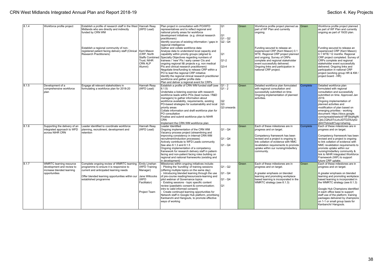| 8.1.4  | Workforce profile project                                                                                 | Establish a profile of research staff in the West Hannah Reay<br>Midlands who are directly and indirectly<br>funded by CRN WM<br>Establish a regional community of non-<br>registered patient facing delivery staff (Clinical<br><b>Research Practitioners)</b> | (WFD Lead)<br>Kerri Mason<br>(CRP. North<br><b>Staffs Combined</b><br>Trust: NIHR<br>CRN ALP<br>Alumni)     | Plan project in consultation with PO/WFD<br>representatives and to reflect regional and<br>national priority areas for workforce<br>development initiatives (e.g. clinical research<br>practitioners)<br>Identify sources of existing information / gaps in<br>regional intelligence<br>Gather and collate workforce data<br>Analyse data to understand local capacity and<br>capability within priority groups (aligned to<br>Specialty Objectives regarding numbers of<br>trainees / 'new' Pls / early career Cls and<br>ongoing regional I&I projects e.g. non medical<br>PIs and clinical research practitioners)<br>Negotiate time/funding to release CRP within a<br>PO to lead the regional CRP initiative<br>Identify the regional clinical research practitioner<br>workforce and gather profile data | lQ1<br>Q <sub>1</sub><br>Q1 - Q2<br>$\overline{Q2}$ - Q4<br>lQ1<br>$Q1-2$<br>$ Q3-4 $ | Green | Workforce profile project planned as Green<br>part of WF Plan and currently<br>ongoing.<br>Funding secured to release an<br>experienced CRP (Kerri Mason) 0.1<br>WTE. Regional CRP project planned<br>and ongoing. Survey of CRPs<br>complete and regional stakeholder<br>event successfully delivered.<br>Ongoing links and participation in<br>national CRP project. |          | Workforce profile project planned<br>as part of WF Plan and currently<br>ongoing as part of 19/20 plan.<br>Funding secured to release an<br>experienced CRP (Kerri Mason)<br>0.1 WTE/ 12 months. Regional<br>CRP project completed. Survey of<br>CRPs complete and regional<br>stakeholder event successfully<br>delivered. Ongoing links and<br>participation in national CRP<br>project (working group HR & KM /<br>project board - HR) |
|--------|-----------------------------------------------------------------------------------------------------------|-----------------------------------------------------------------------------------------------------------------------------------------------------------------------------------------------------------------------------------------------------------------|-------------------------------------------------------------------------------------------------------------|----------------------------------------------------------------------------------------------------------------------------------------------------------------------------------------------------------------------------------------------------------------------------------------------------------------------------------------------------------------------------------------------------------------------------------------------------------------------------------------------------------------------------------------------------------------------------------------------------------------------------------------------------------------------------------------------------------------------------------------------------------------------------------------------------------------|---------------------------------------------------------------------------------------|-------|------------------------------------------------------------------------------------------------------------------------------------------------------------------------------------------------------------------------------------------------------------------------------------------------------------------------------------------------------------------------|----------|-------------------------------------------------------------------------------------------------------------------------------------------------------------------------------------------------------------------------------------------------------------------------------------------------------------------------------------------------------------------------------------------------------------------------------------------|
| 18.1.5 | Development of a<br>comprehensive workforce<br>plan                                                       | Engage all relevant stakeholders in<br>formulating a workforce plan for 2018-20                                                                                                                                                                                 | Hannah Reav<br>(WFD Lead)                                                                                   | Plan and deliver a regional event for CRPs<br>Establish a profile of CRN WM funded staff (see $\overline{Q1}$ - 2<br>$ 8.1.5\rangle$<br>Undertake a listening exercise with research<br>workforce leads within POs (lead nurses / R&D<br>managers) to gather information about<br>workforce availability, requirements, existing<br>PO-based strategies for sustainability and local<br>priority areas<br>Collate information and draft workforce plan for<br>PO consultation<br>Finalise and submit workforce plan to NIHR<br>CRN<br>Implement the CRN WM workforce plan                                                                                                                                                                                                                                      | IQ1 - 2<br>Q2<br>lo3<br>Q3 onwards                                                    | Green | Detailed workforce plan formulated<br>with regional consultation and<br>successfully submitted on time.<br>Ongoing implementation of planned<br>activities.                                                                                                                                                                                                            | Complete | Detailed workforce plan<br>formulated with regional<br>consultation and successfully<br>submitted on time. Approved Jan<br>2019.<br>Ongoing implementation of<br>planned activities and<br>modification of plan based on<br>emerging priorities - working<br>document: https://docs.google.<br>com/spreadsheets/d/1IfFSkgNgiN<br>CibLCQNJ0TcLdvJiDTDZ5Uq42-<br>dlAXTbA/edit?usp=sharing                                                   |
| 8.1.6  | Supporting the delivery of an<br>integrated approach to WFD<br>across NIHR CRN                            | Leader identified to coordinate workforce<br>planning, recruitment, development and<br>retention                                                                                                                                                                | <b>Hannah Reay</b><br>(WFD Lead)                                                                            | Leader Identified<br>Ongoing implementation of the CRN WM<br>Vacancy process project (streamlining and<br>improving consistency in internal CRN WM<br>recruitment/induction processes)<br>Actively contribute to WFD Leads community<br>See also 8.1.3 and 8.1.5<br>Ongoing implementation of a competency<br>framework for research delivery staff in patient-<br>facing and non-patient facing roles building on<br>regional and national frameworks (existing and<br>in development)                                                                                                                                                                                                                                                                                                                        | Q1 - Q4<br>$Q1 - Q4$<br>$Q1 - Q4$                                                     | Green | Each of these milestones are in<br>progress and on target.<br>Competency framework has been<br>revised and a project is ongoing to<br>link collation of evidence with NMC<br>revalidation requirements to promote<br>uptake within our nursing/midwifery<br>community.                                                                                                 | Complete | Each of these milestones are in<br>progress and on target.<br>Competency framework has been<br>revised and a project is ongoing<br>to link collation of evidence with<br>NMC revalidation requirements to<br>promote uptake within our<br>nursing/midwifery community &<br>link to NIHR Integrated Workforce<br>Framework (IWF) to support<br>future CRP uptake.                                                                          |
| 8.1.7  | <b>WMRTC learning resource</b><br>development and review to<br>increase blended learning<br>opportunities | Complete ongoing review of WMRTC learning<br>programme to ensure it is responsive to<br>current and anticipated learning needs<br>Offer blended learning opportunities within our<br>established programme                                                      | <b>Emily Linehan</b><br>(WFD Training<br>Manager)<br>Jane Willcocks<br>(WFD<br>Facilitator)<br>Project Team | Milestones within ongoing initiatives include:<br>Piloting the 'bundling' of training sessions<br>(offering multiple topics on the same day)<br>Introducing blended learning through the use<br>of pre-course reading/resources/e-learning and<br>pilot webinar of Governance topics<br>Existing sessions - topic specific content<br>review (paediatric consent & communication;<br>intro to valid informed consent)<br>Create continued learning opportunities for<br>Network staff in Google Hub platform, prioritising<br>Kanbanchi and Hangouts, to promote effective<br>ways of working                                                                                                                                                                                                                  | lQ1 - Q2<br>IQ1 - Q4<br>$Q1 - Q4$<br>lQ1                                              | Green | Each of these milestones are in<br>progress and on target.<br>A greater emphasis on blended<br>learning and promoting workplace<br>based learning is incorporated in the<br>WMRTC strategy (see 8.1.3)                                                                                                                                                                 | Green    | Each of these milestones are in<br>progress and on target.<br>A greater emphasis on blended<br>learning and promoting workplace<br>based learning is incorporated in<br>the WMRTC strategy (see 8.1.3)<br>Google Hub Champions identified<br>in each office base to support<br>staff use of the platform; training<br>packages delivered by champions<br>on 1-1 or small group basis for<br>Kanbanchi/ Hangouts.                          |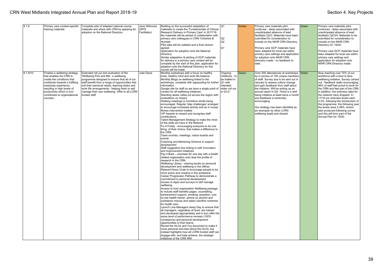| 8.1.8    | Primary care context-specific<br>training materials                                                                                                                                                                                                        | Complete pilot of adapted national course<br>materials and share with CRN by applying for<br>adoption on the National Directory                                                                                                                                                                                                                          | Jane Willcocks<br>(WFD<br>Facilitator) | Building on the successful adaptation of<br>materials to create the 'Fundamentals of Clinical<br>Research Delivery in Primary Care' in 2017/18<br>the materials will be piloted in collaboration with<br>primary care colleagues in CRN Yorkshire &<br>Humber.<br>Pilot data will be collated and a final version<br>agreed<br>Application for adoption onto the National<br>Directory<br>Similar adaptation & piloting of GCP materials<br>for delivery in a primary care context will be<br>complete by the start of this plan; application for<br>adoption onto the National Directory for this<br>course will be made                                                                                                                                                                                                                                                                                                                                                                                                                                                                                                                                                                                                                                                                                                                                                                                                                                                                                                                                                                                                                                                                                                                                                                                                                                                                                                                                                                                                                                                                                                                                                                                                                                                                                          | Q <sub>1</sub><br>Q2<br>Q2<br>Q1                                                       | Amber | Primary care materials pilot<br>continues - delay associated with<br>unanticipated absence of lead<br>facilitator Q2/3. Materials have been<br>submitted for consideration to<br>include on the NIHR CRN Directory.<br>Primary care GCP materials have<br>been adapted for local use within<br>primary care settings and application<br>for adoption onto NIHR CRN<br>Directory made - no feedback to<br>date.                                                               | Green | Primary care materials pilot<br>continues - delay associated with<br>unanticipated absence of lead<br>facilitator Q2/3/4. Materials to be<br>submitted for consideration to<br>include on the NIHR CRN<br>Directory Q1 19/20.<br>Primary care GCP materials have<br>been adapted for local use within<br>primary care settings and<br>application for adoption onto<br>NIHR CRN Directory made.                                                                                                                                             |
|----------|------------------------------------------------------------------------------------------------------------------------------------------------------------------------------------------------------------------------------------------------------------|----------------------------------------------------------------------------------------------------------------------------------------------------------------------------------------------------------------------------------------------------------------------------------------------------------------------------------------------------------|----------------------------------------|--------------------------------------------------------------------------------------------------------------------------------------------------------------------------------------------------------------------------------------------------------------------------------------------------------------------------------------------------------------------------------------------------------------------------------------------------------------------------------------------------------------------------------------------------------------------------------------------------------------------------------------------------------------------------------------------------------------------------------------------------------------------------------------------------------------------------------------------------------------------------------------------------------------------------------------------------------------------------------------------------------------------------------------------------------------------------------------------------------------------------------------------------------------------------------------------------------------------------------------------------------------------------------------------------------------------------------------------------------------------------------------------------------------------------------------------------------------------------------------------------------------------------------------------------------------------------------------------------------------------------------------------------------------------------------------------------------------------------------------------------------------------------------------------------------------------------------------------------------------------------------------------------------------------------------------------------------------------------------------------------------------------------------------------------------------------------------------------------------------------------------------------------------------------------------------------------------------------------------------------------------------------------------------------------------------------|----------------------------------------------------------------------------------------|-------|------------------------------------------------------------------------------------------------------------------------------------------------------------------------------------------------------------------------------------------------------------------------------------------------------------------------------------------------------------------------------------------------------------------------------------------------------------------------------|-------|---------------------------------------------------------------------------------------------------------------------------------------------------------------------------------------------------------------------------------------------------------------------------------------------------------------------------------------------------------------------------------------------------------------------------------------------------------------------------------------------------------------------------------------------|
| 8.1.9/10 | Finalise a wellbeing strategy<br>that enables the CRN to<br>create the conditions that<br>contribute towards a fulfilling<br>employee experience<br>resulting in high levels of<br>productivity which in turn<br>contributes to organisational<br>success. | Extended roll out and evaluation of the<br>'Wellbeing Pick and Mix', a wellbeing<br>programme designed to ensure that all of our<br>staff benefit from a range of opportunities that<br>suit their personal needs, learning styles and<br>work life arrangements - helping them to self<br>manage their own wellbeing. Offer to all LCRN<br>funded staff | Julie Davis                            | Monthly workshops with a focus on healthy<br>body, healthy mind and work life balance<br>Monthly Blogs on wellbeing linked to the<br>workshops, complete with signposting for further   Q1 with<br>information<br>Google site for staff so we have a single point of<br>contact for all wellbeing initiatives<br>Standing desks rolled out across the region with<br>evaluations on impact<br>Walking meetings or lunchtime strolls being<br>encouraged. Regular 'step challenges' arranged<br>to encourage increased activity and an in house<br>fitness intervention trialled<br>VIP Awards to reward and recognise staff<br>contributions.<br>Talent Management Strategy to make the most<br>of the skills we have in the Network<br>Fix It Friday - encouraging everyone to do one<br>thing, of their choice, that makes a difference to<br>the CRN<br>Team lunches, meetings, notice boards and<br>levents<br>Coaching and Mentoring Scheme to support<br>development<br>Staff suggestion box linking in with Innovation<br>and Improvement initiatives<br>Pay it Back - volunteer for one day with a health<br>related organisation and raise the profile of<br>research in the CRN<br>Wellbeing Library - sharing books on personal<br>development and wellbeing in the offices<br>Relaxed Dress Code to encourage people to be<br>more active and creative in the workplace<br>Career Progression Pathway to demonstrate a<br>commitment to personal development<br>Access to Apps and surveys to self manage<br>wellbeing<br>Access to host organisation Wellbeing package<br>to include staff benefits pages, counselling,<br>bereavement support, smoking cessation, one-<br>to-one health trainer, advice on alcohol and<br>substance misuse and salary sacrifice schemes<br>for health care.<br>Launch Line Managers Away Day to ensure that<br>all managers, regardless of level, are trained<br>and developed appropriately and in turn offer the<br>same level of performance reviews (100%<br>compliance) and personal development<br>opportunities to their teams<br>Revisit the HLOs and You document to make it<br>more personal and less about the HLOs, but<br>instead highlights how all LCRN funded staff can<br>engage with, and help achieve, the strategic<br>initiatives of the CRN WM | Ongoing<br>initiatives - to<br>be trialled in<br>intended<br>wider roll out<br>in Q1/2 | Green | Over 300 attendances at workshops Green<br>by in excess of 100 unique members<br>of staff. Survey due to be sent out in<br>January to assess culture change<br>and gain feedback from staff about<br>the initiative. Will be writing up an<br>annual report in Q4. There is a well<br>being initiative at least twice a month<br>and feedback is extremely<br>encouraging<br>Our strategy has been identified as<br>an exemplar by other LCRN<br>wellbeing leads and shared. |       | Now reaching over 70% of our<br>workforce with a face to face<br>wellbeing initiative. Survey carried<br>out - feedback really encouraging.<br>96% of staff feel proud to work for<br>the CRN and feel part of the CRN.<br>In addition, the sickness rates for<br>the network have dropped. In<br>17/18 our sickness levels were<br>4.2%; following the introduction of<br>the programme, the following year<br>the levels were 2.48%. Action<br>plan produced following survey<br>and this will form part of the<br>Annual Plan for 19/20. |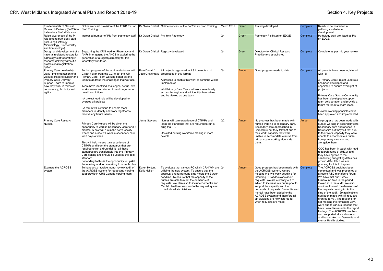| <b>Fundamentals of Clinical</b><br>Research Delivery (FoRD) for Staff Training<br>Laboratory Staff Webcaste                                                                                                             |                                                                                                                                                                                                                                                                                                                                                                                                                                                                                                                                                                    |                                | Online webcast provision of the FoRD for Lab   Dr Owen Driskell   Online webcast of the FoRD Lab Staff Training                                                                                                                                                                                                                                                                  | March 2019      | Green | Training developed                                                                                                                                                                                                                                                                                                                                                                                                          | Complete | Ready to be posted on a<br>pathology website in<br>development.                                                                                                                                                                                                                                                                                                                                                                                                                                                                                                                                                     |
|-------------------------------------------------------------------------------------------------------------------------------------------------------------------------------------------------------------------------|--------------------------------------------------------------------------------------------------------------------------------------------------------------------------------------------------------------------------------------------------------------------------------------------------------------------------------------------------------------------------------------------------------------------------------------------------------------------------------------------------------------------------------------------------------------------|--------------------------------|----------------------------------------------------------------------------------------------------------------------------------------------------------------------------------------------------------------------------------------------------------------------------------------------------------------------------------------------------------------------------------|-----------------|-------|-----------------------------------------------------------------------------------------------------------------------------------------------------------------------------------------------------------------------------------------------------------------------------------------------------------------------------------------------------------------------------------------------------------------------------|----------|---------------------------------------------------------------------------------------------------------------------------------------------------------------------------------------------------------------------------------------------------------------------------------------------------------------------------------------------------------------------------------------------------------------------------------------------------------------------------------------------------------------------------------------------------------------------------------------------------------------------|
| Raise awareness of the PI<br>role among pathology staff<br>(including Histology,<br>Microbiology, Biochemistry<br>and Immunology).                                                                                      | Increased number of PIs from pathology staff                                                                                                                                                                                                                                                                                                                                                                                                                                                                                                                       |                                | Dr Owen Driskell PIs from Pathology                                                                                                                                                                                                                                                                                                                                              | Q4              | Green | Pathology PIs listed on EDGE                                                                                                                                                                                                                                                                                                                                                                                                | Complete | Pathology staff are listed as PIs<br>on EDGE                                                                                                                                                                                                                                                                                                                                                                                                                                                                                                                                                                        |
| Design and development of a<br>national register/directory for<br>pathology staff operating in<br>research delivery without a<br>professional registration<br>option                                                    | Supporting the CRN lead for Pharmacy and<br>AHPs in engaging the AHCS in exploring the<br>generation of a registry/directory for this<br>laboratory workforce.                                                                                                                                                                                                                                                                                                                                                                                                     |                                | Dr Owen Driskell Registry developed                                                                                                                                                                                                                                                                                                                                              | O <sub>4</sub>  | Green | Directory for Clinical Research<br>Practitioners established                                                                                                                                                                                                                                                                                                                                                                | Complete | Complete as per mid year review                                                                                                                                                                                                                                                                                                                                                                                                                                                                                                                                                                                     |
| Primary Care Leadership<br>work - Implementation of a<br>work package to support the<br><b>Primary Care Delivery</b><br>Support Team to improve<br>how they work in terms of<br>consistency, flexibility and<br>agility | Further progress of the work undertaken with<br>Gillian Felton from the CC to get the WM<br>Primary Care Team working better as one<br>team to address the challenges that we face.<br>Team have identified challenges, set up five<br>workstreams and started to work together on<br>possible solutions<br>A project lead role will be developed to<br>oversee all projects<br>A forum will continue to enable team<br>members to identify and work together to<br>resolve any future issues                                                                      | Pam Devall /<br>Jess Graysmark | All projects registered as I & I projects and<br>progressed in this format<br>A process to enable this work to continue will be<br>implemented<br>WM Primary Care Team will work seamlessly<br>across the region and will identify themselves<br>and be viewed as one team                                                                                                       | Q4              | Amber | Good progress made to date                                                                                                                                                                                                                                                                                                                                                                                                  | Complete | All projects have been registered<br>with I&I<br>A Primary Care Project Lead role<br>has been developed and<br>appointed to ensure oversight of<br>projects<br>Primary Care Google Community<br>has been developed to support<br>team collaboration and provide a<br>forum for team to share ideas<br>Flexible working principles have<br>been approved and implemented.                                                                                                                                                                                                                                            |
| Primary Care Research<br><b>Nurses</b>                                                                                                                                                                                  | Primary Care Nurses will be given the<br>opportunity to work in Secondary Care for 3-6<br>months. A pilot will run in the north locality<br>where one nurse will work in secondary care<br>for 3 days a week<br>This will help nurses gain experience of<br>CTIMPs and learn the standards that are<br>required to run a drug trial. It . all these<br>standards are transferable into the Primary<br>Care setting and should be used as the gold<br>standard.<br>Secondary to this is the opportunity to upskill<br>the nursing workforce making it more flexible | Jenny Stevens                  | Nurses will gain experience of CTIMPs and<br>learn the standards that are required to run a<br>drug trial. It.<br>Upskilled nursing workforce making it more<br>flexible                                                                                                                                                                                                         | $\overline{Q2}$ | Amber | No progress has been made with<br>nurses working in secondary care.<br>Secondary care approached in<br>Shropshire but they felt that due to<br>their work capacity they were<br>unable to accomodate a nurse from<br>primary care working alongside<br>them.                                                                                                                                                                | Amber    | No progress has been made with<br>nurses working in secondary care.<br>Secondary care approached in<br>Shropshire but they felt that due<br>to their work capacity they were<br>unable to accomodate a nurse<br>from primary care working<br>alongside them.<br>COO has been in touch with lead<br>research nurse at UHCW and<br>they have agreed to the<br>shadowing but getting dates has<br>proved difficult but we are<br>pressing for this to happen                                                                                                                                                           |
| Evaluate the ACROSS<br>system                                                                                                                                                                                           | To have a six - twelve month review/audit of<br>the ACROSS system for requesting nursing<br>support within CRN Generic nursing team.                                                                                                                                                                                                                                                                                                                                                                                                                               | Karen Hylton<br>Kelly Hollier  | To evaluate that various PO within CRN WM are Q4<br>utilising the new system. To ensure that the<br>approval and turnaround time meets the 2 week<br>deadline. To ensure that the capacity of the<br>nurses are able to meet the demands of<br>requests. We plan also to include Dementia and<br>Mental Health requests onto the request system<br>to include all six divisions. |                 | Amber | Good progress has been made with<br>the ACROSS system. We are<br>meeting the two week deadline for<br>informing PO of decisions about<br>requests. We are currently out to<br>advert to increase our nurse pool to<br>support the capacity and the<br>demands of requests. Dementia and<br>mental have been added to the<br>ACROSS system and therefore all<br>six divisions are now catered for<br>when requests are made. | Complete | The ACROSS audit has been<br>completed and was presented at<br>a recent R&D manafgers forum.<br>We have met our 2 week<br>turnaround time in the period<br>looked at in the audit. We also<br>continue to meet the demands of<br>the requests coming in. At the<br>time of the audit 129 applications<br>had been made with 87 requests<br>granted (67%). The reasons for<br>not meeting the remaining 33%<br>were due to various reasons that<br>have been discussed in the report<br>findings. The ACROSS now has<br>also supported all six divisions<br>and has worked on Dementia and<br>mental Health studies. |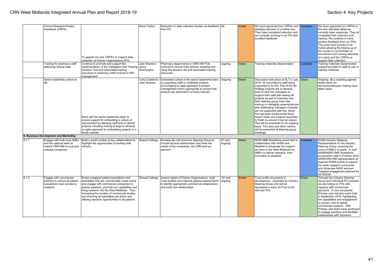|       | <b>Clinical Research Project</b><br>Assistants (CRPA)                                              | To appoint six new CRPA's to support data<br>collection at Partner Organisations (PO)                                                                                                                                                                                                                                                                                                 | Karen Hylton                    | Reduction in data collection burden via feedback Q4<br>from PO.                                                                                                                                                                      |                   | Amber | We have appointed four CRPAs and Complete<br>awaiting interview of a further two.<br>They have completed induction and<br>are currently working in our PO with<br>excellent feedback.                                                                                                                                                                                                                                                                                                                                                                                                                                                                                              |          | We have appointed six CRPAs in<br>the time allocated albeit we<br>currently have vacancies. They all<br>completed their induction and<br>training. We continue to have<br>positive feedback from our POs.<br>The posts have proved to be<br>fruitful allowing the freeing up of<br>the nurses to concentrate on<br>recruitment and nursing elements<br>of a study and the CRPAs to<br>support data collection.                          |
|-------|----------------------------------------------------------------------------------------------------|---------------------------------------------------------------------------------------------------------------------------------------------------------------------------------------------------------------------------------------------------------------------------------------------------------------------------------------------------------------------------------------|---------------------------------|--------------------------------------------------------------------------------------------------------------------------------------------------------------------------------------------------------------------------------------|-------------------|-------|------------------------------------------------------------------------------------------------------------------------------------------------------------------------------------------------------------------------------------------------------------------------------------------------------------------------------------------------------------------------------------------------------------------------------------------------------------------------------------------------------------------------------------------------------------------------------------------------------------------------------------------------------------------------------------|----------|-----------------------------------------------------------------------------------------------------------------------------------------------------------------------------------------------------------------------------------------------------------------------------------------------------------------------------------------------------------------------------------------------------------------------------------------|
|       | Training for pharmacy staff<br>delivering clinical trials                                          | Continue to promote and support the<br>implementation of the 'Delegation and Training Jenny<br>Decision Tool and associated training<br>resources to pharmacy staff involved in IMP<br>management                                                                                                                                                                                     | Julie Shenton /<br>Warmington   | Pharmacy departments in CRN WM POs<br>involved in clinical trials delivery adopting and<br>using the decision aid and associated training<br>resources                                                                               | ongoing           | Green | Training materials disseminated                                                                                                                                                                                                                                                                                                                                                                                                                                                                                                                                                                                                                                                    | Complete | Training materials disseminated;<br>support provided to staff re use of<br>training materials                                                                                                                                                                                                                                                                                                                                           |
|       | Senior leadership culture re<br> 8                                                                 | Work with the senior leadership team to<br>ensure support for embedding a culture of<br>improvement by allowing staff time to deliver<br>projects including looking at ways to develop<br>an agile approach to undertaking projects in a<br>timely manner                                                                                                                             | Carly Craddock<br>Julie Shenton | Embedded culture in the senior leadership team<br>re supporting staff to undertake projects<br>encouraging an agile approach to project<br>management where appropriate to ensure that<br>projects are delivered in a timely manner. | <b>Onaoina</b>    | Green | Discussion took place at SLT in July Green<br>2018. All committed to staff being<br>supported to do this. Part of the I&I<br>strategy projects are to develop<br>tools to help line managers to<br>support their staff with seeing I&I<br>projects as part of everyday role.<br>Also steering group have had<br>training in managing upwards/across<br>and challenging managers if people<br>are not supported with this. Since<br>this has been implemented there<br>haven't been any projects expected<br>to finish so unsure if had an impact.<br>This will be assessed on an ongoing<br>basis. This data and other metrics<br>will be presented at steering group<br>meetings. |          | Ongoing. I&I a standing agenda<br>where items for<br>discussion/decision making have<br>taken place.                                                                                                                                                                                                                                                                                                                                    |
|       | 9. Business Development and Marketing                                                              |                                                                                                                                                                                                                                                                                                                                                                                       |                                 |                                                                                                                                                                                                                                      |                   |       |                                                                                                                                                                                                                                                                                                                                                                                                                                                                                                                                                                                                                                                                                    |          |                                                                                                                                                                                                                                                                                                                                                                                                                                         |
| 9.1.1 | and the national team to<br>market CRN WM to local and<br>national companies                       | Engage with both local SMEs   Build a small number of key collaborations to<br>highlight the opportunities of working with<br>industry                                                                                                                                                                                                                                                | Sinead Collinge                 | Develop the Life Sciences Steering Group to<br>include all local stakeholders and meet the<br>needs of the companies, the CRN and our<br>partners                                                                                    | Q1 and<br>ongoing | Green | NIHR SME Roadshow event held in Complete<br>collaboration with AHSN and<br>Medilink to showcase the support<br>we have in the West Midlands for<br>SME's to deliver research, from<br>innovation to adoption.                                                                                                                                                                                                                                                                                                                                                                                                                                                                      |          | <b>AHSN Industry Gateway</b><br>Representative on the Industry<br>Steering Group; ensuring the<br>voice of SME's is heard. A Joint<br>AHSN/NIHR SME Roadshow<br>successfully held in October 2018.<br>NIHR/CRN WM representation at<br>regional AHSN events to support<br>the wider research community<br>and showcase NIHR services.<br>Targeted engagement planned for<br>2019/2020                                                   |
| 9.1.2 | Engage with commercial<br>partners to ensure all patient<br>populations have access to<br>research | Scope untapped patient populations and<br>specialties that are commercially under active<br>and engage with commercial companies to<br>assess pipelines, promote our capabilities and<br>bring research into the West Midlands. Thus<br>increasing the number of commercial studies<br>and ensuring all specialties are active and<br>offering research opportunities to all patients | Sinead Collinge                 | Assess needs of Partner Organisations, build<br>Trust profiles and national pipeline assessments<br>to identify appropriate commercial collaborators<br>and build new relationships.                                                 | Q1 and<br>ongoing | Amber | Trust profile documents in<br>development - amended by Industry<br>Steering Group and will be<br>developed in early 2019 as a trial<br>with two POs                                                                                                                                                                                                                                                                                                                                                                                                                                                                                                                                | Green    | Through the Industry Steering<br>Group and Individual PO requests<br>we are linking on POs with<br>capacity with commercial<br>sponsors. A very successful<br>Primary care Industry event held<br>in September 2018, highlighting<br>the capabilities and engagement<br>in primary care to deliver<br>commercial research. WM<br>Primary care team have continued<br>to engage practices and facilitate<br>relationships with Sponsors. |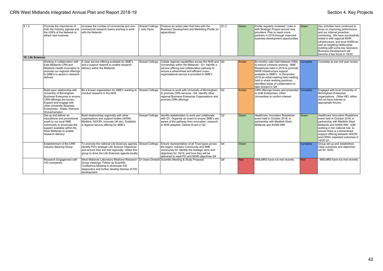| 9.1.3             | Promote the importance of<br>both the Industry agenda and<br>the USPs of the Network to<br>attract new business                                                                                                                | Increase the number of commercial and non-<br>commercial research teams wanting to work<br>with the Network                                                                                                                                      | Sinead Collinge<br>Julie Davis | Produce an action plan that links with the<br>Business Development and Marketing Profile (in<br>appendices)                                                                                                                                            | $Q1-2$         | Green | Profile regularly reviewed. Links in<br>with Strategic Project around new<br>providers. Plan to reach more<br>partners in 2019 through improved<br>business development opportunities                                                                                                                                  | Green    | Key activities have continued to<br>focus on improving performance<br>and our internal proactive<br>monitoring. We have successfully<br>linked in with regional NIHR<br>infrastructure, and local AHSN as<br>well as targeting relationship<br>building with some key Sponsors.<br><b>Business Development will</b><br>become a key focus in 19/20 |
|-------------------|--------------------------------------------------------------------------------------------------------------------------------------------------------------------------------------------------------------------------------|--------------------------------------------------------------------------------------------------------------------------------------------------------------------------------------------------------------------------------------------------|--------------------------------|--------------------------------------------------------------------------------------------------------------------------------------------------------------------------------------------------------------------------------------------------------|----------------|-------|------------------------------------------------------------------------------------------------------------------------------------------------------------------------------------------------------------------------------------------------------------------------------------------------------------------------|----------|----------------------------------------------------------------------------------------------------------------------------------------------------------------------------------------------------------------------------------------------------------------------------------------------------------------------------------------------------|
| 10. Life Sciences |                                                                                                                                                                                                                                |                                                                                                                                                                                                                                                  |                                |                                                                                                                                                                                                                                                        |                |       |                                                                                                                                                                                                                                                                                                                        |          |                                                                                                                                                                                                                                                                                                                                                    |
|                   | Working in collaboration with<br>East Midlands CRN and<br>Midlands Health Innovation to delivery within the Midlands<br>promote our regional offerings<br>to SME's to assist in research<br>delivery                           | A clear service offering available for SME's<br>and a support network to enable research                                                                                                                                                         | Sinead Collinge                | Collate regional capabilities across the NHS and  Q4<br>Universities within the Midlands - Q1. Identify a<br>service offering and collaboration pathway to<br>ensure a streamlined and efficient cross-<br>organisational service is provided to SME's |                | Amber | Bi-monthly calls held between IOMs<br>to ensure cohesive working. SME<br>Roadshows held in 2018 to promote<br>NIHR Infrastructure support<br>available to SME's. In December<br>2018 an initial meeting held meeting<br>held to share working practices.<br>identified areas of collaboration to<br>take forward in Q4 | Complete | Complete as per mid year review                                                                                                                                                                                                                                                                                                                    |
|                   | Build upon relationship with<br>University of Birmingham<br>Business Enterprise to ensure<br>CRN offerings are known.<br>Expand and engage with<br>other University Business<br>Enterprises - Keele, Warwick,<br>Wolverhampton | Be a known organisation for SME's wanting to Sinead Collinge<br>conduct research in the NHS                                                                                                                                                      |                                | Continue to work with University of Birmingham<br>to promote CRN services - Q4. Identify other<br>regional Business Enterprise Organisations and<br>promote CRN offerings                                                                              | $ _{\rm Q2}$   | Amber | CRN offerings known and presented<br>to UoB Enterprises, Other<br>Universities to confirm interest                                                                                                                                                                                                                     | Complete | Engaged with local University of<br><b>Birmingham Enterprise</b><br>organisations. Other HEI, either<br>did not have interest or<br>appropriate forums.                                                                                                                                                                                            |
|                   | Set up and deliver an<br>educational and promotional<br>event to our local SME<br>community to showcase the<br>support available within the<br>West Midlands to enable<br>research delivery                                    | Build relationships regionally with other<br>organisations and support bodies (AHSN,<br>Medilink, NOCRI, Innovate UK etc), Establish<br>a regional service offering for SME's                                                                    | Sinead Collinge                | Identify stakeholders to work and collaborate<br>with Q1. Organise an event to ensure SME's are<br>aware of the pathway from innovation, research<br>to NHS adoption. Deliver Event in Q2                                                              | Q <sub>2</sub> | Green | Healthcare Innovation Roadshow<br>event held in October 2018. in<br>partnership with Medilink West<br>Midlands and AHSN WM.                                                                                                                                                                                            | Green    | Healthcare Innovation Roadshow<br>event held in October 2018, in<br>partnership with Medilink West<br>Midlands and AHSN WM. IOM<br>working in her national role, to<br>ensure there is a streamlined<br>support offering between NOCRI<br>and CRNs; expected outcomes in<br>19/20 Q1.                                                              |
|                   | Establishment of the CRN<br>Industry Steering Group                                                                                                                                                                            | To promote the national Life Sciences agenda, Sinead Collinge<br>identify PO's strategic Life Science Objectives<br>and ensure they are met regionally. Utilise this<br>group to drive the Life Sciences agenda locally                          |                                | Ensure representation of all Trust types across<br>the region. Industry Community and SME<br>community Q1 Identify the strategic aims and<br>objectives for 18/19, and how they will be<br>delivered to meet PO and NIHR obiectives Q4                 | Q4             | Green |                                                                                                                                                                                                                                                                                                                        | Complete | Group set up and established.<br>Clear outcomes and objectives<br>set for 19/20.                                                                                                                                                                                                                                                                   |
|                   | Research Engagement with<br><b>IVD</b> companies                                                                                                                                                                               | West Midlands Laboratory Medicine Research   Dr Owen Driskell Scientific Meeting & Study Proposal<br>Group meetings. Follow up Scientific<br>Conference Meeting to showcase IVD<br>diagnostics and further develop themes of IVD<br>development. |                                |                                                                                                                                                                                                                                                        | O <sub>4</sub> | Red   | WMLMRG have not met recently                                                                                                                                                                                                                                                                                           | Red      | WMLMRG have not met recently                                                                                                                                                                                                                                                                                                                       |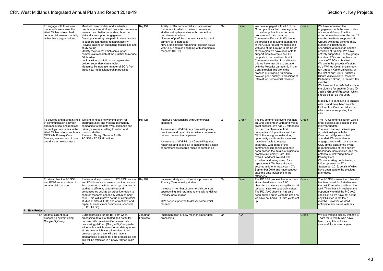|                  | To engage with three new<br>models of care across the<br>West Midlands to embed<br>commercial research activity<br>within these organisations                                                                   | Meet with new models and leadership<br>practices across WM and promote commercial<br>research and better understand how the<br>Network can support engagement<br>Develop a working group within each practice<br>to support commercial research activity<br>Provide training on submitting feasibilities and<br>study set up<br>Identify 'new roles' which can support<br>commercial research at the practice to reduce<br>GP burden<br>Look at wider portfolio - can organisation<br>deliver 'secondary care studies'<br>Measure: To increase number of EOI's from<br>these new models/leadership practices | Raj Gill             | Ability to offer commercial sponsors newer<br>formations in which to deliver commercial<br>studies set up fewer sites with competitive<br>recruitment numbers.<br>Number of portfolio commercial studies run in<br>primary care increased<br>New organisations remaining research active<br>with CRN and also engaging with commercial<br>research (HLO3) | Q4 | Green | We have engaged with all 6 of the<br>Group practices that have signed up<br>to the Group Practice scheme to<br>promote and train them on<br>Commercial Research. We are in<br>the process of securing attendance<br>at the Group regular meetings and<br>with one of the Groups in the South<br>of the region we have been able to<br>support them to create an EOI<br>template to be used to submit to<br>Commercial studies. In addition to<br>this we have met able to engage<br>with the Modality partnership in the<br>Central region and are in the<br>process of providing training to<br>develop good quality Expressions of<br>Interest for Commercial research. | Green | We have increased the<br>engagement with the new models<br>of care and Group Practice<br>scheme members over the last 12<br>months. We have supported all<br>Groups within the scheme (now<br>numbering 10) through<br>attendance at meetings and the<br>provision of training. We have<br>actively supported 3 of the groups<br>to submit EOIs and we have had<br>a total of 7 EOIs submitted.<br>We are in the process of setting<br>up a WM led Commercial study,<br>run through Keele University, at<br>the first of our Group Practices<br>(South Warwickshire Research<br>Partnership Group) in the next few<br>months.<br>We have another WM led study in<br>the pipeline for another Group (Dr<br>Joshi's Group of Practices) which<br>should be set up this year.<br>Modality are continuing to engage<br>with us and have been selected<br>for their first Commercial study<br>which we are supporting them<br>with. |
|------------------|-----------------------------------------------------------------------------------------------------------------------------------------------------------------------------------------------------------------|--------------------------------------------------------------------------------------------------------------------------------------------------------------------------------------------------------------------------------------------------------------------------------------------------------------------------------------------------------------------------------------------------------------------------------------------------------------------------------------------------------------------------------------------------------------------------------------------------------------|----------------------|-----------------------------------------------------------------------------------------------------------------------------------------------------------------------------------------------------------------------------------------------------------------------------------------------------------------------------------------------------------|----|-------|---------------------------------------------------------------------------------------------------------------------------------------------------------------------------------------------------------------------------------------------------------------------------------------------------------------------------------------------------------------------------------------------------------------------------------------------------------------------------------------------------------------------------------------------------------------------------------------------------------------------------------------------------------------------------|-------|--------------------------------------------------------------------------------------------------------------------------------------------------------------------------------------------------------------------------------------------------------------------------------------------------------------------------------------------------------------------------------------------------------------------------------------------------------------------------------------------------------------------------------------------------------------------------------------------------------------------------------------------------------------------------------------------------------------------------------------------------------------------------------------------------------------------------------------------------------------------------------------------------------------------------------|
|                  | of communication between<br>pharmaceutical and medical<br>technology companies in the<br>West Midlands to promote our<br><b>CRN WM Primary Care</b><br>Service, new models of care<br>and drive in new business | To develop and maintain lines We aim to host a networking event for<br>pharmaceutical and medical technology<br>companies to promote West Midlands and<br>primary care as a setting to set up and<br>conduct studies.<br>Research Design Service/ AHSN<br>PC SSS / ECER /Practices                                                                                                                                                                                                                                                                                                                           | Raj Gill             | Improved relationships with Commercial<br>sponsors<br>Awareness of WM Primary Care willingness,<br>readiness and capability to deliver commercial<br>research raised to companies<br>Awareness of WM Primary Care willingness,<br>readiness and capability to input into the design<br>of commercial research raised to companies                         | Q1 | Green | The PC commercial event was held Green<br>on 29th September 2018 and was a<br>great success. We had 70 attendees<br>from across pharmaceutical<br>companies, GP practices and the<br>CRN. It was a great networking<br>opportunity and from the event we<br>have been able to engage<br>separately with some of the<br>commercial companies and have<br>been passed the details of studies to<br>promote in Primary Care. The<br>overall Feedback we had was<br>excellent and many asked for a<br>repeat event. We have already<br>secured a date for next year - 27th<br>September 2019 and have sent out<br>save the date invitations to the<br>attendees.              |       | The PC Commercial Event was a<br>great success, as detailed in the<br>mid year update.<br>The event had a positive impact<br>on relationships with the<br>Commercial Sponsors that<br>attended. We were able to<br>engage directly with Janssen and<br>GSK off the back of the event,<br>regarding some of their current<br>Secondary Care studies, and the<br>potential of delivering them in<br>Primary Care.<br>We are working on delivering a<br>follow up event on 27th<br>September 2019, details of which<br>have been sent to the previous<br>attendees.                                                                                                                                                                                                                                                                                                                                                               |
|                  | To streamline the PC SSS<br>and PCIM service offered to<br>commercial sponsors                                                                                                                                  | Review and improvement of PC SSS process<br>and PCIM service to ensure that the process<br>for supporting practices to set up commercial<br>studies is efficient, streamlined and<br>demonstrates WM as an attractive region to<br>conduct research especially within primary<br>care. This will improve set up of commercial<br>studies at sites (HLO4) and attract new and<br>repeat business from commercial sponsors.<br>(HLO1, HLO3)                                                                                                                                                                    | Rai Gill             | Improved study support service process for<br>Primary Care industry studies<br>Increase in number of commercial sponsors<br>approaching and returning to the WM to deliver<br>Primary Care studies<br>GPs better supported to deliver commercial<br>research                                                                                              | Q4 | Green | The PC SSS process has now been<br>streamlined into a new AAC<br>checklist and we are using this for all<br>research sites we support in setup.<br>The PIC AAC checklist has also<br>been agreed but is yet to be used as<br>we have not had a PIC site yet to set<br>up.                                                                                                                                                                                                                                                                                                                                                                                                 | Green | The PC SSS streamlined checklist<br>has been used for 3 studies over<br>the last 12 months and is working<br>well. There has still not been the<br>opportunity to trial the PIC AAC<br>checklist, as we have not set up<br>any PIC sites in the last 12<br>months. However we don't<br>anticipate any issues with this.                                                                                                                                                                                                                                                                                                                                                                                                                                                                                                                                                                                                        |
| 11. New Projects |                                                                                                                                                                                                                 |                                                                                                                                                                                                                                                                                                                                                                                                                                                                                                                                                                                                              |                      |                                                                                                                                                                                                                                                                                                                                                           |    |       |                                                                                                                                                                                                                                                                                                                                                                                                                                                                                                                                                                                                                                                                           |       |                                                                                                                                                                                                                                                                                                                                                                                                                                                                                                                                                                                                                                                                                                                                                                                                                                                                                                                                |
|                  | 11.1 Update current data<br>processing system using<br>Google BigQuery                                                                                                                                          | Current practice for the BI Team when<br>processing data is outdated and not fit for<br>purpose. We have identified a new data<br>processing platform (Google BigQuery) which<br>will enable multiple users to run data queries<br>at one time which was a limitation of the<br>previous system. We will also have a<br>standardised process for data processing and<br>this will be reflected in a newly formed SOP.<br>W                                                                                                                                                                                   | Jonathan<br>Forsythe | Implementation of new mechanism for data<br>processing                                                                                                                                                                                                                                                                                                    | Q4 | N/A   |                                                                                                                                                                                                                                                                                                                                                                                                                                                                                                                                                                                                                                                                           | Green | We are working closely with the BI<br>Team for CRN EM who have<br>been using this software<br>successfully for over a year.                                                                                                                                                                                                                                                                                                                                                                                                                                                                                                                                                                                                                                                                                                                                                                                                    |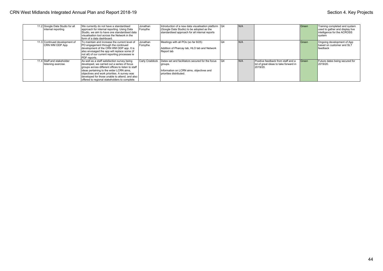| 11.2 Google Data Studio for all<br>internal reporting | We currently do not have a standardised<br>approach for internal reporting. Using Data<br>Studio, we aim to have one standardised data<br>visualisation tool across the Network in the<br>form of a data dashboard.                                                                                                                                | Jonathan<br>Forsythe | Introduction of a new data visualisation platform $\sqrt{Q4}$<br>(Google Data Studio) to be adopted as the<br>standardised approach for all internal reports |                | N/A |                                                                                         | Green | Training completed and system<br>used to gather and display live<br>Intelligence for the ACROSS<br>system |
|-------------------------------------------------------|----------------------------------------------------------------------------------------------------------------------------------------------------------------------------------------------------------------------------------------------------------------------------------------------------------------------------------------------------|----------------------|--------------------------------------------------------------------------------------------------------------------------------------------------------------|----------------|-----|-----------------------------------------------------------------------------------------|-------|-----------------------------------------------------------------------------------------------------------|
| 11.3 Continued development of<br>CRN WM ODP App       | To maintain and increase the current level of<br><b>PO</b> engagement through the continued<br>development of the CRN WM ODP app. It is<br>also envisaged the app will replace some (if<br>not all) of our current reporting processes ie<br>PDF reports.                                                                                          | Jonathan<br>Forsythe | Meetings with all POs (so far 8/25)<br>Addition of Pharcay tab, HLO tab and Network<br>Report tab                                                            | O <sub>4</sub> | N/A |                                                                                         | Green | Ongoing development of App<br>I based on customer and SLT<br>lfeedback                                    |
| 11.4 Staff and stakeholder<br>listening exercise.     | As well as a staff satisfaction survey being<br>developed, we carried out a series of focus<br>groups across different offices to listen to staff<br>ideas pertaining to the wider LCRN aims,<br>objectives and work priorities. A survey was<br>developed for those unable to attend, and also  <br>offered to regional stakeholders to complete. | Carly Craddock       | Dates set and facilitators secured for the focus<br>groups.<br>Information on LCRN aims, objectives and<br>priorities distributed.                           | Q4             | N/A | Positive feedback from staff and a<br>lot of great ideas to take forward in<br>2019/20. | Green | Future dates being secured for<br>12019/20.                                                               |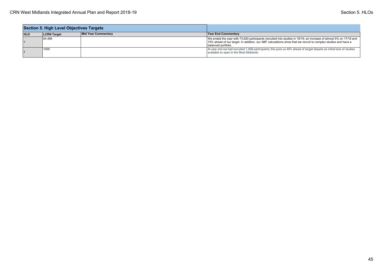|            | Section 5. High Level Objectives Targets |                     |                                                                                                                                                                                                                                                           |
|------------|------------------------------------------|---------------------|-----------------------------------------------------------------------------------------------------------------------------------------------------------------------------------------------------------------------------------------------------------|
| <b>HLO</b> | <b>LCRN</b> Target                       | Mid Year Commentary | <b>Year End Commentary</b>                                                                                                                                                                                                                                |
|            | 64.486                                   |                     | We ended the year with 73,920 participants recruited into studies in 18/19; an increase of almost 5% on 17/18 and<br>15% ahead of our target. In addition, our ABF calculations show that we recruit to complex studies and have a<br>balanced portfolio. |
|            | $^{\prime}$ 1000                         |                     | At year end we had recruited 1,408 participants; this puts us 40% ahead of target despite an initial lack of studies<br>available to open in the West Midlands                                                                                            |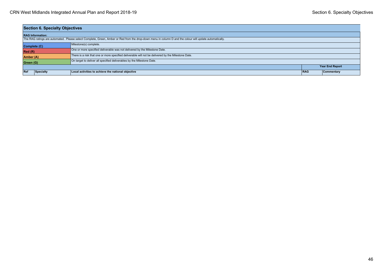| <b>Section 6. Specialty Objectives</b> |                                                                                                                                                          |     |                        |  |  |  |  |
|----------------------------------------|----------------------------------------------------------------------------------------------------------------------------------------------------------|-----|------------------------|--|--|--|--|
| <b>RAG Information:</b>                |                                                                                                                                                          |     |                        |  |  |  |  |
|                                        | The RAG ratings are automated. Please select Complete, Green, Amber or Red from the drop-down menu in column D and the colour will update automatically. |     |                        |  |  |  |  |
| Complete (C)                           | Milestone(s) complete.                                                                                                                                   |     |                        |  |  |  |  |
| Red(R)                                 | One or more specified deliverable was not delivered by the Milestone Date.                                                                               |     |                        |  |  |  |  |
| Amber (A)                              | There is a risk that one or more specified deliverable will not be delivered by the Milestone Date.                                                      |     |                        |  |  |  |  |
| Green (G)                              | On target to deliver all specified deliverables by the Milestone Date.                                                                                   |     |                        |  |  |  |  |
|                                        |                                                                                                                                                          |     | <b>Year End Report</b> |  |  |  |  |
| Ref<br>Specialty                       | Local activities to achieve the national objective                                                                                                       | RAG | Commentary             |  |  |  |  |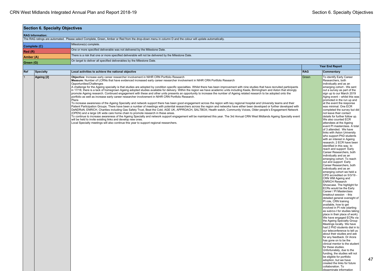| <b>Section 6. Specialty Objectives</b> |           |              |                                                                                                                                                                                                                                                                                                                                                                                                                                                                                                                                                                                                                                                                                                                                                                                                                                                                                                                                                                                                                                                                                                                                                                                                                                                                                                                                                                                                                                                                                                                                                                                                                                                                                                                                                                                                                                                                                                      |                        |                                                                                                                                                                                                                                                                                                                                                                                                                                                                                                                                                                                                                                                                                                                                                                                                                                                                                                                                                                                                                                                                                                                                                                                                                                                                                                                                                                                                                                                                                                                                                                                                                                                                                                                                                                              |  |  |
|----------------------------------------|-----------|--------------|------------------------------------------------------------------------------------------------------------------------------------------------------------------------------------------------------------------------------------------------------------------------------------------------------------------------------------------------------------------------------------------------------------------------------------------------------------------------------------------------------------------------------------------------------------------------------------------------------------------------------------------------------------------------------------------------------------------------------------------------------------------------------------------------------------------------------------------------------------------------------------------------------------------------------------------------------------------------------------------------------------------------------------------------------------------------------------------------------------------------------------------------------------------------------------------------------------------------------------------------------------------------------------------------------------------------------------------------------------------------------------------------------------------------------------------------------------------------------------------------------------------------------------------------------------------------------------------------------------------------------------------------------------------------------------------------------------------------------------------------------------------------------------------------------------------------------------------------------------------------------------------------------|------------------------|------------------------------------------------------------------------------------------------------------------------------------------------------------------------------------------------------------------------------------------------------------------------------------------------------------------------------------------------------------------------------------------------------------------------------------------------------------------------------------------------------------------------------------------------------------------------------------------------------------------------------------------------------------------------------------------------------------------------------------------------------------------------------------------------------------------------------------------------------------------------------------------------------------------------------------------------------------------------------------------------------------------------------------------------------------------------------------------------------------------------------------------------------------------------------------------------------------------------------------------------------------------------------------------------------------------------------------------------------------------------------------------------------------------------------------------------------------------------------------------------------------------------------------------------------------------------------------------------------------------------------------------------------------------------------------------------------------------------------------------------------------------------------|--|--|
| <b>RAG Information:</b>                |           |              |                                                                                                                                                                                                                                                                                                                                                                                                                                                                                                                                                                                                                                                                                                                                                                                                                                                                                                                                                                                                                                                                                                                                                                                                                                                                                                                                                                                                                                                                                                                                                                                                                                                                                                                                                                                                                                                                                                      |                        |                                                                                                                                                                                                                                                                                                                                                                                                                                                                                                                                                                                                                                                                                                                                                                                                                                                                                                                                                                                                                                                                                                                                                                                                                                                                                                                                                                                                                                                                                                                                                                                                                                                                                                                                                                              |  |  |
|                                        |           |              | The RAG ratings are automated. Please select Complete, Green, Amber or Red from the drop-down menu in column D and the colour will update automatically.                                                                                                                                                                                                                                                                                                                                                                                                                                                                                                                                                                                                                                                                                                                                                                                                                                                                                                                                                                                                                                                                                                                                                                                                                                                                                                                                                                                                                                                                                                                                                                                                                                                                                                                                             |                        |                                                                                                                                                                                                                                                                                                                                                                                                                                                                                                                                                                                                                                                                                                                                                                                                                                                                                                                                                                                                                                                                                                                                                                                                                                                                                                                                                                                                                                                                                                                                                                                                                                                                                                                                                                              |  |  |
|                                        |           | Complete (C) | Milestone(s) complete.                                                                                                                                                                                                                                                                                                                                                                                                                                                                                                                                                                                                                                                                                                                                                                                                                                                                                                                                                                                                                                                                                                                                                                                                                                                                                                                                                                                                                                                                                                                                                                                                                                                                                                                                                                                                                                                                               |                        |                                                                                                                                                                                                                                                                                                                                                                                                                                                                                                                                                                                                                                                                                                                                                                                                                                                                                                                                                                                                                                                                                                                                                                                                                                                                                                                                                                                                                                                                                                                                                                                                                                                                                                                                                                              |  |  |
|                                        | Red(R)    |              | One or more specified deliverable was not delivered by the Milestone Date.                                                                                                                                                                                                                                                                                                                                                                                                                                                                                                                                                                                                                                                                                                                                                                                                                                                                                                                                                                                                                                                                                                                                                                                                                                                                                                                                                                                                                                                                                                                                                                                                                                                                                                                                                                                                                           |                        |                                                                                                                                                                                                                                                                                                                                                                                                                                                                                                                                                                                                                                                                                                                                                                                                                                                                                                                                                                                                                                                                                                                                                                                                                                                                                                                                                                                                                                                                                                                                                                                                                                                                                                                                                                              |  |  |
|                                        | Amber (A) |              | There is a risk that one or more specified deliverable will not be delivered by the Milestone Date.                                                                                                                                                                                                                                                                                                                                                                                                                                                                                                                                                                                                                                                                                                                                                                                                                                                                                                                                                                                                                                                                                                                                                                                                                                                                                                                                                                                                                                                                                                                                                                                                                                                                                                                                                                                                  |                        |                                                                                                                                                                                                                                                                                                                                                                                                                                                                                                                                                                                                                                                                                                                                                                                                                                                                                                                                                                                                                                                                                                                                                                                                                                                                                                                                                                                                                                                                                                                                                                                                                                                                                                                                                                              |  |  |
|                                        | Green (G) |              | On target to deliver all specified deliverables by the Milestone Date.                                                                                                                                                                                                                                                                                                                                                                                                                                                                                                                                                                                                                                                                                                                                                                                                                                                                                                                                                                                                                                                                                                                                                                                                                                                                                                                                                                                                                                                                                                                                                                                                                                                                                                                                                                                                                               |                        |                                                                                                                                                                                                                                                                                                                                                                                                                                                                                                                                                                                                                                                                                                                                                                                                                                                                                                                                                                                                                                                                                                                                                                                                                                                                                                                                                                                                                                                                                                                                                                                                                                                                                                                                                                              |  |  |
|                                        |           |              |                                                                                                                                                                                                                                                                                                                                                                                                                                                                                                                                                                                                                                                                                                                                                                                                                                                                                                                                                                                                                                                                                                                                                                                                                                                                                                                                                                                                                                                                                                                                                                                                                                                                                                                                                                                                                                                                                                      | <b>Year End Report</b> |                                                                                                                                                                                                                                                                                                                                                                                                                                                                                                                                                                                                                                                                                                                                                                                                                                                                                                                                                                                                                                                                                                                                                                                                                                                                                                                                                                                                                                                                                                                                                                                                                                                                                                                                                                              |  |  |
| Ref                                    |           | Specialty    | Local activities to achieve the national objective                                                                                                                                                                                                                                                                                                                                                                                                                                                                                                                                                                                                                                                                                                                                                                                                                                                                                                                                                                                                                                                                                                                                                                                                                                                                                                                                                                                                                                                                                                                                                                                                                                                                                                                                                                                                                                                   | <b>RAG</b>             | Commentary                                                                                                                                                                                                                                                                                                                                                                                                                                                                                                                                                                                                                                                                                                                                                                                                                                                                                                                                                                                                                                                                                                                                                                                                                                                                                                                                                                                                                                                                                                                                                                                                                                                                                                                                                                   |  |  |
|                                        |           | Ageing [2]   | Objective: Increase early career researcher involvement in NIHR CRN Portfolio Research<br>Measure: Number of LCRNs that have evidenced increased early career researcher involvement in NIHR CRN Portfolio Research<br>Opportunities/Challenges<br>A challenge for the Ageing specialty is that studies are adopted by condition specific specialties. Whilst there has been improvement with nine studies that have recruited participants<br>in 17/18, there is a lack of homegrown Ageing adopted studies available for delivery. Within the region we have academic units including Keele, Birmingham and Aston that strongly<br>promote Ageing research. Continued engagement with these and other units presents an opportunity to increase the number of Ageing related research to be adopted onto the<br>portfolio as well as increase early career researcher involvement in NIHR CRN Portfolio Research.<br>Plans<br>To increase awareness of the Ageing Specialty and network support there has been good engagement across the region with key regional hospital and University teams and their<br>Patient Participation Groups. There have been a number of meetings with potential researchers across the region and networks have either been developed or further developed with<br>DeNDRoN, ENRICH, Charities including Gas Safety Trust, Beat the Cold, AGE UK, APPROACH, SALTBOX; Health watch, Community Voices, Older people's Engagement Network<br>(OPEN) and a large UK wide care home chain to promote research in these areas.<br>To continue to increase awareness of the Ageing Specialty and network support engagement will be maintained this year. The 3rd Annual CRN West Midlands Ageing Specialty event<br>will be held to invite existing links and develop new ones.<br>Local Specialty meetings will also continue this year to support regional researchers. | Green                  | To identify Early Career<br>Researchers, both<br>individually and as an<br>emerging cohort - We sent<br>out a survey as part of the<br>sign up to our March 2019<br>Aging event - whilst this was<br>promoted in the run up and<br>at the event the response<br>was minimal. One ECR<br>completed the survey but did<br>not leave their contact<br>details for further follow up.<br>We also counted ECR<br>attendees at the Ageing<br>event PI masterclass. A total<br>of 3 attended. We have<br>links with Aston University<br>who support PhD students<br>with an interest in Ageing<br>research; 2 ECR have been<br>identified in this way. to<br>reach and support Early<br>Career Researchers, both<br>individually and as an<br>emerging cohort. To reach<br>out and support Early<br>Career Researchers, both<br>individually and as an<br>emerging cohort we held a<br>CPD accredited on 5/3/19 -<br>CRN WM Ageing and<br><b>ENRICH Research</b><br>Showcase. The highlight for<br>ECRs would be the Early<br>Career / PI Masterclass<br>breakout session - this<br>detailed general oversight of<br>PI role, CRN training<br>available, how to get<br>involved in PI role (starting<br>as sub/co-I for studies taking<br>place in their place of work).<br>We have engaged ECRs via<br>the Ageing Specialty Group<br>Meetings locally. We have<br>had 2 PhD students dial in to<br>our teleconference to tell us<br>about their studies and ask<br>for any feedback. Dr Arora<br>has gone on to be the<br>clinical mentor to the student<br>for these studies.<br>Unfortunately, due to the<br>funding, the studies will not<br>be eligible for portfolio<br>adoption, but we have<br>created the links for future<br>collaboration. To<br>disseminate information |  |  |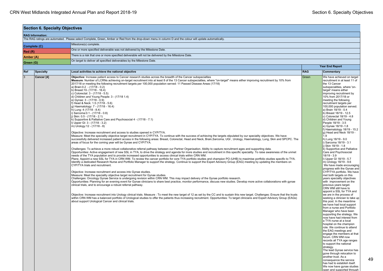|   | <b>Section 6. Specialty Objectives</b> |                                |                                                                                                                                                                                                                                                                                                                                                                                                                                                                                                                                                                                                                                                                                                                                                                                                                                                                                                                                                                                                                                                                                                                                                                                                                                                                                                                                                                                                                                                                                                                                                                                                                                                                                                                                                                                                                                                                                                                                                                                                                                                                                                                                                                                                                                                                                                                                                                                                                                                                                                                                                                                                                                                                                                                                                                                                                                                                                                                                                                                                                                                                                                                                                                                                                                                                                                               |            |                                                                                                                                                                                                                                                                                                                                                                                                                                                                                                                                                                                                                                                                                                                                                                                                                                                                                                                                                                                                                                                                                                                                                                                                                                                                                                                                                                                                                                                                                                                    |  |  |  |
|---|----------------------------------------|--------------------------------|---------------------------------------------------------------------------------------------------------------------------------------------------------------------------------------------------------------------------------------------------------------------------------------------------------------------------------------------------------------------------------------------------------------------------------------------------------------------------------------------------------------------------------------------------------------------------------------------------------------------------------------------------------------------------------------------------------------------------------------------------------------------------------------------------------------------------------------------------------------------------------------------------------------------------------------------------------------------------------------------------------------------------------------------------------------------------------------------------------------------------------------------------------------------------------------------------------------------------------------------------------------------------------------------------------------------------------------------------------------------------------------------------------------------------------------------------------------------------------------------------------------------------------------------------------------------------------------------------------------------------------------------------------------------------------------------------------------------------------------------------------------------------------------------------------------------------------------------------------------------------------------------------------------------------------------------------------------------------------------------------------------------------------------------------------------------------------------------------------------------------------------------------------------------------------------------------------------------------------------------------------------------------------------------------------------------------------------------------------------------------------------------------------------------------------------------------------------------------------------------------------------------------------------------------------------------------------------------------------------------------------------------------------------------------------------------------------------------------------------------------------------------------------------------------------------------------------------------------------------------------------------------------------------------------------------------------------------------------------------------------------------------------------------------------------------------------------------------------------------------------------------------------------------------------------------------------------------------------------------------------------------------------------------------------------------|------------|--------------------------------------------------------------------------------------------------------------------------------------------------------------------------------------------------------------------------------------------------------------------------------------------------------------------------------------------------------------------------------------------------------------------------------------------------------------------------------------------------------------------------------------------------------------------------------------------------------------------------------------------------------------------------------------------------------------------------------------------------------------------------------------------------------------------------------------------------------------------------------------------------------------------------------------------------------------------------------------------------------------------------------------------------------------------------------------------------------------------------------------------------------------------------------------------------------------------------------------------------------------------------------------------------------------------------------------------------------------------------------------------------------------------------------------------------------------------------------------------------------------------|--|--|--|
|   |                                        | <b>RAG Information:</b>        |                                                                                                                                                                                                                                                                                                                                                                                                                                                                                                                                                                                                                                                                                                                                                                                                                                                                                                                                                                                                                                                                                                                                                                                                                                                                                                                                                                                                                                                                                                                                                                                                                                                                                                                                                                                                                                                                                                                                                                                                                                                                                                                                                                                                                                                                                                                                                                                                                                                                                                                                                                                                                                                                                                                                                                                                                                                                                                                                                                                                                                                                                                                                                                                                                                                                                                               |            |                                                                                                                                                                                                                                                                                                                                                                                                                                                                                                                                                                                                                                                                                                                                                                                                                                                                                                                                                                                                                                                                                                                                                                                                                                                                                                                                                                                                                                                                                                                    |  |  |  |
|   |                                        |                                | The RAG ratings are automated. Please select Complete, Green, Amber or Red from the drop-down menu in column D and the colour will update automatically.                                                                                                                                                                                                                                                                                                                                                                                                                                                                                                                                                                                                                                                                                                                                                                                                                                                                                                                                                                                                                                                                                                                                                                                                                                                                                                                                                                                                                                                                                                                                                                                                                                                                                                                                                                                                                                                                                                                                                                                                                                                                                                                                                                                                                                                                                                                                                                                                                                                                                                                                                                                                                                                                                                                                                                                                                                                                                                                                                                                                                                                                                                                                                      |            |                                                                                                                                                                                                                                                                                                                                                                                                                                                                                                                                                                                                                                                                                                                                                                                                                                                                                                                                                                                                                                                                                                                                                                                                                                                                                                                                                                                                                                                                                                                    |  |  |  |
|   |                                        | Complete (C)                   | Milestone(s) complete.                                                                                                                                                                                                                                                                                                                                                                                                                                                                                                                                                                                                                                                                                                                                                                                                                                                                                                                                                                                                                                                                                                                                                                                                                                                                                                                                                                                                                                                                                                                                                                                                                                                                                                                                                                                                                                                                                                                                                                                                                                                                                                                                                                                                                                                                                                                                                                                                                                                                                                                                                                                                                                                                                                                                                                                                                                                                                                                                                                                                                                                                                                                                                                                                                                                                                        |            |                                                                                                                                                                                                                                                                                                                                                                                                                                                                                                                                                                                                                                                                                                                                                                                                                                                                                                                                                                                                                                                                                                                                                                                                                                                                                                                                                                                                                                                                                                                    |  |  |  |
|   | Red(R)                                 |                                | One or more specified deliverable was not delivered by the Milestone Date.                                                                                                                                                                                                                                                                                                                                                                                                                                                                                                                                                                                                                                                                                                                                                                                                                                                                                                                                                                                                                                                                                                                                                                                                                                                                                                                                                                                                                                                                                                                                                                                                                                                                                                                                                                                                                                                                                                                                                                                                                                                                                                                                                                                                                                                                                                                                                                                                                                                                                                                                                                                                                                                                                                                                                                                                                                                                                                                                                                                                                                                                                                                                                                                                                                    |            |                                                                                                                                                                                                                                                                                                                                                                                                                                                                                                                                                                                                                                                                                                                                                                                                                                                                                                                                                                                                                                                                                                                                                                                                                                                                                                                                                                                                                                                                                                                    |  |  |  |
|   | Amber (A)                              |                                | There is a risk that one or more specified deliverable will not be delivered by the Milestone Date.                                                                                                                                                                                                                                                                                                                                                                                                                                                                                                                                                                                                                                                                                                                                                                                                                                                                                                                                                                                                                                                                                                                                                                                                                                                                                                                                                                                                                                                                                                                                                                                                                                                                                                                                                                                                                                                                                                                                                                                                                                                                                                                                                                                                                                                                                                                                                                                                                                                                                                                                                                                                                                                                                                                                                                                                                                                                                                                                                                                                                                                                                                                                                                                                           |            |                                                                                                                                                                                                                                                                                                                                                                                                                                                                                                                                                                                                                                                                                                                                                                                                                                                                                                                                                                                                                                                                                                                                                                                                                                                                                                                                                                                                                                                                                                                    |  |  |  |
|   | Green (G)                              |                                | On target to deliver all specified deliverables by the Milestone Date.                                                                                                                                                                                                                                                                                                                                                                                                                                                                                                                                                                                                                                                                                                                                                                                                                                                                                                                                                                                                                                                                                                                                                                                                                                                                                                                                                                                                                                                                                                                                                                                                                                                                                                                                                                                                                                                                                                                                                                                                                                                                                                                                                                                                                                                                                                                                                                                                                                                                                                                                                                                                                                                                                                                                                                                                                                                                                                                                                                                                                                                                                                                                                                                                                                        |            |                                                                                                                                                                                                                                                                                                                                                                                                                                                                                                                                                                                                                                                                                                                                                                                                                                                                                                                                                                                                                                                                                                                                                                                                                                                                                                                                                                                                                                                                                                                    |  |  |  |
|   |                                        |                                |                                                                                                                                                                                                                                                                                                                                                                                                                                                                                                                                                                                                                                                                                                                                                                                                                                                                                                                                                                                                                                                                                                                                                                                                                                                                                                                                                                                                                                                                                                                                                                                                                                                                                                                                                                                                                                                                                                                                                                                                                                                                                                                                                                                                                                                                                                                                                                                                                                                                                                                                                                                                                                                                                                                                                                                                                                                                                                                                                                                                                                                                                                                                                                                                                                                                                                               |            | <b>Year End Report</b>                                                                                                                                                                                                                                                                                                                                                                                                                                                                                                                                                                                                                                                                                                                                                                                                                                                                                                                                                                                                                                                                                                                                                                                                                                                                                                                                                                                                                                                                                             |  |  |  |
|   | Ref                                    |                                | Local activities to achieve the national objective                                                                                                                                                                                                                                                                                                                                                                                                                                                                                                                                                                                                                                                                                                                                                                                                                                                                                                                                                                                                                                                                                                                                                                                                                                                                                                                                                                                                                                                                                                                                                                                                                                                                                                                                                                                                                                                                                                                                                                                                                                                                                                                                                                                                                                                                                                                                                                                                                                                                                                                                                                                                                                                                                                                                                                                                                                                                                                                                                                                                                                                                                                                                                                                                                                                            | <b>RAG</b> | Commentary                                                                                                                                                                                                                                                                                                                                                                                                                                                                                                                                                                                                                                                                                                                                                                                                                                                                                                                                                                                                                                                                                                                                                                                                                                                                                                                                                                                                                                                                                                         |  |  |  |
| 3 |                                        | <b>Specialty</b><br>Cancer [4] | Objective: Increase patient access to Cancer research studies across the breadth of the Cancer subspecialties<br>Measure: Number of LCRNs achieving on-target recruitment into at least 8 of the 13 Cancer subspecialties, where "on-target" means either improving recruitment by 10% from<br>2017/18 or meeting the following recruitment targets per 100,000 population served: 11 Passed Disease Areas (17/18)<br>a) Brain: 0.2 - (17/18 - 0.2)<br>b) Breast: 10 - (17/18 - 16.4)<br>c) Colorectal: 3 - (17/18 - 5.5)<br>d) Children and Young People: 3 - (17/18 1.4)<br>e) Gynae: 3 - (17/18 - 0.9)<br>f) Head & Neck: 1.5 (17/18 - 5.6)<br>g) Haematology: 7 - (17/18 - 16.4)<br>h) Lung: 4 (17/18 - 8.4)<br>i) Sarcoma: 0.1 - (17/18 - 0.8)<br>j) Skin: 0.5 - (17/18 - 2.1)<br>k) Supportive & Palliative Care and Psychosocial 4 - (17/18 - 7.1)<br>I) Upper GI: 3 - (17/18 - 3.2)<br>m) Urology: 12 - (17/18 - 8)<br>Objective: Increase recruitment and access to studies opened in CYP/TYA.<br>Measure: Meet the speciality objective target recruitment in CYP/TYA. To continue with the success of achieving the targets stipulated by our speciality objectives. We have<br>successfully delivered increased patient access in the following areas: Breast, Colorectal, Head and Neck, Brain, Sarcoma, UGI, Urology, Haematology, Lung, Skin and SPCPC. The<br>areas of focus for the coming year will be Gynae and CYP/TYA.<br>Challenges: To achieve a more robust collaborative referral pathway between our Partner Organisation. Ability to capture recruitment ages and supporting data.<br>Opportunities: Active engagement of new SSL in TYA, to drive the strategy and agenda for more studies and recruitment in this specific speciality. To raise awareness of the unmet<br>needs of the TYA population and to provide increased opportunities to access clinical trials within CRN WM.<br>Plans: Appoint a new SSL for TYA in CRN WM. To review the cancer portfolio for core TYA portfolio studies and champion PO (UHB) to maximise portfolio studies specific to TYA.<br>Identify a dedicated Research Nurse and Portfolio Manager to support the strategy. Continue to support the Expert Advisory Group (EAG) meeting by updating the members on<br>CYP/TYA trials and recruitment.<br>Objective: Increase recruitment and access into Gynae studies.<br>Measure: Meet the speciality objective target recruitment for Gynae studies.<br>Challenges: Oncology Gynae Service is undergoing revision within CRN WM. This may impact delivery of the Gynae portfolio research.<br>Opportunities: Planning for an evening event for Gynae clinicians to share best practice, monitor performance, discuss new studies. Develop more active collaborations with gynae<br>clinical trials, and to encourage a robust referral pathway.<br>Objective: Increase recruitment into Urology clinical trials. Measure : To meet the new target of 12 as set by the CC and to sustain this new target. Challenges: Ensure that the trusts<br>within CRN WM has a balanced portfolio of Urological studies to offer the patients thus increasing recruitment. Opportunities: To target clinicians and Expert Advisory Group (EAGs)<br>about support Urological Cancer and clinical trials. | Green      | We have achieved on target<br>recruitment in at least 11 of<br>the 13 Cancer<br>subspecialities, where 'on-<br>target' means either<br>improving recruitment by<br>10% from 2017/18 or<br>meeting the following<br>recruitment targets per<br>100,000 population served.<br>a) Brain 18/19 - 0.4<br>b) Breast 18/19 - 12.5<br>c) Colorectal 18/19 - 4.8<br>d) Children and Young<br>People 18/19 - 3.5<br>e) Gynae 18/19 - 1.8<br>f) Haematology 18/19 - 15.2<br>g) Head and Neck 18/19 -<br>1.9<br>h) Lung 18/19 - 9.0<br>i) Sarcoma 18/19 - 3.1<br>i) Skin 18/19 - 1.8<br>k) Supportive and Palliative<br>Care and Psychosocial<br>18/19 - 3.9<br>I) Upper GI 18/19 - 5.7<br>m) Urology 18/19 - 9.6<br>We have made encouraging<br>progress with the Gynae and<br>CYP/TYA portfolio. We have<br>met both targets on this<br>years speciality objectives<br>with improvement on the<br>previous years target.<br>CRN WM still have to<br>appoint a SSL for TYA and<br>we are in the process of<br>seeking a clinician to take up<br>this post. In the meantime<br>we have had local support<br>from a nurse and Portfolio<br>Manager who have been<br>supporting the strategy. We<br>now have had interest from<br>a TYA nurse at a local<br>hospital on the champion<br>role. We continue to attend<br>the EAG meetings and<br>engage the members at that<br>forum. CRN WM now<br>records all TYA age ranges<br>to support the national<br>strategy.<br>The lead Gynae service has<br>gone through relocation to |  |  |  |
|   |                                        |                                |                                                                                                                                                                                                                                                                                                                                                                                                                                                                                                                                                                                                                                                                                                                                                                                                                                                                                                                                                                                                                                                                                                                                                                                                                                                                                                                                                                                                                                                                                                                                                                                                                                                                                                                                                                                                                                                                                                                                                                                                                                                                                                                                                                                                                                                                                                                                                                                                                                                                                                                                                                                                                                                                                                                                                                                                                                                                                                                                                                                                                                                                                                                                                                                                                                                                                                               |            | another trust. As a<br>consequence the service<br>has had to establish itself.<br>We now have gynae studies<br>open and supported through                                                                                                                                                                                                                                                                                                                                                                                                                                                                                                                                                                                                                                                                                                                                                                                                                                                                                                                                                                                                                                                                                                                                                                                                                                                                                                                                                                          |  |  |  |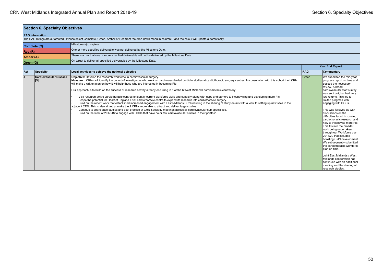| <b>Section 6. Specialty Objectives</b> |                                      |                                                                                                                                                                                                                                                                                                                                                                                                                                                                                                                                                                                                                                                                                                                                                                                                                                                                                                                                                                                                                                                                                                                                                                                                                                                                                                                                         |            |                                                                                                                                                                                                                                                                                                                                                                                                                                                                                                                                                                                                                                                                                                                                                                         |  |  |
|----------------------------------------|--------------------------------------|-----------------------------------------------------------------------------------------------------------------------------------------------------------------------------------------------------------------------------------------------------------------------------------------------------------------------------------------------------------------------------------------------------------------------------------------------------------------------------------------------------------------------------------------------------------------------------------------------------------------------------------------------------------------------------------------------------------------------------------------------------------------------------------------------------------------------------------------------------------------------------------------------------------------------------------------------------------------------------------------------------------------------------------------------------------------------------------------------------------------------------------------------------------------------------------------------------------------------------------------------------------------------------------------------------------------------------------------|------------|-------------------------------------------------------------------------------------------------------------------------------------------------------------------------------------------------------------------------------------------------------------------------------------------------------------------------------------------------------------------------------------------------------------------------------------------------------------------------------------------------------------------------------------------------------------------------------------------------------------------------------------------------------------------------------------------------------------------------------------------------------------------------|--|--|
|                                        | <b>RAG Information:</b>              |                                                                                                                                                                                                                                                                                                                                                                                                                                                                                                                                                                                                                                                                                                                                                                                                                                                                                                                                                                                                                                                                                                                                                                                                                                                                                                                                         |            |                                                                                                                                                                                                                                                                                                                                                                                                                                                                                                                                                                                                                                                                                                                                                                         |  |  |
|                                        |                                      | The RAG ratings are automated. Please select Complete, Green, Amber or Red from the drop-down menu in column D and the colour will update automatically.                                                                                                                                                                                                                                                                                                                                                                                                                                                                                                                                                                                                                                                                                                                                                                                                                                                                                                                                                                                                                                                                                                                                                                                |            |                                                                                                                                                                                                                                                                                                                                                                                                                                                                                                                                                                                                                                                                                                                                                                         |  |  |
|                                        | Complete (C)                         | Milestone(s) complete.                                                                                                                                                                                                                                                                                                                                                                                                                                                                                                                                                                                                                                                                                                                                                                                                                                                                                                                                                                                                                                                                                                                                                                                                                                                                                                                  |            |                                                                                                                                                                                                                                                                                                                                                                                                                                                                                                                                                                                                                                                                                                                                                                         |  |  |
| Red(R)                                 |                                      | One or more specified deliverable was not delivered by the Milestone Date.                                                                                                                                                                                                                                                                                                                                                                                                                                                                                                                                                                                                                                                                                                                                                                                                                                                                                                                                                                                                                                                                                                                                                                                                                                                              |            |                                                                                                                                                                                                                                                                                                                                                                                                                                                                                                                                                                                                                                                                                                                                                                         |  |  |
| Amber (A)                              |                                      | There is a risk that one or more specified deliverable will not be delivered by the Milestone Date.                                                                                                                                                                                                                                                                                                                                                                                                                                                                                                                                                                                                                                                                                                                                                                                                                                                                                                                                                                                                                                                                                                                                                                                                                                     |            |                                                                                                                                                                                                                                                                                                                                                                                                                                                                                                                                                                                                                                                                                                                                                                         |  |  |
| Green (G)                              |                                      | On target to deliver all specified deliverables by the Milestone Date.                                                                                                                                                                                                                                                                                                                                                                                                                                                                                                                                                                                                                                                                                                                                                                                                                                                                                                                                                                                                                                                                                                                                                                                                                                                                  |            |                                                                                                                                                                                                                                                                                                                                                                                                                                                                                                                                                                                                                                                                                                                                                                         |  |  |
|                                        |                                      |                                                                                                                                                                                                                                                                                                                                                                                                                                                                                                                                                                                                                                                                                                                                                                                                                                                                                                                                                                                                                                                                                                                                                                                                                                                                                                                                         |            | <b>Year End Report</b>                                                                                                                                                                                                                                                                                                                                                                                                                                                                                                                                                                                                                                                                                                                                                  |  |  |
| Ref                                    | Specialty                            | Local activities to achieve the national objective                                                                                                                                                                                                                                                                                                                                                                                                                                                                                                                                                                                                                                                                                                                                                                                                                                                                                                                                                                                                                                                                                                                                                                                                                                                                                      | <b>RAG</b> | Commentary                                                                                                                                                                                                                                                                                                                                                                                                                                                                                                                                                                                                                                                                                                                                                              |  |  |
| $\Delta$                               | <b>Cardiovascular Disease</b><br>[5] | Objective: Develop the research workforce in cardiovascular surgery.<br>Measure: LCRNs will identify the cohort of investigators who work on cardiovascular-led portfolio studies at cardiothoracic surgery centres. In consultation with this cohort the LCRN<br>will make a written plan on how it will help those who are interested in becoming PIs.<br>Our approach is to build on the success of research activity already occurring in 5 of the 6 West Midlands cardiothoracic centres by:<br>Visit research active cardiothoracic centres to identify current workforce skills and capacity along with gaps and barriers to incentivising and developing more PIs.<br>Scope the potential for Heart of England Trust cardiothoracic centre to expand its research into cardiothoracic surgery.<br>Build on the recent work that established increased engagement with East Midlands CRN resulting in the sharing of study details with a view to setting up new sites in the<br>adjacent CRN. This is also aimed at make the 2 CRNs more able to attract and deliver large studies.<br>Continue to share case studies and best practice at CRN Specialty meetings across all cardiovascular sub-specialties.<br>Build on the work of 2017-18 to engage with DGHs that have no or few cardiovascular studies in their portfolio. | Green      | We submitted the mid-year<br>progress report on time and<br>passed the necessary<br>review. A broad<br>cardiovascular staff survey<br>was sent out, but had very<br>low returns. This led to<br>limited progress with<br>engaging with DGHs.<br>This was followed up with<br>discussions on the<br>difficulties faced in running<br>cardiothoracic research and<br>how to incentivise more PIs.<br>This fits into the broader<br>work being undertaken<br>through our Workforce plan<br>2018/20 that includes<br>boosting CI/PI development.<br>We subsequently submitted<br>the cardiothoracic workforce<br>plan on time.<br>Joint East Midlands / West<br>Midlands cooperation has<br>continued with an additional<br>meeting and the sharing of<br>research studies. |  |  |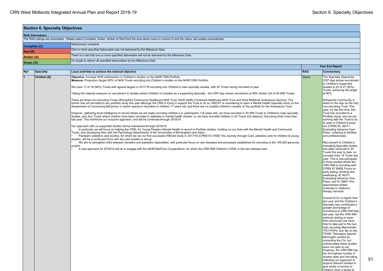| <b>RAG Information:</b><br>The RAG ratings are automated. Please select Complete, Green, Amber or Red from the drop-down menu in column D and the colour will update automatically.<br>Milestone(s) complete.<br>Complete (C)<br>One or more specified deliverable was not delivered by the Milestone Date.<br>Red(R)<br>There is a risk that one or more specified deliverable will not be delivered by the Milestone Date.<br>Amber (A)<br>On target to deliver all specified deliverables by the Milestone Date.<br>Green (G)<br>Ref<br><b>RAG</b><br><b>Specialty</b><br>Local activities to achieve the national objective<br>$\overline{5}$<br>Objective: Increase NHS participation in Children's studies on the NIHR CRN Portfolio<br>Children [6]<br>Measure: Proportion (target 90%) of NHS Trusts recruiting into Children's studies on the NIHR CRN Portfolio.<br>We have 17 of 18 (94%) Trusts with agreed targets in 2017/18 recruiting into Children's main specialty studies, with 20 Trusts having recruited in-year.<br>Taking the national measure on recruitment to studies where Children is included as a supporting Specialty - the ODP App shows recruitment at 89% Amber (25 of 28 WM Trusts).<br>There are three non-recruiting Trusts (Shropshire Community Healthcare NHS Trust, North Staffs Combined Healthcare NHS Trust and West Midlands Ambulance Service). The<br>former has not recruited to any portfolio study this year although the CRN is trying to support the Trust to do so; NSCHT is considering to open a Mental Health Specialty study on the<br>Assessment of Concerning Behaviour in autism spectrum disorders in children >7 years old; and there are no suitable children's studies on the portfolio for the Ambulance Trust.<br>However, gathering local intelligence to record where we are really recruiting children (i.e. participants <16 years old), we have recruited in 20 WM Trusts to Children's main specialty<br>studies, plus four Trusts where children have been recruited to diabetes or mental health studies i.e. we have recruited children in 24 Trusts (Q3 datacut), this being three more than<br>last year. This reinforces our inclusive approach, and will be continued through 2018/19.<br>Our approach with co-supported studies will be maintained through 2018/19:<br>In particular we will focus on helping the CRSL for Young People's Mental Health to recruit to Portfolio studies, building on our links with the Mental Health and Community | <b>Year End Report</b><br>Commentary<br>The Specialty Objectives<br>Green<br>ODP App shows recruitment<br>to Children's supported<br>studies in 25 of 27 (93%)<br>Trusts, achieving the target<br>of 90%.<br>Shropshire Community is<br>listed on the App as the only<br>non-recruiting Trust. This<br>year, for the first time, this<br>Trust has recruited to a<br>Portfolio study, and we are                                                                                                                                                                                                                                                                                                                                                                                                                                                                                                                                                                                                                                                                                                                                                                                                                                  |
|-------------------------------------------------------------------------------------------------------------------------------------------------------------------------------------------------------------------------------------------------------------------------------------------------------------------------------------------------------------------------------------------------------------------------------------------------------------------------------------------------------------------------------------------------------------------------------------------------------------------------------------------------------------------------------------------------------------------------------------------------------------------------------------------------------------------------------------------------------------------------------------------------------------------------------------------------------------------------------------------------------------------------------------------------------------------------------------------------------------------------------------------------------------------------------------------------------------------------------------------------------------------------------------------------------------------------------------------------------------------------------------------------------------------------------------------------------------------------------------------------------------------------------------------------------------------------------------------------------------------------------------------------------------------------------------------------------------------------------------------------------------------------------------------------------------------------------------------------------------------------------------------------------------------------------------------------------------------------------------------------------------------------------------------------------------------------------------------------------------------------------------------------------------------------------------------------------------------------------------------------------------------------------------------------------------------------------------------------------------------------------------------------------------------------------------------------------------------------------------------------------------------------------------|-----------------------------------------------------------------------------------------------------------------------------------------------------------------------------------------------------------------------------------------------------------------------------------------------------------------------------------------------------------------------------------------------------------------------------------------------------------------------------------------------------------------------------------------------------------------------------------------------------------------------------------------------------------------------------------------------------------------------------------------------------------------------------------------------------------------------------------------------------------------------------------------------------------------------------------------------------------------------------------------------------------------------------------------------------------------------------------------------------------------------------------------------------------------------------------------------------------------------------------|
|                                                                                                                                                                                                                                                                                                                                                                                                                                                                                                                                                                                                                                                                                                                                                                                                                                                                                                                                                                                                                                                                                                                                                                                                                                                                                                                                                                                                                                                                                                                                                                                                                                                                                                                                                                                                                                                                                                                                                                                                                                                                                                                                                                                                                                                                                                                                                                                                                                                                                                                                     |                                                                                                                                                                                                                                                                                                                                                                                                                                                                                                                                                                                                                                                                                                                                                                                                                                                                                                                                                                                                                                                                                                                                                                                                                                   |
|                                                                                                                                                                                                                                                                                                                                                                                                                                                                                                                                                                                                                                                                                                                                                                                                                                                                                                                                                                                                                                                                                                                                                                                                                                                                                                                                                                                                                                                                                                                                                                                                                                                                                                                                                                                                                                                                                                                                                                                                                                                                                                                                                                                                                                                                                                                                                                                                                                                                                                                                     |                                                                                                                                                                                                                                                                                                                                                                                                                                                                                                                                                                                                                                                                                                                                                                                                                                                                                                                                                                                                                                                                                                                                                                                                                                   |
|                                                                                                                                                                                                                                                                                                                                                                                                                                                                                                                                                                                                                                                                                                                                                                                                                                                                                                                                                                                                                                                                                                                                                                                                                                                                                                                                                                                                                                                                                                                                                                                                                                                                                                                                                                                                                                                                                                                                                                                                                                                                                                                                                                                                                                                                                                                                                                                                                                                                                                                                     |                                                                                                                                                                                                                                                                                                                                                                                                                                                                                                                                                                                                                                                                                                                                                                                                                                                                                                                                                                                                                                                                                                                                                                                                                                   |
|                                                                                                                                                                                                                                                                                                                                                                                                                                                                                                                                                                                                                                                                                                                                                                                                                                                                                                                                                                                                                                                                                                                                                                                                                                                                                                                                                                                                                                                                                                                                                                                                                                                                                                                                                                                                                                                                                                                                                                                                                                                                                                                                                                                                                                                                                                                                                                                                                                                                                                                                     |                                                                                                                                                                                                                                                                                                                                                                                                                                                                                                                                                                                                                                                                                                                                                                                                                                                                                                                                                                                                                                                                                                                                                                                                                                   |
|                                                                                                                                                                                                                                                                                                                                                                                                                                                                                                                                                                                                                                                                                                                                                                                                                                                                                                                                                                                                                                                                                                                                                                                                                                                                                                                                                                                                                                                                                                                                                                                                                                                                                                                                                                                                                                                                                                                                                                                                                                                                                                                                                                                                                                                                                                                                                                                                                                                                                                                                     |                                                                                                                                                                                                                                                                                                                                                                                                                                                                                                                                                                                                                                                                                                                                                                                                                                                                                                                                                                                                                                                                                                                                                                                                                                   |
|                                                                                                                                                                                                                                                                                                                                                                                                                                                                                                                                                                                                                                                                                                                                                                                                                                                                                                                                                                                                                                                                                                                                                                                                                                                                                                                                                                                                                                                                                                                                                                                                                                                                                                                                                                                                                                                                                                                                                                                                                                                                                                                                                                                                                                                                                                                                                                                                                                                                                                                                     |                                                                                                                                                                                                                                                                                                                                                                                                                                                                                                                                                                                                                                                                                                                                                                                                                                                                                                                                                                                                                                                                                                                                                                                                                                   |
|                                                                                                                                                                                                                                                                                                                                                                                                                                                                                                                                                                                                                                                                                                                                                                                                                                                                                                                                                                                                                                                                                                                                                                                                                                                                                                                                                                                                                                                                                                                                                                                                                                                                                                                                                                                                                                                                                                                                                                                                                                                                                                                                                                                                                                                                                                                                                                                                                                                                                                                                     |                                                                                                                                                                                                                                                                                                                                                                                                                                                                                                                                                                                                                                                                                                                                                                                                                                                                                                                                                                                                                                                                                                                                                                                                                                   |
|                                                                                                                                                                                                                                                                                                                                                                                                                                                                                                                                                                                                                                                                                                                                                                                                                                                                                                                                                                                                                                                                                                                                                                                                                                                                                                                                                                                                                                                                                                                                                                                                                                                                                                                                                                                                                                                                                                                                                                                                                                                                                                                                                                                                                                                                                                                                                                                                                                                                                                                                     |                                                                                                                                                                                                                                                                                                                                                                                                                                                                                                                                                                                                                                                                                                                                                                                                                                                                                                                                                                                                                                                                                                                                                                                                                                   |
| Trusts, and developing links with the Psychology departments of the Universities of Birmingham and Aston.<br>Paediatric palliative care studies, for which we ran our first successful WM-led study in 2017/18 (CPMS ID 31659 The Journey through Care: palliative care for children & young<br>people), will be a continued focus with two new studies in set-up.<br>We aim to strengthen links between Genetics and paediatric Specialties, with particular focus on rare diseases and processes established for recruiting to the 100,000 genomes<br>project.<br>A new approach for 2018/19 will be to engage with the NIHR MedTech Cooperatives, for which the CRN WM Children's CRSL is the rare disease lead.                                                                                                                                                                                                                                                                                                                                                                                                                                                                                                                                                                                                                                                                                                                                                                                                                                                                                                                                                                                                                                                                                                                                                                                                                                                                                                                                                                                                                                                                                                                                                                                                                                                                                                                                                                                                                 | working with the Trust to try<br>to open a Children's study<br>too (CPMS ID: 36317<br><b>Evaluating Advance Care</b><br>Plans. Listening to families<br>and professionals).<br>Recruitment to Children's<br>managing Specialty studies<br>has been achieved in 20<br>Trusts this year to date, an<br>increase from 19 Trusts last<br>year. This is due principally<br>to three studies where the<br>CRN WM is recruiting well:<br>CPMS ID 36882 Focus on<br>early eating, drinking and<br>swallowing; ID 36317<br><b>Evaluating Advance Care</b><br>Plans; and ID 39837 Pre-<br>appointment written<br>materials in children's<br>therapy services.<br>Overall HLO1 is higher than<br>last year and the Children's<br>Specialty has contributed a<br>greater percentage of<br>recruitment in CRN WM than<br>last year, but the CRN WM<br>national ranking is lower<br>than previously (we have<br>tried to take part in the two<br>high recruiting Manchester<br>'PAT-POPs' and 'Be on the<br><b>TEAM: Teenagers Against</b><br>Meningitis' studies by<br>contacting the CIs, but<br>unfortunately these studies<br>were not open to us).<br>However, the CRN WM has<br>the 3rd highest number of<br>studies open and recruiting, |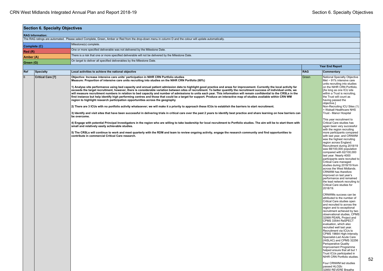| <b>Section 6. Specialty Objectives</b> |                          |                                                                                                                                                                                                                                                                                                                                                                                                                                                                                                                                                                                                                                                                                                                                                                                                                                                                                                                                                                                                                                                                                                                                                                                                                                                                                                                                                                                                                                                                                                                                                                                                                                                                                                                                                                                                                              |                        |                                                                                                                                                                                                                                                                                                                                                                                                                                                                                                                                                                                                                                                                                                                                                                                                                                                                                                                                                                                                                                                                                                                                                                                                                                                                                                                                                                                                                                                                                                                                                                                |  |  |  |  |
|----------------------------------------|--------------------------|------------------------------------------------------------------------------------------------------------------------------------------------------------------------------------------------------------------------------------------------------------------------------------------------------------------------------------------------------------------------------------------------------------------------------------------------------------------------------------------------------------------------------------------------------------------------------------------------------------------------------------------------------------------------------------------------------------------------------------------------------------------------------------------------------------------------------------------------------------------------------------------------------------------------------------------------------------------------------------------------------------------------------------------------------------------------------------------------------------------------------------------------------------------------------------------------------------------------------------------------------------------------------------------------------------------------------------------------------------------------------------------------------------------------------------------------------------------------------------------------------------------------------------------------------------------------------------------------------------------------------------------------------------------------------------------------------------------------------------------------------------------------------------------------------------------------------|------------------------|--------------------------------------------------------------------------------------------------------------------------------------------------------------------------------------------------------------------------------------------------------------------------------------------------------------------------------------------------------------------------------------------------------------------------------------------------------------------------------------------------------------------------------------------------------------------------------------------------------------------------------------------------------------------------------------------------------------------------------------------------------------------------------------------------------------------------------------------------------------------------------------------------------------------------------------------------------------------------------------------------------------------------------------------------------------------------------------------------------------------------------------------------------------------------------------------------------------------------------------------------------------------------------------------------------------------------------------------------------------------------------------------------------------------------------------------------------------------------------------------------------------------------------------------------------------------------------|--|--|--|--|
| <b>RAG Information:</b>                |                          |                                                                                                                                                                                                                                                                                                                                                                                                                                                                                                                                                                                                                                                                                                                                                                                                                                                                                                                                                                                                                                                                                                                                                                                                                                                                                                                                                                                                                                                                                                                                                                                                                                                                                                                                                                                                                              |                        |                                                                                                                                                                                                                                                                                                                                                                                                                                                                                                                                                                                                                                                                                                                                                                                                                                                                                                                                                                                                                                                                                                                                                                                                                                                                                                                                                                                                                                                                                                                                                                                |  |  |  |  |
|                                        |                          | The RAG ratings are automated. Please select Complete, Green, Amber or Red from the drop-down menu in column D and the colour will update automatically.                                                                                                                                                                                                                                                                                                                                                                                                                                                                                                                                                                                                                                                                                                                                                                                                                                                                                                                                                                                                                                                                                                                                                                                                                                                                                                                                                                                                                                                                                                                                                                                                                                                                     |                        |                                                                                                                                                                                                                                                                                                                                                                                                                                                                                                                                                                                                                                                                                                                                                                                                                                                                                                                                                                                                                                                                                                                                                                                                                                                                                                                                                                                                                                                                                                                                                                                |  |  |  |  |
|                                        | Complete (C)             | Milestone(s) complete.                                                                                                                                                                                                                                                                                                                                                                                                                                                                                                                                                                                                                                                                                                                                                                                                                                                                                                                                                                                                                                                                                                                                                                                                                                                                                                                                                                                                                                                                                                                                                                                                                                                                                                                                                                                                       |                        |                                                                                                                                                                                                                                                                                                                                                                                                                                                                                                                                                                                                                                                                                                                                                                                                                                                                                                                                                                                                                                                                                                                                                                                                                                                                                                                                                                                                                                                                                                                                                                                |  |  |  |  |
| Red(R)                                 |                          | One or more specified deliverable was not delivered by the Milestone Date.                                                                                                                                                                                                                                                                                                                                                                                                                                                                                                                                                                                                                                                                                                                                                                                                                                                                                                                                                                                                                                                                                                                                                                                                                                                                                                                                                                                                                                                                                                                                                                                                                                                                                                                                                   |                        |                                                                                                                                                                                                                                                                                                                                                                                                                                                                                                                                                                                                                                                                                                                                                                                                                                                                                                                                                                                                                                                                                                                                                                                                                                                                                                                                                                                                                                                                                                                                                                                |  |  |  |  |
| Amber (A)                              |                          | There is a risk that one or more specified deliverable will not be delivered by the Milestone Date.                                                                                                                                                                                                                                                                                                                                                                                                                                                                                                                                                                                                                                                                                                                                                                                                                                                                                                                                                                                                                                                                                                                                                                                                                                                                                                                                                                                                                                                                                                                                                                                                                                                                                                                          |                        |                                                                                                                                                                                                                                                                                                                                                                                                                                                                                                                                                                                                                                                                                                                                                                                                                                                                                                                                                                                                                                                                                                                                                                                                                                                                                                                                                                                                                                                                                                                                                                                |  |  |  |  |
| Green (G)                              |                          | On target to deliver all specified deliverables by the Milestone Date.                                                                                                                                                                                                                                                                                                                                                                                                                                                                                                                                                                                                                                                                                                                                                                                                                                                                                                                                                                                                                                                                                                                                                                                                                                                                                                                                                                                                                                                                                                                                                                                                                                                                                                                                                       |                        |                                                                                                                                                                                                                                                                                                                                                                                                                                                                                                                                                                                                                                                                                                                                                                                                                                                                                                                                                                                                                                                                                                                                                                                                                                                                                                                                                                                                                                                                                                                                                                                |  |  |  |  |
|                                        |                          |                                                                                                                                                                                                                                                                                                                                                                                                                                                                                                                                                                                                                                                                                                                                                                                                                                                                                                                                                                                                                                                                                                                                                                                                                                                                                                                                                                                                                                                                                                                                                                                                                                                                                                                                                                                                                              | <b>Year End Report</b> |                                                                                                                                                                                                                                                                                                                                                                                                                                                                                                                                                                                                                                                                                                                                                                                                                                                                                                                                                                                                                                                                                                                                                                                                                                                                                                                                                                                                                                                                                                                                                                                |  |  |  |  |
| Ref                                    | Specialty                | Local activities to achieve the national objective                                                                                                                                                                                                                                                                                                                                                                                                                                                                                                                                                                                                                                                                                                                                                                                                                                                                                                                                                                                                                                                                                                                                                                                                                                                                                                                                                                                                                                                                                                                                                                                                                                                                                                                                                                           | <b>RAG</b>             | <b>Commentary</b>                                                                                                                                                                                                                                                                                                                                                                                                                                                                                                                                                                                                                                                                                                                                                                                                                                                                                                                                                                                                                                                                                                                                                                                                                                                                                                                                                                                                                                                                                                                                                              |  |  |  |  |
| 6                                      | <b>Critical Care [7]</b> | Objective: Increase intensive care units' participation in NIHR CRN Portfolio studies<br>Measure: Proportion of intensive care units recruiting into studies on the NIHR CRN Portfolio (80%)<br>1) Analyse site performance using bed capacity and annual patient admission data to highlight good practice and areas for improvement. Currently the local activity far<br>exceeds the target recruitment, however, there is considerable variation between sites of recruitment. To better quantify the recruitment success of individual units, we<br>will measure recruitment numbers in relation to bed capacity and number of admissions to units each year. This information will remain confidential to the CRSLs in the<br>first instance but help identify high performing centres and those that could be a target for support. Produce an interactive map of studies available within CRN WM<br>region to highlight research participation opportunities across the geography<br>2) There are 3 ICUs with no portfolio activity whatsoever; we will make it a priority to approach these ICUs to establish the barriers to start recruitment.<br>3) Identify and visit sites that have been successful in delivering trials in critical care over the past 2 years to identify best practice and share learning on how barriers can<br>be overcome.<br>4) Engage with potential Principal Investigators in the region who are willing to take leadership for local recruitment to Portfolio studies. The aim will be to start them with<br>small and relatively easily achievable studies.<br>5) The CRSLs will continue to work and meet quarterly with the RDM and team to review ongoing activity, engage the research community and find opportunities to<br>contribute in commercial Critical Care research. | Green                  | National Specialty Objective<br>Met $\sim$ 91% intensive care<br>units recruiting into studies<br>on the NIHR CRN Portfolio.<br>[As long as one ICU site<br>within a Trust is recruiting,<br>the Trust will count as<br>having passed the<br>objective.]<br>Non-Recruiting ICU Sites (1)<br>= Walsall Healthcare NHS<br>Trust - Manor Hospital<br>This year recruitment to<br>Critical Care studies has<br>again been very successful<br>with the region recruiting<br>more participants compared<br>with last year, and CRNWM<br>was the highest recruiting<br>region across England.<br>Recruitment during 2018/19<br>was 68/100,000 population<br>compared with 62/100.000<br>last year. Nearly 4000<br>participants were recruited to<br>Critical Care managed<br>studies during 2018/19 from<br>across the West Midlands.<br>CRNWM has therefore<br>improved on last year's<br>performance and remained<br>the lead network recruiting to<br>Critical Care studies for<br>2018/19.<br>CRNWMs success can be<br>attributed to the number of<br>Critical Care studies open<br>and recruited to across the<br>region and to exceptional<br>recruitment achieved by two<br>observational studies, CPMS<br>32999 PEARL Project and<br>CPMS 33544 ReSPECT<br>evaluation, which also<br>recruited well last year.<br>Recruitment via ICUs to<br>CPMS 19664 High-Intensity<br>Specialist-Led Acute Care<br>(HiSLAC) and CPMS 32256<br>Perioperative Quality<br>Improvement Programme<br>helped ensure that all but 1<br>Trust ICUs participated in<br>NIHR CRN Portfolio studies. |  |  |  |  |
|                                        |                          |                                                                                                                                                                                                                                                                                                                                                                                                                                                                                                                                                                                                                                                                                                                                                                                                                                                                                                                                                                                                                                                                                                                                                                                                                                                                                                                                                                                                                                                                                                                                                                                                                                                                                                                                                                                                                              |                        | Four CRNWM led studies<br>passed HLO2b:<br>32850 REVERE Breathe                                                                                                                                                                                                                                                                                                                                                                                                                                                                                                                                                                                                                                                                                                                                                                                                                                                                                                                                                                                                                                                                                                                                                                                                                                                                                                                                                                                                                                                                                                                |  |  |  |  |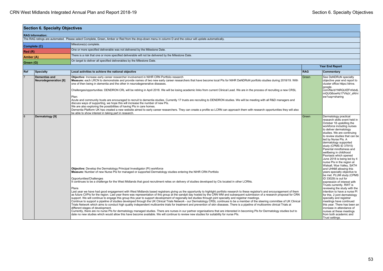| <b>Section 6. Specialty Objectives</b> |                                                      |                                                                                                                                                                                                                                                                                                                                                                                                                                                                                                                                                                                                                                                                                                                                                                                                                                                                                                                                                                                                                                                                                                                                                                                                                                                                                                                                                                                                                                                                                                                                                                                                                                                                                           |                          |                                                                                                                                                                                                                                                                                                                                                                                                                                                                                                                                                                                                                                                                                                                                                                                                                                                                                                                                     |  |  |  |
|----------------------------------------|------------------------------------------------------|-------------------------------------------------------------------------------------------------------------------------------------------------------------------------------------------------------------------------------------------------------------------------------------------------------------------------------------------------------------------------------------------------------------------------------------------------------------------------------------------------------------------------------------------------------------------------------------------------------------------------------------------------------------------------------------------------------------------------------------------------------------------------------------------------------------------------------------------------------------------------------------------------------------------------------------------------------------------------------------------------------------------------------------------------------------------------------------------------------------------------------------------------------------------------------------------------------------------------------------------------------------------------------------------------------------------------------------------------------------------------------------------------------------------------------------------------------------------------------------------------------------------------------------------------------------------------------------------------------------------------------------------------------------------------------------------|--------------------------|-------------------------------------------------------------------------------------------------------------------------------------------------------------------------------------------------------------------------------------------------------------------------------------------------------------------------------------------------------------------------------------------------------------------------------------------------------------------------------------------------------------------------------------------------------------------------------------------------------------------------------------------------------------------------------------------------------------------------------------------------------------------------------------------------------------------------------------------------------------------------------------------------------------------------------------|--|--|--|
|                                        | <b>RAG Information:</b>                              |                                                                                                                                                                                                                                                                                                                                                                                                                                                                                                                                                                                                                                                                                                                                                                                                                                                                                                                                                                                                                                                                                                                                                                                                                                                                                                                                                                                                                                                                                                                                                                                                                                                                                           |                          |                                                                                                                                                                                                                                                                                                                                                                                                                                                                                                                                                                                                                                                                                                                                                                                                                                                                                                                                     |  |  |  |
|                                        |                                                      | The RAG ratings are automated. Please select Complete, Green, Amber or Red from the drop-down menu in column D and the colour will update automatically.                                                                                                                                                                                                                                                                                                                                                                                                                                                                                                                                                                                                                                                                                                                                                                                                                                                                                                                                                                                                                                                                                                                                                                                                                                                                                                                                                                                                                                                                                                                                  |                          |                                                                                                                                                                                                                                                                                                                                                                                                                                                                                                                                                                                                                                                                                                                                                                                                                                                                                                                                     |  |  |  |
|                                        | Complete (C)                                         | Milestone(s) complete.                                                                                                                                                                                                                                                                                                                                                                                                                                                                                                                                                                                                                                                                                                                                                                                                                                                                                                                                                                                                                                                                                                                                                                                                                                                                                                                                                                                                                                                                                                                                                                                                                                                                    |                          |                                                                                                                                                                                                                                                                                                                                                                                                                                                                                                                                                                                                                                                                                                                                                                                                                                                                                                                                     |  |  |  |
| Red(R)                                 |                                                      | One or more specified deliverable was not delivered by the Milestone Date.                                                                                                                                                                                                                                                                                                                                                                                                                                                                                                                                                                                                                                                                                                                                                                                                                                                                                                                                                                                                                                                                                                                                                                                                                                                                                                                                                                                                                                                                                                                                                                                                                |                          |                                                                                                                                                                                                                                                                                                                                                                                                                                                                                                                                                                                                                                                                                                                                                                                                                                                                                                                                     |  |  |  |
| Amber (A)                              |                                                      | There is a risk that one or more specified deliverable will not be delivered by the Milestone Date.                                                                                                                                                                                                                                                                                                                                                                                                                                                                                                                                                                                                                                                                                                                                                                                                                                                                                                                                                                                                                                                                                                                                                                                                                                                                                                                                                                                                                                                                                                                                                                                       |                          |                                                                                                                                                                                                                                                                                                                                                                                                                                                                                                                                                                                                                                                                                                                                                                                                                                                                                                                                     |  |  |  |
|                                        |                                                      | On target to deliver all specified deliverables by the Milestone Date.                                                                                                                                                                                                                                                                                                                                                                                                                                                                                                                                                                                                                                                                                                                                                                                                                                                                                                                                                                                                                                                                                                                                                                                                                                                                                                                                                                                                                                                                                                                                                                                                                    |                          |                                                                                                                                                                                                                                                                                                                                                                                                                                                                                                                                                                                                                                                                                                                                                                                                                                                                                                                                     |  |  |  |
| Green (G)                              |                                                      |                                                                                                                                                                                                                                                                                                                                                                                                                                                                                                                                                                                                                                                                                                                                                                                                                                                                                                                                                                                                                                                                                                                                                                                                                                                                                                                                                                                                                                                                                                                                                                                                                                                                                           |                          | <b>Year End Report</b>                                                                                                                                                                                                                                                                                                                                                                                                                                                                                                                                                                                                                                                                                                                                                                                                                                                                                                              |  |  |  |
| Ref                                    | <b>Specialty</b>                                     | Local activities to achieve the national objective                                                                                                                                                                                                                                                                                                                                                                                                                                                                                                                                                                                                                                                                                                                                                                                                                                                                                                                                                                                                                                                                                                                                                                                                                                                                                                                                                                                                                                                                                                                                                                                                                                        | <b>RAG</b><br>Commentary |                                                                                                                                                                                                                                                                                                                                                                                                                                                                                                                                                                                                                                                                                                                                                                                                                                                                                                                                     |  |  |  |
| $\overline{7}$                         |                                                      |                                                                                                                                                                                                                                                                                                                                                                                                                                                                                                                                                                                                                                                                                                                                                                                                                                                                                                                                                                                                                                                                                                                                                                                                                                                                                                                                                                                                                                                                                                                                                                                                                                                                                           |                          |                                                                                                                                                                                                                                                                                                                                                                                                                                                                                                                                                                                                                                                                                                                                                                                                                                                                                                                                     |  |  |  |
|                                        | <b>Dementias and</b><br><b>Neurodegeneration [8]</b> | Objective: Increase early career researcher involvement in NIHR CRN Portfolio research<br>Measure: each LRCN to demonstrate and provide names of two new early career researchers that have become local PIs for NIHR DeNDRoN portfolio studies during 2018/19. With<br>one of then being in dementia and the other in neurodegenerative diseases.<br>Challenges/opportunities: DENDRON CRL will be retiring in April 2018. We will be losing academic links from current Clinical Lead. We are in the process of recruiting a new CRSL<br>Plan:<br>Acute and community trusts are encouraged to recruit to dementia studies. Currently 17 trusts are recruiting to DENDRON studies. We will be meeting with all R&D managers and<br>discuss ways of supporting, we hope this will increase the number of new PIs.<br>We are also exploring the possibilities of having PIs in care homes.<br>Dementia Platform UK has created a new website aimed to early career researchers. They can create a profile so LCRN can approach them with research opportunities they will also<br>be able to show interest in taking part in research.                                                                                                                                                                                                                                                                                                                                                                                                                                                                                                                                                    | Green                    | See DeNDRoN specialty<br>objective year end report to<br>cluster office https://drive.<br>google.<br>com/file/d/1NRQUfZFnfxbdL<br>mQUG6owHz17VtiqV aN/vi<br>ew?usp=sharing                                                                                                                                                                                                                                                                                                                                                                                                                                                                                                                                                                                                                                                                                                                                                          |  |  |  |
| $\overline{8}$                         | Dermatology [9]                                      | <b>Objective:</b> Develop the Dermatology Principal Investigator (PI) workforce<br>Measure: Number of new Nurse PIs for managed or supported Dermatology studies entering the NIHR CRN Portfolio<br>Opportunities/Challenges<br>It continues to be a challenge for the West Midlands that good recruitment relies on delivery of studies developed by CIs located in other LCRNs.<br>Plans<br>Last year we have had good engagement with West Midlands based registrars giving us the opportunity to highlight portfolio research to these registrar's and encouragement of them<br>as future CI/PIs for the region. Last year there was representation of this group at the sandpit day hosted by the CRN WM and subsequent submission of a research proposal for CRN<br>support. We will continue to engage this group this year to support development of regionally led studies through joint specialty and registrar meetings.<br>Continue to support a pipeline of studies developed through the UK Clinical Trials Network - our Dermatology CRSL continues to be a member of the steering committee of UK Clinical<br>Trials Network which aims to conduct high quality independent multicentre trials for treatment and prevention of skin diseases. There is a pipeline of multicentre clinical Trials at<br>different stages of development.<br>Currently, there are no nurse PIs for dermatology managed studies. There are nurses in our partner organisations that are interested in becoming PIs for Dermatology studies but to<br>date no new studies which would allow this have become available. We will continue to review new studies for suitability for nurse PIs. | Green                    | Dermatology practical<br>research skills event held in<br>October 18 upskilling the<br>workforce including nurses<br>to deliver dermatology<br>studies. We are continuing<br>to review studies that can be<br>led by Nurse Pls. A<br>dermatology supported<br>study (CPMS ID 37915)<br>Parental mindfulness and<br>wellbeing in childhood<br>Psoriasis which opened<br>June 2018 is being led by 4<br>nurse PIs in the region at<br>Walsall, Wye Valley, SATH<br>and UHNM allowing this<br>years specialty objective to<br>be met. PLUM study (CPMS<br>ID 33029) is out for<br>expression of interest with<br>Trusts currently. RWT is<br>reviewing the study with the<br>intention to have a nurse PI<br>for this. 2 joint dermatology<br>specialty and registrar<br>meetings have continued<br>this year. There has been an<br>increase in attendance of<br>nurses at these meetings<br>from both academic and<br>Trust settings. |  |  |  |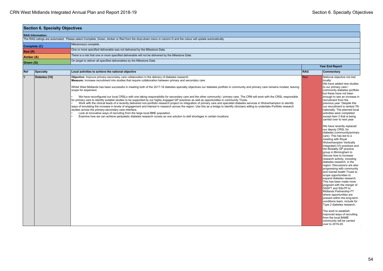| <b>Section 6. Specialty Objectives</b> |                  |                                                                                                                                                                                                                                                                                                                                                                                                                                                                                                                                                                                                                                                                                                                                                                                                                                                                                                                                                                                                                                                                                                                                                                                                                                                                                                                                                                                                          |            |                                                                                                                                                                                                                                                                                                                                                                                                                                                                                                                                                                                                                                                                                                                                                                                                                                                                                                                                                                                                                                                                                                                                                                                                                                                                                   |  |  |  |
|----------------------------------------|------------------|----------------------------------------------------------------------------------------------------------------------------------------------------------------------------------------------------------------------------------------------------------------------------------------------------------------------------------------------------------------------------------------------------------------------------------------------------------------------------------------------------------------------------------------------------------------------------------------------------------------------------------------------------------------------------------------------------------------------------------------------------------------------------------------------------------------------------------------------------------------------------------------------------------------------------------------------------------------------------------------------------------------------------------------------------------------------------------------------------------------------------------------------------------------------------------------------------------------------------------------------------------------------------------------------------------------------------------------------------------------------------------------------------------|------------|-----------------------------------------------------------------------------------------------------------------------------------------------------------------------------------------------------------------------------------------------------------------------------------------------------------------------------------------------------------------------------------------------------------------------------------------------------------------------------------------------------------------------------------------------------------------------------------------------------------------------------------------------------------------------------------------------------------------------------------------------------------------------------------------------------------------------------------------------------------------------------------------------------------------------------------------------------------------------------------------------------------------------------------------------------------------------------------------------------------------------------------------------------------------------------------------------------------------------------------------------------------------------------------|--|--|--|
| <b>RAG Information:</b>                |                  |                                                                                                                                                                                                                                                                                                                                                                                                                                                                                                                                                                                                                                                                                                                                                                                                                                                                                                                                                                                                                                                                                                                                                                                                                                                                                                                                                                                                          |            |                                                                                                                                                                                                                                                                                                                                                                                                                                                                                                                                                                                                                                                                                                                                                                                                                                                                                                                                                                                                                                                                                                                                                                                                                                                                                   |  |  |  |
|                                        |                  | The RAG ratings are automated. Please select Complete, Green, Amber or Red from the drop-down menu in column D and the colour will update automatically.                                                                                                                                                                                                                                                                                                                                                                                                                                                                                                                                                                                                                                                                                                                                                                                                                                                                                                                                                                                                                                                                                                                                                                                                                                                 |            |                                                                                                                                                                                                                                                                                                                                                                                                                                                                                                                                                                                                                                                                                                                                                                                                                                                                                                                                                                                                                                                                                                                                                                                                                                                                                   |  |  |  |
| Complete (C)                           |                  | Milestone(s) complete.                                                                                                                                                                                                                                                                                                                                                                                                                                                                                                                                                                                                                                                                                                                                                                                                                                                                                                                                                                                                                                                                                                                                                                                                                                                                                                                                                                                   |            |                                                                                                                                                                                                                                                                                                                                                                                                                                                                                                                                                                                                                                                                                                                                                                                                                                                                                                                                                                                                                                                                                                                                                                                                                                                                                   |  |  |  |
| Red(R)                                 |                  | One or more specified deliverable was not delivered by the Milestone Date.                                                                                                                                                                                                                                                                                                                                                                                                                                                                                                                                                                                                                                                                                                                                                                                                                                                                                                                                                                                                                                                                                                                                                                                                                                                                                                                               |            |                                                                                                                                                                                                                                                                                                                                                                                                                                                                                                                                                                                                                                                                                                                                                                                                                                                                                                                                                                                                                                                                                                                                                                                                                                                                                   |  |  |  |
| Amber (A)                              |                  | There is a risk that one or more specified deliverable will not be delivered by the Milestone Date.                                                                                                                                                                                                                                                                                                                                                                                                                                                                                                                                                                                                                                                                                                                                                                                                                                                                                                                                                                                                                                                                                                                                                                                                                                                                                                      |            |                                                                                                                                                                                                                                                                                                                                                                                                                                                                                                                                                                                                                                                                                                                                                                                                                                                                                                                                                                                                                                                                                                                                                                                                                                                                                   |  |  |  |
| Green (G)                              |                  | On target to deliver all specified deliverables by the Milestone Date.                                                                                                                                                                                                                                                                                                                                                                                                                                                                                                                                                                                                                                                                                                                                                                                                                                                                                                                                                                                                                                                                                                                                                                                                                                                                                                                                   |            |                                                                                                                                                                                                                                                                                                                                                                                                                                                                                                                                                                                                                                                                                                                                                                                                                                                                                                                                                                                                                                                                                                                                                                                                                                                                                   |  |  |  |
|                                        |                  |                                                                                                                                                                                                                                                                                                                                                                                                                                                                                                                                                                                                                                                                                                                                                                                                                                                                                                                                                                                                                                                                                                                                                                                                                                                                                                                                                                                                          |            | <b>Year End Report</b>                                                                                                                                                                                                                                                                                                                                                                                                                                                                                                                                                                                                                                                                                                                                                                                                                                                                                                                                                                                                                                                                                                                                                                                                                                                            |  |  |  |
| Ref                                    | <b>Specialty</b> | Local activities to achieve the national objective                                                                                                                                                                                                                                                                                                                                                                                                                                                                                                                                                                                                                                                                                                                                                                                                                                                                                                                                                                                                                                                                                                                                                                                                                                                                                                                                                       | <b>RAG</b> | Commentary                                                                                                                                                                                                                                                                                                                                                                                                                                                                                                                                                                                                                                                                                                                                                                                                                                                                                                                                                                                                                                                                                                                                                                                                                                                                        |  |  |  |
| $\overline{9}$                         | Diabetes [10]    | Objective: Improve primary-secondary care collaboration in the delivery of diabetes research.<br>Measure: Increase recruitment into studies that require collaboration between primary and secondary care.<br>Whilst West Midlands has been successful in meeting both of the 2017-18 diabetes specialty objectives our diabetes portfolio in community and primary care remains modest, leaving<br>scope for expansion.<br>We have reconfigured our local CRSLs with one taking responsibility for secondary care and the other community / primary care. The CRN will work with the CRSL responsible<br>for primary care to identify suitable studies to be supported by our highly engaged GP practices as well as opportunities in community Trusts.<br>Work with the clinical leads of a recently delivered non-portfolio research project on integration of primary care and specialist diabetes services in Wolverhampton to identify<br>ways of emulating the increase in levels of engagement and interest in research across the region. Use this as a bridge to identify clinicians willing to undertake Portfolio research<br>studies across the primary-secondary care interface.<br>Look at innovative ways of recruiting from the large local BME population.<br>Examine how we can achieve peripatetic diabetes research nurses as one solution to skill shortages in certain locations. | Red        | National objective not met<br>locally:<br>We have added new studies<br>to our primary care /<br>community diabetes portfolio<br>but these have not been<br>enough to see an increase in<br>recruitment from the<br>previous year. Despite this<br>our recruitment is ranked 7th<br>nationally. The planned local<br>activities were completed<br>except item 3 that is being<br>carried over to next year.<br>We have recently replaced<br>our deputy CRSL for<br>diabetes (community/primary<br>care). This has led to a<br>meeting with Royal<br>Wolverhampton Vertically<br>Integrated (VI) practices and<br>the Modality GP practice<br>group in Birmingham to<br>discuss how to increase<br>research activity, including<br>diabetes research, in the<br>region. Discussions are also<br>progressing with community<br>and mental health Trusts to<br>scope opportunities to<br>expand diabetes research.<br>This has been made more<br>poignant with the merger of<br>SSSFT and SSoTP to<br>Midlands Partnership FT<br>where opportunities are<br>present within the long-term<br>conditions team, include for<br>Type 2 diabetes research.<br>The work to establish<br>improved ways of recruiting<br>from the local BAME<br>community will be carried<br>over to 2019-20. |  |  |  |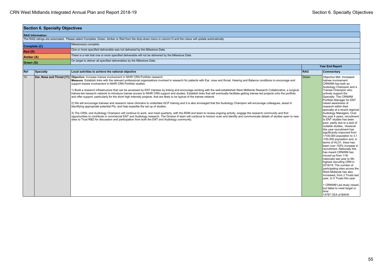|                                                                                                                  | <b>Section 6. Specialty Objectives</b>                                              |                                                                                                                                                                                                                                                                                                                                                                                                                                                                                                                                                                                                                                                                                                                                                                                                                                                                                                                                                                                                                                                                                                                                                                                                                                                                                                                                                                                                                                                                                                                                                                                         |            |                                                                                                                                                                                                                                                                                                                                                                                                                                                                                                                                                                                                                                                                                                                                                                                                                                                                                                                                                                                                                               |  |  |  |
|------------------------------------------------------------------------------------------------------------------|-------------------------------------------------------------------------------------|-----------------------------------------------------------------------------------------------------------------------------------------------------------------------------------------------------------------------------------------------------------------------------------------------------------------------------------------------------------------------------------------------------------------------------------------------------------------------------------------------------------------------------------------------------------------------------------------------------------------------------------------------------------------------------------------------------------------------------------------------------------------------------------------------------------------------------------------------------------------------------------------------------------------------------------------------------------------------------------------------------------------------------------------------------------------------------------------------------------------------------------------------------------------------------------------------------------------------------------------------------------------------------------------------------------------------------------------------------------------------------------------------------------------------------------------------------------------------------------------------------------------------------------------------------------------------------------------|------------|-------------------------------------------------------------------------------------------------------------------------------------------------------------------------------------------------------------------------------------------------------------------------------------------------------------------------------------------------------------------------------------------------------------------------------------------------------------------------------------------------------------------------------------------------------------------------------------------------------------------------------------------------------------------------------------------------------------------------------------------------------------------------------------------------------------------------------------------------------------------------------------------------------------------------------------------------------------------------------------------------------------------------------|--|--|--|
|                                                                                                                  | <b>RAG Information:</b>                                                             |                                                                                                                                                                                                                                                                                                                                                                                                                                                                                                                                                                                                                                                                                                                                                                                                                                                                                                                                                                                                                                                                                                                                                                                                                                                                                                                                                                                                                                                                                                                                                                                         |            |                                                                                                                                                                                                                                                                                                                                                                                                                                                                                                                                                                                                                                                                                                                                                                                                                                                                                                                                                                                                                               |  |  |  |
|                                                                                                                  |                                                                                     | The RAG ratings are automated. Please select Complete, Green, Amber or Red from the drop-down menu in column D and the colour will update automatically.                                                                                                                                                                                                                                                                                                                                                                                                                                                                                                                                                                                                                                                                                                                                                                                                                                                                                                                                                                                                                                                                                                                                                                                                                                                                                                                                                                                                                                |            |                                                                                                                                                                                                                                                                                                                                                                                                                                                                                                                                                                                                                                                                                                                                                                                                                                                                                                                                                                                                                               |  |  |  |
|                                                                                                                  | Complete (C)                                                                        | Milestone(s) complete.                                                                                                                                                                                                                                                                                                                                                                                                                                                                                                                                                                                                                                                                                                                                                                                                                                                                                                                                                                                                                                                                                                                                                                                                                                                                                                                                                                                                                                                                                                                                                                  |            |                                                                                                                                                                                                                                                                                                                                                                                                                                                                                                                                                                                                                                                                                                                                                                                                                                                                                                                                                                                                                               |  |  |  |
| Red (R)                                                                                                          |                                                                                     | One or more specified deliverable was not delivered by the Milestone Date.                                                                                                                                                                                                                                                                                                                                                                                                                                                                                                                                                                                                                                                                                                                                                                                                                                                                                                                                                                                                                                                                                                                                                                                                                                                                                                                                                                                                                                                                                                              |            |                                                                                                                                                                                                                                                                                                                                                                                                                                                                                                                                                                                                                                                                                                                                                                                                                                                                                                                                                                                                                               |  |  |  |
| There is a risk that one or more specified deliverable will not be delivered by the Milestone Date.<br>Amber (A) |                                                                                     |                                                                                                                                                                                                                                                                                                                                                                                                                                                                                                                                                                                                                                                                                                                                                                                                                                                                                                                                                                                                                                                                                                                                                                                                                                                                                                                                                                                                                                                                                                                                                                                         |            |                                                                                                                                                                                                                                                                                                                                                                                                                                                                                                                                                                                                                                                                                                                                                                                                                                                                                                                                                                                                                               |  |  |  |
|                                                                                                                  | On target to deliver all specified deliverables by the Milestone Date.<br>Green (G) |                                                                                                                                                                                                                                                                                                                                                                                                                                                                                                                                                                                                                                                                                                                                                                                                                                                                                                                                                                                                                                                                                                                                                                                                                                                                                                                                                                                                                                                                                                                                                                                         |            |                                                                                                                                                                                                                                                                                                                                                                                                                                                                                                                                                                                                                                                                                                                                                                                                                                                                                                                                                                                                                               |  |  |  |
|                                                                                                                  |                                                                                     |                                                                                                                                                                                                                                                                                                                                                                                                                                                                                                                                                                                                                                                                                                                                                                                                                                                                                                                                                                                                                                                                                                                                                                                                                                                                                                                                                                                                                                                                                                                                                                                         |            | <b>Year End Report</b>                                                                                                                                                                                                                                                                                                                                                                                                                                                                                                                                                                                                                                                                                                                                                                                                                                                                                                                                                                                                        |  |  |  |
| Ref                                                                                                              | <b>Specialty</b>                                                                    | Local activities to achieve the national objective                                                                                                                                                                                                                                                                                                                                                                                                                                                                                                                                                                                                                                                                                                                                                                                                                                                                                                                                                                                                                                                                                                                                                                                                                                                                                                                                                                                                                                                                                                                                      | <b>RAG</b> | Commentary                                                                                                                                                                                                                                                                                                                                                                                                                                                                                                                                                                                                                                                                                                                                                                                                                                                                                                                                                                                                                    |  |  |  |
| 10                                                                                                               | Ear, Nose and Throat [11]                                                           | Objective: Increase trainee involvement in NIHR CRN Portfolio research<br>Measure: Establish links with the relevant professional organisations involved in research for patients with Ear, nose and throat, Hearing and Balance conditions to encourage and<br>support trainee involvement in NIHR CRN Portfolio studies<br>1) Build a research infrastructure that can be accessed by ENT trainees by linking and encourage working with the well-established West Midlands Research Collaborative, a surgical<br>trainee-led research network to introduce trainee access to NIHR CRN support and studies. Establish links that will eventually facilitate getting trainee led projects onto the portfolio<br>and offer support, particularly for the short high intensity projects, that are likely to be typical of the trainee network.<br>(2) We will encourage trainees and research naive clinicians to undertake GCP training and it is also envisaged that the Audiology Champion will encourage colleagues, assist in<br>identifying appropriate potential PIs, and help expedite the set up of studies.<br>3) The CRSL and Audiology Champion will continue to work, and meet quarterly, with the RDM and team to review ongoing activity, engage the research community and find<br>opportunities to contribute in commercial ENT and Audiology research. The Division 6 team will continue to horizon scan and identify and communicate details of studies open to new<br>sites to Trust R&D for discussion and participation from both the ENT and Audiology community. | Green      | Objective Met: Increased<br>trainee involvement<br>CRNWM has both an<br>Audiology Champion and a<br>Trainee Champion who<br>actively support the<br>Specialty. The CRNWM<br>Portfolio Manager for ENT<br>raised awareness of<br>research within their<br>specialty at a recent regional<br>Audiology Managers. Over<br>the past 4 years, recruitment<br>to ENT studies has been<br>poor, partly due to a lack of<br>suitable studies,. However<br>this year recruitment has<br>significantly improved from<br>1/100,000 population to 3.1<br>/100,000 population and, in<br>terms of HLO1, there has<br>been over 155% increase in<br>recruitment. Nationally this<br>has meant CRNWM has<br>moved up from 11th<br>nationally last year to 5th<br>highest recruiting CRN in<br>2018/19. The number of<br>participating sites across the<br>West Midlands has also<br>increased, from 2 Trusts last<br>year, to 5 Trusts this year.<br>1 CRNWM Led study closed,<br>but failed to meet target or<br>time:<br>14787 CEA of BAHA |  |  |  |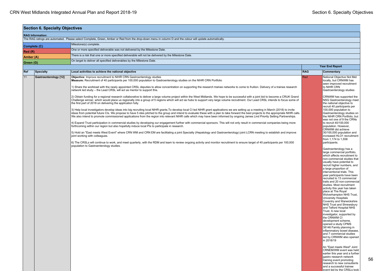event led by the CRSLs took

| <b>Section 6. Specialty Objectives</b> |                                                                                                                                                          |                                                                                                                                                                                                                                                                                                                                                                                                                                                                                                                                                                                                                                                                                                                                                                                                                                                                                                                                                                                                                                                                                                                                                                                                                                                                                                                                                                                                                                                                                                                                                                                                                                                                                                                                                                                                                                                                                                                                                                                                                                                                                                                                                                                                                        |            |                                                                                                                                                                                                                                                                                                                                                                                                                                                                                                                                                                                                                                                                                                                                                                                                                                                                                                                                                                                                                                                                                                                    |  |  |
|----------------------------------------|----------------------------------------------------------------------------------------------------------------------------------------------------------|------------------------------------------------------------------------------------------------------------------------------------------------------------------------------------------------------------------------------------------------------------------------------------------------------------------------------------------------------------------------------------------------------------------------------------------------------------------------------------------------------------------------------------------------------------------------------------------------------------------------------------------------------------------------------------------------------------------------------------------------------------------------------------------------------------------------------------------------------------------------------------------------------------------------------------------------------------------------------------------------------------------------------------------------------------------------------------------------------------------------------------------------------------------------------------------------------------------------------------------------------------------------------------------------------------------------------------------------------------------------------------------------------------------------------------------------------------------------------------------------------------------------------------------------------------------------------------------------------------------------------------------------------------------------------------------------------------------------------------------------------------------------------------------------------------------------------------------------------------------------------------------------------------------------------------------------------------------------------------------------------------------------------------------------------------------------------------------------------------------------------------------------------------------------------------------------------------------------|------------|--------------------------------------------------------------------------------------------------------------------------------------------------------------------------------------------------------------------------------------------------------------------------------------------------------------------------------------------------------------------------------------------------------------------------------------------------------------------------------------------------------------------------------------------------------------------------------------------------------------------------------------------------------------------------------------------------------------------------------------------------------------------------------------------------------------------------------------------------------------------------------------------------------------------------------------------------------------------------------------------------------------------------------------------------------------------------------------------------------------------|--|--|
| <b>RAG Information:</b>                |                                                                                                                                                          |                                                                                                                                                                                                                                                                                                                                                                                                                                                                                                                                                                                                                                                                                                                                                                                                                                                                                                                                                                                                                                                                                                                                                                                                                                                                                                                                                                                                                                                                                                                                                                                                                                                                                                                                                                                                                                                                                                                                                                                                                                                                                                                                                                                                                        |            |                                                                                                                                                                                                                                                                                                                                                                                                                                                                                                                                                                                                                                                                                                                                                                                                                                                                                                                                                                                                                                                                                                                    |  |  |
|                                        | The RAG ratings are automated. Please select Complete, Green, Amber or Red from the drop-down menu in column D and the colour will update automatically. |                                                                                                                                                                                                                                                                                                                                                                                                                                                                                                                                                                                                                                                                                                                                                                                                                                                                                                                                                                                                                                                                                                                                                                                                                                                                                                                                                                                                                                                                                                                                                                                                                                                                                                                                                                                                                                                                                                                                                                                                                                                                                                                                                                                                                        |            |                                                                                                                                                                                                                                                                                                                                                                                                                                                                                                                                                                                                                                                                                                                                                                                                                                                                                                                                                                                                                                                                                                                    |  |  |
|                                        | Complete (C)                                                                                                                                             | Milestone(s) complete.                                                                                                                                                                                                                                                                                                                                                                                                                                                                                                                                                                                                                                                                                                                                                                                                                                                                                                                                                                                                                                                                                                                                                                                                                                                                                                                                                                                                                                                                                                                                                                                                                                                                                                                                                                                                                                                                                                                                                                                                                                                                                                                                                                                                 |            |                                                                                                                                                                                                                                                                                                                                                                                                                                                                                                                                                                                                                                                                                                                                                                                                                                                                                                                                                                                                                                                                                                                    |  |  |
| Red(R)                                 |                                                                                                                                                          | One or more specified deliverable was not delivered by the Milestone Date.                                                                                                                                                                                                                                                                                                                                                                                                                                                                                                                                                                                                                                                                                                                                                                                                                                                                                                                                                                                                                                                                                                                                                                                                                                                                                                                                                                                                                                                                                                                                                                                                                                                                                                                                                                                                                                                                                                                                                                                                                                                                                                                                             |            |                                                                                                                                                                                                                                                                                                                                                                                                                                                                                                                                                                                                                                                                                                                                                                                                                                                                                                                                                                                                                                                                                                                    |  |  |
| Amber (A)                              |                                                                                                                                                          | There is a risk that one or more specified deliverable will not be delivered by the Milestone Date.                                                                                                                                                                                                                                                                                                                                                                                                                                                                                                                                                                                                                                                                                                                                                                                                                                                                                                                                                                                                                                                                                                                                                                                                                                                                                                                                                                                                                                                                                                                                                                                                                                                                                                                                                                                                                                                                                                                                                                                                                                                                                                                    |            |                                                                                                                                                                                                                                                                                                                                                                                                                                                                                                                                                                                                                                                                                                                                                                                                                                                                                                                                                                                                                                                                                                                    |  |  |
| Green (G)                              |                                                                                                                                                          | On target to deliver all specified deliverables by the Milestone Date.                                                                                                                                                                                                                                                                                                                                                                                                                                                                                                                                                                                                                                                                                                                                                                                                                                                                                                                                                                                                                                                                                                                                                                                                                                                                                                                                                                                                                                                                                                                                                                                                                                                                                                                                                                                                                                                                                                                                                                                                                                                                                                                                                 |            |                                                                                                                                                                                                                                                                                                                                                                                                                                                                                                                                                                                                                                                                                                                                                                                                                                                                                                                                                                                                                                                                                                                    |  |  |
|                                        |                                                                                                                                                          |                                                                                                                                                                                                                                                                                                                                                                                                                                                                                                                                                                                                                                                                                                                                                                                                                                                                                                                                                                                                                                                                                                                                                                                                                                                                                                                                                                                                                                                                                                                                                                                                                                                                                                                                                                                                                                                                                                                                                                                                                                                                                                                                                                                                                        |            | <b>Year End Report</b>                                                                                                                                                                                                                                                                                                                                                                                                                                                                                                                                                                                                                                                                                                                                                                                                                                                                                                                                                                                                                                                                                             |  |  |
| Ref                                    | <b>Specialty</b>                                                                                                                                         | Local activities to achieve the national objective                                                                                                                                                                                                                                                                                                                                                                                                                                                                                                                                                                                                                                                                                                                                                                                                                                                                                                                                                                                                                                                                                                                                                                                                                                                                                                                                                                                                                                                                                                                                                                                                                                                                                                                                                                                                                                                                                                                                                                                                                                                                                                                                                                     | <b>RAG</b> | Commentary                                                                                                                                                                                                                                                                                                                                                                                                                                                                                                                                                                                                                                                                                                                                                                                                                                                                                                                                                                                                                                                                                                         |  |  |
| 11                                     | <b>Gastroenterology</b> [12]                                                                                                                             | Objective: Improve recruitment to NIHR CRN Gastroenterology studies<br>Measure: Recruitment of 40 participants per 100,000 population to Gastroenterology studies on the NIHR CRN Portfolio<br>1) Share the workload with the newly appointed CRSL deputies to allow concentration on supporting the research trainee networks to come to fruition. Delivery of a trainee research<br>network led study - the Lead CRSL will act as mentor to support this.<br>2) Obtain funding for a regional research collaborative to deliver a large volume project within the West Midlands. We hope to be successful with a joint bid to become a CRUK Grand<br>Challenge winner, which would place us regionally into a group of 5 regions which will act as hubs to support very large volume recruitment. Our Lead CRSL intends to focus some of<br>the first part of 2018 on delivering the application fully.<br>3) Help local investigators develop ideas into big recruiting local NIHR grants. To develop local CI led NIHR grant applications we are setting up a meeting in March (2018) to invite<br>ideas from potential future CIs. We propose to have 5 ides pitched to the group and intend to evaluate these with a plan to take forward the best projects to the appropriate NIHR calls.<br>We also intend to promote commissioned applications from the region into relevant NIHR calls which may have been informed by ongoing James Lind Priority Setting Partnerships.<br>4) Expand Trust participation in commercial studies by developing our engagement further with commercial sponsors. This will not only result in commercial companies being more<br>forthcoming within our region but also hopefully induce local PIs to participate in research.<br>5) Hold an "East meets West Event" where CRN WM and CRN EM are facilitating a joint Specialty (Hepatology and Gastroenterology) joint LCRN meeting to establish and improve<br>joint working with colleagues.<br>6) The CRSLs will continue to work, and meet quarterly, with the RDM and team to review ongoing activity and monitor recruitment to ensure target of 40 participants per 100,000<br>population to Gastroenterology studies. | Red        | National Objective Not Met<br>locally, but CRNWM has<br>seen improved recruitment<br>to NIHR CRN<br>Gastroenterology studies<br>CRNWM has supported the<br>NSG Gastroenterology meet<br>the national objective to<br>recruit 40 participants per<br>100,000 population to<br>Gastroenterology studies on<br>the NIHR CRN Portfolio, but<br>was not one of 9 the CRNs<br>to recruit 40/100,000<br>population. However,<br>CRNWM did achieve<br>30/100,000 population and<br>increased HLO1 recruitment<br>from 1,174 to 1,558<br>participants.<br>Gastroenterology has a<br>large commercial portfolio.<br>which affects recruitment to<br>non-commercial studies that<br>usually have potential to<br>recruit higher numbers, and<br>a large proportion of<br>interventional trials. This<br>year participants have been<br>recruited to 13 commercial<br>trails and 20 non-commercial<br>studies. Most recruitment<br>activity this year has taken<br>place at The Royal<br>Wolverhampton NHS Trust,<br>University Hospitals<br>Coventry and Warwickshire<br>NHS Trust and Shrewsbury<br>and Telford Hospital NHS |  |  |
|                                        |                                                                                                                                                          |                                                                                                                                                                                                                                                                                                                                                                                                                                                                                                                                                                                                                                                                                                                                                                                                                                                                                                                                                                                                                                                                                                                                                                                                                                                                                                                                                                                                                                                                                                                                                                                                                                                                                                                                                                                                                                                                                                                                                                                                                                                                                                                                                                                                                        |            | Trust. A new local<br>investigator, supported by<br>the CRNWM CI<br>development scheme,<br>opened a study CPMS<br>38146 Family planning in<br>inflammatory bowel disease,<br>and 7 commercial studies<br>led by CRNWM also opened<br>in 2018/19                                                                                                                                                                                                                                                                                                                                                                                                                                                                                                                                                                                                                                                                                                                                                                                                                                                                    |  |  |
|                                        |                                                                                                                                                          |                                                                                                                                                                                                                                                                                                                                                                                                                                                                                                                                                                                                                                                                                                                                                                                                                                                                                                                                                                                                                                                                                                                                                                                                                                                                                                                                                                                                                                                                                                                                                                                                                                                                                                                                                                                                                                                                                                                                                                                                                                                                                                                                                                                                                        |            | An "East meets West" Joint<br>CRNEM/WM event was held<br>earlier this year and a further<br>gastro research network<br>training event promoting<br>research to new consultants<br>and a successful trainee                                                                                                                                                                                                                                                                                                                                                                                                                                                                                                                                                                                                                                                                                                                                                                                                                                                                                                         |  |  |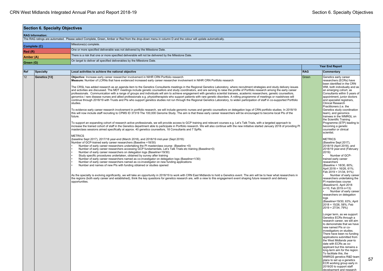| <b>Section 6. Specialty Objectives</b> |                         |                                                                                                                                                                                                                                                                                                                                                                                                                                                                                                                                                                                                                                                                                                                                                                                                                                                                                                                                                                                                                                                                                                                                                                                                                                                                                                                                                                                                                                                                                                                                                                                                                                                                                                                                                                                                                                                                                                                                                                                                                                                                                                                                                                                                                                                                                                                                                                                                                                                                                                                                                                                                                                                                                                                                                                                                                                                                                                                                                                                                                                                                                                                                                                                                                                                                              |            |                                                                                                                                                                                                                                                                                                                                                                                                                                                                                                                                                                                                                                                                                                                                                                                                                                                                                                                                                                                                                                                                                                                                                                                                                                                                                                                                                                                                                                                                                                                                                                                            |  |  |
|----------------------------------------|-------------------------|------------------------------------------------------------------------------------------------------------------------------------------------------------------------------------------------------------------------------------------------------------------------------------------------------------------------------------------------------------------------------------------------------------------------------------------------------------------------------------------------------------------------------------------------------------------------------------------------------------------------------------------------------------------------------------------------------------------------------------------------------------------------------------------------------------------------------------------------------------------------------------------------------------------------------------------------------------------------------------------------------------------------------------------------------------------------------------------------------------------------------------------------------------------------------------------------------------------------------------------------------------------------------------------------------------------------------------------------------------------------------------------------------------------------------------------------------------------------------------------------------------------------------------------------------------------------------------------------------------------------------------------------------------------------------------------------------------------------------------------------------------------------------------------------------------------------------------------------------------------------------------------------------------------------------------------------------------------------------------------------------------------------------------------------------------------------------------------------------------------------------------------------------------------------------------------------------------------------------------------------------------------------------------------------------------------------------------------------------------------------------------------------------------------------------------------------------------------------------------------------------------------------------------------------------------------------------------------------------------------------------------------------------------------------------------------------------------------------------------------------------------------------------------------------------------------------------------------------------------------------------------------------------------------------------------------------------------------------------------------------------------------------------------------------------------------------------------------------------------------------------------------------------------------------------------------------------------------------------------------------------------------------------|------------|--------------------------------------------------------------------------------------------------------------------------------------------------------------------------------------------------------------------------------------------------------------------------------------------------------------------------------------------------------------------------------------------------------------------------------------------------------------------------------------------------------------------------------------------------------------------------------------------------------------------------------------------------------------------------------------------------------------------------------------------------------------------------------------------------------------------------------------------------------------------------------------------------------------------------------------------------------------------------------------------------------------------------------------------------------------------------------------------------------------------------------------------------------------------------------------------------------------------------------------------------------------------------------------------------------------------------------------------------------------------------------------------------------------------------------------------------------------------------------------------------------------------------------------------------------------------------------------------|--|--|
|                                        | <b>RAG Information:</b> |                                                                                                                                                                                                                                                                                                                                                                                                                                                                                                                                                                                                                                                                                                                                                                                                                                                                                                                                                                                                                                                                                                                                                                                                                                                                                                                                                                                                                                                                                                                                                                                                                                                                                                                                                                                                                                                                                                                                                                                                                                                                                                                                                                                                                                                                                                                                                                                                                                                                                                                                                                                                                                                                                                                                                                                                                                                                                                                                                                                                                                                                                                                                                                                                                                                                              |            |                                                                                                                                                                                                                                                                                                                                                                                                                                                                                                                                                                                                                                                                                                                                                                                                                                                                                                                                                                                                                                                                                                                                                                                                                                                                                                                                                                                                                                                                                                                                                                                            |  |  |
|                                        |                         | The RAG ratings are automated. Please select Complete, Green, Amber or Red from the drop-down menu in column D and the colour will update automatically.                                                                                                                                                                                                                                                                                                                                                                                                                                                                                                                                                                                                                                                                                                                                                                                                                                                                                                                                                                                                                                                                                                                                                                                                                                                                                                                                                                                                                                                                                                                                                                                                                                                                                                                                                                                                                                                                                                                                                                                                                                                                                                                                                                                                                                                                                                                                                                                                                                                                                                                                                                                                                                                                                                                                                                                                                                                                                                                                                                                                                                                                                                                     |            |                                                                                                                                                                                                                                                                                                                                                                                                                                                                                                                                                                                                                                                                                                                                                                                                                                                                                                                                                                                                                                                                                                                                                                                                                                                                                                                                                                                                                                                                                                                                                                                            |  |  |
| Complete (C)                           |                         | Milestone(s) complete.                                                                                                                                                                                                                                                                                                                                                                                                                                                                                                                                                                                                                                                                                                                                                                                                                                                                                                                                                                                                                                                                                                                                                                                                                                                                                                                                                                                                                                                                                                                                                                                                                                                                                                                                                                                                                                                                                                                                                                                                                                                                                                                                                                                                                                                                                                                                                                                                                                                                                                                                                                                                                                                                                                                                                                                                                                                                                                                                                                                                                                                                                                                                                                                                                                                       |            |                                                                                                                                                                                                                                                                                                                                                                                                                                                                                                                                                                                                                                                                                                                                                                                                                                                                                                                                                                                                                                                                                                                                                                                                                                                                                                                                                                                                                                                                                                                                                                                            |  |  |
| Red(R)                                 |                         | One or more specified deliverable was not delivered by the Milestone Date.                                                                                                                                                                                                                                                                                                                                                                                                                                                                                                                                                                                                                                                                                                                                                                                                                                                                                                                                                                                                                                                                                                                                                                                                                                                                                                                                                                                                                                                                                                                                                                                                                                                                                                                                                                                                                                                                                                                                                                                                                                                                                                                                                                                                                                                                                                                                                                                                                                                                                                                                                                                                                                                                                                                                                                                                                                                                                                                                                                                                                                                                                                                                                                                                   |            |                                                                                                                                                                                                                                                                                                                                                                                                                                                                                                                                                                                                                                                                                                                                                                                                                                                                                                                                                                                                                                                                                                                                                                                                                                                                                                                                                                                                                                                                                                                                                                                            |  |  |
|                                        |                         | There is a risk that one or more specified deliverable will not be delivered by the Milestone Date.                                                                                                                                                                                                                                                                                                                                                                                                                                                                                                                                                                                                                                                                                                                                                                                                                                                                                                                                                                                                                                                                                                                                                                                                                                                                                                                                                                                                                                                                                                                                                                                                                                                                                                                                                                                                                                                                                                                                                                                                                                                                                                                                                                                                                                                                                                                                                                                                                                                                                                                                                                                                                                                                                                                                                                                                                                                                                                                                                                                                                                                                                                                                                                          |            |                                                                                                                                                                                                                                                                                                                                                                                                                                                                                                                                                                                                                                                                                                                                                                                                                                                                                                                                                                                                                                                                                                                                                                                                                                                                                                                                                                                                                                                                                                                                                                                            |  |  |
| Amber (A)<br>Green (G)                 |                         | On target to deliver all specified deliverables by the Milestone Date.                                                                                                                                                                                                                                                                                                                                                                                                                                                                                                                                                                                                                                                                                                                                                                                                                                                                                                                                                                                                                                                                                                                                                                                                                                                                                                                                                                                                                                                                                                                                                                                                                                                                                                                                                                                                                                                                                                                                                                                                                                                                                                                                                                                                                                                                                                                                                                                                                                                                                                                                                                                                                                                                                                                                                                                                                                                                                                                                                                                                                                                                                                                                                                                                       |            |                                                                                                                                                                                                                                                                                                                                                                                                                                                                                                                                                                                                                                                                                                                                                                                                                                                                                                                                                                                                                                                                                                                                                                                                                                                                                                                                                                                                                                                                                                                                                                                            |  |  |
|                                        |                         |                                                                                                                                                                                                                                                                                                                                                                                                                                                                                                                                                                                                                                                                                                                                                                                                                                                                                                                                                                                                                                                                                                                                                                                                                                                                                                                                                                                                                                                                                                                                                                                                                                                                                                                                                                                                                                                                                                                                                                                                                                                                                                                                                                                                                                                                                                                                                                                                                                                                                                                                                                                                                                                                                                                                                                                                                                                                                                                                                                                                                                                                                                                                                                                                                                                                              |            | <b>Year End Report</b>                                                                                                                                                                                                                                                                                                                                                                                                                                                                                                                                                                                                                                                                                                                                                                                                                                                                                                                                                                                                                                                                                                                                                                                                                                                                                                                                                                                                                                                                                                                                                                     |  |  |
| Ref                                    | <b>Specialty</b>        | Local activities to achieve the national objective                                                                                                                                                                                                                                                                                                                                                                                                                                                                                                                                                                                                                                                                                                                                                                                                                                                                                                                                                                                                                                                                                                                                                                                                                                                                                                                                                                                                                                                                                                                                                                                                                                                                                                                                                                                                                                                                                                                                                                                                                                                                                                                                                                                                                                                                                                                                                                                                                                                                                                                                                                                                                                                                                                                                                                                                                                                                                                                                                                                                                                                                                                                                                                                                                           | <b>RAG</b> | Commentary                                                                                                                                                                                                                                                                                                                                                                                                                                                                                                                                                                                                                                                                                                                                                                                                                                                                                                                                                                                                                                                                                                                                                                                                                                                                                                                                                                                                                                                                                                                                                                                 |  |  |
| 12                                     | Genetics [13]           | Objective: Increase early career researcher involvement in NIHR CRN Portfolio research<br>Measure: Number of LCRNs that have evidenced increased early career researcher involvement in NIHR CRN Portfolio research<br>The CRSL has added research as an agenda item to the Genetics Consultants meetings in the Regional Genetics Laboratory, where recruitment strategies and study delivery issues<br>and activities are discussed. The MDT meetings include genetic counsellors and study coordinators, and are serving to raise the profile of Portfolio research among the early career<br>professionals. Communication with a range of groups and individuals will aim to achieve engagement with genetics scientist trainees, academic researchers, genetic counsellors,<br>genomics / rare disease nurses and allied professionals e.g. physiotherapists who support patients with rare genetic disorders. A rolling programme of meetings or roadshows will<br>continue through 2018/19 with Trusts and Pls who support genetics studies not run through the Regional Genetics Laboratory, to widen participation of staff in co-supported Portfolio<br>studies.<br>To evidence early career research involvement in portfolio research, we will include genomic nurses and genetic counsellors on delegation logs of CRN portfolio studies. In 2018/19<br>this will now include staff recruiting to CPMS ID 37319 The 100,000 Genome Study. The aim is that these early career researchers will be encouraged to become local PIs of the<br>future.<br>To support an expanding cohort of research active professionals, we will provide access to GCP training and relevant courses e.g. Let's Talk Trials, with a targeted approach to<br>increase the trained cohort of staff in the Genetics department able to participate in Portfolio research. We will also continue with the new initiative started January 2018 of providing PI<br>masterclass sessions aimed specifically at approx. 40 genetics counsellors, 18 Consultants and 7 SpRs.<br><b>METRICS</b><br>(baseline Sept 2017), 2017/18 year-end (March 2018), and 2018/19 mid-year (Sept 2018):<br>Number of GCP-trained early career researchers (Baseline =18/30)<br>Number of early career researchers undertaking the PI masterclass course (Baseline =0)<br>Number of early career researchers accessing GCP fundamentals, Let's Talk Trials etc training (Baseline=0)<br>Number of early career researchers on delegation logs (Baseline=19/30)<br>Study specific procedures undertaken, obtained by survey after training<br>Number of early career researchers named as co-investigator on delegation logs (Baseline=1/30)<br>Number of early career researchers named as co-investigator on new funding applications<br>Number and names of new PIs with funding obtained or studies opened<br>As the specialty is evolving significantly, we will take an opportunity in 2018/19 to work with CRN East Midlands to hold a Genetics event. The aim will be to hear what researchers in<br>the regions (both early career and established), think the key questions for genetics research are, with a view to this engagement event shaping future research and delivery<br>opportunities. | Green      | Genetics early career<br>researchers (ECRs) have<br>been identified in the CRN<br>WM, both individually and as<br>an emerging cohort, as<br>Consultants within 5 years of<br>appointment, junior doctors<br>and specialist registrars,<br>Clinical Research<br>Practitioners (i.e. the<br>Genetics study coordination<br>team), and genomics<br>trainees in the WMRGL on<br>the Scientific Training<br>Programme (STP) leading to<br>becoming a genetic<br>counsellor or clinical<br>scientist.<br><b>METRICS</b><br>(Baseline Sept 2017),<br>2018/19 (April 2018), and<br>2018/19 year-end (February<br>2019):<br>Number of GCP-<br>trained early career<br>researchers<br>(Baseline = 18/30, 60%;<br>April 2018 = 16/26, 61%;<br>Feb 2019 = 31/34, 91%)<br>Number of early career<br>researchers undertaking the<br>PI masterclass course<br>(Baseline=0, April 2018<br>n=10, Feb 2019 n=13)<br>Number of early career<br>researchers on delegation<br>logs<br>(Baseline=19/30, 63%; April<br>2018 = 15/26, 58%; Feb<br>$2019 = 27/34, 79\%)$<br>Longer term, as we support<br>Genetics ECRs through a<br>research career, we will aim<br>to demonstrate that we have<br>new named PIs or co-<br>investigators on studies.<br>There have been no funding<br>applications submitted from<br>the West Midlands year-to<br>date with ECRs as co-<br>applicant but this remains a<br>long-term aim for the region.<br>To facilitate this, the<br>WMRGS genetics R&D team<br>plans to set up a genetics<br>ECR working group early in<br>2019/20 to support staff<br>development and research |  |  |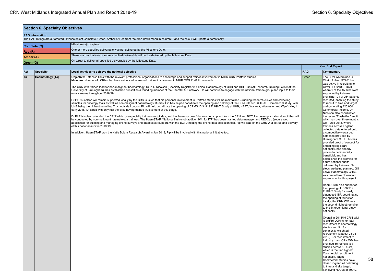| <b>Section 6. Specialty Objectives</b> |                  |                                                                                                                                                                                                                                                                                                                                                                                                                                                                                                                                                                                                                                                                                                                                                                                                                                                                                                                                                                                                                                                                                                                                                                                                                                                                                                                                                                                                                                                                                                                                                                                                                                                                                                                                                                                                                                                                                                                                                                                                                                            |            |                                                                                                                                                                                                                                                                                                                                                                                                                                                                                                                                                                                                                                                                                                                                                                                                                                                                                                                                                                                                                                                                                                                                                                                                                                                                                                                                                                                                                                                                                                                                                                                                                                                                                         |  |  |
|----------------------------------------|------------------|--------------------------------------------------------------------------------------------------------------------------------------------------------------------------------------------------------------------------------------------------------------------------------------------------------------------------------------------------------------------------------------------------------------------------------------------------------------------------------------------------------------------------------------------------------------------------------------------------------------------------------------------------------------------------------------------------------------------------------------------------------------------------------------------------------------------------------------------------------------------------------------------------------------------------------------------------------------------------------------------------------------------------------------------------------------------------------------------------------------------------------------------------------------------------------------------------------------------------------------------------------------------------------------------------------------------------------------------------------------------------------------------------------------------------------------------------------------------------------------------------------------------------------------------------------------------------------------------------------------------------------------------------------------------------------------------------------------------------------------------------------------------------------------------------------------------------------------------------------------------------------------------------------------------------------------------------------------------------------------------------------------------------------------------|------------|-----------------------------------------------------------------------------------------------------------------------------------------------------------------------------------------------------------------------------------------------------------------------------------------------------------------------------------------------------------------------------------------------------------------------------------------------------------------------------------------------------------------------------------------------------------------------------------------------------------------------------------------------------------------------------------------------------------------------------------------------------------------------------------------------------------------------------------------------------------------------------------------------------------------------------------------------------------------------------------------------------------------------------------------------------------------------------------------------------------------------------------------------------------------------------------------------------------------------------------------------------------------------------------------------------------------------------------------------------------------------------------------------------------------------------------------------------------------------------------------------------------------------------------------------------------------------------------------------------------------------------------------------------------------------------------------|--|--|
| <b>RAG Information:</b>                |                  |                                                                                                                                                                                                                                                                                                                                                                                                                                                                                                                                                                                                                                                                                                                                                                                                                                                                                                                                                                                                                                                                                                                                                                                                                                                                                                                                                                                                                                                                                                                                                                                                                                                                                                                                                                                                                                                                                                                                                                                                                                            |            |                                                                                                                                                                                                                                                                                                                                                                                                                                                                                                                                                                                                                                                                                                                                                                                                                                                                                                                                                                                                                                                                                                                                                                                                                                                                                                                                                                                                                                                                                                                                                                                                                                                                                         |  |  |
|                                        |                  | The RAG ratings are automated. Please select Complete, Green, Amber or Red from the drop-down menu in column D and the colour will update automatically.                                                                                                                                                                                                                                                                                                                                                                                                                                                                                                                                                                                                                                                                                                                                                                                                                                                                                                                                                                                                                                                                                                                                                                                                                                                                                                                                                                                                                                                                                                                                                                                                                                                                                                                                                                                                                                                                                   |            |                                                                                                                                                                                                                                                                                                                                                                                                                                                                                                                                                                                                                                                                                                                                                                                                                                                                                                                                                                                                                                                                                                                                                                                                                                                                                                                                                                                                                                                                                                                                                                                                                                                                                         |  |  |
| Complete (C)                           |                  | Milestone(s) complete.                                                                                                                                                                                                                                                                                                                                                                                                                                                                                                                                                                                                                                                                                                                                                                                                                                                                                                                                                                                                                                                                                                                                                                                                                                                                                                                                                                                                                                                                                                                                                                                                                                                                                                                                                                                                                                                                                                                                                                                                                     |            |                                                                                                                                                                                                                                                                                                                                                                                                                                                                                                                                                                                                                                                                                                                                                                                                                                                                                                                                                                                                                                                                                                                                                                                                                                                                                                                                                                                                                                                                                                                                                                                                                                                                                         |  |  |
| Red(R)                                 |                  | One or more specified deliverable was not delivered by the Milestone Date.                                                                                                                                                                                                                                                                                                                                                                                                                                                                                                                                                                                                                                                                                                                                                                                                                                                                                                                                                                                                                                                                                                                                                                                                                                                                                                                                                                                                                                                                                                                                                                                                                                                                                                                                                                                                                                                                                                                                                                 |            |                                                                                                                                                                                                                                                                                                                                                                                                                                                                                                                                                                                                                                                                                                                                                                                                                                                                                                                                                                                                                                                                                                                                                                                                                                                                                                                                                                                                                                                                                                                                                                                                                                                                                         |  |  |
| Amber (A)                              |                  | There is a risk that one or more specified deliverable will not be delivered by the Milestone Date.                                                                                                                                                                                                                                                                                                                                                                                                                                                                                                                                                                                                                                                                                                                                                                                                                                                                                                                                                                                                                                                                                                                                                                                                                                                                                                                                                                                                                                                                                                                                                                                                                                                                                                                                                                                                                                                                                                                                        |            |                                                                                                                                                                                                                                                                                                                                                                                                                                                                                                                                                                                                                                                                                                                                                                                                                                                                                                                                                                                                                                                                                                                                                                                                                                                                                                                                                                                                                                                                                                                                                                                                                                                                                         |  |  |
| Green (G)                              |                  | On target to deliver all specified deliverables by the Milestone Date.                                                                                                                                                                                                                                                                                                                                                                                                                                                                                                                                                                                                                                                                                                                                                                                                                                                                                                                                                                                                                                                                                                                                                                                                                                                                                                                                                                                                                                                                                                                                                                                                                                                                                                                                                                                                                                                                                                                                                                     |            |                                                                                                                                                                                                                                                                                                                                                                                                                                                                                                                                                                                                                                                                                                                                                                                                                                                                                                                                                                                                                                                                                                                                                                                                                                                                                                                                                                                                                                                                                                                                                                                                                                                                                         |  |  |
|                                        |                  | <b>Year End Report</b>                                                                                                                                                                                                                                                                                                                                                                                                                                                                                                                                                                                                                                                                                                                                                                                                                                                                                                                                                                                                                                                                                                                                                                                                                                                                                                                                                                                                                                                                                                                                                                                                                                                                                                                                                                                                                                                                                                                                                                                                                     |            |                                                                                                                                                                                                                                                                                                                                                                                                                                                                                                                                                                                                                                                                                                                                                                                                                                                                                                                                                                                                                                                                                                                                                                                                                                                                                                                                                                                                                                                                                                                                                                                                                                                                                         |  |  |
| Ref                                    | Specialty        | Local activities to achieve the national objective                                                                                                                                                                                                                                                                                                                                                                                                                                                                                                                                                                                                                                                                                                                                                                                                                                                                                                                                                                                                                                                                                                                                                                                                                                                                                                                                                                                                                                                                                                                                                                                                                                                                                                                                                                                                                                                                                                                                                                                         | <b>RAG</b> | Commentary                                                                                                                                                                                                                                                                                                                                                                                                                                                                                                                                                                                                                                                                                                                                                                                                                                                                                                                                                                                                                                                                                                                                                                                                                                                                                                                                                                                                                                                                                                                                                                                                                                                                              |  |  |
| 13                                     | Haematology [14] | Objective: Establish links with the relevant professional organisations to encourage and support trainee involvement in NIHR CRN Portfolio studies<br>Measure: Number of LCRNs that have evidenced increased trainee involvement in NIHR CRN Portfolio research<br>The CRN WM trainee lead for non-malignant haematology, Dr PLR Nicolson (Specialty Registrar in Clinical Haematology at UHB and BHF Clinical Research Training Fellow at the<br>University of Birmingham), has established himself as a founding member of the HaemSTAR network. He will continue to engage with the national trainee group and input to their<br>work streams throughout 2018/19.<br>Dr PLR Nicolson will remain supported locally by the CRSLs, such that his personal involvement in Portfolio studies will be maintained – running research clinics and collecting<br>samples for oncology trials as well as non-malignant haematology studies. Pip has helped coordinate the opening and delivery of the CPMS ID 32186 TRAIT Commercial study, with<br>UHB being the highest recruiting Trust outside London. Pip will help coordinate the opening of CPMS ID 34919 FLIGHT Study at UHB, HEFT, Warwick, Worcester and Wye Valley in<br>early 2018/19, albeit with only half the sites having trainee involvement at this stage.<br>Dr PLR Nicolson attended the CRN WM cross-specialty trainee sandpit day, and has been successfully awarded support from the CRN and BCTU to develop a national audit that will<br>be conducted by non-malignant haematology trainees. The HaemSTAR "National flash-mob audit on IVIg for ITP" has been granted data manager and REDCap (secure web<br>application for building and managing online surveys and databases) support, with the BCTU hosting the online data collection tool. Pip will lead on the CRN WM set-up and delivery<br>of this national audit in 2018/19.<br>In addition, HaemSTAR won the Katie Bolam Research Award in Jan 2018; Pip will be involved with this national initiative too. | Green      | The CRN WM trainee is<br>Chair of HaemSTAR. He<br>was active in recruiting to<br>CPMS ID 32186 TRAIT<br>where 9 of the 15 sites were<br>supported by trainees<br>providing 101 of 264 patients<br>recruited, enabling the study<br>to recruit to time and target<br>and generating £25,000<br>Commercial income. Dr<br>Nicolson also coordinated<br>the recent 'Flash-Mob' audit<br>which ran over three months<br>Oct - Dec 2018, where<br>trainees across England<br>collected data entered onto<br>a competitively-awarded<br>database provided by<br>Birmingham CTU. This has<br>provided proof of concept for<br>engaging registrars<br>nationally, has already<br>proven to be financially<br>beneficial, and has<br>established the premise for<br>future national audits<br>delivered by trainees. Next<br>steps are being planned. Gill<br>Lowe, Haematology CRSL,<br>was one of two Consultant<br>supervisors for this project.<br>HaemSTAR also supported<br>the opening of ID 34919<br>FLIGHT Study for newly<br>diagnosed ITP, coordinating<br>the opening of four sites<br>locally; the CRN WM was<br>the second highest recruiter<br>to this interventional study<br>nationally.<br>Overall in 2018/19 CRN WM<br>is 3rd/15 LCRNs for total<br>recruitment to haematology<br>studies and 5th for<br>complexity-weighted<br>recruitment (datacut 23 04<br>2019). For recruitment to<br>Industry trials, CRN WM has<br>provided 85 recruits to 7<br>studies across 5 Trusts,<br>which is the 2nd highest<br>Commercial recruitment<br>nationally. Eight<br>Commercial studies have<br>closed in-year, all delivering<br>to time and site target,<br>achieving HLO2a of 100% |  |  |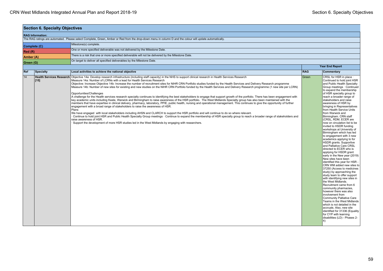| <b>Section 6. Specialty Objectives</b>                                                                           |              |                                                                                                                                                                                                                                                                                                                                                                                                                                                                                                                                                                                                                                                                                                                                                                                                                                                                                                                                                                                                                                                                                                                                                                                                                                                                                                                                                                                                                                                                                                                                                                                                                                                                                                                                                           |                        |                                                                                                                                                                                                                                                                                                                                                                                                                                                                                                                                                                                                                                                                                                                                                                                                                                                                                                                                                                                                                                                                                                                                                                                                                                                                                               |  |  |
|------------------------------------------------------------------------------------------------------------------|--------------|-----------------------------------------------------------------------------------------------------------------------------------------------------------------------------------------------------------------------------------------------------------------------------------------------------------------------------------------------------------------------------------------------------------------------------------------------------------------------------------------------------------------------------------------------------------------------------------------------------------------------------------------------------------------------------------------------------------------------------------------------------------------------------------------------------------------------------------------------------------------------------------------------------------------------------------------------------------------------------------------------------------------------------------------------------------------------------------------------------------------------------------------------------------------------------------------------------------------------------------------------------------------------------------------------------------------------------------------------------------------------------------------------------------------------------------------------------------------------------------------------------------------------------------------------------------------------------------------------------------------------------------------------------------------------------------------------------------------------------------------------------------|------------------------|-----------------------------------------------------------------------------------------------------------------------------------------------------------------------------------------------------------------------------------------------------------------------------------------------------------------------------------------------------------------------------------------------------------------------------------------------------------------------------------------------------------------------------------------------------------------------------------------------------------------------------------------------------------------------------------------------------------------------------------------------------------------------------------------------------------------------------------------------------------------------------------------------------------------------------------------------------------------------------------------------------------------------------------------------------------------------------------------------------------------------------------------------------------------------------------------------------------------------------------------------------------------------------------------------|--|--|
| <b>RAG Information:</b>                                                                                          |              |                                                                                                                                                                                                                                                                                                                                                                                                                                                                                                                                                                                                                                                                                                                                                                                                                                                                                                                                                                                                                                                                                                                                                                                                                                                                                                                                                                                                                                                                                                                                                                                                                                                                                                                                                           |                        |                                                                                                                                                                                                                                                                                                                                                                                                                                                                                                                                                                                                                                                                                                                                                                                                                                                                                                                                                                                                                                                                                                                                                                                                                                                                                               |  |  |
|                                                                                                                  |              | The RAG ratings are automated. Please select Complete, Green, Amber or Red from the drop-down menu in column D and the colour will update automatically.                                                                                                                                                                                                                                                                                                                                                                                                                                                                                                                                                                                                                                                                                                                                                                                                                                                                                                                                                                                                                                                                                                                                                                                                                                                                                                                                                                                                                                                                                                                                                                                                  |                        |                                                                                                                                                                                                                                                                                                                                                                                                                                                                                                                                                                                                                                                                                                                                                                                                                                                                                                                                                                                                                                                                                                                                                                                                                                                                                               |  |  |
|                                                                                                                  | Complete (C) | Milestone(s) complete.                                                                                                                                                                                                                                                                                                                                                                                                                                                                                                                                                                                                                                                                                                                                                                                                                                                                                                                                                                                                                                                                                                                                                                                                                                                                                                                                                                                                                                                                                                                                                                                                                                                                                                                                    |                        |                                                                                                                                                                                                                                                                                                                                                                                                                                                                                                                                                                                                                                                                                                                                                                                                                                                                                                                                                                                                                                                                                                                                                                                                                                                                                               |  |  |
| Red(R)                                                                                                           |              | One or more specified deliverable was not delivered by the Milestone Date.                                                                                                                                                                                                                                                                                                                                                                                                                                                                                                                                                                                                                                                                                                                                                                                                                                                                                                                                                                                                                                                                                                                                                                                                                                                                                                                                                                                                                                                                                                                                                                                                                                                                                |                        |                                                                                                                                                                                                                                                                                                                                                                                                                                                                                                                                                                                                                                                                                                                                                                                                                                                                                                                                                                                                                                                                                                                                                                                                                                                                                               |  |  |
| There is a risk that one or more specified deliverable will not be delivered by the Milestone Date.<br>Amber (A) |              |                                                                                                                                                                                                                                                                                                                                                                                                                                                                                                                                                                                                                                                                                                                                                                                                                                                                                                                                                                                                                                                                                                                                                                                                                                                                                                                                                                                                                                                                                                                                                                                                                                                                                                                                                           |                        |                                                                                                                                                                                                                                                                                                                                                                                                                                                                                                                                                                                                                                                                                                                                                                                                                                                                                                                                                                                                                                                                                                                                                                                                                                                                                               |  |  |
| On target to deliver all specified deliverables by the Milestone Date.<br>Green (G)                              |              |                                                                                                                                                                                                                                                                                                                                                                                                                                                                                                                                                                                                                                                                                                                                                                                                                                                                                                                                                                                                                                                                                                                                                                                                                                                                                                                                                                                                                                                                                                                                                                                                                                                                                                                                                           |                        |                                                                                                                                                                                                                                                                                                                                                                                                                                                                                                                                                                                                                                                                                                                                                                                                                                                                                                                                                                                                                                                                                                                                                                                                                                                                                               |  |  |
|                                                                                                                  |              |                                                                                                                                                                                                                                                                                                                                                                                                                                                                                                                                                                                                                                                                                                                                                                                                                                                                                                                                                                                                                                                                                                                                                                                                                                                                                                                                                                                                                                                                                                                                                                                                                                                                                                                                                           | <b>Year End Report</b> |                                                                                                                                                                                                                                                                                                                                                                                                                                                                                                                                                                                                                                                                                                                                                                                                                                                                                                                                                                                                                                                                                                                                                                                                                                                                                               |  |  |
| Ref                                                                                                              | Specialty    | Local activities to achieve the national objective                                                                                                                                                                                                                                                                                                                                                                                                                                                                                                                                                                                                                                                                                                                                                                                                                                                                                                                                                                                                                                                                                                                                                                                                                                                                                                                                                                                                                                                                                                                                                                                                                                                                                                        | <b>RAG</b>             | Commentary                                                                                                                                                                                                                                                                                                                                                                                                                                                                                                                                                                                                                                                                                                                                                                                                                                                                                                                                                                                                                                                                                                                                                                                                                                                                                    |  |  |
| 14                                                                                                               | [15]         | Health Services Research   Objective 14a: Develop research infrastructure (including staff capacity) in the NHS to support clinical research in Health Services Research<br>Measure 14a: Number of LCRNs with a lead for Health Services Research<br>Objective: Increase Objective 14b: Increase the number of recruitment sites for NIHR CRN Portfolio studies funded by the Health Services and Delivery Research programme<br>Measure 14b: Number of new sites for existing and new studies on the NIHR CRN Portfolio funded by the Health Services and Delivery Research programme (1 new site per LCRN)<br>Opportunities/Challenges<br>A challenge for the Health services research specialty continues to identifying the best stakeholders to engage that support growth of the portfolio. There has been engagement with<br>key academic units including Keele, Warwick and Birmingham to raise awareness of the HSR portfolio. The West Midlands Specialty group has also been maintained with the<br>members that have expertise in clinical delivery, pharmacy, laboratory, PPIE, public health, nursing and operational management. This continues to give the opportunity of further<br>engagement with a broad range of stakeholders to raise the awareness of HSR.<br>Plans<br>We have engaged with local stakeholders including AHSN and CLARCH to support the HSR portfolio and will continue to do so where relevant.<br>Continue to hold joint HSR and Public Health Specialty Group meetings · Continue to expand the membership of HSR specialty group to reach a broader range of stakeholders and<br>raise awareness of HSR.<br>Support the development of more HSR studies led in the West Midlands by engaging with researchers. | Green                  | CRSL for HSR in place<br>Continued to hold joint HSR<br>and Public Health Specialty<br>Group meetings · Continued<br>to expand the membership<br>of HSR specialty group to<br>reach a broader range of<br>stakeholders and raise<br>awareness of HSR by<br>bringing in Representatives<br>from Health Service Units<br>from Warwick and<br>Birmingham. CRN staff<br>(CRSL, RDM, ECER are<br>now on circulation list to be<br>invited to HSDR funding<br>workshops at University of<br>Birmingham which has led<br>to engagement with 3 new<br>academics applying to for<br>HSDR grants. Supportive<br>and Palliative Care CRSL<br>directed to ECER who is<br>applying for HSDR grant<br>early in the New year (2019)<br>New sites have been<br>identified this year for HSR -<br>CRN WM added new sites to<br>37250 (Access to medicines<br>study) by approaching the<br>study team to offer support<br>with identifying new sites in<br>the West Midlands.<br>Recruitment came from 6<br>community pharmacies.<br>however there was also<br>involvement from<br><b>Community Palliative Care</b><br>Teams in the West Midlands<br>which is not detailed in the<br>accruals, Also, new site<br>identified for 31336 (Equality<br>for CYP with learning<br>disabilities (LD) - Phases 2-<br>4) |  |  |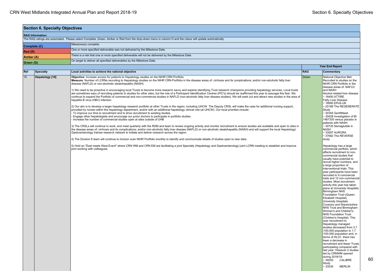| <b>Section 6. Specialty Objectives</b>                                                                                                                   |                                                                                                                                                                                                                                                                                                                                                                                                                                                                                                                                                                                                                                                                                                                                                                                                                                                                                                                                                                                                                                                                                                                                                                                                                                                                                                                                                                                                                                                                                                                                                                                                                                                                                                                                                                                                                                                                                                                                                                                                                                                                                                                                                                                                                                                                                                                                                                                                                          |                        |                                                                                                                                                                                                                                                                                                                                                                                                                                                                                                                                                                                                                                                                                                                                                                                                                                                                                                                                                                                                                                                                                                                                                                                                                                                                                                                                                                                                                                                                                                                                              |  |  |  |  |  |
|----------------------------------------------------------------------------------------------------------------------------------------------------------|--------------------------------------------------------------------------------------------------------------------------------------------------------------------------------------------------------------------------------------------------------------------------------------------------------------------------------------------------------------------------------------------------------------------------------------------------------------------------------------------------------------------------------------------------------------------------------------------------------------------------------------------------------------------------------------------------------------------------------------------------------------------------------------------------------------------------------------------------------------------------------------------------------------------------------------------------------------------------------------------------------------------------------------------------------------------------------------------------------------------------------------------------------------------------------------------------------------------------------------------------------------------------------------------------------------------------------------------------------------------------------------------------------------------------------------------------------------------------------------------------------------------------------------------------------------------------------------------------------------------------------------------------------------------------------------------------------------------------------------------------------------------------------------------------------------------------------------------------------------------------------------------------------------------------------------------------------------------------------------------------------------------------------------------------------------------------------------------------------------------------------------------------------------------------------------------------------------------------------------------------------------------------------------------------------------------------------------------------------------------------------------------------------------------------|------------------------|----------------------------------------------------------------------------------------------------------------------------------------------------------------------------------------------------------------------------------------------------------------------------------------------------------------------------------------------------------------------------------------------------------------------------------------------------------------------------------------------------------------------------------------------------------------------------------------------------------------------------------------------------------------------------------------------------------------------------------------------------------------------------------------------------------------------------------------------------------------------------------------------------------------------------------------------------------------------------------------------------------------------------------------------------------------------------------------------------------------------------------------------------------------------------------------------------------------------------------------------------------------------------------------------------------------------------------------------------------------------------------------------------------------------------------------------------------------------------------------------------------------------------------------------|--|--|--|--|--|
| <b>RAG Information:</b>                                                                                                                                  |                                                                                                                                                                                                                                                                                                                                                                                                                                                                                                                                                                                                                                                                                                                                                                                                                                                                                                                                                                                                                                                                                                                                                                                                                                                                                                                                                                                                                                                                                                                                                                                                                                                                                                                                                                                                                                                                                                                                                                                                                                                                                                                                                                                                                                                                                                                                                                                                                          |                        |                                                                                                                                                                                                                                                                                                                                                                                                                                                                                                                                                                                                                                                                                                                                                                                                                                                                                                                                                                                                                                                                                                                                                                                                                                                                                                                                                                                                                                                                                                                                              |  |  |  |  |  |
| The RAG ratings are automated. Please select Complete, Green, Amber or Red from the drop-down menu in column D and the colour will update automatically. |                                                                                                                                                                                                                                                                                                                                                                                                                                                                                                                                                                                                                                                                                                                                                                                                                                                                                                                                                                                                                                                                                                                                                                                                                                                                                                                                                                                                                                                                                                                                                                                                                                                                                                                                                                                                                                                                                                                                                                                                                                                                                                                                                                                                                                                                                                                                                                                                                          |                        |                                                                                                                                                                                                                                                                                                                                                                                                                                                                                                                                                                                                                                                                                                                                                                                                                                                                                                                                                                                                                                                                                                                                                                                                                                                                                                                                                                                                                                                                                                                                              |  |  |  |  |  |
| Complete (C)                                                                                                                                             | Milestone(s) complete.                                                                                                                                                                                                                                                                                                                                                                                                                                                                                                                                                                                                                                                                                                                                                                                                                                                                                                                                                                                                                                                                                                                                                                                                                                                                                                                                                                                                                                                                                                                                                                                                                                                                                                                                                                                                                                                                                                                                                                                                                                                                                                                                                                                                                                                                                                                                                                                                   |                        |                                                                                                                                                                                                                                                                                                                                                                                                                                                                                                                                                                                                                                                                                                                                                                                                                                                                                                                                                                                                                                                                                                                                                                                                                                                                                                                                                                                                                                                                                                                                              |  |  |  |  |  |
| Red(R)                                                                                                                                                   | One or more specified deliverable was not delivered by the Milestone Date.                                                                                                                                                                                                                                                                                                                                                                                                                                                                                                                                                                                                                                                                                                                                                                                                                                                                                                                                                                                                                                                                                                                                                                                                                                                                                                                                                                                                                                                                                                                                                                                                                                                                                                                                                                                                                                                                                                                                                                                                                                                                                                                                                                                                                                                                                                                                               |                        |                                                                                                                                                                                                                                                                                                                                                                                                                                                                                                                                                                                                                                                                                                                                                                                                                                                                                                                                                                                                                                                                                                                                                                                                                                                                                                                                                                                                                                                                                                                                              |  |  |  |  |  |
| Amber (A)                                                                                                                                                | There is a risk that one or more specified deliverable will not be delivered by the Milestone Date.                                                                                                                                                                                                                                                                                                                                                                                                                                                                                                                                                                                                                                                                                                                                                                                                                                                                                                                                                                                                                                                                                                                                                                                                                                                                                                                                                                                                                                                                                                                                                                                                                                                                                                                                                                                                                                                                                                                                                                                                                                                                                                                                                                                                                                                                                                                      |                        |                                                                                                                                                                                                                                                                                                                                                                                                                                                                                                                                                                                                                                                                                                                                                                                                                                                                                                                                                                                                                                                                                                                                                                                                                                                                                                                                                                                                                                                                                                                                              |  |  |  |  |  |
| Green (G)                                                                                                                                                | On target to deliver all specified deliverables by the Milestone Date.                                                                                                                                                                                                                                                                                                                                                                                                                                                                                                                                                                                                                                                                                                                                                                                                                                                                                                                                                                                                                                                                                                                                                                                                                                                                                                                                                                                                                                                                                                                                                                                                                                                                                                                                                                                                                                                                                                                                                                                                                                                                                                                                                                                                                                                                                                                                                   |                        |                                                                                                                                                                                                                                                                                                                                                                                                                                                                                                                                                                                                                                                                                                                                                                                                                                                                                                                                                                                                                                                                                                                                                                                                                                                                                                                                                                                                                                                                                                                                              |  |  |  |  |  |
|                                                                                                                                                          |                                                                                                                                                                                                                                                                                                                                                                                                                                                                                                                                                                                                                                                                                                                                                                                                                                                                                                                                                                                                                                                                                                                                                                                                                                                                                                                                                                                                                                                                                                                                                                                                                                                                                                                                                                                                                                                                                                                                                                                                                                                                                                                                                                                                                                                                                                                                                                                                                          | <b>Year End Report</b> |                                                                                                                                                                                                                                                                                                                                                                                                                                                                                                                                                                                                                                                                                                                                                                                                                                                                                                                                                                                                                                                                                                                                                                                                                                                                                                                                                                                                                                                                                                                                              |  |  |  |  |  |
| Ref<br>Specialty                                                                                                                                         | Local activities to achieve the national objective                                                                                                                                                                                                                                                                                                                                                                                                                                                                                                                                                                                                                                                                                                                                                                                                                                                                                                                                                                                                                                                                                                                                                                                                                                                                                                                                                                                                                                                                                                                                                                                                                                                                                                                                                                                                                                                                                                                                                                                                                                                                                                                                                                                                                                                                                                                                                                       | <b>RAG</b>             | Commentary                                                                                                                                                                                                                                                                                                                                                                                                                                                                                                                                                                                                                                                                                                                                                                                                                                                                                                                                                                                                                                                                                                                                                                                                                                                                                                                                                                                                                                                                                                                                   |  |  |  |  |  |
| 15<br>Hepatology [16]                                                                                                                                    | Objective: Increase access for patients to Hepatology studies on the NIHR CRN Portfolio<br>Measure: Number of LCRNs recruiting to Hepatology studies on the NIHR CRN Portfolio in the disease areas of: cirrhosis and its complications; and/or non-alcoholic fatty liver<br>disease (NAFLD) or non-alcoholic steatohepatitis (NASH)<br>1) We need to be proactive in encouraging local Trusts to become more research savvy and explore identifying Trust research champions providing hepatology services. Local trusts<br>are sometimes wary of recruiting patients to studies for other sites, but the role of a Participant Identification Centres (PIC's) should be reaffirmed this year to assuage this fear. We<br>continue to expand the Portfolio of commercial and non-commercial studies in NAFLD (non-alcoholic fatty liver disease studies). We will seek out and attract new studies in the area of<br>hepatitis B virus (HBV) infection.<br>(2) Our aim is to develop a larger hepatology research portfolio at other Trusts in the region, including UHCW. The Deputy CRSL will make the case for additional nursing support,<br>provided by nurses within the hepatology department, and/or with an additional hepatology clinical role (at UHCW). Our local priorities include:<br>To improve our time to recruitment and to drive recruitment to existing studies.<br>Engage other hepatologists and encourage our junior doctors to participate in portfolio studies<br>Increase the number of commercial studies open at sites outside of UHB<br>3) The CRSLs will continue to work, and meet quarterly with the RDM and team to review ongoing activity and monitor recruitment to ensure studies are available and open to sites in<br>the disease areas of: cirrhosis and its complications; and/or non-alcoholic fatty liver disease (NAFLD) or non-alcoholic steatohepatitis (NASH) and will support the local Hepatology/<br>Gastroenterology trainee research network to initiate and deliver research across the region.<br>4) The Division 6 team will continue to horizon scan NIHR Portfolio monthly to identify and communicate details of studies open to new sites.<br>5) Hold an "East meets West Event" where CRN WM and CRN EM are facilitating a joint Specialty (Hepatology and Gastroenterology) joint LCRN meeting to establish and improve<br>joint working with colleagues. | Green                  | National Objective Met:<br>Recruited to studies on the<br>NIHR CRN Portfolio in the<br>disease areas of: NAFLD<br>and NASH<br>Alcohol related liver disease<br>$\sim$ 18450 ATTIRE<br><b>Fatty Liver Disease</b><br>~ 18900 EPoS-UK<br>-20166 The REGENERATE<br>Study<br>~30355 GenfitNash<br>~30428 Investigation of BI<br>1467335 versus placebo in<br>patients with NASH.<br>$\sim$ 30725 Semaglutide in<br><b>NASH</b><br>~33097 AURORA<br>~37682 The REVERSE<br>study<br>Hepatology has a large<br>commercial portfolio, which<br>affects recruitment to non-<br>commercial studies that<br>usually have potential to<br>recruit higher numbers, and<br>a large proportion of<br>interventional trials. This<br>year participants have been<br>recruited to 9 commercial<br>trails and 12 non-commercial<br>studies. Most recruitment<br>activity this year has taken<br>place at University Hospitals<br><b>Birmingham NHS</b><br>Foundation Trust (Queen<br>Elizabeth Hospital),<br><b>University Hospitals</b><br>Coventry and Warwickshire<br>NHS Trust and Birmingham<br>Women's and Children's<br><b>NHS Foundation Trust</b><br>(Children's Hospital). This<br>year recruitment to<br>Hepatology managed<br>studies decreased from 3.7<br>/100,000 population to 1.7<br>/100,000 population and, in<br>terms of HLO1, there has<br>been a decrease in<br>recruitment and fewer Trusts<br>participating compared with<br>last year. However 2 studies<br>led by CRNWM opened<br>during 2018/19:<br>$~1$ 39255<br>CALIBRE<br>Study |  |  |  |  |  |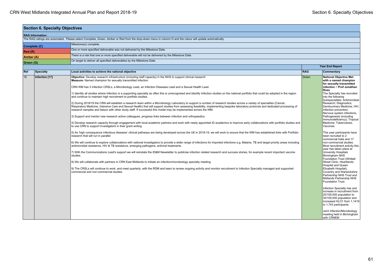| <b>Section 6. Specialty Objectives</b> |                |                                                                                                                                                                                                                                                                                                                                                                                                                                                                                                                                                                                                                                                                                                                                                                                                                                                                                                                                                                                                                                                                                                                                                                                                                                                                                                                                                                                                                                                                                                                                                                                                                                                                                                                                                                                                                                                                                                                                                                                                                                                                                                                                                                                                                                                                                                                                                                                                                                                                                                  |                        |                                                                                                                                                                                                                                                                                                                                                                                                                                                                                                                                                                                                                                                                                                                                                                                                                                                                                                                                                                                                                                                                                                                                                                 |  |  |
|----------------------------------------|----------------|--------------------------------------------------------------------------------------------------------------------------------------------------------------------------------------------------------------------------------------------------------------------------------------------------------------------------------------------------------------------------------------------------------------------------------------------------------------------------------------------------------------------------------------------------------------------------------------------------------------------------------------------------------------------------------------------------------------------------------------------------------------------------------------------------------------------------------------------------------------------------------------------------------------------------------------------------------------------------------------------------------------------------------------------------------------------------------------------------------------------------------------------------------------------------------------------------------------------------------------------------------------------------------------------------------------------------------------------------------------------------------------------------------------------------------------------------------------------------------------------------------------------------------------------------------------------------------------------------------------------------------------------------------------------------------------------------------------------------------------------------------------------------------------------------------------------------------------------------------------------------------------------------------------------------------------------------------------------------------------------------------------------------------------------------------------------------------------------------------------------------------------------------------------------------------------------------------------------------------------------------------------------------------------------------------------------------------------------------------------------------------------------------------------------------------------------------------------------------------------------------|------------------------|-----------------------------------------------------------------------------------------------------------------------------------------------------------------------------------------------------------------------------------------------------------------------------------------------------------------------------------------------------------------------------------------------------------------------------------------------------------------------------------------------------------------------------------------------------------------------------------------------------------------------------------------------------------------------------------------------------------------------------------------------------------------------------------------------------------------------------------------------------------------------------------------------------------------------------------------------------------------------------------------------------------------------------------------------------------------------------------------------------------------------------------------------------------------|--|--|
| <b>RAG Information:</b>                |                |                                                                                                                                                                                                                                                                                                                                                                                                                                                                                                                                                                                                                                                                                                                                                                                                                                                                                                                                                                                                                                                                                                                                                                                                                                                                                                                                                                                                                                                                                                                                                                                                                                                                                                                                                                                                                                                                                                                                                                                                                                                                                                                                                                                                                                                                                                                                                                                                                                                                                                  |                        |                                                                                                                                                                                                                                                                                                                                                                                                                                                                                                                                                                                                                                                                                                                                                                                                                                                                                                                                                                                                                                                                                                                                                                 |  |  |
|                                        |                | The RAG ratings are automated. Please select Complete, Green, Amber or Red from the drop-down menu in column D and the colour will update automatically.                                                                                                                                                                                                                                                                                                                                                                                                                                                                                                                                                                                                                                                                                                                                                                                                                                                                                                                                                                                                                                                                                                                                                                                                                                                                                                                                                                                                                                                                                                                                                                                                                                                                                                                                                                                                                                                                                                                                                                                                                                                                                                                                                                                                                                                                                                                                         |                        |                                                                                                                                                                                                                                                                                                                                                                                                                                                                                                                                                                                                                                                                                                                                                                                                                                                                                                                                                                                                                                                                                                                                                                 |  |  |
|                                        | Complete (C)   | Milestone(s) complete.                                                                                                                                                                                                                                                                                                                                                                                                                                                                                                                                                                                                                                                                                                                                                                                                                                                                                                                                                                                                                                                                                                                                                                                                                                                                                                                                                                                                                                                                                                                                                                                                                                                                                                                                                                                                                                                                                                                                                                                                                                                                                                                                                                                                                                                                                                                                                                                                                                                                           |                        |                                                                                                                                                                                                                                                                                                                                                                                                                                                                                                                                                                                                                                                                                                                                                                                                                                                                                                                                                                                                                                                                                                                                                                 |  |  |
| Red(R)                                 |                | One or more specified deliverable was not delivered by the Milestone Date.                                                                                                                                                                                                                                                                                                                                                                                                                                                                                                                                                                                                                                                                                                                                                                                                                                                                                                                                                                                                                                                                                                                                                                                                                                                                                                                                                                                                                                                                                                                                                                                                                                                                                                                                                                                                                                                                                                                                                                                                                                                                                                                                                                                                                                                                                                                                                                                                                       |                        |                                                                                                                                                                                                                                                                                                                                                                                                                                                                                                                                                                                                                                                                                                                                                                                                                                                                                                                                                                                                                                                                                                                                                                 |  |  |
| Amber (A)                              |                | There is a risk that one or more specified deliverable will not be delivered by the Milestone Date.                                                                                                                                                                                                                                                                                                                                                                                                                                                                                                                                                                                                                                                                                                                                                                                                                                                                                                                                                                                                                                                                                                                                                                                                                                                                                                                                                                                                                                                                                                                                                                                                                                                                                                                                                                                                                                                                                                                                                                                                                                                                                                                                                                                                                                                                                                                                                                                              |                        |                                                                                                                                                                                                                                                                                                                                                                                                                                                                                                                                                                                                                                                                                                                                                                                                                                                                                                                                                                                                                                                                                                                                                                 |  |  |
| Green (G)                              |                | On target to deliver all specified deliverables by the Milestone Date.                                                                                                                                                                                                                                                                                                                                                                                                                                                                                                                                                                                                                                                                                                                                                                                                                                                                                                                                                                                                                                                                                                                                                                                                                                                                                                                                                                                                                                                                                                                                                                                                                                                                                                                                                                                                                                                                                                                                                                                                                                                                                                                                                                                                                                                                                                                                                                                                                           |                        |                                                                                                                                                                                                                                                                                                                                                                                                                                                                                                                                                                                                                                                                                                                                                                                                                                                                                                                                                                                                                                                                                                                                                                 |  |  |
|                                        |                |                                                                                                                                                                                                                                                                                                                                                                                                                                                                                                                                                                                                                                                                                                                                                                                                                                                                                                                                                                                                                                                                                                                                                                                                                                                                                                                                                                                                                                                                                                                                                                                                                                                                                                                                                                                                                                                                                                                                                                                                                                                                                                                                                                                                                                                                                                                                                                                                                                                                                                  | <b>Year End Report</b> |                                                                                                                                                                                                                                                                                                                                                                                                                                                                                                                                                                                                                                                                                                                                                                                                                                                                                                                                                                                                                                                                                                                                                                 |  |  |
| Ref                                    | Specialty      | Local activities to achieve the national objective                                                                                                                                                                                                                                                                                                                                                                                                                                                                                                                                                                                                                                                                                                                                                                                                                                                                                                                                                                                                                                                                                                                                                                                                                                                                                                                                                                                                                                                                                                                                                                                                                                                                                                                                                                                                                                                                                                                                                                                                                                                                                                                                                                                                                                                                                                                                                                                                                                               | <b>RAG</b>             | Commentary                                                                                                                                                                                                                                                                                                                                                                                                                                                                                                                                                                                                                                                                                                                                                                                                                                                                                                                                                                                                                                                                                                                                                      |  |  |
| 16                                     | Infection [17] | Objective: Develop research infrastructure (including staff capacity) in the NHS to support clinical research<br>Measure: Named champion for sexually transmitted infection<br>CRN WM has 3 Infection CRSLs, a Microbiology Lead, an Infection Diseases Lead and a Sexual Health Lead.<br>1) Identify all studies where Infection is a supporting specialty as often this is unrecognised and identify Infection studies on the national portfolio that could be adopted in the region<br>and continue to maintain high recruitment to portfolio studies.<br>2) During 2018/19 the CRN will establish a research team within a Microbiology Laboratory to support a number of research studies across a variety of specialties (Cancer,<br>Respiratory Medicine, Intensive Care and Sexual Health) that will support studies from assessing feasibility, implementing bespoke laboratory protocols and dedicated processing of<br>research samples and liaison with other study staff. If successful this model may be implemented across the WM.<br>3) Support and mentor new research active colleagues, progress links between infection and orthopaedics.<br>4) Develop research capacity through engagement with local academic partners and work with newly appointed ID academics to improve early collaborations with portfolio studies and<br>to use CRN to support investigators in their grant writing.<br>5) As 'high consequence infectious diseases' clinical pathways are being developed across the UK in 2018-19, we will work to ensure that the WM has established links with Portfolio<br>research that will run in parallel.<br>6) We will continue to explore collaborations with national investigators to provide a wider range of infections for imported infections e.g. Malaria, TB and target priority areas including<br>antimicrobial resistance, HIV & TB resistance, emerging pathogens, antiviral treatments.<br>7) With the Communications Lead's support we will reinstate the ID&M Newsletter to publicise infection related research and success stories, for example recent important vaccine<br>studies.<br>8) We will collaborate with partners in CRN East Midlands to initiate an infection/microbiology specialty meeting.<br>9) The CRSLs will continue to work, and meet quarterly, with the RDM and team to review ongoing activity and monitor recruitment to Infection Specialty managed and supported<br>commercial and non-commercial studies. | Green                  | <b>National Objective Met</b><br>with a named champion<br>for sexually transmitted<br>infection ~ Prof Jonathan<br><b>Ross</b><br>The Specialty has recruited<br>into the following<br>Subspecialties: Antimicrobial<br>Research; Diagnostics;<br>Genitourinary Medicine; HIV;<br>Infection prevention;<br>Nervous system infections;<br>Pathogenesis (including<br>Immunodeficiency); Tropical<br>Medicine; Tuberculosis;<br>Vaccines<br>This year participants have<br>been recruited to 2<br>commercial trails and 17<br>non-commercial studies.<br>Most recruitment activity this<br>year has taken place at<br>University Hospitals<br><b>Birmingham NHS</b><br>Foundation Trust (Whittall<br><b>Street Clinic, Heartlands</b><br><b>Hospital and Queen</b><br>Elizabeth Hospital),<br>Coventry and Warwickshire<br>Partnership NHS Trust and<br>Midlands Partnership NHS<br>Foundation Trust.<br>Infection Specialty has and<br>increase in recruitment from<br>25/100,000 population to<br>30/100,000 population and<br>increased HLO1 from 1,1419<br>to 1,743 participants.<br>Joint Infection/Microbiology<br>meeting held in Birmingham<br>with CRNEM |  |  |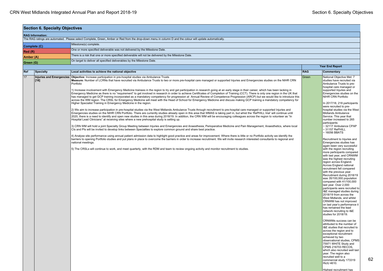| <b>Section 6. Specialty Objectives</b> |                                                                                     |                                                                                                                                                                                                                                                                                                                                                                                                                                                                                                                                                                                                                                                                                                                                                                                                                                                                                                                                                                                                                                                                                                                                                                                                                                                                                                                                                                                                                                                                                                                                                                                                                                                                                                                                                                                                                                                                                                                                                                                                                                                                                                                                                                                                                                                                                                                                                                                                                                                                                                                                                                                                                                         |            |                                                                                                                                                                                                                                                                                                                                                                                                                                                                                                                                                                                                                                                                                                                                                                                                                                                                                                                                                                                                                                                                                                                                                                                                                                                                                                                                                                                                                                                                                                        |  |  |  |
|----------------------------------------|-------------------------------------------------------------------------------------|-----------------------------------------------------------------------------------------------------------------------------------------------------------------------------------------------------------------------------------------------------------------------------------------------------------------------------------------------------------------------------------------------------------------------------------------------------------------------------------------------------------------------------------------------------------------------------------------------------------------------------------------------------------------------------------------------------------------------------------------------------------------------------------------------------------------------------------------------------------------------------------------------------------------------------------------------------------------------------------------------------------------------------------------------------------------------------------------------------------------------------------------------------------------------------------------------------------------------------------------------------------------------------------------------------------------------------------------------------------------------------------------------------------------------------------------------------------------------------------------------------------------------------------------------------------------------------------------------------------------------------------------------------------------------------------------------------------------------------------------------------------------------------------------------------------------------------------------------------------------------------------------------------------------------------------------------------------------------------------------------------------------------------------------------------------------------------------------------------------------------------------------------------------------------------------------------------------------------------------------------------------------------------------------------------------------------------------------------------------------------------------------------------------------------------------------------------------------------------------------------------------------------------------------------------------------------------------------------------------------------------------------|------------|--------------------------------------------------------------------------------------------------------------------------------------------------------------------------------------------------------------------------------------------------------------------------------------------------------------------------------------------------------------------------------------------------------------------------------------------------------------------------------------------------------------------------------------------------------------------------------------------------------------------------------------------------------------------------------------------------------------------------------------------------------------------------------------------------------------------------------------------------------------------------------------------------------------------------------------------------------------------------------------------------------------------------------------------------------------------------------------------------------------------------------------------------------------------------------------------------------------------------------------------------------------------------------------------------------------------------------------------------------------------------------------------------------------------------------------------------------------------------------------------------------|--|--|--|
|                                        | <b>RAG Information:</b>                                                             |                                                                                                                                                                                                                                                                                                                                                                                                                                                                                                                                                                                                                                                                                                                                                                                                                                                                                                                                                                                                                                                                                                                                                                                                                                                                                                                                                                                                                                                                                                                                                                                                                                                                                                                                                                                                                                                                                                                                                                                                                                                                                                                                                                                                                                                                                                                                                                                                                                                                                                                                                                                                                                         |            |                                                                                                                                                                                                                                                                                                                                                                                                                                                                                                                                                                                                                                                                                                                                                                                                                                                                                                                                                                                                                                                                                                                                                                                                                                                                                                                                                                                                                                                                                                        |  |  |  |
|                                        |                                                                                     | The RAG ratings are automated. Please select Complete, Green, Amber or Red from the drop-down menu in column D and the colour will update automatically.                                                                                                                                                                                                                                                                                                                                                                                                                                                                                                                                                                                                                                                                                                                                                                                                                                                                                                                                                                                                                                                                                                                                                                                                                                                                                                                                                                                                                                                                                                                                                                                                                                                                                                                                                                                                                                                                                                                                                                                                                                                                                                                                                                                                                                                                                                                                                                                                                                                                                |            |                                                                                                                                                                                                                                                                                                                                                                                                                                                                                                                                                                                                                                                                                                                                                                                                                                                                                                                                                                                                                                                                                                                                                                                                                                                                                                                                                                                                                                                                                                        |  |  |  |
| Complete (C)                           |                                                                                     | Milestone(s) complete.                                                                                                                                                                                                                                                                                                                                                                                                                                                                                                                                                                                                                                                                                                                                                                                                                                                                                                                                                                                                                                                                                                                                                                                                                                                                                                                                                                                                                                                                                                                                                                                                                                                                                                                                                                                                                                                                                                                                                                                                                                                                                                                                                                                                                                                                                                                                                                                                                                                                                                                                                                                                                  |            |                                                                                                                                                                                                                                                                                                                                                                                                                                                                                                                                                                                                                                                                                                                                                                                                                                                                                                                                                                                                                                                                                                                                                                                                                                                                                                                                                                                                                                                                                                        |  |  |  |
| Red (R)                                |                                                                                     | One or more specified deliverable was not delivered by the Milestone Date.                                                                                                                                                                                                                                                                                                                                                                                                                                                                                                                                                                                                                                                                                                                                                                                                                                                                                                                                                                                                                                                                                                                                                                                                                                                                                                                                                                                                                                                                                                                                                                                                                                                                                                                                                                                                                                                                                                                                                                                                                                                                                                                                                                                                                                                                                                                                                                                                                                                                                                                                                              |            |                                                                                                                                                                                                                                                                                                                                                                                                                                                                                                                                                                                                                                                                                                                                                                                                                                                                                                                                                                                                                                                                                                                                                                                                                                                                                                                                                                                                                                                                                                        |  |  |  |
| Amber (A)                              |                                                                                     | There is a risk that one or more specified deliverable will not be delivered by the Milestone Date.                                                                                                                                                                                                                                                                                                                                                                                                                                                                                                                                                                                                                                                                                                                                                                                                                                                                                                                                                                                                                                                                                                                                                                                                                                                                                                                                                                                                                                                                                                                                                                                                                                                                                                                                                                                                                                                                                                                                                                                                                                                                                                                                                                                                                                                                                                                                                                                                                                                                                                                                     |            |                                                                                                                                                                                                                                                                                                                                                                                                                                                                                                                                                                                                                                                                                                                                                                                                                                                                                                                                                                                                                                                                                                                                                                                                                                                                                                                                                                                                                                                                                                        |  |  |  |
|                                        | On target to deliver all specified deliverables by the Milestone Date.<br>Green (G) |                                                                                                                                                                                                                                                                                                                                                                                                                                                                                                                                                                                                                                                                                                                                                                                                                                                                                                                                                                                                                                                                                                                                                                                                                                                                                                                                                                                                                                                                                                                                                                                                                                                                                                                                                                                                                                                                                                                                                                                                                                                                                                                                                                                                                                                                                                                                                                                                                                                                                                                                                                                                                                         |            |                                                                                                                                                                                                                                                                                                                                                                                                                                                                                                                                                                                                                                                                                                                                                                                                                                                                                                                                                                                                                                                                                                                                                                                                                                                                                                                                                                                                                                                                                                        |  |  |  |
|                                        |                                                                                     |                                                                                                                                                                                                                                                                                                                                                                                                                                                                                                                                                                                                                                                                                                                                                                                                                                                                                                                                                                                                                                                                                                                                                                                                                                                                                                                                                                                                                                                                                                                                                                                                                                                                                                                                                                                                                                                                                                                                                                                                                                                                                                                                                                                                                                                                                                                                                                                                                                                                                                                                                                                                                                         |            | <b>Year End Report</b>                                                                                                                                                                                                                                                                                                                                                                                                                                                                                                                                                                                                                                                                                                                                                                                                                                                                                                                                                                                                                                                                                                                                                                                                                                                                                                                                                                                                                                                                                 |  |  |  |
| Ref                                    | <b>Specialty</b>                                                                    | Local activities to achieve the national objective                                                                                                                                                                                                                                                                                                                                                                                                                                                                                                                                                                                                                                                                                                                                                                                                                                                                                                                                                                                                                                                                                                                                                                                                                                                                                                                                                                                                                                                                                                                                                                                                                                                                                                                                                                                                                                                                                                                                                                                                                                                                                                                                                                                                                                                                                                                                                                                                                                                                                                                                                                                      | <b>RAG</b> | Commentary                                                                                                                                                                                                                                                                                                                                                                                                                                                                                                                                                                                                                                                                                                                                                                                                                                                                                                                                                                                                                                                                                                                                                                                                                                                                                                                                                                                                                                                                                             |  |  |  |
| 17                                     | $[18]$                                                                              | Injuries and Emergencies Objective: Increase participation in pre-hospital studies via Ambulance Trusts<br>Measure: Number of LCRNs that have recruited via Ambulance Trusts to two or more pre-hospital care managed or supported Injuries and Emergencies studies on the NIHR CRN<br>Portfolio<br>1) Increase involvement with Emergency Medicine trainees in the region to try and get participation in research going at an early stage in their career, which has been lacking in<br>Emergency Medicine as there is no "requirement" to get involved in research in order to achieve Certificates of Completion of Training (CCT). There is only one region in the UK that<br>has managed to get GCP training incorporated as a mandatory competency for progression at Annual Review of Competence Progression (ARCP) but we would like to introduce this<br>across the WM region. The CRSL for Emergency Medicine will meet with the Head of School for Emergency Medicine and discuss making GCP training a mandatory competency for<br>Higher Specialist Training in Emergency Medicine in the region.<br>(2) We aim to increase participation in pre-hospital studies via the West Midlands Ambulance Trusts through recruitment to pre-hospital care managed or supported Injuries and<br>Emergencies studies on the NIHR CRN Portfolio. There are currently studies already open in this area that WMAS is taking part in, but whist the 'RePHILL trial' will continue until<br>2020, there is a need to identify and open new studies in this area during 2018/19. In addition, the CRN WM will be encouraging colleagues across the region to volunteer as "In<br>Hospital Lead Clinicians" at receiving sites where a new prehospital study is setting up.<br>3) CRN WM will hold a joint Specialty Group Meeting between Injuries and Emergencies and Anaesthesia, Perioperative Medicine and Pain Management, Anaesthetics, where local<br>CIs and PIs will be invited to develop links between Specialties to explore common ground and share best practice.<br>4) Analyse site performance using annual patient admission data to highlight good practice and areas for improvement. Where there is little or no Portfolio activity we identify the<br>barriers to opening Portfolio studies and put plans in place to overcome the barriers in order to increase recruitment. We will invite research interested consultants to regional and<br>national meetings.<br>[5] The CRSLs will continue to work, and meet quarterly, with the RDM and team to review ongoing activity and monitor recruitment to studies. | Green      | National Obiective Met: 7<br>studies have recruited via<br>Ambulance Trusts to pre-<br>hospital care managed or<br>supported Injuries and<br>Emergencies studies on the<br>NIHR CRN Portfolio<br>In 2017/18, 218 participants<br>were recruited to pre-<br>hospital studies via the West<br>Midlands Ambulance<br>Service. This year that<br>number increased to 265<br>participants:<br>~32117 Ambulance CPAP<br>$\sim$ 31157 RePHILL<br>~16056 BBATS<br>Recruitment to Injuries and<br>Emergencies studies has<br>again been very successful<br>with the region recruiting<br>more participants compared<br>with last year, and CRNWM<br>was the highest recruiting<br>region across England.<br>Across England national<br>recruitment fell compared<br>with the previous year.<br>Recruitment during 2018/19<br>was 35/100,000 population<br>compared with 41/100,000<br>last year. Over 2,000<br>participants were recruited to<br>I&E managed studies during<br>2018/19 from across the<br>West Midlands, and whilst<br>CRNWM has not improved<br>on last year's performance it<br>has remained the lead<br>network recruiting to I&E<br>studies for 2018/19.<br>CRNWMs success can be<br>attributed to the number of<br>I&E studies that recruited to<br>across the region and to<br>exceptional recruitment<br>achieved by two<br>observational studies, CPMS<br>75971 WHITE Study and<br>CPMS 216703 RECOS,<br>which also recruited well last<br>year. The region also<br>recruited well to a |  |  |  |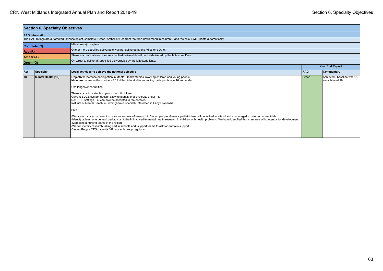|                                                                                     | <b>Section 6. Specialty Objectives</b>                                                                                                                   |                                                                                                                                                                                                                                                                                                                                                                                                                                                                                                                                                                                                                                                                                                                                                                                                                                                                                                                                                                                                                                                                                                                       |            |                                                |  |  |  |  |
|-------------------------------------------------------------------------------------|----------------------------------------------------------------------------------------------------------------------------------------------------------|-----------------------------------------------------------------------------------------------------------------------------------------------------------------------------------------------------------------------------------------------------------------------------------------------------------------------------------------------------------------------------------------------------------------------------------------------------------------------------------------------------------------------------------------------------------------------------------------------------------------------------------------------------------------------------------------------------------------------------------------------------------------------------------------------------------------------------------------------------------------------------------------------------------------------------------------------------------------------------------------------------------------------------------------------------------------------------------------------------------------------|------------|------------------------------------------------|--|--|--|--|
|                                                                                     | <b>RAG Information:</b>                                                                                                                                  |                                                                                                                                                                                                                                                                                                                                                                                                                                                                                                                                                                                                                                                                                                                                                                                                                                                                                                                                                                                                                                                                                                                       |            |                                                |  |  |  |  |
|                                                                                     | The RAG ratings are automated. Please select Complete, Green, Amber or Red from the drop-down menu in column D and the colour will update automatically. |                                                                                                                                                                                                                                                                                                                                                                                                                                                                                                                                                                                                                                                                                                                                                                                                                                                                                                                                                                                                                                                                                                                       |            |                                                |  |  |  |  |
| Complete (C)                                                                        |                                                                                                                                                          | Milestone(s) complete.                                                                                                                                                                                                                                                                                                                                                                                                                                                                                                                                                                                                                                                                                                                                                                                                                                                                                                                                                                                                                                                                                                |            |                                                |  |  |  |  |
| Red(R)                                                                              |                                                                                                                                                          | One or more specified deliverable was not delivered by the Milestone Date.                                                                                                                                                                                                                                                                                                                                                                                                                                                                                                                                                                                                                                                                                                                                                                                                                                                                                                                                                                                                                                            |            |                                                |  |  |  |  |
| Amber (A)                                                                           |                                                                                                                                                          | There is a risk that one or more specified deliverable will not be delivered by the Milestone Date.                                                                                                                                                                                                                                                                                                                                                                                                                                                                                                                                                                                                                                                                                                                                                                                                                                                                                                                                                                                                                   |            |                                                |  |  |  |  |
| On target to deliver all specified deliverables by the Milestone Date.<br>Green (G) |                                                                                                                                                          |                                                                                                                                                                                                                                                                                                                                                                                                                                                                                                                                                                                                                                                                                                                                                                                                                                                                                                                                                                                                                                                                                                                       |            |                                                |  |  |  |  |
|                                                                                     |                                                                                                                                                          | Year End Report                                                                                                                                                                                                                                                                                                                                                                                                                                                                                                                                                                                                                                                                                                                                                                                                                                                                                                                                                                                                                                                                                                       |            |                                                |  |  |  |  |
| Ref                                                                                 | Specialty                                                                                                                                                | Local activities to achieve the national objective                                                                                                                                                                                                                                                                                                                                                                                                                                                                                                                                                                                                                                                                                                                                                                                                                                                                                                                                                                                                                                                                    | <b>RAG</b> | Commentary                                     |  |  |  |  |
| 18                                                                                  | Mental Health [19]                                                                                                                                       | Objective: Increase participation in Mental Health studies involving children and young people.<br>Measure: Increase the number of CRN Portfolio studies recruiting participants age 16 and under.<br>Challenges/opportunities<br>There is a lack or studies open to recruit children.<br>Current EDGE system doesn't allow to identify those recruits under 16.<br>Non-NHS settings, i.e. can now be accepted in the portfolio.<br>Institute of Mental Health in Birmingham is specially interested in Early Psychosis<br>Plan<br>-We are organising an event to raise awareness of research in Young people. General pediatricians will be invited to attend and encouraged to refer to current trials.<br>-Identify at least one general pediatrician to be in involved in mental health research in children with health problems. We have identified this is an area with potential for development.<br>-Map school nursing teams in the region.<br>-We will identify research taking part in schools and support teams to ask for portfolio support.<br>-Young People CRSL attends YP research group regularly. | Green      | Achieved - baseline was 18.<br>we achieved 19. |  |  |  |  |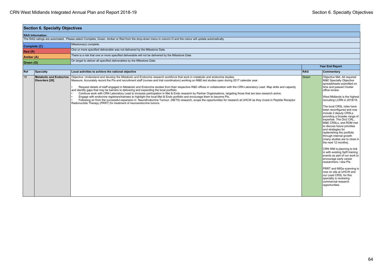| <b>Section 6. Specialty Objectives</b> |                                                                        |                                                                                                                                                                                                                                                                                                                                                                                                                                                                                                                                                                                                                                                                                                                                                                                                                                                                                                                                                                                                                                                                                                                 |                        |                                                                                                                                                                                                                                                                                                                                                                                                                                                                                                                                                                                                                                                                                                                                                                                                                                                            |  |  |  |
|----------------------------------------|------------------------------------------------------------------------|-----------------------------------------------------------------------------------------------------------------------------------------------------------------------------------------------------------------------------------------------------------------------------------------------------------------------------------------------------------------------------------------------------------------------------------------------------------------------------------------------------------------------------------------------------------------------------------------------------------------------------------------------------------------------------------------------------------------------------------------------------------------------------------------------------------------------------------------------------------------------------------------------------------------------------------------------------------------------------------------------------------------------------------------------------------------------------------------------------------------|------------------------|------------------------------------------------------------------------------------------------------------------------------------------------------------------------------------------------------------------------------------------------------------------------------------------------------------------------------------------------------------------------------------------------------------------------------------------------------------------------------------------------------------------------------------------------------------------------------------------------------------------------------------------------------------------------------------------------------------------------------------------------------------------------------------------------------------------------------------------------------------|--|--|--|
|                                        | <b>RAG Information:</b>                                                |                                                                                                                                                                                                                                                                                                                                                                                                                                                                                                                                                                                                                                                                                                                                                                                                                                                                                                                                                                                                                                                                                                                 |                        |                                                                                                                                                                                                                                                                                                                                                                                                                                                                                                                                                                                                                                                                                                                                                                                                                                                            |  |  |  |
|                                        |                                                                        | The RAG ratings are automated. Please select Complete, Green, Amber or Red from the drop-down menu in column D and the colour will update automatically.                                                                                                                                                                                                                                                                                                                                                                                                                                                                                                                                                                                                                                                                                                                                                                                                                                                                                                                                                        |                        |                                                                                                                                                                                                                                                                                                                                                                                                                                                                                                                                                                                                                                                                                                                                                                                                                                                            |  |  |  |
| Complete (C)                           |                                                                        | Milestone(s) complete.                                                                                                                                                                                                                                                                                                                                                                                                                                                                                                                                                                                                                                                                                                                                                                                                                                                                                                                                                                                                                                                                                          |                        |                                                                                                                                                                                                                                                                                                                                                                                                                                                                                                                                                                                                                                                                                                                                                                                                                                                            |  |  |  |
| Red (R)                                |                                                                        | One or more specified deliverable was not delivered by the Milestone Date.                                                                                                                                                                                                                                                                                                                                                                                                                                                                                                                                                                                                                                                                                                                                                                                                                                                                                                                                                                                                                                      |                        |                                                                                                                                                                                                                                                                                                                                                                                                                                                                                                                                                                                                                                                                                                                                                                                                                                                            |  |  |  |
| Amber (A)                              |                                                                        | There is a risk that one or more specified deliverable will not be delivered by the Milestone Date.                                                                                                                                                                                                                                                                                                                                                                                                                                                                                                                                                                                                                                                                                                                                                                                                                                                                                                                                                                                                             |                        |                                                                                                                                                                                                                                                                                                                                                                                                                                                                                                                                                                                                                                                                                                                                                                                                                                                            |  |  |  |
| Green (G)                              | On target to deliver all specified deliverables by the Milestone Date. |                                                                                                                                                                                                                                                                                                                                                                                                                                                                                                                                                                                                                                                                                                                                                                                                                                                                                                                                                                                                                                                                                                                 |                        |                                                                                                                                                                                                                                                                                                                                                                                                                                                                                                                                                                                                                                                                                                                                                                                                                                                            |  |  |  |
|                                        |                                                                        |                                                                                                                                                                                                                                                                                                                                                                                                                                                                                                                                                                                                                                                                                                                                                                                                                                                                                                                                                                                                                                                                                                                 | <b>Year End Report</b> |                                                                                                                                                                                                                                                                                                                                                                                                                                                                                                                                                                                                                                                                                                                                                                                                                                                            |  |  |  |
| Ref                                    | <b>Specialty</b>                                                       | Local activities to achieve the national objective                                                                                                                                                                                                                                                                                                                                                                                                                                                                                                                                                                                                                                                                                                                                                                                                                                                                                                                                                                                                                                                              | <b>RAG</b>             | Commentary                                                                                                                                                                                                                                                                                                                                                                                                                                                                                                                                                                                                                                                                                                                                                                                                                                                 |  |  |  |
| 19                                     | <b>Metabolic and Endocrine</b><br>Disorders [20]                       | Objective: Understand and develop the Metabolic and Endocrine research workforce that work in metabolic and endocrine studies.<br>Measure: Accurately record the PIs and recruitment staff (nurses and trial coordinators) working on M&E-led studies open during 2017 calendar year.<br>Request details of staff engaged in Metabolic and Endocrine studies from their respective R&D offices in collaboration with the CRN Laboratory Lead. Map skills and capacity<br>and identify gaps that may be barriers to delivering and expanding the local portfolio.<br>Continue work with CRN Laboratory Lead to increase participation in Met & Endo research by Partner Organisations, targeting those that are less research active.<br>Engage with endocrine registrars/trainees to highlight the local Met & Endo portfolio and encourage them to become PIs.<br>Following on from the successful expansion in NeuroEndocrine Tumour. (NETS) research, scope the opportunities for research at UHCW as they invest in Peptide Receptor<br>Radionuclide Therapy (PRRT) for treatment of neuroendocrine tumors. | Green                  | Objective Met. All required<br>M&E Specialty Objective<br>spreadsheets submitted on<br>time and passed Cluster<br>office review.<br>West Midlands is the highest<br>recruiting LCRN in 2018/19.<br>The local CRSL roles have<br>been reconfigured and now<br>include 2 deputy CRSLs<br>providing a broader range of<br>expertise. The Div2 CRL,<br>M&E CRSLs, and RDM met<br>to discuss future priorities<br>and strategies for<br>replenishing the portfolio<br>through internal growth<br>(many studies are to close in<br>the next 12 months).<br>CRN WM is planning to link<br>in with existing SpR training<br>events as part of our work to<br>encourage early career<br>researchers / new Pls.<br>PRRT and 68Ga scanning is<br>now on site at UHCW and<br>our Lead CRSL for this<br>specialty is reviewing<br>commercial research<br>opportunities. |  |  |  |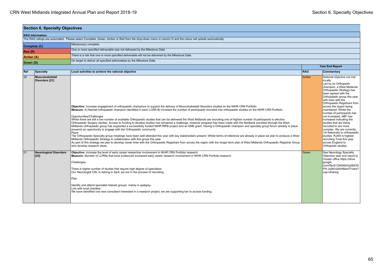| <b>Section 6. Specialty Objectives</b> |                                                                                                                  |                                                                                                                                                                                                                                                                                                                                                                                                                                                                                                                                                                                                                                                                                                                                                                                                                                                                                                                                                                                                                                                                                                                                                                                                                                                                                                                                                                                                                                                                      |                 |                                                                                                                                                                                                                                                                                                                                                                                                                                                                                                                                                                                                      |  |  |  |
|----------------------------------------|------------------------------------------------------------------------------------------------------------------|----------------------------------------------------------------------------------------------------------------------------------------------------------------------------------------------------------------------------------------------------------------------------------------------------------------------------------------------------------------------------------------------------------------------------------------------------------------------------------------------------------------------------------------------------------------------------------------------------------------------------------------------------------------------------------------------------------------------------------------------------------------------------------------------------------------------------------------------------------------------------------------------------------------------------------------------------------------------------------------------------------------------------------------------------------------------------------------------------------------------------------------------------------------------------------------------------------------------------------------------------------------------------------------------------------------------------------------------------------------------------------------------------------------------------------------------------------------------|-----------------|------------------------------------------------------------------------------------------------------------------------------------------------------------------------------------------------------------------------------------------------------------------------------------------------------------------------------------------------------------------------------------------------------------------------------------------------------------------------------------------------------------------------------------------------------------------------------------------------------|--|--|--|
|                                        | <b>RAG Information:</b>                                                                                          |                                                                                                                                                                                                                                                                                                                                                                                                                                                                                                                                                                                                                                                                                                                                                                                                                                                                                                                                                                                                                                                                                                                                                                                                                                                                                                                                                                                                                                                                      |                 |                                                                                                                                                                                                                                                                                                                                                                                                                                                                                                                                                                                                      |  |  |  |
|                                        |                                                                                                                  | The RAG ratings are automated. Please select Complete, Green, Amber or Red from the drop-down menu in column D and the colour will update automatically.                                                                                                                                                                                                                                                                                                                                                                                                                                                                                                                                                                                                                                                                                                                                                                                                                                                                                                                                                                                                                                                                                                                                                                                                                                                                                                             |                 |                                                                                                                                                                                                                                                                                                                                                                                                                                                                                                                                                                                                      |  |  |  |
|                                        | Complete (C)                                                                                                     | Milestone(s) complete.                                                                                                                                                                                                                                                                                                                                                                                                                                                                                                                                                                                                                                                                                                                                                                                                                                                                                                                                                                                                                                                                                                                                                                                                                                                                                                                                                                                                                                               |                 |                                                                                                                                                                                                                                                                                                                                                                                                                                                                                                                                                                                                      |  |  |  |
| Red(R)                                 |                                                                                                                  | One or more specified deliverable was not delivered by the Milestone Date.                                                                                                                                                                                                                                                                                                                                                                                                                                                                                                                                                                                                                                                                                                                                                                                                                                                                                                                                                                                                                                                                                                                                                                                                                                                                                                                                                                                           |                 |                                                                                                                                                                                                                                                                                                                                                                                                                                                                                                                                                                                                      |  |  |  |
|                                        | There is a risk that one or more specified deliverable will not be delivered by the Milestone Date.<br>Amber (A) |                                                                                                                                                                                                                                                                                                                                                                                                                                                                                                                                                                                                                                                                                                                                                                                                                                                                                                                                                                                                                                                                                                                                                                                                                                                                                                                                                                                                                                                                      |                 |                                                                                                                                                                                                                                                                                                                                                                                                                                                                                                                                                                                                      |  |  |  |
| Green (G)                              |                                                                                                                  | On target to deliver all specified deliverables by the Milestone Date.                                                                                                                                                                                                                                                                                                                                                                                                                                                                                                                                                                                                                                                                                                                                                                                                                                                                                                                                                                                                                                                                                                                                                                                                                                                                                                                                                                                               |                 |                                                                                                                                                                                                                                                                                                                                                                                                                                                                                                                                                                                                      |  |  |  |
|                                        |                                                                                                                  |                                                                                                                                                                                                                                                                                                                                                                                                                                                                                                                                                                                                                                                                                                                                                                                                                                                                                                                                                                                                                                                                                                                                                                                                                                                                                                                                                                                                                                                                      | Year End Report |                                                                                                                                                                                                                                                                                                                                                                                                                                                                                                                                                                                                      |  |  |  |
| Ref                                    | Specialty                                                                                                        | Local activities to achieve the national objective                                                                                                                                                                                                                                                                                                                                                                                                                                                                                                                                                                                                                                                                                                                                                                                                                                                                                                                                                                                                                                                                                                                                                                                                                                                                                                                                                                                                                   | <b>RAG</b>      | Commentary                                                                                                                                                                                                                                                                                                                                                                                                                                                                                                                                                                                           |  |  |  |
| 20                                     | Musculoskeletal<br>Disorders [21]                                                                                | Objective: Increase engagement of orthopaedic champions to support the delivery of Musculoskeletal Disorders studies on the NIHR CRN Portfolio<br>Measure: A) Named orthopaedic champion identified in each LCRN B) Increase the number of participants recruited into orthopaedic studies on the NIHR CRN Portfolio<br>Opportunities/Challenges<br>Whilst there are still a low number of available Orthopaedic studies that can be delivered the West Midlands are recruiting one of highest number of participants to elective<br>Orthopaedic Surgery studies. Access to funding to develop studies has remained a challenge, however progress has been made with the feedback provided through the West<br>Midlands Orthopaedic group has supported a successfully funded NIHR RfPB project and an EME grant. Having a Orthopaedic champion and specialty group forum already in place<br>presents an opportunity to engage with the Orthopaedic community.<br>Plans<br>The Orthopaedic Specialty group meetings have been well attended this year with key stakeholders present. Whilst terms of reference are already in place we plan to produce a West<br>Midlands Orthopaedic Strategy in collaboration with this group this year.<br>As part of this strategy we plan to develop closer links with the Orthopaedic Registrars from across the region with the longer term plan of West Midlands Orthopaedic Registrar Group<br>who develop research ideas. | Amber           | National objective not met<br>locally:<br>Led by an Orthopedic<br>champion, a West Midlands<br>Orthopaedic Strategy has<br>been agreed with the<br>Orthopaedic group this year<br>with links with the<br>Orthopaedic Registrars from<br>across the region being<br>maintained. Whilst the<br>number of participants has<br>not increased, ABF has<br>increased indicating the<br>studies that are being<br>recruited to are more<br>complex. We are currently<br>1st Nationally to orthopaedic<br>studies. RJAH is highest<br>recruiting Trust this year<br>across England to<br>Orthopedic studies. |  |  |  |
| 21                                     | <b>Neurological Disorders</b><br>$[22]$                                                                          | Objective: Increase the level of early career researcher involvement in NIHR CRN Portfolio research.<br>Measure: Number of LCRNs that have evidenced increased early career research involvement in NIHR CRN Portfolio research<br>Challenges:<br>There is higher number of studies that require high degree of specialism<br>Our Neurologist CRL is retiring in April, we are in the process of recruiting.<br>Plan<br>Identify and attend specialist interest groups, mainly in epilepsy.<br>Link with local charities.<br>We have identified one new consultant interested in a research project, we are supporting her to access funding.                                                                                                                                                                                                                                                                                                                                                                                                                                                                                                                                                                                                                                                                                                                                                                                                                        | Green           | See Neurology Specialty<br>Objective year end report to<br>Cluster office https://drive.<br>google.<br>com/file/d/12kKN0ii2q58S3X<br>PH-Jq5Kn2dXH6tavfT/view?<br>usp=sharing                                                                                                                                                                                                                                                                                                                                                                                                                         |  |  |  |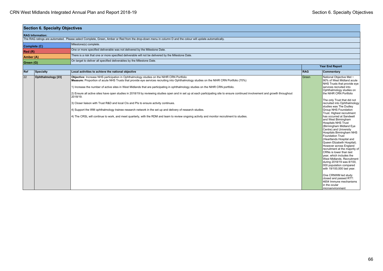| <b>Section 6. Specialty Objectives</b> |                                                                                     |                                                                                                                                                                                                                                                                                                                                                                                                                                                                                                                                                                                                                                                                                                                                                                                                                                                                                                                               |                        |                                                                                                                                                                                                                                                                                                                                                                                                                                                                                                                                                                                                                                                                                                                                                                                                                                                                                                                                           |  |  |
|----------------------------------------|-------------------------------------------------------------------------------------|-------------------------------------------------------------------------------------------------------------------------------------------------------------------------------------------------------------------------------------------------------------------------------------------------------------------------------------------------------------------------------------------------------------------------------------------------------------------------------------------------------------------------------------------------------------------------------------------------------------------------------------------------------------------------------------------------------------------------------------------------------------------------------------------------------------------------------------------------------------------------------------------------------------------------------|------------------------|-------------------------------------------------------------------------------------------------------------------------------------------------------------------------------------------------------------------------------------------------------------------------------------------------------------------------------------------------------------------------------------------------------------------------------------------------------------------------------------------------------------------------------------------------------------------------------------------------------------------------------------------------------------------------------------------------------------------------------------------------------------------------------------------------------------------------------------------------------------------------------------------------------------------------------------------|--|--|
|                                        | <b>RAG Information:</b>                                                             |                                                                                                                                                                                                                                                                                                                                                                                                                                                                                                                                                                                                                                                                                                                                                                                                                                                                                                                               |                        |                                                                                                                                                                                                                                                                                                                                                                                                                                                                                                                                                                                                                                                                                                                                                                                                                                                                                                                                           |  |  |
|                                        |                                                                                     | The RAG ratings are automated. Please select Complete, Green, Amber or Red from the drop-down menu in column D and the colour will update automatically.                                                                                                                                                                                                                                                                                                                                                                                                                                                                                                                                                                                                                                                                                                                                                                      |                        |                                                                                                                                                                                                                                                                                                                                                                                                                                                                                                                                                                                                                                                                                                                                                                                                                                                                                                                                           |  |  |
|                                        | Complete (C)                                                                        | Milestone(s) complete.                                                                                                                                                                                                                                                                                                                                                                                                                                                                                                                                                                                                                                                                                                                                                                                                                                                                                                        |                        |                                                                                                                                                                                                                                                                                                                                                                                                                                                                                                                                                                                                                                                                                                                                                                                                                                                                                                                                           |  |  |
| Red (R)                                |                                                                                     | One or more specified deliverable was not delivered by the Milestone Date.                                                                                                                                                                                                                                                                                                                                                                                                                                                                                                                                                                                                                                                                                                                                                                                                                                                    |                        |                                                                                                                                                                                                                                                                                                                                                                                                                                                                                                                                                                                                                                                                                                                                                                                                                                                                                                                                           |  |  |
| Amber (A)                              |                                                                                     | There is a risk that one or more specified deliverable will not be delivered by the Milestone Date.                                                                                                                                                                                                                                                                                                                                                                                                                                                                                                                                                                                                                                                                                                                                                                                                                           |                        |                                                                                                                                                                                                                                                                                                                                                                                                                                                                                                                                                                                                                                                                                                                                                                                                                                                                                                                                           |  |  |
|                                        | On target to deliver all specified deliverables by the Milestone Date.<br>Green (G) |                                                                                                                                                                                                                                                                                                                                                                                                                                                                                                                                                                                                                                                                                                                                                                                                                                                                                                                               |                        |                                                                                                                                                                                                                                                                                                                                                                                                                                                                                                                                                                                                                                                                                                                                                                                                                                                                                                                                           |  |  |
|                                        |                                                                                     |                                                                                                                                                                                                                                                                                                                                                                                                                                                                                                                                                                                                                                                                                                                                                                                                                                                                                                                               | <b>Year End Report</b> |                                                                                                                                                                                                                                                                                                                                                                                                                                                                                                                                                                                                                                                                                                                                                                                                                                                                                                                                           |  |  |
| Ref                                    | Specialty                                                                           | Local activities to achieve the national objective                                                                                                                                                                                                                                                                                                                                                                                                                                                                                                                                                                                                                                                                                                                                                                                                                                                                            | <b>RAG</b>             | Commentary                                                                                                                                                                                                                                                                                                                                                                                                                                                                                                                                                                                                                                                                                                                                                                                                                                                                                                                                |  |  |
| 22                                     | Ophthalmology [23]                                                                  | Objective: Increase NHS participation in Ophthalmology studies on the NIHR CRN Portfolio<br>Measure: Proportion of acute NHS Trusts that provide eve services recruiting into Ophthalmology studies on the NIHR CRN Portfolio (70%)<br>1) Increase the number of active sites in West Midlands that are participating in ophthalmology studies on the NIHR CRN portfolio.<br>2) Ensure all active sites have open studies in 2018/19 by reviewing studies open and in set up at each participating site to ensure continued involvement and growth throughout<br>2018/19.<br>3) Closer liaison with Trust R&D and local CIs and PIs to ensure activity continues.<br>[4] Support the WM ophthalmology trainee research network in the set up and delivery of research studies.<br>4) The CRSL will continue to work, and meet quarterly, with the RDM and team to review ongoing activity and monitor recruitment to studies. | Green                  | National Objective Met ~<br>90% of West Midland acute<br>NHS Trusts that provide eye<br>services recruited into<br>Ophthalmology studies on<br>the NIHR CRN Portfolio<br>The only Trust that did not<br>recruited into Ophthalmology<br>studies was The Dudley<br><b>Group NHS Foundation</b><br>Trust. Highest recruitment<br>has occurred at Sandwell<br>and West Birmingham<br><b>Hospitals NHS Trust</b><br>(Birmingham Midland Eye<br>Centre) and University<br>Hospitals Birmingham NHS<br><b>Foundation Trust</b><br>(Heartlands Hospital and<br>Queen Elizabeth Hospital).<br>However across England<br>recruitment at the majority of<br>CRNs is lower than last<br>year, which includes the<br>West Midlands. Recruitment<br>during 2018/19 was 8/100,<br>000 population compared<br>with 19/100,000 last year.<br>One CRNWM led study<br>closed and passed RTT:<br>4654 Immune mechanisms<br>in the ocular<br>microenvironment |  |  |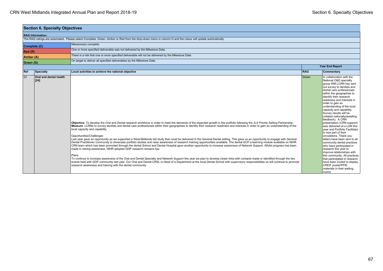|              | <b>Section 6. Specialty Objectives</b>  |                                                                                                                                                                                                                                                                                                                                                                                                                                                                                                                                                                                                                                                                                                                                                                                                                                                                                                                                                                                                                                                                                                                                                                                                                                                                                                                                                                                                                                                                                                                        |            |                                                                                                                                                                                                                                                                                                                                                                                                                                                                                                                                                                                                                                                                                                                                                                                                                                                                      |
|--------------|-----------------------------------------|------------------------------------------------------------------------------------------------------------------------------------------------------------------------------------------------------------------------------------------------------------------------------------------------------------------------------------------------------------------------------------------------------------------------------------------------------------------------------------------------------------------------------------------------------------------------------------------------------------------------------------------------------------------------------------------------------------------------------------------------------------------------------------------------------------------------------------------------------------------------------------------------------------------------------------------------------------------------------------------------------------------------------------------------------------------------------------------------------------------------------------------------------------------------------------------------------------------------------------------------------------------------------------------------------------------------------------------------------------------------------------------------------------------------------------------------------------------------------------------------------------------------|------------|----------------------------------------------------------------------------------------------------------------------------------------------------------------------------------------------------------------------------------------------------------------------------------------------------------------------------------------------------------------------------------------------------------------------------------------------------------------------------------------------------------------------------------------------------------------------------------------------------------------------------------------------------------------------------------------------------------------------------------------------------------------------------------------------------------------------------------------------------------------------|
|              | <b>RAG Information:</b>                 |                                                                                                                                                                                                                                                                                                                                                                                                                                                                                                                                                                                                                                                                                                                                                                                                                                                                                                                                                                                                                                                                                                                                                                                                                                                                                                                                                                                                                                                                                                                        |            |                                                                                                                                                                                                                                                                                                                                                                                                                                                                                                                                                                                                                                                                                                                                                                                                                                                                      |
|              |                                         | The RAG ratings are automated. Please select Complete, Green, Amber or Red from the drop-down menu in column D and the colour will update automatically.                                                                                                                                                                                                                                                                                                                                                                                                                                                                                                                                                                                                                                                                                                                                                                                                                                                                                                                                                                                                                                                                                                                                                                                                                                                                                                                                                               |            |                                                                                                                                                                                                                                                                                                                                                                                                                                                                                                                                                                                                                                                                                                                                                                                                                                                                      |
| Complete (C) |                                         | Milestone(s) complete.                                                                                                                                                                                                                                                                                                                                                                                                                                                                                                                                                                                                                                                                                                                                                                                                                                                                                                                                                                                                                                                                                                                                                                                                                                                                                                                                                                                                                                                                                                 |            |                                                                                                                                                                                                                                                                                                                                                                                                                                                                                                                                                                                                                                                                                                                                                                                                                                                                      |
| Red(R)       |                                         | One or more specified deliverable was not delivered by the Milestone Date.                                                                                                                                                                                                                                                                                                                                                                                                                                                                                                                                                                                                                                                                                                                                                                                                                                                                                                                                                                                                                                                                                                                                                                                                                                                                                                                                                                                                                                             |            |                                                                                                                                                                                                                                                                                                                                                                                                                                                                                                                                                                                                                                                                                                                                                                                                                                                                      |
| Amber (A)    |                                         | There is a risk that one or more specified deliverable will not be delivered by the Milestone Date.                                                                                                                                                                                                                                                                                                                                                                                                                                                                                                                                                                                                                                                                                                                                                                                                                                                                                                                                                                                                                                                                                                                                                                                                                                                                                                                                                                                                                    |            |                                                                                                                                                                                                                                                                                                                                                                                                                                                                                                                                                                                                                                                                                                                                                                                                                                                                      |
| Green (G)    |                                         | On target to deliver all specified deliverables by the Milestone Date.                                                                                                                                                                                                                                                                                                                                                                                                                                                                                                                                                                                                                                                                                                                                                                                                                                                                                                                                                                                                                                                                                                                                                                                                                                                                                                                                                                                                                                                 |            |                                                                                                                                                                                                                                                                                                                                                                                                                                                                                                                                                                                                                                                                                                                                                                                                                                                                      |
|              |                                         |                                                                                                                                                                                                                                                                                                                                                                                                                                                                                                                                                                                                                                                                                                                                                                                                                                                                                                                                                                                                                                                                                                                                                                                                                                                                                                                                                                                                                                                                                                                        |            | <b>Year End Report</b>                                                                                                                                                                                                                                                                                                                                                                                                                                                                                                                                                                                                                                                                                                                                                                                                                                               |
| Ref          | Specialty                               | Local activities to achieve the national objective                                                                                                                                                                                                                                                                                                                                                                                                                                                                                                                                                                                                                                                                                                                                                                                                                                                                                                                                                                                                                                                                                                                                                                                                                                                                                                                                                                                                                                                                     | <b>RAG</b> | Commentary                                                                                                                                                                                                                                                                                                                                                                                                                                                                                                                                                                                                                                                                                                                                                                                                                                                           |
| 23           | <b>Oral and dental health</b><br>$[24]$ | Objective: To develop the Oral and Dental research workforce in order to meet the demands of the expected growth in the portfolio following the JLA Priority Setting Partnership.<br>Measure: LCRNs to survey dentists and dental care professionals within their geographies to identify their research readiness and interests in order to gain an understanding of the<br>local capacity and capability<br>Opportunities/Challenges<br>Last year gave an opportunity as we supported a West Midlands led study that could be delivered in the General Dental setting. This gave us an opportunity to engage with General<br>Dental Practitioner community to showcase portfolio studies and raise awareness of research training opportunities available. The dental GCP e-learning module available on NIHR<br>CRN learn which has been promoted through the dental School and Dental Hospital gave another opportunity to increase awareness of Network Support. Whilst progress has been<br>made in raising awareness, NIHR adopted GDP research remains low.<br>Plans<br>To continue to increase awareness of the Oral and Dental Specialty and Network Support this year we plan to develop closer links with contacts made or identified through the two<br>events held with GDP community last year. Our Oral and Dental CRSL is Head of a Department at the local Dental School with supervisory responsibilities so will continue to promote<br>research awareness and training with the dental community. | l Green    | In collaboration with the<br>National O&D specialty<br>group WM LCRN has sent<br>out survey to dentists and<br>dental care professionals<br>within the geographies to<br>identify their research<br>readiness and interests in<br>order to gain an<br>understanding of the local<br>capacity and capability.<br>Survey results will be<br>collated nationally(awaiting<br>feedback). A CRN<br>presentation (CRN support)<br>was delivered at a LDN this<br>vear and Portfolio Facilitator<br>is now part of their<br>circulations. Thank you<br>letters have been sent to all<br>community dental practices<br>who have participated in<br>research this year to<br>improve relationships with<br>this community. All practices<br>that participated in research<br>have been invited to display<br><b>CREIF poster/PPIE</b><br>materials in their waiting<br>rooms. |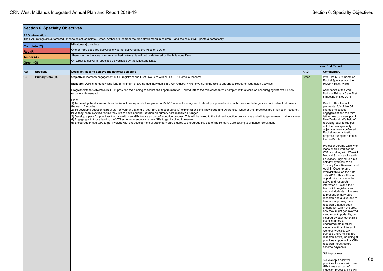$\mathbf{I}$ 

|           | <b>Section 6. Specialty Objectives</b>                                                                                                                   |                                                                                                                                                                                                                                                                                                                                                                                                                                                                                                                                                                                                                                                                                                                                                                                                                                                                                                                                                                                        |            |                                                                                                                                                                                                                                                                                                                                                                                                                                                                                                                                                                                                                                                                                                                                                                                                                                                                                                                                       |  |  |
|-----------|----------------------------------------------------------------------------------------------------------------------------------------------------------|----------------------------------------------------------------------------------------------------------------------------------------------------------------------------------------------------------------------------------------------------------------------------------------------------------------------------------------------------------------------------------------------------------------------------------------------------------------------------------------------------------------------------------------------------------------------------------------------------------------------------------------------------------------------------------------------------------------------------------------------------------------------------------------------------------------------------------------------------------------------------------------------------------------------------------------------------------------------------------------|------------|---------------------------------------------------------------------------------------------------------------------------------------------------------------------------------------------------------------------------------------------------------------------------------------------------------------------------------------------------------------------------------------------------------------------------------------------------------------------------------------------------------------------------------------------------------------------------------------------------------------------------------------------------------------------------------------------------------------------------------------------------------------------------------------------------------------------------------------------------------------------------------------------------------------------------------------|--|--|
|           | <b>RAG Information:</b>                                                                                                                                  |                                                                                                                                                                                                                                                                                                                                                                                                                                                                                                                                                                                                                                                                                                                                                                                                                                                                                                                                                                                        |            |                                                                                                                                                                                                                                                                                                                                                                                                                                                                                                                                                                                                                                                                                                                                                                                                                                                                                                                                       |  |  |
|           | The RAG ratings are automated. Please select Complete, Green, Amber or Red from the drop-down menu in column D and the colour will update automatically. |                                                                                                                                                                                                                                                                                                                                                                                                                                                                                                                                                                                                                                                                                                                                                                                                                                                                                                                                                                                        |            |                                                                                                                                                                                                                                                                                                                                                                                                                                                                                                                                                                                                                                                                                                                                                                                                                                                                                                                                       |  |  |
|           | Milestone(s) complete.<br>Complete (C)                                                                                                                   |                                                                                                                                                                                                                                                                                                                                                                                                                                                                                                                                                                                                                                                                                                                                                                                                                                                                                                                                                                                        |            |                                                                                                                                                                                                                                                                                                                                                                                                                                                                                                                                                                                                                                                                                                                                                                                                                                                                                                                                       |  |  |
| Red (R)   |                                                                                                                                                          | One or more specified deliverable was not delivered by the Milestone Date.                                                                                                                                                                                                                                                                                                                                                                                                                                                                                                                                                                                                                                                                                                                                                                                                                                                                                                             |            |                                                                                                                                                                                                                                                                                                                                                                                                                                                                                                                                                                                                                                                                                                                                                                                                                                                                                                                                       |  |  |
| Amber (A) |                                                                                                                                                          | There is a risk that one or more specified deliverable will not be delivered by the Milestone Date.                                                                                                                                                                                                                                                                                                                                                                                                                                                                                                                                                                                                                                                                                                                                                                                                                                                                                    |            |                                                                                                                                                                                                                                                                                                                                                                                                                                                                                                                                                                                                                                                                                                                                                                                                                                                                                                                                       |  |  |
| Green (G) |                                                                                                                                                          | On target to deliver all specified deliverables by the Milestone Date.                                                                                                                                                                                                                                                                                                                                                                                                                                                                                                                                                                                                                                                                                                                                                                                                                                                                                                                 |            |                                                                                                                                                                                                                                                                                                                                                                                                                                                                                                                                                                                                                                                                                                                                                                                                                                                                                                                                       |  |  |
|           |                                                                                                                                                          |                                                                                                                                                                                                                                                                                                                                                                                                                                                                                                                                                                                                                                                                                                                                                                                                                                                                                                                                                                                        |            | <b>Year End Report</b>                                                                                                                                                                                                                                                                                                                                                                                                                                                                                                                                                                                                                                                                                                                                                                                                                                                                                                                |  |  |
| Ref       | <b>Specialty</b>                                                                                                                                         | Local activities to achieve the national objective                                                                                                                                                                                                                                                                                                                                                                                                                                                                                                                                                                                                                                                                                                                                                                                                                                                                                                                                     | <b>RAG</b> | Commentary                                                                                                                                                                                                                                                                                                                                                                                                                                                                                                                                                                                                                                                                                                                                                                                                                                                                                                                            |  |  |
| 24        | Primary Care [25]                                                                                                                                        | Objective: Increase engagement of GP registrars and First Five GPs with NIHR CRN Portfolio research                                                                                                                                                                                                                                                                                                                                                                                                                                                                                                                                                                                                                                                                                                                                                                                                                                                                                    | Green      | WM First 5 GP Champion<br>Rachel Spencer won the                                                                                                                                                                                                                                                                                                                                                                                                                                                                                                                                                                                                                                                                                                                                                                                                                                                                                      |  |  |
|           |                                                                                                                                                          | Measure: LCRNs to identify and fund a minimum of two named individuals in a GP registrar / First Five nurturing role to undertake Research Champion activities                                                                                                                                                                                                                                                                                                                                                                                                                                                                                                                                                                                                                                                                                                                                                                                                                         |            | RCGP First 5 Award                                                                                                                                                                                                                                                                                                                                                                                                                                                                                                                                                                                                                                                                                                                                                                                                                                                                                                                    |  |  |
|           |                                                                                                                                                          | Progress with this objective in 17/18 provided the funding to secure the appointment of 3 individuals to the role of research champion with a focus on encouraging first five GPs to<br>engage with research                                                                                                                                                                                                                                                                                                                                                                                                                                                                                                                                                                                                                                                                                                                                                                           |            | Attendance at the 2nd<br>National Primary Care First<br>5 meeting in Nov 2018                                                                                                                                                                                                                                                                                                                                                                                                                                                                                                                                                                                                                                                                                                                                                                                                                                                         |  |  |
|           |                                                                                                                                                          | Plan:<br>1) To develop the discussion from the induction day which took place on 25/1/18 where it was agreed to develop a plan of action with measurable targets and a timeline that covers<br>the next 12 months<br>2) To develop a questionnaire at start of year and at end of year (pre and post surveys) exploring existing knowledge and awareness, whether their practices are involved in research,<br>have they been involved, would they like to have a further session on primary care research arranged.<br>3) Develop a pack for practices to share with new GPs to use as part of induction process. This will be linked to the trainee induction programme and will target research naive trainees<br>4) Engaging with those leaving the VTS scheme to encourage new GPs to get involved in research<br>5) Encourage First 5 GPs to get involved with the development of secondary care studies to encourage the use of the Primary Care setting to enhance recruitment |            | Due to difficulties with<br>payments, 2/3 of the GP<br>champions ceased<br>engagement and the third<br>left to take up a new post in<br>New Zealand. We held off<br>recruiting back to the post<br>until the new speciality<br>objectives were confirmed.<br>Rachel made fantastic<br>progress during her time in<br>the First5 role.                                                                                                                                                                                                                                                                                                                                                                                                                                                                                                                                                                                                 |  |  |
|           |                                                                                                                                                          |                                                                                                                                                                                                                                                                                                                                                                                                                                                                                                                                                                                                                                                                                                                                                                                                                                                                                                                                                                                        |            | Professor Jeremy Dale who<br>leads on this work for the<br>WM is working with Warwick<br>Medical School and Health<br>Education England to run a<br>half day symposium on<br>'Primary Care Research and<br>Audit in Coventry and<br>Warwickshire' on the 11th<br>July 2019. This will be an<br>opportunity for research-<br>active and research-<br>interested GPs and their<br>teams, GP registrars and<br>medical students in the area<br>to present primary care<br>research and audits, and to<br>hear about primary care<br>research that has been<br>undertaken within the area,<br>how they might get involved<br>- and most importantly, be<br>inspired by each other. This<br>event is aimed at<br>undergraduate medical<br>students with an interest in<br>General Practice, GP<br>trainees and GPs that are<br>research active, including all<br>practices supported by CRN<br>research infrastructure<br>scheme payments. |  |  |
|           |                                                                                                                                                          |                                                                                                                                                                                                                                                                                                                                                                                                                                                                                                                                                                                                                                                                                                                                                                                                                                                                                                                                                                                        |            | Still to progress:                                                                                                                                                                                                                                                                                                                                                                                                                                                                                                                                                                                                                                                                                                                                                                                                                                                                                                                    |  |  |
|           |                                                                                                                                                          |                                                                                                                                                                                                                                                                                                                                                                                                                                                                                                                                                                                                                                                                                                                                                                                                                                                                                                                                                                                        |            | 3) Develop a pack for<br>practices to share with new<br>GPs to use as part of<br>induction process. This will                                                                                                                                                                                                                                                                                                                                                                                                                                                                                                                                                                                                                                                                                                                                                                                                                         |  |  |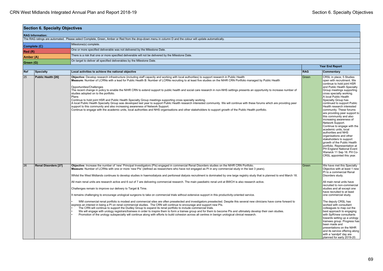|           | <b>Section 6. Specialty Objectives</b> |                                                                                                                                                                                                                                                                                                                                                                                                                                                                                                                                                                                                                                                                                                                                                                                                                                                                                                                                                                                                                                                                                                                                                                                                                                                                                                                                                                                                                                                                                                                                                                                                                                                |            |                                                                                                                                                                                                                                                                                                                                                                                                                                                                                                                                                                                                                                                                                                                           |
|-----------|----------------------------------------|------------------------------------------------------------------------------------------------------------------------------------------------------------------------------------------------------------------------------------------------------------------------------------------------------------------------------------------------------------------------------------------------------------------------------------------------------------------------------------------------------------------------------------------------------------------------------------------------------------------------------------------------------------------------------------------------------------------------------------------------------------------------------------------------------------------------------------------------------------------------------------------------------------------------------------------------------------------------------------------------------------------------------------------------------------------------------------------------------------------------------------------------------------------------------------------------------------------------------------------------------------------------------------------------------------------------------------------------------------------------------------------------------------------------------------------------------------------------------------------------------------------------------------------------------------------------------------------------------------------------------------------------|------------|---------------------------------------------------------------------------------------------------------------------------------------------------------------------------------------------------------------------------------------------------------------------------------------------------------------------------------------------------------------------------------------------------------------------------------------------------------------------------------------------------------------------------------------------------------------------------------------------------------------------------------------------------------------------------------------------------------------------------|
|           | <b>RAG Information:</b>                |                                                                                                                                                                                                                                                                                                                                                                                                                                                                                                                                                                                                                                                                                                                                                                                                                                                                                                                                                                                                                                                                                                                                                                                                                                                                                                                                                                                                                                                                                                                                                                                                                                                |            |                                                                                                                                                                                                                                                                                                                                                                                                                                                                                                                                                                                                                                                                                                                           |
|           |                                        | The RAG ratings are automated. Please select Complete, Green, Amber or Red from the drop-down menu in column D and the colour will update automatically.                                                                                                                                                                                                                                                                                                                                                                                                                                                                                                                                                                                                                                                                                                                                                                                                                                                                                                                                                                                                                                                                                                                                                                                                                                                                                                                                                                                                                                                                                       |            |                                                                                                                                                                                                                                                                                                                                                                                                                                                                                                                                                                                                                                                                                                                           |
|           | Complete (C)                           | Milestone(s) complete.                                                                                                                                                                                                                                                                                                                                                                                                                                                                                                                                                                                                                                                                                                                                                                                                                                                                                                                                                                                                                                                                                                                                                                                                                                                                                                                                                                                                                                                                                                                                                                                                                         |            |                                                                                                                                                                                                                                                                                                                                                                                                                                                                                                                                                                                                                                                                                                                           |
| Red(R)    |                                        | One or more specified deliverable was not delivered by the Milestone Date.                                                                                                                                                                                                                                                                                                                                                                                                                                                                                                                                                                                                                                                                                                                                                                                                                                                                                                                                                                                                                                                                                                                                                                                                                                                                                                                                                                                                                                                                                                                                                                     |            |                                                                                                                                                                                                                                                                                                                                                                                                                                                                                                                                                                                                                                                                                                                           |
| Amber (A) |                                        | There is a risk that one or more specified deliverable will not be delivered by the Milestone Date.                                                                                                                                                                                                                                                                                                                                                                                                                                                                                                                                                                                                                                                                                                                                                                                                                                                                                                                                                                                                                                                                                                                                                                                                                                                                                                                                                                                                                                                                                                                                            |            |                                                                                                                                                                                                                                                                                                                                                                                                                                                                                                                                                                                                                                                                                                                           |
| Green (G) |                                        | On target to deliver all specified deliverables by the Milestone Date.                                                                                                                                                                                                                                                                                                                                                                                                                                                                                                                                                                                                                                                                                                                                                                                                                                                                                                                                                                                                                                                                                                                                                                                                                                                                                                                                                                                                                                                                                                                                                                         |            |                                                                                                                                                                                                                                                                                                                                                                                                                                                                                                                                                                                                                                                                                                                           |
|           |                                        |                                                                                                                                                                                                                                                                                                                                                                                                                                                                                                                                                                                                                                                                                                                                                                                                                                                                                                                                                                                                                                                                                                                                                                                                                                                                                                                                                                                                                                                                                                                                                                                                                                                |            | <b>Year End Report</b>                                                                                                                                                                                                                                                                                                                                                                                                                                                                                                                                                                                                                                                                                                    |
| Ref       | <b>Specialty</b>                       | Local activities to achieve the national objective                                                                                                                                                                                                                                                                                                                                                                                                                                                                                                                                                                                                                                                                                                                                                                                                                                                                                                                                                                                                                                                                                                                                                                                                                                                                                                                                                                                                                                                                                                                                                                                             | <b>RAG</b> | Commentary                                                                                                                                                                                                                                                                                                                                                                                                                                                                                                                                                                                                                                                                                                                |
| 25        | Public Health [26]                     | Objective: Develop research infrastructure (including staff capacity and working with local authorities) to support research in Public Health<br>Measure: Number of LCRNs with a lead for Public Health B: Number of LCRNs recruiting to at least five studies on the NIHR CRN Portfolio managed by Public Health<br>Opportunities/Challenges<br>The recent change in policy to enable the NIHR CRN to extend support to public health and social care research in non-NHS settings presents an opportunity to increase number of<br>studies adopted on to the portfolio.<br>Plans<br>Continue to hold joint HSR and Public Health Specialty Group meetings supporting cross specialty working.<br>A local Public Health Specialty Group was developed last year to support Public Health research interested community. We will continue with these forums which are providing peer<br>support to this community and also increasing awareness of Network Support.<br>Continue to engage with the academic units, local authorities and NHS organisations and other stakeholders to support growth of the Public Health portfolio.                                                                                                                                                                                                                                                                                                                                                                                                                                                                                                            | Green      | CRSL in place; 5 Studies<br>open with recruitment. We<br>continue to hold joint HSR<br>and Public Health Specialty<br>Group meetings supporting<br>cross specialty working.<br>A local Public Health<br>Specialty Group has<br>continued to support Public<br>Health research interested<br>community. These forums<br>are providing peer support to<br>this community and also<br>increasing awareness of<br>Network Support.<br>Continue to engage with the<br>academic units, local<br>authorities and NHS<br>organisations and other<br>stakeholders to support<br>growth of the Public Health<br>portfolio. Representation at<br>PH England National Event<br>Warwick 11 Sep 18. PH Co-<br>CRSL appointed this year. |
| 26        | <b>Renal Disorders [27]</b>            | Objective: Increase the number of 'new' Principal Investigators (PIs) engaged in commercial Renal Disorders studies on the NIHR CRN Portfolio.<br>Measure: Number of LCRNs with one or more 'new PIs' (defined as researchers who have not engaged as PI in any commercial study in the last 3 years).<br>Whilst the West Midlands continues to develop studies in haemodialysis and peritoneal dialysis recruitment is dominated by one large registry study that is planned to end March 18.<br>All main renal units are research active and 6 out of 7 are delivering commercial research. The main paediatric renal unit at BWCH is also research active.<br>Challenges remain to improve our delivery to Target & Time.<br>It remains challenging to encourage urological surgeons to take on commercial trials without extensive support in this productivity-oriented service.<br>WM commercial renal portfolio is modest and commercial sites are often preselected and investigators preselected. Despite this several new clinicians have come forward to<br>express an interest in being a PI on renal commercial studies. The CRN will continue to encourage and support new PIs.<br>The CRN will continue to support the Dudley Group to expand its renal portfolio to include commercial trials.<br>We will engage with urology registrars/trainees in order to inspire them to form a trainee group and for them to become PIs and ultimately develop their own studies.<br>Promotion of the urology subspecialty will continue along with efforts to build cohesion across all centres in benign urological clinical research. | Green      | We have met this Specialty<br>Objective with at least 1 new<br>PI to a commercial Renal<br>Disorders study.<br>All main renal units have<br>recruited to non-commercial<br>studies and all except one<br>have recruited to at least<br>one commercial study.<br>The deputy CRSL has<br>worked with consultant<br>colleagues to map out the<br>best approach to engaging<br>with SpR/new consultants<br>towards setting up a urology<br>trainees group. Progress has<br>been made and<br>presentations on the NIHR<br>and its service offering along<br>with a 'sandpit' day are<br>planned for early 2019-20.                                                                                                             |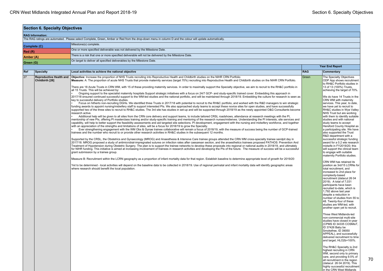|                                                                                                  | <b>Section 6. Specialty Objectives</b>            |                                                                                                                                                                                                                                                                                                                                                                                                                                                                                                                                                                                                                                                                                                                                                                                                                                                                                                                                                                                                                                                                                                                                                                                                                                                                                                                                                                                                                                                                                                                                                                                                                                                                                                                                                                                                                                                                                                                                                                                                                                                                                                                                                                                                                                                                                                                                                                                                                                                                                                                                                                                                                                                                                                                                                                                                                                                                                                                                                                                                                                                                                                                                                                                                                                                                                                                                                                                                                                                                                                                                                                                                                                                                                                                                                                                                               |            |                                                                                                                                                                                                                                                                                                                                                                                                                                                                                                                                                                                                                                                                                                                                                                                                                                                                                                                                                                                                                                                                                                                                                                                                                                                                                                                                                                                                                                     |
|--------------------------------------------------------------------------------------------------|---------------------------------------------------|---------------------------------------------------------------------------------------------------------------------------------------------------------------------------------------------------------------------------------------------------------------------------------------------------------------------------------------------------------------------------------------------------------------------------------------------------------------------------------------------------------------------------------------------------------------------------------------------------------------------------------------------------------------------------------------------------------------------------------------------------------------------------------------------------------------------------------------------------------------------------------------------------------------------------------------------------------------------------------------------------------------------------------------------------------------------------------------------------------------------------------------------------------------------------------------------------------------------------------------------------------------------------------------------------------------------------------------------------------------------------------------------------------------------------------------------------------------------------------------------------------------------------------------------------------------------------------------------------------------------------------------------------------------------------------------------------------------------------------------------------------------------------------------------------------------------------------------------------------------------------------------------------------------------------------------------------------------------------------------------------------------------------------------------------------------------------------------------------------------------------------------------------------------------------------------------------------------------------------------------------------------------------------------------------------------------------------------------------------------------------------------------------------------------------------------------------------------------------------------------------------------------------------------------------------------------------------------------------------------------------------------------------------------------------------------------------------------------------------------------------------------------------------------------------------------------------------------------------------------------------------------------------------------------------------------------------------------------------------------------------------------------------------------------------------------------------------------------------------------------------------------------------------------------------------------------------------------------------------------------------------------------------------------------------------------------------------------------------------------------------------------------------------------------------------------------------------------------------------------------------------------------------------------------------------------------------------------------------------------------------------------------------------------------------------------------------------------------------------------------------------------------------------------------------------------|------------|-------------------------------------------------------------------------------------------------------------------------------------------------------------------------------------------------------------------------------------------------------------------------------------------------------------------------------------------------------------------------------------------------------------------------------------------------------------------------------------------------------------------------------------------------------------------------------------------------------------------------------------------------------------------------------------------------------------------------------------------------------------------------------------------------------------------------------------------------------------------------------------------------------------------------------------------------------------------------------------------------------------------------------------------------------------------------------------------------------------------------------------------------------------------------------------------------------------------------------------------------------------------------------------------------------------------------------------------------------------------------------------------------------------------------------------|
|                                                                                                  | <b>RAG Information:</b>                           |                                                                                                                                                                                                                                                                                                                                                                                                                                                                                                                                                                                                                                                                                                                                                                                                                                                                                                                                                                                                                                                                                                                                                                                                                                                                                                                                                                                                                                                                                                                                                                                                                                                                                                                                                                                                                                                                                                                                                                                                                                                                                                                                                                                                                                                                                                                                                                                                                                                                                                                                                                                                                                                                                                                                                                                                                                                                                                                                                                                                                                                                                                                                                                                                                                                                                                                                                                                                                                                                                                                                                                                                                                                                                                                                                                                                               |            |                                                                                                                                                                                                                                                                                                                                                                                                                                                                                                                                                                                                                                                                                                                                                                                                                                                                                                                                                                                                                                                                                                                                                                                                                                                                                                                                                                                                                                     |
|                                                                                                  |                                                   | The RAG ratings are automated. Please select Complete, Green, Amber or Red from the drop-down menu in column D and the colour will update automatically.                                                                                                                                                                                                                                                                                                                                                                                                                                                                                                                                                                                                                                                                                                                                                                                                                                                                                                                                                                                                                                                                                                                                                                                                                                                                                                                                                                                                                                                                                                                                                                                                                                                                                                                                                                                                                                                                                                                                                                                                                                                                                                                                                                                                                                                                                                                                                                                                                                                                                                                                                                                                                                                                                                                                                                                                                                                                                                                                                                                                                                                                                                                                                                                                                                                                                                                                                                                                                                                                                                                                                                                                                                                      |            |                                                                                                                                                                                                                                                                                                                                                                                                                                                                                                                                                                                                                                                                                                                                                                                                                                                                                                                                                                                                                                                                                                                                                                                                                                                                                                                                                                                                                                     |
| Complete (C)                                                                                     |                                                   | Milestone(s) complete.                                                                                                                                                                                                                                                                                                                                                                                                                                                                                                                                                                                                                                                                                                                                                                                                                                                                                                                                                                                                                                                                                                                                                                                                                                                                                                                                                                                                                                                                                                                                                                                                                                                                                                                                                                                                                                                                                                                                                                                                                                                                                                                                                                                                                                                                                                                                                                                                                                                                                                                                                                                                                                                                                                                                                                                                                                                                                                                                                                                                                                                                                                                                                                                                                                                                                                                                                                                                                                                                                                                                                                                                                                                                                                                                                                                        |            |                                                                                                                                                                                                                                                                                                                                                                                                                                                                                                                                                                                                                                                                                                                                                                                                                                                                                                                                                                                                                                                                                                                                                                                                                                                                                                                                                                                                                                     |
| Red(R)                                                                                           |                                                   | One or more specified deliverable was not delivered by the Milestone Date.                                                                                                                                                                                                                                                                                                                                                                                                                                                                                                                                                                                                                                                                                                                                                                                                                                                                                                                                                                                                                                                                                                                                                                                                                                                                                                                                                                                                                                                                                                                                                                                                                                                                                                                                                                                                                                                                                                                                                                                                                                                                                                                                                                                                                                                                                                                                                                                                                                                                                                                                                                                                                                                                                                                                                                                                                                                                                                                                                                                                                                                                                                                                                                                                                                                                                                                                                                                                                                                                                                                                                                                                                                                                                                                                    |            |                                                                                                                                                                                                                                                                                                                                                                                                                                                                                                                                                                                                                                                                                                                                                                                                                                                                                                                                                                                                                                                                                                                                                                                                                                                                                                                                                                                                                                     |
|                                                                                                  |                                                   | There is a risk that one or more specified deliverable will not be delivered by the Milestone Date.                                                                                                                                                                                                                                                                                                                                                                                                                                                                                                                                                                                                                                                                                                                                                                                                                                                                                                                                                                                                                                                                                                                                                                                                                                                                                                                                                                                                                                                                                                                                                                                                                                                                                                                                                                                                                                                                                                                                                                                                                                                                                                                                                                                                                                                                                                                                                                                                                                                                                                                                                                                                                                                                                                                                                                                                                                                                                                                                                                                                                                                                                                                                                                                                                                                                                                                                                                                                                                                                                                                                                                                                                                                                                                           |            |                                                                                                                                                                                                                                                                                                                                                                                                                                                                                                                                                                                                                                                                                                                                                                                                                                                                                                                                                                                                                                                                                                                                                                                                                                                                                                                                                                                                                                     |
| Amber (A)<br>On target to deliver all specified deliverables by the Milestone Date.<br>Green (G) |                                                   |                                                                                                                                                                                                                                                                                                                                                                                                                                                                                                                                                                                                                                                                                                                                                                                                                                                                                                                                                                                                                                                                                                                                                                                                                                                                                                                                                                                                                                                                                                                                                                                                                                                                                                                                                                                                                                                                                                                                                                                                                                                                                                                                                                                                                                                                                                                                                                                                                                                                                                                                                                                                                                                                                                                                                                                                                                                                                                                                                                                                                                                                                                                                                                                                                                                                                                                                                                                                                                                                                                                                                                                                                                                                                                                                                                                                               |            |                                                                                                                                                                                                                                                                                                                                                                                                                                                                                                                                                                                                                                                                                                                                                                                                                                                                                                                                                                                                                                                                                                                                                                                                                                                                                                                                                                                                                                     |
|                                                                                                  |                                                   |                                                                                                                                                                                                                                                                                                                                                                                                                                                                                                                                                                                                                                                                                                                                                                                                                                                                                                                                                                                                                                                                                                                                                                                                                                                                                                                                                                                                                                                                                                                                                                                                                                                                                                                                                                                                                                                                                                                                                                                                                                                                                                                                                                                                                                                                                                                                                                                                                                                                                                                                                                                                                                                                                                                                                                                                                                                                                                                                                                                                                                                                                                                                                                                                                                                                                                                                                                                                                                                                                                                                                                                                                                                                                                                                                                                                               |            | <b>Year End Report</b>                                                                                                                                                                                                                                                                                                                                                                                                                                                                                                                                                                                                                                                                                                                                                                                                                                                                                                                                                                                                                                                                                                                                                                                                                                                                                                                                                                                                              |
| Ref                                                                                              | Specialty                                         | Local activities to achieve the national objective                                                                                                                                                                                                                                                                                                                                                                                                                                                                                                                                                                                                                                                                                                                                                                                                                                                                                                                                                                                                                                                                                                                                                                                                                                                                                                                                                                                                                                                                                                                                                                                                                                                                                                                                                                                                                                                                                                                                                                                                                                                                                                                                                                                                                                                                                                                                                                                                                                                                                                                                                                                                                                                                                                                                                                                                                                                                                                                                                                                                                                                                                                                                                                                                                                                                                                                                                                                                                                                                                                                                                                                                                                                                                                                                                            | <b>RAG</b> | Commentary                                                                                                                                                                                                                                                                                                                                                                                                                                                                                                                                                                                                                                                                                                                                                                                                                                                                                                                                                                                                                                                                                                                                                                                                                                                                                                                                                                                                                          |
| 27                                                                                               | <b>Reproductive Health and</b><br>Childbirth [28] | Objective: Increase the proportion of NHS Trusts recruiting into Reproductive Health and Childbirth studies on the NIHR CRN Portfolio<br>Measure: A: The proportion of acute NHS Trusts that provide maternity services (target 70%) recruiting into Reproductive Health and Childbirth studies on the NIHR CRN Portfolio.<br>There are 18 Acute Trusts in CRN WM, with 15 of these providing maternity services. In order to maximally support the Specialty objective, we aim to recruit to the RH&C portfolio in<br>all 15 Trusts. This will be achieved by:<br>Ongoing support to the specialist maternity hospitals Support strategic initiatives with a focus on 24/7 GCP- and study-specific trained cover. Embedding this approach in<br>2017/18 ensured continued successful support to the WM-led studies and the national portfolio, and will be maintained through 2018/19. Embedding the culture for research is seen as<br>key to successful delivery of Portfolio studies.<br>Focus on hitherto non-recruiting DGHs. We identified three Trusts in 2017/18 with potential to recruit to the RH&C portfolio, and worked with the R&D managers to win strategic<br>funding awards to appoint nursing/midwifery staff to support interested PIs. We also approached study teams to accept these novice sites for open studies, and have successfully<br>supported two of the three sites to recruit to RH&C studies. The 3rd site has studies in set-up and will be supported through 2018/19 as the newly appointed O&G Consultants become<br>research active.<br>Additional help will be given to all sites from the CRN core delivery and support teams, to include tailored CRSL roadshows, attendance at research meetings with the PI,<br>mentorship of new PIs, offering PI masterclass training and/or study-specific training and mentoring of the research nurses/midwives. Understanding the PI interests, site services and<br>capability, will help to better support the feasibility assessments and aid targeted site selections. PI development, engagement with the nursing and midwifery workforce, and together<br>with an appreciation of the strengths and limitations of sites, will be a focus for 2018/19 to grow the Specialty.<br>Ever strengthening engagement with the WM Obs & Gynae trainee collaborative will remain a focus of 2018/19, with the measure of success being the number of GCP-trained<br>trainees and the number who recruit to or provide other research activities in RH&C studies in the subsequent 12 months.<br>Supported by the CRSL, the Obstetrics and Gynaecology (MROG) and Anaesthesia & Intensive Care trainee groups attended the CRN WM cross-specialty trainee sandpit day in<br>2017/18. MROG proposed a study of antimicrobial-impregnated sutures on infection rates after caesarean section, and the anaesthetics trainees proposed PATHOS: Prevention And<br>Treatment of Hypotension during Obstetric Surgery. The plan is to support the trainee networks to develop these proposals into regional or national audits in 2018/19, and ultimately<br>for NIHR funding. This initiative is aimed at increasing involvement of trainees in research activities and developing the PIs of the future. The measure of success will be a successful<br>grant submission by a trainee group.<br>Measure B: Recruitment within the LCRN geography as a proportion of infant mortality data for that region. Establish baseline to determine appropriate level of growth for 2019/20<br>Yet to be determined - local activities will depend on the baseline data to be collected in 2018/19. Use of regional perinatal and infant mortality data will identify geographic areas<br>where research should benefit the local population. | Green      | The Specialty Objectives<br>ODP App shows recruitment<br>to RH&C Portfolio studies in<br>13 of 13 (100%) Trusts,<br>achieving the target of 70%.<br>We do have 14 Trusts in the<br>CRN WM with maternity<br>services. This year, to date,<br>we have yet to recruit to<br>RH&C studies in Wye Valley<br>NHS Trust but are working<br>with them to identify suitable<br>studies and with national<br>study teams to accept<br>Hereford County Hospital as<br>a participating site. We have<br>also supported the Trust<br>R&D department with a<br>successful strategic funding<br>award for a 0.2 wte research<br>midwife in FY2019/20; this<br>will support the clinical team<br>to engage with suitable<br>maternity Portfolio studies.<br>CRN WM has retained its<br>position as 3rd/15 LCRNs for<br>total recruitment, and<br>increased to 2nd place for<br>complexity-based<br>recruitment (datacut 26 04<br>2019). A total of 7,031<br>participants have been<br>recruited to-date, which is<br>1,792 above last year<br>despite a reduction in<br>number of studies from 55 to<br>48. Twenty-four of these<br>studies are WM-led, with<br>another open yet to recruit.<br>Three West Midlands-led<br>non-commercial multi-site<br>studies have closed in-year<br>(CPMS ID 34335 COSMisT,<br>ID 37426 Baby be<br>Smokefree, ID 39050<br>APPEAL), and successfully<br>delivered recruitment to time<br>and target; HLO2b=100%. |
|                                                                                                  |                                                   |                                                                                                                                                                                                                                                                                                                                                                                                                                                                                                                                                                                                                                                                                                                                                                                                                                                                                                                                                                                                                                                                                                                                                                                                                                                                                                                                                                                                                                                                                                                                                                                                                                                                                                                                                                                                                                                                                                                                                                                                                                                                                                                                                                                                                                                                                                                                                                                                                                                                                                                                                                                                                                                                                                                                                                                                                                                                                                                                                                                                                                                                                                                                                                                                                                                                                                                                                                                                                                                                                                                                                                                                                                                                                                                                                                                                               |            | The RH&C Specialty is 2nd<br>highest recruiting in CRN<br>WM, second only to primary<br>care, and providing 9.5% of<br>all recruitment in the region<br>(datacut 26 04 2019). This<br>highly successful recruitment<br>in the CRN West Midlands                                                                                                                                                                                                                                                                                                                                                                                                                                                                                                                                                                                                                                                                                                                                                                                                                                                                                                                                                                                                                                                                                                                                                                                     |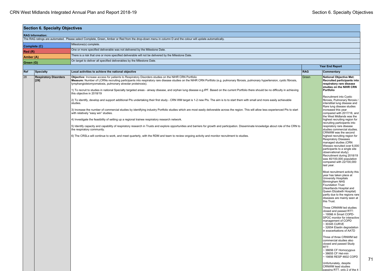|                         | <b>Section 6. Specialty Objectives</b> |                                                                                                                                                                                                                                                                                                                                                         |            |                                                                                                                                                                                                                                                                                    |
|-------------------------|----------------------------------------|---------------------------------------------------------------------------------------------------------------------------------------------------------------------------------------------------------------------------------------------------------------------------------------------------------------------------------------------------------|------------|------------------------------------------------------------------------------------------------------------------------------------------------------------------------------------------------------------------------------------------------------------------------------------|
| <b>RAG Information:</b> |                                        |                                                                                                                                                                                                                                                                                                                                                         |            |                                                                                                                                                                                                                                                                                    |
|                         |                                        | The RAG ratings are automated. Please select Complete, Green, Amber or Red from the drop-down menu in column D and the colour will update automatically.                                                                                                                                                                                                |            |                                                                                                                                                                                                                                                                                    |
|                         | Complete (C)                           | Milestone(s) complete.                                                                                                                                                                                                                                                                                                                                  |            |                                                                                                                                                                                                                                                                                    |
| Red(R)                  |                                        | One or more specified deliverable was not delivered by the Milestone Date.                                                                                                                                                                                                                                                                              |            |                                                                                                                                                                                                                                                                                    |
| Amber (A)               |                                        | There is a risk that one or more specified deliverable will not be delivered by the Milestone Date                                                                                                                                                                                                                                                      |            |                                                                                                                                                                                                                                                                                    |
| Green (G)               |                                        | On target to deliver all specified deliverables by the Milestone Date.                                                                                                                                                                                                                                                                                  |            |                                                                                                                                                                                                                                                                                    |
|                         |                                        |                                                                                                                                                                                                                                                                                                                                                         |            | <b>Year End Report</b>                                                                                                                                                                                                                                                             |
| Ref                     | <b>Specialty</b>                       | Local activities to achieve the national objective                                                                                                                                                                                                                                                                                                      | <b>RAG</b> | Commentary                                                                                                                                                                                                                                                                         |
| 28                      | <b>Respiratory Disorders</b><br>[29]   | Objective: Increase access for patients to Respiratory Disorders studies on the NIHR CRN Portfolio<br>Measure: Number of LCRNs recruiting participants into respiratory rare disease studies on the NIHR CRN Portfolio (e.g. pulmonary fibrosis, pulmonary hypertension, cystic fibrosis,<br>lymphangioleiomyomatosis, pulmonary alveolar proteinosis). | Green      | <b>National Objective Met:</b><br>Recruited participants into<br>respiratory rare disease<br>studies on the NIHR CRN                                                                                                                                                               |
|                         |                                        | 1) To recruit to studies in national Specialty targeted areas - airway disease, and orphan lung disease e.g.IPF. Based on the current Portfolio there should be no difficulty in achieving<br>this objective in 2018/19                                                                                                                                 |            | Portfolio<br>Recruitment into Cystic                                                                                                                                                                                                                                               |
|                         |                                        | [2] To identify, develop and support additional PIs undertaking their first study - CRN WM target is 1-2 new PIs. The aim is to to start them with small and more easily achievable<br>studies.                                                                                                                                                         |            | fibrosis, Pulmonary fibrosis /<br>interstitial lung disease and<br>Rare lung disease studies                                                                                                                                                                                       |
|                         |                                        | 3) Increase the number of commercial studies by identifying industry Portfolio studies which are most easily deliverable across the region. This will allow less experienced PIs to start<br>with relatively "easy win" studies.                                                                                                                        |            | increased this year<br>compared with 2017/18, and<br>the West Midlands was the                                                                                                                                                                                                     |
|                         |                                        | [4] Investigate the feasibility of setting up a regional trainee respiratory research network.                                                                                                                                                                                                                                                          |            | highest recruiting region for                                                                                                                                                                                                                                                      |
|                         |                                        | 5) Identify capacity and capability of respiratory research in Trusts and explore opportunities and barriers for growth and participation. Disseminate knowledge about role of the CRN to<br>the respiratory community.                                                                                                                                 |            | recruiting participants into<br>respiratory rare disease<br>studies commercial studies.<br>CRNWM was the second                                                                                                                                                                    |
|                         |                                        | 6) The CRSLs will continue to work, and meet quarterly, with the RDM and team to review ongoing activity and monitor recruitment to studies.                                                                                                                                                                                                            |            | highest recruiting region for<br><b>Respiratory Diseases</b><br>managed studies (CRN<br>Wessex recruited over 6,000<br>participants to a single site<br>observational study).<br>Recruitment during 2018/19<br>was 40/100,000 population<br>compared with 22/100,000<br>last year. |
|                         |                                        |                                                                                                                                                                                                                                                                                                                                                         |            | Most recruitment activity this<br>year has taken place at<br>University Hospitals<br>Birmingham NHS<br><b>Foundation Trust</b><br>(Heartlands Hospital and<br>Queen Elizabeth Hospital)<br>partly due to the regions rare<br>diseases are mainly seen at<br>this Trust.            |
|                         |                                        |                                                                                                                                                                                                                                                                                                                                                         |            | Three CRNWM led studies<br>closed and passed RTT:<br>~19566 A Smart COPD-<br>SPOC monitor for interactive<br>management of COPD<br>~30345 CURVE<br>~32654 Elastin degradation<br>in exacerbations of AATD                                                                          |
|                         |                                        |                                                                                                                                                                                                                                                                                                                                                         |            | Three of three CRNWM led<br>commercial studies also<br>closed and passed Study<br>RTT:<br>~38656 CF Homozygous<br>~38655 CF Het-min<br>~19856 RESP 4602 COPD<br>Unfortunately, despite                                                                                             |
|                         |                                        |                                                                                                                                                                                                                                                                                                                                                         |            | <b>CRNWM</b> lead studies<br>passing RTT, only 2 of the 4                                                                                                                                                                                                                          |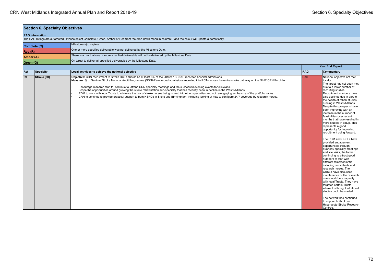|           | <b>Section 6. Specialty Objectives</b> |                                                                                                                                                                                                                                                                                                                                                                                                                                                                                                                                                                                                                                                                                                                                                                                                                                                                                                 |            |                                                                                                                                                                                                                                                                                                                                                                                                                                                                                                                                                                                                                                                                                                                                                                                                                                                                                                                                                                                                                                                                                                                     |
|-----------|----------------------------------------|-------------------------------------------------------------------------------------------------------------------------------------------------------------------------------------------------------------------------------------------------------------------------------------------------------------------------------------------------------------------------------------------------------------------------------------------------------------------------------------------------------------------------------------------------------------------------------------------------------------------------------------------------------------------------------------------------------------------------------------------------------------------------------------------------------------------------------------------------------------------------------------------------|------------|---------------------------------------------------------------------------------------------------------------------------------------------------------------------------------------------------------------------------------------------------------------------------------------------------------------------------------------------------------------------------------------------------------------------------------------------------------------------------------------------------------------------------------------------------------------------------------------------------------------------------------------------------------------------------------------------------------------------------------------------------------------------------------------------------------------------------------------------------------------------------------------------------------------------------------------------------------------------------------------------------------------------------------------------------------------------------------------------------------------------|
|           | <b>RAG Information:</b>                |                                                                                                                                                                                                                                                                                                                                                                                                                                                                                                                                                                                                                                                                                                                                                                                                                                                                                                 |            |                                                                                                                                                                                                                                                                                                                                                                                                                                                                                                                                                                                                                                                                                                                                                                                                                                                                                                                                                                                                                                                                                                                     |
|           |                                        | The RAG ratings are automated. Please select Complete, Green, Amber or Red from the drop-down menu in column D and the colour will update automatically.                                                                                                                                                                                                                                                                                                                                                                                                                                                                                                                                                                                                                                                                                                                                        |            |                                                                                                                                                                                                                                                                                                                                                                                                                                                                                                                                                                                                                                                                                                                                                                                                                                                                                                                                                                                                                                                                                                                     |
|           | Complete (C)                           | Milestone(s) complete.                                                                                                                                                                                                                                                                                                                                                                                                                                                                                                                                                                                                                                                                                                                                                                                                                                                                          |            |                                                                                                                                                                                                                                                                                                                                                                                                                                                                                                                                                                                                                                                                                                                                                                                                                                                                                                                                                                                                                                                                                                                     |
| Red (R)   |                                        | One or more specified deliverable was not delivered by the Milestone Date.                                                                                                                                                                                                                                                                                                                                                                                                                                                                                                                                                                                                                                                                                                                                                                                                                      |            |                                                                                                                                                                                                                                                                                                                                                                                                                                                                                                                                                                                                                                                                                                                                                                                                                                                                                                                                                                                                                                                                                                                     |
| Amber (A) |                                        | There is a risk that one or more specified deliverable will not be delivered by the Milestone Date.                                                                                                                                                                                                                                                                                                                                                                                                                                                                                                                                                                                                                                                                                                                                                                                             |            |                                                                                                                                                                                                                                                                                                                                                                                                                                                                                                                                                                                                                                                                                                                                                                                                                                                                                                                                                                                                                                                                                                                     |
| Green (G) |                                        | On target to deliver all specified deliverables by the Milestone Date.                                                                                                                                                                                                                                                                                                                                                                                                                                                                                                                                                                                                                                                                                                                                                                                                                          |            |                                                                                                                                                                                                                                                                                                                                                                                                                                                                                                                                                                                                                                                                                                                                                                                                                                                                                                                                                                                                                                                                                                                     |
|           |                                        |                                                                                                                                                                                                                                                                                                                                                                                                                                                                                                                                                                                                                                                                                                                                                                                                                                                                                                 |            | <b>Year End Report</b>                                                                                                                                                                                                                                                                                                                                                                                                                                                                                                                                                                                                                                                                                                                                                                                                                                                                                                                                                                                                                                                                                              |
| Ref       | <b>Specialty</b>                       | Local activities to achieve the national objective                                                                                                                                                                                                                                                                                                                                                                                                                                                                                                                                                                                                                                                                                                                                                                                                                                              | <b>RAG</b> | Commentary                                                                                                                                                                                                                                                                                                                                                                                                                                                                                                                                                                                                                                                                                                                                                                                                                                                                                                                                                                                                                                                                                                          |
| 29        | Stroke [30]                            | Objective: CRN recruitment to Stroke RCTs should be at least 8% of the 2016/17 SSNAP recorded hospital admissions.<br>Measure: % of Sentinel Stroke National Audit Programme (SSNAP) recorded admissions recruited into RCTs across the entire stroke pathway on the NIHR CRN Portfolio.<br>Encourage research staff to continue to attend CRN specialty meetings and the successful evening events for clinicians.<br>Scope the opportunities around growing the stroke rehabilitation sub-specialty that has recently been in decline in the West Midlands.<br>RDM to work with local Trusts to minimise the risk of stroke nurses being moved into other specialties and not re-engaging as the size of the portfolio varies.<br>CRN to continue to provide practical support to both HSRCs in Stoke and Birmingham, including looking at how to configure 24/7 coverage by research nurses. | Red        | National objective not met<br>locally:<br>The target has not been met<br>due to a lower number of<br>recruiting studies.<br>Recruitment numbers have<br>also declined due in part to<br>the dearth of rehab studies<br>running in West Midlands.<br>Despite this prospects have<br>been improving with an<br>increase in the number of<br>feasibilities over recent<br>months that have resulted in<br>more studies in setup. This<br>represents a good<br>opportunity for improving<br>recruitment going forward.<br>The RDM and CRSLs have<br>provided engagement<br>opportunities through<br>quarterly specialty meetings<br>and site visits, the former<br>continuing to attract good<br>numbers of staff with<br>different roles/senioritis<br>including consultants and<br>research nurses. The<br>CRSLs have discussed<br>maintenance of the research<br>nurse workforce capacity<br>with local Trusts. They have<br>targeted certain Trusts<br>where it is thought additional<br>studies could be started.<br>The network has continued<br>to support both of our<br>Hyperacute Stroke Research<br>Centres. |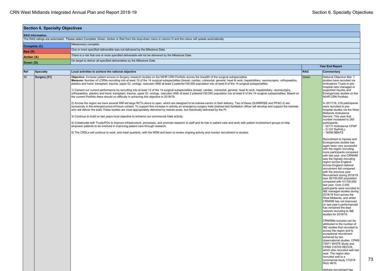| <b>RAG Information:</b><br>The RAG ratings are automated. Please select Complete, Green, Amber or Red from the drop-down menu in column D and the colour will update automatically.<br>Milestone(s) complete.<br>Complete (C)<br>One or more specified deliverable was not delivered by the Milestone Date.<br>Red(R)<br>There is a risk that one or more specified deliverable will not be delivered by the Milestone Date.<br>Amber (A)<br>On target to deliver all specified deliverables by the Milestone Date.<br>Green (G)<br><b>RAG</b><br>Ref<br><b>Specialty</b><br>Local activities to achieve the national objective<br>30<br>Surgery [31]<br>Objective: Increase patient access to Surgery research studies on the NIHR CRN Portfolio across the breadth of the surgical subspecialties<br>Green<br>Measure: Number of LCRNs recruiting into at least 12 of the 14 surgical subspecialties (breast, cardiac, colorectal, general, head & neck, hepatobiliary, neurosurgery, orthopaedics,<br>plastics and hand, transplant, trauma, upper GI, urology, vascular) AND at least 2 patients/100,000 population into at least 6 of the 14 surgical subspecialties<br>1) Cement our current performance by recruiting into at least 12 of the 14 surgical subspecialties (breast, cardiac, colorectal, general, head & neck, hepatobiliary, neurosurgery,<br>orthopaedics, plastics and hand, transplant, trauma, upper GI, urology, vascular) AND at least 2 patients/100,000 population into at least 6 of the 14 surgical subspecialties. Based on<br>the current Portfolio there should no difficulty in achieving this objective in 2018/19.<br>2) Across the region we have several WM led large RCTs about to open, which are designed to be trainee-centric in their delivery. Two of these (SUNRRISE and PPAC-2) are<br>exclusively in the emergency/out-of-hours context. To support this increase in activity an emergency surgery trials (trainee-led) facilitation officer will develop and support the trainees<br>who will deliver the trials. These studies are most appropriately delivered by trainee posts, but historically delivered by the PI.<br>3) Continue to build on last years local objective to enhance our commercial trials activity.<br>4) Collaborate with Trusts/POs to improve infrastructure, processes, and promote research to staff and its role in patient care and work with patient involvement groups to help<br>participants:<br>empower patients to be involved in improving patient care through research.<br>[5] The CRSLs will continue to work, and meet quarterly, with the RDM and team to review ongoing activity and monitor recruitment to studies. | <b>Section 6. Specialty Objectives</b> |                                                                                                                                                                                                                                                                                                                                                                                                                                                                                                                                                                                                                                                                                                                                                                                                                                                                                                                                                                                                                                                                                                                                                                                                                                                                                                                                                                                                                                                                     |  |
|-------------------------------------------------------------------------------------------------------------------------------------------------------------------------------------------------------------------------------------------------------------------------------------------------------------------------------------------------------------------------------------------------------------------------------------------------------------------------------------------------------------------------------------------------------------------------------------------------------------------------------------------------------------------------------------------------------------------------------------------------------------------------------------------------------------------------------------------------------------------------------------------------------------------------------------------------------------------------------------------------------------------------------------------------------------------------------------------------------------------------------------------------------------------------------------------------------------------------------------------------------------------------------------------------------------------------------------------------------------------------------------------------------------------------------------------------------------------------------------------------------------------------------------------------------------------------------------------------------------------------------------------------------------------------------------------------------------------------------------------------------------------------------------------------------------------------------------------------------------------------------------------------------------------------------------------------------------------------------------------------------------------------------------------------------------------------------------------------------------------------------------------------------------------------------------------------------------------------------------------------------------------------------------------------------------------------------------------------------------------------------------------------------------------------------------------------------------------------------------------------------------------------------------------------------------------------------------------------------------------------------------------------------------------------------------------------------------------|----------------------------------------|---------------------------------------------------------------------------------------------------------------------------------------------------------------------------------------------------------------------------------------------------------------------------------------------------------------------------------------------------------------------------------------------------------------------------------------------------------------------------------------------------------------------------------------------------------------------------------------------------------------------------------------------------------------------------------------------------------------------------------------------------------------------------------------------------------------------------------------------------------------------------------------------------------------------------------------------------------------------------------------------------------------------------------------------------------------------------------------------------------------------------------------------------------------------------------------------------------------------------------------------------------------------------------------------------------------------------------------------------------------------------------------------------------------------------------------------------------------------|--|
|                                                                                                                                                                                                                                                                                                                                                                                                                                                                                                                                                                                                                                                                                                                                                                                                                                                                                                                                                                                                                                                                                                                                                                                                                                                                                                                                                                                                                                                                                                                                                                                                                                                                                                                                                                                                                                                                                                                                                                                                                                                                                                                                                                                                                                                                                                                                                                                                                                                                                                                                                                                                                                                                                                                   |                                        |                                                                                                                                                                                                                                                                                                                                                                                                                                                                                                                                                                                                                                                                                                                                                                                                                                                                                                                                                                                                                                                                                                                                                                                                                                                                                                                                                                                                                                                                     |  |
|                                                                                                                                                                                                                                                                                                                                                                                                                                                                                                                                                                                                                                                                                                                                                                                                                                                                                                                                                                                                                                                                                                                                                                                                                                                                                                                                                                                                                                                                                                                                                                                                                                                                                                                                                                                                                                                                                                                                                                                                                                                                                                                                                                                                                                                                                                                                                                                                                                                                                                                                                                                                                                                                                                                   |                                        |                                                                                                                                                                                                                                                                                                                                                                                                                                                                                                                                                                                                                                                                                                                                                                                                                                                                                                                                                                                                                                                                                                                                                                                                                                                                                                                                                                                                                                                                     |  |
|                                                                                                                                                                                                                                                                                                                                                                                                                                                                                                                                                                                                                                                                                                                                                                                                                                                                                                                                                                                                                                                                                                                                                                                                                                                                                                                                                                                                                                                                                                                                                                                                                                                                                                                                                                                                                                                                                                                                                                                                                                                                                                                                                                                                                                                                                                                                                                                                                                                                                                                                                                                                                                                                                                                   |                                        |                                                                                                                                                                                                                                                                                                                                                                                                                                                                                                                                                                                                                                                                                                                                                                                                                                                                                                                                                                                                                                                                                                                                                                                                                                                                                                                                                                                                                                                                     |  |
|                                                                                                                                                                                                                                                                                                                                                                                                                                                                                                                                                                                                                                                                                                                                                                                                                                                                                                                                                                                                                                                                                                                                                                                                                                                                                                                                                                                                                                                                                                                                                                                                                                                                                                                                                                                                                                                                                                                                                                                                                                                                                                                                                                                                                                                                                                                                                                                                                                                                                                                                                                                                                                                                                                                   |                                        |                                                                                                                                                                                                                                                                                                                                                                                                                                                                                                                                                                                                                                                                                                                                                                                                                                                                                                                                                                                                                                                                                                                                                                                                                                                                                                                                                                                                                                                                     |  |
|                                                                                                                                                                                                                                                                                                                                                                                                                                                                                                                                                                                                                                                                                                                                                                                                                                                                                                                                                                                                                                                                                                                                                                                                                                                                                                                                                                                                                                                                                                                                                                                                                                                                                                                                                                                                                                                                                                                                                                                                                                                                                                                                                                                                                                                                                                                                                                                                                                                                                                                                                                                                                                                                                                                   |                                        |                                                                                                                                                                                                                                                                                                                                                                                                                                                                                                                                                                                                                                                                                                                                                                                                                                                                                                                                                                                                                                                                                                                                                                                                                                                                                                                                                                                                                                                                     |  |
|                                                                                                                                                                                                                                                                                                                                                                                                                                                                                                                                                                                                                                                                                                                                                                                                                                                                                                                                                                                                                                                                                                                                                                                                                                                                                                                                                                                                                                                                                                                                                                                                                                                                                                                                                                                                                                                                                                                                                                                                                                                                                                                                                                                                                                                                                                                                                                                                                                                                                                                                                                                                                                                                                                                   |                                        |                                                                                                                                                                                                                                                                                                                                                                                                                                                                                                                                                                                                                                                                                                                                                                                                                                                                                                                                                                                                                                                                                                                                                                                                                                                                                                                                                                                                                                                                     |  |
|                                                                                                                                                                                                                                                                                                                                                                                                                                                                                                                                                                                                                                                                                                                                                                                                                                                                                                                                                                                                                                                                                                                                                                                                                                                                                                                                                                                                                                                                                                                                                                                                                                                                                                                                                                                                                                                                                                                                                                                                                                                                                                                                                                                                                                                                                                                                                                                                                                                                                                                                                                                                                                                                                                                   |                                        | <b>Year End Report</b>                                                                                                                                                                                                                                                                                                                                                                                                                                                                                                                                                                                                                                                                                                                                                                                                                                                                                                                                                                                                                                                                                                                                                                                                                                                                                                                                                                                                                                              |  |
|                                                                                                                                                                                                                                                                                                                                                                                                                                                                                                                                                                                                                                                                                                                                                                                                                                                                                                                                                                                                                                                                                                                                                                                                                                                                                                                                                                                                                                                                                                                                                                                                                                                                                                                                                                                                                                                                                                                                                                                                                                                                                                                                                                                                                                                                                                                                                                                                                                                                                                                                                                                                                                                                                                                   |                                        | Commentary                                                                                                                                                                                                                                                                                                                                                                                                                                                                                                                                                                                                                                                                                                                                                                                                                                                                                                                                                                                                                                                                                                                                                                                                                                                                                                                                                                                                                                                          |  |
|                                                                                                                                                                                                                                                                                                                                                                                                                                                                                                                                                                                                                                                                                                                                                                                                                                                                                                                                                                                                                                                                                                                                                                                                                                                                                                                                                                                                                                                                                                                                                                                                                                                                                                                                                                                                                                                                                                                                                                                                                                                                                                                                                                                                                                                                                                                                                                                                                                                                                                                                                                                                                                                                                                                   |                                        | National Objective Met: 7<br>studies have recruited via<br>Ambulance Trusts to pre-<br>hospital care managed or<br>supported Injuries and<br>Emergencies studies on the<br>NIHR CRN Portfolio<br>In 2017/18, 218 participants<br>were recruited to pre-<br>hospital studies via the West<br>Midlands Ambulance<br>Service. This year that<br>number increased to 265<br>~32117 Ambulance CPAP<br>$\sim$ 31157 RePHILL<br>$\sim$ 16056 BBATS<br>Recruitment to Injuries and<br>Emergencies studies has<br>again been very successful<br>with the region recruiting<br>more participants compared<br>with last year, and CRNWM<br>was the highest recruiting<br>region across England.<br>Across England national<br>recruitment fell compared<br>with the previous year.<br>Recruitment during 2018/19<br>was 35/100,000 population<br>compared with 41/100,000<br>last year. Over 2,000<br>participants were recruited to<br>I&E managed studies during<br>2018/19 from across the<br>West Midlands, and whilst<br>CRNWM has not improved<br>on last year's performanceit<br>has remained the lead<br>network recruiting to I&E<br>studies for 2018/19.<br>CRNWMs success can be<br>attributed to the number of<br>I&E studies that recruited to<br>across the region and to<br>exceptional recruitment<br>achieved by two<br>observational studies. CPMS<br>75971 WHITE Study and<br>CPMS 216703 RECOS,<br>which also recruited well last<br>year. The region also |  |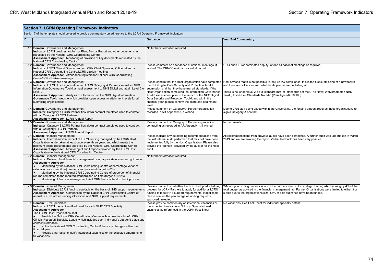|    | <b>Section 7. LCRN Operating Framework Indicators</b>                                                                                                                                                                                                                                                                                                                                                                                                                                                                                                                         |                                                                                                                                                                                                                                                                                                                                                                   |                                                                                                                                                                                                                                                                                                                                                                                                                         |  |  |  |
|----|-------------------------------------------------------------------------------------------------------------------------------------------------------------------------------------------------------------------------------------------------------------------------------------------------------------------------------------------------------------------------------------------------------------------------------------------------------------------------------------------------------------------------------------------------------------------------------|-------------------------------------------------------------------------------------------------------------------------------------------------------------------------------------------------------------------------------------------------------------------------------------------------------------------------------------------------------------------|-------------------------------------------------------------------------------------------------------------------------------------------------------------------------------------------------------------------------------------------------------------------------------------------------------------------------------------------------------------------------------------------------------------------------|--|--|--|
|    | Section 7 of the template should be used to provide commentary on adherence to the LCRN Operating Framework Indicators.                                                                                                                                                                                                                                                                                                                                                                                                                                                       |                                                                                                                                                                                                                                                                                                                                                                   |                                                                                                                                                                                                                                                                                                                                                                                                                         |  |  |  |
| ID |                                                                                                                                                                                                                                                                                                                                                                                                                                                                                                                                                                               | Guidance                                                                                                                                                                                                                                                                                                                                                          | <b>Year End Commentary</b>                                                                                                                                                                                                                                                                                                                                                                                              |  |  |  |
|    | 1.1 Domain: Governance and Management<br>Indicator: LCRN provides an Annual Plan, Annual Report and other documents as<br>requested by the National CRN Coordinating Centre<br>Assessment Approach: Monitoring of provision of key documents requested by the<br>National CRN Coordinating Centre                                                                                                                                                                                                                                                                             | No further information required                                                                                                                                                                                                                                                                                                                                   |                                                                                                                                                                                                                                                                                                                                                                                                                         |  |  |  |
|    | 1.2 Domain: Governance and Management<br>Indicator: LCRN Clinical Director and/or LCRN Chief Operating Officer attend all<br>National CRN Coordinating Centre/LCRN Liaison meetings<br>Assessment Approach: Attendance registers for National CRN Coordinating<br>Centre/LCRN Liaison meetings                                                                                                                                                                                                                                                                                | Please comment on attendance at national meetings, if<br>wished. The CRNCC maintain a central record                                                                                                                                                                                                                                                              | COO and CD (or nominated deputy) attend all national meetings as required.                                                                                                                                                                                                                                                                                                                                              |  |  |  |
|    | 1.3 Domain: Governance and Management<br>Indicator: LCRN Host Organisation and LCRN Category A Partners submit an NHS<br>Information Governance Toolkit annual assessment to NHS Digital and attain Level 2 or<br>Level 3<br>Assessment Approach: Analysis of information on the NHS Digital Information<br>Governance Toolkit website which provides open access to attainment levels for all<br>submitting organisations                                                                                                                                                    | the NHS Digital Data Security and Protection Toolkit<br>submission and that they have met all standards. If the<br>Host Organisation completed the Information Governance<br>Toolkit assessment prior to the launch of the NHS Digital<br>Data Security and Protection Toolkit and within the<br>financial year, please confirm the score and attainment<br>level | Please confirm that the Host Organisation have completed   Host advised that it is not possible to look up PO compliance; this is the first submission of a new toolkit<br>and there are still issues with what levels people are publishing at.<br>There is no longer level 2/3 but 'standard met' or 'standards not met'. The Royal Wolverhampton NHS<br>Trust (Host) RL4 - Standards Not Met (Plan Agreed) (96/100). |  |  |  |
|    | 1.4 Domain: Governance and Management<br>Indicator: Category A LCRN Partner flow down contract templates used to contract<br>with all Category A LCRN Partners<br>Assessment Approach: LCRN Annual Report                                                                                                                                                                                                                                                                                                                                                                     | Please comment on Category A Partner organisation<br>recorded in AR Appendix 3, if wished                                                                                                                                                                                                                                                                         | Due to CRN staff being based within the Universities, the funding amount requires these organisations to<br>sign a Category A contract.                                                                                                                                                                                                                                                                                 |  |  |  |
|    | 1.5 Domain: Governance and Management<br>Indicator: Category B LCRN Partner flow down contract templates used to contract<br>with all Category B LCRN Partners<br>Assessment Approach: LCRN Annual Report                                                                                                                                                                                                                                                                                                                                                                     | Please comment on Category B Partner organisation<br>contracting as recorded in AR Appendix 1, if wished                                                                                                                                                                                                                                                          | No comments.                                                                                                                                                                                                                                                                                                                                                                                                            |  |  |  |
|    | 2.1 Domain: Financial Management<br>Indicator: Internal audit in respect of LCRN funding managed by the LCRN Host<br>Organisation, undertaken at least once every three years and which meets the<br>minimum scope requirements specified by the National CRN Coordinating Centre<br>Assessment Approach: Monitoring of audit reports provided by the LCRN Host<br>Organisation to the National CRN Coordinating Centre                                                                                                                                                       | Please indicate any outstanding recommendations from<br>the last internal audit performed that may not have been<br>implemented fully by the Host Organisation. Please also<br>provide the "opinion" provided by the auditor for the Host<br>audit                                                                                                                | All recommendations from previous audits have been completed. A further audit was undertaken in March<br>2019 and we are awaiting the report. Verbal feedback has been very positive.                                                                                                                                                                                                                                   |  |  |  |
|    | 2.2 Domain: Financial Management<br>Indicator: Deliver robust financial management using appropriate tools and quidance<br><b>Assessment Approach:</b><br>Monitoring by the National CRN Coordinating Centre of percentage variance<br>(allocation vs expenditure) quarterly and year-end (target is 0%)<br>Monitoring by the National CRN Coordinating Centre of proportion of financial<br>returns completed to the required standard and on time (target is 100%)<br>Monitoring of financial management via LCRN financial health check process                            | No further information required                                                                                                                                                                                                                                                                                                                                   |                                                                                                                                                                                                                                                                                                                                                                                                                         |  |  |  |
|    | 2.3 Domain: Financial Management<br>Indicator: Distribute LCRN funding equitably on the basis of NHS support requirements<br>Assessment Approach: Comparison by the National CRN Coordinating Centre of<br>annual LCRN Partner funding allocations and NHS Support requirements                                                                                                                                                                                                                                                                                               | Please comment on whether the LCRN adopted a bidding<br>process for LCRN Partners to apply for additional LCRN<br>funding to meet NHS support requirements. If applicable,<br>please confirm the percentage of funding requests<br>approved / rejected                                                                                                            | WM adopt a bidding process in which the partners can bid for strategic funding which is roughly 4% of the<br>total budget as advised in the financial management tab. Partner Organisations were limited to either 3 or<br>5 bids due to the organisations size. 56% of bids submitted have been funded.                                                                                                                |  |  |  |
|    | 3.1 Domain: CRN Specialties<br>Indicator: LCRN has an identified Lead for each NIHR CRN Specialty<br><b>Assessment Approach:</b><br>The LCRN Host Organisation shall:<br>Provide the National CRN Coordinating Centre with access to a list of LCRN<br>Clinical Research Specialty Leads, which includes each individual's start/end dates and<br>contact information<br>Notify the National CRN Coordinating Centre if there are changes within the<br>financial year<br>Provide a narrative to justify intentional vacancies or the expected timeframe to<br>fill vacancies | Please provide commentary on intentional vacancies or<br>the expected timeframe to fill Local Specialty Lead<br>vacancies as referenced in the LCRN Fact Sheet                                                                                                                                                                                                    | No vacancies. See Fact Sheet for individual specialty details.                                                                                                                                                                                                                                                                                                                                                          |  |  |  |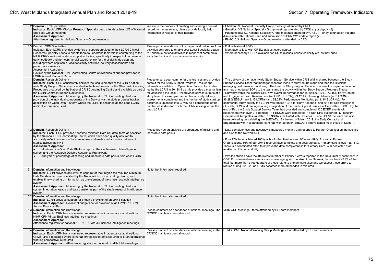| 3.2 Domain: CRN Specialties<br>Indicator: Each LCRN Clinical Research Specialty Lead attends at least 2/3 of National<br><b>Specialty Group meetings</b><br><b>Assessment Approach:</b><br>Attendance registers for National Specialty Group meetings                                                                                                                                                                                                                                                                                                                                                                                                                                                                                            | We are in the process of creating and sharing a central<br>record. In the meantime, please provide locally held<br>information in respect of this indicator                                                                                                                                                                                                                                                                         | Children: 3/3 National Specialty Group meetings attended by CRSL<br>Genetics: 3/3 National Specialty Group meetings attended by CRSL (1) or deputy (2)<br>Haematology: 3/3 National Specialty Group meetings attended by CRSL (1) or by contribution via prior<br>discussion with National Lead and submission of CRN WM update report (2)<br>RH&C: 3/3 National Specialty Group meetings attended by CRSL                                                                                                                                                                                                                                                                                                                                                                                                                                                                                                                                                                                                                                                                                                                                                                                                                                                                                                                                                                                                                           |
|--------------------------------------------------------------------------------------------------------------------------------------------------------------------------------------------------------------------------------------------------------------------------------------------------------------------------------------------------------------------------------------------------------------------------------------------------------------------------------------------------------------------------------------------------------------------------------------------------------------------------------------------------------------------------------------------------------------------------------------------------|-------------------------------------------------------------------------------------------------------------------------------------------------------------------------------------------------------------------------------------------------------------------------------------------------------------------------------------------------------------------------------------------------------------------------------------|--------------------------------------------------------------------------------------------------------------------------------------------------------------------------------------------------------------------------------------------------------------------------------------------------------------------------------------------------------------------------------------------------------------------------------------------------------------------------------------------------------------------------------------------------------------------------------------------------------------------------------------------------------------------------------------------------------------------------------------------------------------------------------------------------------------------------------------------------------------------------------------------------------------------------------------------------------------------------------------------------------------------------------------------------------------------------------------------------------------------------------------------------------------------------------------------------------------------------------------------------------------------------------------------------------------------------------------------------------------------------------------------------------------------------------------|
| 3.3 Domain: CRN Specialties<br>Indicator: Each LCRN provides evidence of support provided to their LCRN Clinical<br>Research Specialty Leads to enable them to undertake their role in contributing to the<br>NIHR CRN's nationwide study support activities, specifically in respect of commercial<br>early feedback and non-commercial expert review for the eligibility decision and<br>including where applicable, local feasibility activities, delivery assessments and<br>performance reviews<br>Assessment Approach:<br>Review by the National CRN Coordinating Centre of evidence of support provided in<br><b>LCRN Annual Plan and Report</b>                                                                                          | Please provide evidence of the impact and outcomes from<br>activities delivered to enable your Local Speciality Leads<br>to undertake national activities in respect of commercial<br>early feedback and non-commercial adoption                                                                                                                                                                                                    | <b>Follow National SOPs</b><br>Meet face-to-face with CRSLs at least every quarter<br>Where necessary CRSLs available for T/C to discuss issues/feasibility etc. as they arise                                                                                                                                                                                                                                                                                                                                                                                                                                                                                                                                                                                                                                                                                                                                                                                                                                                                                                                                                                                                                                                                                                                                                                                                                                                       |
| 4.1 Domain: Research Delivery<br>Indicator: Each LCRN consistently delivers the local elements of the CRN's nation-<br>wide Study Support Service as specified in the latest version of the Standard Operating  information available on Open Data Platform for studies<br>Procedures produced by the National CRN Coordinating Centre and available as part of led by the LCRN in 2018/19 as this provides a mechanism<br>the LCRN Contract Support Documents<br>Assessment Approach: Monitoring by the National CRN Coordinating Centre of<br>provision of the individual components of the Service via the study progress tracker<br>application on Open Data Platform where the LCRN is assigned as the Lead LCRN<br>and/or Performance Lead | Please ensure your commentary references and provides<br>context for the Study Support Progress Tracker app<br>for visualising the local CRN provided service outputs at a<br>study level. For example the number of study delivery<br>assessments completed and the number of study start up<br>documents uploaded into CPMS as a percentage of the<br>number of studies for which the LCRN is assigned as the<br><b>Lead LCRN</b> | The delivery of the nation-wide Study Support Service within CRN WM is shared between the Study<br>Support Service Team that manages research ideas to study set up stage and then the Divisions<br>managing performance monitoring. The Head of Study Support Service overseas the implementation of<br>any new or updated SOPs to the teams and the activity within the Study Support Progress Tracker.<br>Currently within the Tracker CRN WM overall performance for 18/19 is 99.12%, 73.45% Early Contact<br>and Engagement with Researchers (rank 6/15 LCRNs), 99.12% Optimising Delivery (7/15 LCRNs),<br>36.28% ESSU (rank 8/15 LCRNs) and 52.21% Performance Monitoring (rank 3/15 LCRNs). For<br>commercial study activity the LCRN was ranked 12/15 for Early Feedback and 7/15 for Site Intelligence.<br>- Locally, CRN WM manages a large proportion of the Study Support Service activity within EDGE. By the<br>end of Feb the Study Support Service Team had provided and completed 126 ECER events with<br>researchers (with over 216 pending), 11 ESSUs were completed, 13 Non NHS supported, 47 Industry<br>Commercial Templates validated, 50 NSDA's facilitated with Divisions. Since Oct 18 the team has also<br>been delivering on validating the SoECATs. By the end of March 2019, the Early Contact and<br>Engagement with Researchers team had worked on 54 SoECATs and validated 46 of these at Stage 1. |
| 4.2 Domain: Research Delivery<br>Indicator: Each LCRN provides near time Minimum Data Set data items as specified<br>by the National CRN Coordinating Centre, which have been quality assured to<br>accurately reflect research activity measures and enable collaborative delivery of<br>studies across the NHS<br><b>Assessment Approach:</b><br>Monitored via Open Data Platform reports, the single research intelligence<br>system and the Research Delivery Assurance Framework<br>Analysis of percentage of missing and inaccurate data points from each LCRN                                                                                                                                                                             | Please provide an analysis of percentage of missing and<br>inaccurate data points                                                                                                                                                                                                                                                                                                                                                   | Data completeness and accuracy is measured monthly and reported to Partner Organisation themselves<br>and also to the Network's SLT.<br>- Four POs have achieved 100% with a further five between 90% and 99%. Across all Partner<br>Organisations, 86% of our LPMS records have complete and accurate data. Primary care is lower, at 76%.<br>There is a coordinated effort to improve the data completeness for Primary Care, with dedicated staff<br>working on this as a priority.<br>- WM-led studies have the 4th lowest number of Priority 1 errors reported in the Data Quality dashboard in<br>ODP. For site-level errors we are about average, given the size of our Network, i.e. we have <11% of the<br>total, but more than three quarters of these relate to primary care sites and we expect these errors to<br>reduce during 2019-20 as LPMS becomes more embedded in this area                                                                                                                                                                                                                                                                                                                                                                                                                                                                                                                                      |
| 5.1 Domain: Information and Knowledge<br>Indicator: LCRN provides an LPMS to capture for their region the required Minimum<br>Data Set data items as specified by the National CRN Coordinating Centre, and<br>enables timely sharing of information as one element of the single research intelligence<br>system<br>Assessment Approach: Monitoring by the National CRN Coordinating Centre of<br>system integration, usage and data transfer as part of the single research intelligence<br>system                                                                                                                                                                                                                                             | No further information required                                                                                                                                                                                                                                                                                                                                                                                                     |                                                                                                                                                                                                                                                                                                                                                                                                                                                                                                                                                                                                                                                                                                                                                                                                                                                                                                                                                                                                                                                                                                                                                                                                                                                                                                                                                                                                                                      |
| 5.2 Domain: Information and Knowledge<br>Indicator: LCRN provides support for ongoing provision of an LPMS solution<br>Assessment Approach: Review of budget line for provision of an LPMS in LCRN<br>Annual Financial Plan                                                                                                                                                                                                                                                                                                                                                                                                                                                                                                                      | No further information required                                                                                                                                                                                                                                                                                                                                                                                                     |                                                                                                                                                                                                                                                                                                                                                                                                                                                                                                                                                                                                                                                                                                                                                                                                                                                                                                                                                                                                                                                                                                                                                                                                                                                                                                                                                                                                                                      |
| 5.3 Domain: Information and Knowledge<br>Indicator: Each LCRN has a nominated representative in attendance at all national<br>NIHR CRN Virtual Business Intelligence meetings<br><b>Assessment Approach:</b><br>Attendance registers for national NIHR CRN Virtual Business Intelligence meetings                                                                                                                                                                                                                                                                                                                                                                                                                                                | CRNCC maintain a central record                                                                                                                                                                                                                                                                                                                                                                                                     | Please comment on attendance at national meetings. The VBIU ODP Meetings - three attended by BI Team members                                                                                                                                                                                                                                                                                                                                                                                                                                                                                                                                                                                                                                                                                                                                                                                                                                                                                                                                                                                                                                                                                                                                                                                                                                                                                                                         |
| 5.4 Domain: Information and Knowledge<br>Indicator: Each LCRN has a nominated representative in attendance at all national<br>CPMS-LPMS meetings where either a) strategic sign off is required or b) an operational<br>working perspective is required<br>Assessment Approach: Attendance registers for national CPMS-LPMS meetings                                                                                                                                                                                                                                                                                                                                                                                                             | CRNCC maintain a central record                                                                                                                                                                                                                                                                                                                                                                                                     | Please comment on attendance at national meetings. The CPMS/LPMS National Working Group Meetings - four attended by BI Team members                                                                                                                                                                                                                                                                                                                                                                                                                                                                                                                                                                                                                                                                                                                                                                                                                                                                                                                                                                                                                                                                                                                                                                                                                                                                                                  |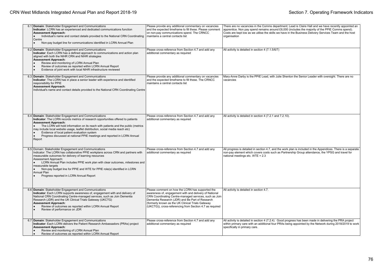| 6.1 Domain: Stakeholder Engagement and Communications<br>Indicator: LCRN has an experienced and dedicated communications function<br><b>Assessment Approach:</b><br>Individual's name and contact details provided to the National CRN Coordinating<br>Centre<br>Non-pay budget line for communications identified in LCRN Annual Plan                                                                                                                                                | Please provide any additional commentary on vacancies<br>and the expected timeframe to fill these. Please comment<br>on non-pay communications spend. The CRNCC<br>maintains a central contacts list                                                                                                                                    | There are no vacancies in the Comms department; Lead is Claire Hall and we have recently appointed an<br>apprentice. Non pay spend remains around $£6,000$ (includes the majority of the PPIE Comms spend).<br>Costs are kept low as we utilise the skills we have in the Business Delivery Services Team and the host<br>organisation |
|---------------------------------------------------------------------------------------------------------------------------------------------------------------------------------------------------------------------------------------------------------------------------------------------------------------------------------------------------------------------------------------------------------------------------------------------------------------------------------------|-----------------------------------------------------------------------------------------------------------------------------------------------------------------------------------------------------------------------------------------------------------------------------------------------------------------------------------------|----------------------------------------------------------------------------------------------------------------------------------------------------------------------------------------------------------------------------------------------------------------------------------------------------------------------------------------|
| 6.2 Domain: Stakeholder Engagement and Communications<br>Indicator: Each LCRN has a defined approach to communications and action plan<br>aligned with both the NIHR CRN and NIHR strategies<br><b>Assessment Approach:</b><br>Review and monitoring of LCRN Annual Plan<br>Review of outcomes as reported within LCRN Annual Report<br>Evidence of joint work with local NIHR infrastructure reviewed                                                                                | Please cross-reference from Section 4.7 and add any<br>additional commentary as required                                                                                                                                                                                                                                                | All activity is detailed in section 4 (7.1.5/6/7)                                                                                                                                                                                                                                                                                      |
| 6.3 Domain: Stakeholder Engagement and Communications<br>Indicator: The LCRN has in place a senior leader with experience and identified<br>responsibility for PPIE<br><b>Assessment Approach:</b><br>Individual's name and contact details provided to the National CRN Coordinating Centre                                                                                                                                                                                          | Please provide any additional commentary on vacancies<br>and the expected timeframe to fill these. The CRNCC<br>maintains a central contacts list                                                                                                                                                                                       | Mary-Anne Darby is the PPIE Lead, with Julie Shenton the Senior Leader with oversight. There are no<br>vacancies                                                                                                                                                                                                                       |
| 6.4 Domain: Stakeholder Engagement and Communications<br>Indicator: The LCRN records metrics of research opportunities offered to patients<br><b>Assessment Approach:</b><br>The LCRN will hold information on its reach with patients and the public (metrics<br>may include local website usage, leaflet distribution, social media reach etc)<br>Evidence of local patient evaluation system<br>Progress discussed at national PPIE meetings and reported in LCRN Annual<br>Report | Please cross-reference from Section 4.7 and add any<br>additional commentary as required                                                                                                                                                                                                                                                | All activity is detailed in section 4 (7.2.1 and 7.2.10).                                                                                                                                                                                                                                                                              |
| 6.5 Domain: Stakeholder Engagement and Communications<br>Indicator: The LCRN has collaborative PPIE workplans across CRN and partners with<br>measurable outcomes for delivery of learning resources<br>Assessment Approach:<br>LCRN Annual Plan includes PPIE work plan with clear outcomes, milestones and<br>measurable targets<br>Non-pay budget line for PPIE and WTE for PPIE role(s) identified in LCRN<br>Annual Plan<br>Progress reported in LCRN Annual Report              | Please cross-reference from Section 4.7 and add any<br>additional commentary as required                                                                                                                                                                                                                                                | All progress is detailed in section 4.7, and the work plan is included in the Appendices. There is a separate<br>non-pay element which covers costs such as Partnership Group attendance, the YPSG and travel for<br>national meetings etc. WTE = 2.3                                                                                  |
| 6.6 Domain: Stakeholder Engagement and Communications<br>Indicator: Each LCRN supports awareness of, engagement with and delivery of<br>National CRN Coordinating Centre-managed services, such as Join Dementia<br>Research (JDR) and the UK Clinical Trials Gateway (UKCTG)<br><b>Assessment Approach:</b><br>Review of outcomes as reported within LCRN Annual Report<br>Review of performance on JDR                                                                              | Please comment on how the LCRN has supported the<br>awareness of, engagement with and delivery of National<br>CRN Coordinating Centre-managed services, such as Join<br>Dementia Research (JDR) and Be Part of Research<br>formerly known as the UK Clinical Trials Gateway<br>(UKCTG)), cross-referencing from Section 4.7 as required | All activity is detailed in section 4.7.                                                                                                                                                                                                                                                                                               |
| 6.7 Domain: Stakeholder Engagement and Communications<br>Indicator: Each LCRN delivers the Patient Research Ambassadors (PRAs) project<br><b>Assessment Approach:</b><br>Review and monitoring of LCRN Annual Plan<br>Review of outcomes as reported within LCRN Annual Report                                                                                                                                                                                                        | Please cross-reference from Section 4.7 and add any<br>additional commentary as required                                                                                                                                                                                                                                                | All activity is detailed in section 4 (7.2.4). Good progress has been made in delivering the PRA project<br>within primary care with an additional four PRAs being appointed by the Network during 2018/2019 to work<br>specifically in primary care.                                                                                  |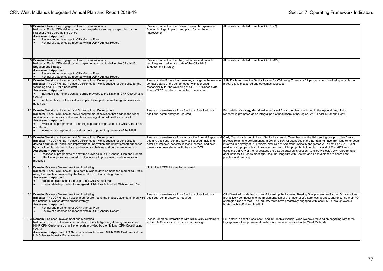| 6.8 Domain: Stakeholder Engagement and Communications<br>Indicator: Each LCRN delivers the patient experience survey, as specified by the<br>National CRN Coordinating Centre<br><b>Assessment Approach:</b><br>Review and monitoring of LCRN Annual Plan<br>Review of outcomes as reported within LCRN Annual Report                                                                                                                                                                                                                   | Please comment on the Patient Research Experience<br>Survey findings, impacts, and plans for continuous<br>improvement                                               | All activity is detailed in section 4 (7.2.6/7).                                                                                                                                                                                                                                                                                                                                                                                                                                                                                                                                                                                                                                                                                                    |
|-----------------------------------------------------------------------------------------------------------------------------------------------------------------------------------------------------------------------------------------------------------------------------------------------------------------------------------------------------------------------------------------------------------------------------------------------------------------------------------------------------------------------------------------|----------------------------------------------------------------------------------------------------------------------------------------------------------------------|-----------------------------------------------------------------------------------------------------------------------------------------------------------------------------------------------------------------------------------------------------------------------------------------------------------------------------------------------------------------------------------------------------------------------------------------------------------------------------------------------------------------------------------------------------------------------------------------------------------------------------------------------------------------------------------------------------------------------------------------------------|
| 6.9 Domain: Stakeholder Engagement and Communications<br>Indicator: Each LCRN develops and implements a plan to deliver the CRN NHS<br><b>Engagement Strategy</b><br><b>Assessment Approach:</b><br>Review and monitoring of LCRN Annual Plan<br>Review of outcomes as reported within LCRN Annual Report                                                                                                                                                                                                                               | Please comment on the plan, outcomes and impacts<br>resulting from delivery to date of the CRN NHS<br><b>Engagement Strategy</b>                                     | All activity is detailed in section 4 (7.1.5/6/7)                                                                                                                                                                                                                                                                                                                                                                                                                                                                                                                                                                                                                                                                                                   |
| 7.1 Domain: Workforce, Learning and Organisational Development<br>Indicator: The LCRN has in place a senior leader with identified responsibility for the<br>wellbeing of all LCRN-funded staff<br><b>Assessment Approach:</b><br>Individual's name and contact details provided to the National CRN Coordinating<br>Centre<br>Implementation of the local action plan to support the wellbeing framework and<br>action plan                                                                                                            | contact details of the senior leader with identified<br>responsibility for the wellbeing of all LCRN-funded staff.<br>The CRNCC maintains the central contacts list. | Please advise if there has been any change in the name or Julie Davis remains the Senior Leader for Wellbeing. There is a full programme of wellbeing activities in<br>place; this is measured and outcomes assessed                                                                                                                                                                                                                                                                                                                                                                                                                                                                                                                                |
| 7.2 Domain: Workforce, Learning and Organisational Development<br>Indicator: Each LCRN has an active programme of activities that engage the wider<br>workforce to promote clinical research as an integral part of healthcare for all<br><b>Assessment Approach:</b><br>Evidence of programme of learning opportunities provided in LCRN Annual Plan<br>and Report<br>Increased engagement of local partners in promoting the work of the NIHR                                                                                         | Please cross-reference from Section 4.8 and add any<br>additional commentary as required                                                                             | Full details of strategy described in section 4.8 and the plan is included in the Appendices; clinical<br>research is promoted as an integral part of healthcare in the region. WFD Lead is Hannah Reay.                                                                                                                                                                                                                                                                                                                                                                                                                                                                                                                                            |
| 7.3 Domain: Workforce, Learning and Organisational Development<br>Indicator: The LCRN has in place a senior leader with identified responsibility for<br>driving a culture of Continuous Improvement (Innovation and Improvement) supported<br>by an action plan aligned to local and national initiatives and performance metrics<br><b>Assessment Approach:</b><br>Evidence of programme of activities provided in LCRN Annual Plan and Report<br>Effective approaches shared by Continuous Improvement Leads at national<br>meetings | add any additional commentary as required, including<br>details of impacts, benefits, lessons learned, and how<br>these have been shared with the wider CRN.         | Please cross-reference from across the Annual Report and Carly Craddock is the I&I Lead. Senior Leadership Team became the I&I steering group to drive forward<br>projects relating to performance. In 2018/19 69% of attendees of the I&I training have then lead on or been<br>involved in delivery of I&I projects. New role of Assistant Project Manager for I&I in post Feb 2019. Joint<br>working with projects team to monitor progress of I&I projects. Action plan for end of Mar 2019 was to<br>complete delivery of the I&I strategy projects as detailed in section 7.3 (Key Projects). WM representation<br>at all national CI Leads meetings. Regular Hangouts with Eastern and East Midlands to share best<br>practice and learning. |
| 8.1 Domain: Business Development and Marketing<br>Indicator: Each LCRN has an up to date business development and marketing Profile<br>using the template provided by the National CRN Coordinating Centre<br><b>Assessment Approach:</b><br>Profile template submitted as part of LCRN Annual Plan<br>Contact details provided for assigned LCRN Profile lead in LCRN Annual Plan                                                                                                                                                      | No further LCRN information required                                                                                                                                 |                                                                                                                                                                                                                                                                                                                                                                                                                                                                                                                                                                                                                                                                                                                                                     |
| 8.2 Domain: Business Development and Marketing<br>Indicator: The LCRN has an action plan for promoting the industry agenda aligned with<br>the national business development strategy<br><b>Assessment Approach:</b><br>Review and monitoring of LCRN Annual Plan<br>Review of outcomes as reported within LCRN Annual Report<br>۱.                                                                                                                                                                                                     | Please cross-reference from Section 4.9 and add any<br>additional commentary as required                                                                             | CRN West Midlands has successfully set up the Industry Steering Group to ensure Partner Organisations<br>are actively contributing to the implementation of the national Life Sciences agenda, and ensuring their PO<br>strategic aims are met. The Industry team have proactively engaged with local SMEs through events<br>hosted with AHSN and Medilink.                                                                                                                                                                                                                                                                                                                                                                                         |
| 8.3 Domain: Business Development and Marketing<br>Indicator: The LCRN actively contributes to the intelligence gathering process from<br>NIHR CRN Customers using the template provided by the National CRN Coordinating<br>Centre<br>Assessment Approach: LCRN reports interactions with NIHR CRN Customers at the<br>Life Sciences Industry Forum meetings                                                                                                                                                                            | Please report on interactions with NIHR CRN Customers<br>at the Life Sciences Industry Forum meetings                                                                | Full details in sheet 4 sections 9 and 10. In this financial year, we have focused on engaging with three<br>key sponsors to improve relationships and service received in the West Midlands.                                                                                                                                                                                                                                                                                                                                                                                                                                                                                                                                                       |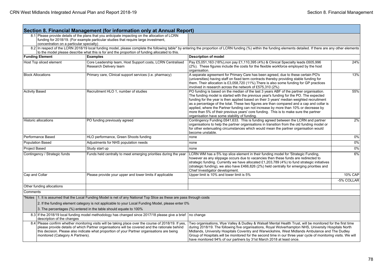|                                                                                                                                                                                                                                                                                                                                            |                                                                                                                       | Section 8. Financial Management (for information only at Annual Report)                                                                                                                |                                                                                                                                                                                                                                                                                                                                                                                                                                                                                                                                                                                                          |                |  |
|--------------------------------------------------------------------------------------------------------------------------------------------------------------------------------------------------------------------------------------------------------------------------------------------------------------------------------------------|-----------------------------------------------------------------------------------------------------------------------|----------------------------------------------------------------------------------------------------------------------------------------------------------------------------------------|----------------------------------------------------------------------------------------------------------------------------------------------------------------------------------------------------------------------------------------------------------------------------------------------------------------------------------------------------------------------------------------------------------------------------------------------------------------------------------------------------------------------------------------------------------------------------------------------------------|----------------|--|
|                                                                                                                                                                                                                                                                                                                                            | concentration on a particular specialty)                                                                              | 8.1 Please provide details of the plans that you anticipate impacting on the allocation of LCRN<br>funding for 2018/19. (For example particular studies that require large investment, |                                                                                                                                                                                                                                                                                                                                                                                                                                                                                                                                                                                                          |                |  |
|                                                                                                                                                                                                                                                                                                                                            |                                                                                                                       | to the model please describe what this is for and the proportion of funding allocated to this.                                                                                         | 8.2 In respect of the LCRN 2018/19 local funding model, please complete the following table* by entering the proportion of LCRN funding (%) within the funding elements detailed. If there are any other elements                                                                                                                                                                                                                                                                                                                                                                                        |                |  |
|                                                                                                                                                                                                                                                                                                                                            | <b>Funding Element</b>                                                                                                | <b>Examples</b>                                                                                                                                                                        | <b>Description of model</b>                                                                                                                                                                                                                                                                                                                                                                                                                                                                                                                                                                              |                |  |
|                                                                                                                                                                                                                                                                                                                                            | Host Top sliced element                                                                                               | Core Leadership team, Host Support costs, LCRN Centralised<br>Research Delivery team                                                                                                   | Pay £5,051,163 (18%),non pay £1,110,395 (4%) & Clinical Specialty leads £605,996<br>(2%). These figures include the costs for the flexible workforce employed by the host<br>organisation.                                                                                                                                                                                                                                                                                                                                                                                                               | 24%            |  |
| <b>Block Allocations</b>                                                                                                                                                                                                                                                                                                                   |                                                                                                                       | Primary care, Clinical support services (i.e. pharmacy)                                                                                                                                | A separate agreement for Primary Care has been agreed, due to these certain PO's<br>(universities) having staff on fixed term contracts thereby providing stable funding for<br>them. Their allocation is £3,058,720 (11%). There is also some funding for GP practices<br>involved in research across the network of £575,310 (2%)                                                                                                                                                                                                                                                                      |                |  |
| <b>Activity Based</b>                                                                                                                                                                                                                                                                                                                      |                                                                                                                       | Recruitment HLO 1, number of studies                                                                                                                                                   | PO funding is based on the median of the last 3 years ABF of the partner organisation.<br>The funding model is started with the previous year's funding for the PO. The expected<br>funding for the year is then applied based on their 3 years' median weighted recruitment<br>as a percentage of the total. These two figures are than compared and a cap and collar is<br>applied, where the Partner funding can not increase by more than 10% or decrease by<br>more than 5% of their previous years' core funding. This is to make sure the partner<br>organisation have some stability of funding. | 55%            |  |
| <b>Historic allocations</b><br>PO funding previously agreed                                                                                                                                                                                                                                                                                |                                                                                                                       |                                                                                                                                                                                        | Contingency Funding £641,633. This is funding agreed between the LCRN and partner<br>organisations to help the partner organisations in transition from the old funding model or<br>for other extenuating circumstances which would mean the partner organisation would<br>become unstable.                                                                                                                                                                                                                                                                                                              | 2%             |  |
|                                                                                                                                                                                                                                                                                                                                            | Performance Based<br>HLO performance, Green Shoots funding                                                            |                                                                                                                                                                                        | none                                                                                                                                                                                                                                                                                                                                                                                                                                                                                                                                                                                                     | $0\%$          |  |
|                                                                                                                                                                                                                                                                                                                                            | Adjustments for NHS population needs<br><b>Population Based</b>                                                       |                                                                                                                                                                                        | none                                                                                                                                                                                                                                                                                                                                                                                                                                                                                                                                                                                                     | 0%             |  |
| Project Based                                                                                                                                                                                                                                                                                                                              |                                                                                                                       | Study start up                                                                                                                                                                         | none                                                                                                                                                                                                                                                                                                                                                                                                                                                                                                                                                                                                     | $0\%$          |  |
| Contingency / Strategic funds<br>Funds held centrally to meet emerging priorities during the year                                                                                                                                                                                                                                          |                                                                                                                       |                                                                                                                                                                                        | LCRN WM has a 5% top slice element in their funding model for 'Strategic Funding,<br>however as any slippage occurs due to vacancies then these funds are redirected to<br>strategic funding. Currently we have allocated £1,203,789 (4%) to fund strategic initiatives<br>(strategic funding), we also have £466,826 (2%) held centrally for emerging priorities and<br>Chief Investigator development.                                                                                                                                                                                                 | 6%             |  |
| Cap and Collar                                                                                                                                                                                                                                                                                                                             |                                                                                                                       | Please provide your upper and lower limits if applicable                                                                                                                               | Upper limit is 10% and lower limit is 5%                                                                                                                                                                                                                                                                                                                                                                                                                                                                                                                                                                 | <b>10% CAP</b> |  |
|                                                                                                                                                                                                                                                                                                                                            |                                                                                                                       |                                                                                                                                                                                        |                                                                                                                                                                                                                                                                                                                                                                                                                                                                                                                                                                                                          | -5% COLLAR     |  |
|                                                                                                                                                                                                                                                                                                                                            | Other funding allocations                                                                                             |                                                                                                                                                                                        |                                                                                                                                                                                                                                                                                                                                                                                                                                                                                                                                                                                                          |                |  |
| Comments                                                                                                                                                                                                                                                                                                                                   |                                                                                                                       |                                                                                                                                                                                        |                                                                                                                                                                                                                                                                                                                                                                                                                                                                                                                                                                                                          |                |  |
|                                                                                                                                                                                                                                                                                                                                            | *Notes 1. It is assumed that the Local Funding Model is net of any National Top Slice as these are pass through costs |                                                                                                                                                                                        |                                                                                                                                                                                                                                                                                                                                                                                                                                                                                                                                                                                                          |                |  |
|                                                                                                                                                                                                                                                                                                                                            | 2. If the funding element category is not applicable to your Local Funding Model, please enter 0%                     |                                                                                                                                                                                        |                                                                                                                                                                                                                                                                                                                                                                                                                                                                                                                                                                                                          |                |  |
|                                                                                                                                                                                                                                                                                                                                            | 3. The percentages (%) entered in the table should equate to 100%                                                     |                                                                                                                                                                                        |                                                                                                                                                                                                                                                                                                                                                                                                                                                                                                                                                                                                          |                |  |
|                                                                                                                                                                                                                                                                                                                                            | description of the changes                                                                                            | 8.3 If the 2018/19 local funding model methodology has changed since 2017/18 please give a brief                                                                                       | no change                                                                                                                                                                                                                                                                                                                                                                                                                                                                                                                                                                                                |                |  |
| 8.4 Please confirm whether monitoring visits will be taking place over the course of 2018/19. If yes,<br>please provide details of which Partner organisations will be covered and the rationale behind<br>this decision. Please also indicate what proportion of your Partner organisations are being<br>monitored (Category A Partners). |                                                                                                                       |                                                                                                                                                                                        | Two organisations, Wye Valley & Dudley & Walsall Mental Health Trust, will be monitored for the first time<br>during 2018/19. The following five organisations, Royal Wolverhampton NHS, University Hospitals North<br>Midlands, University Hospitals Coventry and Warwickshire, West Midlands Ambulance and The Dudley<br>Group of Hospitals will be monitored for the second time in our three year cycle of monitoring visits. We will<br>have monitored 94% of our partners by 31st March 2018 at least once.                                                                                        |                |  |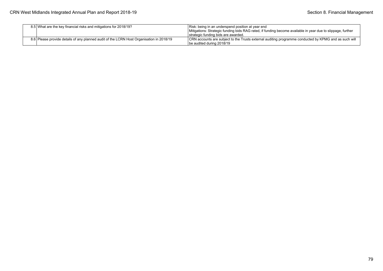| 8.5 What are the key financial risks and mitigations for 2018/19?                        | Risk: being in an underspend position at year end<br>Mitigations: Strategic funding bids RAG rated, if funding become available in year due to slippage, further<br>strategic funding bids are awarded. |
|------------------------------------------------------------------------------------------|---------------------------------------------------------------------------------------------------------------------------------------------------------------------------------------------------------|
| 8.6 Please provide details of any planned audit of the LCRN Host Organisation in 2018/19 | CRN accounts are subject to the Trusts external auditing programme conducted by KPMG and as such will<br>lbe audited during 2018/19                                                                     |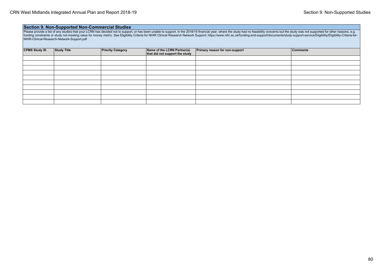## **Section 9. Non-Supported Non-Commercial Studies**

Please provide a list of any studies that your LCRN has decided not to support, or has been unable to support, in the 2018/19 financial year, where the study had no feasibility concerns but the study was not supported for funding constraints or study not meeting value for money metric. See Eligibility Criteria for NIHR Clinical Research Network Support; https://www.nihr.ac.uk/funding-and-support/documents/study-support-service/Eligibility/E NIHR-Clinical-Research-Network-Support.pdf

| <b>CPMS Study ID</b> | Study Title | <b>Priority Category</b> | Name of the LCRN Partner(s)<br>that did not support the study | Primary reason for non-support | <b>Comments</b> |
|----------------------|-------------|--------------------------|---------------------------------------------------------------|--------------------------------|-----------------|
|                      |             |                          |                                                               |                                |                 |
|                      |             |                          |                                                               |                                |                 |
|                      |             |                          |                                                               |                                |                 |
|                      |             |                          |                                                               |                                |                 |
|                      |             |                          |                                                               |                                |                 |
|                      |             |                          |                                                               |                                |                 |
|                      |             |                          |                                                               |                                |                 |
|                      |             |                          |                                                               |                                |                 |
|                      |             |                          |                                                               |                                |                 |
|                      |             |                          |                                                               |                                |                 |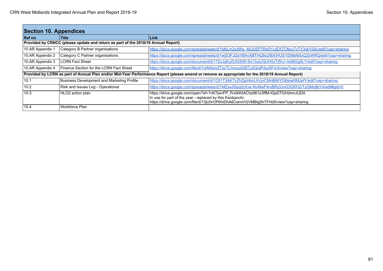| <b>Section 10. Appendices</b>                                                                                                                    |                                                   |                                                                                                                                                                                                                                  |  |
|--------------------------------------------------------------------------------------------------------------------------------------------------|---------------------------------------------------|----------------------------------------------------------------------------------------------------------------------------------------------------------------------------------------------------------------------------------|--|
| <b>Ref</b> no                                                                                                                                    | <b>Title</b>                                      | l Link                                                                                                                                                                                                                           |  |
| Provided by CRNCC (please update and return as part of the 2018/19 Annual Report)                                                                |                                                   |                                                                                                                                                                                                                                  |  |
| 10.AR Appendix 1                                                                                                                                 | Category B Partner organisations                  | https://docs.google.com/spreadsheets/d/1ldbLnQydWg_46JUEP7Rx0YvJEXTCNcuTvTY3ykYiSlc/edit?usp=sharing                                                                                                                             |  |
| 10.AR Appendix 2                                                                                                                                 | Category C Partner organisations                  | https://docs.google.com/spreadsheets/d/1wjS3FJDaYBAvXBTHQ8a2IBXIHUS1IS9tkNi5xQZsWRQ/edit?usp=sharing                                                                                                                             |  |
| 10.AR Appendix 3                                                                                                                                 | <b>LCRN Fact Sheet</b>                            | https://docs.google.com/document/d/17ZxJqKyZUiG808-Ss13ydJQUH5zTj5hJ--kidM2g5LY/edit?usp=sharing                                                                                                                                 |  |
| 10.AR Appendix 4                                                                                                                                 | Finance Section for the LCRN Fact Sheet           | https://drive.google.com/file/d/1mN0emZTsyTLhmouA2ECy0QnjP4yx5Fm3/view?usp=sharing                                                                                                                                               |  |
| Provided by LCRN as part of Annual Plan and/or Mid-Year Performance Report (please amend or remove as appropriate for the 2018/19 Annual Report) |                                                   |                                                                                                                                                                                                                                  |  |
| 110.1                                                                                                                                            | <b>Business Development and Marketing Profile</b> | https://docs.google.com/document/d/1C61T3AKTvZhZjpHbnLhVprCMnBl6tYDl8slsKlMJpfY/edit?usp=sharing                                                                                                                                 |  |
| 10.2                                                                                                                                             | Risk and Issues Log - Operational                 | https://docs.google.com/spreadsheets/d/1MZxxdGpq0cXvk-f4vMwF4mBRqVmG3GKH2rTyQMq9bY4/edit#qid=0                                                                                                                                   |  |
| 10.3                                                                                                                                             | HLO2 action plan                                  | https://drive.google.com/open?id=1nK7jwvFP_fVx94hIAChp961o3ffM-IGpDTGHdmnJUDA<br>In use for part of the year - replaced by this Kanbanchi:<br>https://drive.google.com/file/d/13jU0rOP6hiDhA6CemiVGVMBtg5hTFHd5/view?usp=sharing |  |
| 10.4                                                                                                                                             | I Workforce Plan                                  |                                                                                                                                                                                                                                  |  |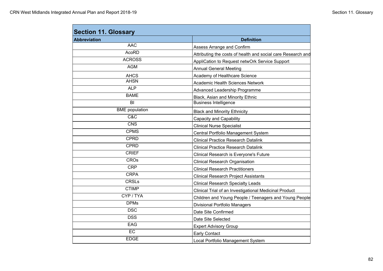| <b>Abbreviation</b>   | <b>Definition</b>                                            |
|-----------------------|--------------------------------------------------------------|
| <b>AAC</b>            | Assess Arrange and Confirm                                   |
| <b>AcoRD</b>          | Attributing the costs of health and social care Research and |
| <b>ACROSS</b>         | AppliCation to Request netwOrk Service Support               |
| <b>AGM</b>            | <b>Annual General Meeting</b>                                |
| <b>AHCS</b>           | Academy of Healthcare Science                                |
| <b>AHSN</b>           | <b>Academic Health Sciences Network</b>                      |
| <b>ALP</b>            | <b>Advanced Leadership Programme</b>                         |
| <b>BAME</b>           | Black, Asian and Minority Ethnic                             |
| BI                    | <b>Business Intelligence</b>                                 |
| <b>BME</b> population | <b>Black and Minority Ethnicity</b>                          |
| C&C                   | Capacity and Capability                                      |
| <b>CNS</b>            | <b>Clinical Nurse Specialist</b>                             |
| <b>CPMS</b>           | Central Portfolio Management System                          |
| <b>CPRD</b>           | <b>Clinical Practice Research Datalink</b>                   |
| <b>CPRD</b>           | <b>Clinical Practice Research Datalink</b>                   |
| <b>CRIEF</b>          | Clinical Research is Everyone's Future                       |
| <b>CROs</b>           | <b>Clinical Research Organisation</b>                        |
| <b>CRP</b>            | <b>Clinical Research Practitioners</b>                       |
| <b>CRPA</b>           | <b>Clinical Research Project Assistants</b>                  |
| <b>CRSLs</b>          | <b>Clinical Research Specialty Leads</b>                     |
| <b>CTIMP</b>          | Clinical Trial of an Investigational Medicinal Product       |
| CYP / TYA             | Children and Young People / Teenagers and Young People       |
| <b>DPMs</b>           | <b>Divisional Portfolio Managers</b>                         |
| <b>DSC</b>            | Date Site Confirmed                                          |
| <b>DSS</b>            | Date Site Selected                                           |
| <b>EAG</b>            | <b>Expert Advisory Group</b>                                 |
| EC                    | <b>Early Contact</b>                                         |
| <b>EDGE</b>           | Local Portfolio Management System                            |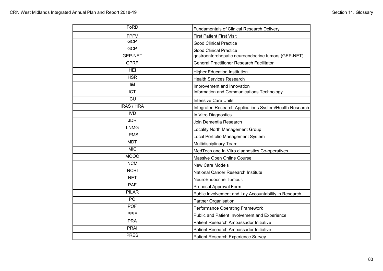| FoRD              | <b>Fundamentals of Clinical Research Delivery</b>       |
|-------------------|---------------------------------------------------------|
| <b>FPFV</b>       | <b>First Patient First Visit</b>                        |
| <b>GCP</b>        | <b>Good Clinical Practice</b>                           |
| <b>GCP</b>        | <b>Good Clinical Practice</b>                           |
| <b>GEP-NET</b>    | gastroenterohepatic neuroendocrine tumors (GEP-NET)     |
| <b>GPRF</b>       | <b>General Practitioner Research Facilitator</b>        |
| <b>HEI</b>        | <b>Higher Education Institution</b>                     |
| <b>HSR</b>        | <b>Health Services Research</b>                         |
| 8                 | Improvement and Innovation                              |
| <b>ICT</b>        | Information and Communications Technology               |
| <b>ICU</b>        | <b>Intensive Care Units</b>                             |
| <b>IRAS / HRA</b> | Integrated Research Applications System/Health Research |
| <b>IVD</b>        | In Vitro Diagnostics                                    |
| <b>JDR</b>        | Join Dementia Research                                  |
| <b>LNMG</b>       | Locality North Management Group                         |
| <b>LPMS</b>       | Local Portfolio Management System                       |
| <b>MDT</b>        | <b>Multidisciplinary Team</b>                           |
| <b>MIC</b>        | MedTech and In Vitro diagnostics Co-operatives          |
| <b>MOOC</b>       | Massive Open Online Course                              |
| <b>NCM</b>        | New Care Models                                         |
| <b>NCRI</b>       | National Cancer Research Institute                      |
| <b>NET</b>        | NeuroEndocrine Tumour.                                  |
| <b>PAF</b>        | Proposal Approval Form                                  |
| <b>PILAR</b>      | Public Involvement and Lay Accountability in Research   |
| PO                | Partner Organisation                                    |
| <b>POF</b>        | <b>Performance Operating Framework</b>                  |
| PPIE              | Public and Patient Involvement and Experience           |
| <b>PRA</b>        | Patient Research Ambassador Initiative                  |
| <b>PRAI</b>       | Patient Research Ambassador Initiative                  |
| <b>PRES</b>       | Patient Research Experience Survey                      |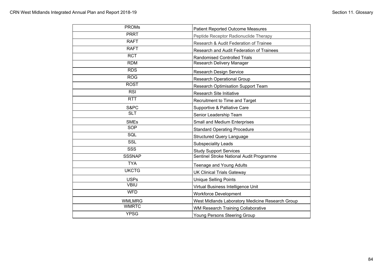| <b>PROMs</b>  | <b>Patient Reported Outcome Measures</b>         |
|---------------|--------------------------------------------------|
| <b>PRRT</b>   | Peptide Receptor Radionuclide Therapy            |
| <b>RAFT</b>   | Research & Audit Federation of Trainee           |
| <b>RAFT</b>   | Research and Audit Federation of Trainees        |
| <b>RCT</b>    | <b>Randomised Controlled Trials</b>              |
| <b>RDM</b>    | Research Delivery Manager                        |
| <b>RDS</b>    | <b>Research Design Service</b>                   |
| <b>ROG</b>    | <b>Research Operational Group</b>                |
| <b>ROST</b>   | <b>Research Optimisation Support Team</b>        |
| <b>RSI</b>    | Research Site Initiative                         |
| <b>RTT</b>    | Recruitment to Time and Target                   |
| S&PC          | Supportive & Palliative Care                     |
| <b>SLT</b>    | Senior Leadership Team                           |
| <b>SMEs</b>   | Small and Medium Enterprises                     |
| SOP           | <b>Standard Operating Procedure</b>              |
| SQL           | <b>Structured Query Language</b>                 |
| SSL           | <b>Subspeciality Leads</b>                       |
| <b>SSS</b>    | <b>Study Support Services</b>                    |
| <b>SSSNAP</b> | Sentinel Stroke National Audit Programme         |
| <b>TYA</b>    | Teenage and Young Adults                         |
| <b>UKCTG</b>  | <b>UK Clinical Trials Gateway</b>                |
| <b>USPs</b>   | <b>Unique Selling Points</b>                     |
| <b>VBIU</b>   | Virtual Business Intelligence Unit               |
| <b>WFD</b>    | <b>Workforce Development</b>                     |
| <b>WMLMRG</b> | West Midlands Laboratory Medicine Research Group |
| <b>WMRTC</b>  | WM Research Training Collaborative               |
| <b>YPSG</b>   | Young Persons Steering Group                     |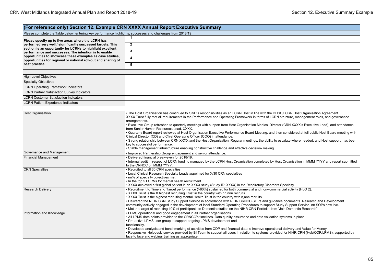| (For reference only) Section 12. Example CRN XXXX Annual Report Executive Summary                                           |                                                                                                                                                                                                                                                                                                                                                                                                                                                                                                                                                                                                                                                                                                                                                                                                                                                                                                                                                                                                                                                                                                                                                                                                                                                                                                                                                                                                                                                                                                                       |  |  |
|-----------------------------------------------------------------------------------------------------------------------------|-----------------------------------------------------------------------------------------------------------------------------------------------------------------------------------------------------------------------------------------------------------------------------------------------------------------------------------------------------------------------------------------------------------------------------------------------------------------------------------------------------------------------------------------------------------------------------------------------------------------------------------------------------------------------------------------------------------------------------------------------------------------------------------------------------------------------------------------------------------------------------------------------------------------------------------------------------------------------------------------------------------------------------------------------------------------------------------------------------------------------------------------------------------------------------------------------------------------------------------------------------------------------------------------------------------------------------------------------------------------------------------------------------------------------------------------------------------------------------------------------------------------------|--|--|
| Please complete the Table below, entering key performance highlights, successes and challenges from 2018/19                 |                                                                                                                                                                                                                                                                                                                                                                                                                                                                                                                                                                                                                                                                                                                                                                                                                                                                                                                                                                                                                                                                                                                                                                                                                                                                                                                                                                                                                                                                                                                       |  |  |
|                                                                                                                             | 1                                                                                                                                                                                                                                                                                                                                                                                                                                                                                                                                                                                                                                                                                                                                                                                                                                                                                                                                                                                                                                                                                                                                                                                                                                                                                                                                                                                                                                                                                                                     |  |  |
| Please specify up to five areas where the LCRN has<br>performed very well / significantly surpassed targets. This           | $\overline{\mathbf{2}}$                                                                                                                                                                                                                                                                                                                                                                                                                                                                                                                                                                                                                                                                                                                                                                                                                                                                                                                                                                                                                                                                                                                                                                                                                                                                                                                                                                                                                                                                                               |  |  |
| section is an opportunity for LCRNs to highlight excellent                                                                  |                                                                                                                                                                                                                                                                                                                                                                                                                                                                                                                                                                                                                                                                                                                                                                                                                                                                                                                                                                                                                                                                                                                                                                                                                                                                                                                                                                                                                                                                                                                       |  |  |
| performance and successes. The intention is to enable                                                                       | $\overline{\mathbf{3}}$                                                                                                                                                                                                                                                                                                                                                                                                                                                                                                                                                                                                                                                                                                                                                                                                                                                                                                                                                                                                                                                                                                                                                                                                                                                                                                                                                                                                                                                                                               |  |  |
| opportunities to showcase these examples as case studies.<br>opportunities for regional or national roll-out and sharing of | 4                                                                                                                                                                                                                                                                                                                                                                                                                                                                                                                                                                                                                                                                                                                                                                                                                                                                                                                                                                                                                                                                                                                                                                                                                                                                                                                                                                                                                                                                                                                     |  |  |
| best practice.                                                                                                              | 5 <sup>1</sup>                                                                                                                                                                                                                                                                                                                                                                                                                                                                                                                                                                                                                                                                                                                                                                                                                                                                                                                                                                                                                                                                                                                                                                                                                                                                                                                                                                                                                                                                                                        |  |  |
|                                                                                                                             |                                                                                                                                                                                                                                                                                                                                                                                                                                                                                                                                                                                                                                                                                                                                                                                                                                                                                                                                                                                                                                                                                                                                                                                                                                                                                                                                                                                                                                                                                                                       |  |  |
|                                                                                                                             |                                                                                                                                                                                                                                                                                                                                                                                                                                                                                                                                                                                                                                                                                                                                                                                                                                                                                                                                                                                                                                                                                                                                                                                                                                                                                                                                                                                                                                                                                                                       |  |  |
| <b>High Level Objectives</b>                                                                                                |                                                                                                                                                                                                                                                                                                                                                                                                                                                                                                                                                                                                                                                                                                                                                                                                                                                                                                                                                                                                                                                                                                                                                                                                                                                                                                                                                                                                                                                                                                                       |  |  |
| <b>Specialty Objectives</b>                                                                                                 |                                                                                                                                                                                                                                                                                                                                                                                                                                                                                                                                                                                                                                                                                                                                                                                                                                                                                                                                                                                                                                                                                                                                                                                                                                                                                                                                                                                                                                                                                                                       |  |  |
| <b>LCRN Operating Framework Indicators</b>                                                                                  |                                                                                                                                                                                                                                                                                                                                                                                                                                                                                                                                                                                                                                                                                                                                                                                                                                                                                                                                                                                                                                                                                                                                                                                                                                                                                                                                                                                                                                                                                                                       |  |  |
| <b>LCRN Partner Satisfaction Survey Indicators</b>                                                                          |                                                                                                                                                                                                                                                                                                                                                                                                                                                                                                                                                                                                                                                                                                                                                                                                                                                                                                                                                                                                                                                                                                                                                                                                                                                                                                                                                                                                                                                                                                                       |  |  |
| <b>LCRN Customer Satisfaction Indicators</b>                                                                                |                                                                                                                                                                                                                                                                                                                                                                                                                                                                                                                                                                                                                                                                                                                                                                                                                                                                                                                                                                                                                                                                                                                                                                                                                                                                                                                                                                                                                                                                                                                       |  |  |
| <b>LCRN Patient Experience Indicators</b>                                                                                   |                                                                                                                                                                                                                                                                                                                                                                                                                                                                                                                                                                                                                                                                                                                                                                                                                                                                                                                                                                                                                                                                                                                                                                                                                                                                                                                                                                                                                                                                                                                       |  |  |
|                                                                                                                             |                                                                                                                                                                                                                                                                                                                                                                                                                                                                                                                                                                                                                                                                                                                                                                                                                                                                                                                                                                                                                                                                                                                                                                                                                                                                                                                                                                                                                                                                                                                       |  |  |
| <b>Host Organisation</b><br>Governance and Management<br><b>Financial Management</b><br><b>CRN</b> Specialties              | . The Host Organisation has continued to fulfil its responsibilities as an LCRN Host in line with the DHSC/LCRN Host Organisation Agreement.<br>XXXX Trust fully met all requirements in the Performance and Operating Framework in terms of LCRN structure, management roles, and governance<br>arrangements.<br>· Executive Group refreshed to quarterly meetings with support from Host Organisation Medical Director (CRN XXXX's Executive Lead), and attendance<br>from Senior Human Resources Lead, XXXX.<br>. Quarterly Board report reviewed at Host Organisation Executive Performance Board Meeting, and then considered at full public Host Board meeting with<br>Clinical Director (CD) and Chief Operating Officer (COO) in attendance.<br>· Strong relationship between CRN XXXX and the Host Organisation. Regular meetings, the ability to escalate where needed, and Host support, has been<br>key to successful performance.<br>· Stable management infrastructure enabling constructive challenge and effective decision- making.<br>Improved Partnership Group engagement and senior attendance.<br>Delivered financial break-even for 2018/19.<br>. Internal audit in respect of LCRN funding managed by the LCRN Host Organisation completed by Host Organisation in MMM YYYY and report submitted<br>to the CRNCC on MMM YYYY.<br>· Recruited to all 30 CRN specialties.<br>• Local Clinical Research Specialty Leads appointed for X/30 CRN specialties<br>. nn% of specialty objectives met. |  |  |
|                                                                                                                             | . In the top 5 LCRNs for mental health recruitment.<br>• XXXX achieved a first global patient in an XXXX study (Study ID: XXXX) in the Respiratory Disorders Specialty.                                                                                                                                                                                                                                                                                                                                                                                                                                                                                                                                                                                                                                                                                                                                                                                                                                                                                                                                                                                                                                                                                                                                                                                                                                                                                                                                               |  |  |
| <b>Research Delivery</b>                                                                                                    | Recruitment to Time and Target performance (>80%) sustained for both commercial and non--commercial activity (HLO 2).<br>. XXXX Trust is the X highest recruiting Trust in the country with nn,nnn recruits.<br>. XXXX Trust is the highest recruiting Mental Health Trust in the country with n,nnn recruits.<br>• Delivered the NIHR CRN Study Support Service in accordance with NIHR CRNCC SOPs and guidance documents. Research and Development<br>community actively engaged in the development of local Standard Operating Procedures to support Study Support Service. nn SOPs now live.<br>• Met the target of recruiting 10% of participants to Dementia studies on the NIHR CRN Portfolio from "Join Dementia Research".                                                                                                                                                                                                                                                                                                                                                                                                                                                                                                                                                                                                                                                                                                                                                                                   |  |  |
| Information and Knowledge                                                                                                   | • LPMS operational and good engagement in all Partner organisations.<br>. All LPMS data points provided to the CRNCC's timelines. Data quality assurance and data validation systems in place.<br>• Pro-active LPMS user group to support ongoing LPMS development and<br>functionality.<br>• Developed analysis and benchmarking of activities from ODP and financial data to improve operational delivery and Value for Money.<br>• Responsive 'Helpdesk' service provided by BI Team to support all users in relation to systems provided for NIHR CRN (Hub/ODP/LPMS), supported by<br>face to face and webinar training as appropriate.                                                                                                                                                                                                                                                                                                                                                                                                                                                                                                                                                                                                                                                                                                                                                                                                                                                                           |  |  |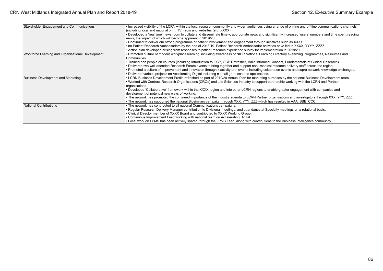| Stakeholder Engagement and Communications         | Increased visibility of the LCRN within the local research community and wider audiences using a range of on-line and off-line communications channels<br>(including local and national print, TV, radio and websites (e.g. XXXX). |
|---------------------------------------------------|------------------------------------------------------------------------------------------------------------------------------------------------------------------------------------------------------------------------------------|
|                                                   | • Developed a 'real time' news room to collate and disseminate timely, appropriate news and significantly increased 'users' numbers and time spent reading<br>news, the impact of which will become apparent in 2019/20.           |
|                                                   | • Continued to deliver our strong programme of patient involvement and engagement through initiatives such as XXXX.                                                                                                                |
|                                                   | • nn Patient Research Ambassadors by the end of 2018/19. Patient Research Ambassador activities have led to XXXX, YYYY, ZZZZ.                                                                                                      |
|                                                   | • Action plan developed arising from responses to patient research experience survey for implementation in 2019/20.                                                                                                                |
| Workforce Learning and Organisational Development | • Promoted culture of modern workplace learning, including awareness of NIHR National Learning Directory e-learning Programmes, Resources and<br>Communities.                                                                      |
|                                                   | • Trained nnn people on courses (including Introduction to GCP, GCP Refresher, Valid Informed Consent, Fundamentals of Clinical Research).                                                                                         |
|                                                   | • Delivered two well attended Research Forum events to bring together and support non--medical research delivery staff across the region.                                                                                          |
|                                                   | • Promoted a culture of Improvement and innovation through x activity or n events including celebration events and supra network knowledge exchanges.                                                                              |
|                                                   | . Delivered various projects on Accelerating Digital including n small grant scheme applications.                                                                                                                                  |
| <b>Business Development and Marketing</b>         | • LCRN Business Development Profile refreshed as part of 2019/20 Annual Plan for marketing purposes by the national Business Development team.                                                                                     |
|                                                   | • Worked with Contract Research Organisations (CROs) and Life Sciences Industry to support partnership working with the LCRN and Partner                                                                                           |
|                                                   | organisations.                                                                                                                                                                                                                     |
|                                                   | • Developed 'Collaborative' framework within the XXXX region and into other LCRN regions to enable greater engagement with companies and                                                                                           |
|                                                   | development of potential new ways of working.                                                                                                                                                                                      |
|                                                   | • The network has promoted the continued importance of the industry agenda to LCRN Partner organisations and investigators through XXX, YYY, ZZZ.                                                                                  |
|                                                   | • The network has supported the national Biosimilars campaign through XXX, YYY, ZZZ which has resulted in AAA, BBB, CCC.                                                                                                           |
| National Contributions                            | • The network has contributed to all national Communications campaigns.                                                                                                                                                            |
|                                                   | • Regular Research Delivery Manager contribution to Divisional meetings, and attendance at Specialty meetings on a rotational basis.                                                                                               |
|                                                   | • Clinical Director member of XXXX Board and contributed to XXXX Working Group.                                                                                                                                                    |
|                                                   | • Continuous Improvement Lead working with national team on Accelerating Digital.                                                                                                                                                  |
|                                                   | • Local work on LPMS has been actively shared through the LPMS Lead, along with contributions to the Business Intelligence community.                                                                                              |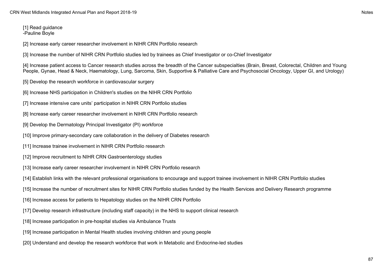[1] Read guidance -Pauline Boyle

[2] Increase early career researcher involvement in NIHR CRN Portfolio research

[3] Increase the number of NIHR CRN Portfolio studies led by trainees as Chief Investigator or co-Chief Investigator

[4] Increase patient access to Cancer research studies across the breadth of the Cancer subspecialties (Brain, Breast, Colorectal, Children and Young People, Gynae, Head & Neck, Haematology, Lung, Sarcoma, Skin, Supportive & Palliative Care and Psychosocial Oncology, Upper GI, and Urology)

- [5] Develop the research workforce in cardiovascular surgery
- [6] Increase NHS participation in Children's studies on the NIHR CRN Portfolio
- [7] Increase intensive care units' participation in NIHR CRN Portfolio studies
- [8] Increase early career researcher involvement in NIHR CRN Portfolio research
- [9] Develop the Dermatology Principal Investigator (PI) workforce
- [10] Improve primary-secondary care collaboration in the delivery of Diabetes research
- [11] Increase trainee involvement in NIHR CRN Portfolio research
- [12] Improve recruitment to NIHR CRN Gastroenterology studies
- [13] Increase early career researcher involvement in NIHR CRN Portfolio research
- [14] Establish links with the relevant professional organisations to encourage and support trainee involvement in NIHR CRN Portfolio studies
- [15] Increase the number of recruitment sites for NIHR CRN Portfolio studies funded by the Health Services and Delivery Research programme
- [16] Increase access for patients to Hepatology studies on the NIHR CRN Portfolio
- [17] Develop research infrastructure (including staff capacity) in the NHS to support clinical research
- [18] Increase participation in pre-hospital studies via Ambulance Trusts
- [19] Increase participation in Mental Health studies involving children and young people
- [20] Understand and develop the research workforce that work in Metabolic and Endocrine-led studies